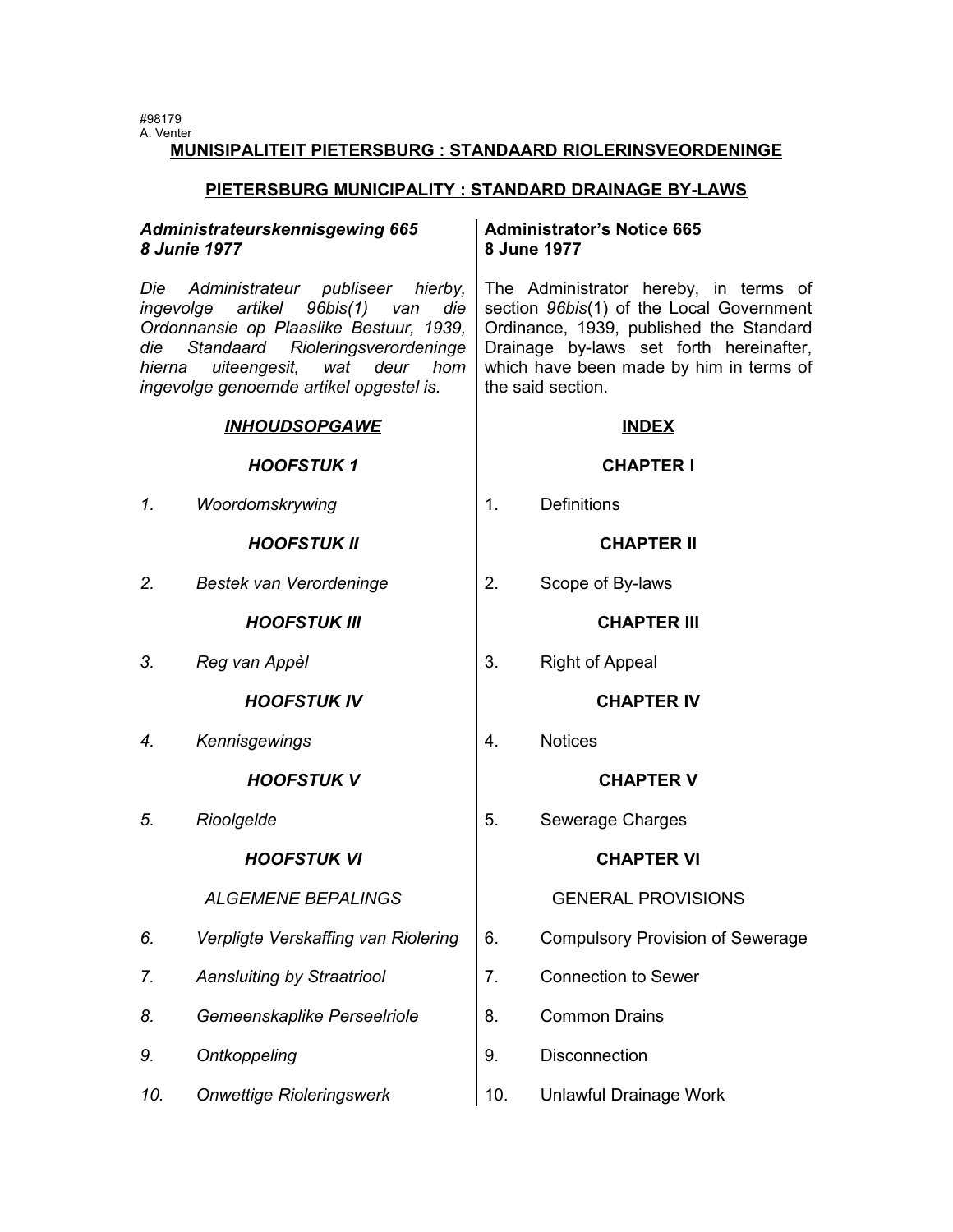#98179 A. Venter

# **MUNISIPALITEIT PIETERSBURG : STANDAARD RIOLERINSVEORDENINGE**

# **PIETERSBURG MUNICIPALITY : STANDARD DRAINAGE BY-LAWS**

| Administrateurskennisgewing 665<br><b>8 Junie 1977</b><br>Administrateur publiseer hierby,<br>Die<br>artikel 96bis(1) van<br>ingevolge<br>die<br>Ordonnansie op Plaaslike Bestuur, 1939,<br>Standaard Rioleringsverordeninge<br>die<br>uiteengesit, wat deur hom<br>hierna<br>ingevolge genoemde artikel opgestel is. |                                     | <b>Administrator's Notice 665</b><br>8 June 1977<br>The Administrator hereby, in terms of<br>section 96bis(1) of the Local Government<br>Ordinance, 1939, published the Standard<br>Drainage by-laws set forth hereinafter,<br>which have been made by him in terms of<br>the said section. |                                         |  |
|-----------------------------------------------------------------------------------------------------------------------------------------------------------------------------------------------------------------------------------------------------------------------------------------------------------------------|-------------------------------------|---------------------------------------------------------------------------------------------------------------------------------------------------------------------------------------------------------------------------------------------------------------------------------------------|-----------------------------------------|--|
|                                                                                                                                                                                                                                                                                                                       |                                     |                                                                                                                                                                                                                                                                                             |                                         |  |
|                                                                                                                                                                                                                                                                                                                       | <b>HOOFSTUK1</b>                    |                                                                                                                                                                                                                                                                                             | <b>CHAPTER I</b>                        |  |
| 1.                                                                                                                                                                                                                                                                                                                    | Woordomskrywing                     | 1.                                                                                                                                                                                                                                                                                          | <b>Definitions</b>                      |  |
|                                                                                                                                                                                                                                                                                                                       | <b>HOOFSTUK II</b>                  |                                                                                                                                                                                                                                                                                             | <b>CHAPTER II</b>                       |  |
| 2.                                                                                                                                                                                                                                                                                                                    | Bestek van Verordeninge             | 2.                                                                                                                                                                                                                                                                                          | Scope of By-laws                        |  |
|                                                                                                                                                                                                                                                                                                                       | <b>HOOFSTUK III</b>                 |                                                                                                                                                                                                                                                                                             | <b>CHAPTER III</b>                      |  |
| 3.                                                                                                                                                                                                                                                                                                                    | Reg van Appèl                       | 3.                                                                                                                                                                                                                                                                                          | <b>Right of Appeal</b>                  |  |
|                                                                                                                                                                                                                                                                                                                       | <b>HOOFSTUK IV</b>                  |                                                                                                                                                                                                                                                                                             | <b>CHAPTER IV</b>                       |  |
| 4.                                                                                                                                                                                                                                                                                                                    | Kennisgewings                       | 4.                                                                                                                                                                                                                                                                                          | <b>Notices</b>                          |  |
|                                                                                                                                                                                                                                                                                                                       | <b>HOOFSTUK V</b>                   |                                                                                                                                                                                                                                                                                             | <b>CHAPTER V</b>                        |  |
| 5.                                                                                                                                                                                                                                                                                                                    | Rioolgelde                          | 5.                                                                                                                                                                                                                                                                                          | Sewerage Charges                        |  |
|                                                                                                                                                                                                                                                                                                                       | <b>HOOFSTUK VI</b>                  |                                                                                                                                                                                                                                                                                             | <b>CHAPTER VI</b>                       |  |
|                                                                                                                                                                                                                                                                                                                       | <b>ALGEMENE BEPALINGS</b>           |                                                                                                                                                                                                                                                                                             | <b>GENERAL PROVISIONS</b>               |  |
| 6.                                                                                                                                                                                                                                                                                                                    | Verpligte Verskaffing van Riolering | 6.                                                                                                                                                                                                                                                                                          | <b>Compulsory Provision of Sewerage</b> |  |
| 7.                                                                                                                                                                                                                                                                                                                    | <b>Aansluiting by Straatriool</b>   | 7.                                                                                                                                                                                                                                                                                          | <b>Connection to Sewer</b>              |  |
| 8.                                                                                                                                                                                                                                                                                                                    | Gemeenskaplike Perseelriole         | 8.                                                                                                                                                                                                                                                                                          | <b>Common Drains</b>                    |  |
| 9.                                                                                                                                                                                                                                                                                                                    | Ontkoppeling                        | 9.                                                                                                                                                                                                                                                                                          | Disconnection                           |  |
| 10.                                                                                                                                                                                                                                                                                                                   | <b>Onwettige Rioleringswerk</b>     | 10.                                                                                                                                                                                                                                                                                         | Unlawful Drainage Work                  |  |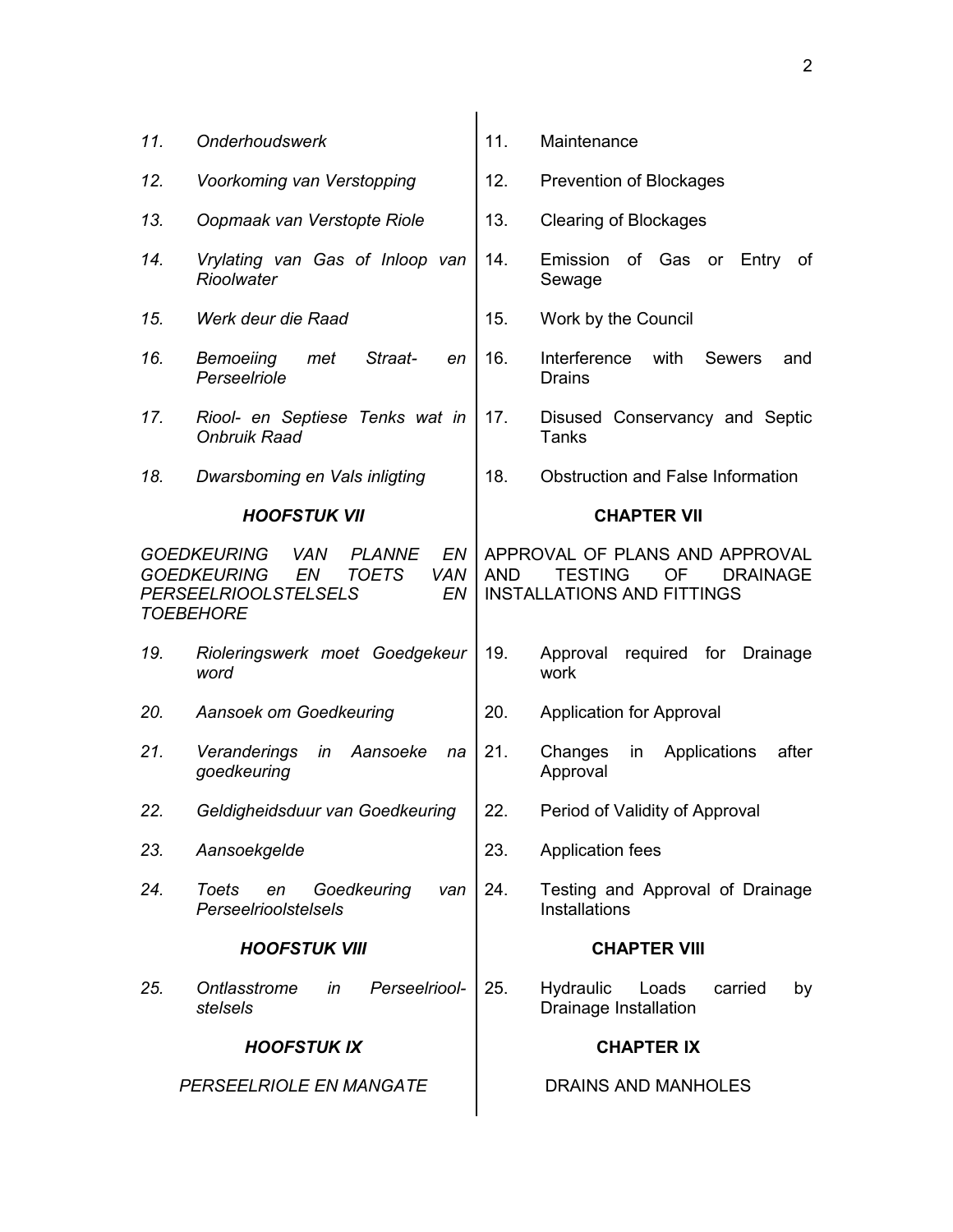| 11. | <b>Onderhoudswerk</b>                                                                                                                                                       | 11. | Maintenance                                                                                                    |
|-----|-----------------------------------------------------------------------------------------------------------------------------------------------------------------------------|-----|----------------------------------------------------------------------------------------------------------------|
| 12. | Voorkoming van Verstopping                                                                                                                                                  | 12. | Prevention of Blockages                                                                                        |
| 13. | Oopmaak van Verstopte Riole                                                                                                                                                 | 13. | <b>Clearing of Blockages</b>                                                                                   |
| 14. | Vrylating van Gas of Inloop van<br>Rioolwater                                                                                                                               | 14. | of Gas<br>Emission<br>Entry<br>οf<br><b>or</b><br>Sewage                                                       |
| 15. | Werk deur die Raad                                                                                                                                                          | 15. | Work by the Council                                                                                            |
| 16. | <b>Bemoeiing</b><br>Straat-<br>met<br>en<br>Perseelriole                                                                                                                    | 16. | Interference<br>with<br><b>Sewers</b><br>and<br>Drains                                                         |
| 17. | Riool- en Septiese Tenks wat in<br><b>Onbruik Raad</b>                                                                                                                      | 17. | Disused Conservancy and Septic<br>Tanks                                                                        |
| 18. | Dwarsboming en Vals inligting                                                                                                                                               | 18. | <b>Obstruction and False Information</b>                                                                       |
|     | <b>HOOFSTUK VII</b>                                                                                                                                                         |     | <b>CHAPTER VII</b>                                                                                             |
|     | EN.<br><b>GOEDKEURING</b><br><b>VAN</b><br><b>PLANNE</b><br><b>GOEDKEURING</b><br><b>TOETS</b><br><b>VAN</b><br>EN<br><b>PERSEELRIOOLSTELSELS</b><br>EN<br><b>TOEBEHORE</b> | AND | APPROVAL OF PLANS AND APPROVAL<br><b>TESTING</b><br>OF<br><b>DRAINAGE</b><br><b>INSTALLATIONS AND FITTINGS</b> |
| 19. | Rioleringswerk moet Goedgekeur<br>word                                                                                                                                      | 19. | required for<br>Approval<br>Drainage<br>work                                                                   |
| 20. | Aansoek om Goedkeuring                                                                                                                                                      | 20. | <b>Application for Approval</b>                                                                                |
| 21. | Veranderings<br>in<br>Aansoeke<br>na<br>goedkeuring                                                                                                                         | 21. | Applications<br>after<br>Changes<br>in<br>Approval                                                             |
| 22. | Geldigheidsduur van Goedkeuring                                                                                                                                             | 22. | Period of Validity of Approval                                                                                 |
| 23. | Aansoekgelde                                                                                                                                                                | 23. | <b>Application fees</b>                                                                                        |
| 24. | Toets<br>Goedkeuring<br>en<br>van<br>Perseelrioolstelsels                                                                                                                   | 24. | Testing and Approval of Drainage<br>Installations                                                              |
|     | <b>HOOFSTUK VIII</b>                                                                                                                                                        |     | <b>CHAPTER VIII</b>                                                                                            |
| 25. | Perseelriool-<br>Ontlasstrome<br>in<br>stelsels                                                                                                                             | 25. | <b>Hydraulic</b><br>Loads<br>carried<br>by<br>Drainage Installation                                            |
|     | <b>HOOFSTUK IX</b>                                                                                                                                                          |     | <b>CHAPTER IX</b>                                                                                              |
|     | PERSEELRIOLE EN MANGATE                                                                                                                                                     |     | <b>DRAINS AND MANHOLES</b>                                                                                     |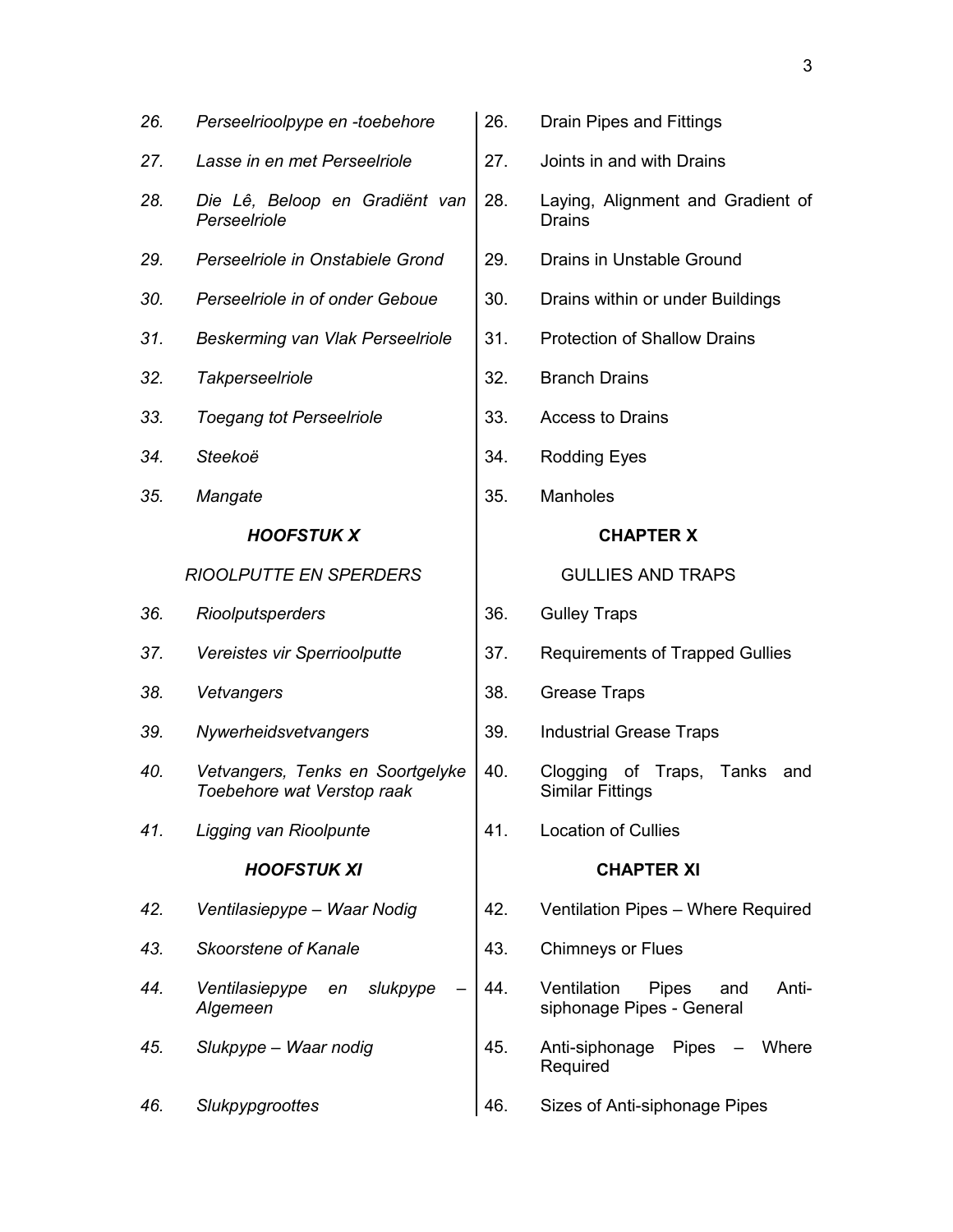| 26. | Perseelrioolpype en -toebehore                                 | 26. | Drain Pipes and Fittings                                                 |
|-----|----------------------------------------------------------------|-----|--------------------------------------------------------------------------|
| 27. | Lasse in en met Perseelriole                                   | 27. | Joints in and with Drains                                                |
| 28. | Die Lê, Beloop en Gradiënt van<br>Perseelriole                 | 28. | Laying, Alignment and Gradient of<br><b>Drains</b>                       |
| 29. | Perseelriole in Onstabiele Grond                               | 29. | Drains in Unstable Ground                                                |
| 30. | Perseelriole in of onder Geboue                                | 30. | Drains within or under Buildings                                         |
| 31. | Beskerming van Vlak Perseelriole                               | 31. | <b>Protection of Shallow Drains</b>                                      |
| 32. | Takperseelriole                                                | 32. | <b>Branch Drains</b>                                                     |
| 33. | <b>Toegang tot Perseelriole</b>                                | 33. | <b>Access to Drains</b>                                                  |
| 34. | Steekoë                                                        | 34. | <b>Rodding Eyes</b>                                                      |
| 35. | Mangate                                                        | 35. | <b>Manholes</b>                                                          |
|     | <b>HOOFSTUK X</b>                                              |     | <b>CHAPTER X</b>                                                         |
|     | <b>RIOOLPUTTE EN SPERDERS</b>                                  |     | <b>GULLIES AND TRAPS</b>                                                 |
| 36. | Rioolputsperders                                               | 36. | <b>Gulley Traps</b>                                                      |
| 37. | Vereistes vir Sperrioolputte                                   | 37. | <b>Requirements of Trapped Gullies</b>                                   |
| 38. | Vetvangers                                                     | 38. | <b>Grease Traps</b>                                                      |
| 39. | Nywerheidsvetvangers                                           | 39. | <b>Industrial Grease Traps</b>                                           |
| 40. | Vetvangers, Tenks en Soortgelyke<br>Toebehore wat Verstop raak | 40. | Clogging of Traps, Tanks<br>and<br><b>Similar Fittings</b>               |
| 41. | Ligging van Rioolpunte                                         | 41. | <b>Location of Cullies</b>                                               |
|     | <b>HOOFSTUK XI</b>                                             |     | <b>CHAPTER XI</b>                                                        |
| 42. | Ventilasiepype - Waar Nodig                                    | 42. | Ventilation Pipes - Where Required                                       |
| 43. | Skoorstene of Kanale                                           | 43. | <b>Chimneys or Flues</b>                                                 |
| 44. | Ventilasiepype<br>slukpype<br>en<br>Algemeen                   | 44. | Ventilation<br><b>Pipes</b><br>Anti-<br>and<br>siphonage Pipes - General |
| 45. | Slukpype - Waar nodig                                          | 45. | Anti-siphonage Pipes<br>Where<br>Required                                |
| 46. | Slukpypgroottes                                                | 46. | Sizes of Anti-siphonage Pipes                                            |
|     |                                                                |     |                                                                          |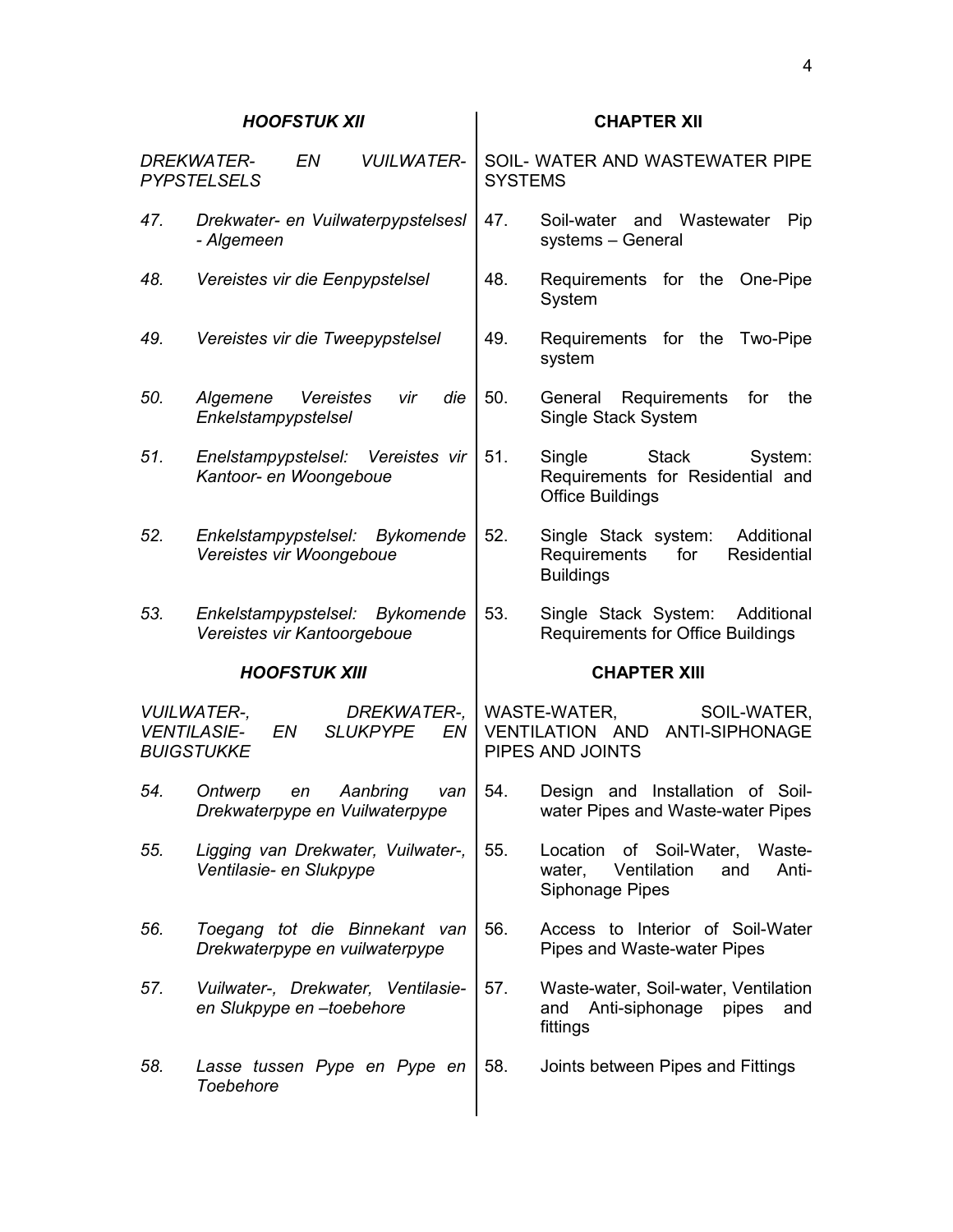# *HOOFSTUK XII* **CHAPTER XII**

|     | <b>DREKWATER-</b><br><b>PYPSTELSELS</b>                             | EN                   | <b>VUILWATER-</b>              |     | <b>SYSTEMS</b> | SOIL- WATER AND WASTEWATER PIPE                                                                  |
|-----|---------------------------------------------------------------------|----------------------|--------------------------------|-----|----------------|--------------------------------------------------------------------------------------------------|
| 47. | Drekwater- en Vuilwaterpypstelsesl<br>- Algemeen                    |                      |                                |     | 47.            | Soil-water and Wastewater<br>Pip<br>systems - General                                            |
| 48. | Vereistes vir die Eenpypstelsel                                     |                      |                                |     | 48.            | Requirements for the One-Pipe<br>System                                                          |
| 49. | Vereistes vir die Tweepypstelsel                                    |                      |                                |     | 49.            | Requirements for the<br>Two-Pipe<br>system                                                       |
| 50. | Algemene<br>Enkelstampypstelsel                                     | Vereistes            | vir                            | die | 50.            | General Requirements<br>for<br>the<br>Single Stack System                                        |
| 51. | Enelstampypstelsel: Vereistes vir<br>Kantoor- en Woongeboue         |                      |                                |     | 51.            | Single<br><b>Stack</b><br>System:<br>Requirements for Residential and<br><b>Office Buildings</b> |
| 52. | Enkelstampypstelsel: Bykomende<br>Vereistes vir Woongeboue          |                      |                                |     | 52.            | Single Stack system:<br>Additional<br>Requirements<br>for<br>Residential<br><b>Buildings</b>     |
| 53. | Enkelstampypstelsel: Bykomende<br>Vereistes vir Kantoorgeboue       |                      |                                |     | 53.            | Single Stack System: Additional<br>Requirements for Office Buildings                             |
|     |                                                                     |                      |                                |     |                |                                                                                                  |
|     |                                                                     | <b>HOOFSTUK XIII</b> |                                |     |                | <b>CHAPTER XIII</b>                                                                              |
|     | <b>VUILWATER-,</b><br><b>VENTILASIE-</b><br>EN<br><b>BUIGSTUKKE</b> |                      | DREKWATER-,<br><b>SLUKPYPE</b> | EN  |                | WASTE-WATER,<br>SOIL-WATER,<br>VENTILATION AND<br>ANTI-SIPHONAGE<br>PIPES AND JOINTS             |
| 54. | Ontwerp<br>Drekwaterpype en Vuilwaterpype                           | en                   | Aanbring                       | van | 54.            | Design and Installation of Soil-<br>water Pipes and Waste-water Pipes                            |
| 55. | Ligging van Drekwater, Vuilwater-,<br>Ventilasie- en Slukpype       |                      |                                |     | 55.            | Location of Soil-Water, Waste-<br>Ventilation<br>Anti-<br>water,<br>and<br>Siphonage Pipes       |
| 56. | Toegang tot die Binnekant van<br>Drekwaterpype en vuilwaterpype     |                      |                                |     | 56.            | Access to Interior of Soil-Water<br>Pipes and Waste-water Pipes                                  |
| 57. | Vuilwater-, Drekwater, Ventilasie-<br>en Slukpype en -toebehore     |                      |                                |     | 57.            | Waste-water, Soil-water, Ventilation<br>and Anti-siphonage<br>pipes<br>and<br>fittings           |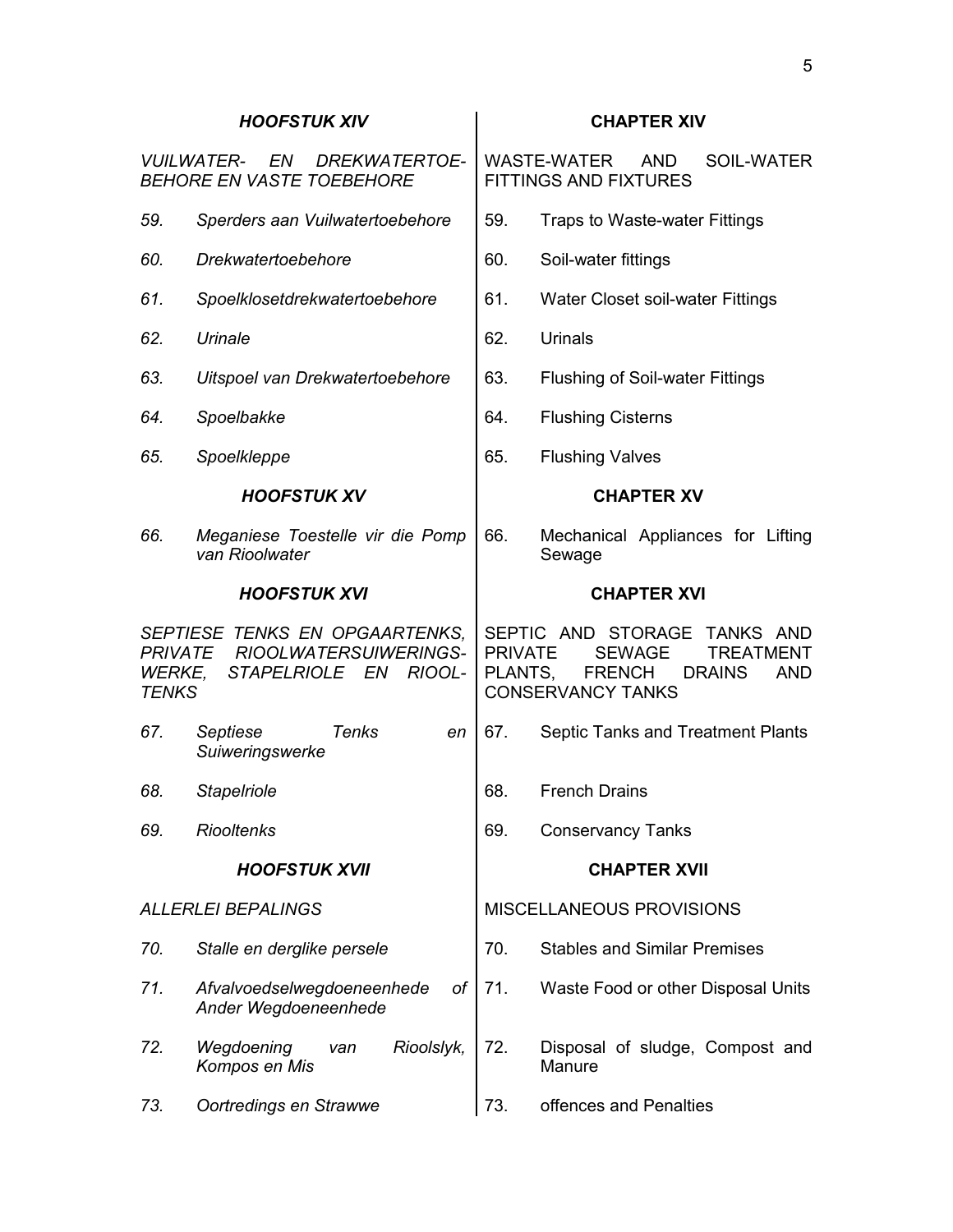|                                   | <b>DREKWATERTOE-</b><br><b>VUILWATER-</b><br>EN<br><b>BEHORE EN VASTE TOEBEHORE</b> |                           | WASTE-WATER<br><b>AND</b><br>SOIL-WATER<br><b>FITTINGS AND FIXTURES</b>                                                                          |
|-----------------------------------|-------------------------------------------------------------------------------------|---------------------------|--------------------------------------------------------------------------------------------------------------------------------------------------|
| 59.                               | Sperders aan Vuilwatertoebehore                                                     | 59.                       | Traps to Waste-water Fittings                                                                                                                    |
| 60.                               | Drekwatertoebehore                                                                  | 60.                       | Soil-water fittings                                                                                                                              |
| 61.                               | Spoelklosetdrekwatertoebehore                                                       | 61.                       | Water Closet soil-water Fittings                                                                                                                 |
| 62.                               | Urinale                                                                             | 62.                       | Urinals                                                                                                                                          |
| 63.                               | Uitspoel van Drekwatertoebehore                                                     | 63.                       | <b>Flushing of Soil-water Fittings</b>                                                                                                           |
| 64.                               | Spoelbakke                                                                          | 64.                       | <b>Flushing Cisterns</b>                                                                                                                         |
| 65.                               | Spoelkleppe                                                                         | 65.                       | <b>Flushing Valves</b>                                                                                                                           |
|                                   | <b>HOOFSTUK XV</b>                                                                  |                           | <b>CHAPTER XV</b>                                                                                                                                |
| 66.                               | Meganiese Toestelle vir die Pomp<br>van Rioolwater                                  | 66.                       | Mechanical Appliances for Lifting<br>Sewage                                                                                                      |
|                                   | <b>HOOFSTUK XVI</b>                                                                 |                           | <b>CHAPTER XVI</b>                                                                                                                               |
| PRIVATE<br>WERKE,<br><b>TENKS</b> | SEPTIESE TENKS EN OPGAARTENKS,<br>RIOOLWATERSUIWERINGS-<br>STAPELRIOLE EN RIOOL-    | <b>PRIVATE</b><br>PLANTS, | SEPTIC AND STORAGE<br>TANKS AND<br><b>SEWAGE</b><br><b>TREATMENT</b><br><b>FRENCH</b><br><b>DRAINS</b><br><b>AND</b><br><b>CONSERVANCY TANKS</b> |
| 67.                               | Septiese<br>Tenks<br>en<br>Suiweringswerke                                          | 67.                       | Septic Tanks and Treatment Plants                                                                                                                |
| 68.                               | <b>Stapelriole</b>                                                                  | 68.                       | <b>French Drains</b>                                                                                                                             |
| 69.                               | <b>Riooltenks</b>                                                                   | 69.                       | <b>Conservancy Tanks</b>                                                                                                                         |
|                                   | <b>HOOFSTUK XVII</b>                                                                |                           | <b>CHAPTER XVII</b>                                                                                                                              |
| ALLERLEI BEPALINGS                |                                                                                     |                           | <b>MISCELLANEOUS PROVISIONS</b>                                                                                                                  |
| 70.                               | Stalle en derglike persele                                                          | 70.                       | <b>Stables and Similar Premises</b>                                                                                                              |
| 71.                               | Afvalvoedselwegdoeneenhede<br>of<br>Ander Wegdoeneenhede                            | 71.                       | Waste Food or other Disposal Units                                                                                                               |
| 72.                               | Wegdoening<br>Rioolslyk,<br>van<br>Kompos en Mis                                    | 72.                       | Disposal of sludge, Compost and<br>Manure                                                                                                        |
| 73.                               | Oortredings en Strawwe                                                              | 73.                       | offences and Penalties                                                                                                                           |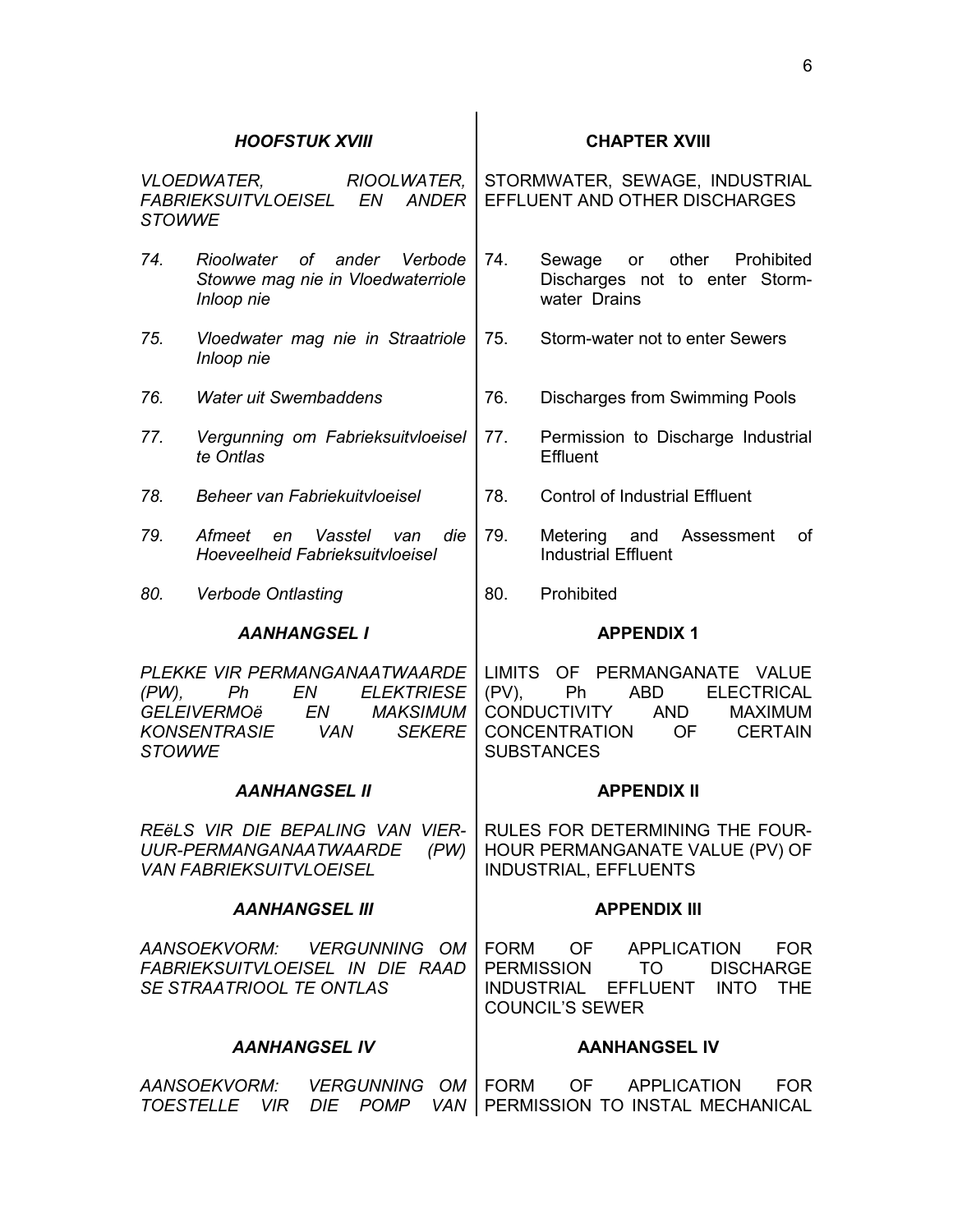| <b>STOWWE</b>                                         | VLOEDWATER, RIOOLWATER,<br>FABRIEKSUITVLOEISEL EN<br>ANDER                                                                                         | STORMWATER, SEWAGE, INDUSTRIAL<br>EFFLUENT AND OTHER DISCHARGES                                                                                                                          |
|-------------------------------------------------------|----------------------------------------------------------------------------------------------------------------------------------------------------|------------------------------------------------------------------------------------------------------------------------------------------------------------------------------------------|
| 74.                                                   | Rioolwater of ander Verbode<br>Stowwe mag nie in Vloedwaterriole<br>Inloop nie                                                                     | 74.<br>other Prohibited<br>Sewage or<br>Discharges not to enter Storm-<br>water Drains                                                                                                   |
| 75.                                                   | Vloedwater mag nie in Straatriole<br>Inloop nie                                                                                                    | 75.<br>Storm-water not to enter Sewers                                                                                                                                                   |
| 76.                                                   | <b>Water uit Swembaddens</b>                                                                                                                       | 76.<br><b>Discharges from Swimming Pools</b>                                                                                                                                             |
| 77.<br>Vergunning om Fabrieksuitvloeisel<br>te Ontlas |                                                                                                                                                    | 77.<br>Permission to Discharge Industrial<br>Effluent                                                                                                                                    |
| 78.                                                   | Beheer van Fabriekuitvloeisel                                                                                                                      | 78.<br><b>Control of Industrial Effluent</b>                                                                                                                                             |
| 79.                                                   | Afmeet<br>Vasstel<br>die<br>en<br>van<br>Hoeveelheid Fabrieksuitvloeisel                                                                           | 79.<br>Metering and Assessment<br>of<br><b>Industrial Effluent</b>                                                                                                                       |
| 80.                                                   | <b>Verbode Ontlasting</b>                                                                                                                          | 80.<br>Prohibited                                                                                                                                                                        |
|                                                       | <b>AANHANGSEL I</b>                                                                                                                                | <b>APPENDIX 1</b>                                                                                                                                                                        |
| $(PW)$ ,<br><b>STOWWE</b>                             | PLEKKE VIR PERMANGANAATWAARDE<br>EN<br><b>ELEKTRIESE</b><br>Ph<br><i>GELEIVERMOë</i><br><b>MAKSIMUM</b><br>EN<br>KONSENTRASIE VAN<br><b>SEKERE</b> | LIMITS OF PERMANGANATE VALUE<br>$(PV)$ ,<br>ABD<br><b>ELECTRICAL</b><br>Ph<br><b>CONDUCTIVITY</b><br>AND<br><b>MAXIMUM</b><br>CONCENTRATION<br>OF<br><b>CERTAIN</b><br><b>SUBSTANCES</b> |
|                                                       | <b>AANHANGSEL II</b>                                                                                                                               | <b>APPENDIX II</b>                                                                                                                                                                       |
|                                                       | REELS VIR DIE BEPALING VAN VIER-<br>UUR-PERMANGANAATWAARDE<br>(PW)<br><i>VAN FABRIEKSUITVLOEISEL</i>                                               | RULES FOR DETERMINING THE FOUR-<br>HOUR PERMANGANATE VALUE (PV) OF<br>INDUSTRIAL, EFFLUENTS                                                                                              |
|                                                       | <b>AANHANGSEL III</b>                                                                                                                              | <b>APPENDIX III</b>                                                                                                                                                                      |
|                                                       | FABRIEKSUITVLOEISEL IN DIE RAAD<br>SE STRAATRIOOL TE ONTLAS                                                                                        | AANSOEKVORM: VERGUNNING OM FORM OF APPLICATION FOR<br>PERMISSION TO DISCHARGE<br>INDUSTRIAL EFFLUENT INTO THE<br><b>COUNCIL'S SEWER</b>                                                  |
|                                                       | <b>AANHANGSEL IV</b>                                                                                                                               | <b>AANHANGSEL IV</b>                                                                                                                                                                     |
|                                                       |                                                                                                                                                    | AANSOEKVORM: VERGUNNING OM   FORM OF APPLICATION FOR<br>TOESTELLE VIR DIE POMP VAN PERMISSION TO INSTAL MECHANICAL                                                                       |

**HOOFSTUK XVIII CHAPTER XVIII**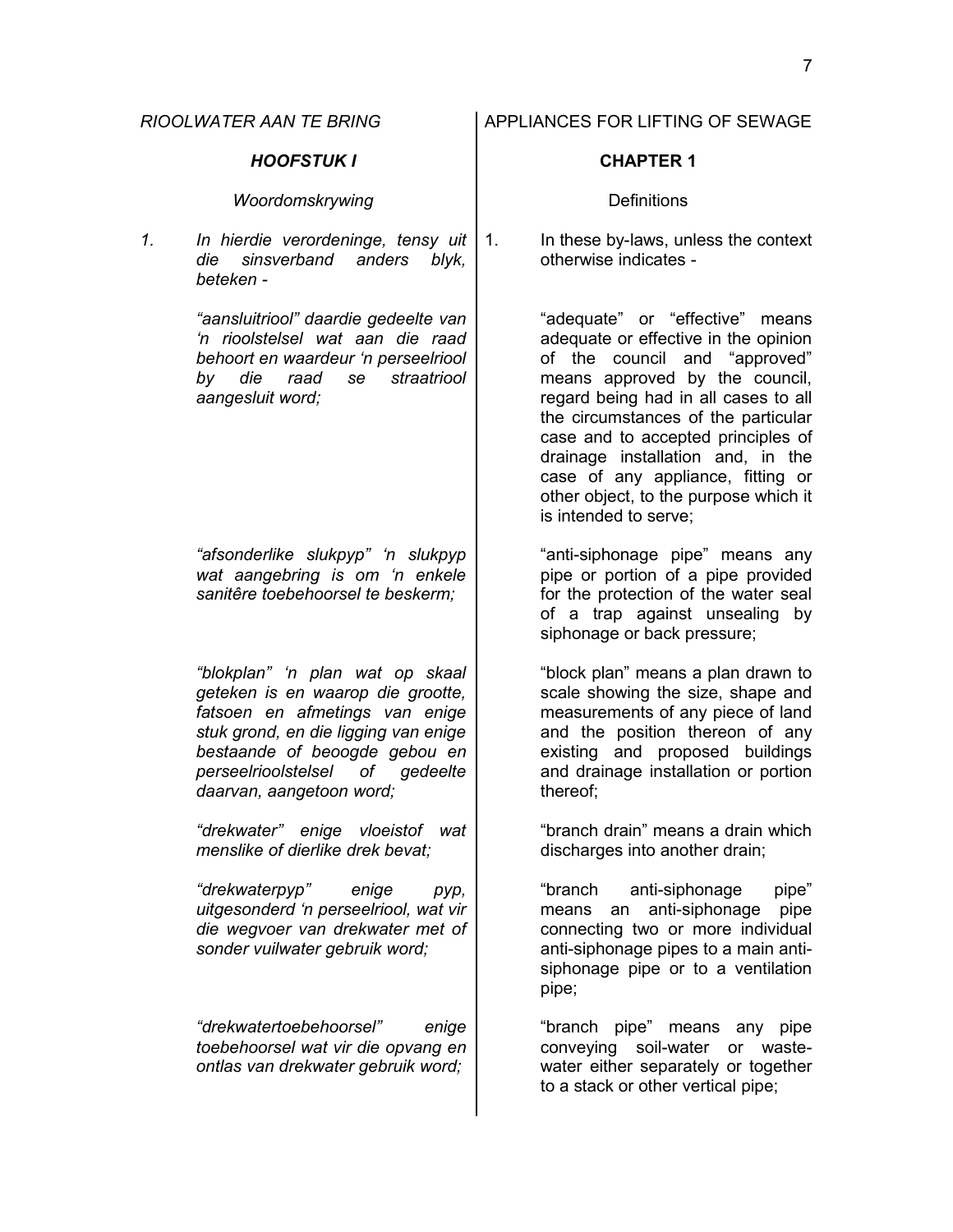### *HOOFSTUK I* **CHAPTER 1**

### **Woordomskrywing** Network **Definitions**

*1. In hierdie verordeninge, tensy uit die sinsverband anders blyk, beteken -*

> *"aansluitriool" daardie gedeelte van 'n rioolstelsel wat aan die raad behoort en waardeur 'n perseelriool by die raad se straatriool aangesluit word;*

> *"afsonderlike slukpyp" 'n slukpyp wat aangebring is om 'n enkele sanitêre toebehoorsel te beskerm;*

> *"blokplan" 'n plan wat op skaal geteken is en waarop die grootte, fatsoen en afmetings van enige stuk grond, en die ligging van enige bestaande of beoogde gebou en perseelrioolstelsel of gedeelte daarvan, aangetoon word;*

> *"drekwater" enige vloeistof wat menslike of dierlike drek bevat;*

> *"drekwaterpyp" enige pyp, uitgesonderd 'n perseelriool, wat vir die wegvoer van drekwater met of sonder vuilwater gebruik word;*

*"drekwatertoebehoorsel" enige toebehoorsel wat vir die opvang en ontlas van drekwater gebruik word;*

1. In these by-laws, unless the context otherwise indicates -

> "adequate" or "effective" means adequate or effective in the opinion of the council and "approved" means approved by the council, regard being had in all cases to all the circumstances of the particular case and to accepted principles of drainage installation and, in the case of any appliance, fitting or other object, to the purpose which it is intended to serve;

> "anti-siphonage pipe" means any pipe or portion of a pipe provided for the protection of the water seal of a trap against unsealing by siphonage or back pressure;

> "block plan" means a plan drawn to scale showing the size, shape and measurements of any piece of land and the position thereon of any existing and proposed buildings and drainage installation or portion thereof;

> "branch drain" means a drain which discharges into another drain;

> "branch anti-siphonage pipe" means an anti-siphonage pipe connecting two or more individual anti-siphonage pipes to a main antisiphonage pipe or to a ventilation pipe;

> "branch pipe" means any pipe conveying soil-water or wastewater either separately or together to a stack or other vertical pipe;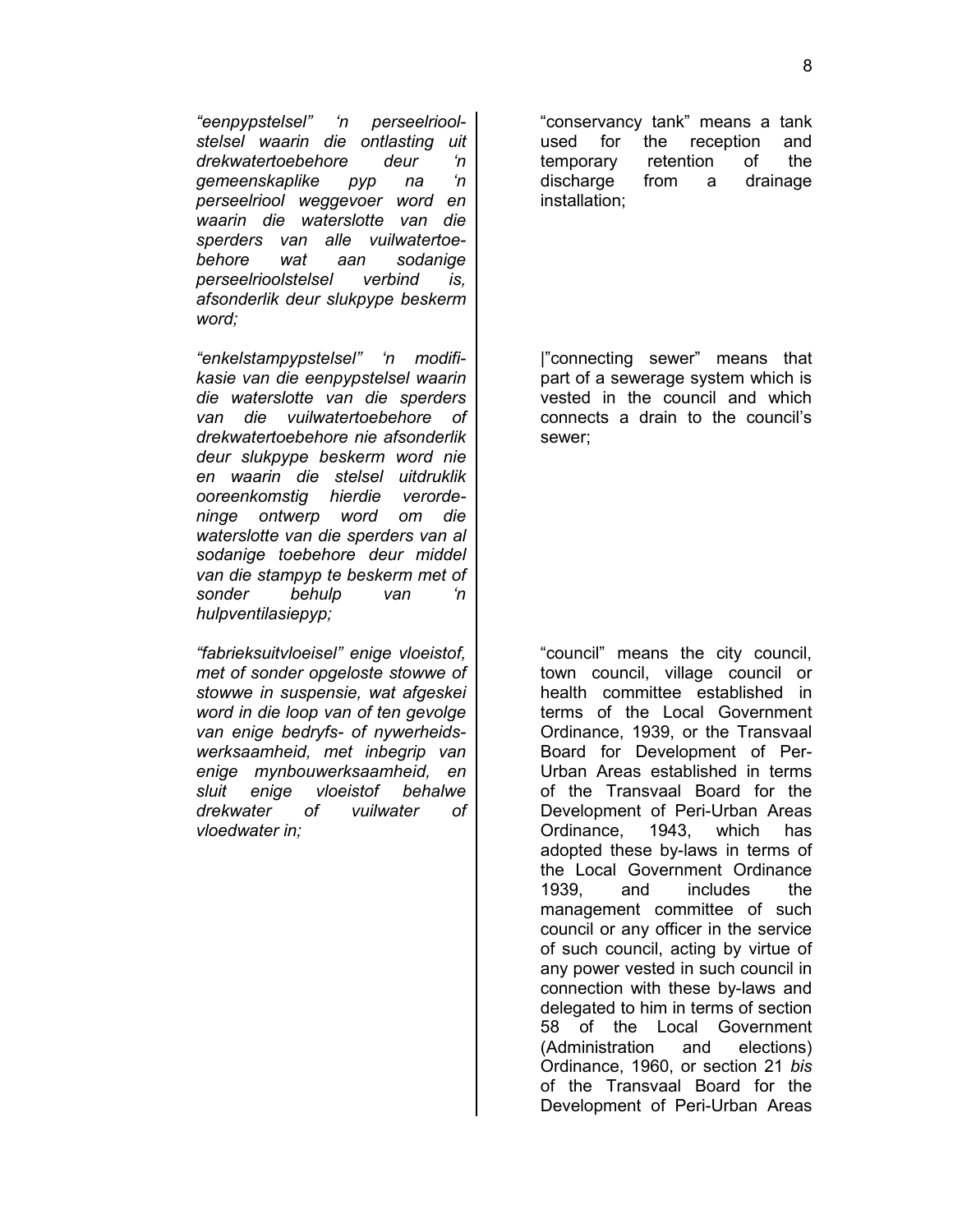*"eenpypstelsel" 'n perseelrioolstelsel waarin die ontlasting uit drekwatertoebehore deur 'n gemeenskaplike pyp na 'n perseelriool weggevoer word en waarin die waterslotte van die sperders van alle vuilwatertoebehore wat aan sodanige perseelrioolstelsel verbind is, afsonderlik deur slukpype beskerm word;*

*"enkelstampypstelsel" 'n modifikasie van die eenpypstelsel waarin die waterslotte van die sperders van die vuilwatertoebehore of drekwatertoebehore nie afsonderlik deur slukpype beskerm word nie en waarin die stelsel uitdruklik ooreenkomstig hierdie verordeninge ontwerp word om die waterslotte van die sperders van al sodanige toebehore deur middel van die stampyp te beskerm met of sonder behulp van 'n hulpventilasiepyp;*

*"fabrieksuitvloeisel" enige vloeistof, met of sonder opgeloste stowwe of stowwe in suspensie, wat afgeskei word in die loop van of ten gevolge van enige bedryfs- of nywerheidswerksaamheid, met inbegrip van enige mynbouwerksaamheid, en sluit enige vloeistof behalwe drekwater of vuilwater of vloedwater in;*

"conservancy tank" means a tank used for the reception and temporary retention of the discharge from a drainage installation;

|"connecting sewer" means that part of a sewerage system which is vested in the council and which connects a drain to the council's sewer;

"council" means the city council, town council, village council or health committee established in terms of the Local Government Ordinance, 1939, or the Transvaal Board for Development of Per-Urban Areas established in terms of the Transvaal Board for the Development of Peri-Urban Areas Ordinance, 1943, which has adopted these by-laws in terms of the Local Government Ordinance 1939, and includes the management committee of such council or any officer in the service of such council, acting by virtue of any power vested in such council in connection with these by-laws and delegated to him in terms of section 58 of the Local Government (Administration and elections) Ordinance, 1960, or section 21 *bis* of the Transvaal Board for the Development of Peri-Urban Areas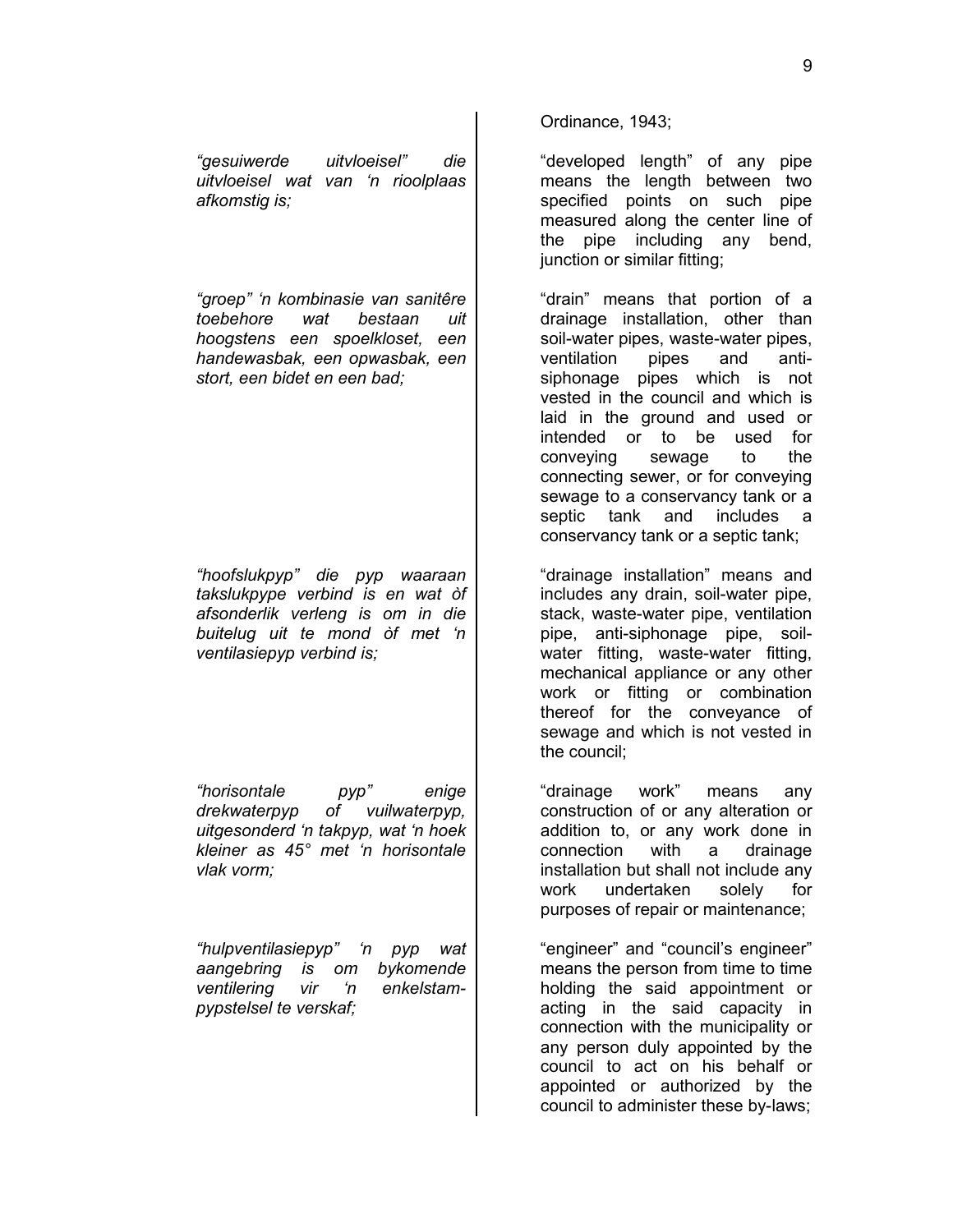9

*"gesuiwerde uitvloeisel" die uitvloeisel wat van 'n rioolplaas afkomstig is;*

*"groep" 'n kombinasie van sanitêre toebehore wat bestaan uit hoogstens een spoelkloset, een handewasbak, een opwasbak, een stort, een bidet en een bad;*

*"hoofslukpyp" die pyp waaraan takslukpype verbind is en wat òf afsonderlik verleng is om in die buitelug uit te mond òf met 'n ventilasiepyp verbind is;*

*"horisontale pyp" enige drekwaterpyp of vuilwaterpyp, uitgesonderd 'n takpyp, wat 'n hoek kleiner as 45° met 'n horisontale vlak vorm;*

*"hulpventilasiepyp" 'n pyp wat aangebring is om bykomende ventilering vir 'n enkelstampypstelsel te verskaf;*

Ordinance, 1943;

"developed length" of any pipe means the length between two specified points on such pipe measured along the center line of the pipe including any bend, junction or similar fitting;

"drain" means that portion of a drainage installation, other than soil-water pipes, waste-water pipes, ventilation pipes and antisiphonage pipes which is not vested in the council and which is laid in the ground and used or intended or to be used for conveying sewage to the connecting sewer, or for conveying sewage to a conservancy tank or a septic tank and includes a conservancy tank or a septic tank;

"drainage installation" means and includes any drain, soil-water pipe, stack, waste-water pipe, ventilation pipe, anti-siphonage pipe, soilwater fitting, waste-water fitting, mechanical appliance or any other work or fitting or combination thereof for the conveyance of sewage and which is not vested in the council;

"drainage work" means any construction of or any alteration or addition to, or any work done in connection with a drainage installation but shall not include any work undertaken solely for purposes of repair or maintenance;

"engineer" and "council's engineer" means the person from time to time holding the said appointment or acting in the said capacity in connection with the municipality or any person duly appointed by the council to act on his behalf or appointed or authorized by the council to administer these by-laws;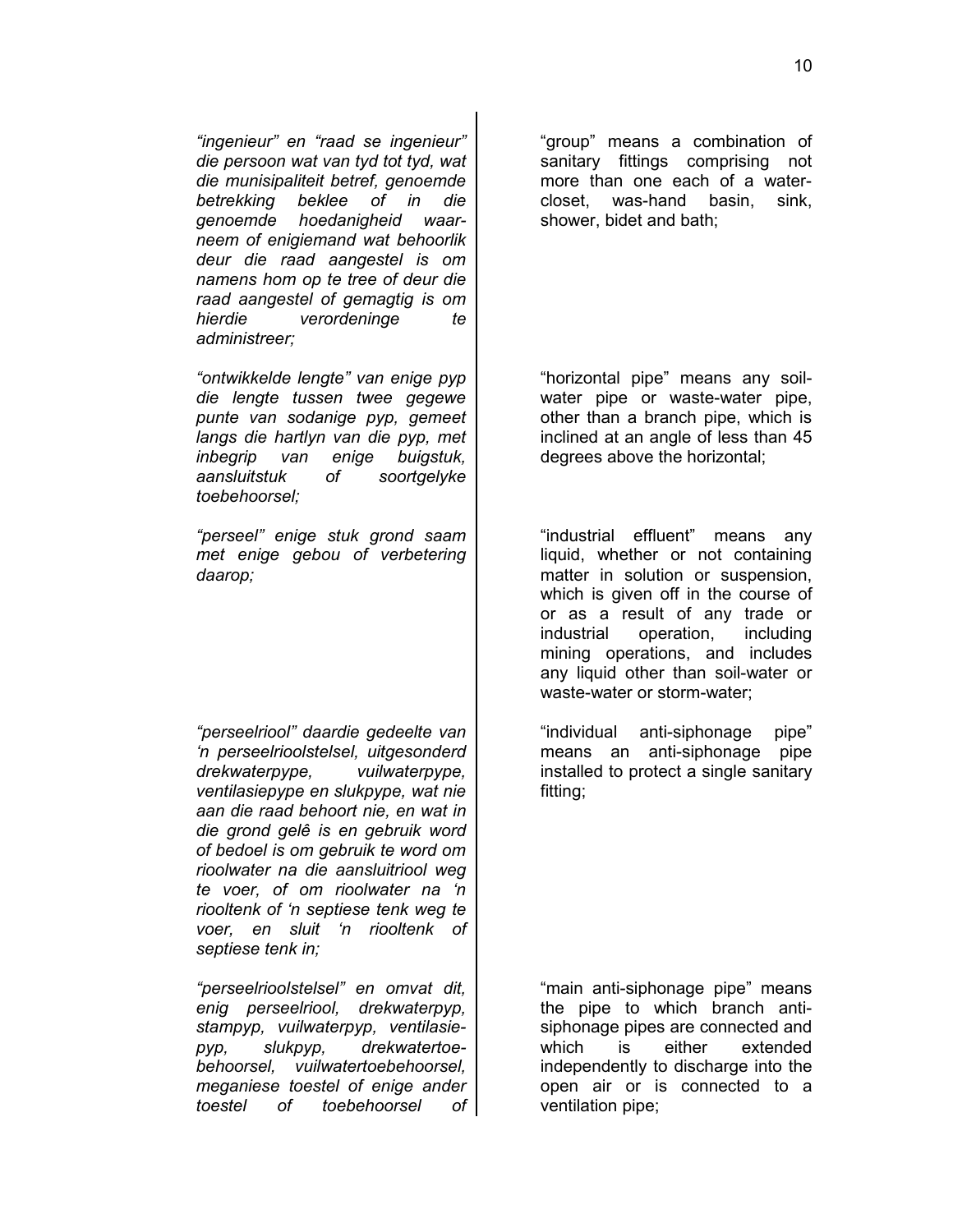*"ingenieur" en "raad se ingenieur" die persoon wat van tyd tot tyd, wat die munisipaliteit betref, genoemde betrekking beklee of in die genoemde hoedanigheid waarneem of enigiemand wat behoorlik deur die raad aangestel is om namens hom op te tree of deur die raad aangestel of gemagtig is om hierdie verordeninge te administreer;*

*"ontwikkelde lengte" van enige pyp die lengte tussen twee gegewe punte van sodanige pyp, gemeet langs die hartlyn van die pyp, met inbegrip van enige buigstuk, aansluitstuk of soortgelyke toebehoorsel;*

*"perseel" enige stuk grond saam met enige gebou of verbetering daarop;*

*"perseelriool" daardie gedeelte van 'n perseelrioolstelsel, uitgesonderd drekwaterpype, vuilwaterpype, ventilasiepype en slukpype, wat nie aan die raad behoort nie, en wat in die grond gelê is en gebruik word of bedoel is om gebruik te word om rioolwater na die aansluitriool weg te voer, of om rioolwater na 'n riooltenk of 'n septiese tenk weg te voer, en sluit 'n riooltenk of septiese tenk in;*

*"perseelrioolstelsel" en omvat dit, enig perseelriool, drekwaterpyp, stampyp, vuilwaterpyp, ventilasiepyp, slukpyp, drekwatertoebehoorsel, vuilwatertoebehoorsel, meganiese toestel of enige ander toestel of toebehoorsel of*

"group" means a combination of sanitary fittings comprising not more than one each of a watercloset, was-hand basin, sink, shower, bidet and bath;

"horizontal pipe" means any soilwater pipe or waste-water pipe, other than a branch pipe, which is inclined at an angle of less than 45 degrees above the horizontal;

"industrial effluent" means any liquid, whether or not containing matter in solution or suspension, which is given off in the course of or as a result of any trade or industrial operation, including mining operations, and includes any liquid other than soil-water or waste-water or storm-water;

"individual anti-siphonage pipe" means an anti-siphonage pipe installed to protect a single sanitary fitting;

"main anti-siphonage pipe" means the pipe to which branch antisiphonage pipes are connected and which is either extended independently to discharge into the open air or is connected to a ventilation pipe;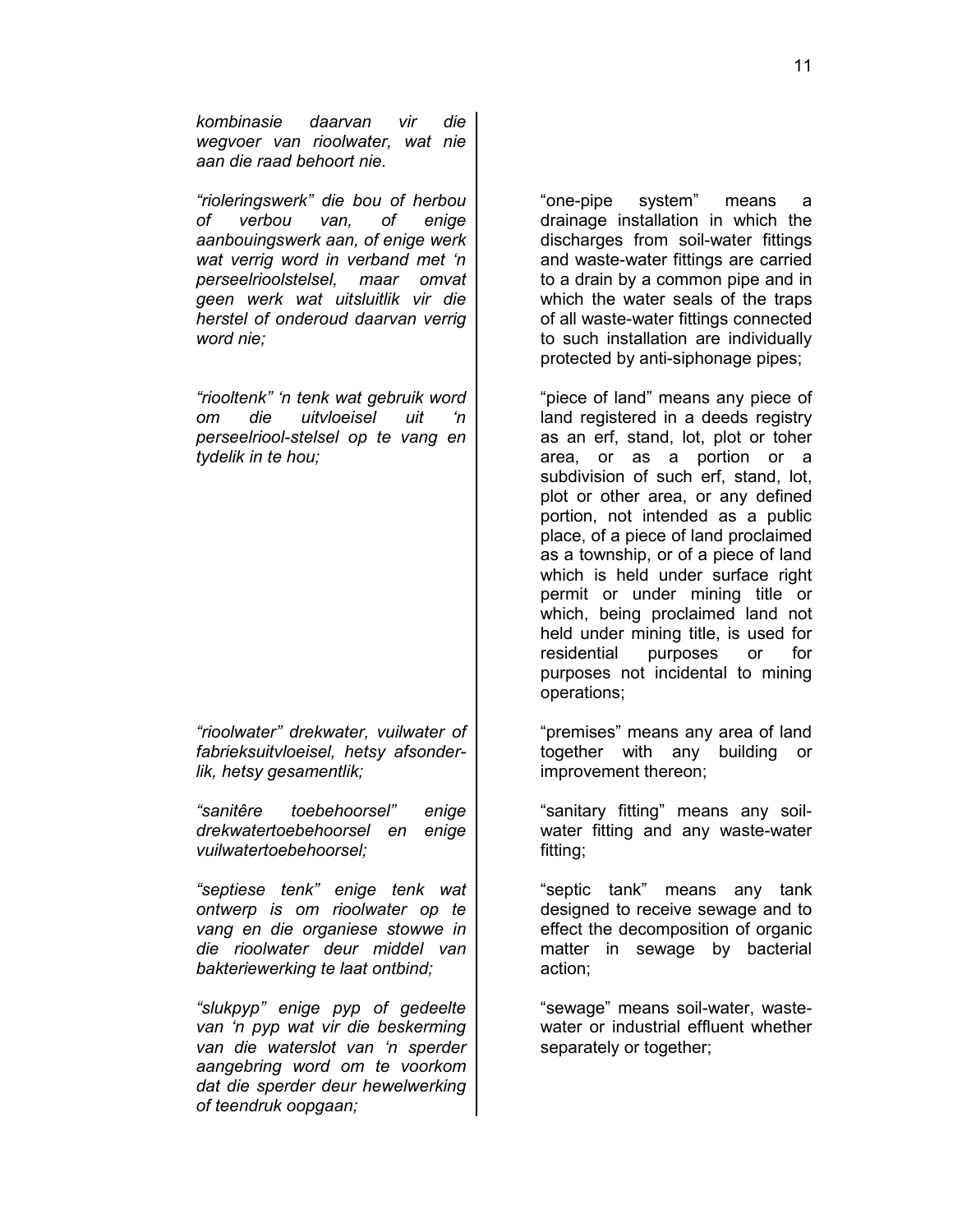*kombinasie daarvan vir die wegvoer van rioolwater, wat nie aan die raad behoort nie.*

*"rioleringswerk" die bou of herbou of verbou van, of enige aanbouingswerk aan, of enige werk wat verrig word in verband met 'n perseelrioolstelsel, maar omvat geen werk wat uitsluitlik vir die herstel of onderoud daarvan verrig word nie;*

*"riooltenk" 'n tenk wat gebruik word om die uitvloeisel uit 'n perseelriool-stelsel op te vang en tydelik in te hou;*

*"rioolwater" drekwater, vuilwater of fabrieksuitvloeisel, hetsy afsonderlik, hetsy gesamentlik;*

*"sanitêre toebehoorsel" enige drekwatertoebehoorsel en enige vuilwatertoebehoorsel;*

*"septiese tenk" enige tenk wat ontwerp is om rioolwater op te vang en die organiese stowwe in die rioolwater deur middel van bakteriewerking te laat ontbind;*

*"slukpyp" enige pyp of gedeelte van 'n pyp wat vir die beskerming van die waterslot van 'n sperder aangebring word om te voorkom dat die sperder deur hewelwerking of teendruk oopgaan;*

"one-pipe system" means a drainage installation in which the discharges from soil-water fittings and waste-water fittings are carried to a drain by a common pipe and in which the water seals of the traps of all waste-water fittings connected to such installation are individually protected by anti-siphonage pipes;

"piece of land" means any piece of land registered in a deeds registry as an erf, stand, lot, plot or toher area, or as a portion or a subdivision of such erf, stand, lot, plot or other area, or any defined portion, not intended as a public place, of a piece of land proclaimed as a township, or of a piece of land which is held under surface right permit or under mining title or which, being proclaimed land not held under mining title, is used for residential purposes or for purposes not incidental to mining operations;

"premises" means any area of land together with any building or improvement thereon;

"sanitary fitting" means any soilwater fitting and any waste-water fitting;

"septic tank" means any tank designed to receive sewage and to effect the decomposition of organic matter in sewage by bacterial action;

"sewage" means soil-water, wastewater or industrial effluent whether separately or together;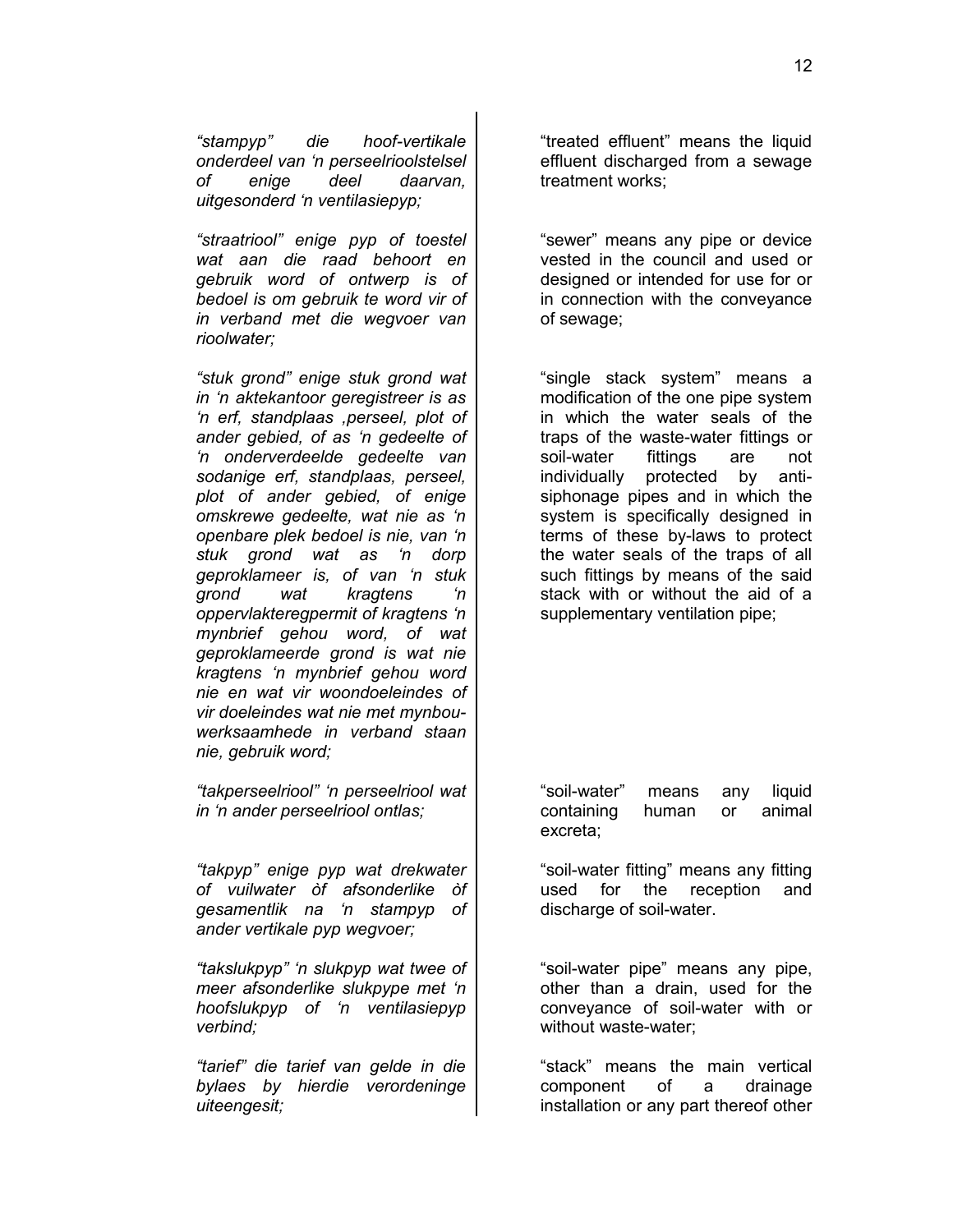*"stampyp" die hoof-vertikale onderdeel van 'n perseelrioolstelsel of enige deel daarvan, uitgesonderd 'n ventilasiepyp;*

*"straatriool" enige pyp of toestel wat aan die raad behoort en gebruik word of ontwerp is of bedoel is om gebruik te word vir of in verband met die wegvoer van rioolwater;*

*"stuk grond" enige stuk grond wat in 'n aktekantoor geregistreer is as 'n erf, standplaas ,perseel, plot of ander gebied, of as 'n gedeelte of 'n onderverdeelde gedeelte van sodanige erf, standplaas, perseel, plot of ander gebied, of enige omskrewe gedeelte, wat nie as 'n openbare plek bedoel is nie, van 'n stuk grond wat as 'n dorp geproklameer is, of van 'n stuk grond wat kragtens 'n oppervlakteregpermit of kragtens 'n mynbrief gehou word, of wat geproklameerde grond is wat nie kragtens 'n mynbrief gehou word nie en wat vir woondoeleindes of vir doeleindes wat nie met mynbouwerksaamhede in verband staan nie, gebruik word;*

*"takperseelriool" 'n perseelriool wat in 'n ander perseelriool ontlas;*

*"takpyp" enige pyp wat drekwater of vuilwater òf afsonderlike òf gesamentlik na 'n stampyp of ander vertikale pyp wegvoer;*

*"takslukpyp" 'n slukpyp wat twee of meer afsonderlike slukpype met 'n hoofslukpyp of 'n ventilasiepyp verbind;*

*"tarief" die tarief van gelde in die bylaes by hierdie verordeninge uiteengesit;*

"treated effluent" means the liquid effluent discharged from a sewage treatment works;

"sewer" means any pipe or device vested in the council and used or designed or intended for use for or in connection with the conveyance of sewage;

"single stack system" means a modification of the one pipe system in which the water seals of the traps of the waste-water fittings or soil-water fittings are not individually protected by antisiphonage pipes and in which the system is specifically designed in terms of these by-laws to protect the water seals of the traps of all such fittings by means of the said stack with or without the aid of a supplementary ventilation pipe;

"soil-water" means any liquid containing human or animal excreta;

"soil-water fitting" means any fitting used for the reception and discharge of soil-water.

"soil-water pipe" means any pipe, other than a drain, used for the conveyance of soil-water with or without waste-water;

"stack" means the main vertical component of a drainage installation or any part thereof other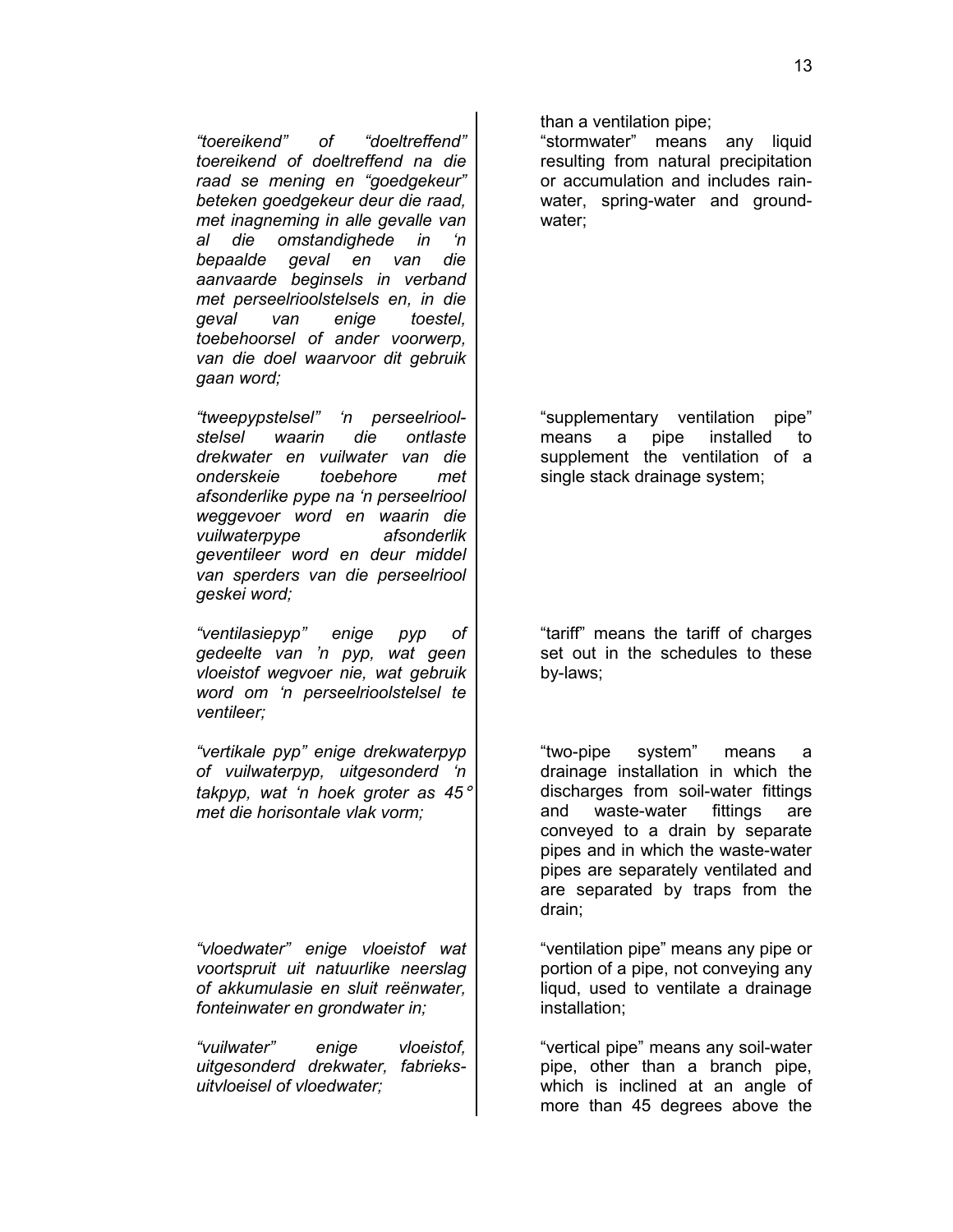*"toereikend" of "doeltreffend" toereikend of doeltreffend na die raad se mening en "goedgekeur" beteken goedgekeur deur die raad, met inagneming in alle gevalle van al die omstandighede in 'n bepaalde geval en van die aanvaarde beginsels in verband met perseelrioolstelsels en, in die geval van enige toestel, toebehoorsel of ander voorwerp, van die doel waarvoor dit gebruik gaan word;*

*"tweepypstelsel" 'n perseelrioolstelsel waarin die ontlaste drekwater en vuilwater van die onderskeie toebehore met afsonderlike pype na 'n perseelriool weggevoer word en waarin die vuilwaterpype afsonderlik geventileer word en deur middel van sperders van die perseelriool geskei word;*

*"ventilasiepyp" enige pyp of gedeelte van 'n pyp, wat geen vloeistof wegvoer nie, wat gebruik word om 'n perseelrioolstelsel te ventileer;*

*"vertikale pyp" enige drekwaterpyp of vuilwaterpyp, uitgesonderd 'n takpyp, wat 'n hoek groter as 45*° *met die horisontale vlak vorm;*

*"vloedwater" enige vloeistof wat voortspruit uit natuurlike neerslag of akkumulasie en sluit reënwater, fonteinwater en grondwater in;*

*"vuilwater" enige vloeistof, uitgesonderd drekwater, fabrieksuitvloeisel of vloedwater;*

than a ventilation pipe;

"stormwater" means any liquid resulting from natural precipitation or accumulation and includes rainwater, spring-water and groundwater;

"supplementary ventilation pipe" means a pipe installed to supplement the ventilation of a single stack drainage system;

"tariff" means the tariff of charges set out in the schedules to these by-laws;

"two-pipe system" means a drainage installation in which the discharges from soil-water fittings and waste-water fittings are conveyed to a drain by separate pipes and in which the waste-water pipes are separately ventilated and are separated by traps from the drain;

"ventilation pipe" means any pipe or portion of a pipe, not conveying any liqud, used to ventilate a drainage installation;

"vertical pipe" means any soil-water pipe, other than a branch pipe, which is inclined at an angle of more than 45 degrees above the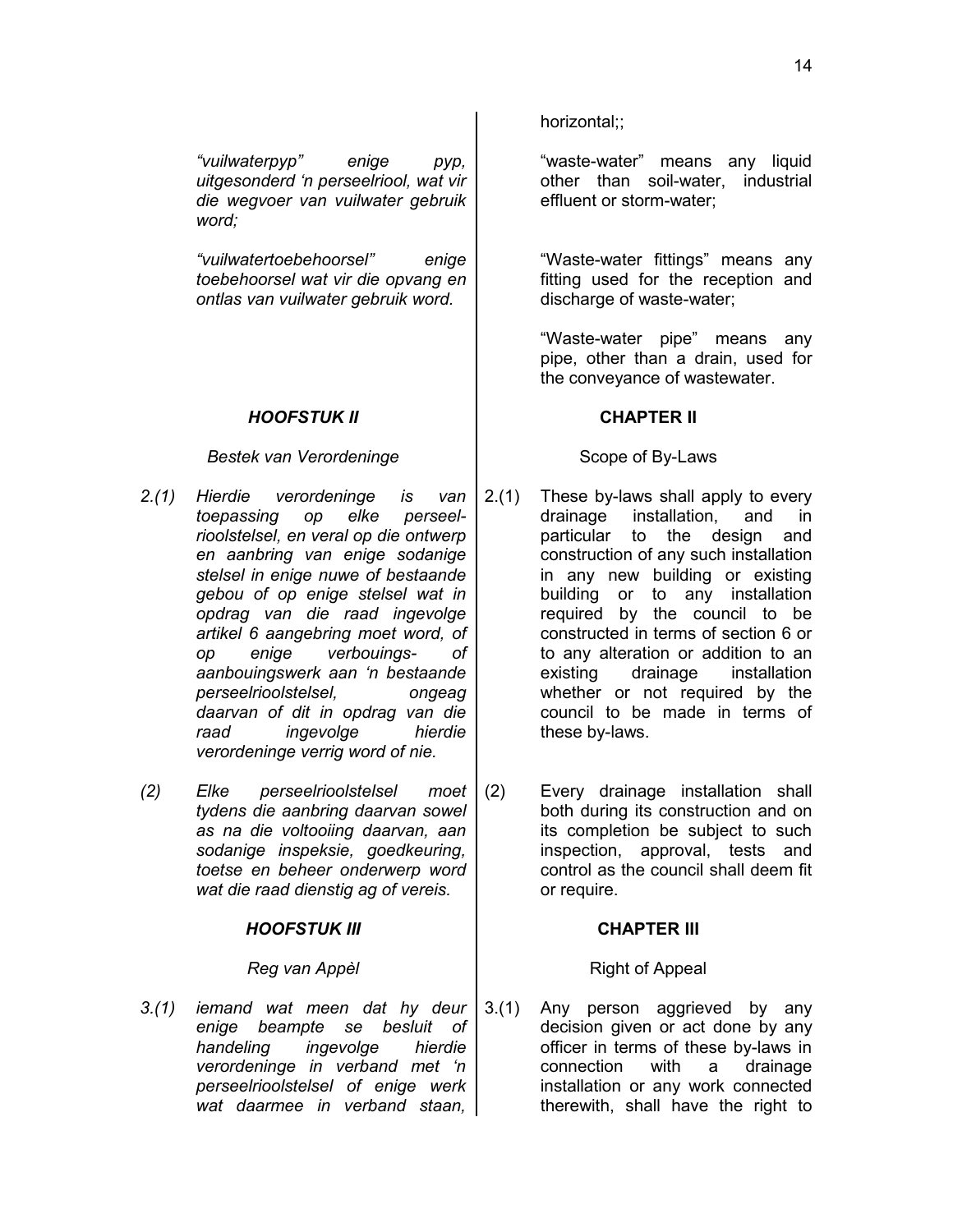*"vuilwaterpyp" enige pyp, uitgesonderd 'n perseelriool, wat vir die wegvoer van vuilwater gebruik word;* 

*"vuilwatertoebehoorsel" enige toebehoorsel wat vir die opvang en ontlas van vuilwater gebruik word.*

# *HOOFSTUK II* **CHAPTER II**

# *Bestek van Verordeninge* The Scope of By-Laws

- *2.(1) Hierdie verordeninge is van toepassing op elke perseelrioolstelsel, en veral op die ontwerp en aanbring van enige sodanige stelsel in enige nuwe of bestaande gebou of op enige stelsel wat in opdrag van die raad ingevolge artikel 6 aangebring moet word, of op enige verbouings- of aanbouingswerk aan 'n bestaande perseelrioolstelsel, ongeag daarvan of dit in opdrag van die raad ingevolge hierdie verordeninge verrig word of nie.*
- *(2) Elke perseelrioolstelsel moet tydens die aanbring daarvan sowel as na die voltooiing daarvan, aan sodanige inspeksie, goedkeuring, toetse en beheer onderwerp word wat die raad dienstig ag of vereis.*

# *HOOFSTUK III* **CHAPTER III**

*3.(1) iemand wat meen dat hy deur enige beampte se besluit of handeling ingevolge hierdie verordeninge in verband met 'n perseelrioolstelsel of enige werk wat daarmee in verband staan,* horizontal;;

"waste-water" means any liquid other than soil-water, industrial effluent or storm-water;

"Waste-water fittings" means any fitting used for the reception and discharge of waste-water;

"Waste-water pipe" means any pipe, other than a drain, used for the conveyance of wastewater.

- 2.(1) These by-laws shall apply to every drainage installation, and in particular to the design and construction of any such installation in any new building or existing building or to any installation required by the council to be constructed in terms of section 6 or to any alteration or addition to an existing drainage installation whether or not required by the council to be made in terms of these by-laws.
- (2) Every drainage installation shall both during its construction and on its completion be subject to such inspection, approval, tests and control as the council shall deem fit or require.

# **Reg van Appèl**  $\qquad$  | Right of Appeal

3.(1) Any person aggrieved by any decision given or act done by any officer in terms of these by-laws in connection with a drainage installation or any work connected therewith, shall have the right to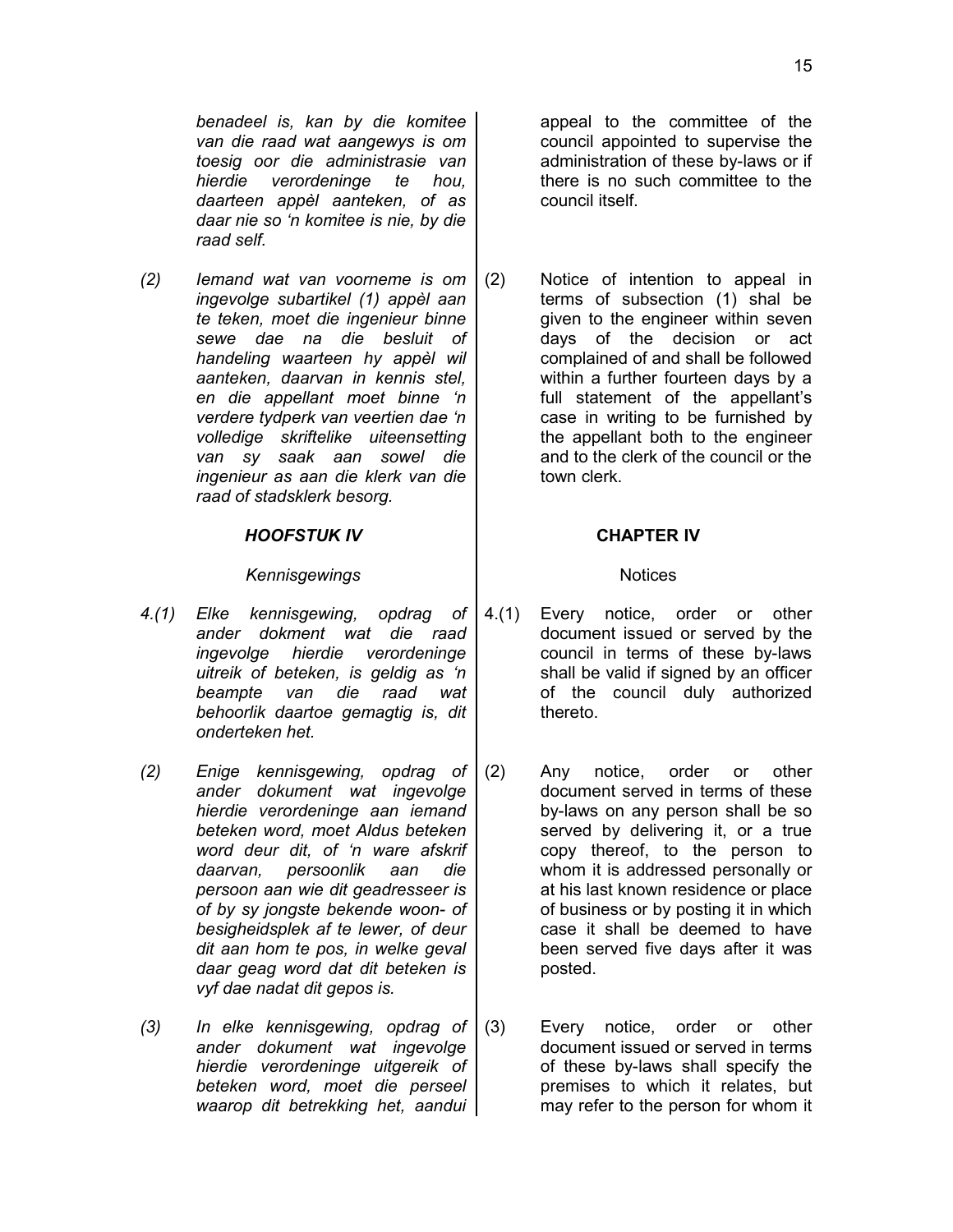15

*benadeel is, kan by die komitee van die raad wat aangewys is om toesig oor die administrasie van hierdie verordeninge te hou, daarteen appèl aanteken, of as daar nie so 'n komitee is nie, by die raad self.*

*(2) Iemand wat van voorneme is om ingevolge subartikel (1) appèl aan te teken, moet die ingenieur binne sewe dae na die besluit of handeling waarteen hy appèl wil aanteken, daarvan in kennis stel, en die appellant moet binne 'n verdere tydperk van veertien dae 'n volledige skriftelike uiteensetting van sy saak aan sowel die ingenieur as aan die klerk van die raad of stadsklerk besorg.*

# *HOOFSTUK IV* **CHAPTER IV**

# Kennisgewings and **Notices** Notices

- *4.(1) Elke kennisgewing, opdrag of ander dokment wat die raad ingevolge hierdie verordeninge uitreik of beteken, is geldig as 'n beampte van die raad wat behoorlik daartoe gemagtig is, dit onderteken het.*
- *(2) Enige kennisgewing, opdrag of ander dokument wat ingevolge hierdie verordeninge aan iemand beteken word, moet Aldus beteken word deur dit, of 'n ware afskrif daarvan, persoonlik aan die persoon aan wie dit geadresseer is of by sy jongste bekende woon- of besigheidsplek af te lewer, of deur dit aan hom te pos, in welke geval daar geag word dat dit beteken is vyf dae nadat dit gepos is.*
- *(3) In elke kennisgewing, opdrag of ander dokument wat ingevolge hierdie verordeninge uitgereik of beteken word, moet die perseel waarop dit betrekking het, aandui*

appeal to the committee of the council appointed to supervise the administration of these by-laws or if there is no such committee to the council itself.

(2) Notice of intention to appeal in terms of subsection (1) shal be given to the engineer within seven days of the decision or act complained of and shall be followed within a further fourteen days by a full statement of the appellant's case in writing to be furnished by the appellant both to the engineer and to the clerk of the council or the town clerk.

- 4.(1) Every notice, order or other document issued or served by the council in terms of these by-laws shall be valid if signed by an officer of the council duly authorized thereto.
- (2) Any notice, order or other document served in terms of these by-laws on any person shall be so served by delivering it, or a true copy thereof, to the person to whom it is addressed personally or at his last known residence or place of business or by posting it in which case it shall be deemed to have been served five days after it was posted.
- (3) Every notice, order or other document issued or served in terms of these by-laws shall specify the premises to which it relates, but may refer to the person for whom it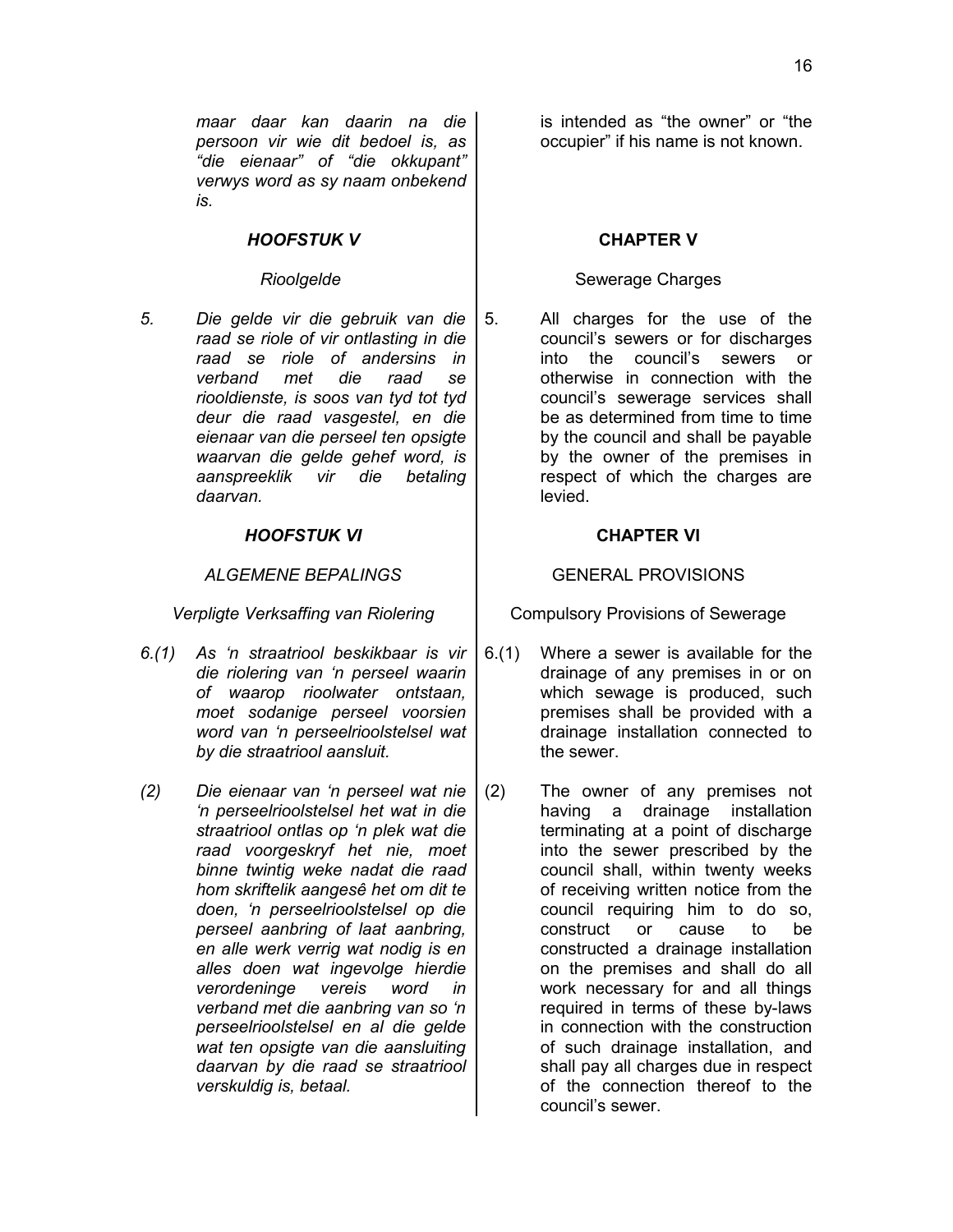*maar daar kan daarin na die persoon vir wie dit bedoel is, as "die eienaar" of "die okkupant" verwys word as sy naam onbekend is.*

# **HOOFSTUK V NOOFSTUK V CHAPTER V**

*5. Die gelde vir die gebruik van die raad se riole of vir ontlasting in die raad se riole of andersins in verband met die raad se riooldienste, is soos van tyd tot tyd deur die raad vasgestel, en die eienaar van die perseel ten opsigte waarvan die gelde gehef word, is aanspreeklik vir die betaling daarvan.*

# *HOOFSTUK VI* **CHAPTER VI**

### ALGEMENE BEPALINGS **Fig. 1.1 ALGEMENE BEPALINGS**

- *6.(1) As 'n straatriool beskikbaar is vir die riolering van 'n perseel waarin of waarop rioolwater ontstaan, moet sodanige perseel voorsien word van 'n perseelrioolstelsel wat by die straatriool aansluit.*
- *(2) Die eienaar van 'n perseel wat nie 'n perseelrioolstelsel het wat in die straatriool ontlas op 'n plek wat die raad voorgeskryf het nie, moet binne twintig weke nadat die raad hom skriftelik aangesê het om dit te doen, 'n perseelrioolstelsel op die perseel aanbring of laat aanbring, en alle werk verrig wat nodig is en alles doen wat ingevolge hierdie verordeninge vereis word in verband met die aanbring van so 'n perseelrioolstelsel en al die gelde wat ten opsigte van die aansluiting daarvan by die raad se straatriool verskuldig is, betaal.*

is intended as "the owner" or "the occupier" if his name is not known.

# Rioolgelde **Rioolgelde Rioolgelde Rioolgelde Rioolgelde Rioolgelde Rioolgelde Rioolgelde Rioolgelde Rioolgelde Rioolgelde Rioolgelde Rioolgelde Rioolgelde Rioolgelde Rioolgelde Rioolgelde Ri**

5. All charges for the use of the council's sewers or for discharges into the council's sewers or otherwise in connection with the council's sewerage services shall be as determined from time to time by the council and shall be payable by the owner of the premises in respect of which the charges are levied.

*Verpligte Verksaffing van Riolering* | Compulsory Provisions of Sewerage

- 6.(1) Where a sewer is available for the drainage of any premises in or on which sewage is produced, such premises shall be provided with a drainage installation connected to the sewer.
- (2) The owner of any premises not having a drainage installation terminating at a point of discharge into the sewer prescribed by the council shall, within twenty weeks of receiving written notice from the council requiring him to do so, construct or cause to be constructed a drainage installation on the premises and shall do all work necessary for and all things required in terms of these by-laws in connection with the construction of such drainage installation, and shall pay all charges due in respect of the connection thereof to the council's sewer.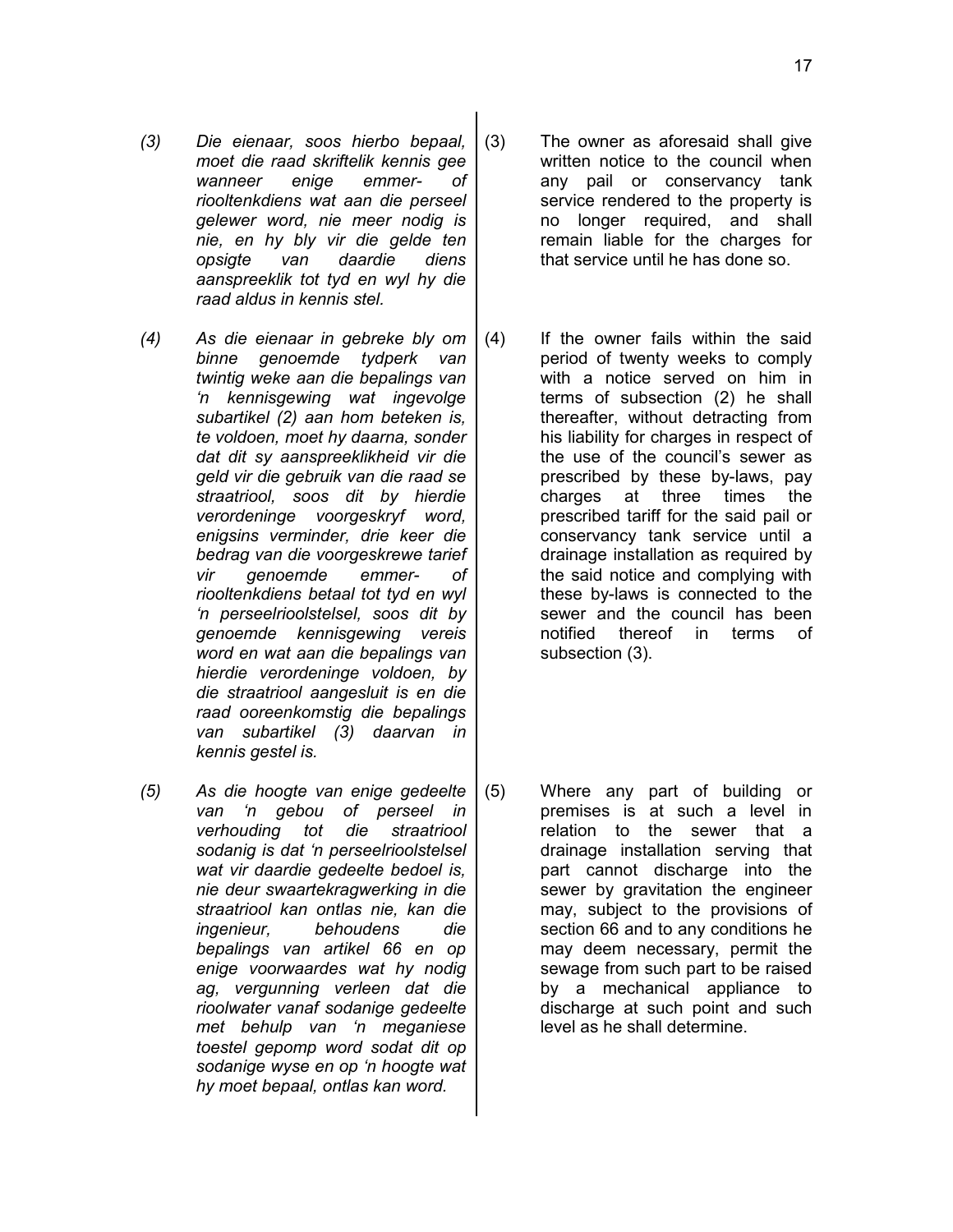- *(3) Die eienaar, soos hierbo bepaal, moet die raad skriftelik kennis gee wanneer enige emmer- of riooltenkdiens wat aan die perseel gelewer word, nie meer nodig is nie, en hy bly vir die gelde ten opsigte van daardie diens aanspreeklik tot tyd en wyl hy die raad aldus in kennis stel.*
- *(4) As die eienaar in gebreke bly om binne genoemde tydperk van twintig weke aan die bepalings van 'n kennisgewing wat ingevolge subartikel (2) aan hom beteken is, te voldoen, moet hy daarna, sonder dat dit sy aanspreeklikheid vir die geld vir die gebruik van die raad se straatriool, soos dit by hierdie verordeninge voorgeskryf word, enigsins verminder, drie keer die bedrag van die voorgeskrewe tarief vir genoemde emmer- of riooltenkdiens betaal tot tyd en wyl 'n perseelrioolstelsel, soos dit by genoemde kennisgewing vereis word en wat aan die bepalings van hierdie verordeninge voldoen, by die straatriool aangesluit is en die raad ooreenkomstig die bepalings van subartikel (3) daarvan in kennis gestel is.*
- *(5) As die hoogte van enige gedeelte van 'n gebou of perseel in verhouding tot die straatriool sodanig is dat 'n perseelrioolstelsel wat vir daardie gedeelte bedoel is, nie deur swaartekragwerking in die straatriool kan ontlas nie, kan die ingenieur, behoudens die bepalings van artikel 66 en op enige voorwaardes wat hy nodig ag, vergunning verleen dat die rioolwater vanaf sodanige gedeelte met behulp van 'n meganiese toestel gepomp word sodat dit op sodanige wyse en op 'n hoogte wat hy moet bepaal, ontlas kan word.*
- (3) The owner as aforesaid shall give written notice to the council when any pail or conservancy tank service rendered to the property is no longer required, and shall remain liable for the charges for that service until he has done so.
- (4) If the owner fails within the said period of twenty weeks to comply with a notice served on him in terms of subsection (2) he shall thereafter, without detracting from his liability for charges in respect of the use of the council's sewer as prescribed by these by-laws, pay charges at three times the prescribed tariff for the said pail or conservancy tank service until a drainage installation as required by the said notice and complying with these by-laws is connected to the sewer and the council has been notified thereof in terms of subsection (3).
- (5) Where any part of building or premises is at such a level in relation to the sewer that a drainage installation serving that part cannot discharge into the sewer by gravitation the engineer may, subject to the provisions of section 66 and to any conditions he may deem necessary, permit the sewage from such part to be raised by a mechanical appliance to discharge at such point and such level as he shall determine.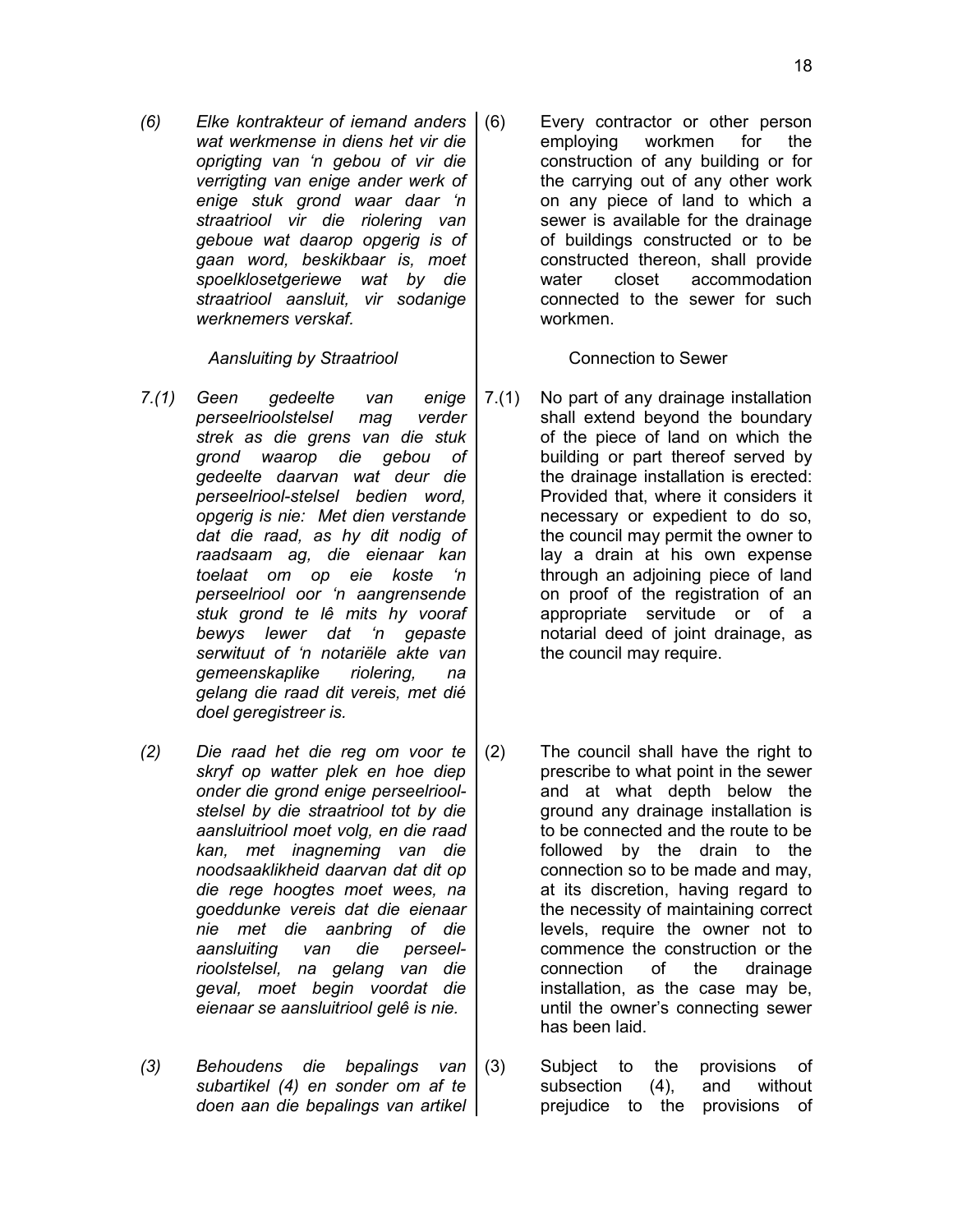*(6) Elke kontrakteur of iemand anders wat werkmense in diens het vir die oprigting van 'n gebou of vir die verrigting van enige ander werk of enige stuk grond waar daar 'n straatriool vir die riolering van geboue wat daarop opgerig is of gaan word, beskikbaar is, moet spoelklosetgeriewe wat by die straatriool aansluit, vir sodanige werknemers verskaf.*

# Aansluiting by Straatriool **Access 1** Connection to Sewer

- *7.(1) Geen gedeelte van enige perseelrioolstelsel mag verder strek as die grens van die stuk grond waarop die gebou of gedeelte daarvan wat deur die perseelriool-stelsel bedien word, opgerig is nie: Met dien verstande dat die raad, as hy dit nodig of raadsaam ag, die eienaar kan toelaat om op eie koste 'n perseelriool oor 'n aangrensende stuk grond te lê mits hy vooraf bewys lewer dat 'n gepaste serwituut of 'n notariële akte van gemeenskaplike riolering, na gelang die raad dit vereis, met dié doel geregistreer is.*
- *(2) Die raad het die reg om voor te skryf op watter plek en hoe diep onder die grond enige perseelrioolstelsel by die straatriool tot by die aansluitriool moet volg, en die raad kan, met inagneming van die noodsaaklikheid daarvan dat dit op die rege hoogtes moet wees, na goeddunke vereis dat die eienaar nie met die aanbring of die aansluiting van die perseelrioolstelsel, na gelang van die geval, moet begin voordat die eienaar se aansluitriool gelê is nie.*
- *(3) Behoudens die bepalings van subartikel (4) en sonder om af te doen aan die bepalings van artikel*

Every contractor or other person employing workmen for the construction of any building or for the carrying out of any other work on any piece of land to which a sewer is available for the drainage of buildings constructed or to be constructed thereon, shall provide water closet accommodation connected to the sewer for such workmen.

- 7.(1) No part of any drainage installation shall extend beyond the boundary of the piece of land on which the building or part thereof served by the drainage installation is erected: Provided that, where it considers it necessary or expedient to do so, the council may permit the owner to lay a drain at his own expense through an adjoining piece of land on proof of the registration of an appropriate servitude or of a notarial deed of joint drainage, as the council may require.
- (2) The council shall have the right to prescribe to what point in the sewer and at what depth below the ground any drainage installation is to be connected and the route to be followed by the drain to the connection so to be made and may, at its discretion, having regard to the necessity of maintaining correct levels, require the owner not to commence the construction or the connection of the drainage installation, as the case may be, until the owner's connecting sewer has been laid.
- (3) Subject to the provisions of<br>subsection (4), and without subsection  $(4)$ , and prejudice to the provisions of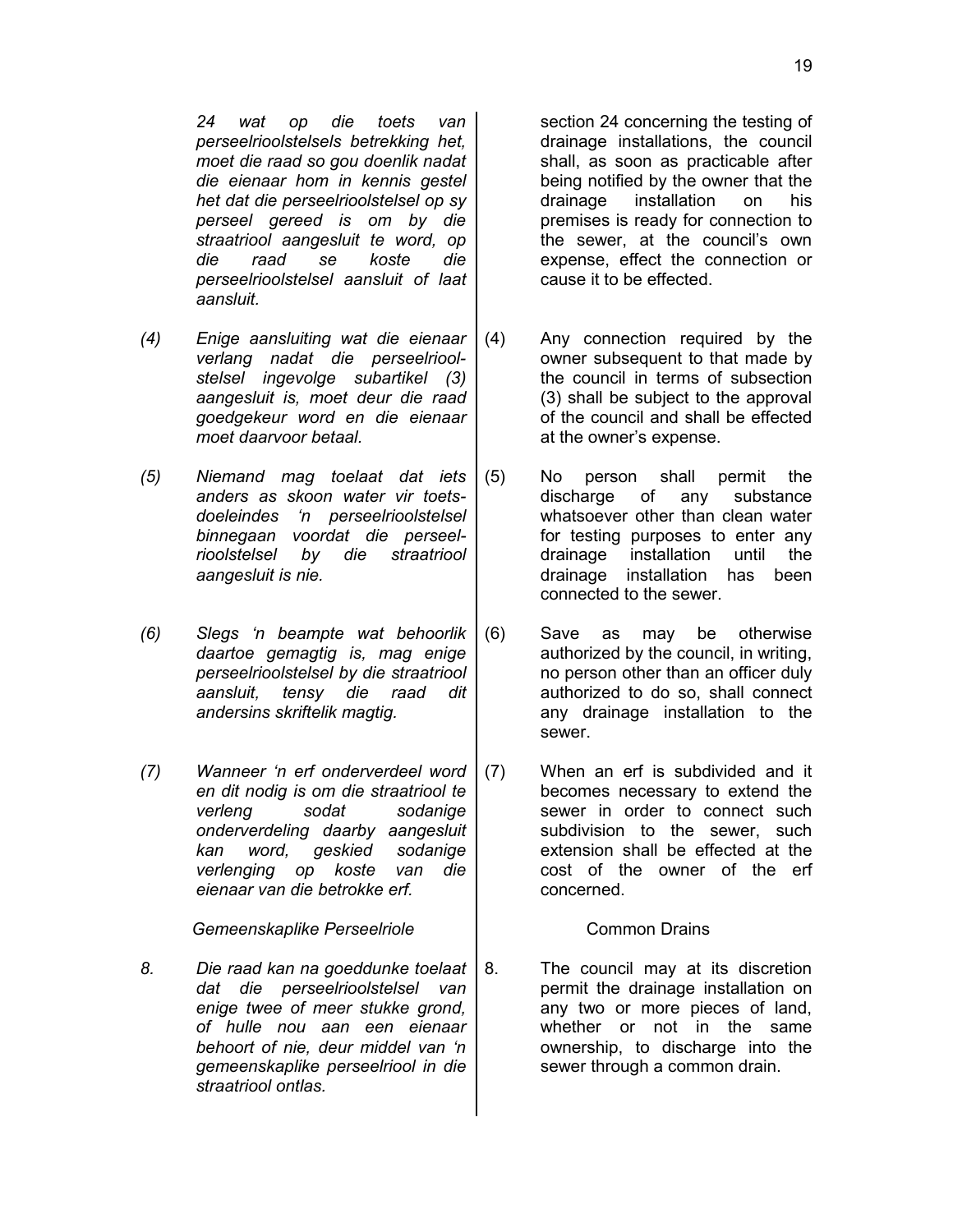*24 wat op die toets van perseelrioolstelsels betrekking het, moet die raad so gou doenlik nadat die eienaar hom in kennis gestel het dat die perseelrioolstelsel op sy perseel gereed is om by die straatriool aangesluit te word, op die raad se koste die perseelrioolstelsel aansluit of laat aansluit.*

- *(4) Enige aansluiting wat die eienaar verlang nadat die perseelrioolstelsel ingevolge subartikel (3) aangesluit is, moet deur die raad goedgekeur word en die eienaar moet daarvoor betaal.*
- *(5) Niemand mag toelaat dat iets anders as skoon water vir toetsdoeleindes 'n perseelrioolstelsel binnegaan voordat die perseelrioolstelsel by die straatriool aangesluit is nie.*
- *(6) Slegs 'n beampte wat behoorlik daartoe gemagtig is, mag enige perseelrioolstelsel by die straatriool aansluit, tensy die raad dit andersins skriftelik magtig.*
- *(7) Wanneer 'n erf onderverdeel word en dit nodig is om die straatriool te verleng sodat sodanige onderverdeling daarby aangesluit kan word, geskied sodanige verlenging op koste van die eienaar van die betrokke erf.*

**Gemeenskaplike Perseelriole** [1] Common Drains

*8. Die raad kan na goeddunke toelaat dat die perseelrioolstelsel van enige twee of meer stukke grond, of hulle nou aan een eienaar behoort of nie, deur middel van 'n gemeenskaplike perseelriool in die straatriool ontlas.*

section 24 concerning the testing of drainage installations, the council shall, as soon as practicable after being notified by the owner that the drainage installation on his premises is ready for connection to the sewer, at the council's own expense, effect the connection or cause it to be effected.

- (4) Any connection required by the owner subsequent to that made by the council in terms of subsection (3) shall be subject to the approval of the council and shall be effected at the owner's expense.
- (5) No person shall permit the discharge of any substance whatsoever other than clean water for testing purposes to enter any drainage installation until the drainage installation has been connected to the sewer.
- (6) Save as may be otherwise authorized by the council, in writing, no person other than an officer duly authorized to do so, shall connect any drainage installation to the sewer.
- (7) When an erf is subdivided and it becomes necessary to extend the sewer in order to connect such subdivision to the sewer, such extension shall be effected at the cost of the owner of the erf concerned.

8. The council may at its discretion permit the drainage installation on any two or more pieces of land, whether or not in the same ownership, to discharge into the sewer through a common drain.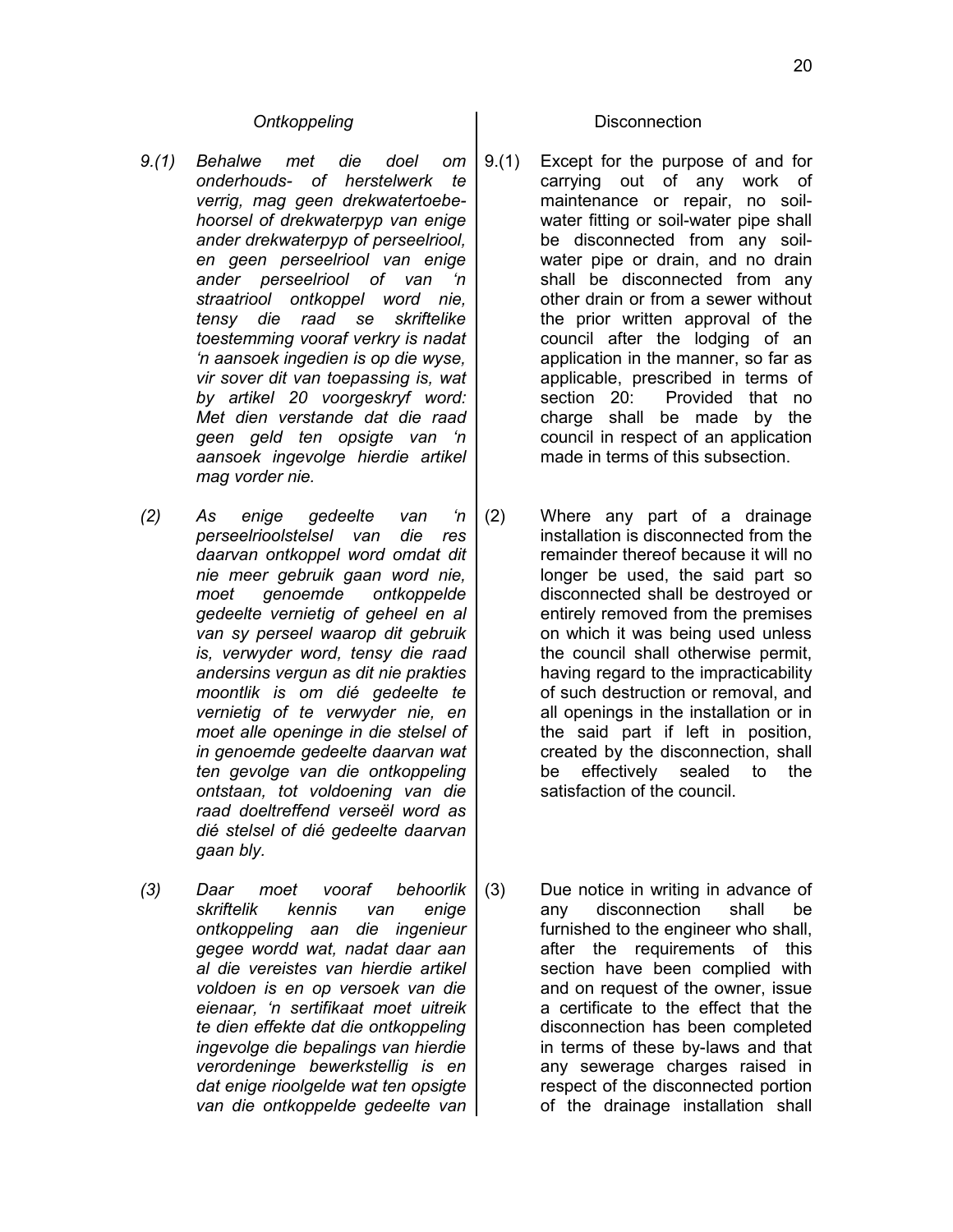- *9.(1) Behalwe met die doel om onderhouds- of herstelwerk te verrig, mag geen drekwatertoebehoorsel of drekwaterpyp van enige ander drekwaterpyp of perseelriool, en geen perseelriool van enige ander perseelriool of van 'n straatriool ontkoppel word nie, tensy die raad se skriftelike toestemming vooraf verkry is nadat 'n aansoek ingedien is op die wyse, vir sover dit van toepassing is, wat by artikel 20 voorgeskryf word: Met dien verstande dat die raad geen geld ten opsigte van 'n aansoek ingevolge hierdie artikel mag vorder nie.*
- *(2) As enige gedeelte van 'n perseelrioolstelsel van die res daarvan ontkoppel word omdat dit nie meer gebruik gaan word nie, moet genoemde ontkoppelde gedeelte vernietig of geheel en al van sy perseel waarop dit gebruik is, verwyder word, tensy die raad andersins vergun as dit nie prakties moontlik is om dié gedeelte te vernietig of te verwyder nie, en moet alle openinge in die stelsel of in genoemde gedeelte daarvan wat ten gevolge van die ontkoppeling ontstaan, tot voldoening van die raad doeltreffend verseël word as dié stelsel of dié gedeelte daarvan gaan bly.*
- *(3) Daar moet vooraf behoorlik skriftelik kennis van enige ontkoppeling aan die ingenieur gegee wordd wat, nadat daar aan al die vereistes van hierdie artikel voldoen is en op versoek van die eienaar, 'n sertifikaat moet uitreik te dien effekte dat die ontkoppeling ingevolge die bepalings van hierdie verordeninge bewerkstellig is en dat enige rioolgelde wat ten opsigte van die ontkoppelde gedeelte van*

### **Ontkoppeling** and **Disconnection**

- 9.(1) Except for the purpose of and for carrying out of any work of maintenance or repair, no soilwater fitting or soil-water pipe shall be disconnected from any soilwater pipe or drain, and no drain shall be disconnected from any other drain or from a sewer without the prior written approval of the council after the lodging of an application in the manner, so far as applicable, prescribed in terms of section 20: Provided that no charge shall be made by the council in respect of an application made in terms of this subsection.
- (2) Where any part of a drainage installation is disconnected from the remainder thereof because it will no longer be used, the said part so disconnected shall be destroyed or entirely removed from the premises on which it was being used unless the council shall otherwise permit, having regard to the impracticability of such destruction or removal, and all openings in the installation or in the said part if left in position, created by the disconnection, shall be effectively sealed to the satisfaction of the council.
- (3) Due notice in writing in advance of any disconnection shall be furnished to the engineer who shall, after the requirements of this section have been complied with and on request of the owner, issue a certificate to the effect that the disconnection has been completed in terms of these by-laws and that any sewerage charges raised in respect of the disconnected portion of the drainage installation shall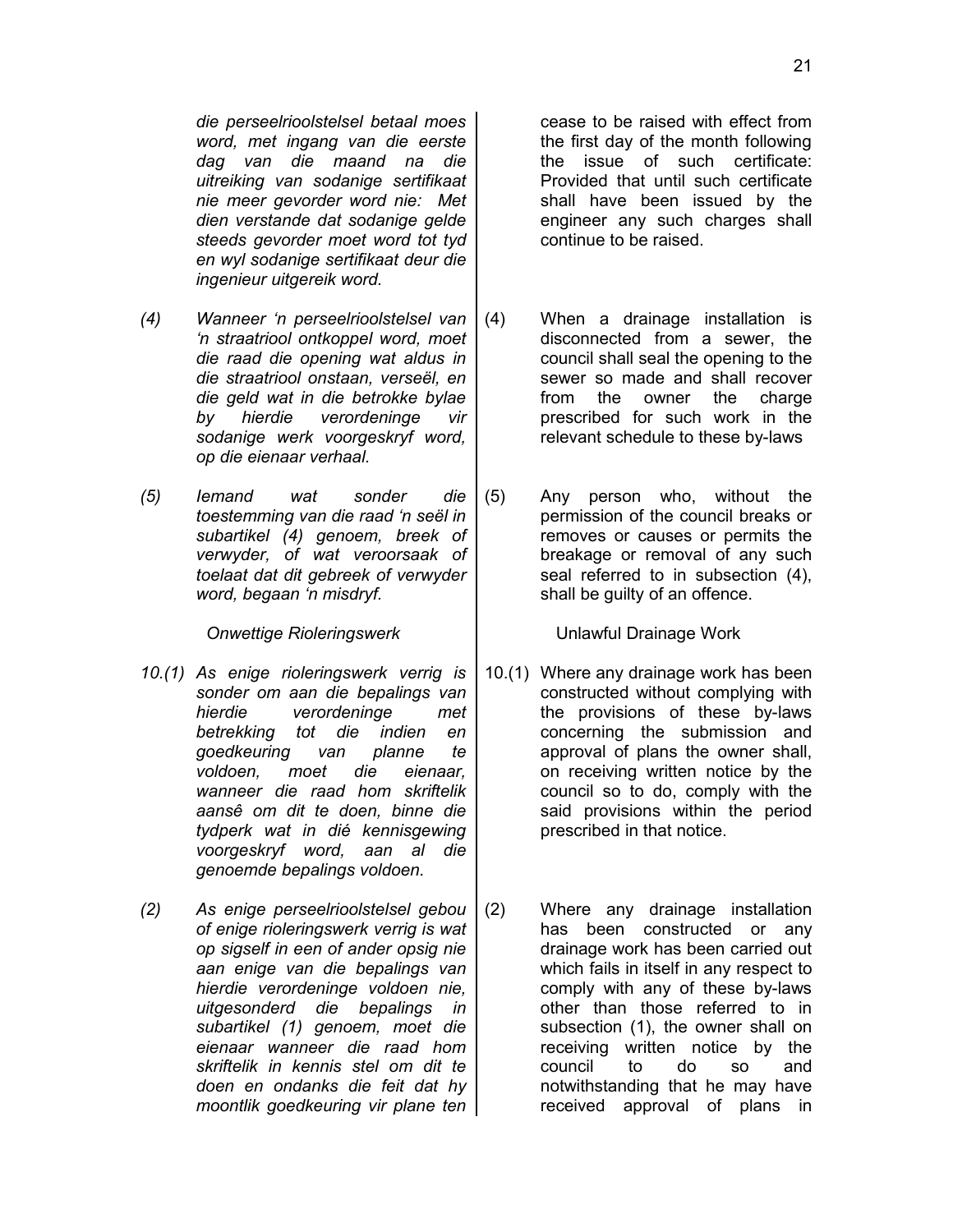*die perseelrioolstelsel betaal moes word, met ingang van die eerste dag van die maand na die uitreiking van sodanige sertifikaat nie meer gevorder word nie: Met dien verstande dat sodanige gelde steeds gevorder moet word tot tyd en wyl sodanige sertifikaat deur die ingenieur uitgereik word.*

- *(4) Wanneer 'n perseelrioolstelsel van 'n straatriool ontkoppel word, moet die raad die opening wat aldus in die straatriool onstaan, verseël, en die geld wat in die betrokke bylae by hierdie verordeninge vir sodanige werk voorgeskryf word, op die eienaar verhaal.*
- *(5) Iemand wat sonder die toestemming van die raad 'n seël in subartikel (4) genoem, breek of verwyder, of wat veroorsaak of toelaat dat dit gebreek of verwyder word, begaan 'n misdryf.*

*Onwettige Rioleringswerk* Unlawful Drainage Work

- *10.(1) As enige rioleringswerk verrig is sonder om aan die bepalings van hierdie verordeninge met betrekking tot die indien en goedkeuring van planne te voldoen, moet die eienaar, wanneer die raad hom skriftelik aansê om dit te doen, binne die tydperk wat in dié kennisgewing voorgeskryf word, aan al die genoemde bepalings voldoen.*
- *(2) As enige perseelrioolstelsel gebou of enige rioleringswerk verrig is wat op sigself in een of ander opsig nie aan enige van die bepalings van hierdie verordeninge voldoen nie, uitgesonderd die bepalings in subartikel (1) genoem, moet die eienaar wanneer die raad hom skriftelik in kennis stel om dit te doen en ondanks die feit dat hy moontlik goedkeuring vir plane ten*

cease to be raised with effect from the first day of the month following the issue of such certificate: Provided that until such certificate shall have been issued by the engineer any such charges shall continue to be raised.

- (4) When a drainage installation is disconnected from a sewer, the council shall seal the opening to the sewer so made and shall recover from the owner the charge prescribed for such work in the relevant schedule to these by-laws
- (5) Any person who, without the permission of the council breaks or removes or causes or permits the breakage or removal of any such seal referred to in subsection (4), shall be guilty of an offence.

- 10.(1) Where any drainage work has been constructed without complying with the provisions of these by-laws concerning the submission and approval of plans the owner shall, on receiving written notice by the council so to do, comply with the said provisions within the period prescribed in that notice.
- (2) Where any drainage installation has been constructed or any drainage work has been carried out which fails in itself in any respect to comply with any of these by-laws other than those referred to in subsection (1), the owner shall on receiving written notice by the council to do so and notwithstanding that he may have received approval of plans in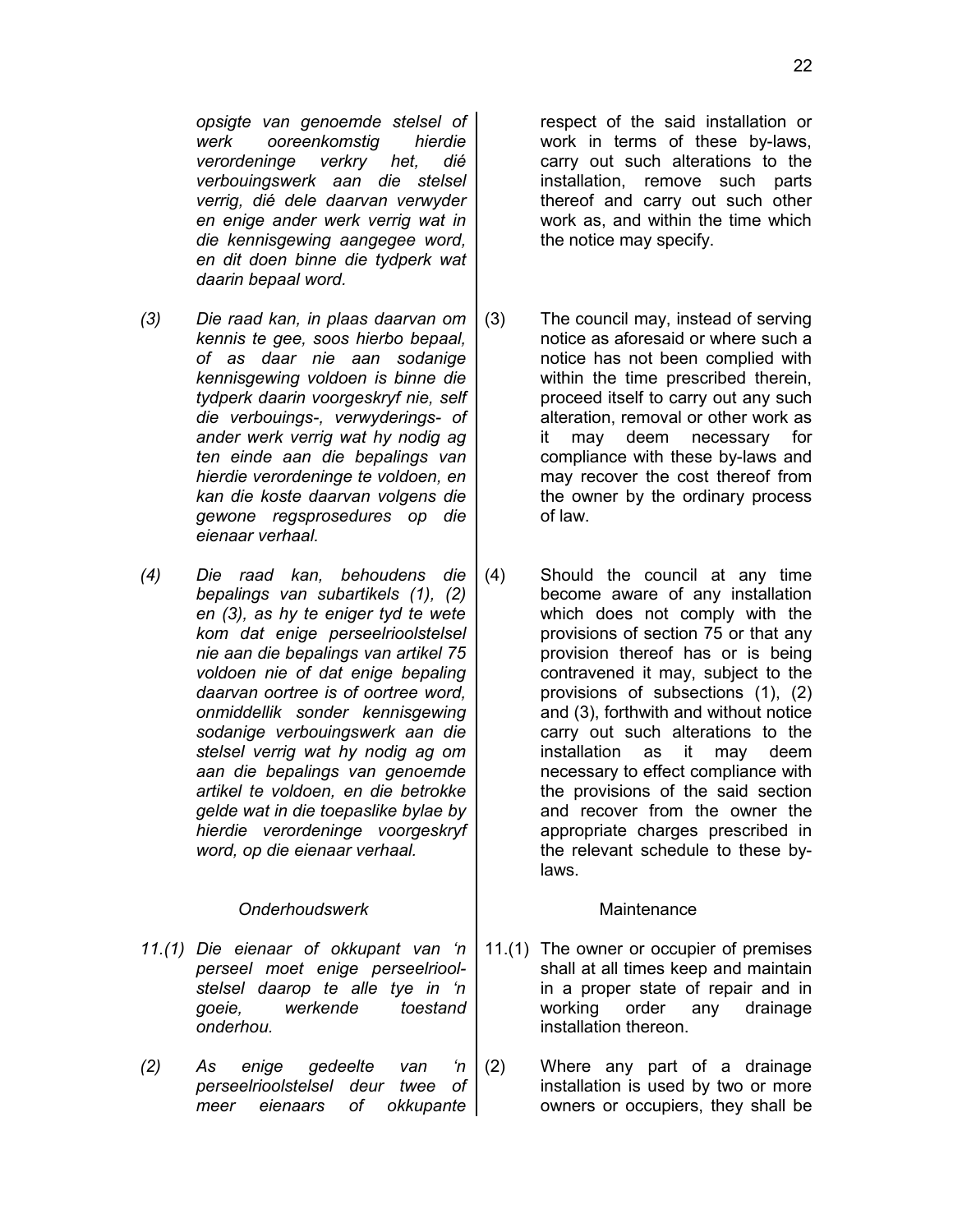*opsigte van genoemde stelsel of werk ooreenkomstig hierdie verordeninge verkry het, dié verbouingswerk aan die stelsel verrig, dié dele daarvan verwyder en enige ander werk verrig wat in die kennisgewing aangegee word, en dit doen binne die tydperk wat daarin bepaal word.*

- *(3) Die raad kan, in plaas daarvan om kennis te gee, soos hierbo bepaal, of as daar nie aan sodanige kennisgewing voldoen is binne die tydperk daarin voorgeskryf nie, self die verbouings-, verwyderings- of ander werk verrig wat hy nodig ag ten einde aan die bepalings van hierdie verordeninge te voldoen, en kan die koste daarvan volgens die gewone regsprosedures op die eienaar verhaal.*
- *(4) Die raad kan, behoudens die bepalings van subartikels (1), (2) en (3), as hy te eniger tyd te wete kom dat enige perseelrioolstelsel nie aan die bepalings van artikel 75 voldoen nie of dat enige bepaling daarvan oortree is of oortree word, onmiddellik sonder kennisgewing sodanige verbouingswerk aan die stelsel verrig wat hy nodig ag om aan die bepalings van genoemde artikel te voldoen, en die betrokke gelde wat in die toepaslike bylae by hierdie verordeninge voorgeskryf word, op die eienaar verhaal.*

# *Onderhoudswerk* Maintenance

- *11.(1) Die eienaar of okkupant van 'n perseel moet enige perseelrioolstelsel daarop te alle tye in 'n goeie, werkende toestand onderhou.*
- *(2) As enige gedeelte van 'n perseelrioolstelsel deur twee of meer eienaars of okkupante*

respect of the said installation or work in terms of these by-laws, carry out such alterations to the installation, remove such parts thereof and carry out such other work as, and within the time which the notice may specify.

- (3) The council may, instead of serving notice as aforesaid or where such a notice has not been complied with within the time prescribed therein, proceed itself to carry out any such alteration, removal or other work as it may deem necessary for compliance with these by-laws and may recover the cost thereof from the owner by the ordinary process of law.
- (4) Should the council at any time become aware of any installation which does not comply with the provisions of section 75 or that any provision thereof has or is being contravened it may, subject to the provisions of subsections (1), (2) and (3), forthwith and without notice carry out such alterations to the installation as it may deem necessary to effect compliance with the provisions of the said section and recover from the owner the appropriate charges prescribed in the relevant schedule to these bylaws.

- 11.(1) The owner or occupier of premises shall at all times keep and maintain in a proper state of repair and in working order any drainage installation thereon.
- (2) Where any part of a drainage installation is used by two or more owners or occupiers, they shall be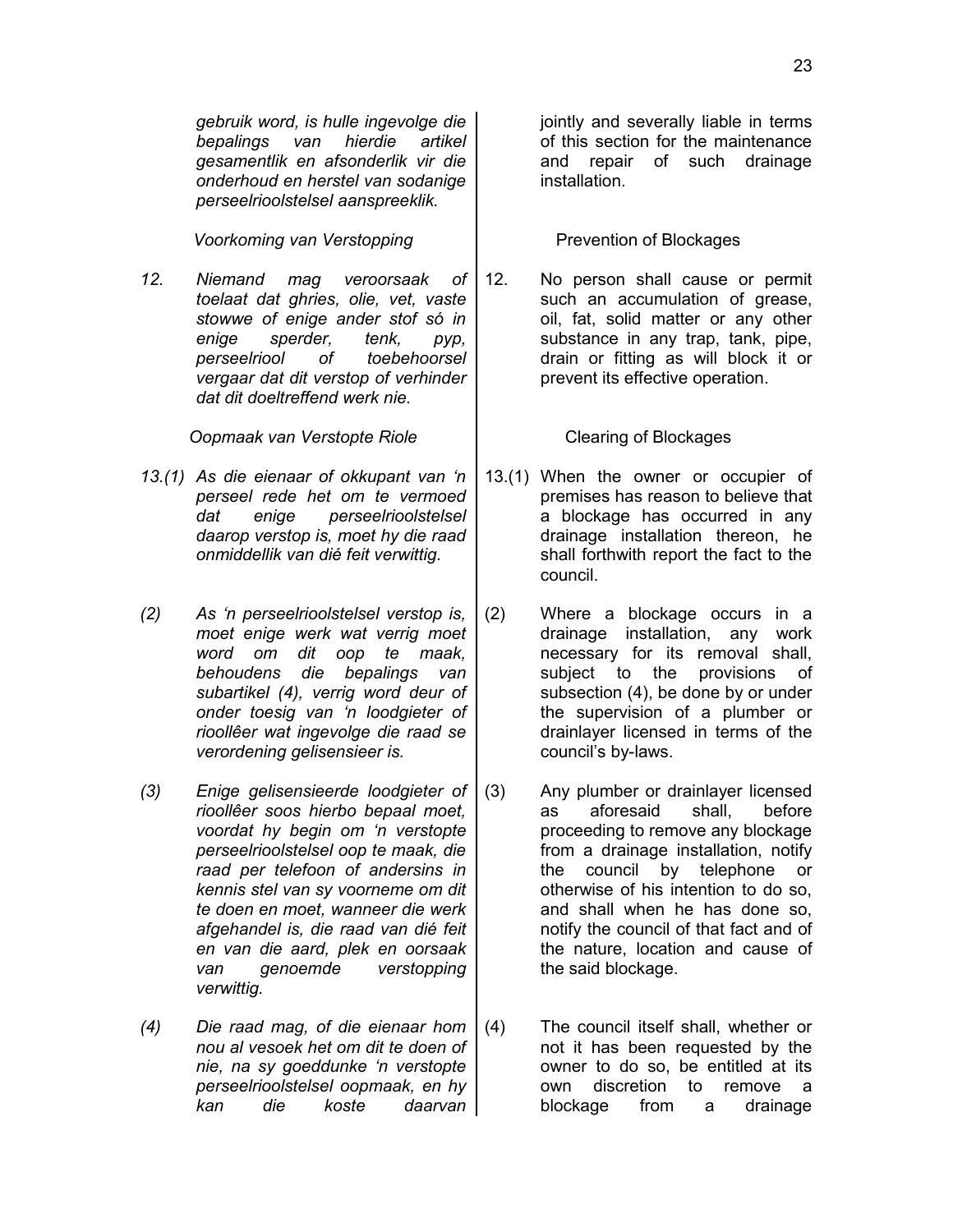*gebruik word, is hulle ingevolge die bepalings van hierdie artikel gesamentlik en afsonderlik vir die onderhoud en herstel van sodanige perseelrioolstelsel aanspreeklik.*

*Voorkoming van Verstopping* Prevention of Blockages

*12. Niemand mag veroorsaak of toelaat dat ghries, olie, vet, vaste stowwe of enige ander stof só in enige sperder, tenk, pyp, perseelriool of toebehoorsel vergaar dat dit verstop of verhinder dat dit doeltreffend werk nie.*

**Oopmaak van Verstopte Riole** | Clearing of Blockages

- *13.(1) As die eienaar of okkupant van 'n perseel rede het om te vermoed dat enige perseelrioolstelsel daarop verstop is, moet hy die raad onmiddellik van dié feit verwittig.*
- *(2) As 'n perseelrioolstelsel verstop is, moet enige werk wat verrig moet word om dit oop te maak, behoudens die bepalings van subartikel (4), verrig word deur of onder toesig van 'n loodgieter of rioollêer wat ingevolge die raad se verordening gelisensieer is.*
- *(3) Enige gelisensieerde loodgieter of rioollêer soos hierbo bepaal moet, voordat hy begin om 'n verstopte perseelrioolstelsel oop te maak, die raad per telefoon of andersins in kennis stel van sy voorneme om dit te doen en moet, wanneer die werk afgehandel is, die raad van dié feit en van die aard, plek en oorsaak van genoemde verstopping verwittig.*
- *(4) Die raad mag, of die eienaar hom nou al vesoek het om dit te doen of nie, na sy goeddunke 'n verstopte perseelrioolstelsel oopmaak, en hy kan die koste daarvan*

jointly and severally liable in terms of this section for the maintenance and repair of such drainage installation.

12. No person shall cause or permit such an accumulation of grease, oil, fat, solid matter or any other substance in any trap, tank, pipe, drain or fitting as will block it or prevent its effective operation.

- 13.(1) When the owner or occupier of premises has reason to believe that a blockage has occurred in any drainage installation thereon, he shall forthwith report the fact to the council.
- (2) Where a blockage occurs in a drainage installation, any work necessary for its removal shall, subject to the provisions of subsection (4), be done by or under the supervision of a plumber or drainlayer licensed in terms of the council's by-laws.
- (3) Any plumber or drainlayer licensed as aforesaid shall, before proceeding to remove any blockage from a drainage installation, notify the council by telephone or otherwise of his intention to do so, and shall when he has done so, notify the council of that fact and of the nature, location and cause of the said blockage.
- (4) The council itself shall, whether or not it has been requested by the owner to do so, be entitled at its own discretion to remove a blockage from a drainage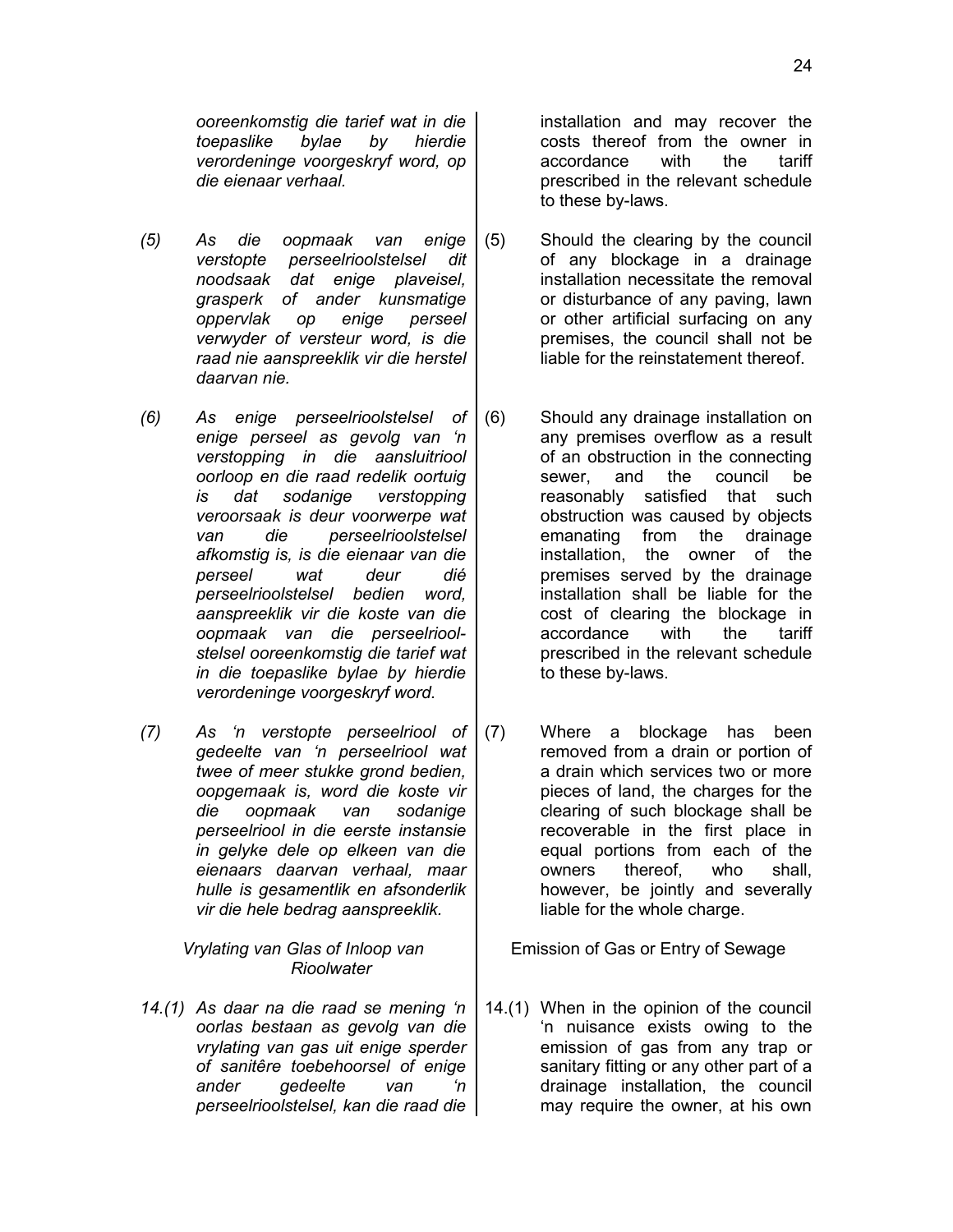*ooreenkomstig die tarief wat in die toepaslike bylae by hierdie verordeninge voorgeskryf word, op die eienaar verhaal.*

- *(5) As die oopmaak van enige verstopte perseelrioolstelsel dit noodsaak dat enige plaveisel, grasperk of ander kunsmatige oppervlak op enige perseel verwyder of versteur word, is die raad nie aanspreeklik vir die herstel daarvan nie.*
- *(6) As enige perseelrioolstelsel of enige perseel as gevolg van 'n verstopping in die aansluitriool oorloop en die raad redelik oortuig is dat sodanige verstopping veroorsaak is deur voorwerpe wat van die perseelrioolstelsel afkomstig is, is die eienaar van die perseel wat deur dié perseelrioolstelsel bedien word, aanspreeklik vir die koste van die oopmaak van die perseelrioolstelsel ooreenkomstig die tarief wat in die toepaslike bylae by hierdie verordeninge voorgeskryf word.*
- *(7) As 'n verstopte perseelriool of gedeelte van 'n perseelriool wat twee of meer stukke grond bedien, oopgemaak is, word die koste vir die oopmaak van sodanige perseelriool in die eerste instansie in gelyke dele op elkeen van die eienaars daarvan verhaal, maar hulle is gesamentlik en afsonderlik vir die hele bedrag aanspreeklik.*

*Vrylating van Glas of Inloop van Rioolwater*

*14.(1) As daar na die raad se mening 'n oorlas bestaan as gevolg van die vrylating van gas uit enige sperder of sanitêre toebehoorsel of enige ander gedeelte van 'n perseelrioolstelsel, kan die raad die* installation and may recover the costs thereof from the owner in accordance with the tariff prescribed in the relevant schedule to these by-laws.

- (5) Should the clearing by the council of any blockage in a drainage installation necessitate the removal or disturbance of any paving, lawn or other artificial surfacing on any premises, the council shall not be liable for the reinstatement thereof.
- (6) Should any drainage installation on any premises overflow as a result of an obstruction in the connecting sewer, and the council be reasonably satisfied that such obstruction was caused by objects emanating from the drainage installation, the owner of the premises served by the drainage installation shall be liable for the cost of clearing the blockage in accordance with the tariff prescribed in the relevant schedule to these by-laws.
- (7) Where a blockage has been removed from a drain or portion of a drain which services two or more pieces of land, the charges for the clearing of such blockage shall be recoverable in the first place in equal portions from each of the owners thereof, who shall, however, be jointly and severally liable for the whole charge.

Emission of Gas or Entry of Sewage

14.(1) When in the opinion of the council 'n nuisance exists owing to the emission of gas from any trap or sanitary fitting or any other part of a drainage installation, the council may require the owner, at his own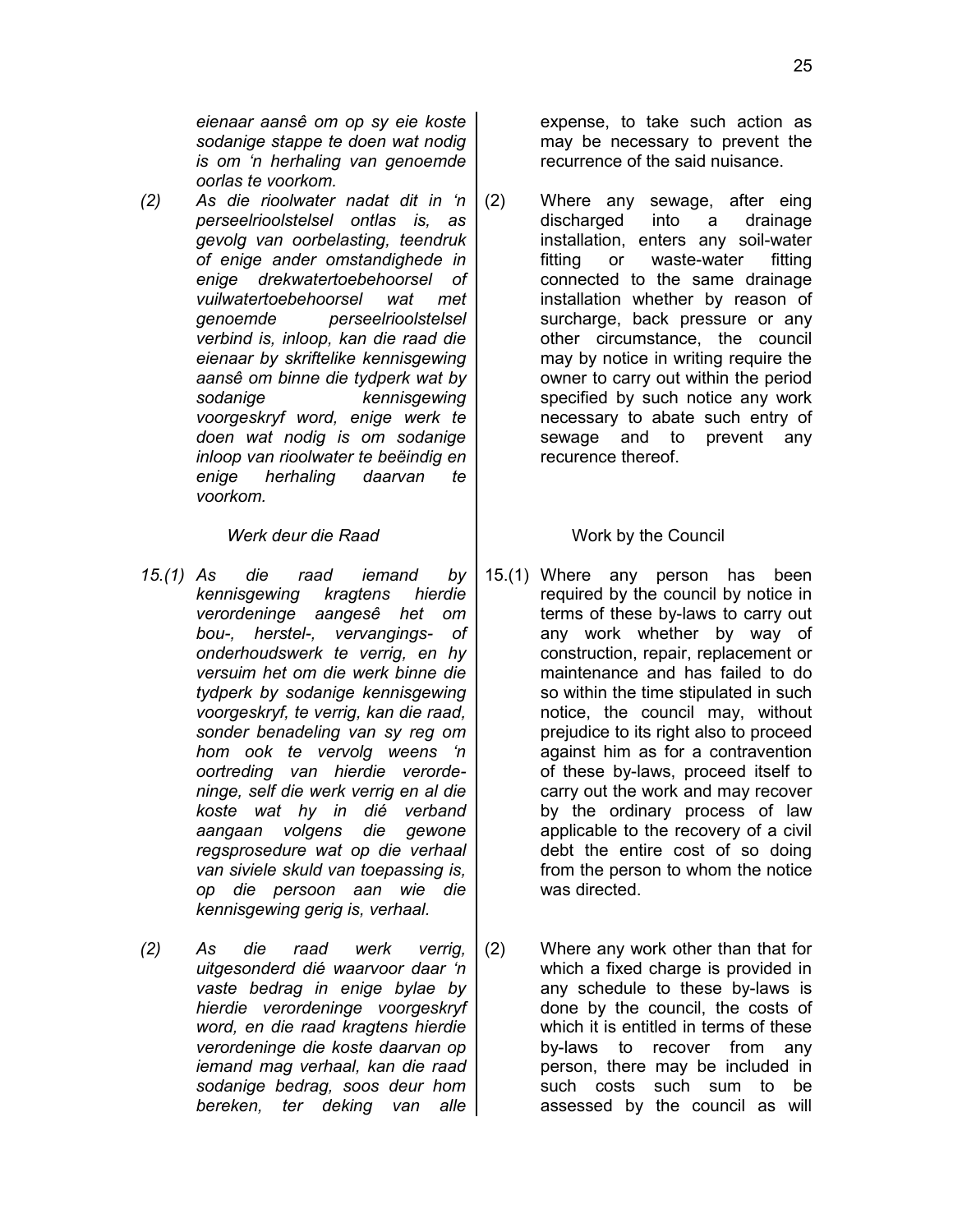*eienaar aansê om op sy eie koste sodanige stappe te doen wat nodig is om 'n herhaling van genoemde oorlas te voorkom.*

*(2) As die rioolwater nadat dit in 'n perseelrioolstelsel ontlas is, as gevolg van oorbelasting, teendruk of enige ander omstandighede in enige drekwatertoebehoorsel of vuilwatertoebehoorsel wat met genoemde perseelrioolstelsel verbind is, inloop, kan die raad die eienaar by skriftelike kennisgewing aansê om binne die tydperk wat by sodanige kennisgewing voorgeskryf word, enige werk te doen wat nodig is om sodanige inloop van rioolwater te beëindig en enige herhaling daarvan te voorkom.*

# *Werk deur die Raad* Work by the Council

- *15.(1) As die raad iemand by kennisgewing kragtens hierdie verordeninge aangesê het om bou-, herstel-, vervangings- of onderhoudswerk te verrig, en hy versuim het om die werk binne die tydperk by sodanige kennisgewing voorgeskryf, te verrig, kan die raad, sonder benadeling van sy reg om hom ook te vervolg weens 'n oortreding van hierdie verordeninge, self die werk verrig en al die koste wat hy in dié verband aangaan volgens die gewone regsprosedure wat op die verhaal van siviele skuld van toepassing is, op die persoon aan wie die kennisgewing gerig is, verhaal.*
- *(2) As die raad werk verrig, uitgesonderd dié waarvoor daar 'n vaste bedrag in enige bylae by hierdie verordeninge voorgeskryf word, en die raad kragtens hierdie verordeninge die koste daarvan op iemand mag verhaal, kan die raad sodanige bedrag, soos deur hom bereken, ter deking van alle*

expense, to take such action as may be necessary to prevent the recurrence of the said nuisance.

(2) Where any sewage, after eing discharged into a drainage installation, enters any soil-water fitting or waste-water fitting connected to the same drainage installation whether by reason of surcharge, back pressure or any other circumstance, the council may by notice in writing require the owner to carry out within the period specified by such notice any work necessary to abate such entry of sewage and to prevent any recurence thereof.

- 15.(1) Where any person has been required by the council by notice in terms of these by-laws to carry out any work whether by way of construction, repair, replacement or maintenance and has failed to do so within the time stipulated in such notice, the council may, without prejudice to its right also to proceed against him as for a contravention of these by-laws, proceed itself to carry out the work and may recover by the ordinary process of law applicable to the recovery of a civil debt the entire cost of so doing from the person to whom the notice was directed.
- (2) Where any work other than that for which a fixed charge is provided in any schedule to these by-laws is done by the council, the costs of which it is entitled in terms of these by-laws to recover from any person, there may be included in such costs such sum to be assessed by the council as will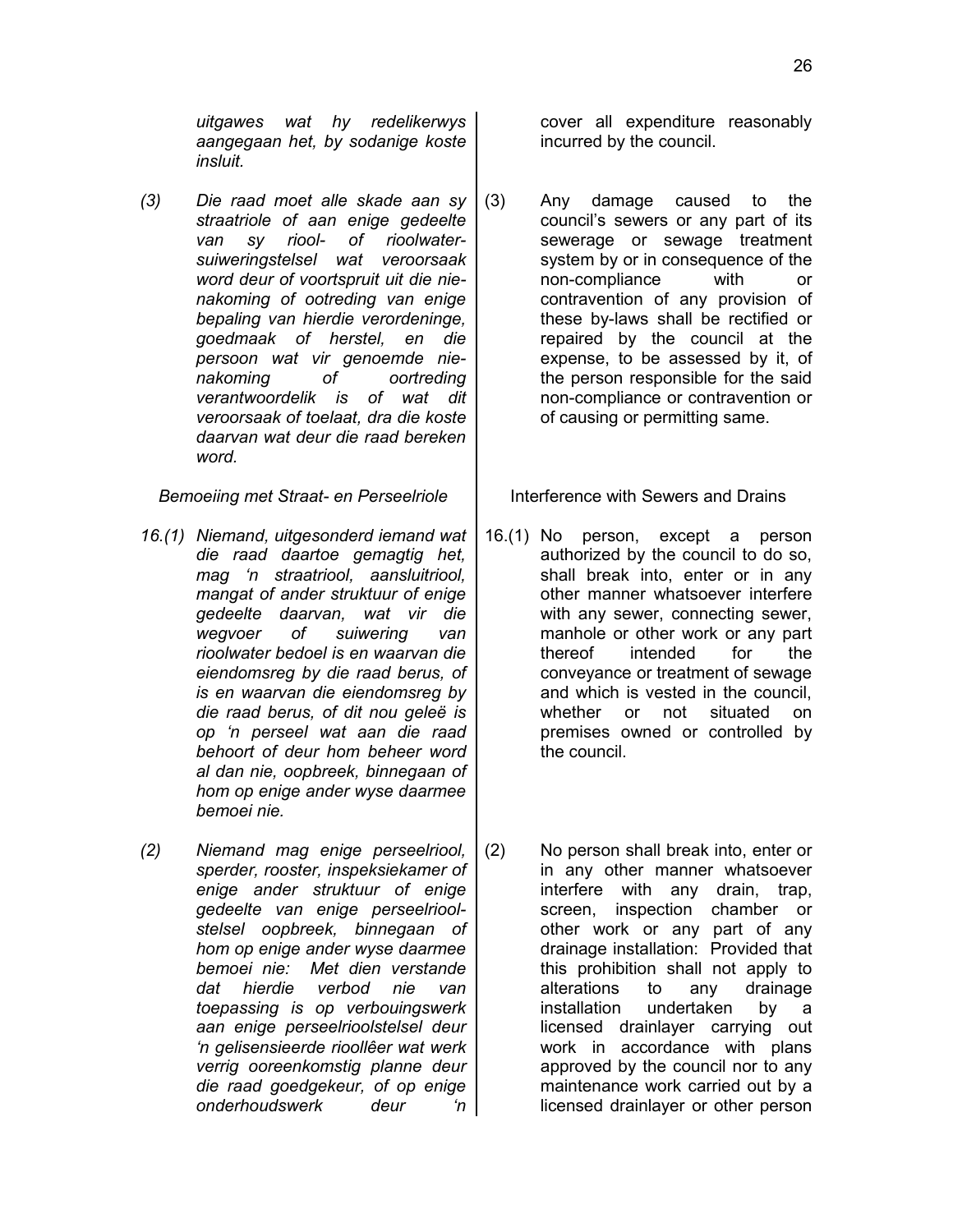*uitgawes wat hy redelikerwys aangegaan het, by sodanige koste insluit.*

*(3) Die raad moet alle skade aan sy straatriole of aan enige gedeelte van sy riool- of rioolwatersuiweringstelsel wat veroorsaak word deur of voortspruit uit die nienakoming of ootreding van enige bepaling van hierdie verordeninge, goedmaak of herstel, en die persoon wat vir genoemde nienakoming of oortreding verantwoordelik is of wat dit veroorsaak of toelaat, dra die koste daarvan wat deur die raad bereken word.*

*Bemoeiing met Straat- en Perseelriole* | Interference with Sewers and Drains

- *16.(1) Niemand, uitgesonderd iemand wat die raad daartoe gemagtig het, mag 'n straatriool, aansluitriool, mangat of ander struktuur of enige gedeelte daarvan, wat vir die wegvoer of suiwering van rioolwater bedoel is en waarvan die eiendomsreg by die raad berus, of is en waarvan die eiendomsreg by die raad berus, of dit nou geleë is op 'n perseel wat aan die raad behoort of deur hom beheer word al dan nie, oopbreek, binnegaan of hom op enige ander wyse daarmee bemoei nie.*
- *(2) Niemand mag enige perseelriool, sperder, rooster, inspeksiekamer of enige ander struktuur of enige gedeelte van enige perseelrioolstelsel oopbreek, binnegaan of hom op enige ander wyse daarmee bemoei nie: Met dien verstande dat hierdie verbod nie van toepassing is op verbouingswerk aan enige perseelrioolstelsel deur 'n gelisensieerde rioollêer wat werk verrig ooreenkomstig planne deur die raad goedgekeur, of op enige onderhoudswerk deur 'n*

cover all expenditure reasonably incurred by the council.

(3) Any damage caused to the council's sewers or any part of its sewerage or sewage treatment system by or in consequence of the non-compliance with or contravention of any provision of these by-laws shall be rectified or repaired by the council at the expense, to be assessed by it, of the person responsible for the said non-compliance or contravention or of causing or permitting same.

- 16.(1) No person, except a person authorized by the council to do so, shall break into, enter or in any other manner whatsoever interfere with any sewer, connecting sewer, manhole or other work or any part thereof intended for the conveyance or treatment of sewage and which is vested in the council, whether or not situated on premises owned or controlled by the council.
- (2) No person shall break into, enter or in any other manner whatsoever interfere with any drain, trap, screen, inspection chamber or other work or any part of any drainage installation: Provided that this prohibition shall not apply to alterations to any drainage installation undertaken by a licensed drainlayer carrying out work in accordance with plans approved by the council nor to any maintenance work carried out by a licensed drainlayer or other person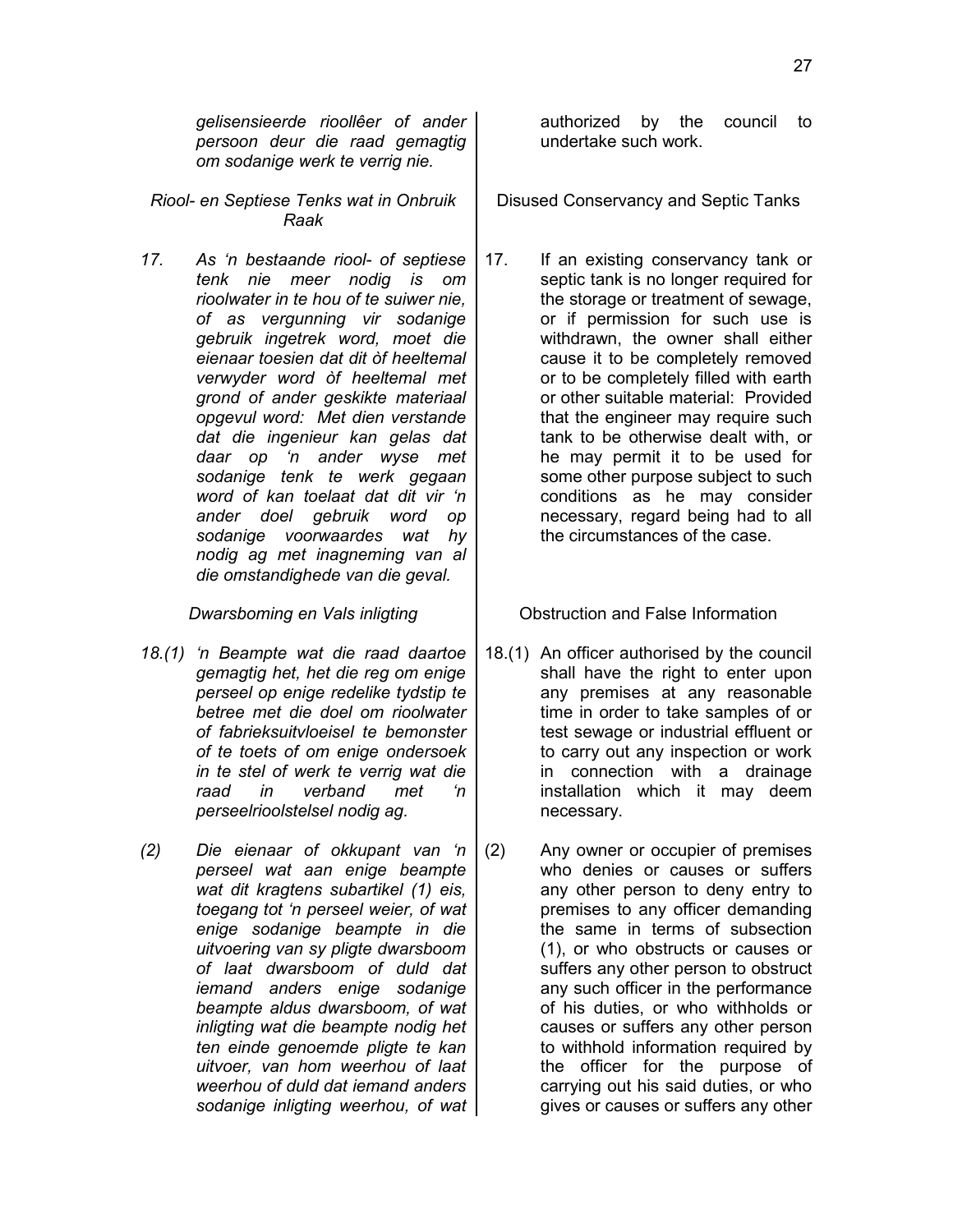*gelisensieerde rioollêer of ander persoon deur die raad gemagtig om sodanige werk te verrig nie.*

*Riool- en Septiese Tenks wat in Onbruik Raak*

*17. As 'n bestaande riool- of septiese tenk nie meer nodig is om rioolwater in te hou of te suiwer nie, of as vergunning vir sodanige gebruik ingetrek word, moet die eienaar toesien dat dit òf heeltemal verwyder word òf heeltemal met grond of ander geskikte materiaal opgevul word: Met dien verstande dat die ingenieur kan gelas dat daar op 'n ander wyse met sodanige tenk te werk gegaan word of kan toelaat dat dit vir 'n ander doel gebruik word op sodanige voorwaardes wat hy nodig ag met inagneming van al die omstandighede van die geval.*

- *18.(1) 'n Beampte wat die raad daartoe gemagtig het, het die reg om enige perseel op enige redelike tydstip te betree met die doel om rioolwater of fabrieksuitvloeisel te bemonster of te toets of om enige ondersoek in te stel of werk te verrig wat die raad in verband met 'n perseelrioolstelsel nodig ag.*
- *(2) Die eienaar of okkupant van 'n perseel wat aan enige beampte wat dit kragtens subartikel (1) eis, toegang tot 'n perseel weier, of wat enige sodanige beampte in die uitvoering van sy pligte dwarsboom of laat dwarsboom of duld dat iemand anders enige sodanige beampte aldus dwarsboom, of wat inligting wat die beampte nodig het ten einde genoemde pligte te kan uitvoer, van hom weerhou of laat weerhou of duld dat iemand anders sodanige inligting weerhou, of wat*

authorized by the council to undertake such work.

Disused Conservancy and Septic Tanks

17. If an existing conservancy tank or septic tank is no longer required for the storage or treatment of sewage, or if permission for such use is withdrawn, the owner shall either cause it to be completely removed or to be completely filled with earth or other suitable material: Provided that the engineer may require such tank to be otherwise dealt with, or he may permit it to be used for some other purpose subject to such conditions as he may consider necessary, regard being had to all the circumstances of the case.

**Dwarsboming en Vals inligting Fig. 5 and Struction and False Information** 

- 18.(1) An officer authorised by the council shall have the right to enter upon any premises at any reasonable time in order to take samples of or test sewage or industrial effluent or to carry out any inspection or work in connection with a drainage installation which it may deem necessary.
- (2) Any owner or occupier of premises who denies or causes or suffers any other person to deny entry to premises to any officer demanding the same in terms of subsection (1), or who obstructs or causes or suffers any other person to obstruct any such officer in the performance of his duties, or who withholds or causes or suffers any other person to withhold information required by the officer for the purpose of carrying out his said duties, or who gives or causes or suffers any other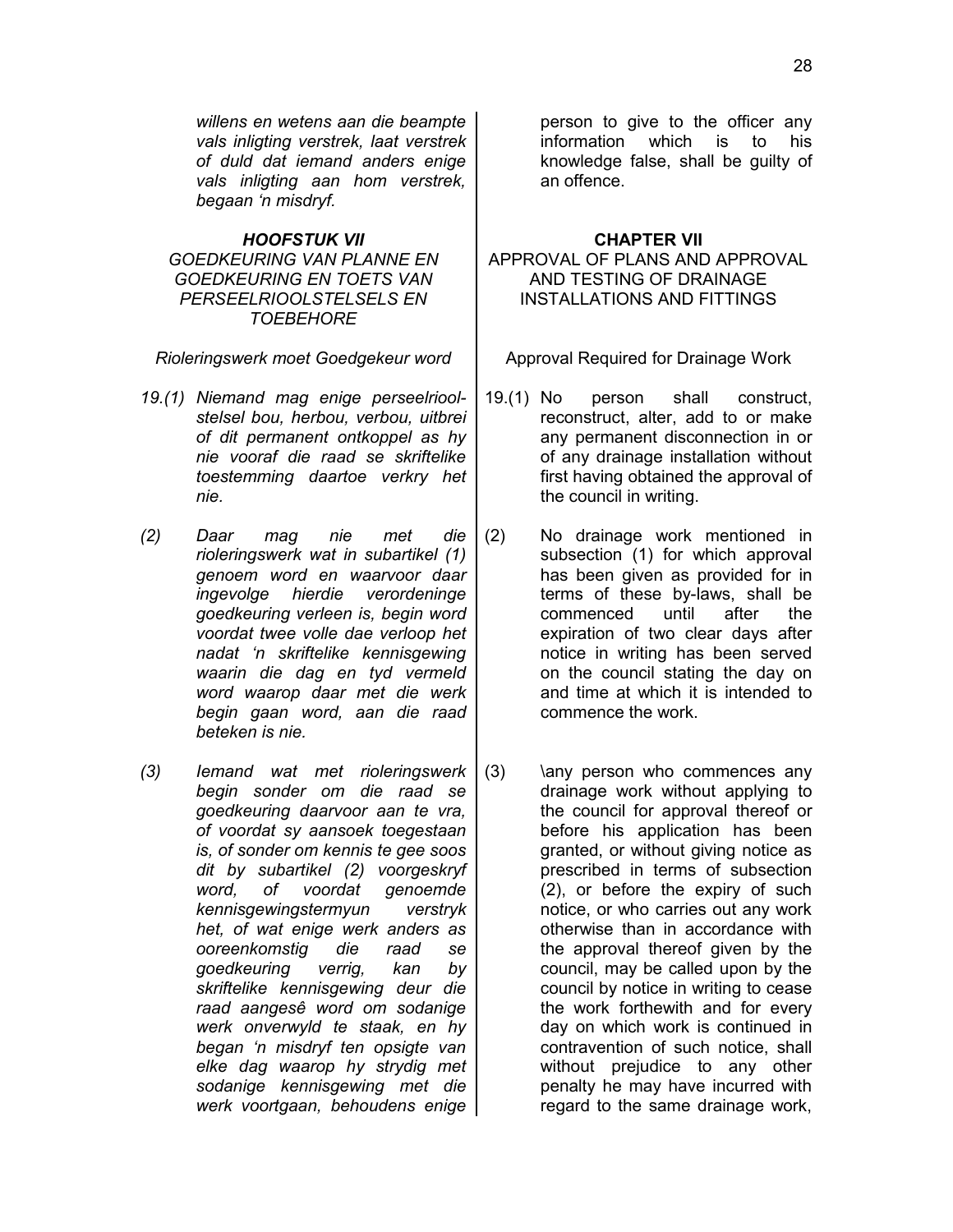*willens en wetens aan die beampte vals inligting verstrek, laat verstrek of duld dat iemand anders enige vals inligting aan hom verstrek, begaan 'n misdryf.*

## *HOOFSTUK VII* **CHAPTER VII**

# *GOEDKEURING VAN PLANNE EN GOEDKEURING EN TOETS VAN PERSEELRIOOLSTELSELS EN TOEBEHORE*

*Rioleringswerk moet Goedgekeur word* | Approval Required for Drainage Work

- *19.(1) Niemand mag enige perseelrioolstelsel bou, herbou, verbou, uitbrei of dit permanent ontkoppel as hy nie vooraf die raad se skriftelike toestemming daartoe verkry het nie.*
- *(2) Daar mag nie met die rioleringswerk wat in subartikel (1) genoem word en waarvoor daar ingevolge hierdie verordeninge goedkeuring verleen is, begin word voordat twee volle dae verloop het nadat 'n skriftelike kennisgewing waarin die dag en tyd vermeld word waarop daar met die werk begin gaan word, aan die raad beteken is nie.*
- *(3) Iemand wat met rioleringswerk begin sonder om die raad se goedkeuring daarvoor aan te vra, of voordat sy aansoek toegestaan is, of sonder om kennis te gee soos dit by subartikel (2) voorgeskryf word, of voordat genoemde kennisgewingstermyun verstryk het, of wat enige werk anders as ooreenkomstig die raad se goedkeuring verrig, kan by skriftelike kennisgewing deur die raad aangesê word om sodanige werk onverwyld te staak, en hy began 'n misdryf ten opsigte van elke dag waarop hy strydig met sodanige kennisgewing met die werk voortgaan, behoudens enige*

person to give to the officer any information which is to his knowledge false, shall be guilty of an offence.

APPROVAL OF PLANS AND APPROVAL AND TESTING OF DRAINAGE INSTALLATIONS AND FITTINGS

- 19.(1) No person shall construct, reconstruct, alter, add to or make any permanent disconnection in or of any drainage installation without first having obtained the approval of the council in writing.
- (2) No drainage work mentioned in subsection (1) for which approval has been given as provided for in terms of these by-laws, shall be commenced until after the expiration of two clear days after notice in writing has been served on the council stating the day on and time at which it is intended to commence the work.
- $(3)$  \any person who commences any drainage work without applying to the council for approval thereof or before his application has been granted, or without giving notice as prescribed in terms of subsection (2), or before the expiry of such notice, or who carries out any work otherwise than in accordance with the approval thereof given by the council, may be called upon by the council by notice in writing to cease the work forthewith and for every day on which work is continued in contravention of such notice, shall without prejudice to any other penalty he may have incurred with regard to the same drainage work,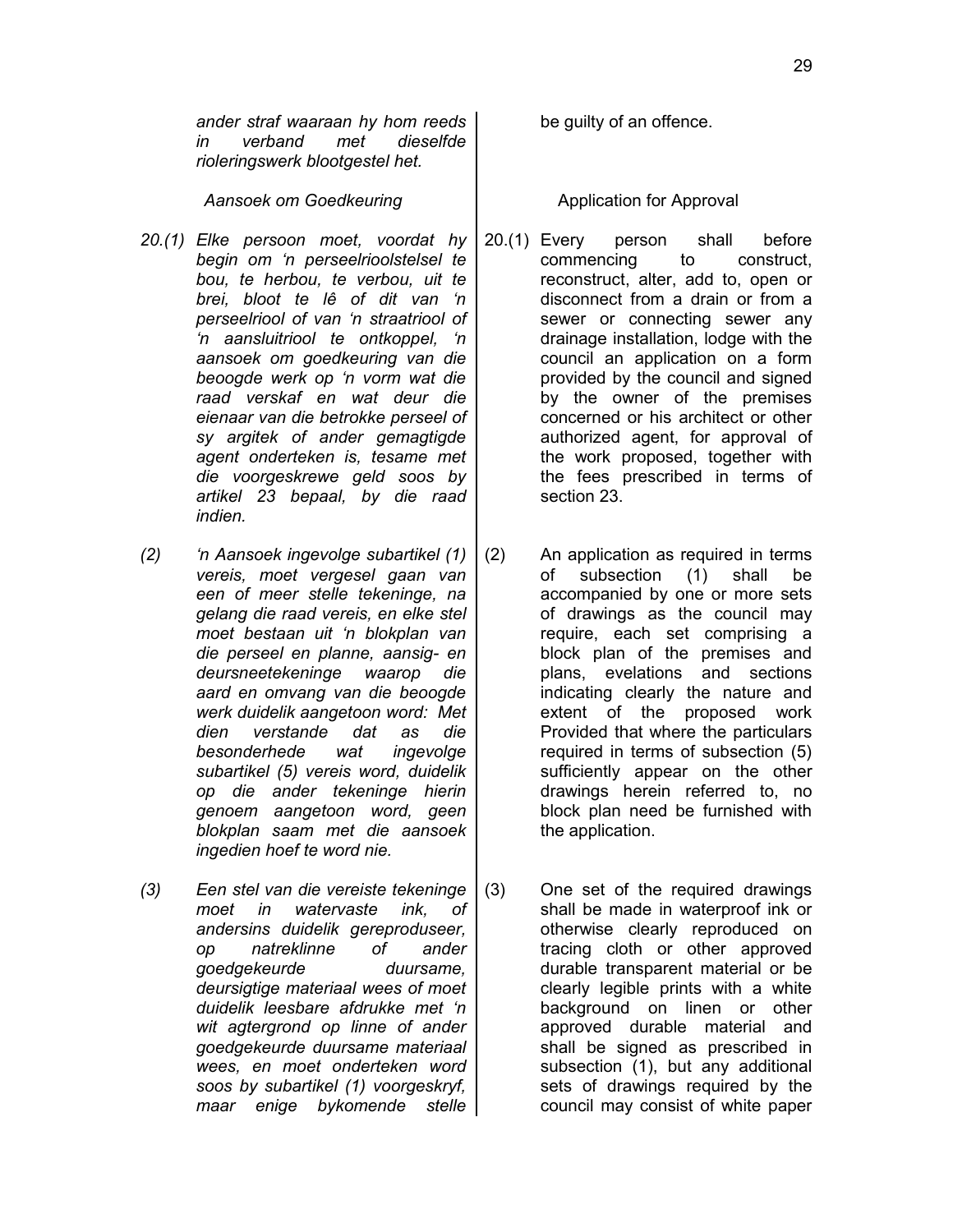Aansoek om Goedkeuring and all all application for Approval

- *20.(1) Elke persoon moet, voordat hy begin om 'n perseelrioolstelsel te bou, te herbou, te verbou, uit te brei, bloot te lê of dit van 'n perseelriool of van 'n straatriool of 'n aansluitriool te ontkoppel, 'n aansoek om goedkeuring van die beoogde werk op 'n vorm wat die raad verskaf en wat deur die eienaar van die betrokke perseel of sy argitek of ander gemagtigde agent onderteken is, tesame met die voorgeskrewe geld soos by artikel 23 bepaal, by die raad indien.*
- *(2) 'n Aansoek ingevolge subartikel (1) vereis, moet vergesel gaan van een of meer stelle tekeninge, na gelang die raad vereis, en elke stel moet bestaan uit 'n blokplan van die perseel en planne, aansig- en deursneetekeninge waarop die aard en omvang van die beoogde werk duidelik aangetoon word: Met dien verstande dat as die besonderhede wat ingevolge subartikel (5) vereis word, duidelik op die ander tekeninge hierin genoem aangetoon word, geen blokplan saam met die aansoek ingedien hoef te word nie.*
- *(3) Een stel van die vereiste tekeninge moet in watervaste ink, of andersins duidelik gereproduseer, op natreklinne of ander goedgekeurde duursame, deursigtige materiaal wees of moet duidelik leesbare afdrukke met 'n wit agtergrond op linne of ander goedgekeurde duursame materiaal wees, en moet onderteken word soos by subartikel (1) voorgeskryf, maar enige bykomende stelle*

be guilty of an offence.

- 20.(1) Every person shall before commencing to construct, reconstruct, alter, add to, open or disconnect from a drain or from a sewer or connecting sewer any drainage installation, lodge with the council an application on a form provided by the council and signed by the owner of the premises concerned or his architect or other authorized agent, for approval of the work proposed, together with the fees prescribed in terms of section 23.
- (2) An application as required in terms of subsection (1) shall be accompanied by one or more sets of drawings as the council may require, each set comprising a block plan of the premises and plans, evelations and sections indicating clearly the nature and extent of the proposed work Provided that where the particulars required in terms of subsection (5) sufficiently appear on the other drawings herein referred to, no block plan need be furnished with the application.
- (3) One set of the required drawings shall be made in waterproof ink or otherwise clearly reproduced on tracing cloth or other approved durable transparent material or be clearly legible prints with a white background on linen or other approved durable material and shall be signed as prescribed in subsection (1), but any additional sets of drawings required by the council may consist of white paper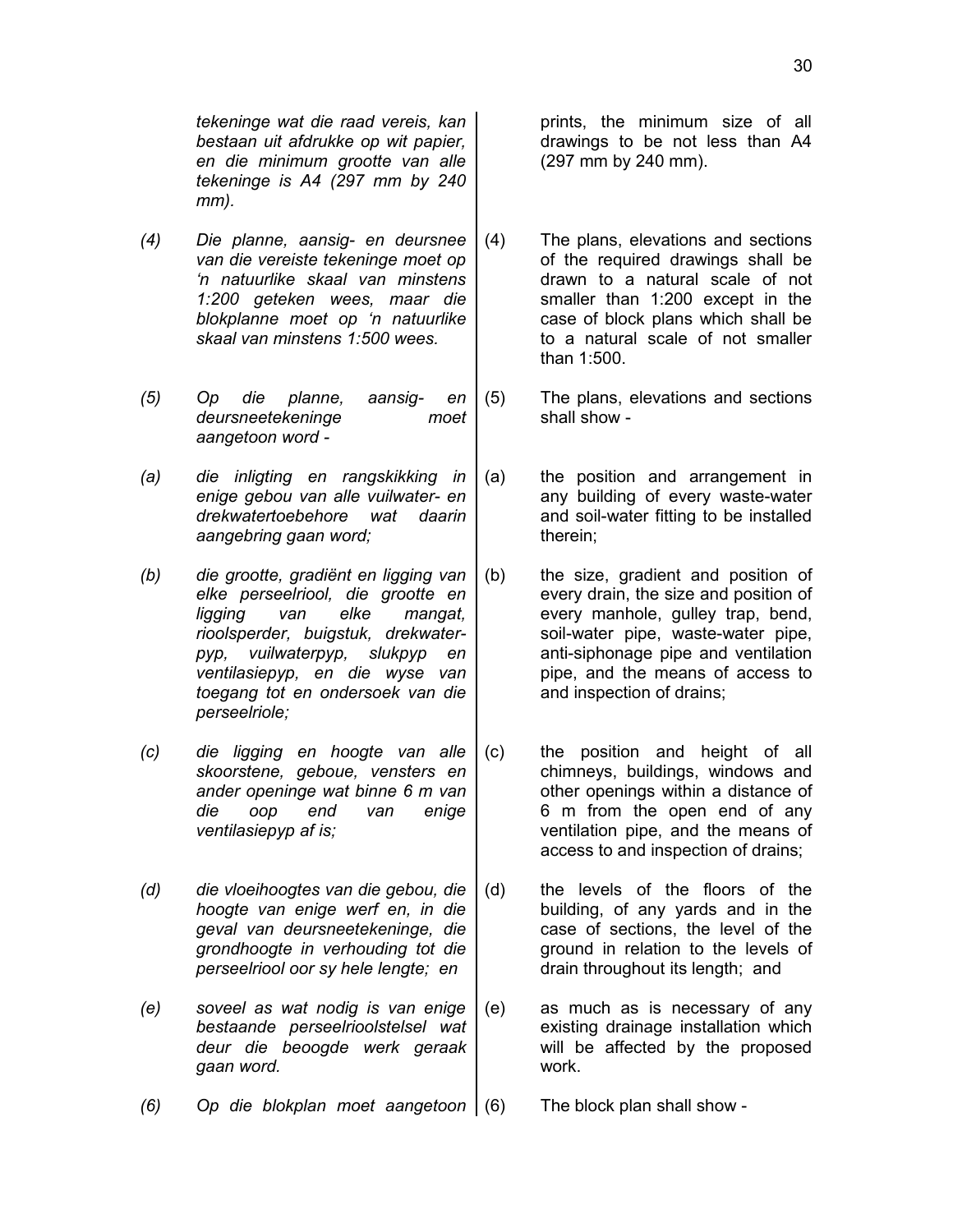*tekeninge wat die raad vereis, kan bestaan uit afdrukke op wit papier, en die minimum grootte van alle tekeninge is A4 (297 mm by 240 mm).*

- *(4) Die planne, aansig- en deursnee van die vereiste tekeninge moet op 'n natuurlike skaal van minstens 1:200 geteken wees, maar die blokplanne moet op 'n natuurlike skaal van minstens 1:500 wees.*
- *(5) Op die planne, aansig- en deursneetekeninge moet aangetoon word -*
- *(a) die inligting en rangskikking in enige gebou van alle vuilwater- en drekwatertoebehore wat daarin aangebring gaan word;*
- *(b) die grootte, gradiënt en ligging van elke perseelriool, die grootte en ligging van elke mangat, rioolsperder, buigstuk, drekwaterpyp, vuilwaterpyp, slukpyp en ventilasiepyp, en die wyse van toegang tot en ondersoek van die perseelriole;*
- *(c) die ligging en hoogte van alle skoorstene, geboue, vensters en ander openinge wat binne 6 m van die oop end van enige ventilasiepyp af is;*
- *(d) die vloeihoogtes van die gebou, die hoogte van enige werf en, in die geval van deursneetekeninge, die grondhoogte in verhouding tot die perseelriool oor sy hele lengte; en*
- *(e) soveel as wat nodig is van enige bestaande perseelrioolstelsel wat deur die beoogde werk geraak gaan word.*

prints, the minimum size of all drawings to be not less than A4 (297 mm by 240 mm).

- (4) The plans, elevations and sections of the required drawings shall be drawn to a natural scale of not smaller than 1:200 except in the case of block plans which shall be to a natural scale of not smaller than 1:500.
- (5) The plans, elevations and sections shall show -
- (a) the position and arrangement in any building of every waste-water and soil-water fitting to be installed therein;
- (b) the size, gradient and position of every drain, the size and position of every manhole, gulley trap, bend, soil-water pipe, waste-water pipe, anti-siphonage pipe and ventilation pipe, and the means of access to and inspection of drains;
- (c) the position and height of all chimneys, buildings, windows and other openings within a distance of 6 m from the open end of any ventilation pipe, and the means of access to and inspection of drains;
- (d) the levels of the floors of the building, of any yards and in the case of sections, the level of the ground in relation to the levels of drain throughout its length; and
- (e) as much as is necessary of any existing drainage installation which will be affected by the proposed work.
- *(6) Op die blokplan moet aangetoon* (6) The block plan shall show -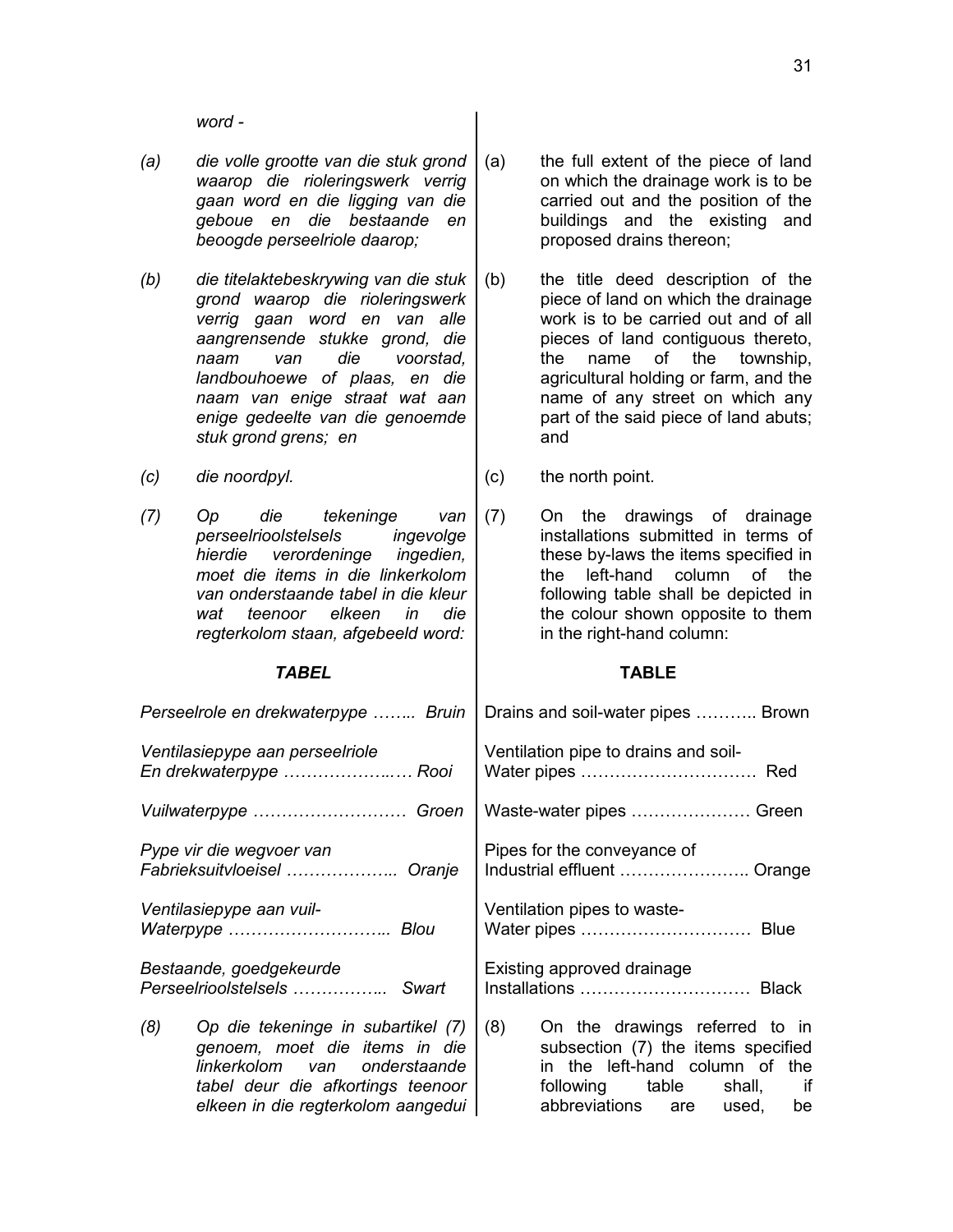31

*word -*

- *(a) die volle grootte van die stuk grond waarop die rioleringswerk verrig gaan word en die ligging van die geboue en die bestaande en beoogde perseelriole daarop;*
- *(b) die titelaktebeskrywing van die stuk grond waarop die rioleringswerk verrig gaan word en van alle aangrensende stukke grond, die naam van die voorstad, landbouhoewe of plaas, en die naam van enige straat wat aan enige gedeelte van die genoemde stuk grond grens; en*
- 
- *(7) Op die tekeninge van perseelrioolstelsels ingevolge hierdie verordeninge ingedien, moet die items in die linkerkolom van onderstaande tabel in die kleur wat teenoor elkeen in die regterkolom staan, afgebeeld word:*

*elkeen in die regterkolom aangedui*

- (a) the full extent of the piece of land on which the drainage work is to be carried out and the position of the buildings and the existing and proposed drains thereon;
- (b) the title deed description of the piece of land on which the drainage work is to be carried out and of all pieces of land contiguous thereto, the name of the township, agricultural holding or farm, and the name of any street on which any part of the said piece of land abuts; and
- *(c) die noordpyl.* (c) the north point.

(7) On the drawings of drainage installations submitted in terms of these by-laws the items specified in the left-hand column of the following table shall be depicted in the colour shown opposite to them in the right-hand column:

# *TABEL* **TABLE**

abbreviations are used, be

| Perseelrole en drekwaterpype  Bruin | Drains and soil-water pipes  Brown   |  |  |
|-------------------------------------|--------------------------------------|--|--|
| Ventilasiepype aan perseelriole     | Ventilation pipe to drains and soil- |  |  |
| En drekwaterpype  Rooi              |                                      |  |  |
| Vuilwaterpype  Groen                | Waste-water pipes  Green             |  |  |
| Pype vir die wegvoer van            | Pipes for the conveyance of          |  |  |
| Fabrieksuitvloeisel  Oranje         | Industrial effluent  Orange          |  |  |
| Ventilasiepype aan vuil-            | Ventilation pipes to waste-          |  |  |
| Waterpype  Blou                     |                                      |  |  |
| Bestaande, goedgekeurde             | Existing approved drainage           |  |  |
| Perseelrioolstelsels  Swart         |                                      |  |  |
| (8)                                 | (8)                                  |  |  |
| Op die tekeninge in subartikel (7)  | On the drawings referred to in       |  |  |
| genoem, moet die items in die       | subsection (7) the items specified   |  |  |
| linkerkolom van onderstaande        | in the left-hand column of the       |  |  |
| tabel deur die afkortings teenoor   | following table shall, if            |  |  |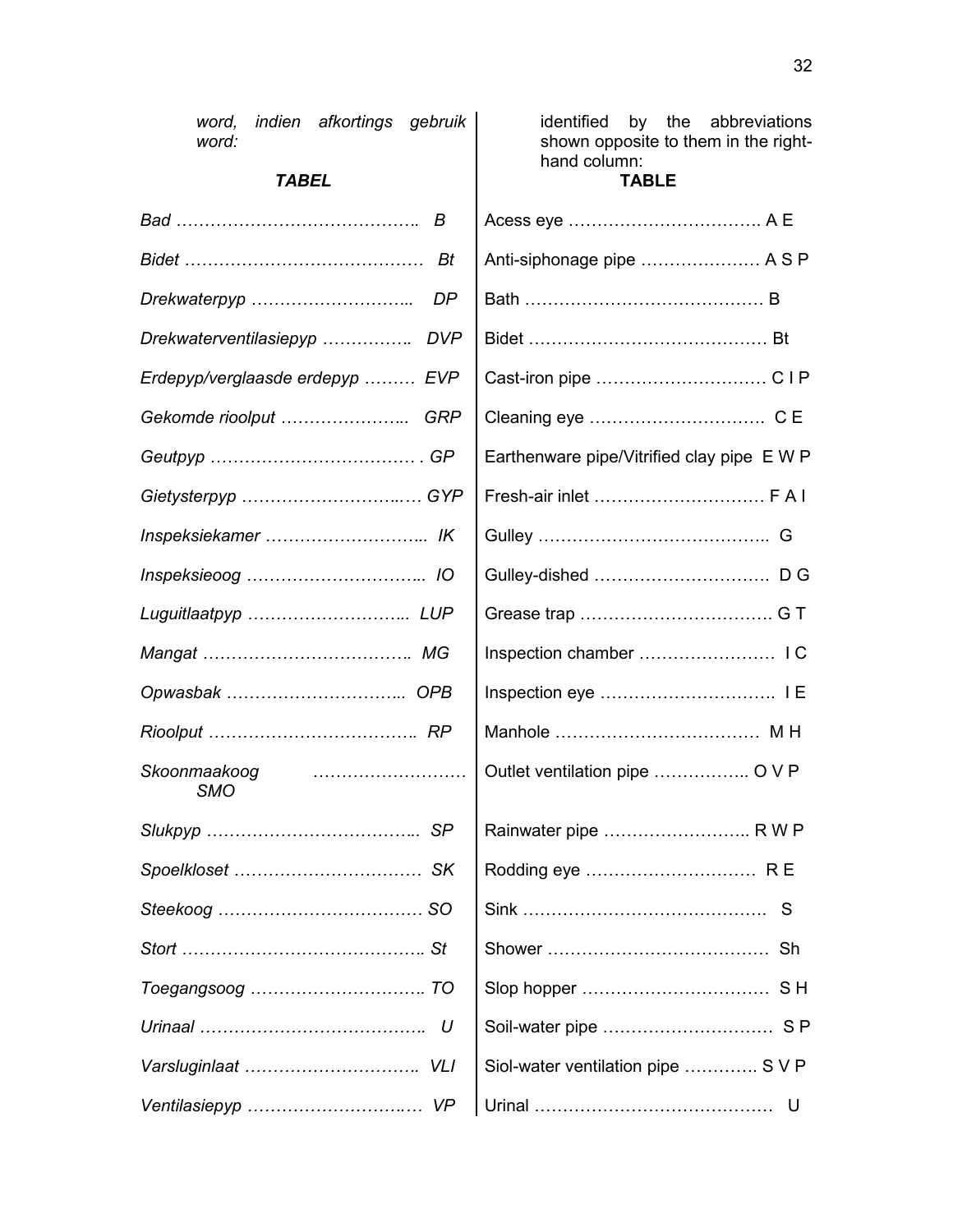| woru.                           | shown opposite to them in the right-<br>hand column:<br><b>TABLE</b> |  |  |
|---------------------------------|----------------------------------------------------------------------|--|--|
| <b>TABEL</b>                    |                                                                      |  |  |
| B                               |                                                                      |  |  |
| Bt                              | Anti-siphonage pipe  A S P                                           |  |  |
| Drekwaterpyp<br>DP              |                                                                      |  |  |
| Drekwaterventilasiepyp  DVP     |                                                                      |  |  |
| Erdepyp/verglaasde erdepyp  EVP |                                                                      |  |  |
| Gekomde rioolput  GRP           |                                                                      |  |  |
|                                 | Earthenware pipe/Vitrified clay pipe E W P                           |  |  |
| Gietysterpyp  GYP               |                                                                      |  |  |
|                                 |                                                                      |  |  |
|                                 |                                                                      |  |  |
|                                 |                                                                      |  |  |
|                                 |                                                                      |  |  |
|                                 |                                                                      |  |  |
|                                 |                                                                      |  |  |
| Skoonmaakoog<br><b>SMO</b>      | Outlet ventilation pipe  O V P                                       |  |  |
|                                 | Rainwater pipe  R W P                                                |  |  |
|                                 |                                                                      |  |  |
|                                 | S                                                                    |  |  |
|                                 |                                                                      |  |  |
|                                 |                                                                      |  |  |
|                                 |                                                                      |  |  |
|                                 | Siol-water ventilation pipe  S V P                                   |  |  |
|                                 | U                                                                    |  |  |

identified by the abbreviations shown opposite to them in the right-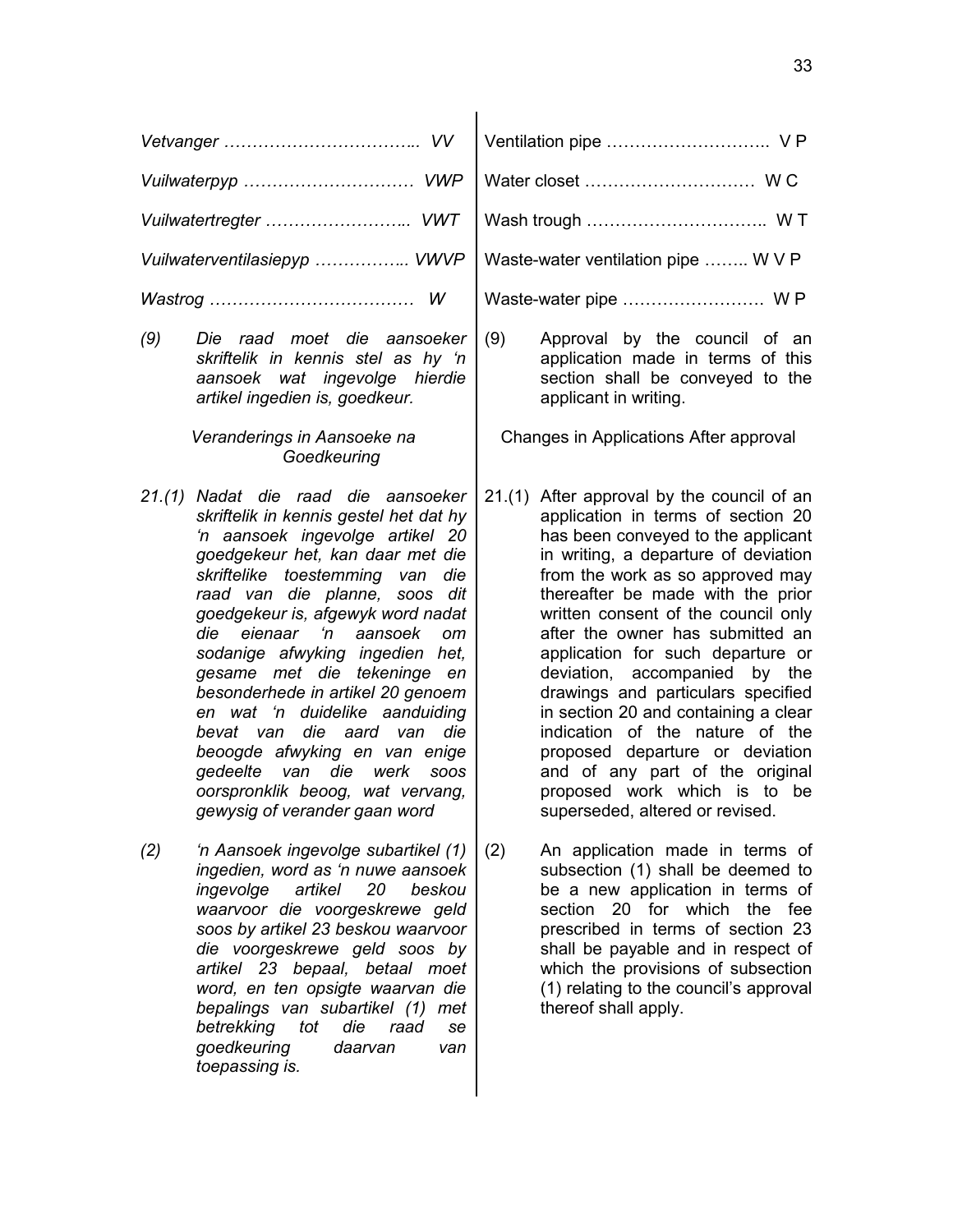| Vuilwaterpyp  VWP            |                                                                                                                                                                                                                                                                                                                                                                                                                                                                                                                                                                                                                                                   |        |                                                                                                                                                                                                                                                                                                                                                                                                                                                                                                                                                                                                                                             |  |  |
|------------------------------|---------------------------------------------------------------------------------------------------------------------------------------------------------------------------------------------------------------------------------------------------------------------------------------------------------------------------------------------------------------------------------------------------------------------------------------------------------------------------------------------------------------------------------------------------------------------------------------------------------------------------------------------------|--------|---------------------------------------------------------------------------------------------------------------------------------------------------------------------------------------------------------------------------------------------------------------------------------------------------------------------------------------------------------------------------------------------------------------------------------------------------------------------------------------------------------------------------------------------------------------------------------------------------------------------------------------------|--|--|
| Vuilwatertregter  VWT        |                                                                                                                                                                                                                                                                                                                                                                                                                                                                                                                                                                                                                                                   |        |                                                                                                                                                                                                                                                                                                                                                                                                                                                                                                                                                                                                                                             |  |  |
| Vuilwaterventilasiepyp  VWVP |                                                                                                                                                                                                                                                                                                                                                                                                                                                                                                                                                                                                                                                   |        | Waste-water ventilation pipe  W V P                                                                                                                                                                                                                                                                                                                                                                                                                                                                                                                                                                                                         |  |  |
|                              | W                                                                                                                                                                                                                                                                                                                                                                                                                                                                                                                                                                                                                                                 |        |                                                                                                                                                                                                                                                                                                                                                                                                                                                                                                                                                                                                                                             |  |  |
| (9)                          | Die raad moet die aansoeker<br>skriftelik in kennis stel as hy 'n<br>aansoek wat ingevolge hierdie<br>artikel ingedien is, goedkeur.                                                                                                                                                                                                                                                                                                                                                                                                                                                                                                              | (9)    | Approval by the council of an<br>application made in terms of this<br>section shall be conveyed to the<br>applicant in writing.                                                                                                                                                                                                                                                                                                                                                                                                                                                                                                             |  |  |
|                              | Veranderings in Aansoeke na<br>Goedkeuring                                                                                                                                                                                                                                                                                                                                                                                                                                                                                                                                                                                                        |        | Changes in Applications After approval                                                                                                                                                                                                                                                                                                                                                                                                                                                                                                                                                                                                      |  |  |
|                              | 21.(1) Nadat die raad die aansoeker<br>skriftelik in kennis gestel het dat hy<br>'n aansoek ingevolge artikel 20<br>goedgekeur het, kan daar met die<br>skriftelike toestemming van<br>die<br>raad van die planne, soos dit<br>goedgekeur is, afgewyk word nadat<br>eienaar 'n<br>aansoek<br>die<br><sub>om</sub><br>sodanige afwyking ingedien het,<br>gesame met die tekeninge<br>en<br>besonderhede in artikel 20 genoem<br>en wat 'n duidelike aanduiding<br>die<br>aard van<br>die<br>bevat van<br>beoogde afwyking en van enige<br>gedeelte van<br>die<br>werk<br>SOOS<br>oorspronklik beoog, wat vervang,<br>gewysig of verander gaan word | 21.(1) | After approval by the council of an<br>application in terms of section 20<br>has been conveyed to the applicant<br>in writing, a departure of deviation<br>from the work as so approved may<br>thereafter be made with the prior<br>written consent of the council only<br>after the owner has submitted an<br>application for such departure or<br>deviation, accompanied by the<br>drawings and particulars specified<br>in section 20 and containing a clear<br>indication of the nature of the<br>proposed departure or deviation<br>and of any part of the original<br>proposed work which is to be<br>superseded, altered or revised. |  |  |
| (2)                          | 'n Aansoek ingevolge subartikel (1)<br>ingedien, word as 'n nuwe aansoek<br>artikel<br>beskou<br>ingevolge<br>20<br>waarvoor die voorgeskrewe geld<br>soos by artikel 23 beskou waarvoor<br>die voorgeskrewe geld soos by<br>artikel 23 bepaal, betaal moet<br>word, en ten opsigte waarvan die<br>bepalings van subartikel (1) met<br>betrekking<br>tot<br>die<br>raad<br>se<br>goedkeuring<br>daarvan<br>van<br>toepassing is.                                                                                                                                                                                                                  | (2)    | An application made in terms of<br>subsection (1) shall be deemed to<br>be a new application in terms of<br>section 20 for which<br>the<br>fee<br>prescribed in terms of section 23<br>shall be payable and in respect of<br>which the provisions of subsection<br>(1) relating to the council's approval<br>thereof shall apply.                                                                                                                                                                                                                                                                                                           |  |  |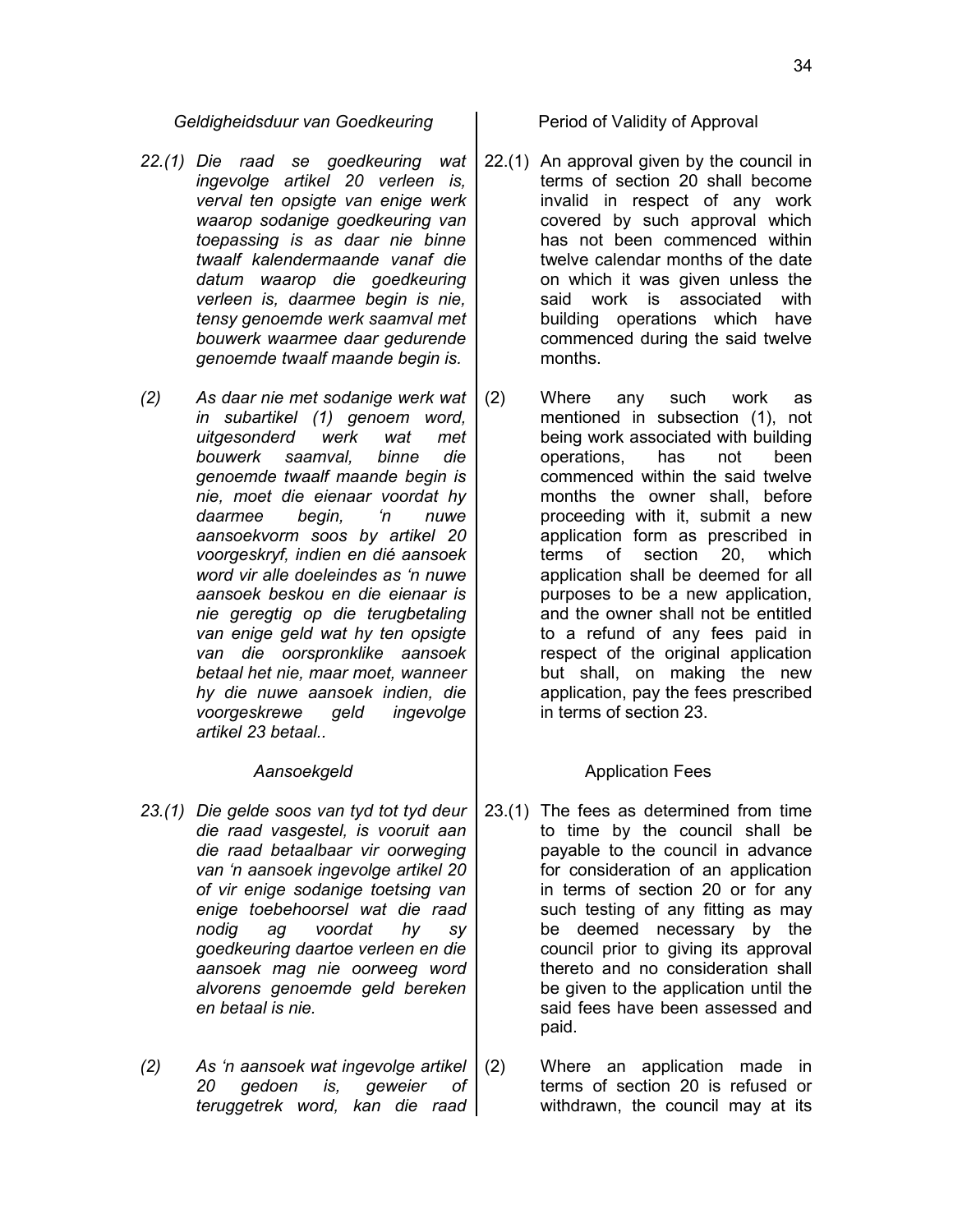*Geldigheidsduur van Goedkeuring* | Period of Validity of Approval

- *22.(1) Die raad se goedkeuring wat ingevolge artikel 20 verleen is, verval ten opsigte van enige werk waarop sodanige goedkeuring van toepassing is as daar nie binne twaalf kalendermaande vanaf die datum waarop die goedkeuring verleen is, daarmee begin is nie, tensy genoemde werk saamval met bouwerk waarmee daar gedurende genoemde twaalf maande begin is.*
- *(2) As daar nie met sodanige werk wat in subartikel (1) genoem word, uitgesonderd werk wat met bouwerk saamval, binne die genoemde twaalf maande begin is nie, moet die eienaar voordat hy daarmee begin, 'n nuwe aansoekvorm soos by artikel 20 voorgeskryf, indien en dié aansoek word vir alle doeleindes as 'n nuwe aansoek beskou en die eienaar is nie geregtig op die terugbetaling van enige geld wat hy ten opsigte van die oorspronklike aansoek betaal het nie, maar moet, wanneer hy die nuwe aansoek indien, die voorgeskrewe geld ingevolge artikel 23 betaal..*

- *23.(1) Die gelde soos van tyd tot tyd deur die raad vasgestel, is vooruit aan die raad betaalbaar vir oorweging van 'n aansoek ingevolge artikel 20 of vir enige sodanige toetsing van enige toebehoorsel wat die raad nodig ag voordat hy sy goedkeuring daartoe verleen en die aansoek mag nie oorweeg word alvorens genoemde geld bereken en betaal is nie.*
- *(2) As 'n aansoek wat ingevolge artikel 20 gedoen is, geweier of teruggetrek word, kan die raad*

- 22.(1) An approval given by the council in terms of section 20 shall become invalid in respect of any work covered by such approval which has not been commenced within twelve calendar months of the date on which it was given unless the said work is associated with building operations which have commenced during the said twelve months.
- (2) Where any such work as mentioned in subsection (1), not being work associated with building operations, has not been commenced within the said twelve months the owner shall, before proceeding with it, submit a new application form as prescribed in terms of section 20, which application shall be deemed for all purposes to be a new application, and the owner shall not be entitled to a refund of any fees paid in respect of the original application but shall, on making the new application, pay the fees prescribed in terms of section 23.

# Aansoekgeld and **Application Fees**

- 23.(1) The fees as determined from time to time by the council shall be payable to the council in advance for consideration of an application in terms of section 20 or for any such testing of any fitting as may be deemed necessary by the council prior to giving its approval thereto and no consideration shall be given to the application until the said fees have been assessed and paid.
- (2) Where an application made in terms of section 20 is refused or withdrawn, the council may at its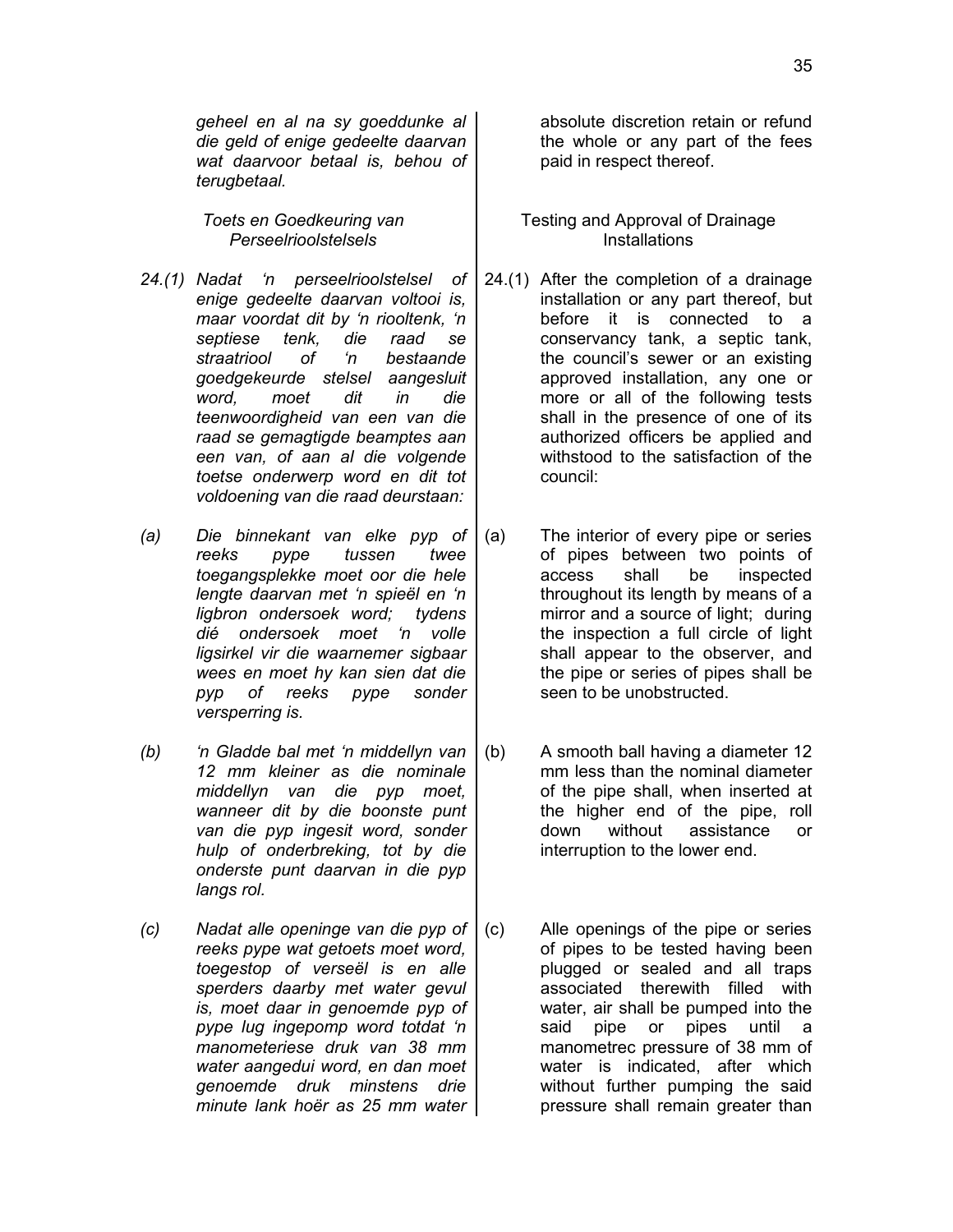*geheel en al na sy goeddunke al die geld of enige gedeelte daarvan wat daarvoor betaal is, behou of terugbetaal.*

*Toets en Goedkeuring van Perseelrioolstelsels*

- *24.(1) Nadat 'n perseelrioolstelsel of enige gedeelte daarvan voltooi is, maar voordat dit by 'n riooltenk, 'n septiese tenk, die raad se straatriool of 'n bestaande goedgekeurde stelsel aangesluit word, moet dit in die teenwoordigheid van een van die raad se gemagtigde beamptes aan een van, of aan al die volgende toetse onderwerp word en dit tot voldoening van die raad deurstaan:*
- *(a) Die binnekant van elke pyp of reeks pype tussen twee toegangsplekke moet oor die hele lengte daarvan met 'n spieël en 'n ligbron ondersoek word; tydens dié ondersoek moet 'n volle ligsirkel vir die waarnemer sigbaar wees en moet hy kan sien dat die pyp of reeks pype sonder versperring is.*
- *(b) 'n Gladde bal met 'n middellyn van 12 mm kleiner as die nominale middellyn van die pyp moet, wanneer dit by die boonste punt van die pyp ingesit word, sonder hulp of onderbreking, tot by die onderste punt daarvan in die pyp langs rol.*
- *(c) Nadat alle openinge van die pyp of reeks pype wat getoets moet word, toegestop of verseël is en alle sperders daarby met water gevul is, moet daar in genoemde pyp of pype lug ingepomp word totdat 'n manometeriese druk van 38 mm water aangedui word, en dan moet genoemde druk minstens drie minute lank hoër as 25 mm water*

absolute discretion retain or refund the whole or any part of the fees paid in respect thereof.

Testing and Approval of Drainage **Installations** 

- 24.(1) After the completion of a drainage installation or any part thereof, but before it is connected to a conservancy tank, a septic tank, the council's sewer or an existing approved installation, any one or more or all of the following tests shall in the presence of one of its authorized officers be applied and withstood to the satisfaction of the council:
- (a) The interior of every pipe or series of pipes between two points of access shall be inspected throughout its length by means of a mirror and a source of light; during the inspection a full circle of light shall appear to the observer, and the pipe or series of pipes shall be seen to be unobstructed.
- (b) A smooth ball having a diameter 12 mm less than the nominal diameter of the pipe shall, when inserted at the higher end of the pipe, roll down without assistance or interruption to the lower end.
- (c) Alle openings of the pipe or series of pipes to be tested having been plugged or sealed and all traps associated therewith filled with water, air shall be pumped into the said pipe or pipes until a manometrec pressure of 38 mm of water is indicated, after which without further pumping the said pressure shall remain greater than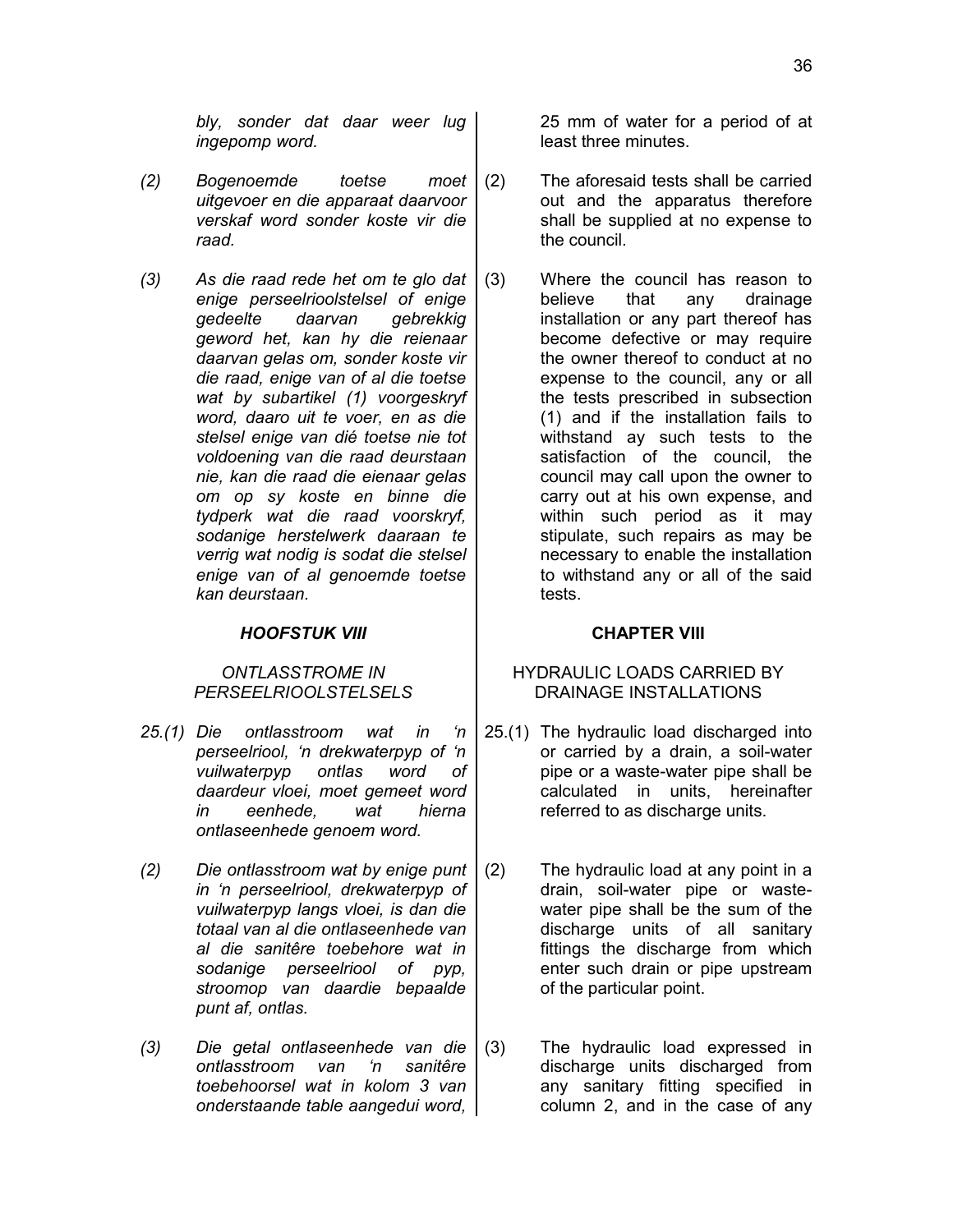*bly, sonder dat daar weer lug ingepomp word.*

- *(2) Bogenoemde toetse moet uitgevoer en die apparaat daarvoor verskaf word sonder koste vir die raad.*
- *(3) As die raad rede het om te glo dat enige perseelrioolstelsel of enige gedeelte daarvan gebrekkig geword het, kan hy die reienaar daarvan gelas om, sonder koste vir die raad, enige van of al die toetse wat by subartikel (1) voorgeskryf word, daaro uit te voer, en as die stelsel enige van dié toetse nie tot voldoening van die raad deurstaan nie, kan die raad die eienaar gelas om op sy koste en binne die tydperk wat die raad voorskryf, sodanige herstelwerk daaraan te verrig wat nodig is sodat die stelsel enige van of al genoemde toetse kan deurstaan.*

# *HOOFSTUK VIII* **CHAPTER VIII**

# *ONTLASSTROME IN PERSEELRIOOLSTELSELS*

- *25.(1) Die ontlasstroom wat in 'n perseelriool, 'n drekwaterpyp of 'n vuilwaterpyp ontlas word of daardeur vloei, moet gemeet word in eenhede, wat hierna ontlaseenhede genoem word.*
- *(2) Die ontlasstroom wat by enige punt in 'n perseelriool, drekwaterpyp of vuilwaterpyp langs vloei, is dan die totaal van al die ontlaseenhede van al die sanitêre toebehore wat in sodanige perseelriool of pyp, stroomop van daardie bepaalde punt af, ontlas.*
- *(3) Die getal ontlaseenhede van die ontlasstroom van 'n sanitêre toebehoorsel wat in kolom 3 van onderstaande table aangedui word,*

25 mm of water for a period of at least three minutes.

- (2) The aforesaid tests shall be carried out and the apparatus therefore shall be supplied at no expense to the council.
- (3) Where the council has reason to believe that any drainage installation or any part thereof has become defective or may require the owner thereof to conduct at no expense to the council, any or all the tests prescribed in subsection (1) and if the installation fails to withstand ay such tests to the satisfaction of the council, the council may call upon the owner to carry out at his own expense, and within such period as it may stipulate, such repairs as may be necessary to enable the installation to withstand any or all of the said tests.

# HYDRAULIC LOADS CARRIED BY DRAINAGE INSTALLATIONS

- 25.(1) The hydraulic load discharged into or carried by a drain, a soil-water pipe or a waste-water pipe shall be calculated in units, hereinafter referred to as discharge units.
- (2) The hydraulic load at any point in a drain, soil-water pipe or wastewater pipe shall be the sum of the discharge units of all sanitary fittings the discharge from which enter such drain or pipe upstream of the particular point.
- (3) The hydraulic load expressed in discharge units discharged from any sanitary fitting specified in column 2, and in the case of any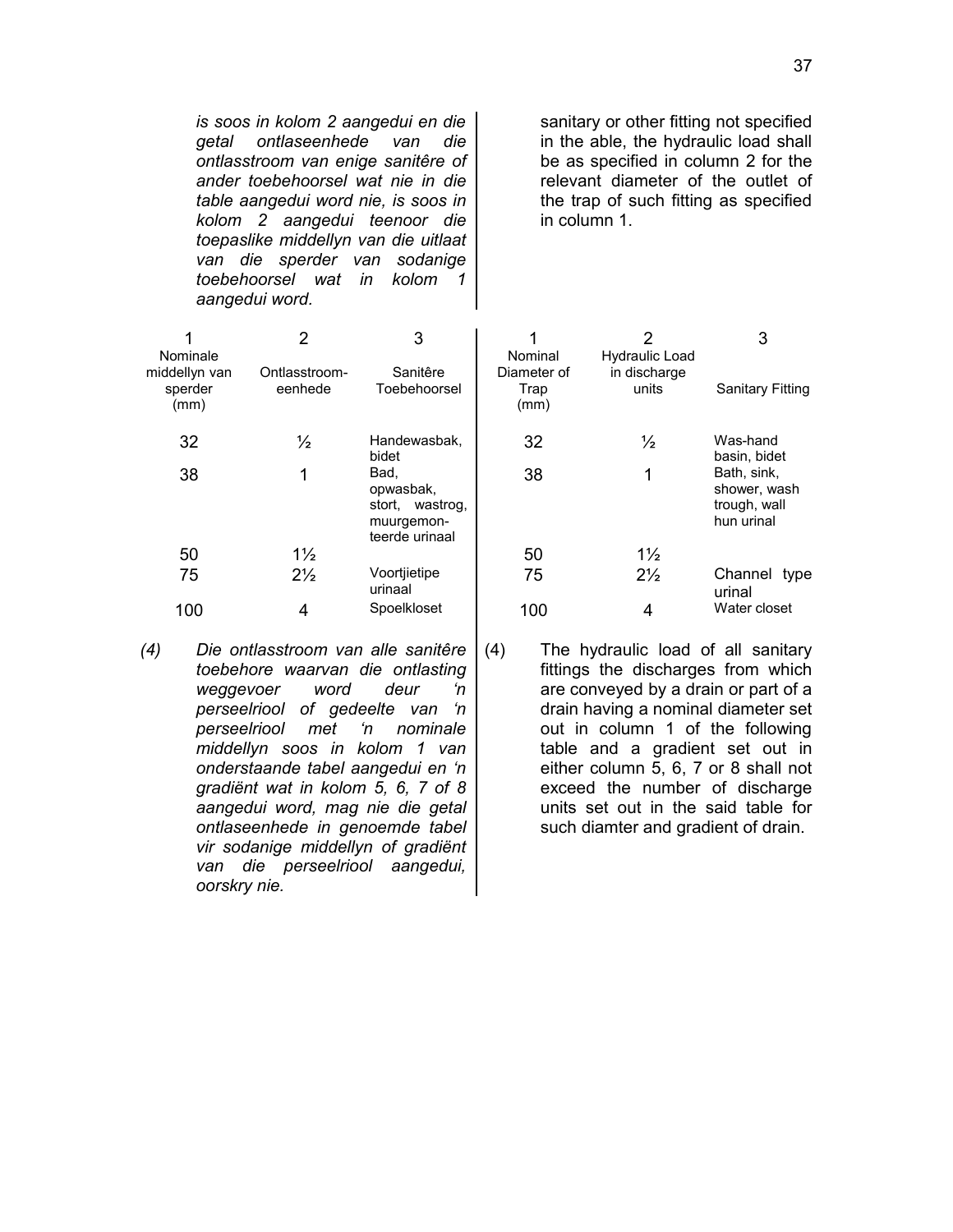*is soos in kolom 2 aangedui en die getal ontlaseenhede van die ontlasstroom van enige sanitêre of ander toebehoorsel wat nie in die table aangedui word nie, is soos in kolom 2 aangedui teenoor die toepaslike middellyn van die uitlaat van die sperder van sodanige toebehoorsel wat in kolom 1 aangedui word.*

sanitary or other fitting not specified in the able, the hydraulic load shall be as specified in column 2 for the relevant diameter of the outlet of the trap of such fitting as specified in column 1.

| Nominale<br>middellyn van | 2<br>Ontlasstroom- | 3<br>Sanitêre                                                        | Nominal<br>Diameter of | 2<br><b>Hydraulic Load</b><br>in discharge | 3                                                         |  |
|---------------------------|--------------------|----------------------------------------------------------------------|------------------------|--------------------------------------------|-----------------------------------------------------------|--|
| sperder<br>(mm)           | eenhede            | Toebehoorsel                                                         | Trap<br>(mm)           | units                                      | <b>Sanitary Fitting</b>                                   |  |
| 32                        | $\frac{1}{2}$      | Handewasbak,<br>bidet                                                | 32                     | $\frac{1}{2}$                              | Was-hand<br>basin, bidet                                  |  |
| 38                        |                    | Bad,<br>opwasbak,<br>stort, wastrog,<br>muurgemon-<br>teerde urinaal | 38                     | 1                                          | Bath, sink,<br>shower, wash<br>trough, wall<br>hun urinal |  |
| 50                        | $1\frac{1}{2}$     |                                                                      | 50                     | $1\frac{1}{2}$                             |                                                           |  |
| 75                        | $2\frac{1}{2}$     | Voortjietipe<br>urinaal                                              | 75                     | $2\frac{1}{2}$                             | Channel type<br>urinal                                    |  |
| 100                       | 4                  | Spoelkloset                                                          | 100                    | 4                                          | Water closet                                              |  |

*(4) Die ontlasstroom van alle sanitêre toebehore waarvan die ontlasting weggevoer word deur 'n perseelriool of gedeelte van 'n perseelriool met 'n nominale middellyn soos in kolom 1 van onderstaande tabel aangedui en 'n gradiënt wat in kolom 5, 6, 7 of 8 aangedui word, mag nie die getal ontlaseenhede in genoemde tabel vir sodanige middellyn of gradiënt van die perseelriool aangedui, oorskry nie.*

(4) The hydraulic load of all sanitary fittings the discharges from which are conveyed by a drain or part of a drain having a nominal diameter set out in column 1 of the following table and a gradient set out in either column 5, 6, 7 or 8 shall not exceed the number of discharge units set out in the said table for such diamter and gradient of drain.

37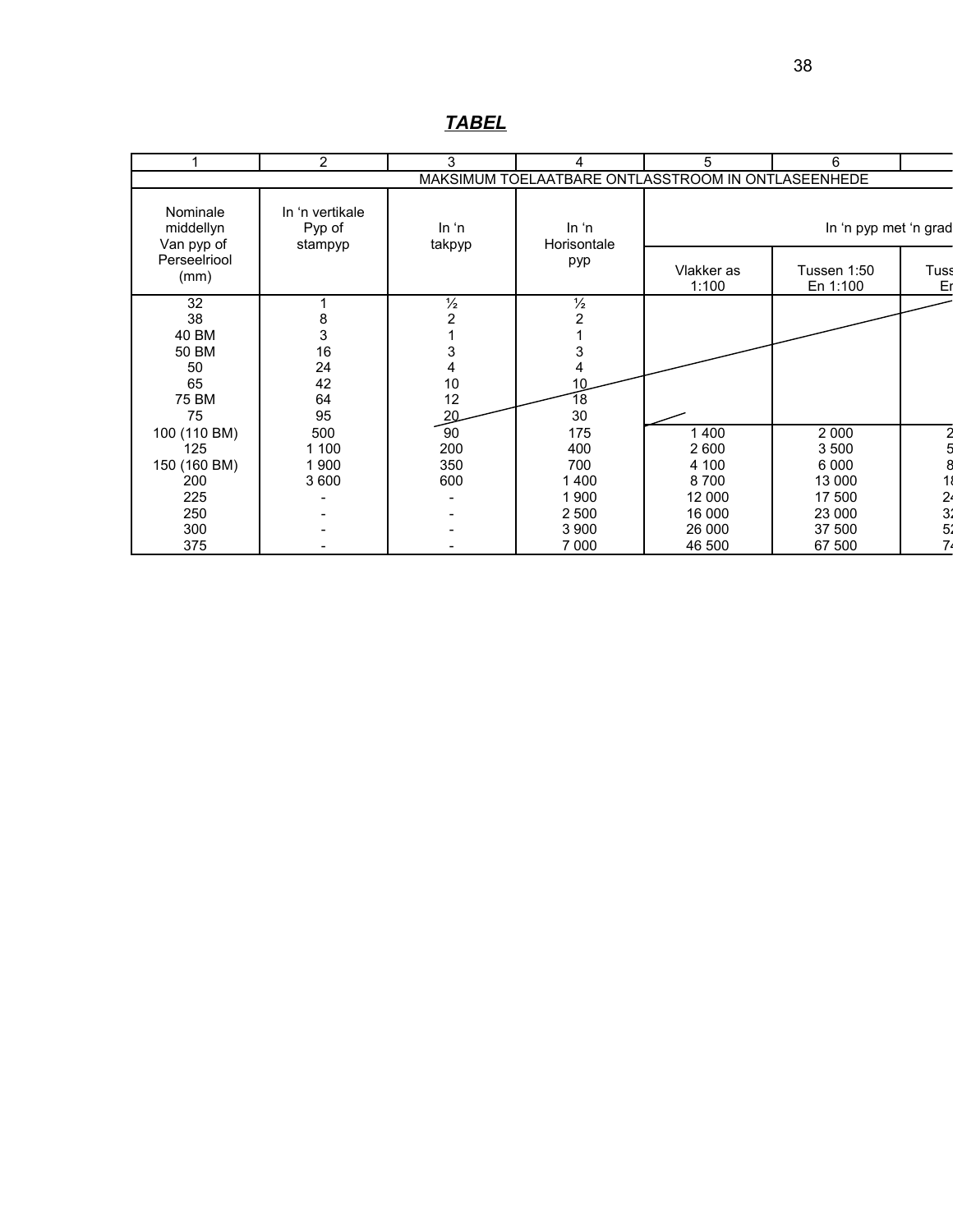|                                     | $\overline{2}$                       | 3               | 4                               | 5                                                  | 6                       |                                 |
|-------------------------------------|--------------------------------------|-----------------|---------------------------------|----------------------------------------------------|-------------------------|---------------------------------|
|                                     |                                      |                 |                                 | MAKSIMUM TOELAATBARE ONTLASSTROOM IN ONTLASEENHEDE |                         |                                 |
| Nominale<br>middellyn<br>Van pyp of | In 'n vertikale<br>Pyp of<br>stampyp | ln 'n<br>takpyp | In <sup>'n</sup><br>Horisontale |                                                    | In 'n pyp met 'n grad   |                                 |
| Perseelriool<br>(mm)                |                                      |                 | pyp                             | Vlakker as<br>1:100                                | Tussen 1:50<br>En 1:100 | Tuss<br>Er                      |
| 32                                  |                                      | $\frac{1}{2}$   | $\frac{1}{2}$                   |                                                    |                         |                                 |
| 38                                  | 8                                    | 2               | $\overline{c}$                  |                                                    |                         |                                 |
| 40 BM                               | 3                                    |                 |                                 |                                                    |                         |                                 |
| 50 BM                               | 16                                   |                 | 3                               |                                                    |                         |                                 |
| 50                                  | 24                                   |                 | 4                               |                                                    |                         |                                 |
| 65                                  | 42                                   | 10              | 10                              |                                                    |                         |                                 |
| 75 BM                               | 64                                   | 12              | 18                              |                                                    |                         |                                 |
| 75                                  | 95                                   | 20              | 30                              |                                                    |                         |                                 |
| 100 (110 BM)                        | 500                                  | 90              | 175                             | 400                                                | 2 0 0 0                 |                                 |
| 125                                 | 1 100                                | 200             | 400                             | 2600                                               | 3 500                   |                                 |
| 150 (160 BM)                        | 1900                                 | 350             | 700                             | 4 100                                              | 6 0 0 0                 |                                 |
| 200                                 | 3 600                                | 600             | 1400                            | 8700                                               | 13 000                  |                                 |
| 225                                 |                                      |                 | 1900                            | 12 000                                             | 17 500                  |                                 |
| 250                                 |                                      |                 | 2 500                           | 16 000                                             | 23 000                  |                                 |
| 300                                 |                                      |                 | 3 900                           | 26 000                                             | 37 500                  | 2<br>2<br>3<br>3<br>3<br>2<br>3 |
| 375                                 |                                      |                 | 7 0 0 0                         | 46 500                                             | 67 500                  |                                 |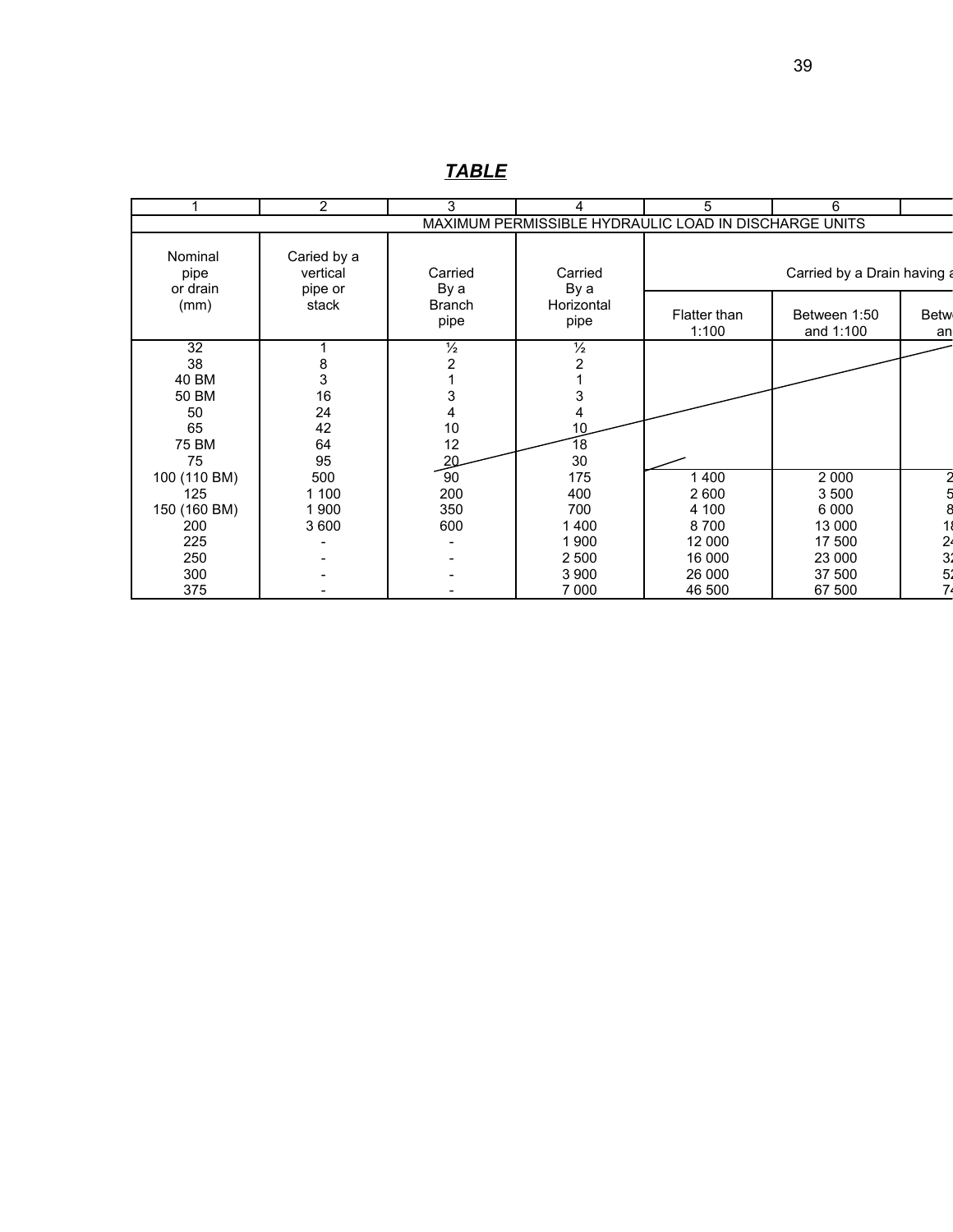|                             | $\overline{2}$                     | 3                                  | 4                                                     | 5                     | 6                           |                     |
|-----------------------------|------------------------------------|------------------------------------|-------------------------------------------------------|-----------------------|-----------------------------|---------------------|
|                             |                                    |                                    | MAXIMUM PERMISSIBLE HYDRAULIC LOAD IN DISCHARGE UNITS |                       |                             |                     |
| Nominal<br>pipe<br>or drain | Caried by a<br>vertical<br>pipe or | Carried<br>Carried<br>By a<br>By a |                                                       |                       | Carried by a Drain having a |                     |
| (mm)                        | stack                              | <b>Branch</b><br>pipe              | Horizontal<br>pipe                                    | Flatter than<br>1:100 | Between 1:50<br>and 1:100   | <b>Betw</b><br>an   |
| 32                          | 1                                  | $\frac{1}{2}$                      | $\frac{1}{2}$                                         |                       |                             |                     |
| 38                          | $\frac{8}{3}$                      |                                    | $\overline{\mathbf{c}}$                               |                       |                             |                     |
| 40 BM                       |                                    |                                    |                                                       |                       |                             |                     |
| 50 BM                       | 16                                 |                                    | 3                                                     |                       |                             |                     |
| 50                          | 24                                 |                                    | 4                                                     |                       |                             |                     |
| 65                          | 42                                 | 10                                 | 10                                                    |                       |                             |                     |
| 75 BM                       | 64                                 | 12                                 | 18                                                    |                       |                             |                     |
| 75                          | 95                                 | 20                                 | 30                                                    |                       |                             |                     |
| 100 (110 BM)                | 500                                | 90                                 | 175                                                   | 1 400                 | 2 0 0 0                     |                     |
| 125                         | 1 100                              | 200                                | 400                                                   | 2 600                 | 3 500                       |                     |
| 150 (160 BM)                | 1 900                              | 350                                | 700                                                   | 4 100                 | 6 0 0 0                     |                     |
| 200                         | 3 600                              | 600                                | 1400                                                  | 8700                  | 13 000                      |                     |
| 225                         |                                    |                                    | 1 900                                                 | 12 000                | 17 500                      |                     |
| 250                         |                                    |                                    | 2 500                                                 | 16 000                | 23 000                      | $\frac{2}{3}$<br>5. |
| 300                         |                                    |                                    | 3 9 0 0                                               | 26 000                | 37 500                      |                     |
| 375                         |                                    |                                    | 7 0 0 0                                               | 46 500                | 67 500                      | 74                  |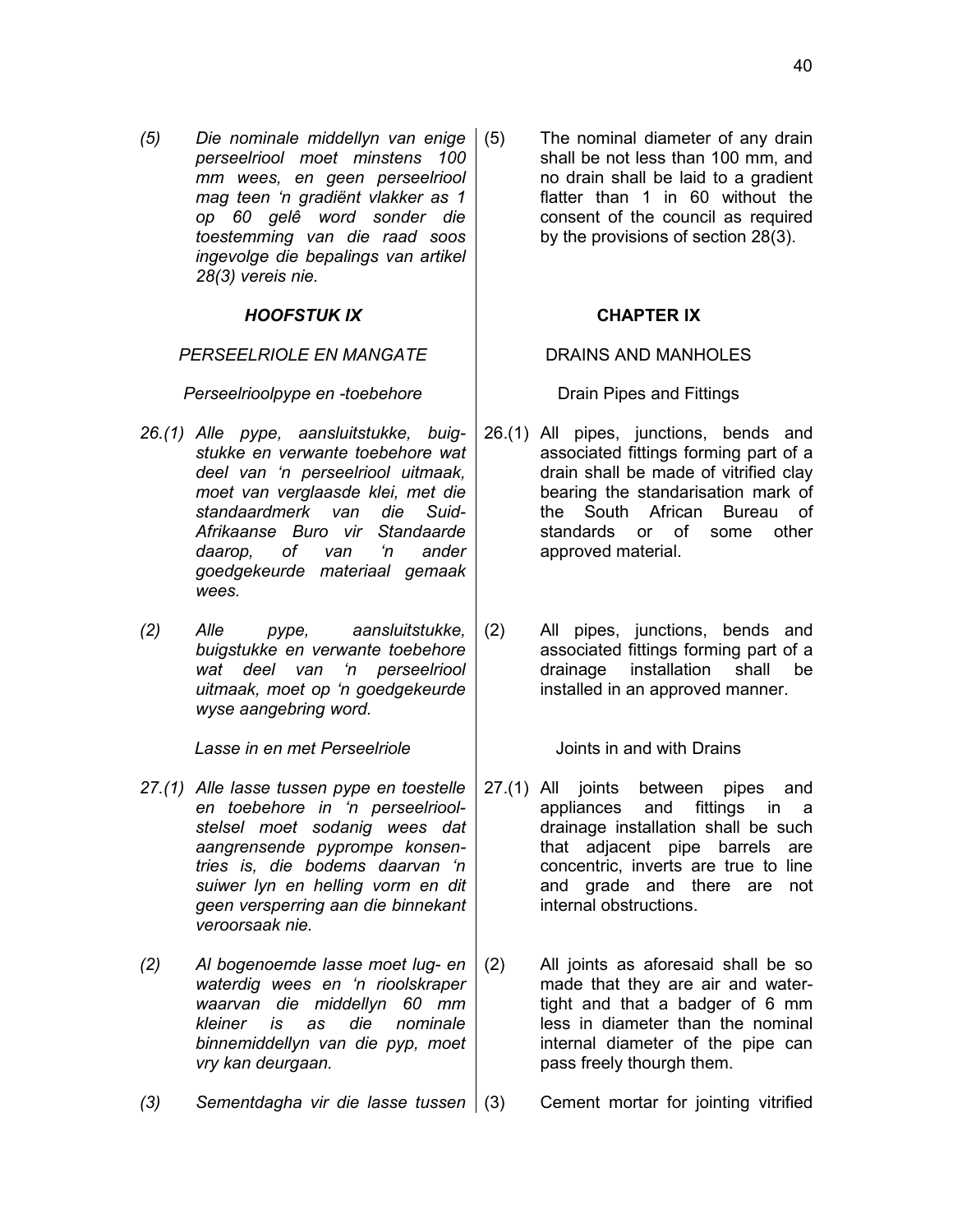*(5) Die nominale middellyn van enige perseelriool moet minstens 100 mm wees, en geen perseelriool mag teen 'n gradiënt vlakker as 1 op 60 gelê word sonder die toestemming van die raad soos ingevolge die bepalings van artikel 28(3) vereis nie.*

### *HOOFSTUK IX* **CHAPTER IX**

### *PERSEELRIOLE EN MANGATE* DRAINS AND MANHOLES

*Perseelrioolpype en -toebehore* **Drain Pipes and Fittings** 

- *26.(1) Alle pype, aansluitstukke, buigstukke en verwante toebehore wat deel van 'n perseelriool uitmaak, moet van verglaasde klei, met die standaardmerk van die Suid-Afrikaanse Buro vir Standaarde daarop, of van 'n ander goedgekeurde materiaal gemaak wees.*
- *(2) Alle pype, aansluitstukke, buigstukke en verwante toebehore wat deel van 'n perseelriool uitmaak, moet op 'n goedgekeurde wyse aangebring word.*

*Lasse in en met Perseelriole* Joints in and with Drains

- *27.(1) Alle lasse tussen pype en toestelle en toebehore in 'n perseelrioolstelsel moet sodanig wees dat aangrensende pyprompe konsentries is, die bodems daarvan 'n suiwer lyn en helling vorm en dit geen versperring aan die binnekant veroorsaak nie.*
- *(2) Al bogenoemde lasse moet lug- en waterdig wees en 'n rioolskraper waarvan die middellyn 60 mm kleiner is as die nominale binnemiddellyn van die pyp, moet vry kan deurgaan.*
- *(3) Sementdagha vir die lasse tussen* (3) Cement mortar for jointing vitrified

The nominal diameter of any drain shall be not less than 100 mm, and no drain shall be laid to a gradient flatter than 1 in 60 without the consent of the council as required by the provisions of section 28(3).

26.(1) All pipes, junctions, bends and associated fittings forming part of a drain shall be made of vitrified clay bearing the standarisation mark of the South African Bureau of standards or of some other approved material.

(2) All pipes, junctions, bends and associated fittings forming part of a drainage installation shall be installed in an approved manner.

- 27.(1) All joints between pipes and appliances and fittings in a drainage installation shall be such that adjacent pipe barrels are concentric, inverts are true to line and grade and there are not internal obstructions.
- (2) All joints as aforesaid shall be so made that they are air and watertight and that a badger of 6 mm less in diameter than the nominal internal diameter of the pipe can pass freely thourgh them.
	-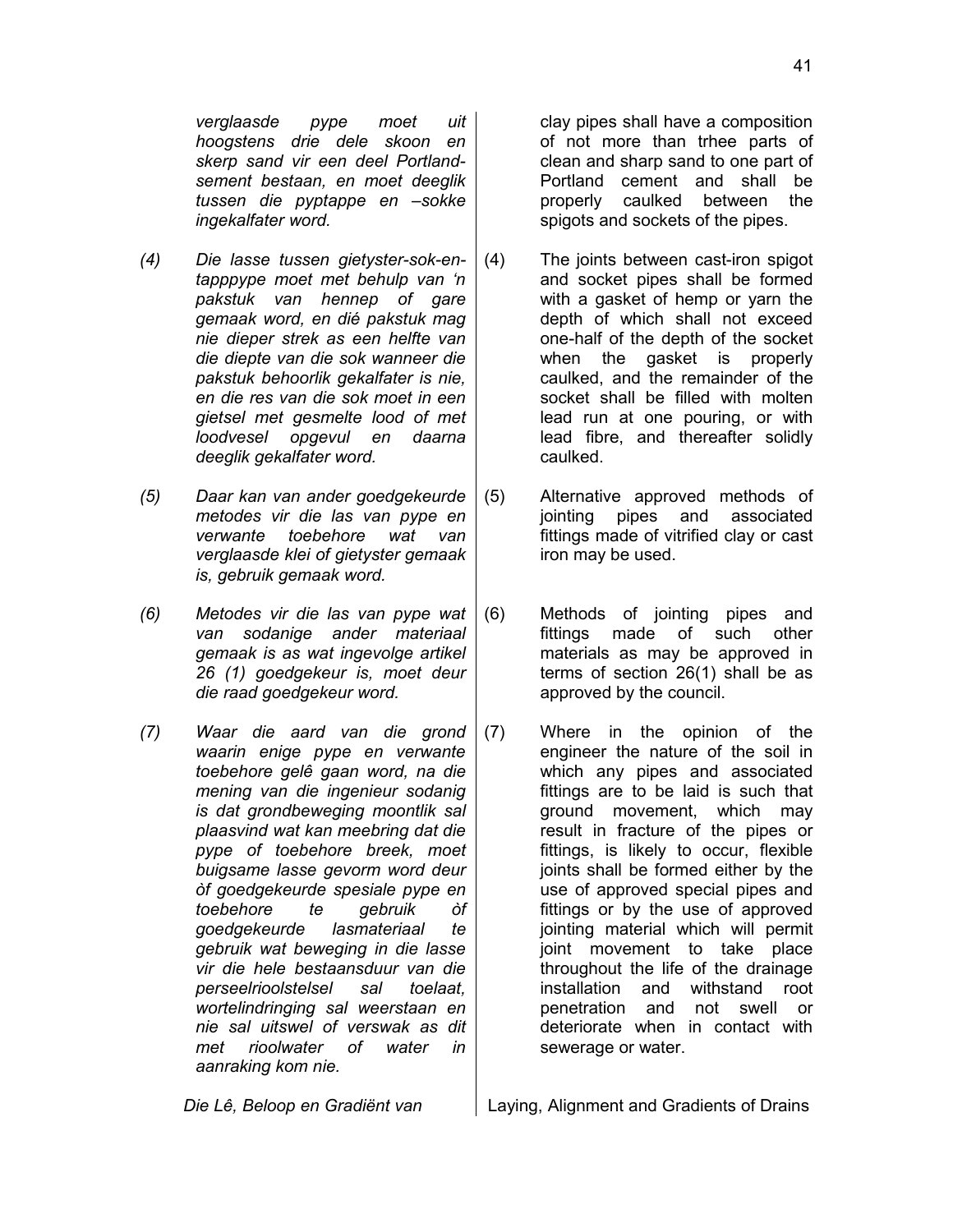*verglaasde pype moet uit hoogstens drie dele skoon en skerp sand vir een deel Portlandsement bestaan, en moet deeglik tussen die pyptappe en –sokke ingekalfater word.*

- *(4) Die lasse tussen gietyster-sok-entapppype moet met behulp van 'n pakstuk van hennep of gare gemaak word, en dié pakstuk mag nie dieper strek as een helfte van die diepte van die sok wanneer die pakstuk behoorlik gekalfater is nie, en die res van die sok moet in een gietsel met gesmelte lood of met loodvesel opgevul en daarna deeglik gekalfater word.*
- *(5) Daar kan van ander goedgekeurde metodes vir die las van pype en verwante toebehore wat van verglaasde klei of gietyster gemaak is, gebruik gemaak word.*
- *(6) Metodes vir die las van pype wat van sodanige ander materiaal gemaak is as wat ingevolge artikel 26 (1) goedgekeur is, moet deur die raad goedgekeur word.*
- *(7) Waar die aard van die grond waarin enige pype en verwante toebehore gelê gaan word, na die mening van die ingenieur sodanig is dat grondbeweging moontlik sal plaasvind wat kan meebring dat die pype of toebehore breek, moet buigsame lasse gevorm word deur òf goedgekeurde spesiale pype en toebehore te gebruik òf goedgekeurde lasmateriaal te gebruik wat beweging in die lasse vir die hele bestaansduur van die perseelrioolstelsel sal toelaat, wortelindringing sal weerstaan en nie sal uitswel of verswak as dit met rioolwater of water in aanraking kom nie.*

clay pipes shall have a composition of not more than trhee parts of clean and sharp sand to one part of Portland cement and shall be properly caulked between the spigots and sockets of the pipes.

- (4) The joints between cast-iron spigot and socket pipes shall be formed with a gasket of hemp or yarn the depth of which shall not exceed one-half of the depth of the socket when the gasket is properly caulked, and the remainder of the socket shall be filled with molten lead run at one pouring, or with lead fibre, and thereafter solidly caulked.
- (5) Alternative approved methods of jointing pipes and associated fittings made of vitrified clay or cast iron may be used.
- (6) Methods of jointing pipes and fittings made of such other materials as may be approved in terms of section 26(1) shall be as approved by the council.
- (7) Where in the opinion of the engineer the nature of the soil in which any pipes and associated fittings are to be laid is such that ground movement, which may result in fracture of the pipes or fittings, is likely to occur, flexible joints shall be formed either by the use of approved special pipes and fittings or by the use of approved jointing material which will permit joint movement to take place throughout the life of the drainage installation and withstand root penetration and not swell or deteriorate when in contact with sewerage or water.

*Die Lê, Beloop en Gradiënt van* Laying, Alignment and Gradients of Drains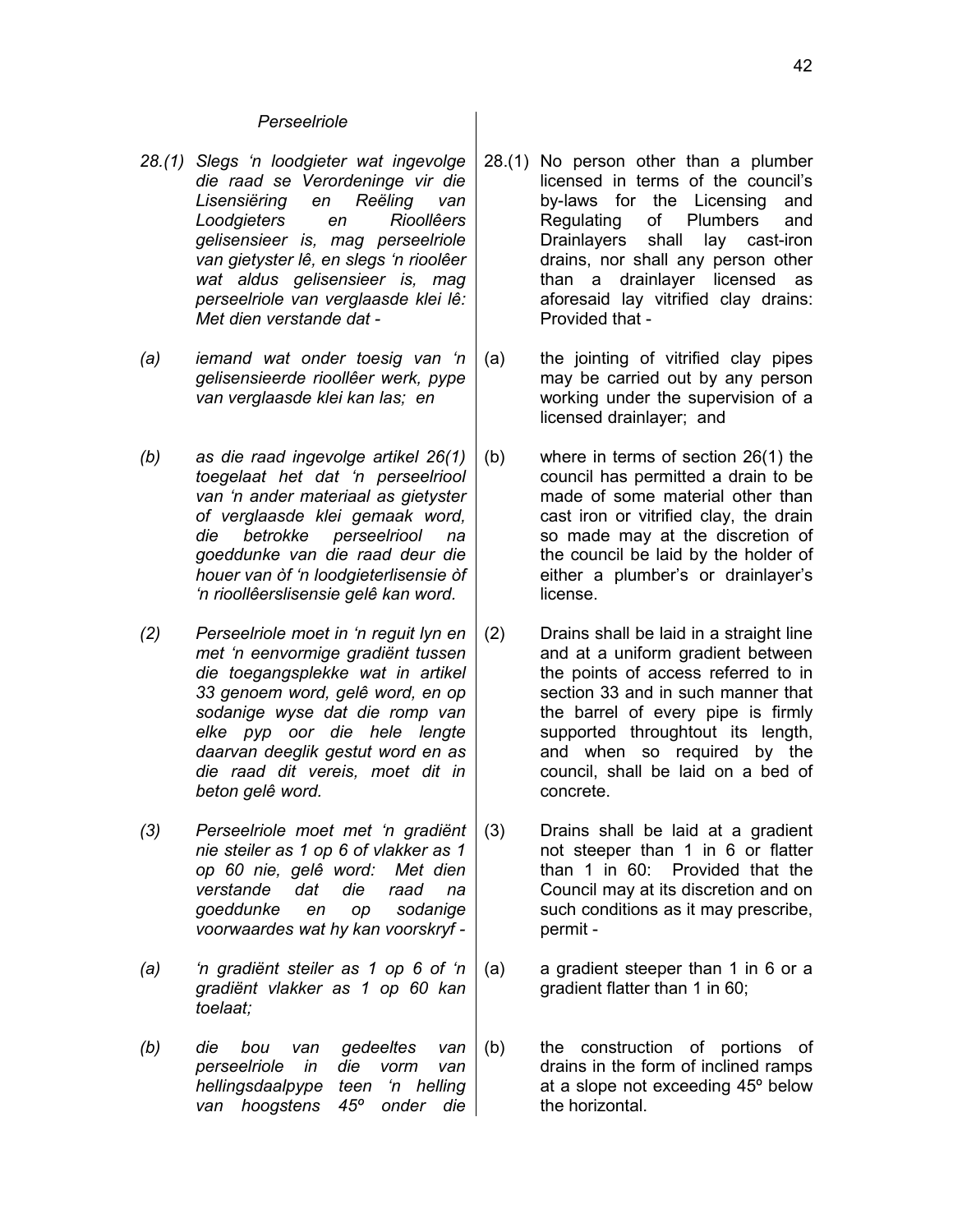### *Perseelriole*

- *28.(1) Slegs 'n loodgieter wat ingevolge die raad se Verordeninge vir die Lisensiëring en Reëling van Loodgieters en Rioollêers gelisensieer is, mag perseelriole van gietyster lê, en slegs 'n rioolêer wat aldus gelisensieer is, mag perseelriole van verglaasde klei lê: Met dien verstande dat -*
- *(a) iemand wat onder toesig van 'n gelisensieerde rioollêer werk, pype van verglaasde klei kan las; en*
- *(b) as die raad ingevolge artikel 26(1) toegelaat het dat 'n perseelriool van 'n ander materiaal as gietyster of verglaasde klei gemaak word, die betrokke perseelriool na goeddunke van die raad deur die houer van òf 'n loodgieterlisensie òf 'n rioollêerslisensie gelê kan word.*
- *(2) Perseelriole moet in 'n reguit lyn en met 'n eenvormige gradiënt tussen die toegangsplekke wat in artikel 33 genoem word, gelê word, en op sodanige wyse dat die romp van elke pyp oor die hele lengte daarvan deeglik gestut word en as die raad dit vereis, moet dit in beton gelê word.*
- *(3) Perseelriole moet met 'n gradiënt nie steiler as 1 op 6 of vlakker as 1 op 60 nie, gelê word: Met dien verstande dat die raad na goeddunke en op sodanige voorwaardes wat hy kan voorskryf -*
- *(a) 'n gradiënt steiler as 1 op 6 of 'n gradiënt vlakker as 1 op 60 kan toelaat;*
- *(b) die bou van gedeeltes van perseelriole in die vorm van hellingsdaalpype teen 'n helling van hoogstens 45º onder die*
- 28.(1) No person other than a plumber licensed in terms of the council's by-laws for the Licensing and Regulating of Plumbers and Drainlayers shall lay cast-iron drains, nor shall any person other than a drainlayer licensed as aforesaid lay vitrified clay drains: Provided that -
- (a) the jointing of vitrified clay pipes may be carried out by any person working under the supervision of a licensed drainlayer; and
- (b) where in terms of section 26(1) the council has permitted a drain to be made of some material other than cast iron or vitrified clay, the drain so made may at the discretion of the council be laid by the holder of either a plumber's or drainlayer's license.
- (2) Drains shall be laid in a straight line and at a uniform gradient between the points of access referred to in section 33 and in such manner that the barrel of every pipe is firmly supported throughtout its length, and when so required by the council, shall be laid on a bed of concrete.
- (3) Drains shall be laid at a gradient not steeper than 1 in 6 or flatter than 1 in 60: Provided that the Council may at its discretion and on such conditions as it may prescribe, permit -
- (a) a gradient steeper than 1 in 6 or a gradient flatter than 1 in 60;
- (b) the construction of portions of drains in the form of inclined ramps at a slope not exceeding 45º below the horizontal.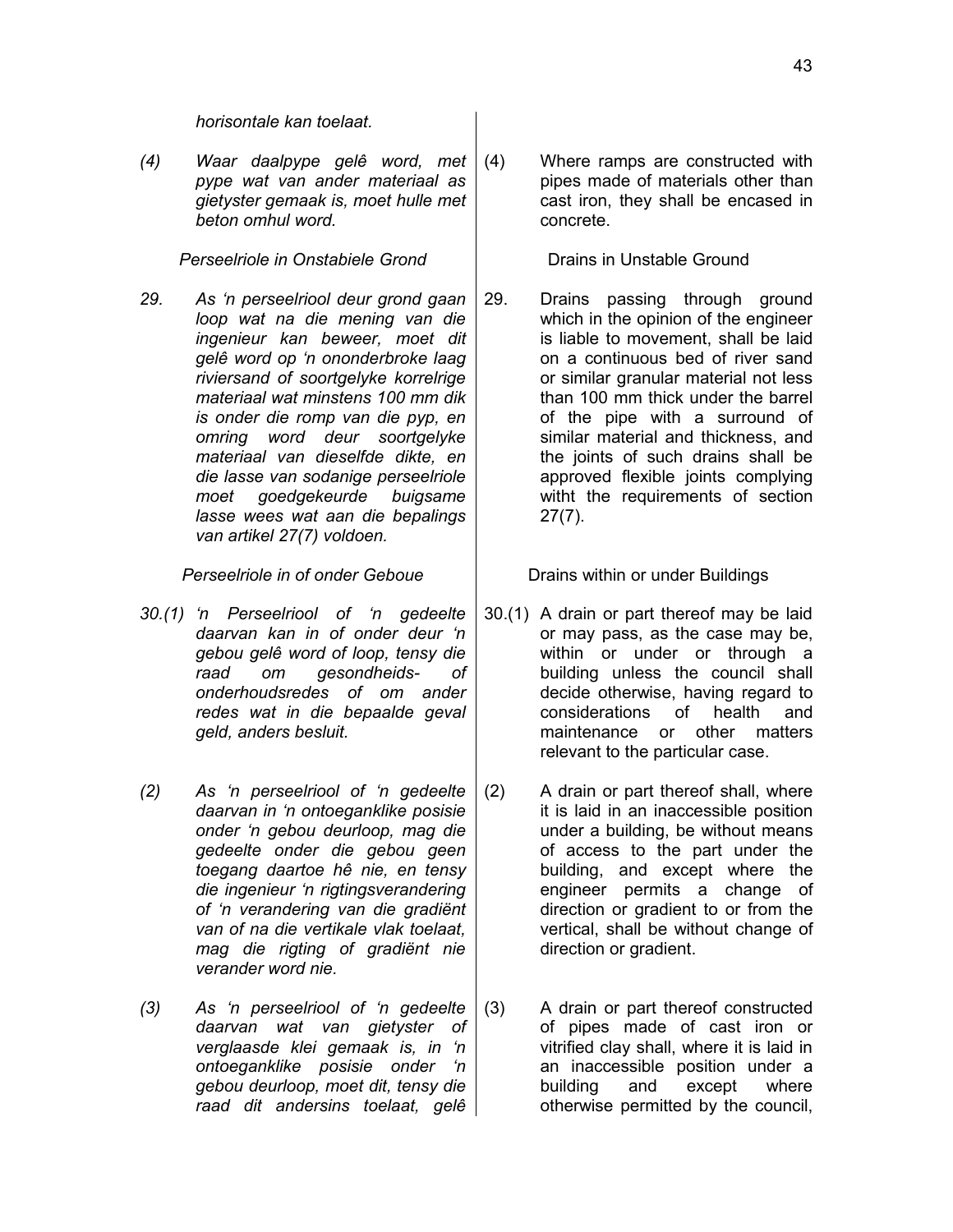*horisontale kan toelaat.*

*(4) Waar daalpype gelê word, met pype wat van ander materiaal as gietyster gemaak is, moet hulle met beton omhul word.*

**Perseelriole in Onstabiele Grond**  $\Box$  Drains in Unstable Ground

*29. As 'n perseelriool deur grond gaan loop wat na die mening van die ingenieur kan beweer, moet dit gelê word op 'n ononderbroke laag riviersand of soortgelyke korrelrige materiaal wat minstens 100 mm dik is onder die romp van die pyp, en omring word deur soortgelyke materiaal van dieselfde dikte, en die lasse van sodanige perseelriole moet goedgekeurde buigsame lasse wees wat aan die bepalings van artikel 27(7) voldoen.*

*Perseelriole in of onder Geboue* **Drains within or under Buildings** 

- *30.(1) 'n Perseelriool of 'n gedeelte daarvan kan in of onder deur 'n gebou gelê word of loop, tensy die raad om gesondheids- of onderhoudsredes of om ander redes wat in die bepaalde geval geld, anders besluit.*
- *(2) As 'n perseelriool of 'n gedeelte daarvan in 'n ontoeganklike posisie onder 'n gebou deurloop, mag die gedeelte onder die gebou geen toegang daartoe hê nie, en tensy die ingenieur 'n rigtingsverandering of 'n verandering van die gradiënt van of na die vertikale vlak toelaat, mag die rigting of gradiënt nie verander word nie.*
- *(3) As 'n perseelriool of 'n gedeelte daarvan wat van gietyster of verglaasde klei gemaak is, in 'n ontoeganklike posisie onder 'n gebou deurloop, moet dit, tensy die raad dit andersins toelaat, gelê*

(4) Where ramps are constructed with pipes made of materials other than cast iron, they shall be encased in concrete.

29. Drains passing through ground which in the opinion of the engineer is liable to movement, shall be laid on a continuous bed of river sand or similar granular material not less than 100 mm thick under the barrel of the pipe with a surround of similar material and thickness, and the joints of such drains shall be approved flexible joints complying witht the requirements of section 27(7).

- 30.(1) A drain or part thereof may be laid or may pass, as the case may be, within or under or through a building unless the council shall decide otherwise, having regard to considerations of health and maintenance or other matters relevant to the particular case.
- (2) A drain or part thereof shall, where it is laid in an inaccessible position under a building, be without means of access to the part under the building, and except where the engineer permits a change of direction or gradient to or from the vertical, shall be without change of direction or gradient.
- (3) A drain or part thereof constructed of pipes made of cast iron or vitrified clay shall, where it is laid in an inaccessible position under a<br>building and except where building and except otherwise permitted by the council,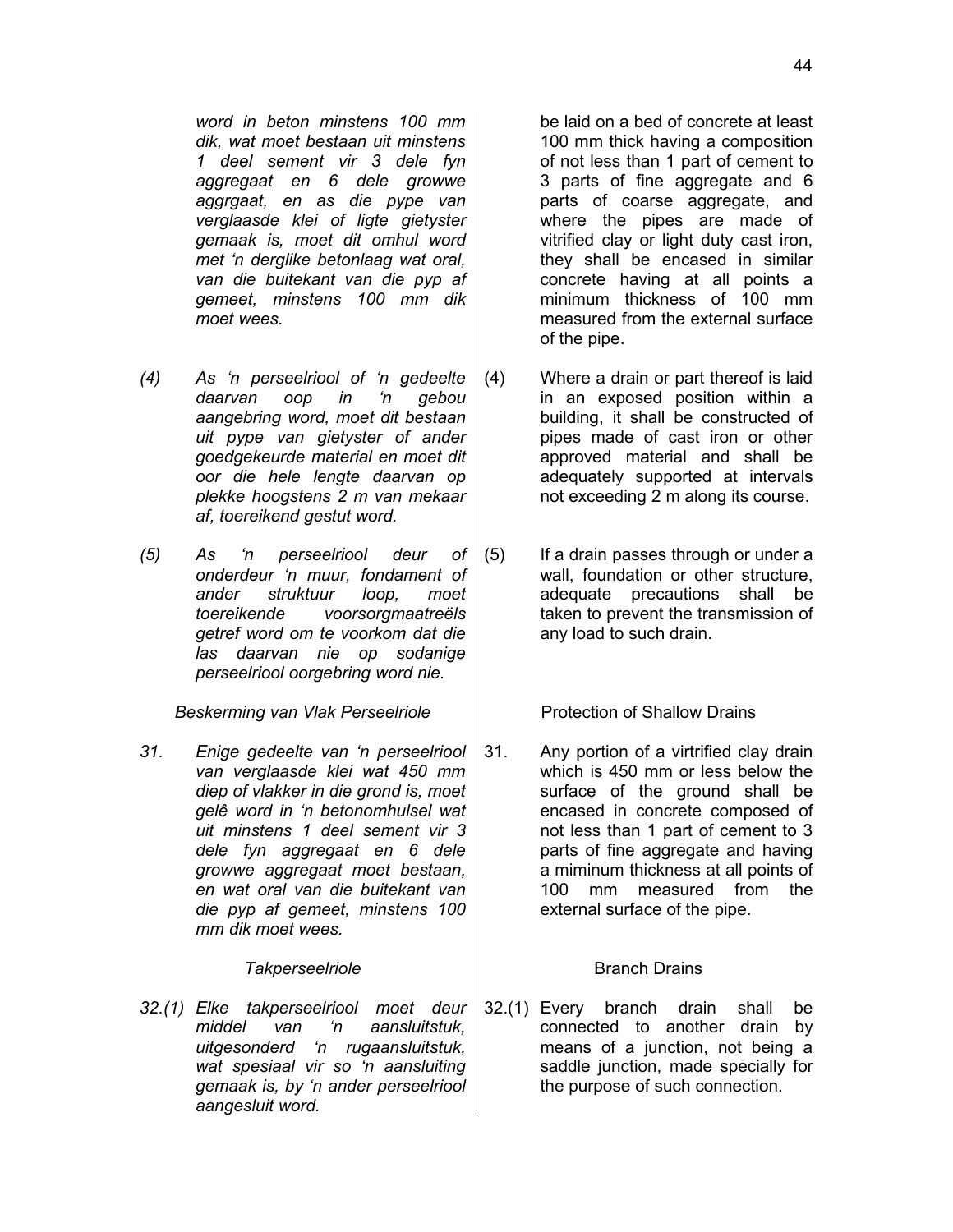*word in beton minstens 100 mm dik, wat moet bestaan uit minstens 1 deel sement vir 3 dele fyn aggregaat en 6 dele growwe aggrgaat, en as die pype van verglaasde klei of ligte gietyster gemaak is, moet dit omhul word met 'n derglike betonlaag wat oral, van die buitekant van die pyp af gemeet, minstens 100 mm dik moet wees.*

- *(4) As 'n perseelriool of 'n gedeelte daarvan oop in 'n gebou aangebring word, moet dit bestaan uit pype van gietyster of ander goedgekeurde material en moet dit oor die hele lengte daarvan op plekke hoogstens 2 m van mekaar af, toereikend gestut word.*
- *(5) As 'n perseelriool deur of onderdeur 'n muur, fondament of ander struktuur loop, moet toereikende voorsorgmaatreëls getref word om te voorkom dat die las daarvan nie op sodanige perseelriool oorgebring word nie.*

*Beskerming van Vlak Perseelriole* | Protection of Shallow Drains

*31. Enige gedeelte van 'n perseelriool van verglaasde klei wat 450 mm diep of vlakker in die grond is, moet gelê word in 'n betonomhulsel wat uit minstens 1 deel sement vir 3 dele fyn aggregaat en 6 dele growwe aggregaat moet bestaan, en wat oral van die buitekant van die pyp af gemeet, minstens 100 mm dik moet wees.*

### **Takperseelriole Branch Drains**

*32.(1) Elke takperseelriool moet deur middel van 'n aansluitstuk, uitgesonderd 'n rugaansluitstuk, wat spesiaal vir so 'n aansluiting gemaak is, by 'n ander perseelriool aangesluit word.*

be laid on a bed of concrete at least 100 mm thick having a composition of not less than 1 part of cement to 3 parts of fine aggregate and 6 parts of coarse aggregate, and where the pipes are made of vitrified clay or light duty cast iron, they shall be encased in similar concrete having at all points a minimum thickness of 100 mm measured from the external surface of the pipe.

- (4) Where a drain or part thereof is laid in an exposed position within a building, it shall be constructed of pipes made of cast iron or other approved material and shall be adequately supported at intervals not exceeding 2 m along its course.
- (5) If a drain passes through or under a wall, foundation or other structure, adequate precautions shall be taken to prevent the transmission of any load to such drain.

31. Any portion of a virtrified clay drain which is 450 mm or less below the surface of the ground shall be encased in concrete composed of not less than 1 part of cement to 3 parts of fine aggregate and having a miminum thickness at all points of 100 mm measured from the external surface of the pipe.

32.(1) Every branch drain shall be connected to another drain by means of a junction, not being a saddle junction, made specially for the purpose of such connection.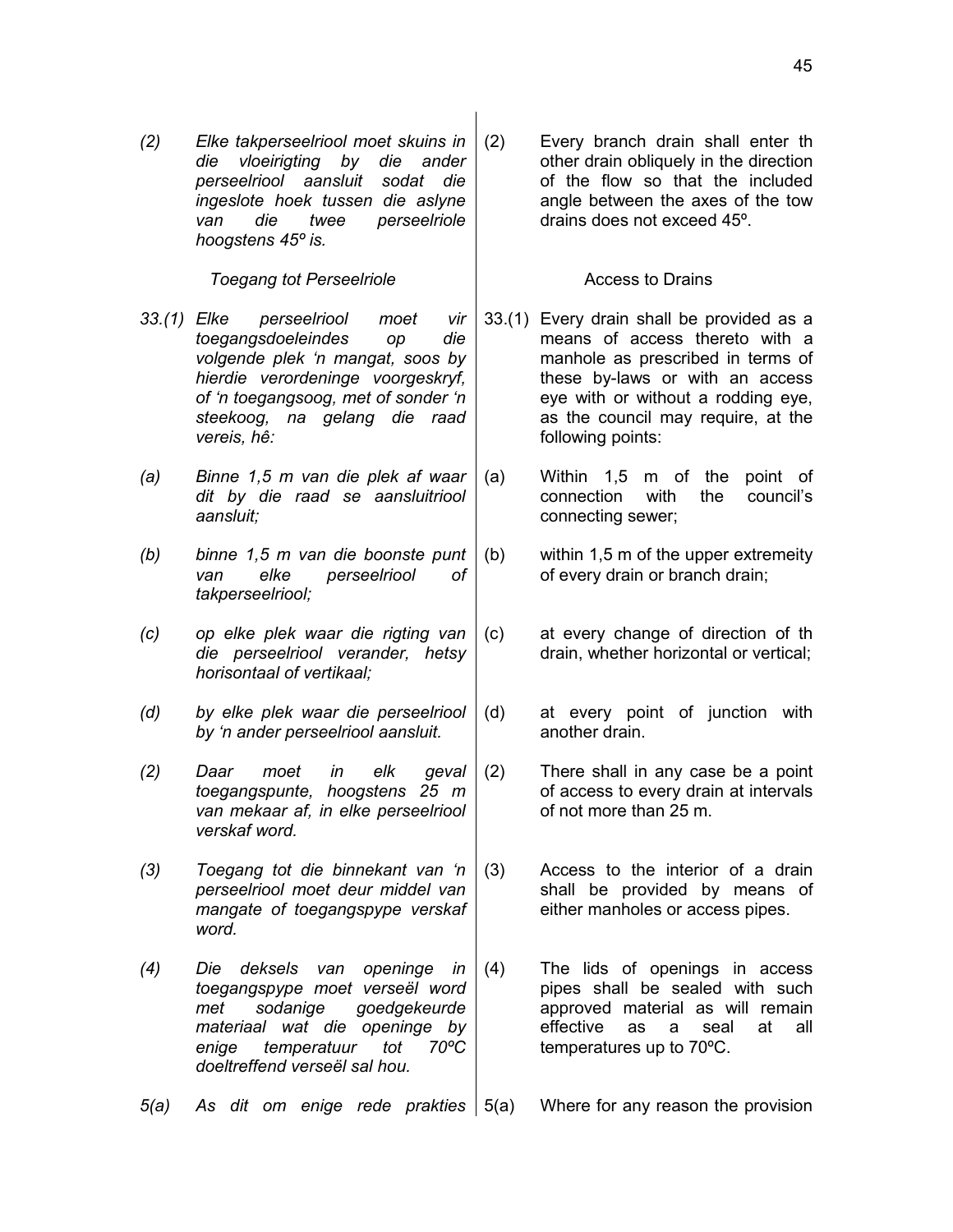45

*(2) Elke takperseelriool moet skuins in die vloeirigting by die ander perseelriool aansluit sodat die ingeslote hoek tussen die aslyne van die twee perseelriole hoogstens 45º is.*

*Toegang tot Perseelriole* **Access to Drains** 

- *33.(1) Elke perseelriool moet vir toegangsdoeleindes op die volgende plek 'n mangat, soos by hierdie verordeninge voorgeskryf, of 'n toegangsoog, met of sonder 'n steekoog, na gelang die raad vereis, hê:*
- *(a) Binne 1,5 m van die plek af waar dit by die raad se aansluitriool aansluit;*
- *(b) binne 1,5 m van die boonste punt van elke perseelriool of takperseelriool;*
- *(c) op elke plek waar die rigting van die perseelriool verander, hetsy horisontaal of vertikaal;*
- *(d) by elke plek waar die perseelriool by 'n ander perseelriool aansluit.*
- *(2) Daar moet in elk geval toegangspunte, hoogstens 25 m van mekaar af, in elke perseelriool verskaf word.*
- *(3) Toegang tot die binnekant van 'n perseelriool moet deur middel van mangate of toegangspype verskaf word.*
- *(4) Die deksels van openinge in toegangspype moet verseël word met sodanige goedgekeurde materiaal wat die openinge by enige temperatuur tot 70ºC doeltreffend verseël sal hou.*

(2) Every branch drain shall enter th other drain obliquely in the direction of the flow so that the included angle between the axes of the tow drains does not exceed 45º.

- 33.(1) Every drain shall be provided as a means of access thereto with a manhole as prescribed in terms of these by-laws or with an access eye with or without a rodding eye, as the council may require, at the following points:
- (a) Within 1,5 m of the point of connection with the council's connecting sewer;
- (b) within 1,5 m of the upper extremeity of every drain or branch drain;
- (c) at every change of direction of th drain, whether horizontal or vertical;
- (d) at every point of junction with another drain.
- (2) There shall in any case be a point of access to every drain at intervals of not more than 25 m.
- (3) Access to the interior of a drain shall be provided by means of either manholes or access pipes.
- (4) The lids of openings in access pipes shall be sealed with such approved material as will remain effective as a seal at all temperatures up to 70ºC.
- *5(a)* As *dit om enige rede prakties* 5(a) Where for any reason the provision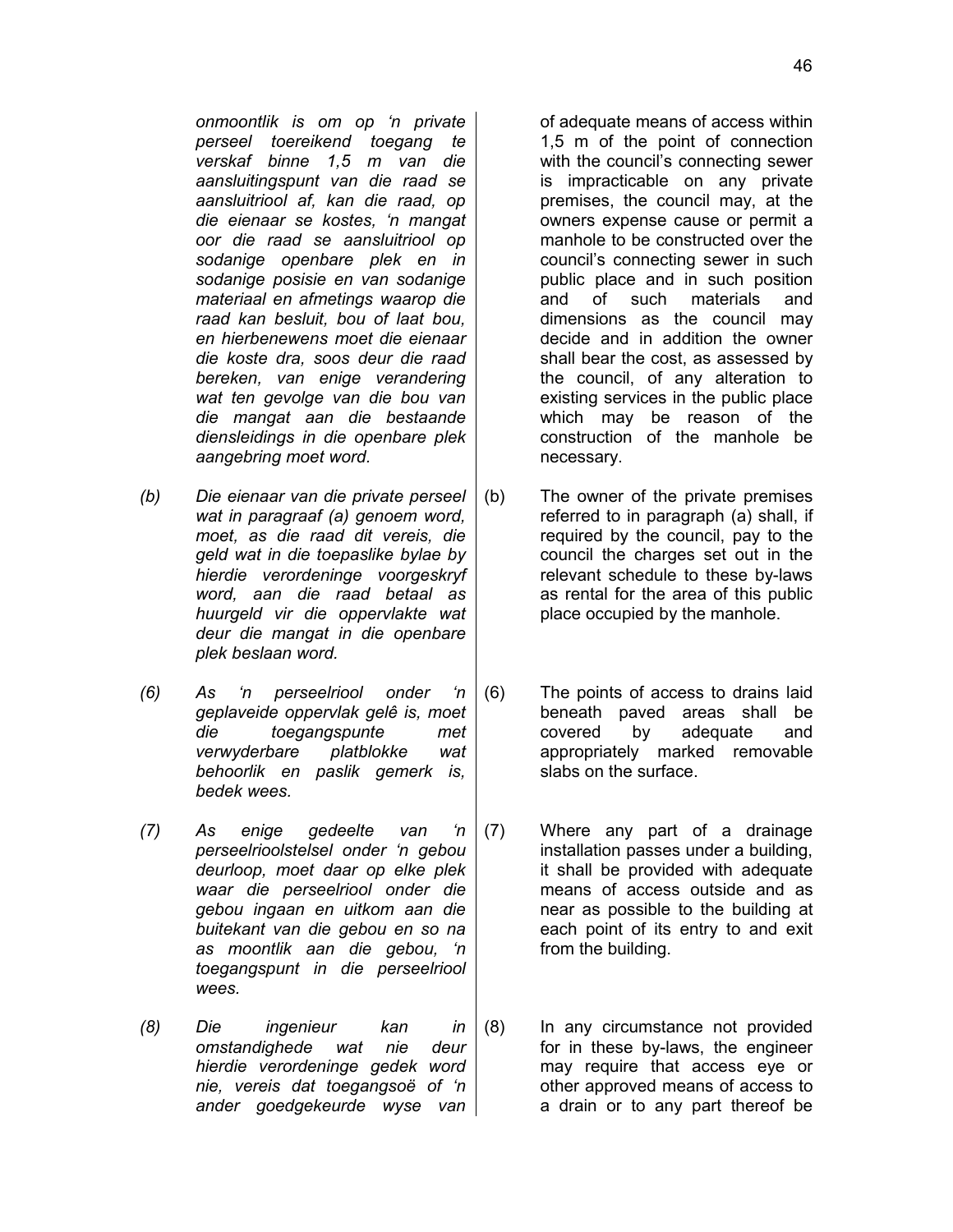*onmoontlik is om op 'n private perseel toereikend toegang te verskaf binne 1,5 m van die aansluitingspunt van die raad se aansluitriool af, kan die raad, op die eienaar se kostes, 'n mangat oor die raad se aansluitriool op sodanige openbare plek en in sodanige posisie en van sodanige materiaal en afmetings waarop die raad kan besluit, bou of laat bou, en hierbenewens moet die eienaar die koste dra, soos deur die raad bereken, van enige verandering wat ten gevolge van die bou van die mangat aan die bestaande diensleidings in die openbare plek*

*(b) Die eienaar van die private perseel wat in paragraaf (a) genoem word, moet, as die raad dit vereis, die geld wat in die toepaslike bylae by hierdie verordeninge voorgeskryf word, aan die raad betaal as huurgeld vir die oppervlakte wat deur die mangat in die openbare plek beslaan word.*

*aangebring moet word.*

- *(6) As 'n perseelriool onder 'n geplaveide oppervlak gelê is, moet die toegangspunte met verwyderbare platblokke wat behoorlik en paslik gemerk is, bedek wees.*
- *(7) As enige gedeelte van 'n perseelrioolstelsel onder 'n gebou deurloop, moet daar op elke plek waar die perseelriool onder die gebou ingaan en uitkom aan die buitekant van die gebou en so na as moontlik aan die gebou, 'n toegangspunt in die perseelriool wees.*
- *(8) Die ingenieur kan in omstandighede wat nie deur hierdie verordeninge gedek word nie, vereis dat toegangsoë of 'n ander goedgekeurde wyse van*

of adequate means of access within 1,5 m of the point of connection with the council's connecting sewer is impracticable on any private premises, the council may, at the owners expense cause or permit a manhole to be constructed over the council's connecting sewer in such public place and in such position and of such materials and dimensions as the council may decide and in addition the owner shall bear the cost, as assessed by the council, of any alteration to existing services in the public place which may be reason of the construction of the manhole be necessary.

- (b) The owner of the private premises referred to in paragraph (a) shall, if required by the council, pay to the council the charges set out in the relevant schedule to these by-laws as rental for the area of this public place occupied by the manhole.
- (6) The points of access to drains laid beneath paved areas shall be covered by adequate and appropriately marked removable slabs on the surface.
- (7) Where any part of a drainage installation passes under a building, it shall be provided with adequate means of access outside and as near as possible to the building at each point of its entry to and exit from the building.
- (8) In any circumstance not provided for in these by-laws, the engineer may require that access eye or other approved means of access to a drain or to any part thereof be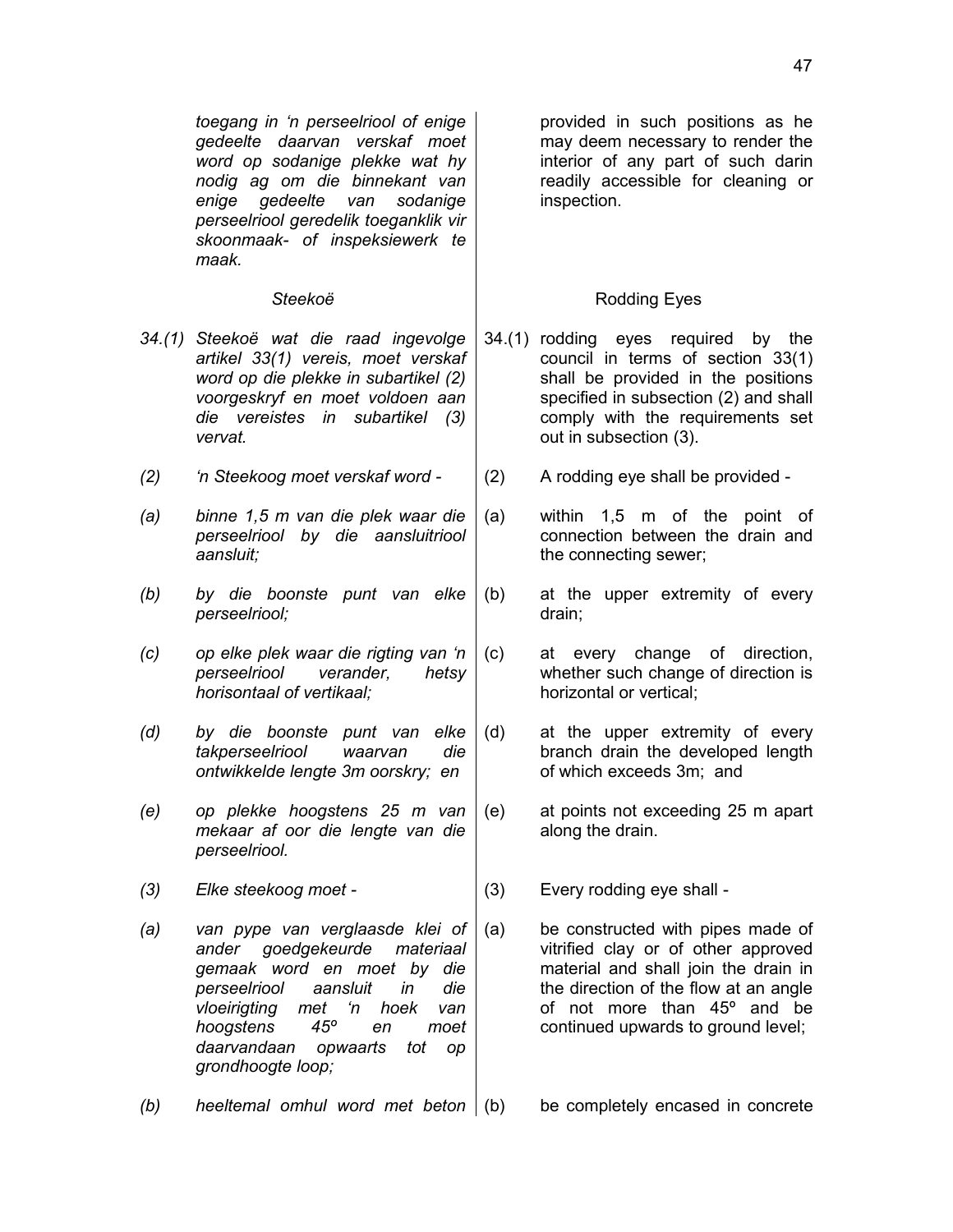*toegang in 'n perseelriool of enige gedeelte daarvan verskaf moet word op sodanige plekke wat hy nodig ag om die binnekant van enige gedeelte van sodanige perseelriool geredelik toeganklik vir skoonmaak- of inspeksiewerk te maak.*

- *34.(1) Steekoë wat die raad ingevolge artikel 33(1) vereis, moet verskaf word op die plekke in subartikel (2) voorgeskryf en moet voldoen aan die vereistes in subartikel (3) vervat.*
- *(2) 'n Steekoog moet verskaf word -* (2) A rodding eye shall be provided -
- *(a) binne 1,5 m van die plek waar die perseelriool by die aansluitriool aansluit;*
- *(b) by die boonste punt van elke perseelriool;*
- *(c) op elke plek waar die rigting van 'n perseelriool verander, hetsy horisontaal of vertikaal;*
- *(d) by die boonste punt van elke takperseelriool waarvan die ontwikkelde lengte 3m oorskry; en*
- *(e) op plekke hoogstens 25 m van mekaar af oor die lengte van die perseelriool.*
- *(3) Elke steekoog moet -* (3) Every rodding eye shall -
- *(a) van pype van verglaasde klei of ander goedgekeurde materiaal gemaak word en moet by die perseelriool aansluit in die vloeirigting met 'n hoek van hoogstens 45º en moet daarvandaan opwaarts tot op grondhoogte loop;*

provided in such positions as he may deem necessary to render the interior of any part of such darin readily accessible for cleaning or inspection.

## **Steekoë Rodding Eyes**

- 34.(1) rodding eyes required by the council in terms of section 33(1) shall be provided in the positions specified in subsection (2) and shall comply with the requirements set out in subsection (3).
- 
- (a) within 1,5 m of the point of connection between the drain and the connecting sewer;
- (b) at the upper extremity of every drain;
- (c) at every change of direction, whether such change of direction is horizontal or vertical;
- (d) at the upper extremity of every branch drain the developed length of which exceeds 3m; and
- (e) at points not exceeding 25 m apart along the drain.

- (a) be constructed with pipes made of vitrified clay or of other approved material and shall join the drain in the direction of the flow at an angle of not more than 45º and be continued upwards to ground level;
- *(b) heeltemal omhul word met beton* (b) be completely encased in concrete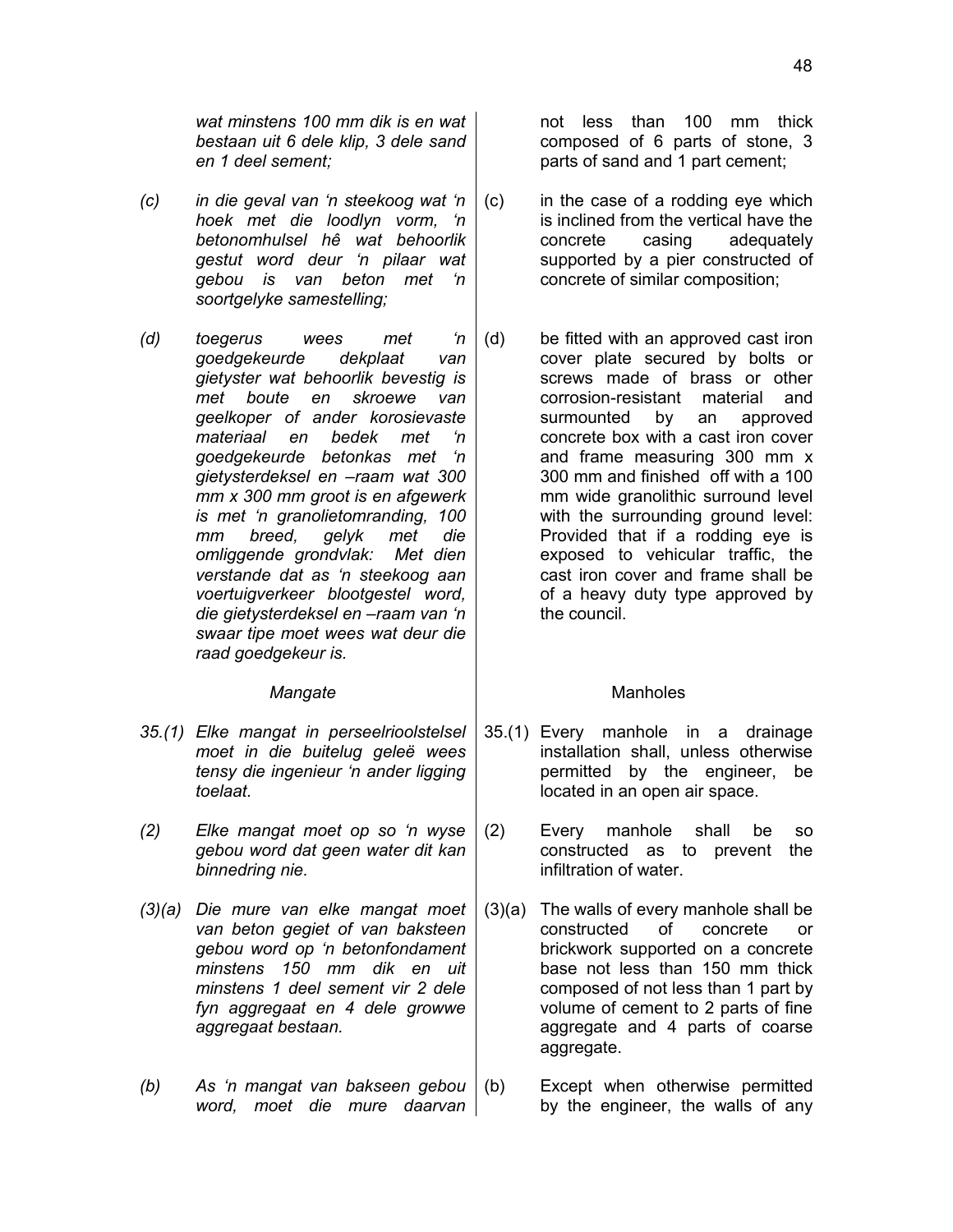*wat minstens 100 mm dik is en wat bestaan uit 6 dele klip, 3 dele sand en 1 deel sement;*

- *(c) in die geval van 'n steekoog wat 'n hoek met die loodlyn vorm, 'n betonomhulsel hê wat behoorlik gestut word deur 'n pilaar wat gebou is van beton met 'n soortgelyke samestelling;*
- *(d) toegerus wees met 'n goedgekeurde dekplaat van gietyster wat behoorlik bevestig is met boute en skroewe van geelkoper of ander korosievaste materiaal en bedek met 'n goedgekeurde betonkas met 'n gietysterdeksel en –raam wat 300 mm x 300 mm groot is en afgewerk is met 'n granolietomranding, 100 mm breed, gelyk met die omliggende grondvlak: Met dien verstande dat as 'n steekoog aan voertuigverkeer blootgestel word, die gietysterdeksel en –raam van 'n swaar tipe moet wees wat deur die raad goedgekeur is.*

- *35.(1) Elke mangat in perseelrioolstelsel moet in die buitelug geleë wees tensy die ingenieur 'n ander ligging toelaat.*
- *(2) Elke mangat moet op so 'n wyse gebou word dat geen water dit kan binnedring nie.*
- *(3)(a) Die mure van elke mangat moet van beton gegiet of van baksteen gebou word op 'n betonfondament minstens 150 mm dik en uit minstens 1 deel sement vir 2 dele fyn aggregaat en 4 dele growwe aggregaat bestaan.*
- *(b) As 'n mangat van bakseen gebou word, moet die mure daarvan*

not less than 100 mm thick composed of 6 parts of stone, 3 parts of sand and 1 part cement;

- (c) in the case of a rodding eye which is inclined from the vertical have the concrete casing adequately supported by a pier constructed of concrete of similar composition;
- (d) be fitted with an approved cast iron cover plate secured by bolts or screws made of brass or other corrosion-resistant material and surmounted by an approved concrete box with a cast iron cover and frame measuring 300 mm x 300 mm and finished off with a 100 mm wide granolithic surround level with the surrounding ground level: Provided that if a rodding eye is exposed to vehicular traffic, the cast iron cover and frame shall be of a heavy duty type approved by the council.

### Mangate **Mangate Manholes**

- 35.(1) Every manhole in a drainage installation shall, unless otherwise permitted by the engineer, be located in an open air space.
- (2) Every manhole shall be so constructed as to prevent the infiltration of water.
- (3)(a) The walls of every manhole shall be constructed of concrete or brickwork supported on a concrete base not less than 150 mm thick composed of not less than 1 part by volume of cement to 2 parts of fine aggregate and 4 parts of coarse aggregate.
- (b) Except when otherwise permitted by the engineer, the walls of any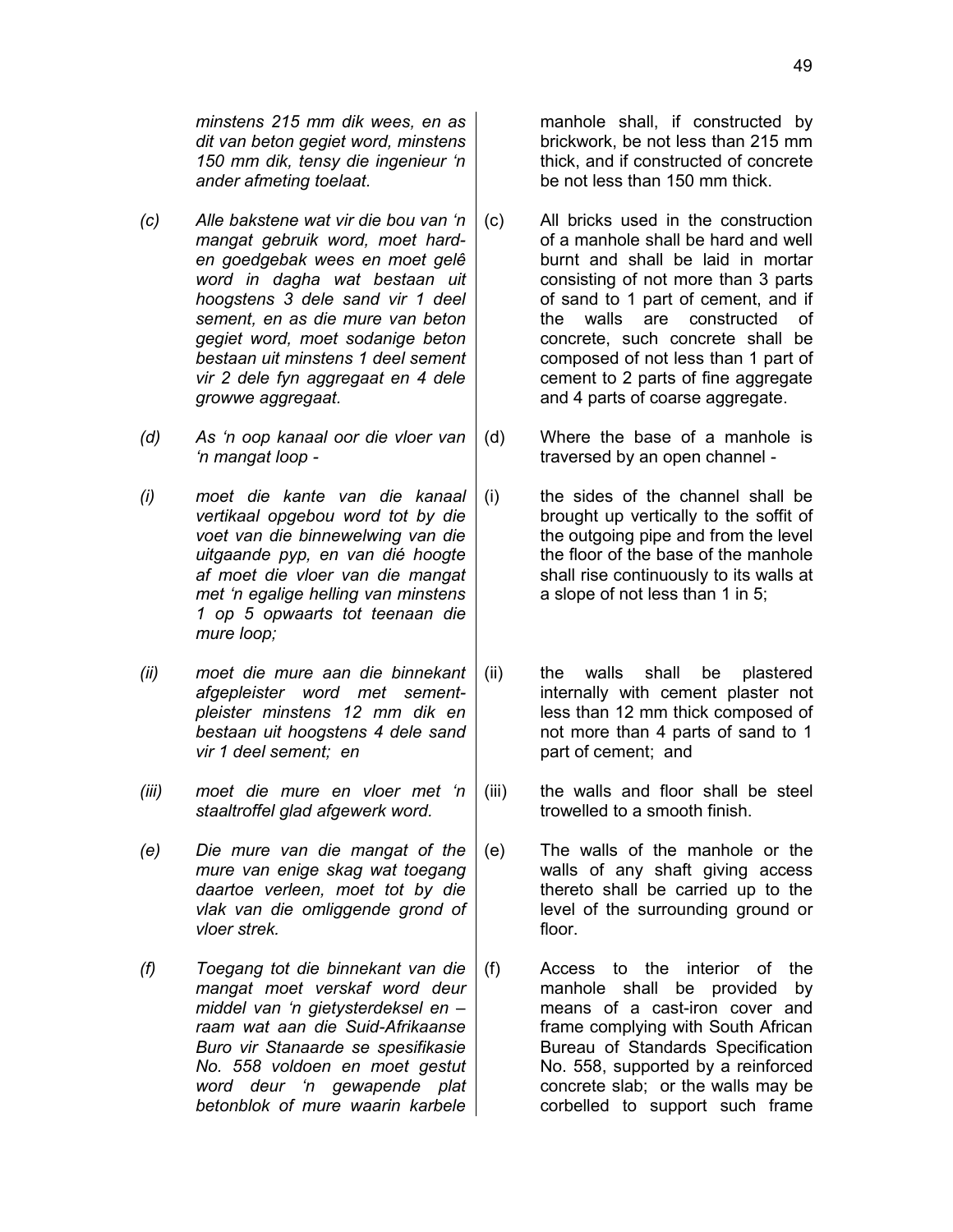*minstens 215 mm dik wees, en as dit van beton gegiet word, minstens 150 mm dik, tensy die ingenieur 'n ander afmeting toelaat.*

- *(c) Alle bakstene wat vir die bou van 'n mangat gebruik word, moet harden goedgebak wees en moet gelê word in dagha wat bestaan uit hoogstens 3 dele sand vir 1 deel sement, en as die mure van beton gegiet word, moet sodanige beton bestaan uit minstens 1 deel sement vir 2 dele fyn aggregaat en 4 dele growwe aggregaat.*
- *(d) As 'n oop kanaal oor die vloer van 'n mangat loop -*
- *(i) moet die kante van die kanaal vertikaal opgebou word tot by die voet van die binnewelwing van die uitgaande pyp, en van dié hoogte af moet die vloer van die mangat met 'n egalige helling van minstens 1 op 5 opwaarts tot teenaan die mure loop;*
- *(ii) moet die mure aan die binnekant afgepleister word met sementpleister minstens 12 mm dik en bestaan uit hoogstens 4 dele sand vir 1 deel sement; en*
- *(iii) moet die mure en vloer met 'n staaltroffel glad afgewerk word.*
- *(e) Die mure van die mangat of the mure van enige skag wat toegang daartoe verleen, moet tot by die vlak van die omliggende grond of vloer strek.*
- *(f) Toegang tot die binnekant van die mangat moet verskaf word deur middel van 'n gietysterdeksel en – raam wat aan die Suid-Afrikaanse Buro vir Stanaarde se spesifikasie No. 558 voldoen en moet gestut word deur 'n gewapende plat betonblok of mure waarin karbele*

manhole shall, if constructed by brickwork, be not less than 215 mm thick, and if constructed of concrete be not less than 150 mm thick.

- (c) All bricks used in the construction of a manhole shall be hard and well burnt and shall be laid in mortar consisting of not more than 3 parts of sand to 1 part of cement, and if the walls are constructed of concrete, such concrete shall be composed of not less than 1 part of cement to 2 parts of fine aggregate and 4 parts of coarse aggregate.
- (d) Where the base of a manhole is traversed by an open channel -
- (i) the sides of the channel shall be brought up vertically to the soffit of the outgoing pipe and from the level the floor of the base of the manhole shall rise continuously to its walls at a slope of not less than 1 in 5;
- (ii) the walls shall be plastered internally with cement plaster not less than 12 mm thick composed of not more than 4 parts of sand to 1 part of cement; and
- (iii) the walls and floor shall be steel trowelled to a smooth finish.
- (e) The walls of the manhole or the walls of any shaft giving access thereto shall be carried up to the level of the surrounding ground or floor.
- (f) Access to the interior of the manhole shall be provided by means of a cast-iron cover and frame complying with South African Bureau of Standards Specification No. 558, supported by a reinforced concrete slab; or the walls may be corbelled to support such frame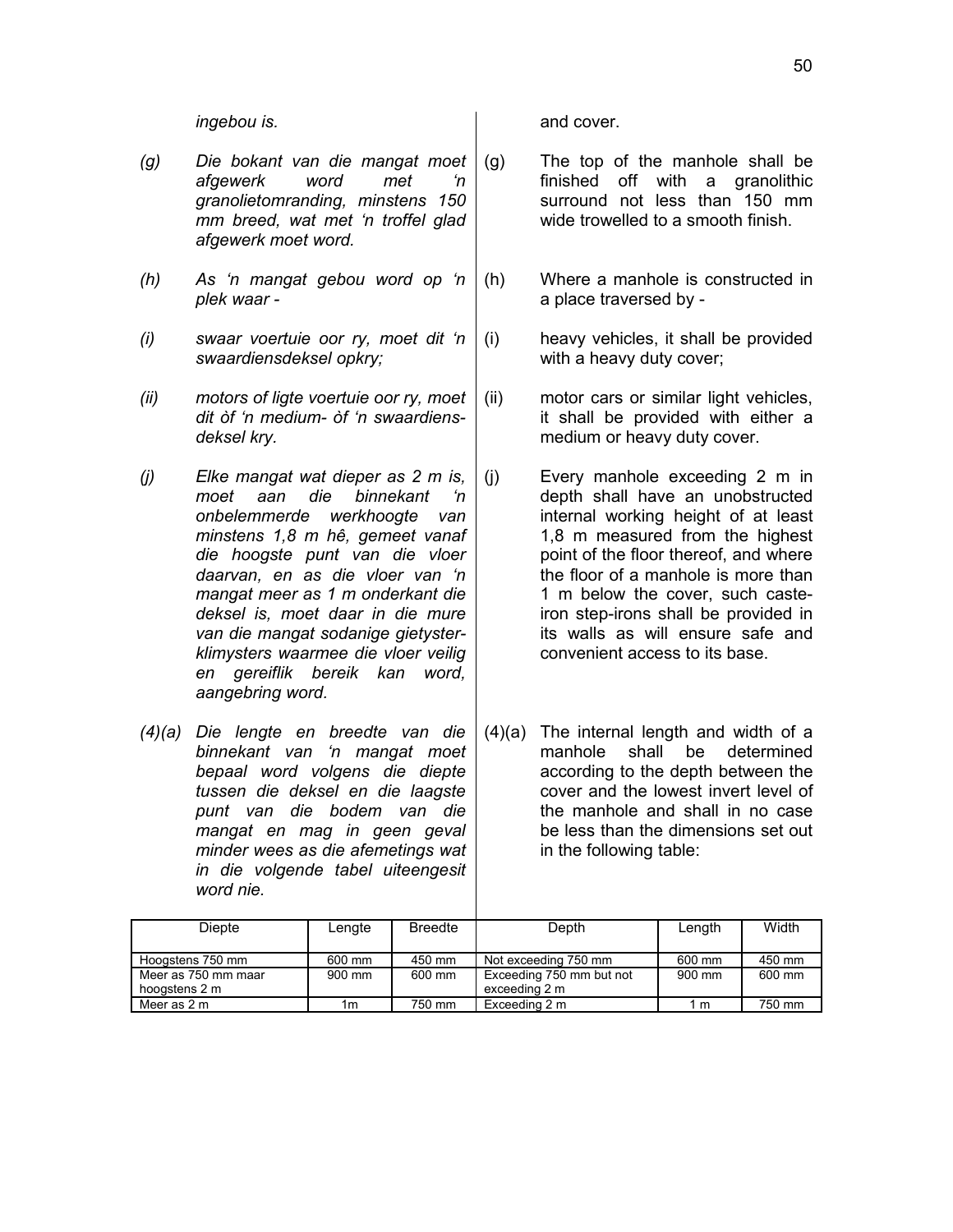- *(g) Die bokant van die mangat moet afgewerk word met 'n granolietomranding, minstens 150 mm breed, wat met 'n troffel glad afgewerk moet word.*
- *(h) As 'n mangat gebou word op 'n plek waar -*
- *(i) swaar voertuie oor ry, moet dit 'n swaardiensdeksel opkry;*
- *(ii) motors of ligte voertuie oor ry, moet dit òf 'n medium- òf 'n swaardiensdeksel kry.*
- *(j) Elke mangat wat dieper as 2 m is, moet aan die binnekant 'n onbelemmerde werkhoogte van minstens 1,8 m hê, gemeet vanaf die hoogste punt van die vloer daarvan, en as die vloer van 'n mangat meer as 1 m onderkant die deksel is, moet daar in die mure van die mangat sodanige gietysterklimysters waarmee die vloer veilig en gereiflik bereik kan word, aangebring word.*
- *(4)(a) Die lengte en breedte van die binnekant van 'n mangat moet bepaal word volgens die diepte tussen die deksel en die laagste punt van die bodem van die mangat en mag in geen geval minder wees as die afemetings wat in die volgende tabel uiteengesit word nie.*

*ingebou is.* and cover.

- (g) The top of the manhole shall be finished off with a granolithic surround not less than 150 mm wide trowelled to a smooth finish.
	- (h) Where a manhole is constructed in a place traversed by -
	- (i) heavy vehicles, it shall be provided with a heavy duty cover;
	- (ii) motor cars or similar light vehicles, it shall be provided with either a medium or heavy duty cover.
	- (j) Every manhole exceeding 2 m in depth shall have an unobstructed internal working height of at least 1,8 m measured from the highest point of the floor thereof, and where the floor of a manhole is more than 1 m below the cover, such casteiron step-irons shall be provided in its walls as will ensure safe and convenient access to its base.
	- (4)(a) The internal length and width of a manhole shall be determined according to the depth between the cover and the lowest invert level of the manhole and shall in no case be less than the dimensions set out in the following table:

| <b>Diepte</b>                        | Lengte | <b>Breedte</b> | Depth                                     | Length | Width  |
|--------------------------------------|--------|----------------|-------------------------------------------|--------|--------|
| Hoogstens 750 mm                     | 600 mm | 450 mm         | Not exceeding 750 mm                      | 600 mm | 450 mm |
| Meer as 750 mm maar<br>hoogstens 2 m | 900 mm | 600 mm         | Exceeding 750 mm but not<br>exceeding 2 m | 900 mm | 600 mm |
| Meer as 2 m                          | 1m     | 750 mm         | Exceeding 2 m                             | m      | 750 mm |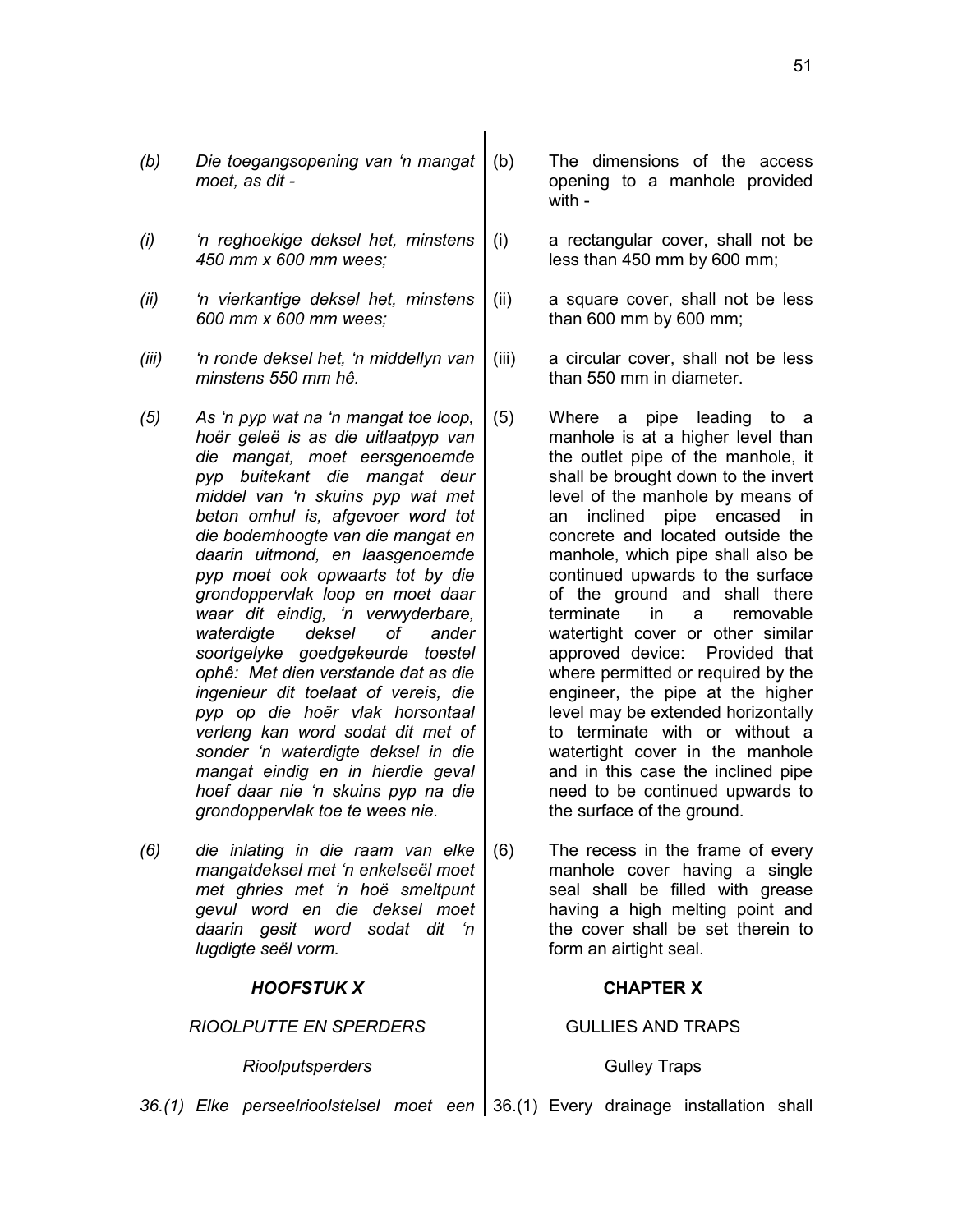- *(b) Die toegangsopening van 'n mangat moet, as dit -*
- *(i) 'n reghoekige deksel het, minstens 450 mm x 600 mm wees;*
- *(ii) 'n vierkantige deksel het, minstens 600 mm x 600 mm wees;*
- *(iii) 'n ronde deksel het, 'n middellyn van minstens 550 mm hê.*
- *(5) As 'n pyp wat na 'n mangat toe loop, hoër geleë is as die uitlaatpyp van die mangat, moet eersgenoemde pyp buitekant die mangat deur middel van 'n skuins pyp wat met beton omhul is, afgevoer word tot die bodemhoogte van die mangat en daarin uitmond, en laasgenoemde pyp moet ook opwaarts tot by die grondoppervlak loop en moet daar waar dit eindig, 'n verwyderbare, waterdigte deksel of ander soortgelyke goedgekeurde toestel ophê: Met dien verstande dat as die ingenieur dit toelaat of vereis, die pyp op die hoër vlak horsontaal verleng kan word sodat dit met of sonder 'n waterdigte deksel in die mangat eindig en in hierdie geval hoef daar nie 'n skuins pyp na die grondoppervlak toe te wees nie.*
- *(6) die inlating in die raam van elke mangatdeksel met 'n enkelseël moet met ghries met 'n hoë smeltpunt gevul word en die deksel moet daarin gesit word sodat dit 'n lugdigte seël vorm.*

### *HOOFSTUK X* **CHAPTER X**

*RIOOLPUTTE EN SPERDERS* GULLIES AND TRAPS

Rioolputsperders and a set of the Gulley Traps

- (b) The dimensions of the access opening to a manhole provided with -
- (i) a rectangular cover, shall not be less than 450 mm by 600 mm;
- (ii) a square cover, shall not be less than 600 mm by 600 mm;
- (iii) a circular cover, shall not be less than 550 mm in diameter.
- (5) Where a pipe leading to a manhole is at a higher level than the outlet pipe of the manhole, it shall be brought down to the invert level of the manhole by means of an inclined pipe encased in concrete and located outside the manhole, which pipe shall also be continued upwards to the surface of the ground and shall there terminate in a removable watertight cover or other similar approved device: Provided that where permitted or required by the engineer, the pipe at the higher level may be extended horizontally to terminate with or without a watertight cover in the manhole and in this case the inclined pipe need to be continued upwards to the surface of the ground.

(6) The recess in the frame of every manhole cover having a single seal shall be filled with grease having a high melting point and the cover shall be set therein to form an airtight seal.

36.(1) Elke perseelrioolstelsel moet een | 36.(1) Every drainage installation shall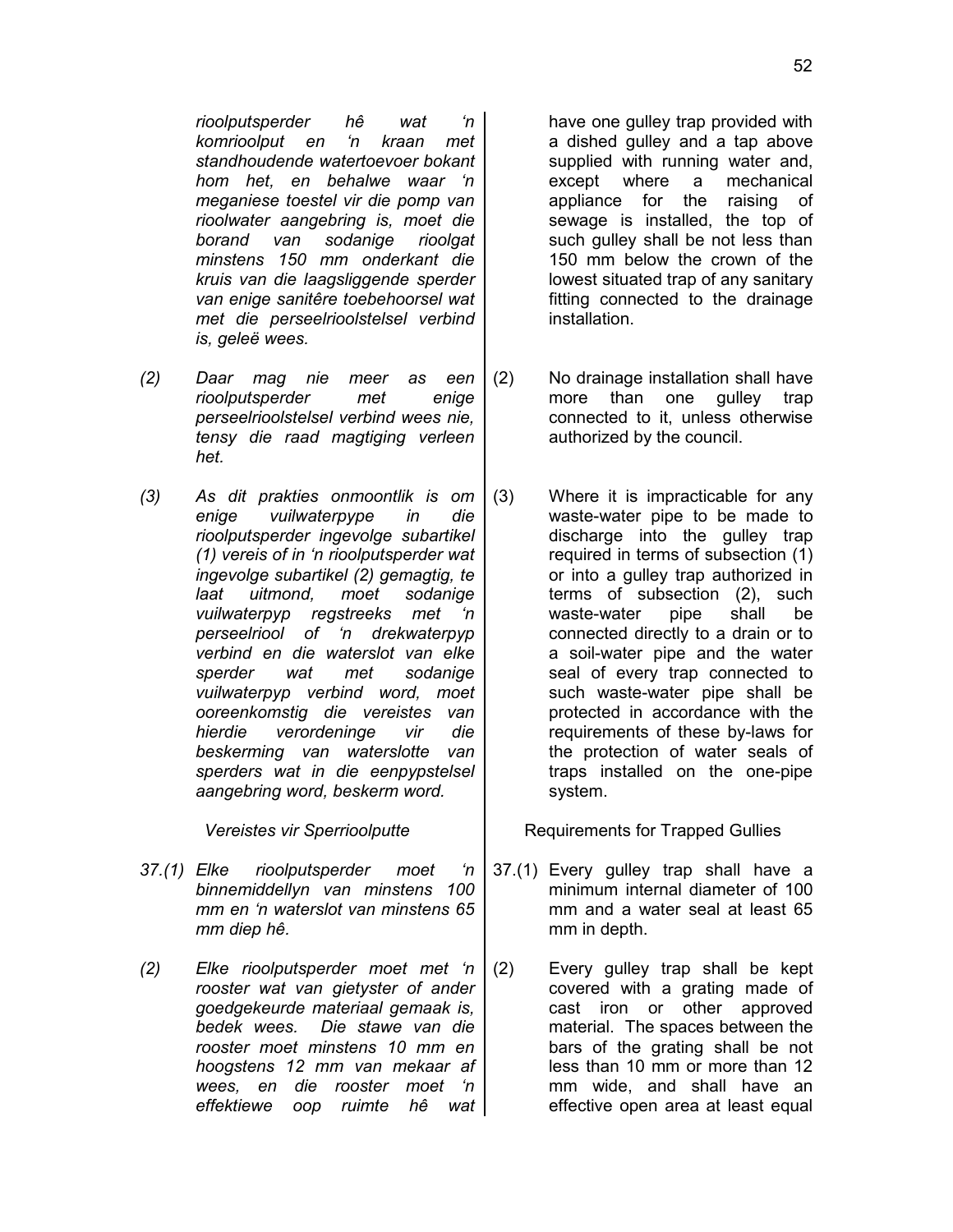*rioolputsperder hê wat 'n komrioolput en 'n kraan met standhoudende watertoevoer bokant hom het, en behalwe waar 'n meganiese toestel vir die pomp van rioolwater aangebring is, moet die borand van sodanige rioolgat minstens 150 mm onderkant die kruis van die laagsliggende sperder van enige sanitêre toebehoorsel wat met die perseelrioolstelsel verbind is, geleë wees.*

- *(2) Daar mag nie meer as een rioolputsperder met enige perseelrioolstelsel verbind wees nie, tensy die raad magtiging verleen het.*
- *(3) As dit prakties onmoontlik is om enige vuilwaterpype in die rioolputsperder ingevolge subartikel (1) vereis of in 'n rioolputsperder wat ingevolge subartikel (2) gemagtig, te laat uitmond, moet sodanige vuilwaterpyp regstreeks met 'n perseelriool of 'n drekwaterpyp verbind en die waterslot van elke sperder wat met sodanige vuilwaterpyp verbind word, moet ooreenkomstig die vereistes van hierdie verordeninge vir die beskerming van waterslotte van sperders wat in die eenpypstelsel aangebring word, beskerm word.*

- *37.(1) Elke rioolputsperder moet 'n binnemiddellyn van minstens 100 mm en 'n waterslot van minstens 65 mm diep hê.*
- *(2) Elke rioolputsperder moet met 'n rooster wat van gietyster of ander goedgekeurde materiaal gemaak is, bedek wees. Die stawe van die rooster moet minstens 10 mm en hoogstens 12 mm van mekaar af wees, en die rooster moet 'n effektiewe oop ruimte hê wat*

have one gulley trap provided with a dished gulley and a tap above supplied with running water and, except where a mechanical appliance for the raising of sewage is installed, the top of such gulley shall be not less than 150 mm below the crown of the lowest situated trap of any sanitary fitting connected to the drainage installation.

- (2) No drainage installation shall have more than one gulley trap connected to it, unless otherwise authorized by the council.
- (3) Where it is impracticable for any waste-water pipe to be made to discharge into the gulley trap required in terms of subsection (1) or into a gulley trap authorized in terms of subsection (2), such waste-water pipe shall be connected directly to a drain or to a soil-water pipe and the water seal of every trap connected to such waste-water pipe shall be protected in accordance with the requirements of these by-laws for the protection of water seals of traps installed on the one-pipe system.

Vereistes vir Sperrioolputte **Requirements for Trapped Gullies** 

- 37.(1) Every gulley trap shall have a minimum internal diameter of 100 mm and a water seal at least 65 mm in depth.
- (2) Every gulley trap shall be kept covered with a grating made of cast iron or other approved material. The spaces between the bars of the grating shall be not less than 10 mm or more than 12 mm wide, and shall have an effective open area at least equal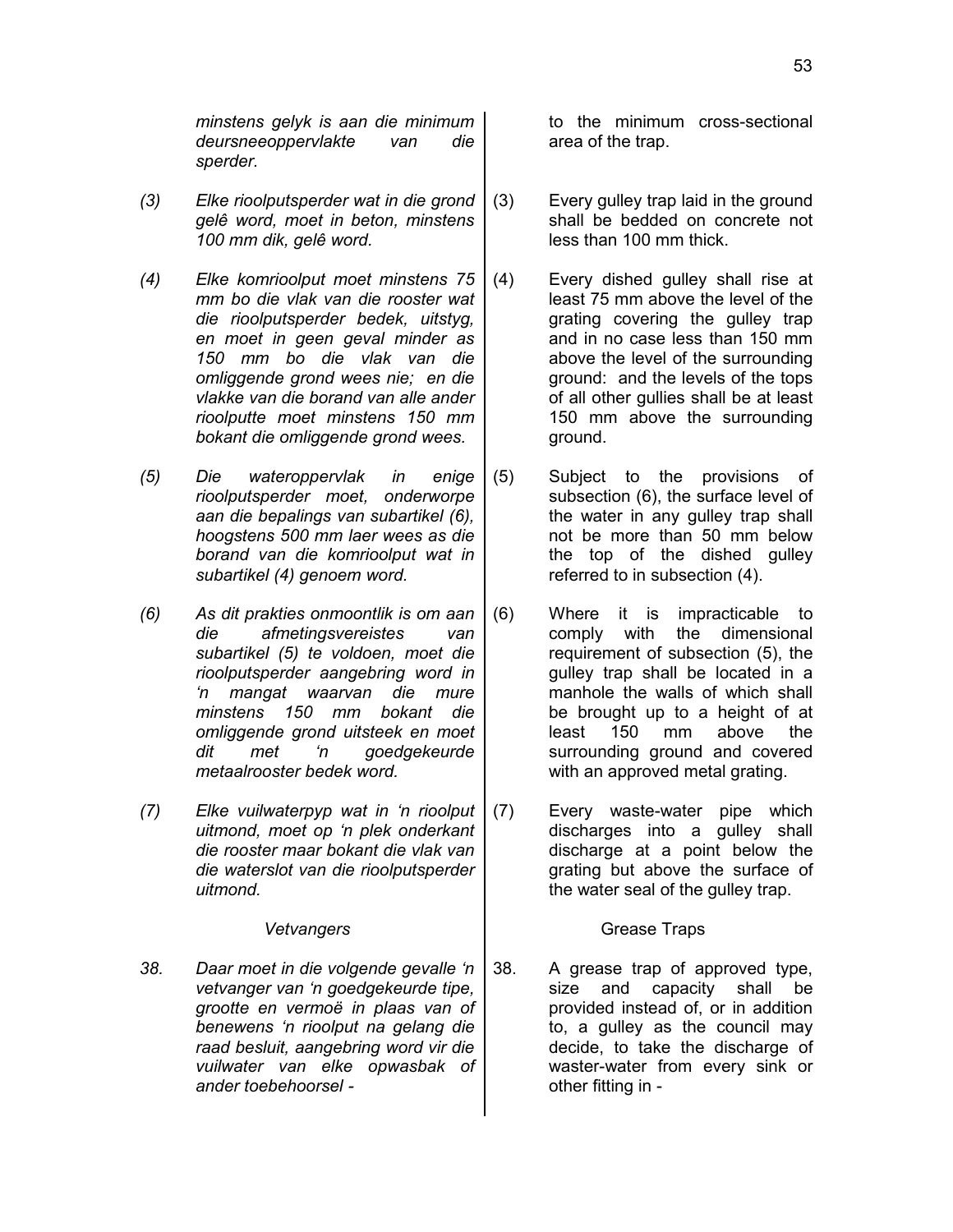*minstens gelyk is aan die minimum deursneeoppervlakte van die sperder.*

- *(3) Elke rioolputsperder wat in die grond gelê word, moet in beton, minstens 100 mm dik, gelê word.*
- *(4) Elke komrioolput moet minstens 75 mm bo die vlak van die rooster wat die rioolputsperder bedek, uitstyg, en moet in geen geval minder as 150 mm bo die vlak van die omliggende grond wees nie; en die vlakke van die borand van alle ander rioolputte moet minstens 150 mm bokant die omliggende grond wees.*
- *(5) Die wateroppervlak in enige rioolputsperder moet, onderworpe aan die bepalings van subartikel (6), hoogstens 500 mm laer wees as die borand van die komrioolput wat in subartikel (4) genoem word.*
- *(6) As dit prakties onmoontlik is om aan die afmetingsvereistes van subartikel (5) te voldoen, moet die rioolputsperder aangebring word in 'n mangat waarvan die mure minstens 150 mm bokant die omliggende grond uitsteek en moet dit met 'n goedgekeurde metaalrooster bedek word.*
- *(7) Elke vuilwaterpyp wat in 'n rioolput uitmond, moet op 'n plek onderkant die rooster maar bokant die vlak van die waterslot van die rioolputsperder uitmond.*

*38. Daar moet in die volgende gevalle 'n vetvanger van 'n goedgekeurde tipe, grootte en vermoë in plaas van of benewens 'n rioolput na gelang die raad besluit, aangebring word vir die vuilwater van elke opwasbak of ander toebehoorsel -*

to the minimum cross-sectional area of the trap.

- (3) Every gulley trap laid in the ground shall be bedded on concrete not less than 100 mm thick.
- (4) Every dished gulley shall rise at least 75 mm above the level of the grating covering the gulley trap and in no case less than 150 mm above the level of the surrounding ground: and the levels of the tops of all other gullies shall be at least 150 mm above the surrounding ground.
- (5) Subject to the provisions of subsection (6), the surface level of the water in any gulley trap shall not be more than 50 mm below the top of the dished gulley referred to in subsection (4).
- (6) Where it is impracticable to comply with the dimensional requirement of subsection (5), the gulley trap shall be located in a manhole the walls of which shall be brought up to a height of at least 150 mm above the surrounding ground and covered with an approved metal grating.
- (7) Every waste-water pipe which discharges into a gulley shall discharge at a point below the grating but above the surface of the water seal of the gulley trap.

### Vetvangers
and Contact Contact Contact Contact Contact Contact Contact Contact Contact Contact Contact Contact Contact Contact Contact Contact Contact Contact Contact Contact Contact Contact Contact Contact Contact Contact

38. A grease trap of approved type, size and capacity shall be provided instead of, or in addition to, a gulley as the council may decide, to take the discharge of waster-water from every sink or other fitting in -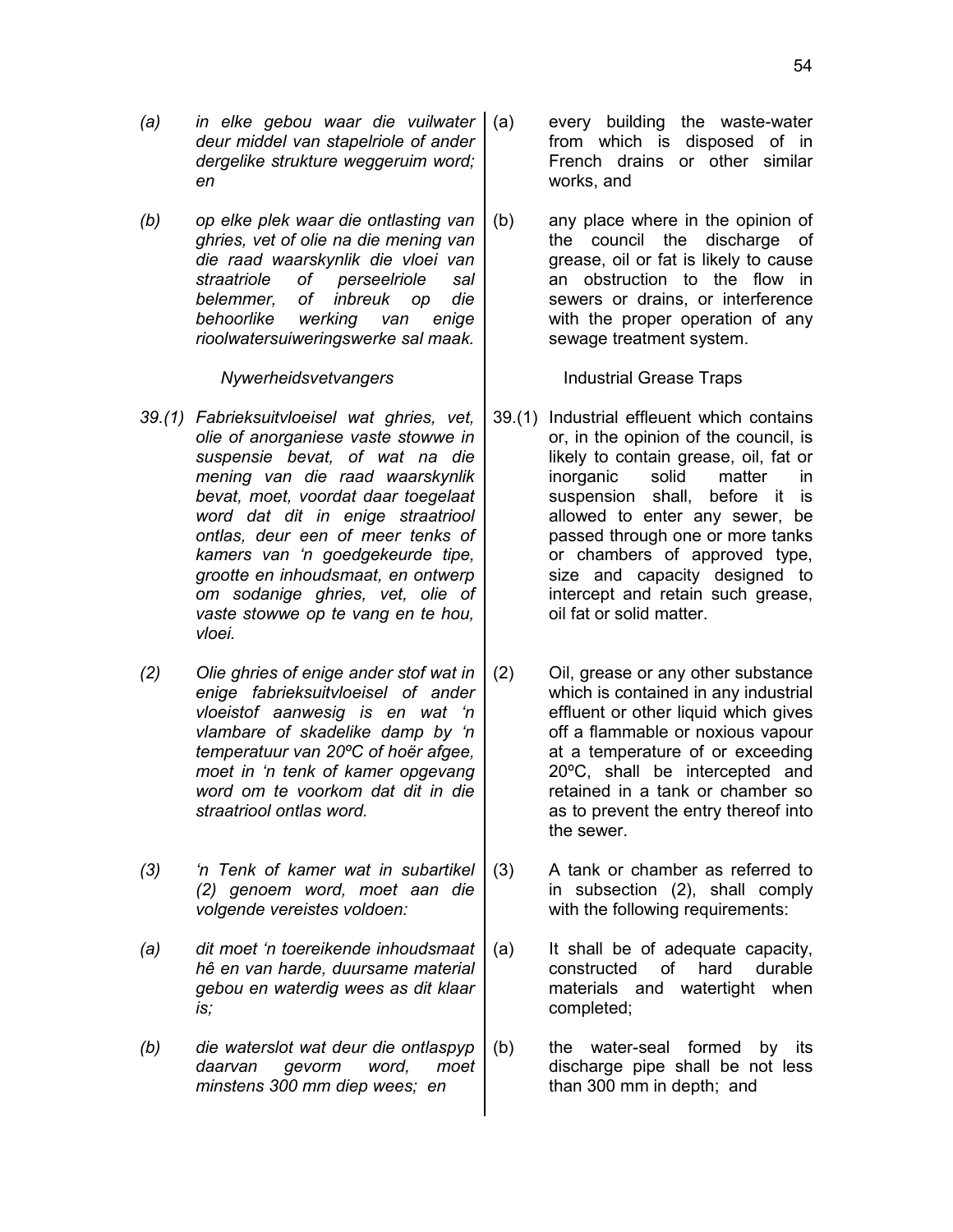- *(a) in elke gebou waar die vuilwater deur middel van stapelriole of ander dergelike strukture weggeruim word; en*
- *(b) op elke plek waar die ontlasting van ghries, vet of olie na die mening van die raad waarskynlik die vloei van straatriole of perseelriole sal belemmer, of inbreuk op die behoorlike werking van enige rioolwatersuiweringswerke sal maak.*

- *39.(1) Fabrieksuitvloeisel wat ghries, vet, olie of anorganiese vaste stowwe in suspensie bevat, of wat na die mening van die raad waarskynlik bevat, moet, voordat daar toegelaat word dat dit in enige straatriool ontlas, deur een of meer tenks of kamers van 'n goedgekeurde tipe, grootte en inhoudsmaat, en ontwerp om sodanige ghries, vet, olie of vaste stowwe op te vang en te hou, vloei.*
- *(2) Olie ghries of enige ander stof wat in enige fabrieksuitvloeisel of ander vloeistof aanwesig is en wat 'n vlambare of skadelike damp by 'n temperatuur van 20ºC of hoër afgee, moet in 'n tenk of kamer opgevang word om te voorkom dat dit in die straatriool ontlas word.*
- *(3) 'n Tenk of kamer wat in subartikel (2) genoem word, moet aan die volgende vereistes voldoen:*
- *(a) dit moet 'n toereikende inhoudsmaat hê en van harde, duursame material gebou en waterdig wees as dit klaar is;*
- *(b) die waterslot wat deur die ontlaspyp daarvan gevorm word, moet minstens 300 mm diep wees; en*
- every building the waste-water from which is disposed of in French drains or other similar works, and
- (b) any place where in the opinion of the council the discharge of grease, oil or fat is likely to cause an obstruction to the flow in sewers or drains, or interference with the proper operation of any sewage treatment system.

*Nywerheidsvetvangers* Industrial Grease Traps

- 39.(1) Industrial effleuent which contains or, in the opinion of the council, is likely to contain grease, oil, fat or inorganic solid matter in suspension shall, before it is allowed to enter any sewer, be passed through one or more tanks or chambers of approved type, size and capacity designed to intercept and retain such grease, oil fat or solid matter.
- (2) Oil, grease or any other substance which is contained in any industrial effluent or other liquid which gives off a flammable or noxious vapour at a temperature of or exceeding 20ºC, shall be intercepted and retained in a tank or chamber so as to prevent the entry thereof into the sewer.
- (3) A tank or chamber as referred to in subsection (2), shall comply with the following requirements:
- (a) It shall be of adequate capacity, constructed of hard durable materials and watertight when completed;
- (b) the water-seal formed by its discharge pipe shall be not less than 300 mm in depth; and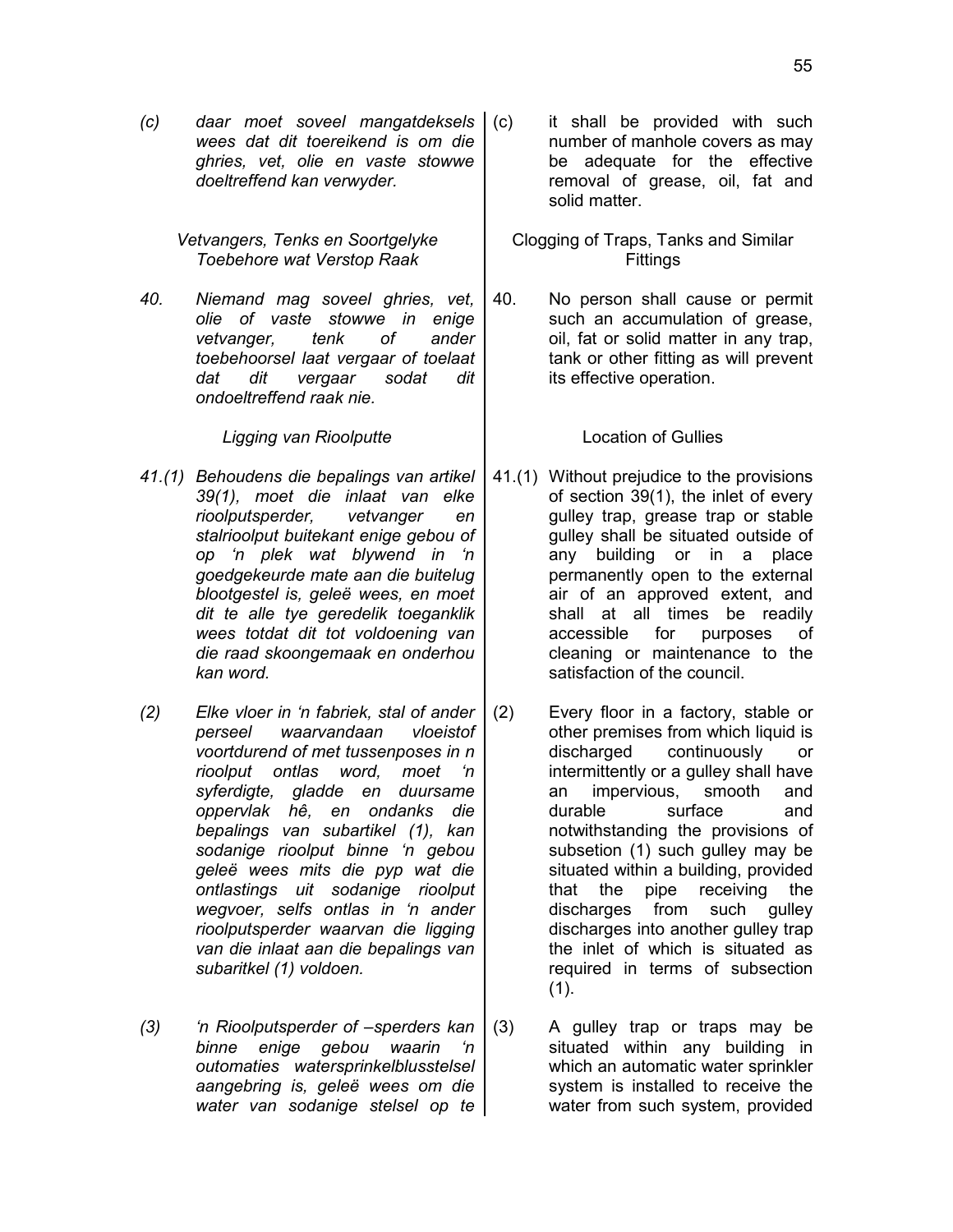55

*(c) daar moet soveel mangatdeksels wees dat dit toereikend is om die ghries, vet, olie en vaste stowwe doeltreffend kan verwyder.*

> *Vetvangers, Tenks en Soortgelyke Toebehore wat Verstop Raak*

*40. Niemand mag soveel ghries, vet, olie of vaste stowwe in enige vetvanger, tenk of ander toebehoorsel laat vergaar of toelaat dat dit vergaar sodat dit ondoeltreffend raak nie.*

*Ligging van Rioolputte* Location of Gullies

- *41.(1) Behoudens die bepalings van artikel 39(1), moet die inlaat van elke rioolputsperder, vetvanger en stalrioolput buitekant enige gebou of op 'n plek wat blywend in 'n goedgekeurde mate aan die buitelug blootgestel is, geleë wees, en moet dit te alle tye geredelik toeganklik wees totdat dit tot voldoening van die raad skoongemaak en onderhou kan word.*
- *(2) Elke vloer in 'n fabriek, stal of ander perseel waarvandaan vloeistof voortdurend of met tussenposes in n rioolput ontlas word, moet 'n syferdigte, gladde en duursame oppervlak hê, en ondanks die bepalings van subartikel (1), kan sodanige rioolput binne 'n gebou geleë wees mits die pyp wat die ontlastings uit sodanige rioolput wegvoer, selfs ontlas in 'n ander rioolputsperder waarvan die ligging van die inlaat aan die bepalings van subaritkel (1) voldoen.*
- *(3) 'n Rioolputsperder of –sperders kan binne enige gebou waarin 'n outomaties watersprinkelblusstelsel aangebring is, geleë wees om die water van sodanige stelsel op te*

it shall be provided with such number of manhole covers as may be adequate for the effective removal of grease, oil, fat and solid matter.

Clogging of Traps, Tanks and Similar Fittings

40. No person shall cause or permit such an accumulation of grease, oil, fat or solid matter in any trap, tank or other fitting as will prevent its effective operation.

- 41.(1) Without prejudice to the provisions of section 39(1), the inlet of every gulley trap, grease trap or stable gulley shall be situated outside of any building or in a place permanently open to the external air of an approved extent, and shall at all times be readily accessible for purposes of cleaning or maintenance to the satisfaction of the council.
- (2) Every floor in a factory, stable or other premises from which liquid is discharged continuously or intermittently or a gulley shall have an impervious, smooth and durable surface and notwithstanding the provisions of subsetion (1) such gulley may be situated within a building, provided that the pipe receiving the discharges from such gulley discharges into another gulley trap the inlet of which is situated as required in terms of subsection (1).
- (3) A gulley trap or traps may be situated within any building in which an automatic water sprinkler system is installed to receive the water from such system, provided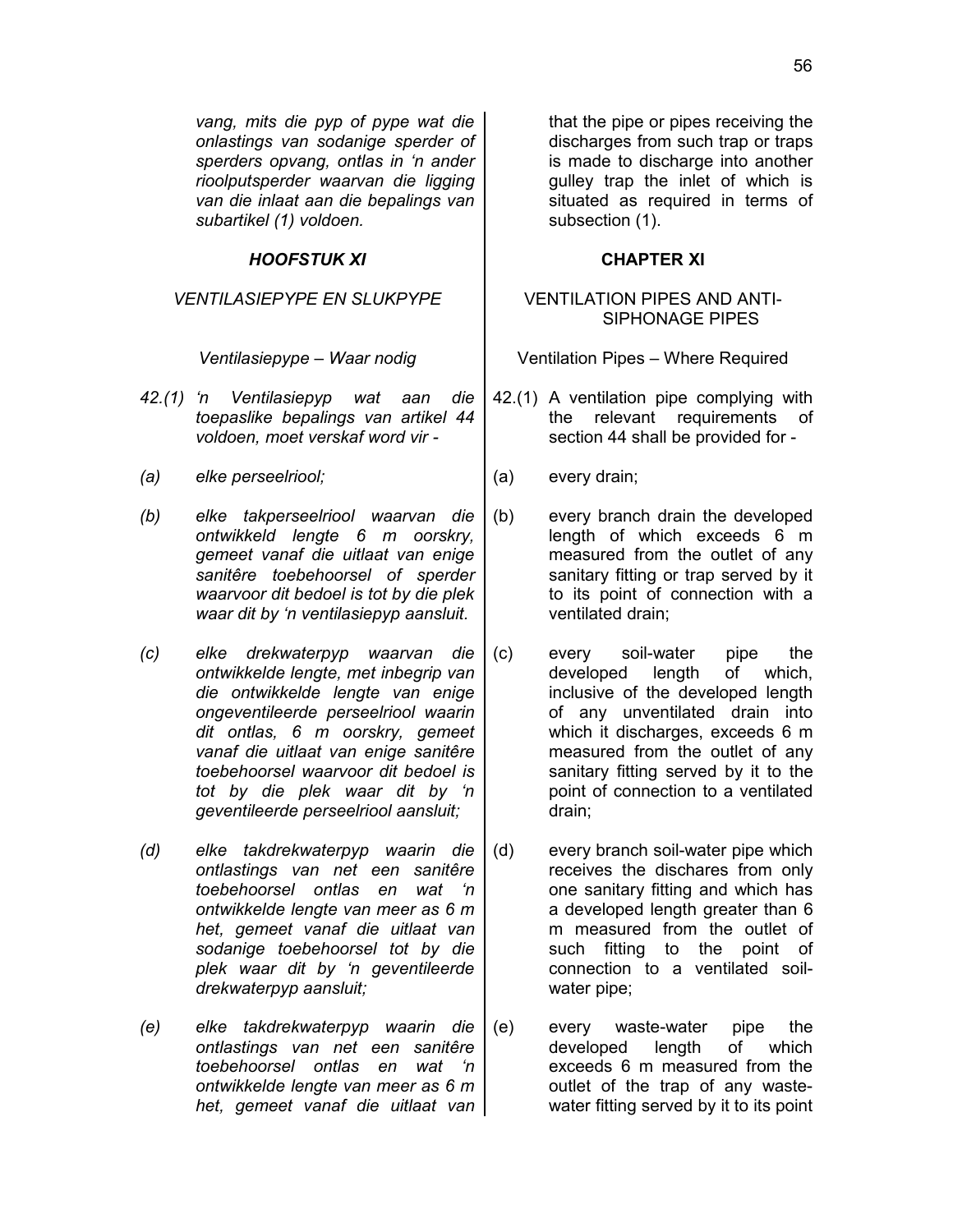*vang, mits die pyp of pype wat die onlastings van sodanige sperder of sperders opvang, ontlas in 'n ander rioolputsperder waarvan die ligging van die inlaat aan die bepalings van subartikel (1) voldoen.*

### *HOOFSTUK XI* **CHAPTER XI**

### *VENTILASIEPYPE EN SLUKPYPE* VENTILATION PIPES AND ANTI-

- *42.(1) 'n Ventilasiepyp wat aan die toepaslike bepalings van artikel 44 voldoen, moet verskaf word vir -*
- *(a) elke perseelriool;* (a) every drain;
- *(b) elke takperseelriool waarvan die ontwikkeld lengte 6 m oorskry, gemeet vanaf die uitlaat van enige sanitêre toebehoorsel of sperder waarvoor dit bedoel is tot by die plek waar dit by 'n ventilasiepyp aansluit.*
- *(c) elke drekwaterpyp waarvan die ontwikkelde lengte, met inbegrip van die ontwikkelde lengte van enige ongeventileerde perseelriool waarin dit ontlas, 6 m oorskry, gemeet vanaf die uitlaat van enige sanitêre toebehoorsel waarvoor dit bedoel is tot by die plek waar dit by 'n geventileerde perseelriool aansluit;*
- *(d) elke takdrekwaterpyp waarin die ontlastings van net een sanitêre toebehoorsel ontlas en wat 'n ontwikkelde lengte van meer as 6 m het, gemeet vanaf die uitlaat van sodanige toebehoorsel tot by die plek waar dit by 'n geventileerde drekwaterpyp aansluit;*
- *(e) elke takdrekwaterpyp waarin die ontlastings van net een sanitêre toebehoorsel ontlas en wat 'n ontwikkelde lengte van meer as 6 m het, gemeet vanaf die uitlaat van*

that the pipe or pipes receiving the discharges from such trap or traps is made to discharge into another gulley trap the inlet of which is situated as required in terms of subsection (1).

# SIPHONAGE PIPES

*Ventilasiepype – Waar nodig* Ventilation Pipes – Where Required

- 42.(1) A ventilation pipe complying with the relevant requirements of section 44 shall be provided for -
	-
- (b) every branch drain the developed length of which exceeds 6 m measured from the outlet of any sanitary fitting or trap served by it to its point of connection with a ventilated drain;
- (c) every soil-water pipe the developed length of which, inclusive of the developed length of any unventilated drain into which it discharges, exceeds 6 m measured from the outlet of any sanitary fitting served by it to the point of connection to a ventilated drain;
- (d) every branch soil-water pipe which receives the dischares from only one sanitary fitting and which has a developed length greater than 6 m measured from the outlet of such fitting to the point of connection to a ventilated soilwater pipe;
- (e) every waste-water pipe the developed length of which exceeds 6 m measured from the outlet of the trap of any wastewater fitting served by it to its point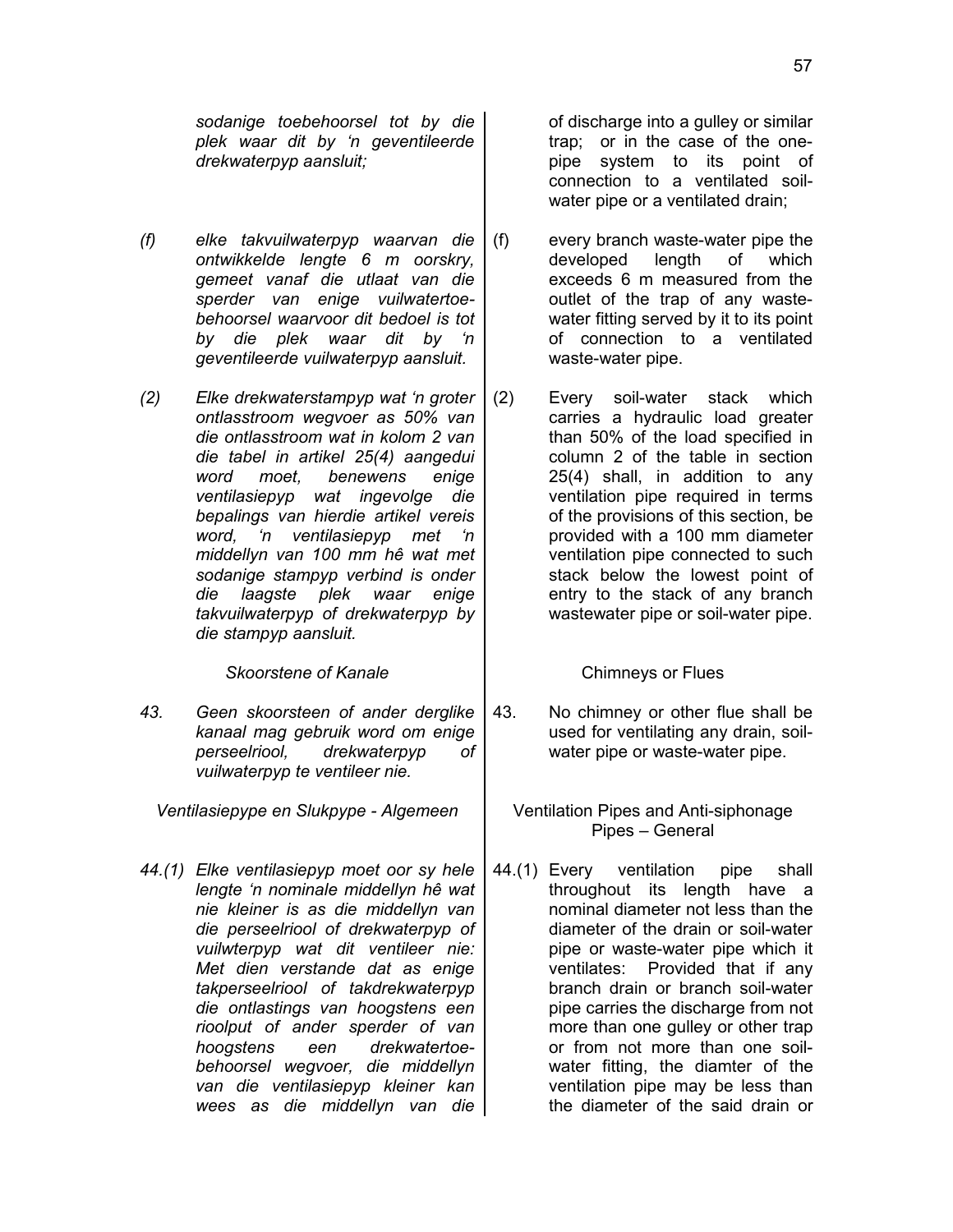*sodanige toebehoorsel tot by die plek waar dit by 'n geventileerde drekwaterpyp aansluit;*

- *(f) elke takvuilwaterpyp waarvan die ontwikkelde lengte 6 m oorskry, gemeet vanaf die utlaat van die sperder van enige vuilwatertoebehoorsel waarvoor dit bedoel is tot by die plek waar dit by 'n geventileerde vuilwaterpyp aansluit.*
- *(2) Elke drekwaterstampyp wat 'n groter ontlasstroom wegvoer as 50% van die ontlasstroom wat in kolom 2 van die tabel in artikel 25(4) aangedui word moet, benewens enige ventilasiepyp wat ingevolge die bepalings van hierdie artikel vereis word, 'n ventilasiepyp met 'n middellyn van 100 mm hê wat met sodanige stampyp verbind is onder die laagste plek waar enige takvuilwaterpyp of drekwaterpyp by die stampyp aansluit.*

**Skoorstene of Kanale Chimneys or Flues** 

*43. Geen skoorsteen of ander derglike kanaal mag gebruik word om enige perseelriool, drekwaterpyp of vuilwaterpyp te ventileer nie.*

*Ventilasiepype en Slukpype - Algemeen* | Ventilation Pipes and Anti-siphonage

*44.(1) Elke ventilasiepyp moet oor sy hele lengte 'n nominale middellyn hê wat nie kleiner is as die middellyn van die perseelriool of drekwaterpyp of vuilwterpyp wat dit ventileer nie: Met dien verstande dat as enige takperseelriool of takdrekwaterpyp die ontlastings van hoogstens een rioolput of ander sperder of van hoogstens een drekwatertoebehoorsel wegvoer, die middellyn van die ventilasiepyp kleiner kan wees as die middellyn van die* of discharge into a gulley or similar trap; or in the case of the onepipe system to its point of connection to a ventilated soilwater pipe or a ventilated drain;

- (f) every branch waste-water pipe the developed length of which exceeds 6 m measured from the outlet of the trap of any wastewater fitting served by it to its point of connection to a ventilated waste-water pipe.
- (2) Every soil-water stack which carries a hydraulic load greater than 50% of the load specified in column 2 of the table in section 25(4) shall, in addition to any ventilation pipe required in terms of the provisions of this section, be provided with a 100 mm diameter ventilation pipe connected to such stack below the lowest point of entry to the stack of any branch wastewater pipe or soil-water pipe.

43. No chimney or other flue shall be used for ventilating any drain, soilwater pipe or waste-water pipe.

Pipes – General

44.(1) Every ventilation pipe shall throughout its length have a nominal diameter not less than the diameter of the drain or soil-water pipe or waste-water pipe which it ventilates: Provided that if any branch drain or branch soil-water pipe carries the discharge from not more than one gulley or other trap or from not more than one soilwater fitting, the diamter of the ventilation pipe may be less than the diameter of the said drain or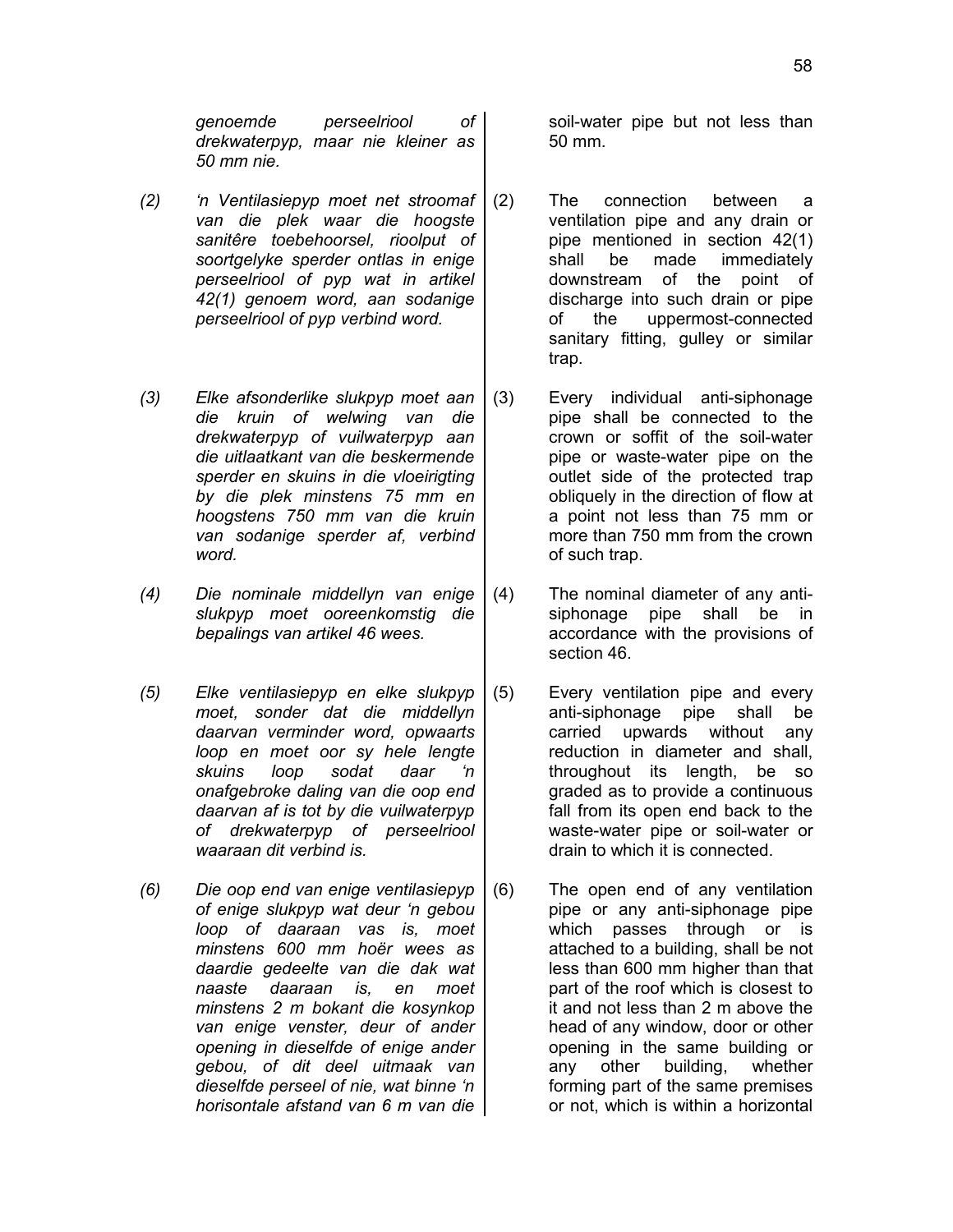*genoemde perseelriool of drekwaterpyp, maar nie kleiner as 50 mm nie.*

- *(2) 'n Ventilasiepyp moet net stroomaf van die plek waar die hoogste sanitêre toebehoorsel, rioolput of soortgelyke sperder ontlas in enige perseelriool of pyp wat in artikel 42(1) genoem word, aan sodanige perseelriool of pyp verbind word.*
- *(3) Elke afsonderlike slukpyp moet aan die kruin of welwing van die drekwaterpyp of vuilwaterpyp aan die uitlaatkant van die beskermende sperder en skuins in die vloeirigting by die plek minstens 75 mm en hoogstens 750 mm van die kruin van sodanige sperder af, verbind word.*
- *(4) Die nominale middellyn van enige slukpyp moet ooreenkomstig die bepalings van artikel 46 wees.*
- *(5) Elke ventilasiepyp en elke slukpyp moet, sonder dat die middellyn daarvan verminder word, opwaarts loop en moet oor sy hele lengte skuins loop sodat daar 'n onafgebroke daling van die oop end daarvan af is tot by die vuilwaterpyp of drekwaterpyp of perseelriool waaraan dit verbind is.*
- *(6) Die oop end van enige ventilasiepyp of enige slukpyp wat deur 'n gebou loop of daaraan vas is, moet minstens 600 mm hoër wees as daardie gedeelte van die dak wat naaste daaraan is, en moet minstens 2 m bokant die kosynkop van enige venster, deur of ander opening in dieselfde of enige ander gebou, of dit deel uitmaak van dieselfde perseel of nie, wat binne 'n horisontale afstand van 6 m van die*

soil-water pipe but not less than 50 mm.

- (2) The connection between a ventilation pipe and any drain or pipe mentioned in section 42(1) shall be made immediately downstream of the point of discharge into such drain or pipe of the uppermost-connected sanitary fitting, gulley or similar trap.
- (3) Every individual anti-siphonage pipe shall be connected to the crown or soffit of the soil-water pipe or waste-water pipe on the outlet side of the protected trap obliquely in the direction of flow at a point not less than 75 mm or more than 750 mm from the crown of such trap.
- (4) The nominal diameter of any antisiphonage pipe shall be in accordance with the provisions of section 46.
- (5) Every ventilation pipe and every anti-siphonage pipe shall be carried upwards without any reduction in diameter and shall, throughout its length, be so graded as to provide a continuous fall from its open end back to the waste-water pipe or soil-water or drain to which it is connected.
- (6) The open end of any ventilation pipe or any anti-siphonage pipe which passes through or is attached to a building, shall be not less than 600 mm higher than that part of the roof which is closest to it and not less than 2 m above the head of any window, door or other opening in the same building or any other building, whether forming part of the same premises or not, which is within a horizontal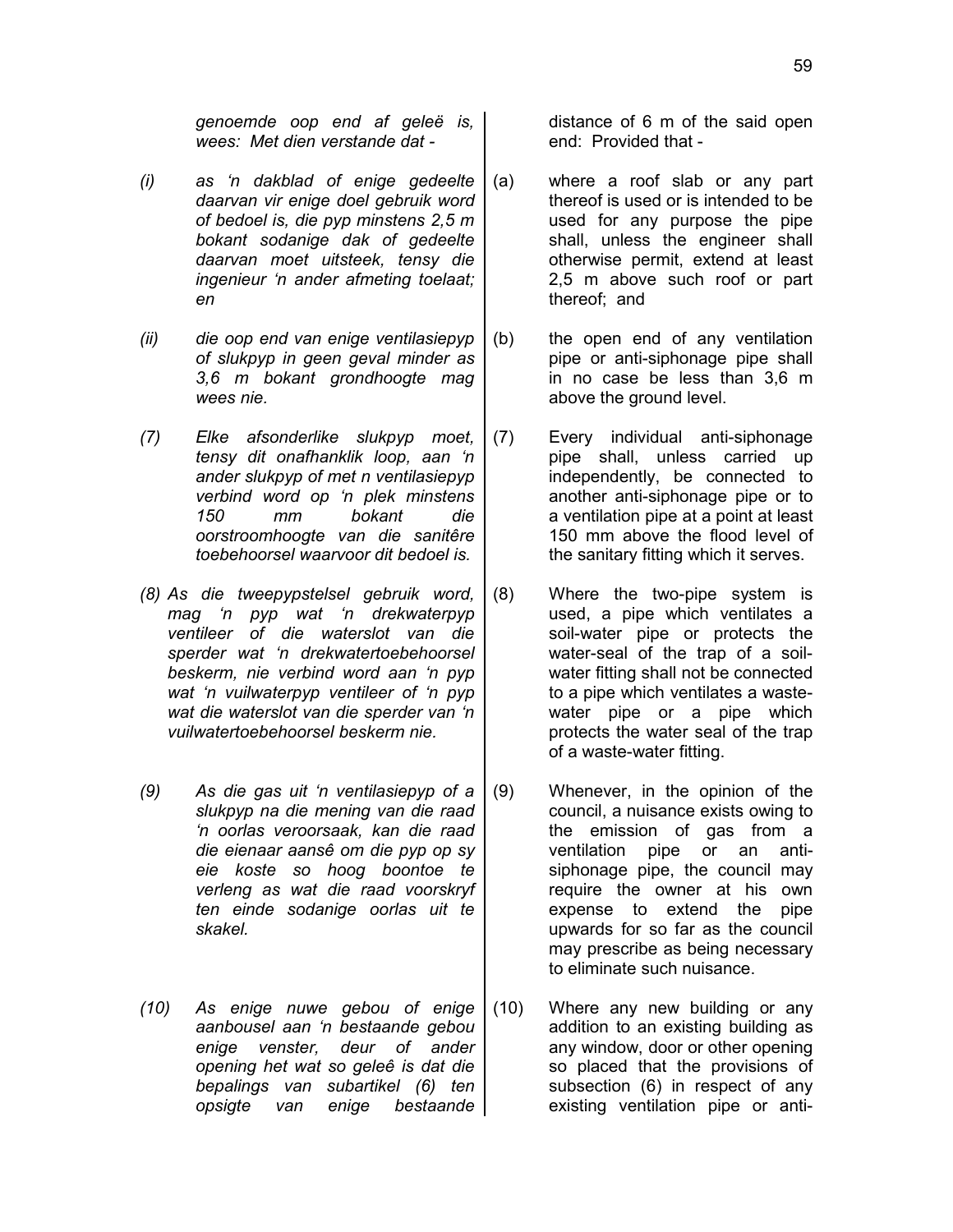- *(i) as 'n dakblad of enige gedeelte daarvan vir enige doel gebruik word of bedoel is, die pyp minstens 2,5 m bokant sodanige dak of gedeelte daarvan moet uitsteek, tensy die ingenieur 'n ander afmeting toelaat; en*
- *(ii) die oop end van enige ventilasiepyp of slukpyp in geen geval minder as 3,6 m bokant grondhoogte mag wees nie.*
- *(7) Elke afsonderlike slukpyp moet, tensy dit onafhanklik loop, aan 'n ander slukpyp of met n ventilasiepyp verbind word op 'n plek minstens 150 mm bokant die oorstroomhoogte van die sanitêre toebehoorsel waarvoor dit bedoel is.*
- *(8) As die tweepypstelsel gebruik word, mag 'n pyp wat 'n drekwaterpyp ventileer of die waterslot van die sperder wat 'n drekwatertoebehoorsel beskerm, nie verbind word aan 'n pyp wat 'n vuilwaterpyp ventileer of 'n pyp wat die waterslot van die sperder van 'n vuilwatertoebehoorsel beskerm nie.*
- *(9) As die gas uit 'n ventilasiepyp of a slukpyp na die mening van die raad 'n oorlas veroorsaak, kan die raad die eienaar aansê om die pyp op sy eie koste so hoog boontoe te verleng as wat die raad voorskryf ten einde sodanige oorlas uit te skakel.*
- *(10) As enige nuwe gebou of enige aanbousel aan 'n bestaande gebou enige venster, deur of ander opening het wat so geleê is dat die bepalings van subartikel (6) ten opsigte van enige bestaande*

distance of 6 m of the said open end: Provided that -

- (a) where a roof slab or any part thereof is used or is intended to be used for any purpose the pipe shall, unless the engineer shall otherwise permit, extend at least 2,5 m above such roof or part thereof; and
- (b) the open end of any ventilation pipe or anti-siphonage pipe shall in no case be less than 3,6 m above the ground level.
- (7) Every individual anti-siphonage pipe shall, unless carried up independently, be connected to another anti-siphonage pipe or to a ventilation pipe at a point at least 150 mm above the flood level of the sanitary fitting which it serves.
- (8) Where the two-pipe system is used, a pipe which ventilates a soil-water pipe or protects the water-seal of the trap of a soilwater fitting shall not be connected to a pipe which ventilates a wastewater pipe or a pipe which protects the water seal of the trap of a waste-water fitting.
- (9) Whenever, in the opinion of the council, a nuisance exists owing to the emission of gas from a ventilation pipe or an antisiphonage pipe, the council may require the owner at his own expense to extend the pipe upwards for so far as the council may prescribe as being necessary to eliminate such nuisance.
- (10) Where any new building or any addition to an existing building as any window, door or other opening so placed that the provisions of subsection (6) in respect of any existing ventilation pipe or anti-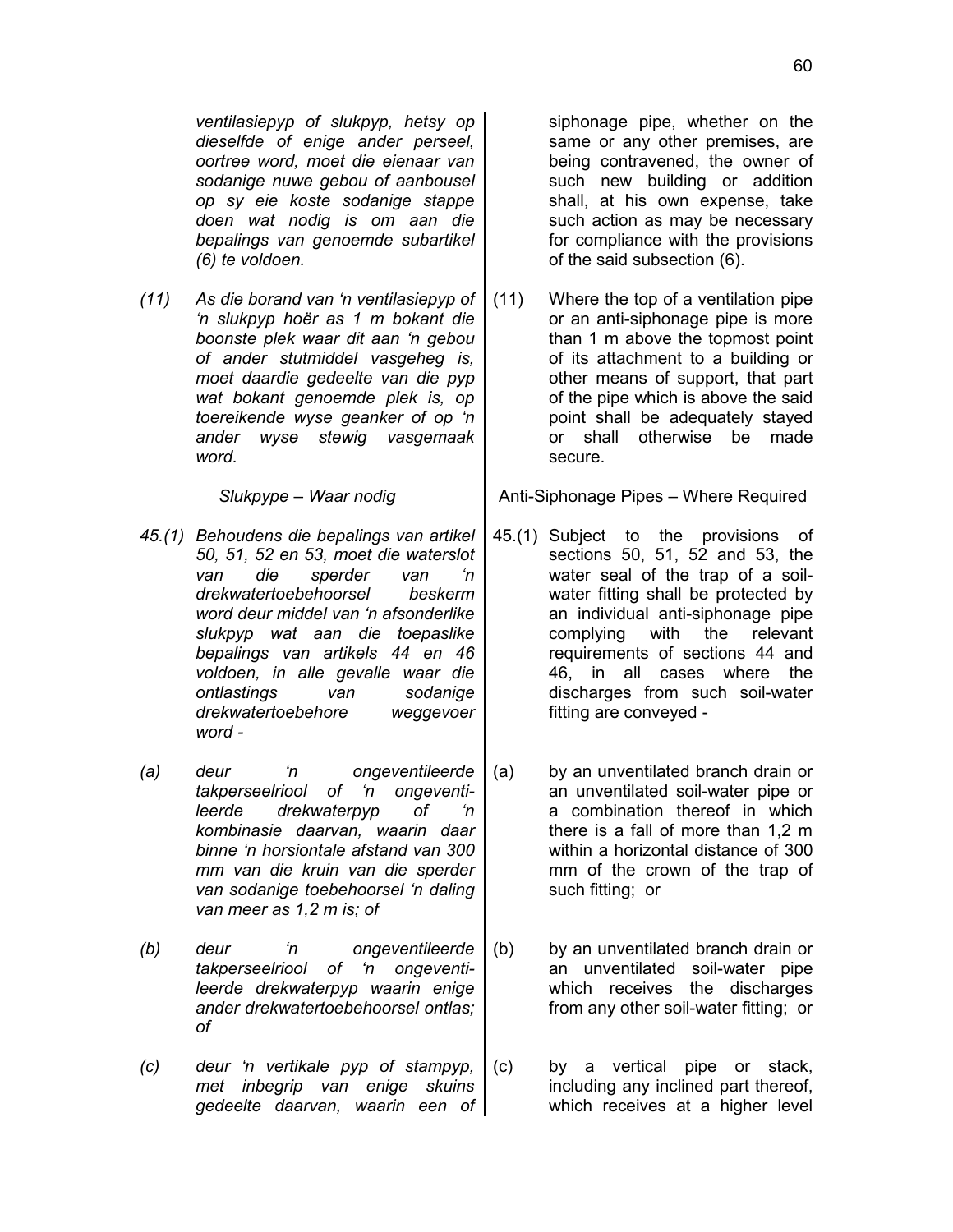*ventilasiepyp of slukpyp, hetsy op dieselfde of enige ander perseel, oortree word, moet die eienaar van sodanige nuwe gebou of aanbousel op sy eie koste sodanige stappe doen wat nodig is om aan die bepalings van genoemde subartikel (6) te voldoen.*

*(11) As die borand van 'n ventilasiepyp of 'n slukpyp hoër as 1 m bokant die boonste plek waar dit aan 'n gebou of ander stutmiddel vasgeheg is, moet daardie gedeelte van die pyp wat bokant genoemde plek is, op toereikende wyse geanker of op 'n ander wyse stewig vasgemaak word.*

- *45.(1) Behoudens die bepalings van artikel 50, 51, 52 en 53, moet die waterslot van die sperder van 'n drekwatertoebehoorsel beskerm word deur middel van 'n afsonderlike slukpyp wat aan die toepaslike bepalings van artikels 44 en 46 voldoen, in alle gevalle waar die ontlastings van sodanige drekwatertoebehore weggevoer word -*
- *(a) deur 'n ongeventileerde takperseelriool of 'n ongeventileerde drekwaterpyp of 'n kombinasie daarvan, waarin daar binne 'n horsiontale afstand van 300 mm van die kruin van die sperder van sodanige toebehoorsel 'n daling van meer as 1,2 m is; of*
- *(b) deur 'n ongeventileerde takperseelriool of 'n ongeventileerde drekwaterpyp waarin enige ander drekwatertoebehoorsel ontlas; of*
- *(c) deur 'n vertikale pyp of stampyp, met inbegrip van enige skuins gedeelte daarvan, waarin een of*

siphonage pipe, whether on the same or any other premises, are being contravened, the owner of such new building or addition shall, at his own expense, take such action as may be necessary for compliance with the provisions of the said subsection (6).

(11) Where the top of a ventilation pipe or an anti-siphonage pipe is more than 1 m above the topmost point of its attachment to a building or other means of support, that part of the pipe which is above the said point shall be adequately stayed or shall otherwise be made secure.

*Slukpype – Waar nodig* | Anti-Siphonage Pipes – Where Required

- 45.(1) Subject to the provisions of sections 50, 51, 52 and 53, the water seal of the trap of a soilwater fitting shall be protected by an individual anti-siphonage pipe complying with the relevant requirements of sections 44 and 46, in all cases where the discharges from such soil-water fitting are conveyed -
- (a) by an unventilated branch drain or an unventilated soil-water pipe or a combination thereof in which there is a fall of more than 1,2 m within a horizontal distance of 300 mm of the crown of the trap of such fitting; or
- (b) by an unventilated branch drain or an unventilated soil-water pipe which receives the discharges from any other soil-water fitting; or
- (c) by a vertical pipe or stack, including any inclined part thereof, which receives at a higher level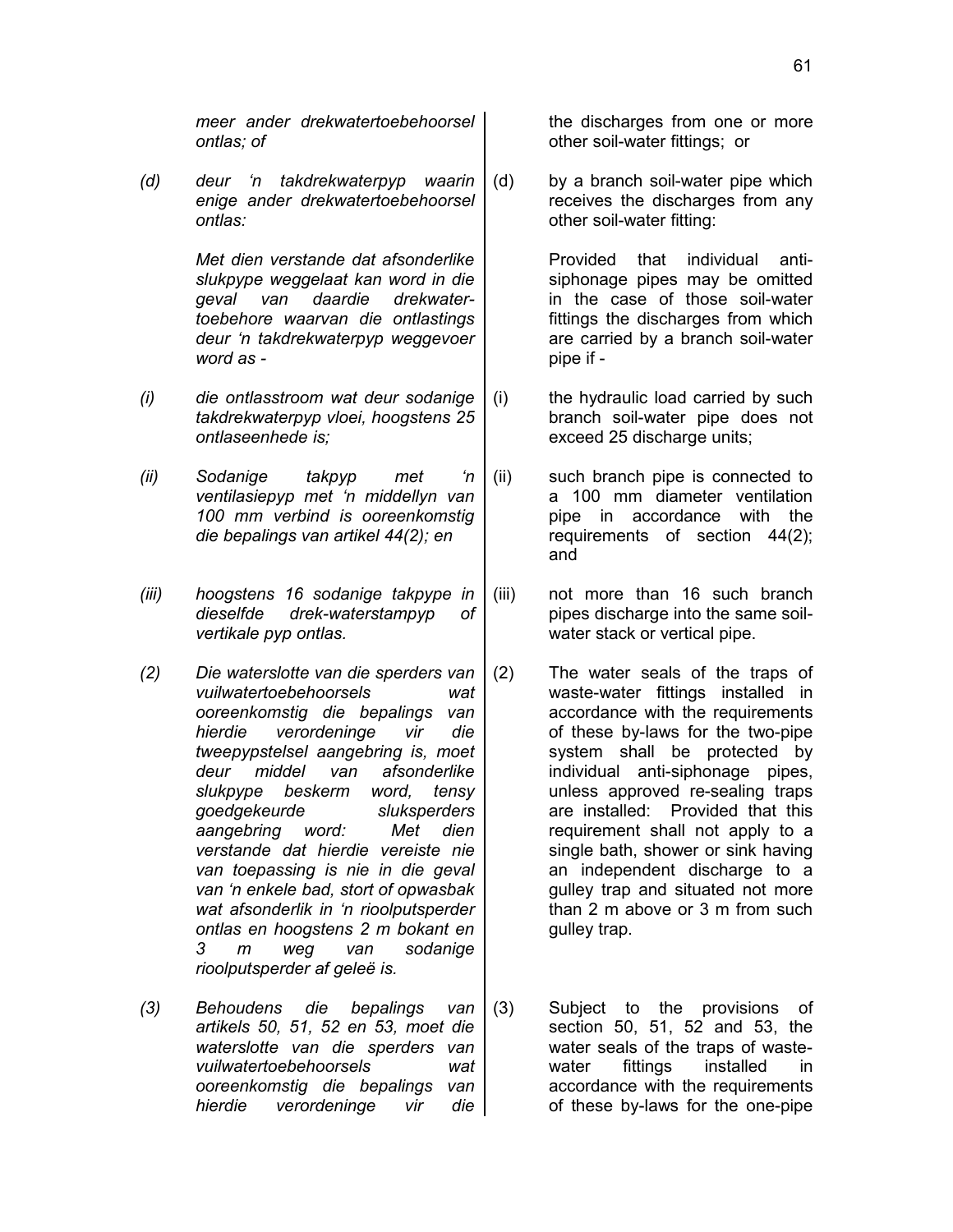*meer ander drekwatertoebehoorsel ontlas; of*

*(d) deur 'n takdrekwaterpyp waarin enige ander drekwatertoebehoorsel ontlas:*

> *Met dien verstande dat afsonderlike slukpype weggelaat kan word in die geval van daardie drekwatertoebehore waarvan die ontlastings deur 'n takdrekwaterpyp weggevoer word as -*

- *(i) die ontlasstroom wat deur sodanige takdrekwaterpyp vloei, hoogstens 25 ontlaseenhede is;*
- *(ii) Sodanige takpyp met 'n ventilasiepyp met 'n middellyn van 100 mm verbind is ooreenkomstig die bepalings van artikel 44(2); en*
- *(iii) hoogstens 16 sodanige takpype in dieselfde drek-waterstampyp of vertikale pyp ontlas.*
- *(2) Die waterslotte van die sperders van vuilwatertoebehoorsels wat ooreenkomstig die bepalings van hierdie verordeninge vir die tweepypstelsel aangebring is, moet deur middel van afsonderlike slukpype beskerm word, tensy goedgekeurde sluksperders aangebring word: Met dien verstande dat hierdie vereiste nie van toepassing is nie in die geval van 'n enkele bad, stort of opwasbak wat afsonderlik in 'n rioolputsperder ontlas en hoogstens 2 m bokant en 3 m weg van sodanige rioolputsperder af geleë is.*
- *(3) Behoudens die bepalings van artikels 50, 51, 52 en 53, moet die waterslotte van die sperders van vuilwatertoebehoorsels wat ooreenkomstig die bepalings van hierdie verordeninge vir die*

the discharges from one or more other soil-water fittings; or

(d) by a branch soil-water pipe which receives the discharges from any other soil-water fitting:

> Provided that individual antisiphonage pipes may be omitted in the case of those soil-water fittings the discharges from which are carried by a branch soil-water pipe if -

- (i) the hydraulic load carried by such branch soil-water pipe does not exceed 25 discharge units;
- (ii) such branch pipe is connected to a 100 mm diameter ventilation pipe in accordance with the requirements of section 44(2); and
- (iii) not more than 16 such branch pipes discharge into the same soilwater stack or vertical pipe.
- (2) The water seals of the traps of waste-water fittings installed in accordance with the requirements of these by-laws for the two-pipe system shall be protected by individual anti-siphonage pipes, unless approved re-sealing traps are installed: Provided that this requirement shall not apply to a single bath, shower or sink having an independent discharge to a gulley trap and situated not more than 2 m above or 3 m from such gulley trap.
- (3) Subject to the provisions of section 50, 51, 52 and 53, the water seals of the traps of wastewater fittings installed in accordance with the requirements of these by-laws for the one-pipe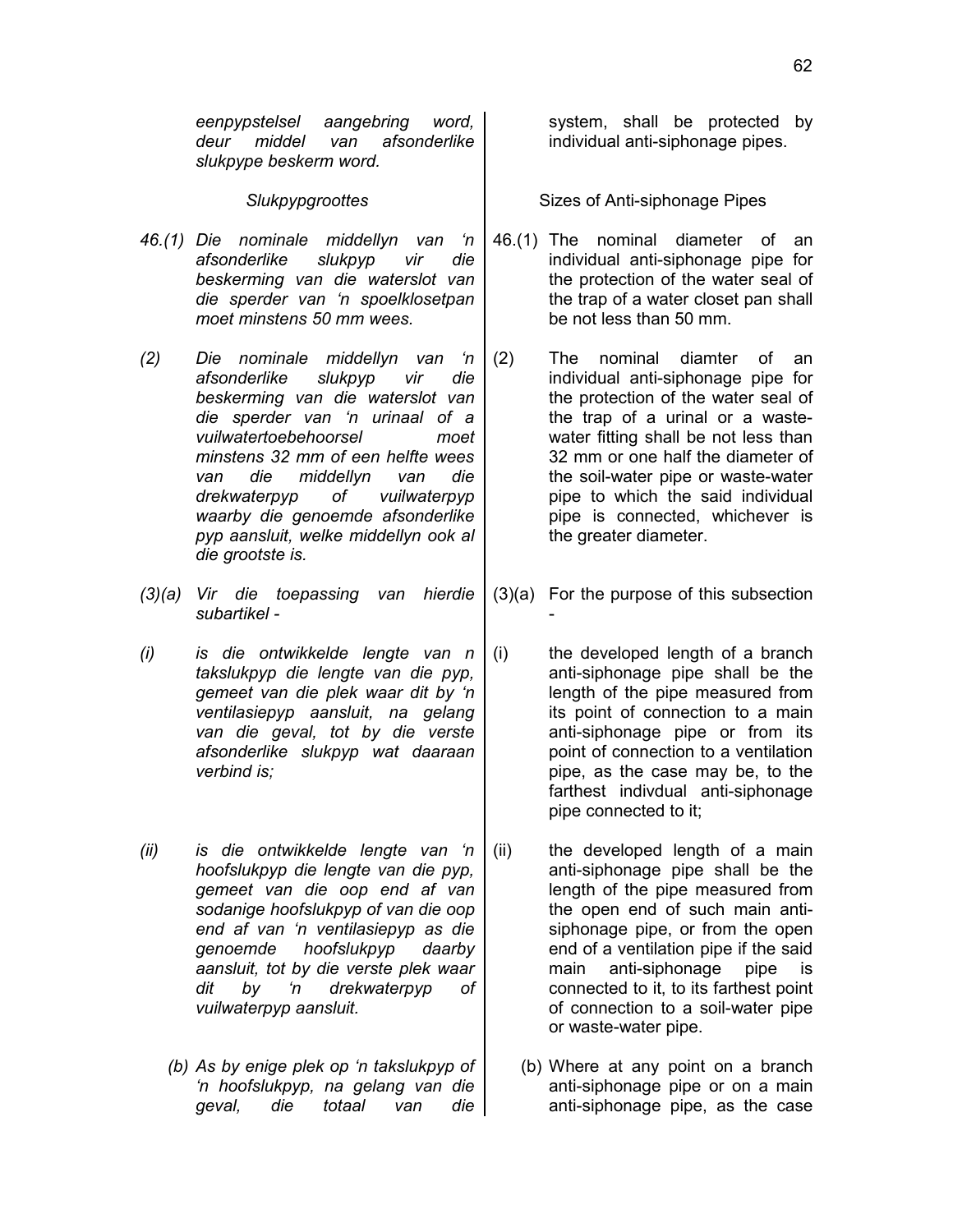- *46.(1) Die nominale middellyn van 'n afsonderlike slukpyp vir die beskerming van die waterslot van die sperder van 'n spoelklosetpan moet minstens 50 mm wees.*
- *(2) Die nominale middellyn van 'n afsonderlike slukpyp vir die beskerming van die waterslot van die sperder van 'n urinaal of a vuilwatertoebehoorsel moet minstens 32 mm of een helfte wees van die middellyn van die drekwaterpyp of vuilwaterpyp waarby die genoemde afsonderlike pyp aansluit, welke middellyn ook al die grootste is.*
- *(3)(a) Vir die toepassing van hierdie subartikel -*
- *(i) is die ontwikkelde lengte van n takslukpyp die lengte van die pyp, gemeet van die plek waar dit by 'n ventilasiepyp aansluit, na gelang van die geval, tot by die verste afsonderlike slukpyp wat daaraan verbind is;*
- *(ii) is die ontwikkelde lengte van 'n hoofslukpyp die lengte van die pyp, gemeet van die oop end af van sodanige hoofslukpyp of van die oop end af van 'n ventilasiepyp as die genoemde hoofslukpyp daarby aansluit, tot by die verste plek waar dit by 'n drekwaterpyp of vuilwaterpyp aansluit.*
	- *(b) As by enige plek op 'n takslukpyp of 'n hoofslukpyp, na gelang van die geval, die totaal van die*

system, shall be protected by individual anti-siphonage pipes.

Slukpypgroottes **Sizes** of Anti-siphonage Pipes

46.(1) The nominal diameter of an individual anti-siphonage pipe for the protection of the water seal of the trap of a water closet pan shall be not less than 50 mm.

- (2) The nominal diamter of an individual anti-siphonage pipe for the protection of the water seal of the trap of a urinal or a wastewater fitting shall be not less than 32 mm or one half the diameter of the soil-water pipe or waste-water pipe to which the said individual pipe is connected, whichever is the greater diameter.
- (3)(a) For the purpose of this subsection

-

(i) the developed length of a branch anti-siphonage pipe shall be the length of the pipe measured from its point of connection to a main anti-siphonage pipe or from its point of connection to a ventilation pipe, as the case may be, to the farthest indivdual anti-siphonage pipe connected to it;

(ii) the developed length of a main anti-siphonage pipe shall be the length of the pipe measured from the open end of such main antisiphonage pipe, or from the open end of a ventilation pipe if the said main anti-siphonage pipe is connected to it, to its farthest point of connection to a soil-water pipe or waste-water pipe.

(b) Where at any point on a branch anti-siphonage pipe or on a main anti-siphonage pipe, as the case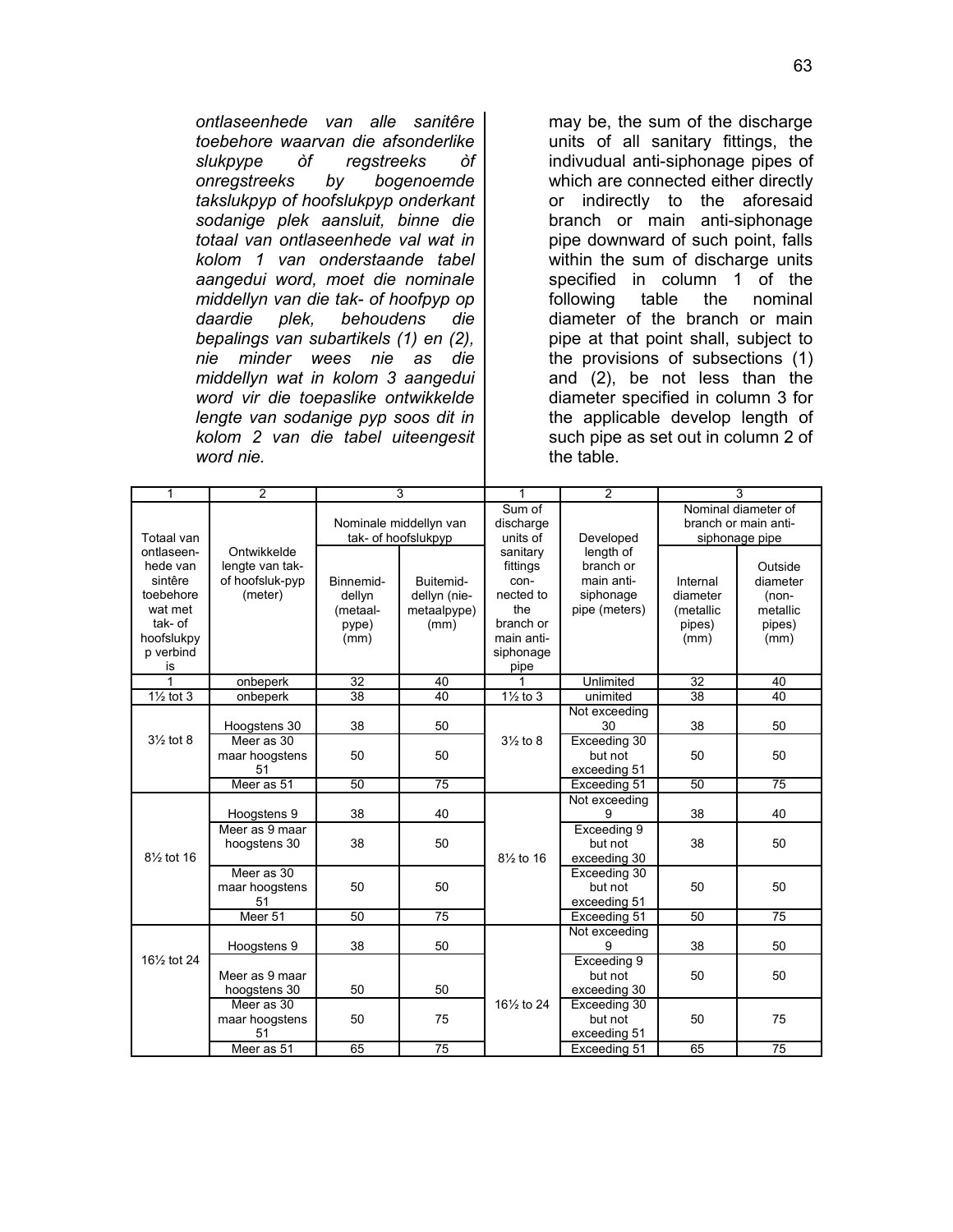*ontlaseenhede van alle sanitêre toebehore waarvan die afsonderlike slukpype òf regstreeks òf onregstreeks by bogenoemde takslukpyp of hoofslukpyp onderkant sodanige plek aansluit, binne die totaal van ontlaseenhede val wat in kolom 1 van onderstaande tabel aangedui word, moet die nominale middellyn van die tak- of hoofpyp op daardie plek, behoudens die bepalings van subartikels (1) en (2), nie minder wees nie as die middellyn wat in kolom 3 aangedui word vir die toepaslike ontwikkelde lengte van sodanige pyp soos dit in kolom 2 van die tabel uiteengesit word nie.*

may be, the sum of the discharge units of all sanitary fittings, the indivudual anti-siphonage pipes of which are connected either directly or indirectly to the aforesaid branch or main anti-siphonage pipe downward of such point, falls within the sum of discharge units specified in column 1 of the following table the nominal diameter of the branch or main pipe at that point shall, subject to the provisions of subsections (1) and (2), be not less than the diameter specified in column 3 for the applicable develop length of such pipe as set out in column 2 of the table.

| 1                                     | 2               |                                               | 3            | 1                       | $\overline{c}$ |                      | 3        |
|---------------------------------------|-----------------|-----------------------------------------------|--------------|-------------------------|----------------|----------------------|----------|
|                                       |                 | Nominale middellyn van<br>tak- of hoofslukpyp |              | Sum of                  |                | Nominal diameter of  |          |
|                                       |                 |                                               |              | discharge               |                | branch or main anti- |          |
| Totaal van                            |                 |                                               |              | units of                | Developed      | siphonage pipe       |          |
| ontlaseen-                            | Ontwikkelde     |                                               |              | sanitary                | length of      |                      |          |
| hede van                              | lengte van tak- |                                               |              | fittings                | branch or      |                      | Outside  |
| sintêre                               | of hoofsluk-pyp | Binnemid-                                     | Buitemid-    | con-                    | main anti-     | Internal             | diameter |
| toebehore                             | (meter)         | dellyn                                        | dellyn (nie- | nected to               | siphonage      | diameter             | (non-    |
| wat met                               |                 | (metaal-                                      | metaalpype)  | the                     | pipe (meters)  | (metallic            | metallic |
| tak- of                               |                 | pype)                                         | (mm)         | branch or               |                | pipes)               | pipes)   |
| hoofslukpy                            |                 | (mm)                                          |              | main anti-              |                | (mm)                 | (mm)     |
| p verbind                             |                 |                                               |              | siphonage               |                |                      |          |
| is                                    |                 |                                               |              | pipe                    |                |                      |          |
| 1                                     | onbeperk        | 32                                            | 40           |                         | Unlimited      | 32                   | 40       |
| $1\frac{1}{2}$ tot 3                  | onbeperk        | 38                                            | 40           | $1\frac{1}{2}$ to 3     | unimited       | 38                   | 40       |
|                                       |                 |                                               |              |                         | Not exceeding  |                      |          |
|                                       | Hoogstens 30    | 38                                            | 50           |                         | 30             | 38                   | 50       |
| $3\frac{1}{2}$ tot 8                  | Meer as 30      |                                               |              | $3\frac{1}{2}$ to 8     | Exceeding 30   |                      |          |
|                                       | maar hoogstens  | 50                                            | 50           |                         | but not        | 50                   | 50       |
|                                       | 51              |                                               |              |                         | exceeding 51   |                      |          |
|                                       | Meer as 51      | 50                                            | 75           |                         | Exceeding 51   | 50                   | 75       |
|                                       |                 |                                               |              |                         | Not exceeding  |                      |          |
|                                       | Hoogstens 9     | 38                                            | 40           |                         | Й              | 38                   | 40       |
|                                       | Meer as 9 maar  |                                               |              |                         | Exceeding 9    |                      |          |
|                                       | hoogstens 30    | 38                                            | 50           |                         | but not        | 38                   | 50       |
| 81/ <sub>2</sub> tot 16               |                 |                                               |              | $8\frac{1}{2}$ to 16    | exceeding 30   |                      |          |
|                                       | Meer as 30      |                                               |              |                         | Exceeding 30   |                      |          |
|                                       | maar hoogstens  | 50                                            | 50           |                         | but not        | 50                   | 50       |
|                                       | 51              |                                               |              |                         | exceeding 51   |                      |          |
|                                       | Meer 51         | 50                                            | 75           |                         | Exceeding 51   | 50                   | 75       |
|                                       |                 |                                               |              |                         | Not exceeding  |                      |          |
|                                       | Hoogstens 9     | 38                                            | 50           |                         | 9              | 38                   | 50       |
| 16 <sup>1</sup> / <sub>2</sub> tot 24 |                 |                                               |              |                         | Exceeding 9    |                      |          |
|                                       | Meer as 9 maar  |                                               |              |                         | but not        | 50                   | 50       |
|                                       | hoogstens 30    | 50                                            | 50           |                         | exceeding 30   |                      |          |
|                                       | Meer as 30      |                                               |              | 161/ <sub>2</sub> to 24 | Exceeding 30   |                      |          |
|                                       | maar hoogstens  | 50                                            | 75           |                         | but not        | 50                   | 75       |
|                                       | 51              |                                               |              |                         | exceeding 51   |                      |          |
|                                       | Meer as 51      | 65                                            | 75           |                         | Exceeding 51   | 65                   | 75       |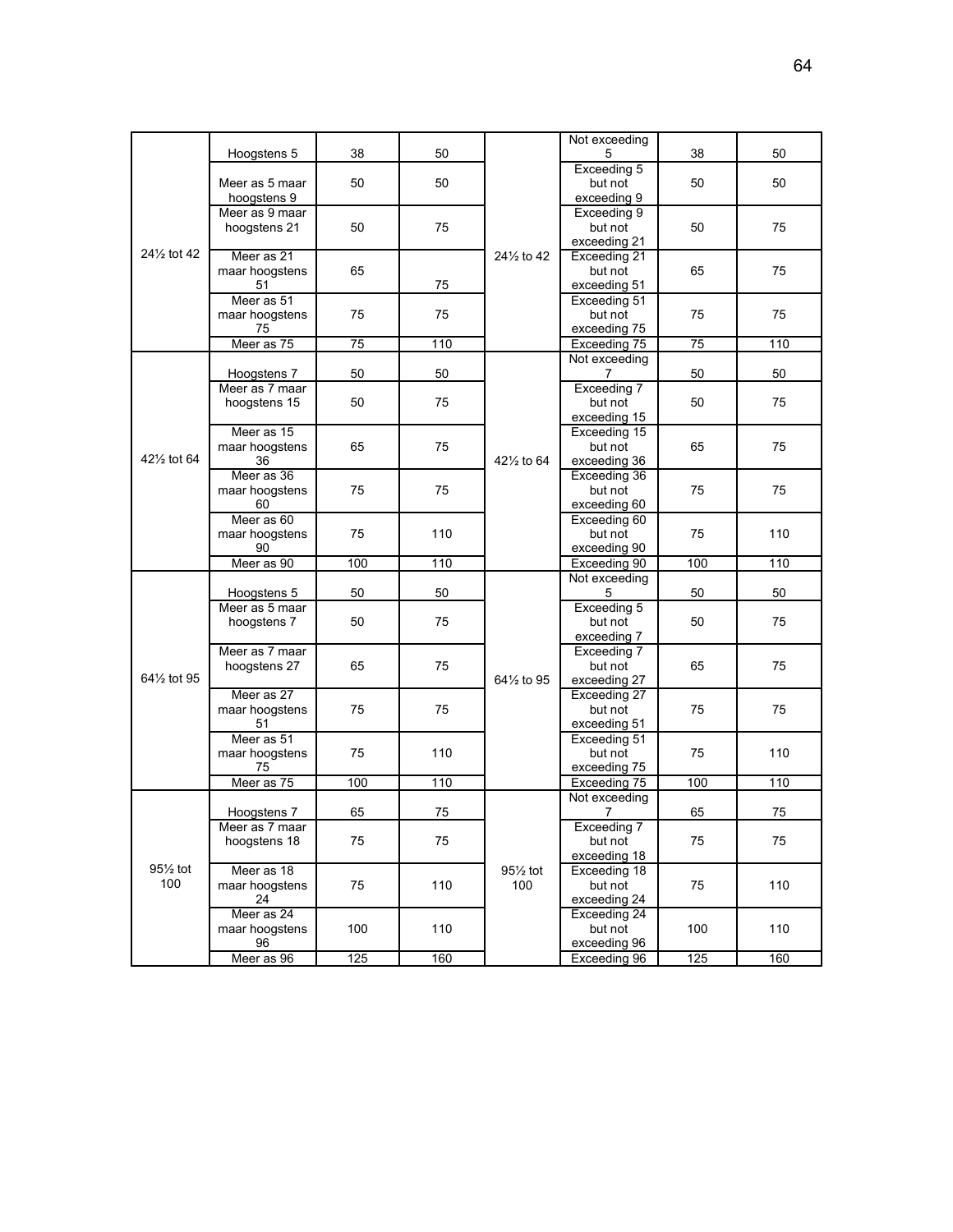|                                       | Hoogstens 5          | 38  | 50  |                         | Not exceeding<br>5 | 38       | 50  |
|---------------------------------------|----------------------|-----|-----|-------------------------|--------------------|----------|-----|
|                                       |                      |     |     |                         | Exceeding 5        |          |     |
|                                       | Meer as 5 maar       | 50  | 50  |                         | but not            | 50       | 50  |
|                                       | hoogstens 9          |     |     |                         | exceeding 9        |          |     |
|                                       | Meer as 9 maar       |     |     |                         | Exceeding 9        |          |     |
|                                       | hoogstens 21         | 50  | 75  |                         | but not            | 50       | 75  |
|                                       |                      |     |     |                         | exceeding 21       |          |     |
| 24 <sup>1</sup> / <sub>2</sub> tot 42 | Meer as 21           |     |     | 24 <sup>1/2</sup> to 42 | Exceeding 21       |          |     |
|                                       | maar hoogstens       | 65  |     |                         | but not            | 65       | 75  |
|                                       | 51                   |     | 75  |                         | exceeding 51       |          |     |
|                                       | Meer as 51           |     |     |                         | Exceeding 51       |          |     |
|                                       | maar hoogstens       | 75  | 75  |                         | but not            | 75       | 75  |
|                                       | 75                   |     |     |                         | exceeding 75       |          |     |
|                                       | Meer as 75           | 75  | 110 |                         | Exceeding 75       | 75       | 110 |
|                                       |                      |     |     |                         | Not exceeding      |          |     |
|                                       | Hoogstens 7          | 50  | 50  |                         | 7                  | 50       | 50  |
|                                       | Meer as 7 maar       |     |     |                         | Exceeding 7        |          |     |
|                                       | hoogstens 15         | 50  | 75  |                         | but not            | 50       | 75  |
|                                       |                      |     |     |                         | exceeding 15       |          |     |
|                                       | Meer as 15           |     |     |                         | Exceeding 15       |          |     |
|                                       | maar hoogstens       | 65  | 75  |                         | but not            | 65       | 75  |
| 421/ <sub>2</sub> tot 64              | 36                   |     |     | 421/2 to 64             | exceeding 36       |          |     |
|                                       | Meer as 36           |     | 75  |                         | Exceeding 36       | 75       |     |
|                                       | maar hoogstens<br>60 | 75  |     |                         | but not            |          | 75  |
|                                       |                      |     |     |                         | exceeding 60       |          |     |
|                                       | Meer as 60           |     |     |                         | Exceeding 60       |          |     |
|                                       | maar hoogstens       | 75  | 110 |                         | but not            | 75       | 110 |
|                                       | 90                   |     |     |                         | exceeding 90       |          |     |
|                                       | Meer as 90           | 100 | 110 |                         | Exceeding 90       | 100      | 110 |
|                                       |                      |     |     |                         | Not exceeding      |          |     |
|                                       | Hoogstens 5          | 50  | 50  |                         | 5                  | 50       | 50  |
|                                       | Meer as 5 maar       |     | 75  |                         | Exceeding 5        | 50       |     |
|                                       | hoogstens 7          | 50  |     |                         | but not            |          | 75  |
|                                       |                      |     |     |                         | exceeding 7        |          |     |
|                                       | Meer as 7 maar       |     |     |                         | Exceeding 7        | 65       |     |
|                                       | hoogstens 27         | 65  | 75  |                         | but not            |          | 75  |
| 641/ <sub>2</sub> tot 95              |                      |     |     | 641/ <sub>2</sub> to 95 | exceeding 27       |          |     |
|                                       | Meer as 27           |     |     |                         | Exceeding 27       | 75<br>75 |     |
|                                       | maar hoogstens       | 75  | 75  |                         | but not            |          | 75  |
|                                       | 51                   |     |     |                         | exceeding 51       |          |     |
|                                       | Meer as 51           |     |     |                         | Exceeding 51       |          |     |
|                                       | maar hoogstens       | 75  | 110 |                         | but not            |          | 110 |
|                                       | 75                   |     |     |                         | exceeding 75       |          |     |
|                                       | Meer as 75           | 100 | 110 |                         | Exceeding 75       | 100      | 110 |
|                                       |                      |     |     |                         | Not exceeding      |          |     |
|                                       | Hoogstens 7          | 65  | 75  |                         | 7                  | 65       | 75  |
|                                       | Meer as 7 maar       |     |     |                         | Exceeding 7        |          |     |
|                                       | hoogstens 18         | 75  | 75  |                         | but not            | 75       | 75  |
|                                       |                      |     |     |                         | exceeding 18       |          |     |
| 951/ <sub>2</sub> tot                 | Meer as 18           |     | 110 | 951/ <sub>2</sub> tot   | Exceeding 18       |          |     |
| 100                                   | maar hoogstens       | 75  |     | 100                     | but not            | 75       | 110 |
|                                       | 24                   |     |     |                         | exceeding 24       |          |     |
|                                       | Meer as 24           |     |     |                         | Exceeding 24       |          |     |
|                                       | maar hoogstens       | 100 | 110 |                         | but not            | 100      | 110 |
|                                       | 96                   |     |     |                         | exceeding 96       |          |     |
|                                       | Meer as 96           | 125 | 160 |                         | Exceeding 96       | 125      | 160 |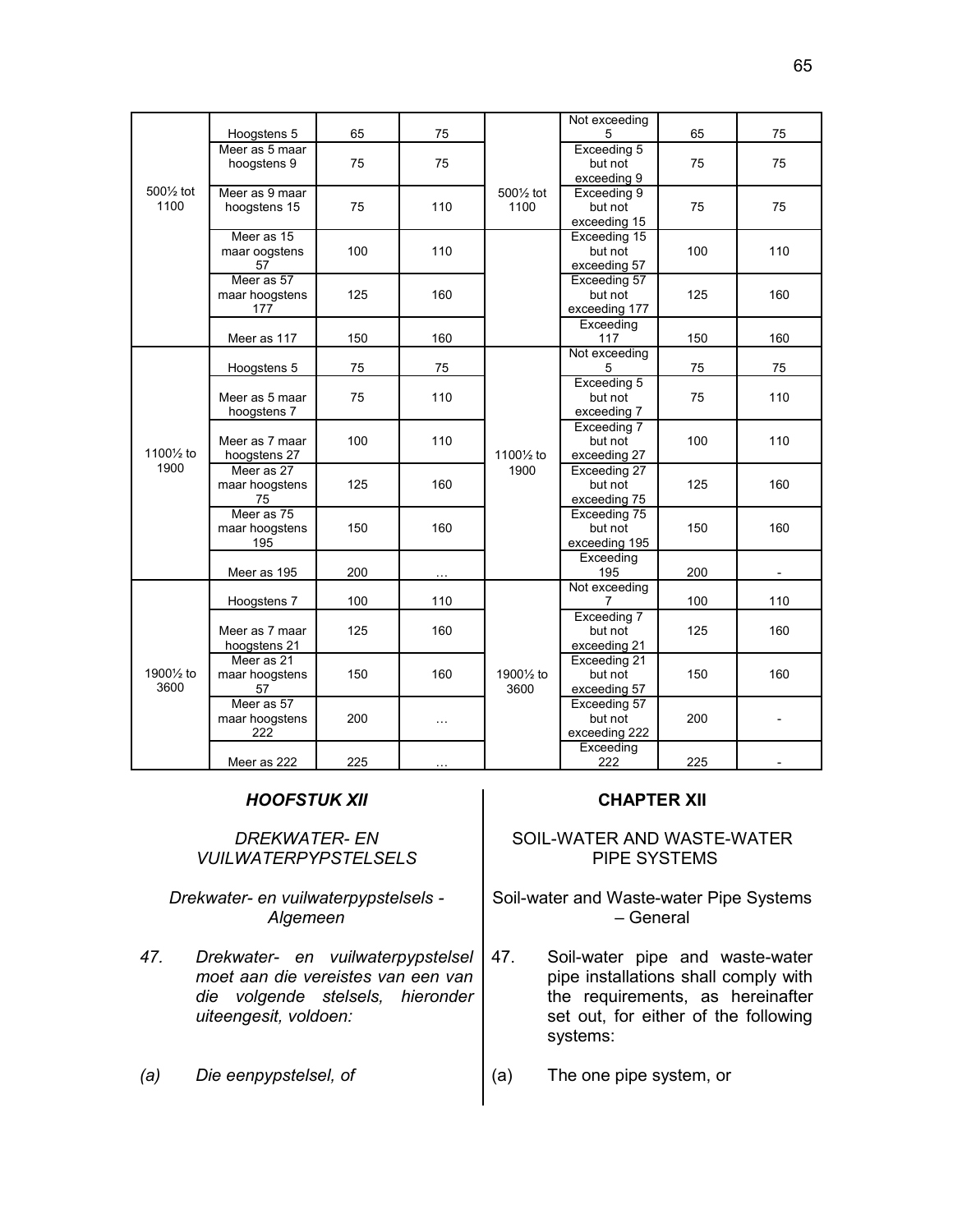|                                     |                                      |            |          |                                     | Not exceeding           |     |                          |
|-------------------------------------|--------------------------------------|------------|----------|-------------------------------------|-------------------------|-----|--------------------------|
|                                     | Hoogstens 5                          | 65         | 75       |                                     | 5                       | 65  | 75                       |
|                                     | Meer as 5 maar                       |            |          |                                     | Exceeding 5             |     |                          |
|                                     | hoogstens 9                          | 75         | 75       |                                     | but not                 | 75  | 75                       |
|                                     |                                      |            |          |                                     | exceeding 9             |     |                          |
| 500 <sup>1/2</sup> tot              | Meer as 9 maar                       |            |          | 5001/2 tot                          | Exceeding 9             |     |                          |
| 1100                                | hoogstens 15                         | 75         | 110      | 1100                                | but not                 | 75  | 75                       |
|                                     |                                      |            |          |                                     | exceeding 15            |     |                          |
|                                     | Meer as 15                           |            |          |                                     | Exceeding 15            |     |                          |
|                                     | maar oogstens                        | 100        | 110      |                                     | but not                 | 100 | 110                      |
|                                     | 57                                   |            |          |                                     | exceeding 57            |     |                          |
|                                     | Meer as 57                           |            |          |                                     | Exceeding 57            |     |                          |
|                                     | maar hoogstens                       | 125        | 160      |                                     | but not                 | 125 | 160                      |
|                                     | 177                                  |            |          |                                     | exceeding 177           |     |                          |
|                                     |                                      |            |          |                                     | Exceeding               |     |                          |
|                                     | Meer as 117                          | 150        | 160      |                                     | 117                     | 150 | 160                      |
|                                     |                                      |            |          |                                     | Not exceeding           |     |                          |
|                                     | Hoogstens 5                          | 75         | 75       |                                     | 5                       | 75  | 75                       |
|                                     | Meer as 5 maar<br>hoogstens 7        | 75         | 110      |                                     | Exceeding 5             |     |                          |
|                                     |                                      |            |          |                                     | but not                 | 75  | 110                      |
| 1100 <sup>1</sup> / <sub>2</sub> to |                                      |            |          |                                     | exceeding 7             |     |                          |
|                                     | Meer as 7 maar                       | 100        | 110      |                                     | Exceeding 7             |     |                          |
|                                     |                                      |            |          |                                     | but not                 | 100 | 110                      |
| 1900                                | hoogstens 27                         |            |          | 1100 <sup>1</sup> / <sub>2</sub> to | exceeding 27            |     |                          |
|                                     | Meer as 27<br>maar hoogstens         | 125        | 160      | 1900                                | Exceeding 27            |     |                          |
|                                     |                                      |            |          |                                     | but not                 | 125 | 160                      |
|                                     | 75<br>Meer as 75                     |            |          |                                     | exceeding 75            |     |                          |
|                                     |                                      | 150<br>200 | 160      |                                     | Exceeding 75<br>but not | 150 | 160                      |
|                                     | maar hoogstens<br>195<br>Meer as 195 |            |          |                                     | exceeding 195           |     |                          |
|                                     |                                      |            |          |                                     | Exceeding               |     |                          |
|                                     |                                      |            |          |                                     | 195                     | 200 | $\overline{\phantom{a}}$ |
|                                     |                                      |            |          |                                     | Not exceeding           |     |                          |
|                                     | Hoogstens 7                          | 100        | 110      |                                     | 7                       | 100 | 110                      |
|                                     |                                      |            |          |                                     | Exceeding 7             |     |                          |
|                                     | Meer as 7 maar                       | 125        | 160      |                                     | but not                 | 125 | 160                      |
|                                     | hoogstens 21                         |            |          |                                     | exceeding 21            |     |                          |
|                                     | Meer as 21                           |            |          |                                     | Exceeding 21            | 150 |                          |
| 1900 <sup>1/2</sup> to<br>3600      | maar hoogstens                       | 150        | 160      | 1900 <sup>1</sup> / <sub>2</sub> to | but not                 |     | 160                      |
|                                     | 57                                   |            |          | 3600                                | exceeding 57            |     |                          |
|                                     | Meer as 57                           |            |          |                                     | Exceeding 57            |     |                          |
|                                     | maar hoogstens                       | 200        | $\cdots$ |                                     | but not                 | 200 |                          |
|                                     | 222                                  |            |          |                                     | exceeding 222           |     |                          |
|                                     |                                      |            |          |                                     | Exceeding               |     |                          |
|                                     | Meer as 222                          | 225        |          |                                     | 222                     | 225 |                          |

### *HOOFSTUK XII* **CHAPTER XII**

### *DREKWATER- EN VUILWATERPYPSTELSELS*

*Drekwater- en vuilwaterpypstelsels - Algemeen*

*47. Drekwater- en vuilwaterpypstelsel moet aan die vereistes van een van die volgende stelsels, hieronder uiteengesit, voldoen:*

### SOIL-WATER AND WASTE-WATER PIPE SYSTEMS

Soil-water and Waste-water Pipe Systems – General

- 47. Soil-water pipe and waste-water pipe installations shall comply with the requirements, as hereinafter set out, for either of the following systems:
- *(a) Die eenpypstelsel, of* (a) The one pipe system, or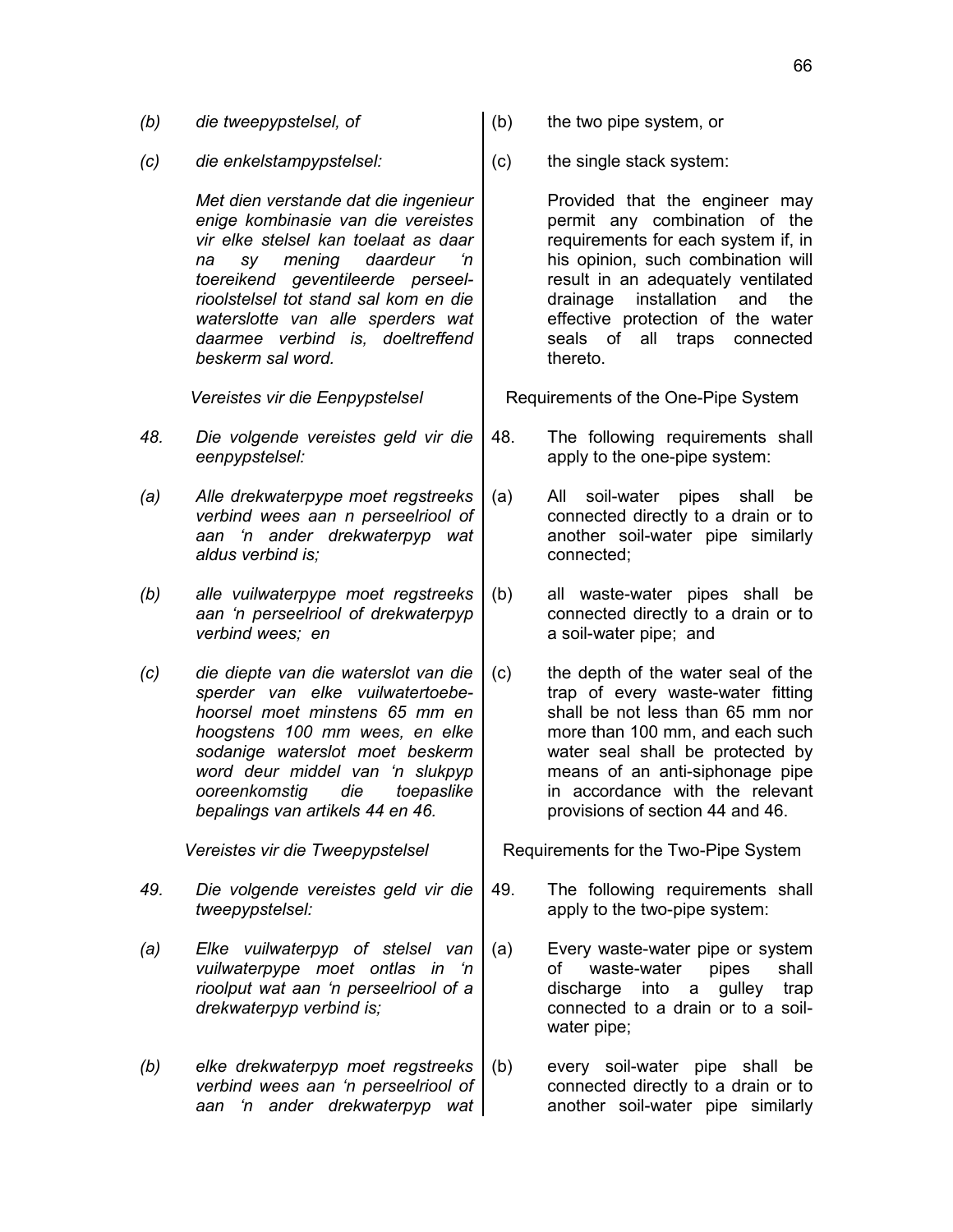- *(b) die tweepypstelsel, of* (b) the two pipe system, or
- *(c) die enkelstampypstelsel:* (c) the single stack system:

*Met dien verstande dat die ingenieur enige kombinasie van die vereistes vir elke stelsel kan toelaat as daar na sy mening daardeur 'n toereikend geventileerde perseelrioolstelsel tot stand sal kom en die waterslotte van alle sperders wat daarmee verbind is, doeltreffend beskerm sal word.*

- *48. Die volgende vereistes geld vir die eenpypstelsel:*
- *(a) Alle drekwaterpype moet regstreeks verbind wees aan n perseelriool of aan 'n ander drekwaterpyp wat aldus verbind is;*
- *(b) alle vuilwaterpype moet regstreeks aan 'n perseelriool of drekwaterpyp verbind wees; en*
- *(c) die diepte van die waterslot van die sperder van elke vuilwatertoebehoorsel moet minstens 65 mm en hoogstens 100 mm wees, en elke sodanige waterslot moet beskerm word deur middel van 'n slukpyp ooreenkomstig die toepaslike bepalings van artikels 44 en 46.*

- *49. Die volgende vereistes geld vir die tweepypstelsel:*
- *(a) Elke vuilwaterpyp of stelsel van vuilwaterpype moet ontlas in 'n rioolput wat aan 'n perseelriool of a drekwaterpyp verbind is;*
- *(b) elke drekwaterpyp moet regstreeks verbind wees aan 'n perseelriool of aan 'n ander drekwaterpyp wat*
- 
- 

Provided that the engineer may permit any combination of the requirements for each system if, in his opinion, such combination will result in an adequately ventilated drainage installation and the effective protection of the water seals of all traps connected thereto.

*Vereistes vir die Eenpypstelsel* Requirements of the One-Pipe System

- 48. The following requirements shall apply to the one-pipe system:
- (a) All soil-water pipes shall be connected directly to a drain or to another soil-water pipe similarly connected;
- (b) all waste-water pipes shall be connected directly to a drain or to a soil-water pipe; and
- (c) the depth of the water seal of the trap of every waste-water fitting shall be not less than 65 mm nor more than 100 mm, and each such water seal shall be protected by means of an anti-siphonage pipe in accordance with the relevant provisions of section 44 and 46.

*Vereistes vir die Tweepypstelsel* Requirements for the Two-Pipe System

- 49. The following requirements shall apply to the two-pipe system:
- (a) Every waste-water pipe or system of waste-water pipes shall discharge into a gulley trap connected to a drain or to a soilwater pipe;
- (b) every soil-water pipe shall be connected directly to a drain or to another soil-water pipe similarly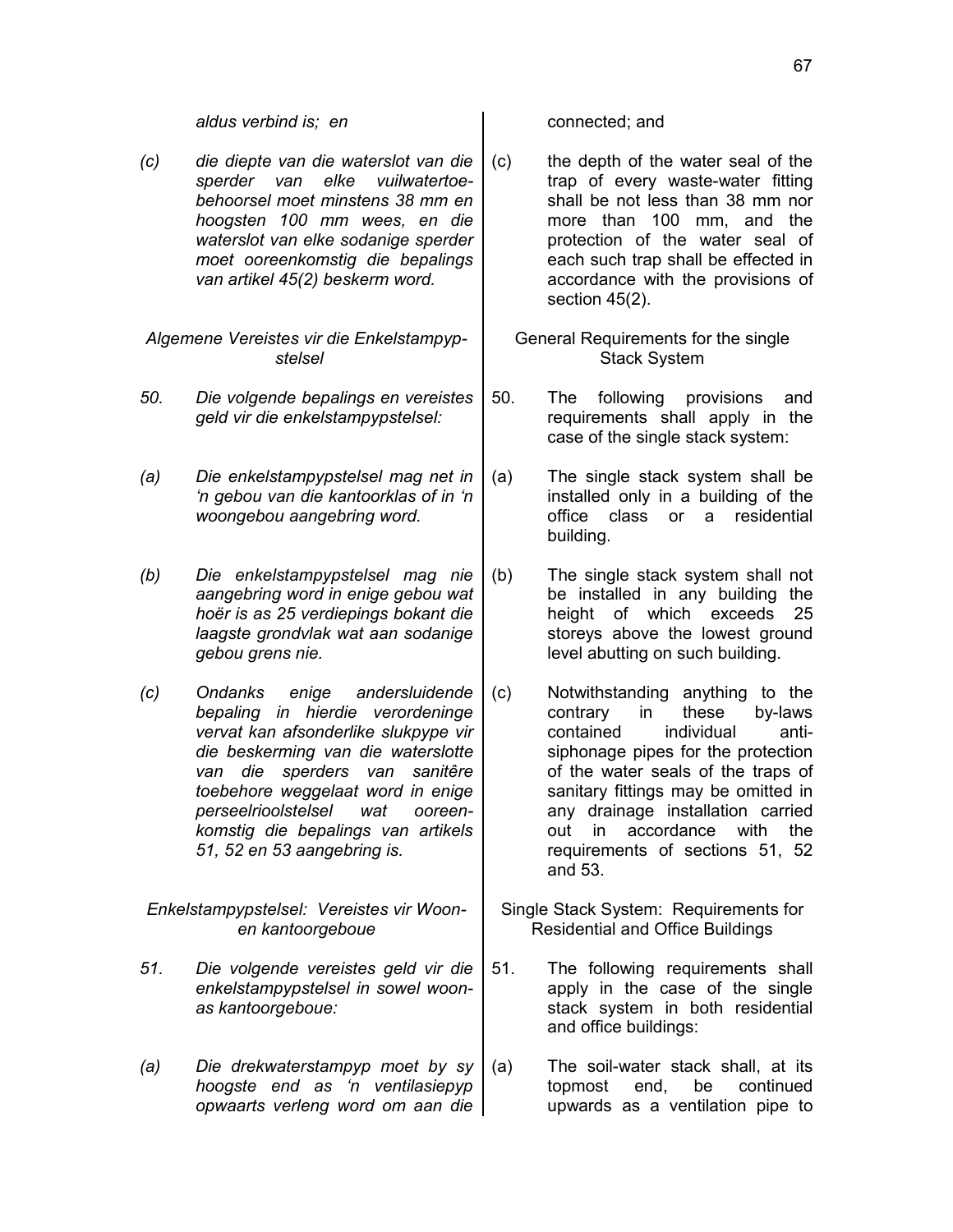*aldus verbind is; en* entitled; and connected; and

*(c) die diepte van die waterslot van die sperder van elke vuilwatertoebehoorsel moet minstens 38 mm en hoogsten 100 mm wees, en die waterslot van elke sodanige sperder moet ooreenkomstig die bepalings van artikel 45(2) beskerm word.*

*Algemene Vereistes vir die Enkelstampypstelsel*

- *50. Die volgende bepalings en vereistes geld vir die enkelstampypstelsel:*
- *(a) Die enkelstampypstelsel mag net in 'n gebou van die kantoorklas of in 'n woongebou aangebring word.*
- *(b) Die enkelstampypstelsel mag nie aangebring word in enige gebou wat hoër is as 25 verdiepings bokant die laagste grondvlak wat aan sodanige gebou grens nie.*
- *(c) Ondanks enige andersluidende bepaling in hierdie verordeninge vervat kan afsonderlike slukpype vir die beskerming van die waterslotte van die sperders van sanitêre toebehore weggelaat word in enige perseelrioolstelsel wat ooreenkomstig die bepalings van artikels 51, 52 en 53 aangebring is.*

*Enkelstampypstelsel: Vereistes vir Woonen kantoorgeboue*

- *51. Die volgende vereistes geld vir die enkelstampypstelsel in sowel woonas kantoorgeboue:*
- *(a) Die drekwaterstampyp moet by sy hoogste end as 'n ventilasiepyp opwaarts verleng word om aan die*

- (c) the depth of the water seal of the trap of every waste-water fitting shall be not less than 38 mm nor more than 100 mm, and the protection of the water seal of each such trap shall be effected in accordance with the provisions of section 45(2).
	- General Requirements for the single Stack System
- 50. The following provisions and requirements shall apply in the case of the single stack system:
- (a) The single stack system shall be installed only in a building of the office class or a residential building.
- (b) The single stack system shall not be installed in any building the height of which exceeds 25 storeys above the lowest ground level abutting on such building.
- (c) Notwithstanding anything to the contrary in these by-laws contained individual antisiphonage pipes for the protection of the water seals of the traps of sanitary fittings may be omitted in any drainage installation carried out in accordance with the requirements of sections 51, 52 and 53.
- Single Stack System: Requirements for Residential and Office Buildings
- 51. The following requirements shall apply in the case of the single stack system in both residential and office buildings:
- (a) The soil-water stack shall, at its topmost end, be continued upwards as a ventilation pipe to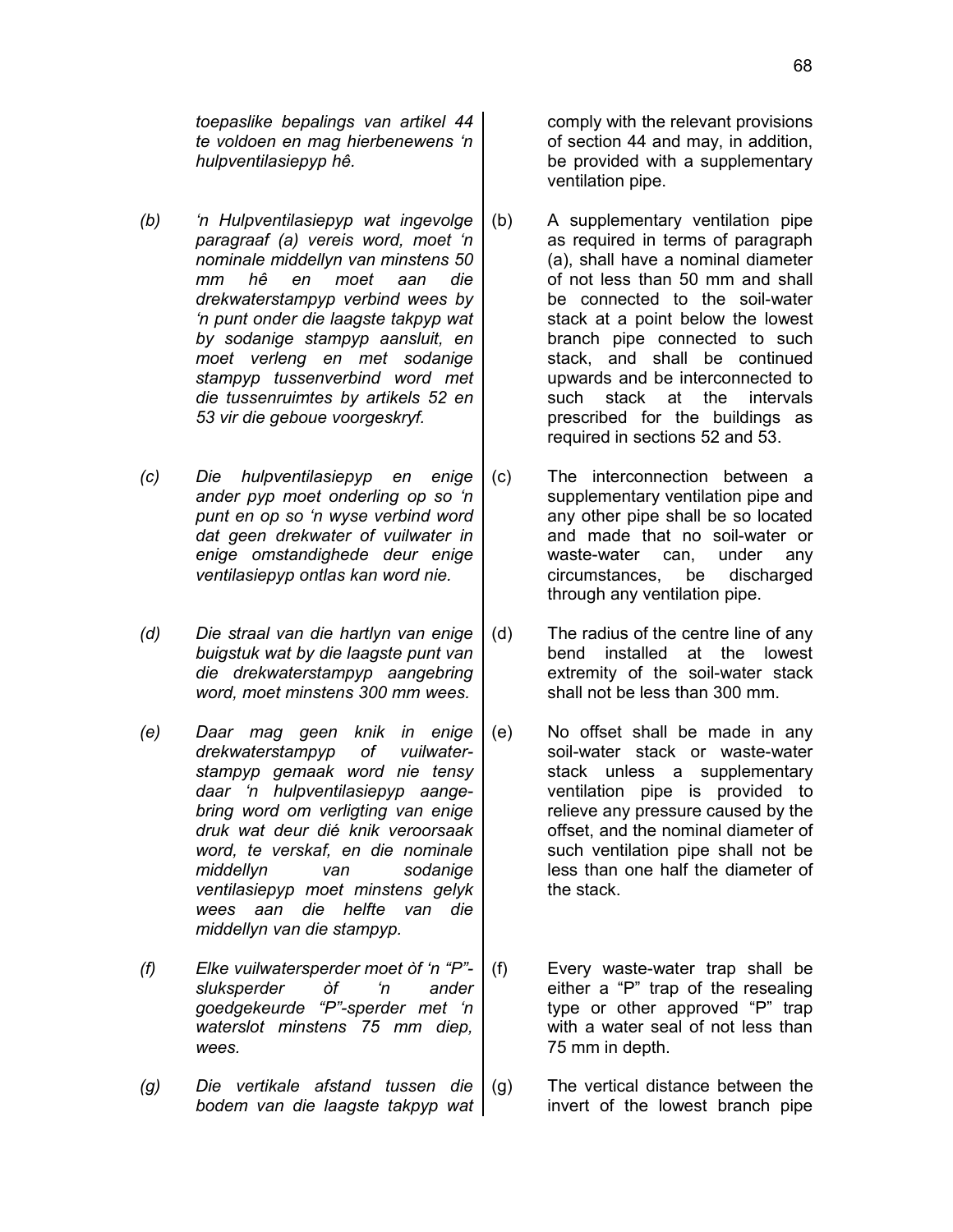*toepaslike bepalings van artikel 44 te voldoen en mag hierbenewens 'n hulpventilasiepyp hê.*

- *(b) 'n Hulpventilasiepyp wat ingevolge paragraaf (a) vereis word, moet 'n nominale middellyn van minstens 50 mm hê en moet aan die drekwaterstampyp verbind wees by 'n punt onder die laagste takpyp wat by sodanige stampyp aansluit, en moet verleng en met sodanige stampyp tussenverbind word met die tussenruimtes by artikels 52 en 53 vir die geboue voorgeskryf.*
- *(c) Die hulpventilasiepyp en enige ander pyp moet onderling op so 'n punt en op so 'n wyse verbind word dat geen drekwater of vuilwater in enige omstandighede deur enige ventilasiepyp ontlas kan word nie.*
- *(d) Die straal van die hartlyn van enige buigstuk wat by die laagste punt van die drekwaterstampyp aangebring word, moet minstens 300 mm wees.*
- *(e) Daar mag geen knik in enige drekwaterstampyp of vuilwaterstampyp gemaak word nie tensy daar 'n hulpventilasiepyp aangebring word om verligting van enige druk wat deur dié knik veroorsaak word, te verskaf, en die nominale middellyn van sodanige ventilasiepyp moet minstens gelyk wees aan die helfte van die middellyn van die stampyp.*
- *(f) Elke vuilwatersperder moet òf 'n "P" sluksperder òf 'n ander goedgekeurde "P"-sperder met 'n waterslot minstens 75 mm diep, wees.*
- *(g) Die vertikale afstand tussen die bodem van die laagste takpyp wat*

comply with the relevant provisions of section 44 and may, in addition, be provided with a supplementary ventilation pipe.

- (b) A supplementary ventilation pipe as required in terms of paragraph (a), shall have a nominal diameter of not less than 50 mm and shall be connected to the soil-water stack at a point below the lowest branch pipe connected to such stack, and shall be continued upwards and be interconnected to such stack at the intervals prescribed for the buildings as required in sections 52 and 53.
- (c) The interconnection between a supplementary ventilation pipe and any other pipe shall be so located and made that no soil-water or waste-water can, under any circumstances, be discharged through any ventilation pipe.
- (d) The radius of the centre line of any bend installed at the lowest extremity of the soil-water stack shall not be less than 300 mm.
- (e) No offset shall be made in any soil-water stack or waste-water stack unless a supplementary ventilation pipe is provided to relieve any pressure caused by the offset, and the nominal diameter of such ventilation pipe shall not be less than one half the diameter of the stack.
- (f) Every waste-water trap shall be either a "P" trap of the resealing type or other approved "P" trap with a water seal of not less than 75 mm in depth.
- (g) The vertical distance between the invert of the lowest branch pipe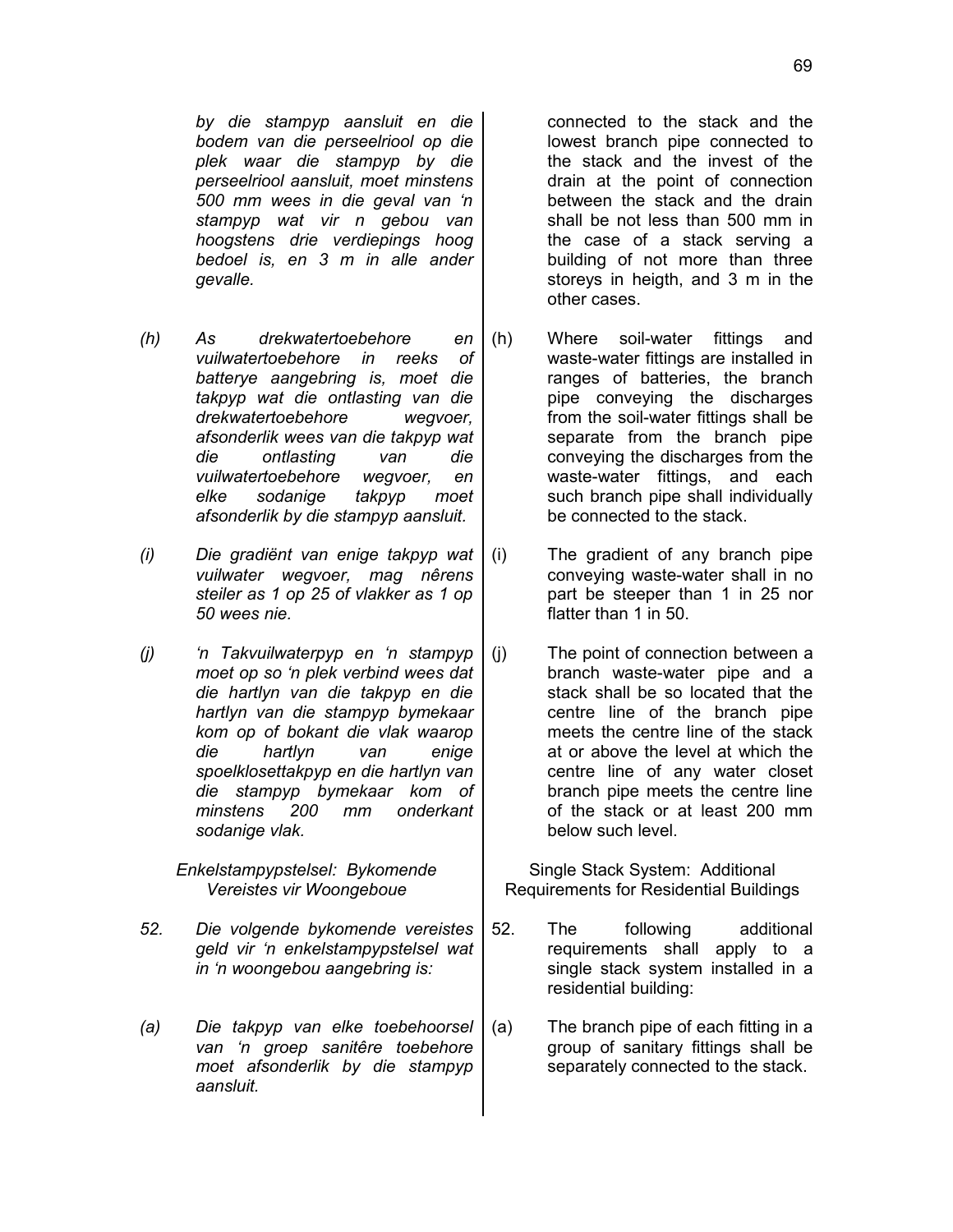*by die stampyp aansluit en die bodem van die perseelriool op die plek waar die stampyp by die perseelriool aansluit, moet minstens 500 mm wees in die geval van 'n stampyp wat vir n gebou van hoogstens drie verdiepings hoog bedoel is, en 3 m in alle ander gevalle.*

*(h) As drekwatertoebehore en vuilwatertoebehore in reeks of batterye aangebring is, moet die takpyp wat die ontlasting van die drekwatertoebehore wegvoer, afsonderlik wees van die takpyp wat die ontlasting van die vuilwatertoebehore wegvoer, en elke sodanige takpyp moet afsonderlik by die stampyp aansluit.*

*(i) Die gradiënt van enige takpyp wat vuilwater wegvoer, mag nêrens steiler as 1 op 25 of vlakker as 1 op 50 wees nie.*

*(j) 'n Takvuilwaterpyp en 'n stampyp moet op so 'n plek verbind wees dat die hartlyn van die takpyp en die hartlyn van die stampyp bymekaar kom op of bokant die vlak waarop die hartlyn van enige spoelklosettakpyp en die hartlyn van die stampyp bymekaar kom of minstens 200 mm onderkant sodanige vlak.*

> *Enkelstampypstelsel: Bykomende Vereistes vir Woongeboue*

- *52. Die volgende bykomende vereistes geld vir 'n enkelstampypstelsel wat in 'n woongebou aangebring is:*
- *(a) Die takpyp van elke toebehoorsel van 'n groep sanitêre toebehore moet afsonderlik by die stampyp aansluit.*

connected to the stack and the lowest branch pipe connected to the stack and the invest of the drain at the point of connection between the stack and the drain shall be not less than 500 mm in the case of a stack serving a building of not more than three storeys in heigth, and 3 m in the other cases.

- (h) Where soil-water fittings and waste-water fittings are installed in ranges of batteries, the branch pipe conveying the discharges from the soil-water fittings shall be separate from the branch pipe conveying the discharges from the waste-water fittings, and each such branch pipe shall individually be connected to the stack.
- (i) The gradient of any branch pipe conveying waste-water shall in no part be steeper than 1 in 25 nor flatter than 1 in 50.
- (j) The point of connection between a branch waste-water pipe and a stack shall be so located that the centre line of the branch pipe meets the centre line of the stack at or above the level at which the centre line of any water closet branch pipe meets the centre line of the stack or at least 200 mm below such level.

Single Stack System: Additional Requirements for Residential Buildings

- 52. The following additional requirements shall apply to a single stack system installed in a residential building:
- (a) The branch pipe of each fitting in a group of sanitary fittings shall be separately connected to the stack.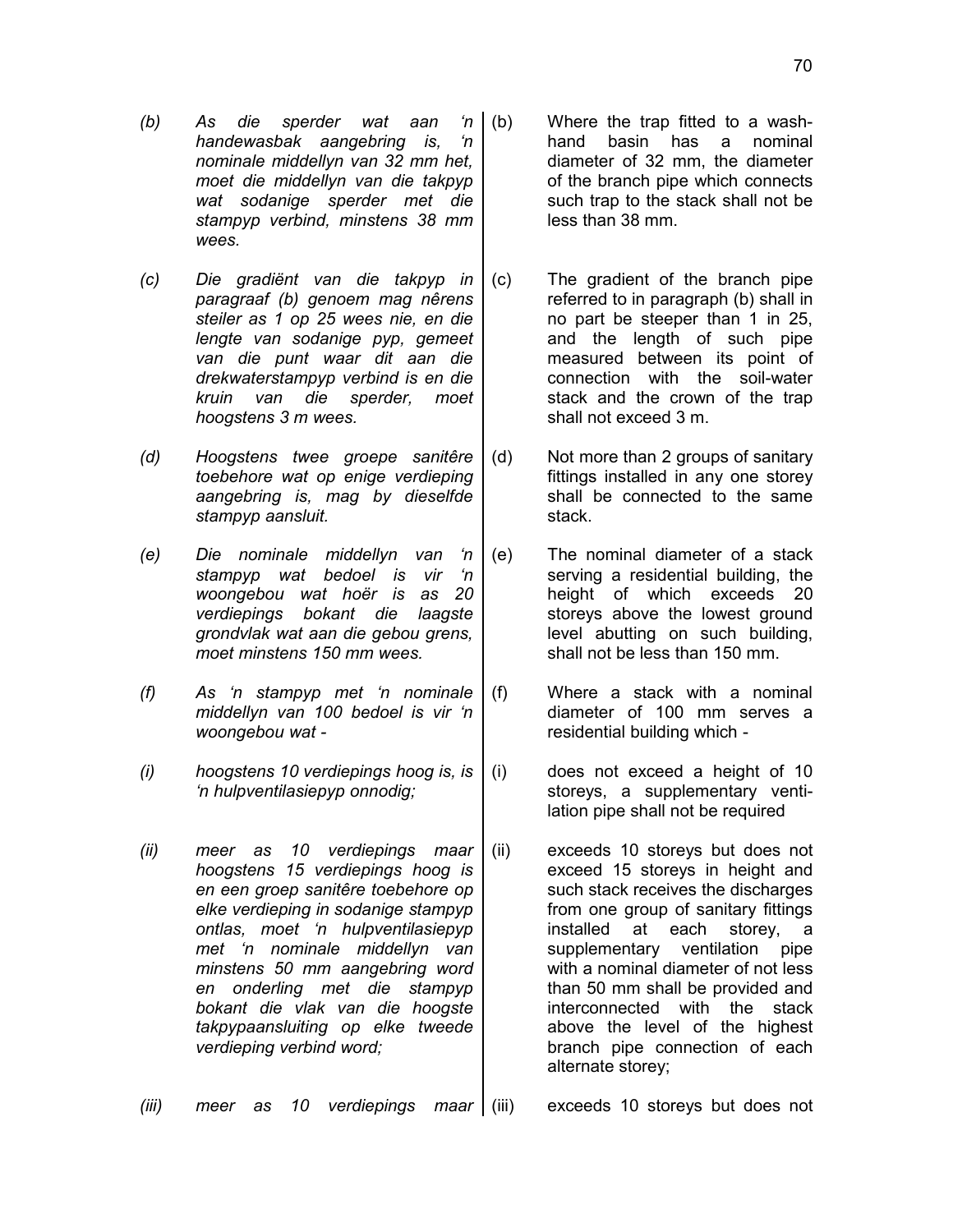- *(b) As die sperder wat aan 'n handewasbak aangebring is, 'n nominale middellyn van 32 mm het, moet die middellyn van die takpyp wat sodanige sperder met die stampyp verbind, minstens 38 mm wees.*
- *(c) Die gradiënt van die takpyp in paragraaf (b) genoem mag nêrens steiler as 1 op 25 wees nie, en die lengte van sodanige pyp, gemeet van die punt waar dit aan die drekwaterstampyp verbind is en die kruin van die sperder, moet hoogstens 3 m wees.*
- *(d) Hoogstens twee groepe sanitêre toebehore wat op enige verdieping aangebring is, mag by dieselfde stampyp aansluit.*
- *(e) Die nominale middellyn van 'n stampyp wat bedoel is vir 'n woongebou wat hoër is as 20 verdiepings bokant die laagste grondvlak wat aan die gebou grens, moet minstens 150 mm wees.*
- *(f) As 'n stampyp met 'n nominale middellyn van 100 bedoel is vir 'n woongebou wat -*
- *(i) hoogstens 10 verdiepings hoog is, is 'n hulpventilasiepyp onnodig;*
- *(ii) meer as 10 verdiepings maar hoogstens 15 verdiepings hoog is en een groep sanitêre toebehore op elke verdieping in sodanige stampyp ontlas, moet 'n hulpventilasiepyp met 'n nominale middellyn van minstens 50 mm aangebring word en onderling met die stampyp bokant die vlak van die hoogste takpypaansluiting op elke tweede verdieping verbind word;*
- (b) Where the trap fitted to a washhand basin has a nominal diameter of 32 mm, the diameter of the branch pipe which connects such trap to the stack shall not be less than 38 mm.
- (c) The gradient of the branch pipe referred to in paragraph (b) shall in no part be steeper than 1 in 25, and the length of such pipe measured between its point of connection with the soil-water stack and the crown of the trap shall not exceed 3 m.
- (d) Not more than 2 groups of sanitary fittings installed in any one storey shall be connected to the same stack.
- (e) The nominal diameter of a stack serving a residential building, the height of which exceeds 20 storeys above the lowest ground level abutting on such building, shall not be less than 150 mm.
- (f) Where a stack with a nominal diameter of 100 mm serves a residential building which -
- (i) does not exceed a height of 10 storeys, a supplementary ventilation pipe shall not be required
- (ii) exceeds 10 storeys but does not exceed 15 storeys in height and such stack receives the discharges from one group of sanitary fittings installed at each storey, a supplementary ventilation pipe with a nominal diameter of not less than 50 mm shall be provided and interconnected with the stack above the level of the highest branch pipe connection of each alternate storey;

*(iii) meer as 10 verdiepings maar* (iii) exceeds 10 storeys but does not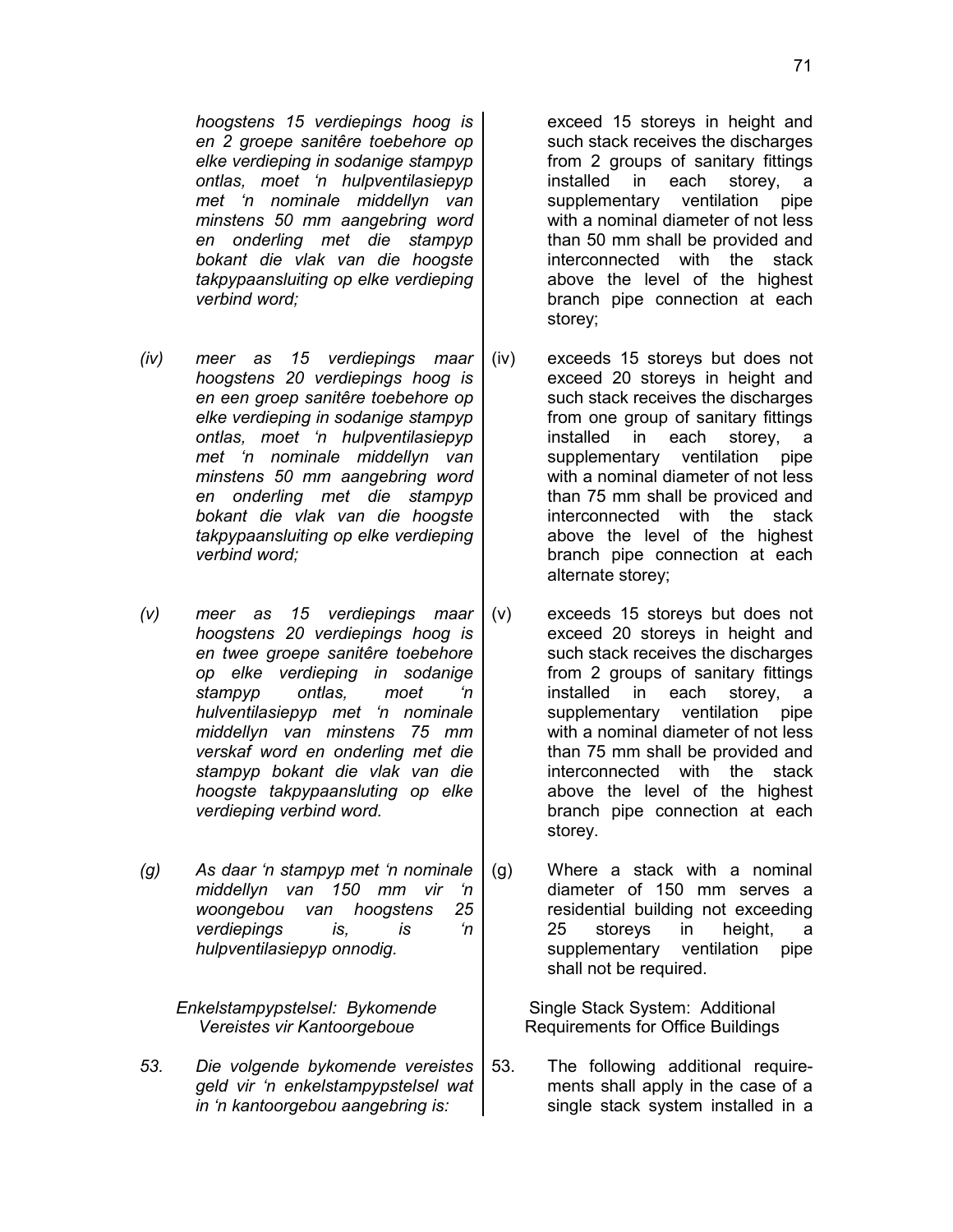*hoogstens 15 verdiepings hoog is en 2 groepe sanitêre toebehore op elke verdieping in sodanige stampyp ontlas, moet 'n hulpventilasiepyp met 'n nominale middellyn van minstens 50 mm aangebring word en onderling met die stampyp bokant die vlak van die hoogste takpypaansluiting op elke verdieping verbind word;*

- *(iv) meer as 15 verdiepings maar hoogstens 20 verdiepings hoog is en een groep sanitêre toebehore op elke verdieping in sodanige stampyp ontlas, moet 'n hulpventilasiepyp met 'n nominale middellyn van minstens 50 mm aangebring word en onderling met die stampyp bokant die vlak van die hoogste takpypaansluiting op elke verdieping verbind word;*
- *(v) meer as 15 verdiepings maar hoogstens 20 verdiepings hoog is en twee groepe sanitêre toebehore op elke verdieping in sodanige stampyp ontlas, moet 'n hulventilasiepyp met 'n nominale middellyn van minstens 75 mm verskaf word en onderling met die stampyp bokant die vlak van die hoogste takpypaansluting op elke verdieping verbind word.*
- *(g) As daar 'n stampyp met 'n nominale middellyn van 150 mm vir 'n woongebou van hoogstens 25 verdiepings is, is 'n hulpventilasiepyp onnodig.*

*Enkelstampypstelsel: Bykomende Vereistes vir Kantoorgeboue*

*53. Die volgende bykomende vereistes geld vir 'n enkelstampypstelsel wat in 'n kantoorgebou aangebring is:*

exceed 15 storeys in height and such stack receives the discharges from 2 groups of sanitary fittings installed in each storey, a supplementary ventilation pipe with a nominal diameter of not less than 50 mm shall be provided and interconnected with the stack above the level of the highest branch pipe connection at each storey;

- (iv) exceeds 15 storeys but does not exceed 20 storeys in height and such stack receives the discharges from one group of sanitary fittings installed in each storey, a supplementary ventilation pipe with a nominal diameter of not less than 75 mm shall be proviced and interconnected with the stack above the level of the highest branch pipe connection at each alternate storey;
- (v) exceeds 15 storeys but does not exceed 20 storeys in height and such stack receives the discharges from 2 groups of sanitary fittings installed in each storey, a supplementary ventilation pipe with a nominal diameter of not less than 75 mm shall be provided and interconnected with the stack above the level of the highest branch pipe connection at each storey.
- (g) Where a stack with a nominal diameter of 150 mm serves a residential building not exceeding 25 storeys in height, a supplementary ventilation pipe shall not be required.

Single Stack System: Additional Requirements for Office Buildings

53. The following additional requirements shall apply in the case of a single stack system installed in a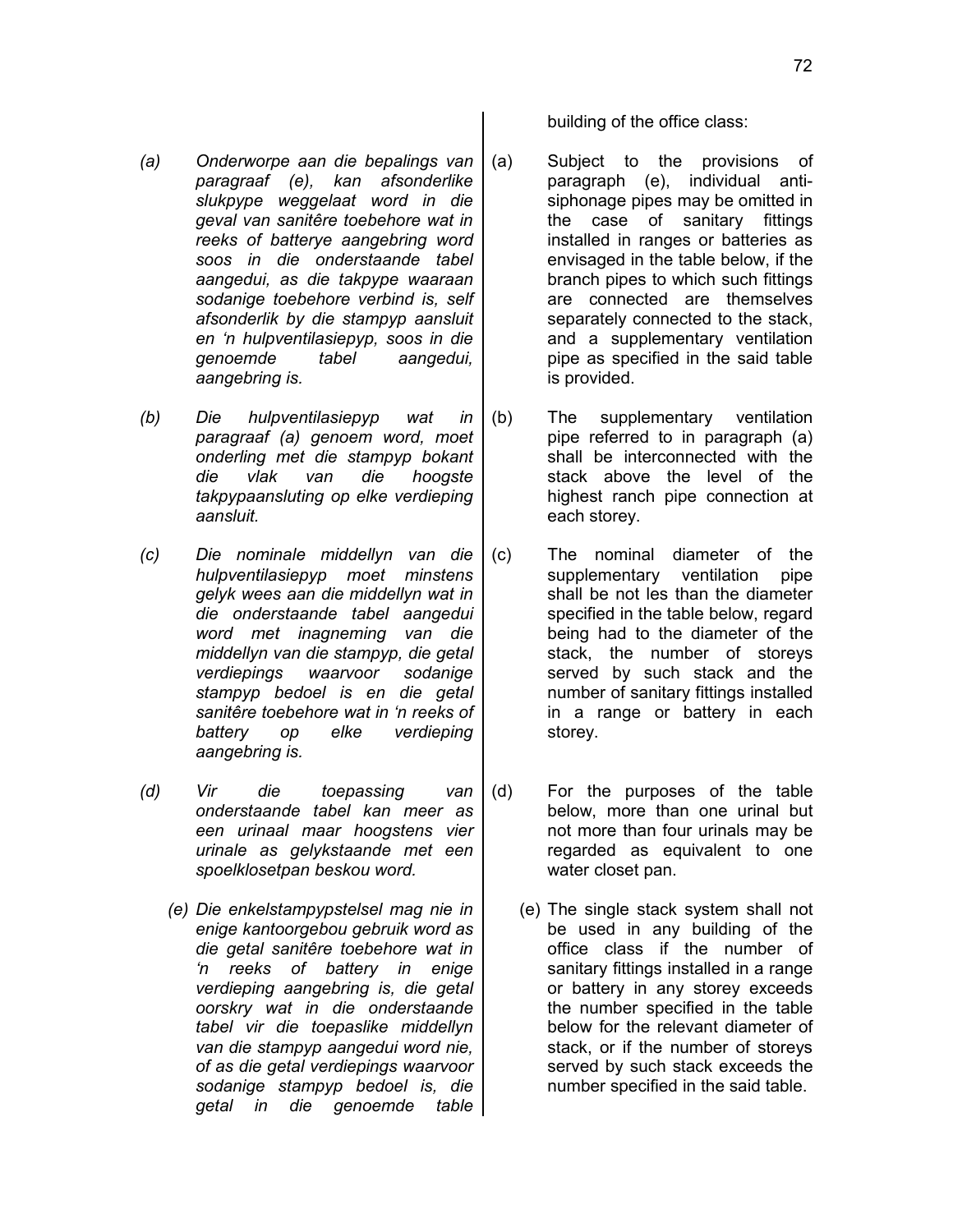- *(a) Onderworpe aan die bepalings van paragraaf (e), kan afsonderlike slukpype weggelaat word in die geval van sanitêre toebehore wat in reeks of batterye aangebring word soos in die onderstaande tabel aangedui, as die takpype waaraan sodanige toebehore verbind is, self afsonderlik by die stampyp aansluit en 'n hulpventilasiepyp, soos in die genoemde tabel aangedui, aangebring is.*
- *(b) Die hulpventilasiepyp wat in paragraaf (a) genoem word, moet onderling met die stampyp bokant die vlak van die hoogste takpypaansluting op elke verdieping aansluit.*
- *(c) Die nominale middellyn van die hulpventilasiepyp moet minstens gelyk wees aan die middellyn wat in die onderstaande tabel aangedui word met inagneming van die middellyn van die stampyp, die getal verdiepings waarvoor sodanige stampyp bedoel is en die getal sanitêre toebehore wat in 'n reeks of battery op elke verdieping aangebring is.*
- *(d) Vir die toepassing van onderstaande tabel kan meer as een urinaal maar hoogstens vier urinale as gelykstaande met een spoelklosetpan beskou word.*
	- *(e) Die enkelstampypstelsel mag nie in enige kantoorgebou gebruik word as die getal sanitêre toebehore wat in 'n reeks of battery in enige verdieping aangebring is, die getal oorskry wat in die onderstaande tabel vir die toepaslike middellyn van die stampyp aangedui word nie, of as die getal verdiepings waarvoor sodanige stampyp bedoel is, die getal in die genoemde table*

building of the office class:

- (a) Subject to the provisions of paragraph (e), individual antisiphonage pipes may be omitted in the case of sanitary fittings installed in ranges or batteries as envisaged in the table below, if the branch pipes to which such fittings are connected are themselves separately connected to the stack, and a supplementary ventilation pipe as specified in the said table is provided.
- (b) The supplementary ventilation pipe referred to in paragraph (a) shall be interconnected with the stack above the level of the highest ranch pipe connection at each storey.
- (c) The nominal diameter of the supplementary ventilation pipe shall be not les than the diameter specified in the table below, regard being had to the diameter of the stack, the number of storeys served by such stack and the number of sanitary fittings installed in a range or battery in each storey.
- (d) For the purposes of the table below, more than one urinal but not more than four urinals may be regarded as equivalent to one water closet pan.
	- (e) The single stack system shall not be used in any building of the office class if the number of sanitary fittings installed in a range or battery in any storey exceeds the number specified in the table below for the relevant diameter of stack, or if the number of storeys served by such stack exceeds the number specified in the said table.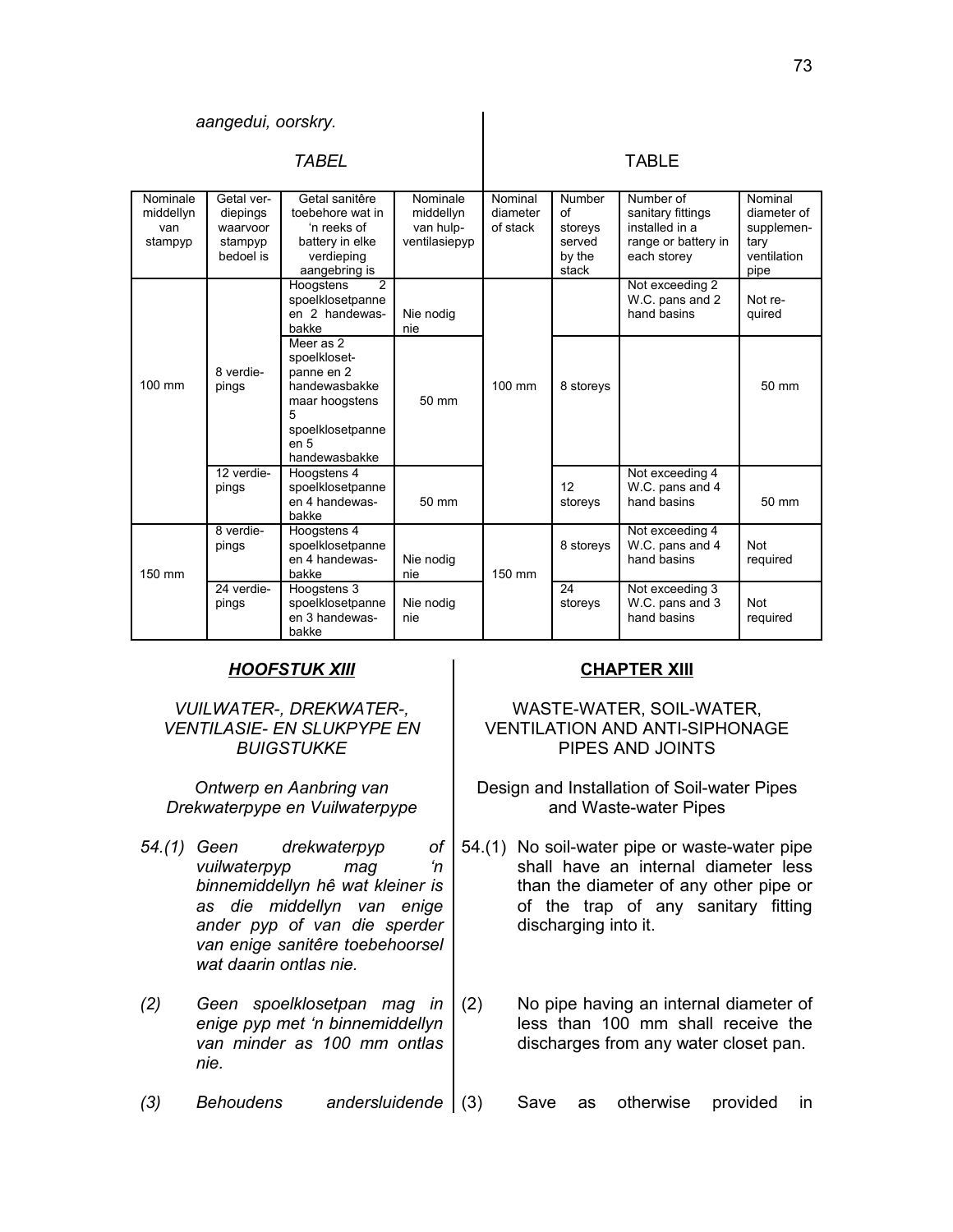| <i>TABEL</i>                            |                                                            |                                                                                                                                         |                                                     | TABLE                           |                                                             |                                                                                        |                                                                     |
|-----------------------------------------|------------------------------------------------------------|-----------------------------------------------------------------------------------------------------------------------------------------|-----------------------------------------------------|---------------------------------|-------------------------------------------------------------|----------------------------------------------------------------------------------------|---------------------------------------------------------------------|
| Nominale<br>middellyn<br>van<br>stampyp | Getal ver-<br>diepings<br>waarvoor<br>stampyp<br>bedoel is | Getal sanitêre<br>toebehore wat in<br>'n reeks of<br>battery in elke<br>verdieping<br>aangebring is                                     | Nominale<br>middellyn<br>van hulp-<br>ventilasiepyp | Nominal<br>diameter<br>of stack | <b>Number</b><br>of<br>storeys<br>served<br>by the<br>stack | Number of<br>sanitary fittings<br>installed in a<br>range or battery in<br>each storey | Nominal<br>diameter of<br>supplemen-<br>tary<br>ventilation<br>pipe |
|                                         |                                                            | $\overline{2}$<br>Hoogstens<br>spoelklosetpanne<br>en 2 handewas-<br>bakke                                                              | Nie nodig<br>nie                                    |                                 |                                                             | Not exceeding 2<br>W.C. pans and 2<br>hand basins                                      | Not re-<br>quired                                                   |
| 100 mm                                  | 8 verdie-<br>pings                                         | Meer as 2<br>spoelkloset-<br>panne en 2<br>handewasbakke<br>maar hoogstens<br>5<br>spoelklosetpanne<br>en <sub>5</sub><br>handewasbakke | 50 mm                                               | 100 mm                          | 8 storeys                                                   |                                                                                        | 50 mm                                                               |
|                                         | 12 verdie-<br>pings                                        | Hoogstens 4<br>spoelklosetpanne<br>en 4 handewas-<br>bakke                                                                              | 50 mm                                               |                                 | 12<br>storeys                                               | Not exceeding 4<br>W.C. pans and 4<br>hand basins                                      | 50 mm                                                               |
| 150 mm                                  | 8 verdie-<br>pings                                         | Hoogstens 4<br>spoelklosetpanne<br>en 4 handewas-<br>bakke                                                                              | Nie nodig<br>nie                                    | 150 mm                          | 8 storeys                                                   | Not exceeding 4<br>W.C. pans and 4<br>hand basins                                      | <b>Not</b><br>required                                              |
|                                         | 24 verdie-<br>pings                                        | Hoogstens 3<br>spoelklosetpanne<br>en 3 handewas-<br>bakke                                                                              | Nie nodig<br>nie                                    |                                 | 24<br>storeys                                               | Not exceeding 3<br>W.C. pans and 3<br>hand basins                                      | <b>Not</b><br>required                                              |

## *HOOFSTUK XIII* **CHAPTER XIII**

## *VUILWATER-, DREKWATER-, VENTILASIE- EN SLUKPYPE EN BUIGSTUKKE*

*Ontwerp en Aanbring van Drekwaterpype en Vuilwaterpype*

- *54.(1) Geen drekwaterpyp of vuilwaterpyp mag 'n binnemiddellyn hê wat kleiner is as die middellyn van enige ander pyp of van die sperder van enige sanitêre toebehoorsel wat daarin ontlas nie.*
- *(2) Geen spoelklosetpan mag in enige pyp met 'n binnemiddellyn van minder as 100 mm ontlas nie.*
- 

## WASTE-WATER, SOIL-WATER, VENTILATION AND ANTI-SIPHONAGE PIPES AND JOINTS

Design and Installation of Soil-water Pipes and Waste-water Pipes

- 54.(1) No soil-water pipe or waste-water pipe shall have an internal diameter less than the diameter of any other pipe or of the trap of any sanitary fitting discharging into it.
- (2) No pipe having an internal diameter of less than 100 mm shall receive the discharges from any water closet pan.

*(3) Behoudens andersluidende* (3) Save as otherwise provided in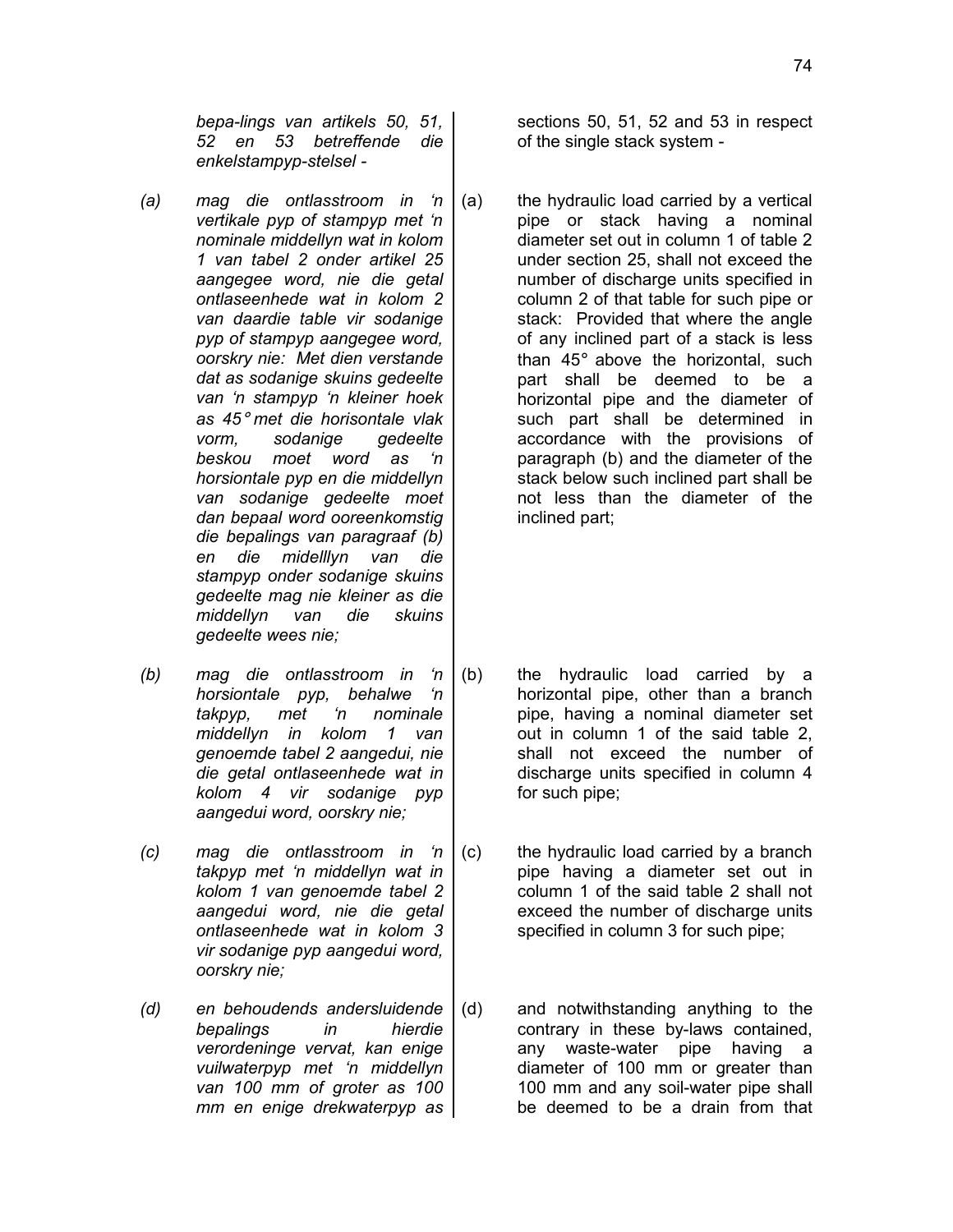*bepa-lings van artikels 50, 51, 52 en 53 betreffende die enkelstampyp-stelsel -*

- *(a) mag die ontlasstroom in 'n vertikale pyp of stampyp met 'n nominale middellyn wat in kolom 1 van tabel 2 onder artikel 25 aangegee word, nie die getal ontlaseenhede wat in kolom 2 van daardie table vir sodanige pyp of stampyp aangegee word, oorskry nie: Met dien verstande dat as sodanige skuins gedeelte van 'n stampyp 'n kleiner hoek as 45*° *met die horisontale vlak vorm, sodanige gedeelte beskou moet word as 'n horsiontale pyp en die middellyn van sodanige gedeelte moet dan bepaal word ooreenkomstig die bepalings van paragraaf (b) en die midelllyn van die stampyp onder sodanige skuins gedeelte mag nie kleiner as die middellyn van die skuins gedeelte wees nie;*
- *(b) mag die ontlasstroom in 'n horsiontale pyp, behalwe 'n takpyp, met 'n nominale middellyn in kolom 1 van genoemde tabel 2 aangedui, nie die getal ontlaseenhede wat in kolom 4 vir sodanige pyp aangedui word, oorskry nie;*
- *(c) mag die ontlasstroom in 'n takpyp met 'n middellyn wat in kolom 1 van genoemde tabel 2 aangedui word, nie die getal ontlaseenhede wat in kolom 3 vir sodanige pyp aangedui word, oorskry nie;*
- *(d) en behoudends andersluidende bepalings in hierdie verordeninge vervat, kan enige vuilwaterpyp met 'n middellyn van 100 mm of groter as 100 mm en enige drekwaterpyp as*

sections 50, 51, 52 and 53 in respect of the single stack system -

(a) the hydraulic load carried by a vertical pipe or stack having a nominal diameter set out in column 1 of table 2 under section 25, shall not exceed the number of discharge units specified in column 2 of that table for such pipe or stack: Provided that where the angle of any inclined part of a stack is less than 45° above the horizontal, such part shall be deemed to be a horizontal pipe and the diameter of such part shall be determined in accordance with the provisions of paragraph (b) and the diameter of the stack below such inclined part shall be not less than the diameter of the inclined part;

- (b) the hydraulic load carried by a horizontal pipe, other than a branch pipe, having a nominal diameter set out in column 1 of the said table 2, shall not exceed the number of discharge units specified in column 4 for such pipe;
- (c) the hydraulic load carried by a branch pipe having a diameter set out in column 1 of the said table 2 shall not exceed the number of discharge units specified in column 3 for such pipe;
- (d) and notwithstanding anything to the contrary in these by-laws contained, any waste-water pipe having a diameter of 100 mm or greater than 100 mm and any soil-water pipe shall be deemed to be a drain from that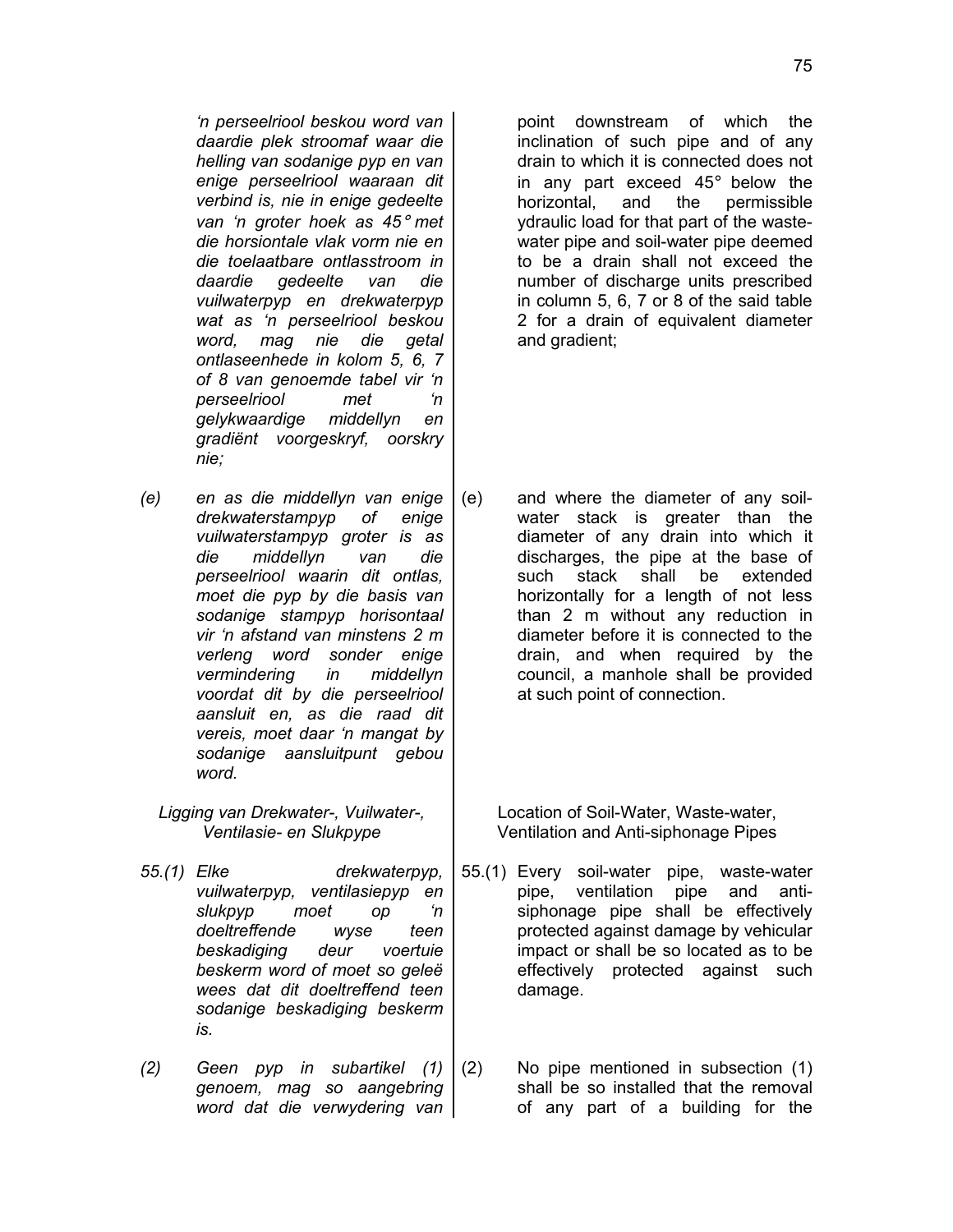*'n perseelriool beskou word van daardie plek stroomaf waar die helling van sodanige pyp en van enige perseelriool waaraan dit verbind is, nie in enige gedeelte van 'n groter hoek as 45*° *met die horsiontale vlak vorm nie en die toelaatbare ontlasstroom in daardie gedeelte van die vuilwaterpyp en drekwaterpyp wat as 'n perseelriool beskou word, mag nie die getal ontlaseenhede in kolom 5, 6, 7 of 8 van genoemde tabel vir 'n perseelriool met 'n gelykwaardige middellyn en gradiënt voorgeskryf, oorskry nie;*

- *(e) en as die middellyn van enige drekwaterstampyp of enige vuilwaterstampyp groter is as die middellyn van die perseelriool waarin dit ontlas, moet die pyp by die basis van sodanige stampyp horisontaal vir 'n afstand van minstens 2 m verleng word sonder enige vermindering in middellyn voordat dit by die perseelriool aansluit en, as die raad dit vereis, moet daar 'n mangat by sodanige aansluitpunt gebou word.*
	- *Ligging van Drekwater-, Vuilwater-, Ventilasie- en Slukpype*
- *55.(1) Elke drekwaterpyp, vuilwaterpyp, ventilasiepyp en slukpyp moet op 'n doeltreffende wyse teen beskadiging deur voertuie beskerm word of moet so geleë wees dat dit doeltreffend teen sodanige beskadiging beskerm is.*
- *(2) Geen pyp in subartikel (1) genoem, mag so aangebring word dat die verwydering van*

point downstream of which the inclination of such pipe and of any drain to which it is connected does not in any part exceed 45° below the horizontal, and the permissible ydraulic load for that part of the wastewater pipe and soil-water pipe deemed to be a drain shall not exceed the number of discharge units prescribed in column 5, 6, 7 or 8 of the said table 2 for a drain of equivalent diameter and gradient;

(e) and where the diameter of any soilwater stack is greater than the diameter of any drain into which it discharges, the pipe at the base of such stack shall be extended horizontally for a length of not less than 2 m without any reduction in diameter before it is connected to the drain, and when required by the council, a manhole shall be provided at such point of connection.

> Location of Soil-Water, Waste-water, Ventilation and Anti-siphonage Pipes

- 55.(1) Every soil-water pipe, waste-water pipe, ventilation pipe and antisiphonage pipe shall be effectively protected against damage by vehicular impact or shall be so located as to be effectively protected against such damage.
- (2) No pipe mentioned in subsection (1) shall be so installed that the removal of any part of a building for the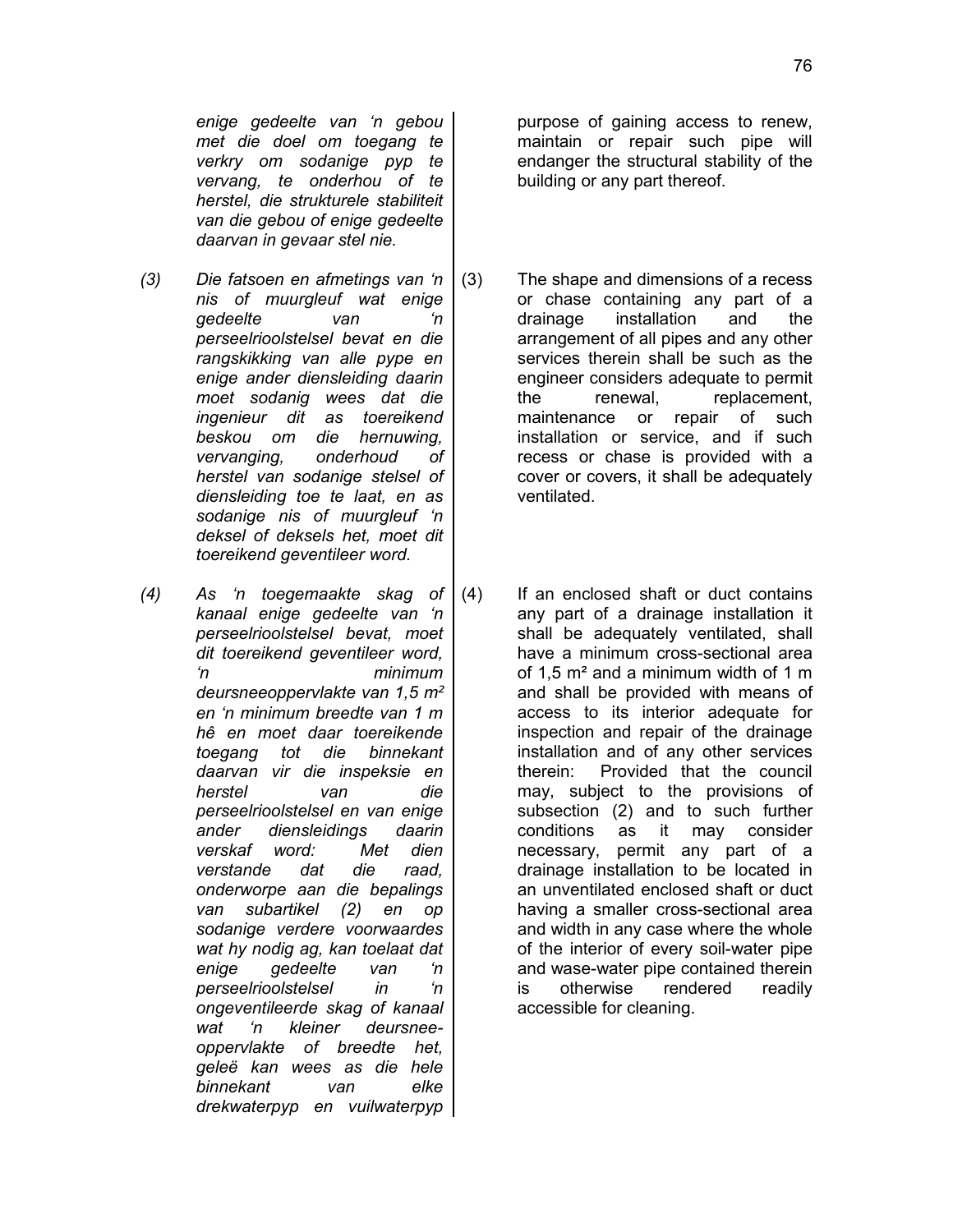*(3) Die fatsoen en afmetings van 'n nis of muurgleuf wat enige gedeelte van 'n perseelrioolstelsel bevat en die rangskikking van alle pype en enige ander diensleiding daarin moet sodanig wees dat die ingenieur dit as toereikend beskou om die hernuwing, vervanging, onderhoud of herstel van sodanige stelsel of diensleiding toe te laat, en as sodanige nis of muurgleuf 'n deksel of deksels het, moet dit toereikend geventileer word.*

*daarvan in gevaar stel nie.*

*(4) As 'n toegemaakte skag of kanaal enige gedeelte van 'n perseelrioolstelsel bevat, moet dit toereikend geventileer word, 'n minimum deursneeoppervlakte van 1,5 m*² *en 'n minimum breedte van 1 m hê en moet daar toereikende toegang tot die binnekant daarvan vir die inspeksie en herstel van die perseelrioolstelsel en van enige ander diensleidings daarin verskaf word: Met dien verstande dat die raad, onderworpe aan die bepalings van subartikel (2) en op sodanige verdere voorwaardes wat hy nodig ag, kan toelaat dat enige gedeelte van 'n perseelrioolstelsel in 'n ongeventileerde skag of kanaal wat 'n kleiner deursneeoppervlakte of breedte het, geleë kan wees as die hele binnekant van elke drekwaterpyp en vuilwaterpyp* purpose of gaining access to renew, maintain or repair such pipe will endanger the structural stability of the building or any part thereof.

- (3) The shape and dimensions of a recess or chase containing any part of a drainage installation and the arrangement of all pipes and any other services therein shall be such as the engineer considers adequate to permit the renewal, replacement, maintenance or repair of such installation or service, and if such recess or chase is provided with a cover or covers, it shall be adequately ventilated.
- (4) If an enclosed shaft or duct contains any part of a drainage installation it shall be adequately ventilated, shall have a minimum cross-sectional area of 1,5 m² and a minimum width of 1 m and shall be provided with means of access to its interior adequate for inspection and repair of the drainage installation and of any other services therein: Provided that the council may, subject to the provisions of subsection (2) and to such further conditions as it may consider necessary, permit any part of a drainage installation to be located in an unventilated enclosed shaft or duct having a smaller cross-sectional area and width in any case where the whole of the interior of every soil-water pipe and wase-water pipe contained therein is otherwise rendered readily accessible for cleaning.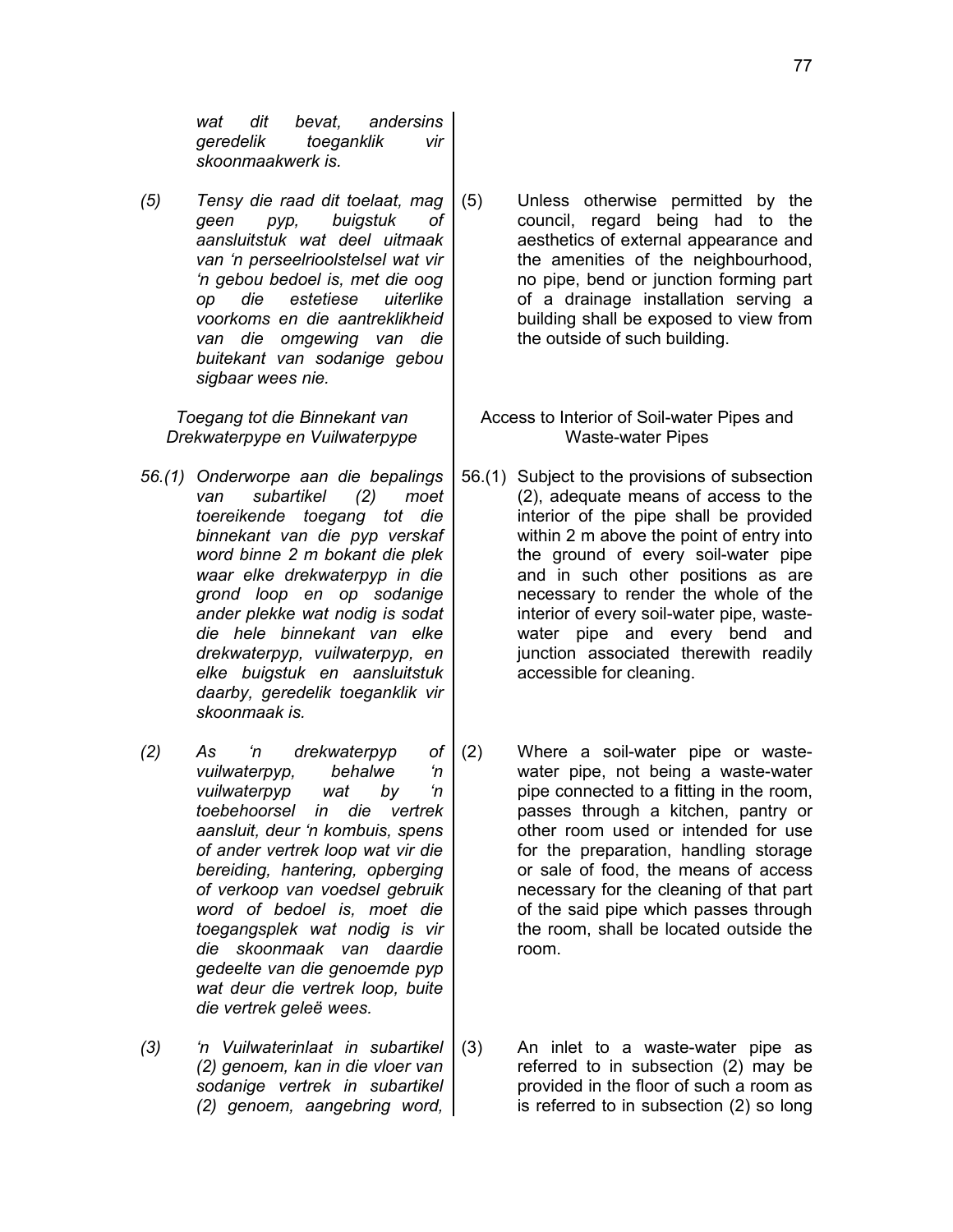*wat dit bevat, andersins geredelik toeganklik vir skoonmaakwerk is.*

*(5) Tensy die raad dit toelaat, mag geen pyp, buigstuk of aansluitstuk wat deel uitmaak van 'n perseelrioolstelsel wat vir 'n gebou bedoel is, met die oog op die estetiese uiterlike voorkoms en die aantreklikheid van die omgewing van die buitekant van sodanige gebou sigbaar wees nie.*

*Toegang tot die Binnekant van Drekwaterpype en Vuilwaterpype*

- *56.(1) Onderworpe aan die bepalings van subartikel (2) moet toereikende toegang tot die binnekant van die pyp verskaf word binne 2 m bokant die plek waar elke drekwaterpyp in die grond loop en op sodanige ander plekke wat nodig is sodat die hele binnekant van elke drekwaterpyp, vuilwaterpyp, en elke buigstuk en aansluitstuk daarby, geredelik toeganklik vir skoonmaak is.*
- *(2) As 'n drekwaterpyp of vuilwaterpyp, behalwe 'n vuilwaterpyp wat by 'n toebehoorsel in die vertrek aansluit, deur 'n kombuis, spens of ander vertrek loop wat vir die bereiding, hantering, opberging of verkoop van voedsel gebruik word of bedoel is, moet die toegangsplek wat nodig is vir die skoonmaak van daardie gedeelte van die genoemde pyp wat deur die vertrek loop, buite die vertrek geleë wees.*
- *(3) 'n Vuilwaterinlaat in subartikel (2) genoem, kan in die vloer van sodanige vertrek in subartikel (2) genoem, aangebring word,*
- (5) Unless otherwise permitted by the council, regard being had to the aesthetics of external appearance and the amenities of the neighbourhood, no pipe, bend or junction forming part of a drainage installation serving a building shall be exposed to view from the outside of such building.
	- Access to Interior of Soil-water Pipes and Waste-water Pipes
- 56.(1) Subject to the provisions of subsection (2), adequate means of access to the interior of the pipe shall be provided within 2 m above the point of entry into the ground of every soil-water pipe and in such other positions as are necessary to render the whole of the interior of every soil-water pipe, wastewater pipe and every bend and junction associated therewith readily accessible for cleaning.
- (2) Where a soil-water pipe or wastewater pipe, not being a waste-water pipe connected to a fitting in the room, passes through a kitchen, pantry or other room used or intended for use for the preparation, handling storage or sale of food, the means of access necessary for the cleaning of that part of the said pipe which passes through the room, shall be located outside the room.
- (3) An inlet to a waste-water pipe as referred to in subsection (2) may be provided in the floor of such a room as is referred to in subsection (2) so long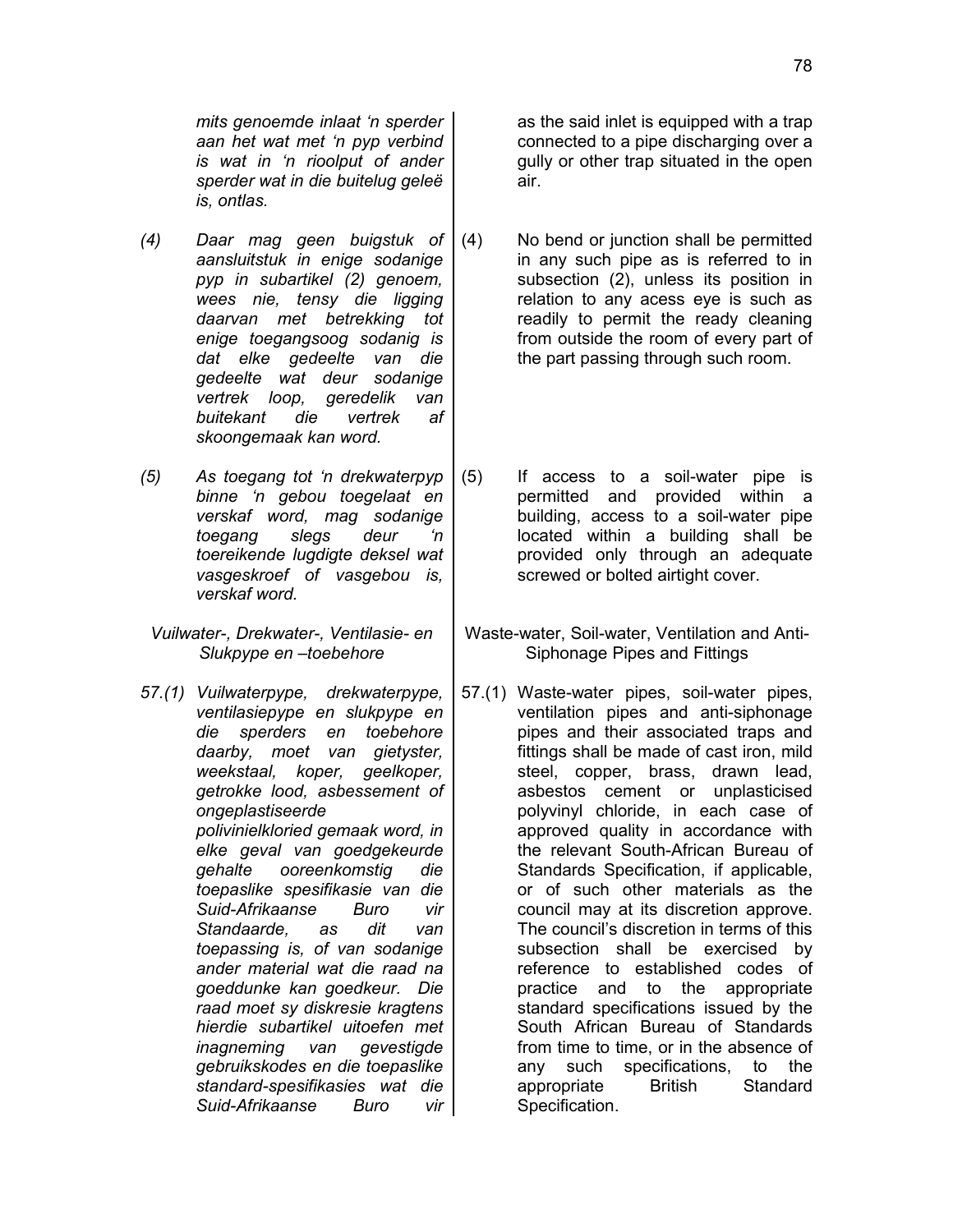*mits genoemde inlaat 'n sperder aan het wat met 'n pyp verbind is wat in 'n rioolput of ander sperder wat in die buitelug geleë is, ontlas.*

- *(4) Daar mag geen buigstuk of aansluitstuk in enige sodanige pyp in subartikel (2) genoem, wees nie, tensy die ligging daarvan met betrekking tot enige toegangsoog sodanig is dat elke gedeelte van die gedeelte wat deur sodanige vertrek loop, geredelik van buitekant die vertrek af skoongemaak kan word.*
- *(5) As toegang tot 'n drekwaterpyp binne 'n gebou toegelaat en verskaf word, mag sodanige toegang slegs deur 'n toereikende lugdigte deksel wat vasgeskroef of vasgebou is, verskaf word.*
- *Vuilwater-, Drekwater-, Ventilasie- en Slukpype en –toebehore*
- *57.(1) Vuilwaterpype, drekwaterpype, ventilasiepype en slukpype en die sperders en toebehore daarby, moet van gietyster, weekstaal, koper, geelkoper, getrokke lood, asbessement of ongeplastiseerde polivinielkloried gemaak word, in elke geval van goedgekeurde gehalte ooreenkomstig die toepaslike spesifikasie van die Suid-Afrikaanse Buro vir Standaarde, as dit van toepassing is, of van sodanige ander material wat die raad na goeddunke kan goedkeur. Die raad moet sy diskresie kragtens hierdie subartikel uitoefen met inagneming van gevestigde gebruikskodes en die toepaslike standard-spesifikasies wat die Suid-Afrikaanse Buro vir*

as the said inlet is equipped with a trap connected to a pipe discharging over a gully or other trap situated in the open air.

- (4) No bend or junction shall be permitted in any such pipe as is referred to in subsection (2), unless its position in relation to any acess eye is such as readily to permit the ready cleaning from outside the room of every part of the part passing through such room.
- (5) If access to a soil-water pipe is permitted and provided within a building, access to a soil-water pipe located within a building shall be provided only through an adequate screwed or bolted airtight cover.
- Waste-water, Soil-water, Ventilation and Anti-Siphonage Pipes and Fittings
- 57.(1) Waste-water pipes, soil-water pipes, ventilation pipes and anti-siphonage pipes and their associated traps and fittings shall be made of cast iron, mild steel, copper, brass, drawn lead, asbestos cement or unplasticised polyvinyl chloride, in each case of approved quality in accordance with the relevant South-African Bureau of Standards Specification, if applicable, or of such other materials as the council may at its discretion approve. The council's discretion in terms of this subsection shall be exercised by reference to established codes of practice and to the appropriate standard specifications issued by the South African Bureau of Standards from time to time, or in the absence of any such specifications, to the appropriate British Standard Specification.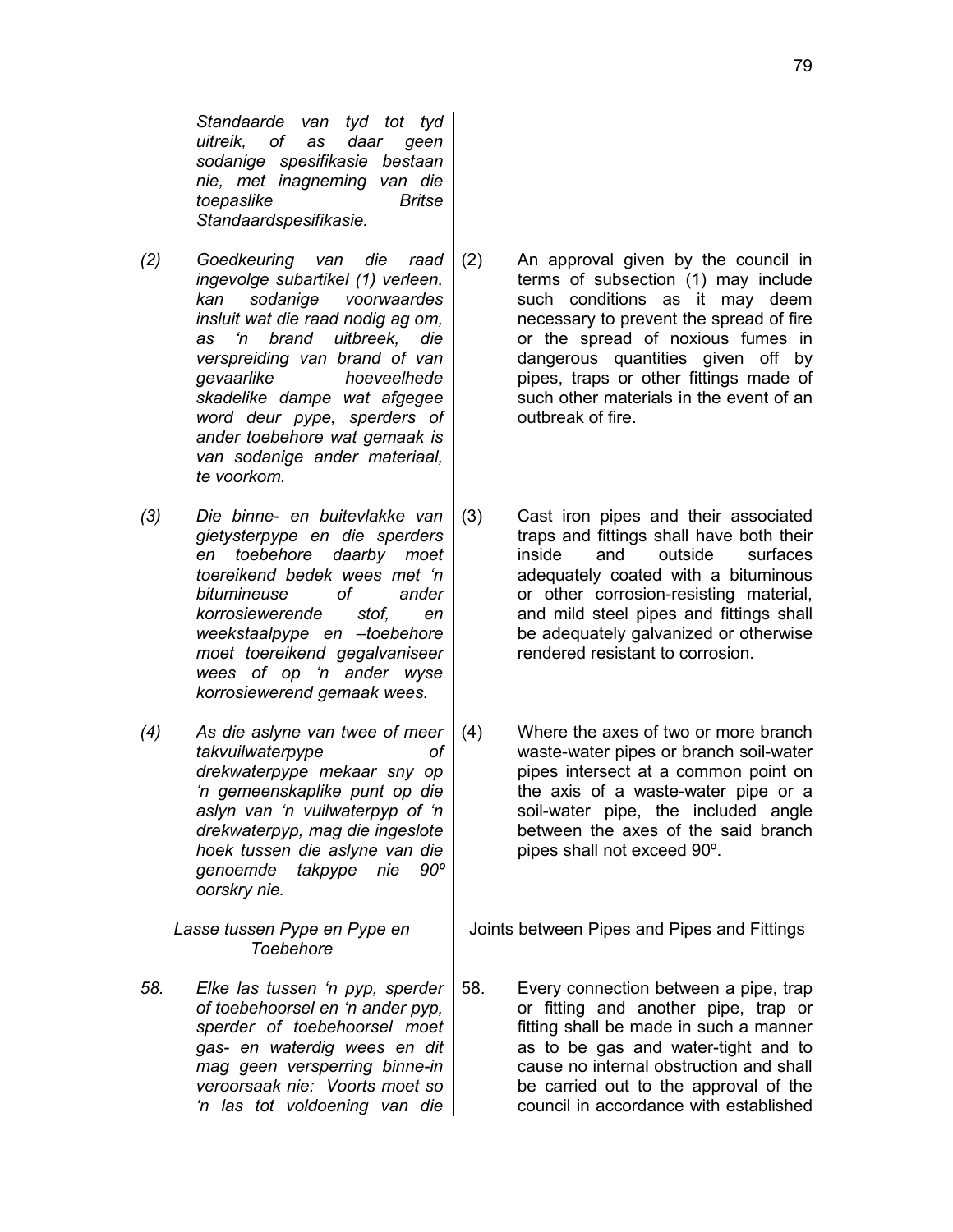*Standaarde van tyd tot tyd uitreik, of as daar geen sodanige spesifikasie bestaan nie, met inagneming van die toepaslike Britse Standaardspesifikasie.*

- *(2) Goedkeuring van die raad ingevolge subartikel (1) verleen, kan sodanige voorwaardes insluit wat die raad nodig ag om, as 'n brand uitbreek, die verspreiding van brand of van gevaarlike hoeveelhede skadelike dampe wat afgegee word deur pype, sperders of ander toebehore wat gemaak is van sodanige ander materiaal, te voorkom.*
- *(3) Die binne- en buitevlakke van gietysterpype en die sperders en toebehore daarby moet toereikend bedek wees met 'n bitumineuse of ander korrosiewerende stof, en weekstaalpype en –toebehore moet toereikend gegalvaniseer wees of op 'n ander wyse korrosiewerend gemaak wees.*
- *(4) As die aslyne van twee of meer takvuilwaterpype of drekwaterpype mekaar sny op 'n gemeenskaplike punt op die aslyn van 'n vuilwaterpyp of 'n drekwaterpyp, mag die ingeslote hoek tussen die aslyne van die genoemde takpype nie 90º oorskry nie.*

*Lasse tussen Pype en Pype en Toebehore*

*58. Elke las tussen 'n pyp, sperder of toebehoorsel en 'n ander pyp, sperder of toebehoorsel moet gas- en waterdig wees en dit mag geen versperring binne-in veroorsaak nie: Voorts moet so 'n las tot voldoening van die*

- (2) An approval given by the council in terms of subsection (1) may include such conditions as it may deem necessary to prevent the spread of fire or the spread of noxious fumes in dangerous quantities given off by pipes, traps or other fittings made of such other materials in the event of an outbreak of fire.
- (3) Cast iron pipes and their associated traps and fittings shall have both their inside and outside surfaces adequately coated with a bituminous or other corrosion-resisting material, and mild steel pipes and fittings shall be adequately galvanized or otherwise rendered resistant to corrosion.
- (4) Where the axes of two or more branch waste-water pipes or branch soil-water pipes intersect at a common point on the axis of a waste-water pipe or a soil-water pipe, the included angle between the axes of the said branch pipes shall not exceed 90º.

Joints between Pipes and Pipes and Fittings

58. Every connection between a pipe, trap or fitting and another pipe, trap or fitting shall be made in such a manner as to be gas and water-tight and to cause no internal obstruction and shall be carried out to the approval of the council in accordance with established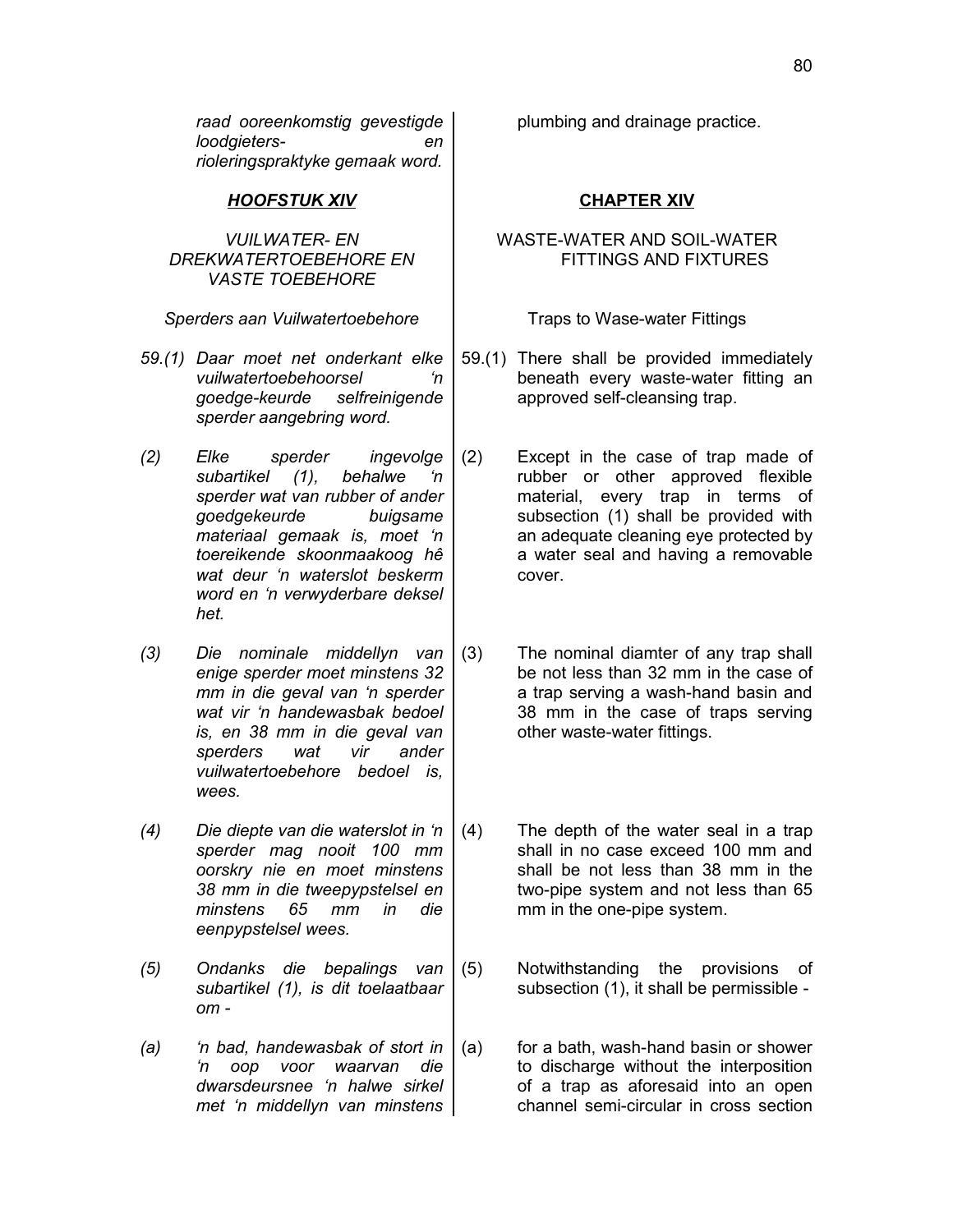*raad ooreenkomstig gevestigde loodgieters- en rioleringspraktyke gemaak word.*

### *HOOFSTUK XIV* **CHAPTER XIV**

### *VUILWATER- EN DREKWATERTOEBEHORE EN VASTE TOEBEHORE*

*Sperders aan Vuilwatertoebehore* Traps to Wase-water Fittings

- *59.(1) Daar moet net onderkant elke vuilwatertoebehoorsel 'n goedge-keurde selfreinigende sperder aangebring word.*
- *(2) Elke sperder ingevolge* subartikel (1), behalwe *sperder wat van rubber of ander goedgekeurde buigsame materiaal gemaak is, moet 'n toereikende skoonmaakoog hê wat deur 'n waterslot beskerm word en 'n verwyderbare deksel het.*
- *(3) Die nominale middellyn van enige sperder moet minstens 32 mm in die geval van 'n sperder wat vir 'n handewasbak bedoel is, en 38 mm in die geval van sperders wat vir ander vuilwatertoebehore bedoel is, wees.*
- *(4) Die diepte van die waterslot in 'n sperder mag nooit 100 mm oorskry nie en moet minstens 38 mm in die tweepypstelsel en minstens 65 mm in die eenpypstelsel wees.*
- *(5) Ondanks die bepalings van subartikel (1), is dit toelaatbaar om -*
- *(a) 'n bad, handewasbak of stort in 'n oop voor waarvan die dwarsdeursnee 'n halwe sirkel met 'n middellyn van minstens*

plumbing and drainage practice.

## WASTE-WATER AND SOIL-WATER FITTINGS AND FIXTURES

- 59.(1) There shall be provided immediately beneath every waste-water fitting an approved self-cleansing trap.
- (2) Except in the case of trap made of rubber or other approved flexible material, every trap in terms of subsection (1) shall be provided with an adequate cleaning eye protected by a water seal and having a removable cover.
- (3) The nominal diamter of any trap shall be not less than 32 mm in the case of a trap serving a wash-hand basin and 38 mm in the case of traps serving other waste-water fittings.
- (4) The depth of the water seal in a trap shall in no case exceed 100 mm and shall be not less than 38 mm in the two-pipe system and not less than 65 mm in the one-pipe system.
- (5) Notwithstanding the provisions of subsection (1), it shall be permissible -
- (a) for a bath, wash-hand basin or shower to discharge without the interposition of a trap as aforesaid into an open channel semi-circular in cross section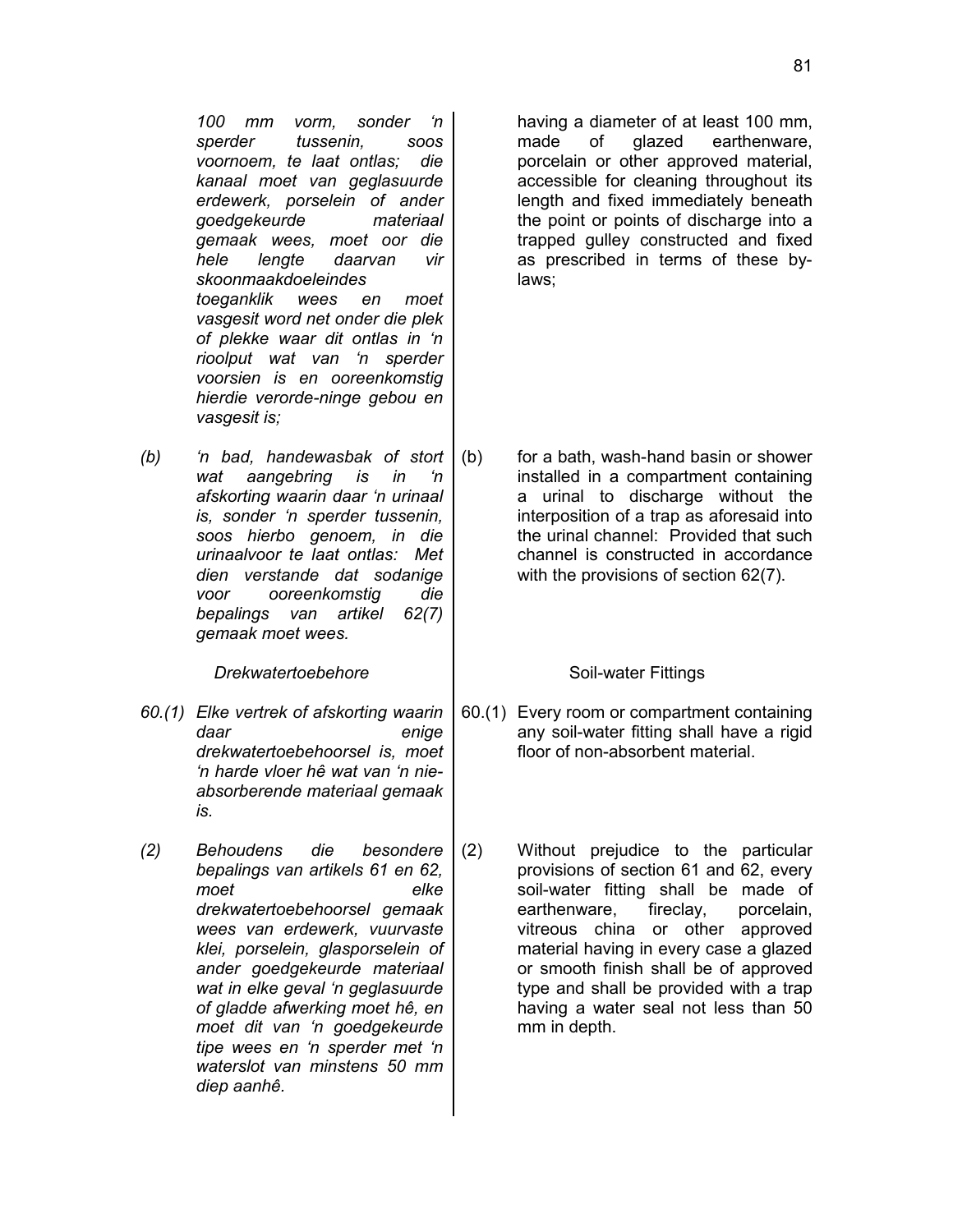*100 mm vorm, sonder 'n sperder tussenin, soos voornoem, te laat ontlas; die kanaal moet van geglasuurde erdewerk, porselein of ander goedgekeurde materiaal gemaak wees, moet oor die hele lengte daarvan vir skoonmaakdoeleindes toeganklik wees en moet vasgesit word net onder die plek of plekke waar dit ontlas in 'n rioolput wat van 'n sperder voorsien is en ooreenkomstig hierdie verorde-ninge gebou en vasgesit is;*

*(b) 'n bad, handewasbak of stort wat aangebring is in 'n afskorting waarin daar 'n urinaal is, sonder 'n sperder tussenin, soos hierbo genoem, in die urinaalvoor te laat ontlas: Met dien verstande dat sodanige voor ooreenkomstig die bepalings van artikel 62(7) gemaak moet wees.*

**Drekwatertoebehore Soil-water Fittings** 

- *60.(1) Elke vertrek of afskorting waarin daar enige drekwatertoebehoorsel is, moet 'n harde vloer hê wat van 'n nieabsorberende materiaal gemaak is.*
- *(2) Behoudens die besondere bepalings van artikels 61 en 62, moet elke drekwatertoebehoorsel gemaak wees van erdewerk, vuurvaste klei, porselein, glasporselein of ander goedgekeurde materiaal wat in elke geval 'n geglasuurde of gladde afwerking moet hê, en moet dit van 'n goedgekeurde tipe wees en 'n sperder met 'n waterslot van minstens 50 mm diep aanhê.*

having a diameter of at least 100 mm, made of glazed earthenware, porcelain or other approved material, accessible for cleaning throughout its length and fixed immediately beneath the point or points of discharge into a trapped gulley constructed and fixed as prescribed in terms of these bylaws;

(b) for a bath, wash-hand basin or shower installed in a compartment containing a urinal to discharge without the interposition of a trap as aforesaid into the urinal channel: Provided that such channel is constructed in accordance with the provisions of section 62(7).

- 60.(1) Every room or compartment containing any soil-water fitting shall have a rigid floor of non-absorbent material.
- (2) Without prejudice to the particular provisions of section 61 and 62, every soil-water fitting shall be made of earthenware, fireclay, porcelain, vitreous china or other approved material having in every case a glazed or smooth finish shall be of approved type and shall be provided with a trap having a water seal not less than 50 mm in depth.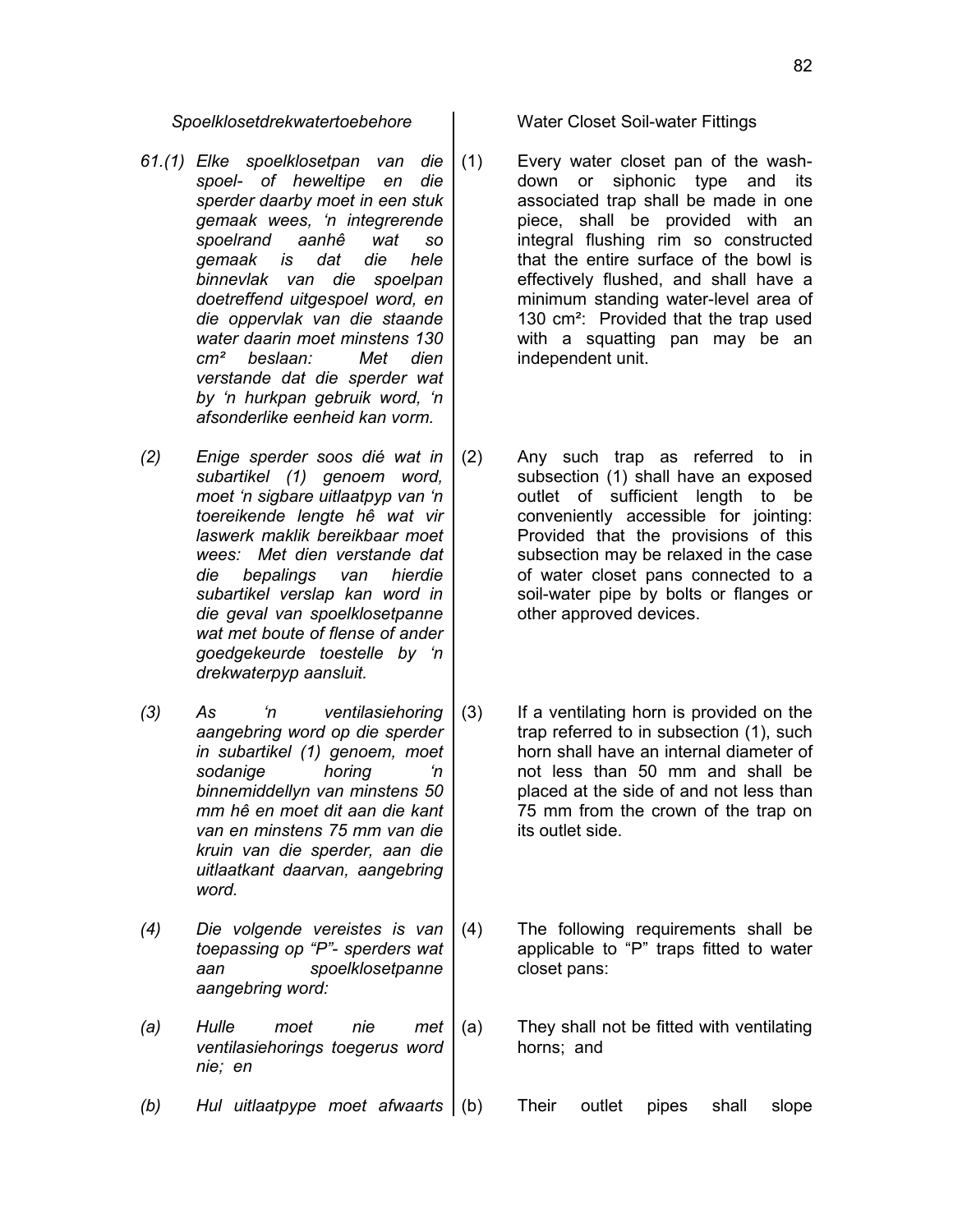- *61.(1) Elke spoelklosetpan van die spoel- of heweltipe en die sperder daarby moet in een stuk gemaak wees, 'n integrerende spoelrand aanhê wat so gemaak is dat die hele binnevlak van die spoelpan doetreffend uitgespoel word, en die oppervlak van die staande water daarin moet minstens 130 cm² beslaan: Met dien verstande dat die sperder wat by 'n hurkpan gebruik word, 'n afsonderlike eenheid kan vorm.*
- *(2) Enige sperder soos dié wat in subartikel (1) genoem word, moet 'n sigbare uitlaatpyp van 'n toereikende lengte hê wat vir laswerk maklik bereikbaar moet wees: Met dien verstande dat die bepalings van hierdie subartikel verslap kan word in die geval van spoelklosetpanne wat met boute of flense of ander goedgekeurde toestelle by 'n drekwaterpyp aansluit.*
- *(3) As 'n ventilasiehoring aangebring word op die sperder in subartikel (1) genoem, moet sodanige horing 'n binnemiddellyn van minstens 50 mm hê en moet dit aan die kant van en minstens 75 mm van die kruin van die sperder, aan die uitlaatkant daarvan, aangebring word.*
- *(4) Die volgende vereistes is van toepassing op "P"- sperders wat aan spoelklosetpanne aangebring word:*
- *(a) Hulle moet nie met ventilasiehorings toegerus word nie; en*
- *(b) Hul uitlaatpype moet afwaarts* (b) Their outlet pipes shall slope

*Spoelklosetdrekwatertoebehore* Water Closet Soil-water Fittings

- (1) Every water closet pan of the washdown or siphonic type and its associated trap shall be made in one piece, shall be provided with an integral flushing rim so constructed that the entire surface of the bowl is effectively flushed, and shall have a minimum standing water-level area of 130 cm²: Provided that the trap used with a squatting pan may be an independent unit.
- (2) Any such trap as referred to in subsection (1) shall have an exposed outlet of sufficient length to be conveniently accessible for jointing: Provided that the provisions of this subsection may be relaxed in the case of water closet pans connected to a soil-water pipe by bolts or flanges or other approved devices.
- (3) If a ventilating horn is provided on the trap referred to in subsection (1), such horn shall have an internal diameter of not less than 50 mm and shall be placed at the side of and not less than 75 mm from the crown of the trap on its outlet side.
- (4) The following requirements shall be applicable to "P" traps fitted to water closet pans:
- (a) They shall not be fitted with ventilating horns; and
	-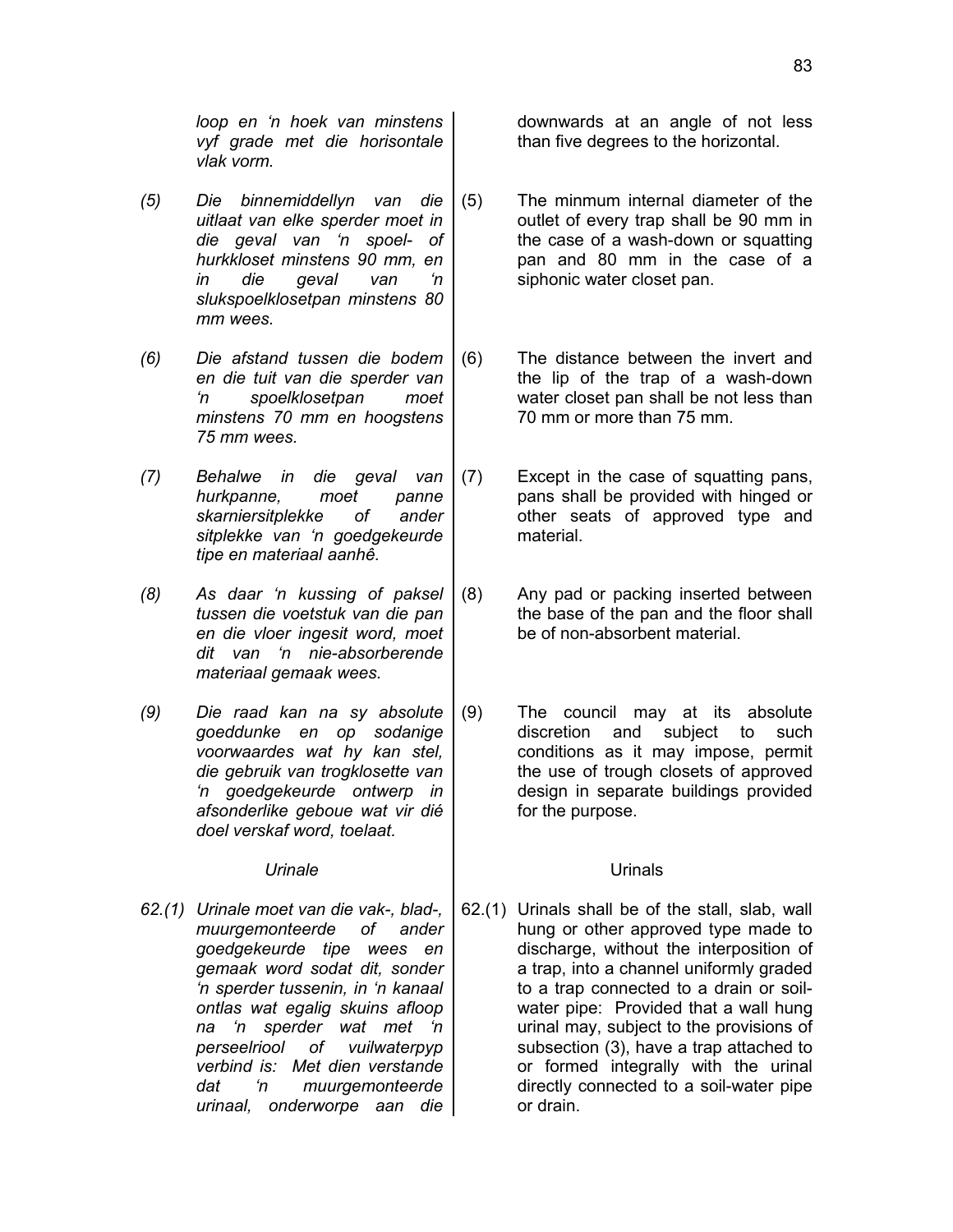*loop en 'n hoek van minstens vyf grade met die horisontale vlak vorm.*

- *(5) Die binnemiddellyn van die uitlaat van elke sperder moet in die geval van 'n spoel- of hurkkloset minstens 90 mm, en in die geval van 'n slukspoelklosetpan minstens 80 mm wees.*
- *(6) Die afstand tussen die bodem en die tuit van die sperder van 'n spoelklosetpan moet minstens 70 mm en hoogstens 75 mm wees.*
- *(7) Behalwe in die geval van hurkpanne, moet panne skarniersitplekke of ander sitplekke van 'n goedgekeurde tipe en materiaal aanhê.*
- *(8) As daar 'n kussing of paksel tussen die voetstuk van die pan en die vloer ingesit word, moet dit van 'n nie-absorberende materiaal gemaak wees.*
- *(9) Die raad kan na sy absolute goeddunke en op sodanige voorwaardes wat hy kan stel, die gebruik van trogklosette van 'n goedgekeurde ontwerp in afsonderlike geboue wat vir dié doel verskaf word, toelaat.*

*62.(1) Urinale moet van die vak-, blad-, muurgemonteerde of ander goedgekeurde tipe wees en gemaak word sodat dit, sonder 'n sperder tussenin, in 'n kanaal ontlas wat egalig skuins afloop na 'n sperder wat met 'n perseelriool of vuilwaterpyp verbind is: Met dien verstande dat 'n muurgemonteerde urinaal, onderworpe aan die* downwards at an angle of not less than five degrees to the horizontal.

- (5) The minmum internal diameter of the outlet of every trap shall be 90 mm in the case of a wash-down or squatting pan and 80 mm in the case of a siphonic water closet pan.
- (6) The distance between the invert and the lip of the trap of a wash-down water closet pan shall be not less than 70 mm or more than 75 mm.
- (7) Except in the case of squatting pans, pans shall be provided with hinged or other seats of approved type and material.
- (8) Any pad or packing inserted between the base of the pan and the floor shall be of non-absorbent material
- (9) The council may at its absolute discretion and subject to such conditions as it may impose, permit the use of trough closets of approved design in separate buildings provided for the purpose.

### Urinale **Urinals**

62.(1) Urinals shall be of the stall, slab, wall hung or other approved type made to discharge, without the interposition of a trap, into a channel uniformly graded to a trap connected to a drain or soilwater pipe: Provided that a wall hung urinal may, subject to the provisions of subsection (3), have a trap attached to or formed integrally with the urinal directly connected to a soil-water pipe or drain.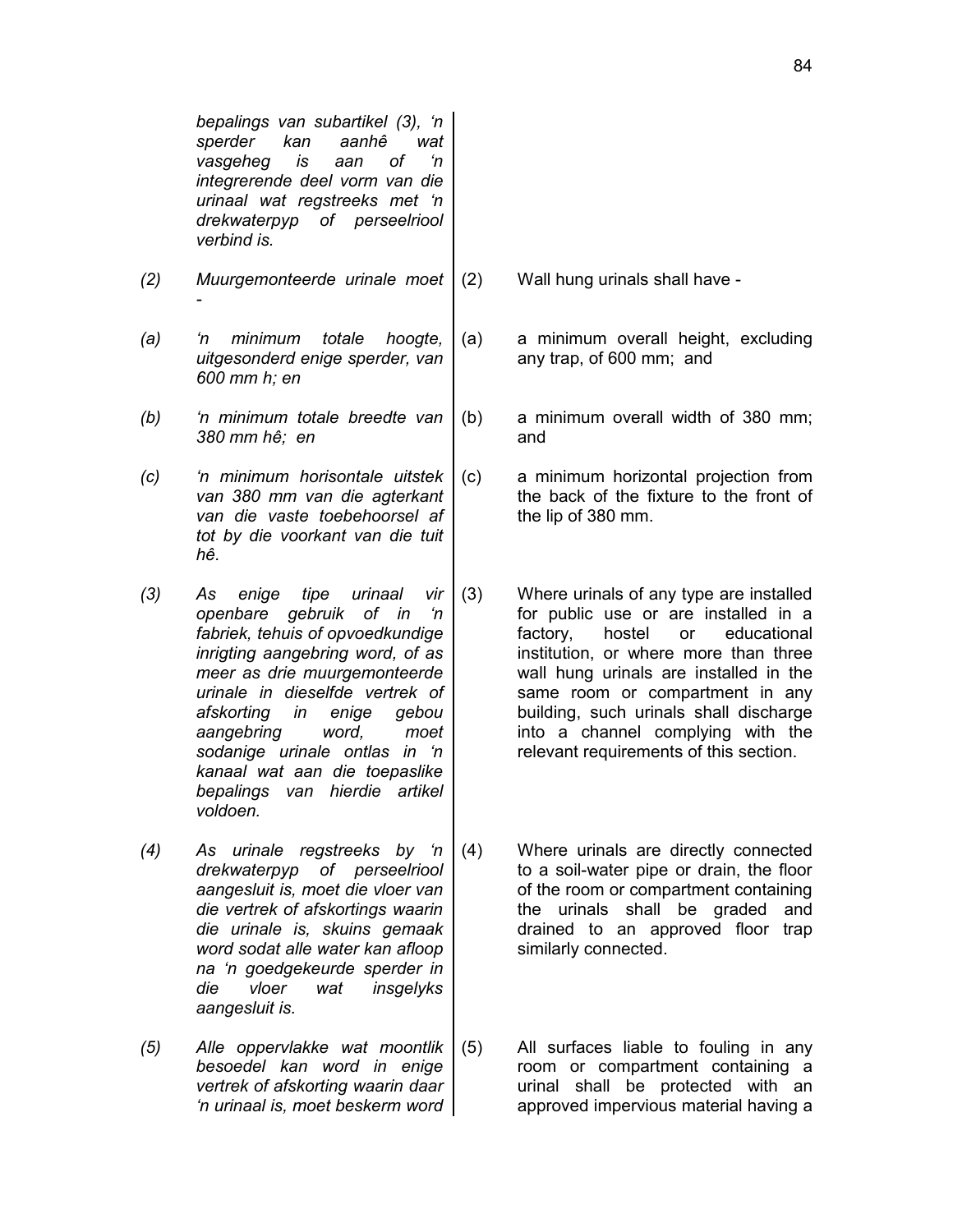*bepalings van subartikel (3), 'n sperder kan aanhê wat vasgeheg is aan of 'n integrerende deel vorm van die urinaal wat regstreeks met 'n drekwaterpyp of perseelriool verbind is.*

- *(2) Muurgemonteerde urinale moet -*
- *(a) 'n minimum totale hoogte, uitgesonderd enige sperder, van 600 mm h; en*
- *(b) 'n minimum totale breedte van 380 mm hê; en*

*(c) 'n minimum horisontale uitstek van 380 mm van die agterkant van die vaste toebehoorsel af tot by die voorkant van die tuit hê.*

*(3) As enige tipe urinaal vir openbare gebruik of in 'n fabriek, tehuis of opvoedkundige inrigting aangebring word, of as meer as drie muurgemonteerde urinale in dieselfde vertrek of afskorting in enige gebou aangebring word, moet sodanige urinale ontlas in 'n kanaal wat aan die toepaslike bepalings van hierdie artikel voldoen.*

*(4) As urinale regstreeks by 'n drekwaterpyp of perseelriool aangesluit is, moet die vloer van die vertrek of afskortings waarin die urinale is, skuins gemaak word sodat alle water kan afloop na 'n goedgekeurde sperder in die vloer wat insgelyks aangesluit is.*

*(5) Alle oppervlakke wat moontlik besoedel kan word in enige vertrek of afskorting waarin daar 'n urinaal is, moet beskerm word*

(2) Wall hung urinals shall have -

(a) a minimum overall height, excluding any trap, of 600 mm; and

(b) a minimum overall width of 380 mm; and

(c) a minimum horizontal projection from the back of the fixture to the front of the lip of 380 mm.

- (3) Where urinals of any type are installed for public use or are installed in a factory, hostel or educational institution, or where more than three wall hung urinals are installed in the same room or compartment in any building, such urinals shall discharge into a channel complying with the relevant requirements of this section.
- (4) Where urinals are directly connected to a soil-water pipe or drain, the floor of the room or compartment containing the urinals shall be graded and drained to an approved floor trap similarly connected.
- (5) All surfaces liable to fouling in any room or compartment containing a urinal shall be protected with an approved impervious material having a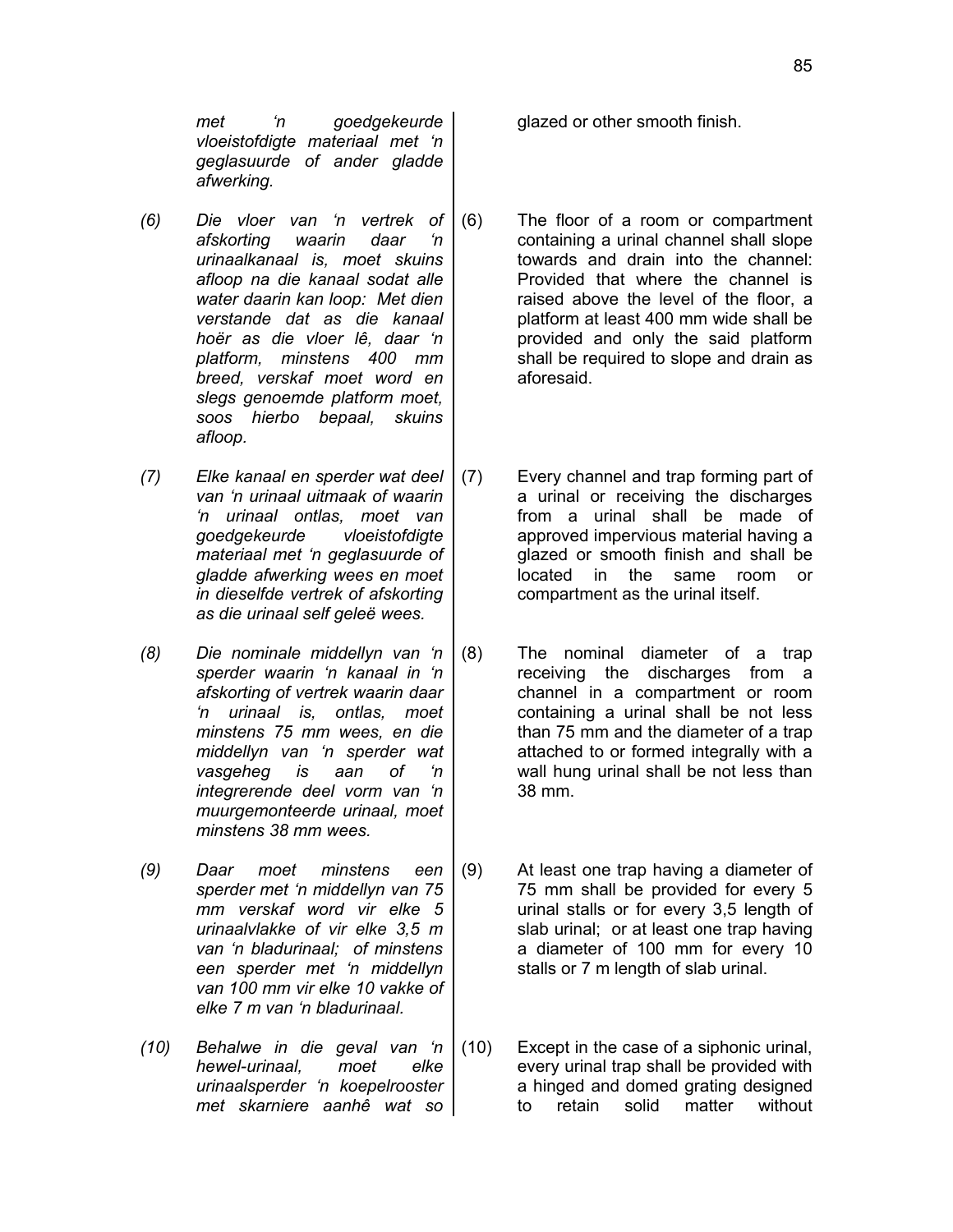*met 'n goedgekeurde vloeistofdigte materiaal met 'n geglasuurde of ander gladde afwerking.*

*(6) Die vloer van 'n vertrek of afskorting waarin daar 'n urinaalkanaal is, moet skuins afloop na die kanaal sodat alle water daarin kan loop: Met dien verstande dat as die kanaal hoër as die vloer lê, daar 'n platform, minstens 400 mm breed, verskaf moet word en slegs genoemde platform moet, soos hierbo bepaal, skuins afloop.*

*(7) Elke kanaal en sperder wat deel van 'n urinaal uitmaak of waarin 'n urinaal ontlas, moet van goedgekeurde vloeistofdigte materiaal met 'n geglasuurde of gladde afwerking wees en moet in dieselfde vertrek of afskorting as die urinaal self geleë wees.*

- *(8) Die nominale middellyn van 'n sperder waarin 'n kanaal in 'n afskorting of vertrek waarin daar 'n urinaal is, ontlas, moet minstens 75 mm wees, en die middellyn van 'n sperder wat vasgeheg is aan of 'n integrerende deel vorm van 'n muurgemonteerde urinaal, moet minstens 38 mm wees.*
- *(9) Daar moet minstens een sperder met 'n middellyn van 75 mm verskaf word vir elke 5 urinaalvlakke of vir elke 3,5 m van 'n bladurinaal; of minstens een sperder met 'n middellyn van 100 mm vir elke 10 vakke of elke 7 m van 'n bladurinaal.*
- *(10) Behalwe in die geval van 'n hewel-urinaal, moet elke urinaalsperder 'n koepelrooster met skarniere aanhê wat so*

glazed or other smooth finish.

- (6) The floor of a room or compartment containing a urinal channel shall slope towards and drain into the channel: Provided that where the channel is raised above the level of the floor, a platform at least 400 mm wide shall be provided and only the said platform shall be required to slope and drain as aforesaid.
- (7) Every channel and trap forming part of a urinal or receiving the discharges from a urinal shall be made of approved impervious material having a glazed or smooth finish and shall be located in the same room or compartment as the urinal itself.
- (8) The nominal diameter of a trap receiving the discharges from a channel in a compartment or room containing a urinal shall be not less than 75 mm and the diameter of a trap attached to or formed integrally with a wall hung urinal shall be not less than 38 mm.
- (9) At least one trap having a diameter of 75 mm shall be provided for every 5 urinal stalls or for every 3,5 length of slab urinal; or at least one trap having a diameter of 100 mm for every 10 stalls or 7 m length of slab urinal.
- (10) Except in the case of a siphonic urinal, every urinal trap shall be provided with a hinged and domed grating designed to retain solid matter without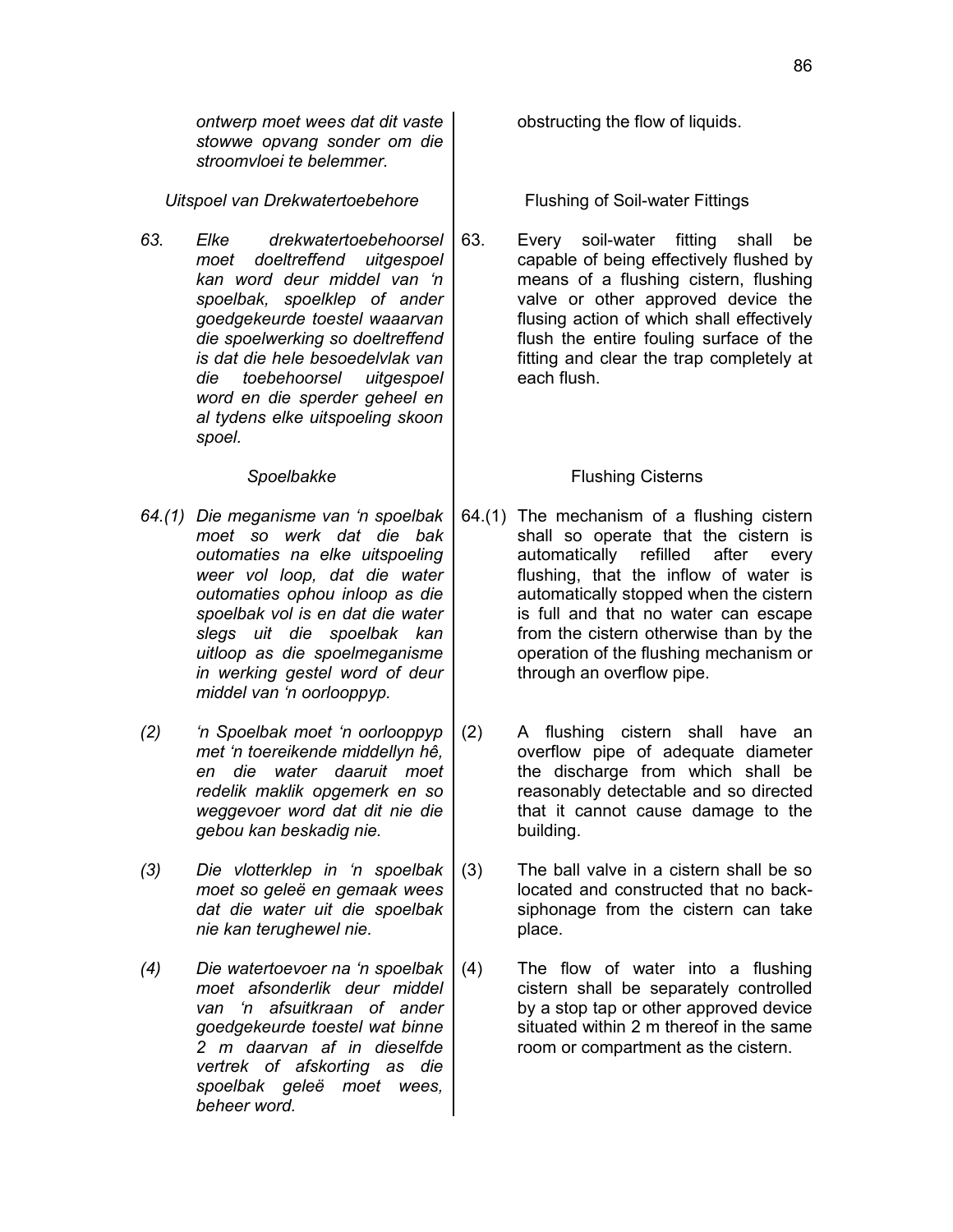*ontwerp moet wees dat dit vaste stowwe opvang sonder om die stroomvloei te belemmer.*

*Uitspoel van Drekwatertoebehore* | Flushing of Soil-water Fittings

*63. Elke drekwatertoebehoorsel moet doeltreffend uitgespoel kan word deur middel van 'n spoelbak, spoelklep of ander goedgekeurde toestel waaarvan die spoelwerking so doeltreffend is dat die hele besoedelvlak van die toebehoorsel uitgespoel word en die sperder geheel en al tydens elke uitspoeling skoon spoel.*

- *64.(1) Die meganisme van 'n spoelbak moet so werk dat die bak outomaties na elke uitspoeling weer vol loop, dat die water outomaties ophou inloop as die spoelbak vol is en dat die water slegs uit die spoelbak kan uitloop as die spoelmeganisme in werking gestel word of deur middel van 'n oorlooppyp.*
- *(2) 'n Spoelbak moet 'n oorlooppyp met 'n toereikende middellyn hê, en die water daaruit moet redelik maklik opgemerk en so weggevoer word dat dit nie die gebou kan beskadig nie.*
- *(3) Die vlotterklep in 'n spoelbak moet so geleë en gemaak wees dat die water uit die spoelbak nie kan terughewel nie.*
- *(4) Die watertoevoer na 'n spoelbak moet afsonderlik deur middel van 'n afsuitkraan of ander goedgekeurde toestel wat binne 2 m daarvan af in dieselfde vertrek of afskorting as die spoelbak geleë moet wees, beheer word.*

obstructing the flow of liquids.

63. Every soil-water fitting shall be capable of being effectively flushed by means of a flushing cistern, flushing valve or other approved device the flusing action of which shall effectively flush the entire fouling surface of the fitting and clear the trap completely at each flush.

### **Spoelbakke Flushing Cisterns**

- 64.(1) The mechanism of a flushing cistern shall so operate that the cistern is automatically refilled after every flushing, that the inflow of water is automatically stopped when the cistern is full and that no water can escape from the cistern otherwise than by the operation of the flushing mechanism or through an overflow pipe.
- (2) A flushing cistern shall have an overflow pipe of adequate diameter the discharge from which shall be reasonably detectable and so directed that it cannot cause damage to the building.
- (3) The ball valve in a cistern shall be so located and constructed that no backsiphonage from the cistern can take place.
- (4) The flow of water into a flushing cistern shall be separately controlled by a stop tap or other approved device situated within 2 m thereof in the same room or compartment as the cistern.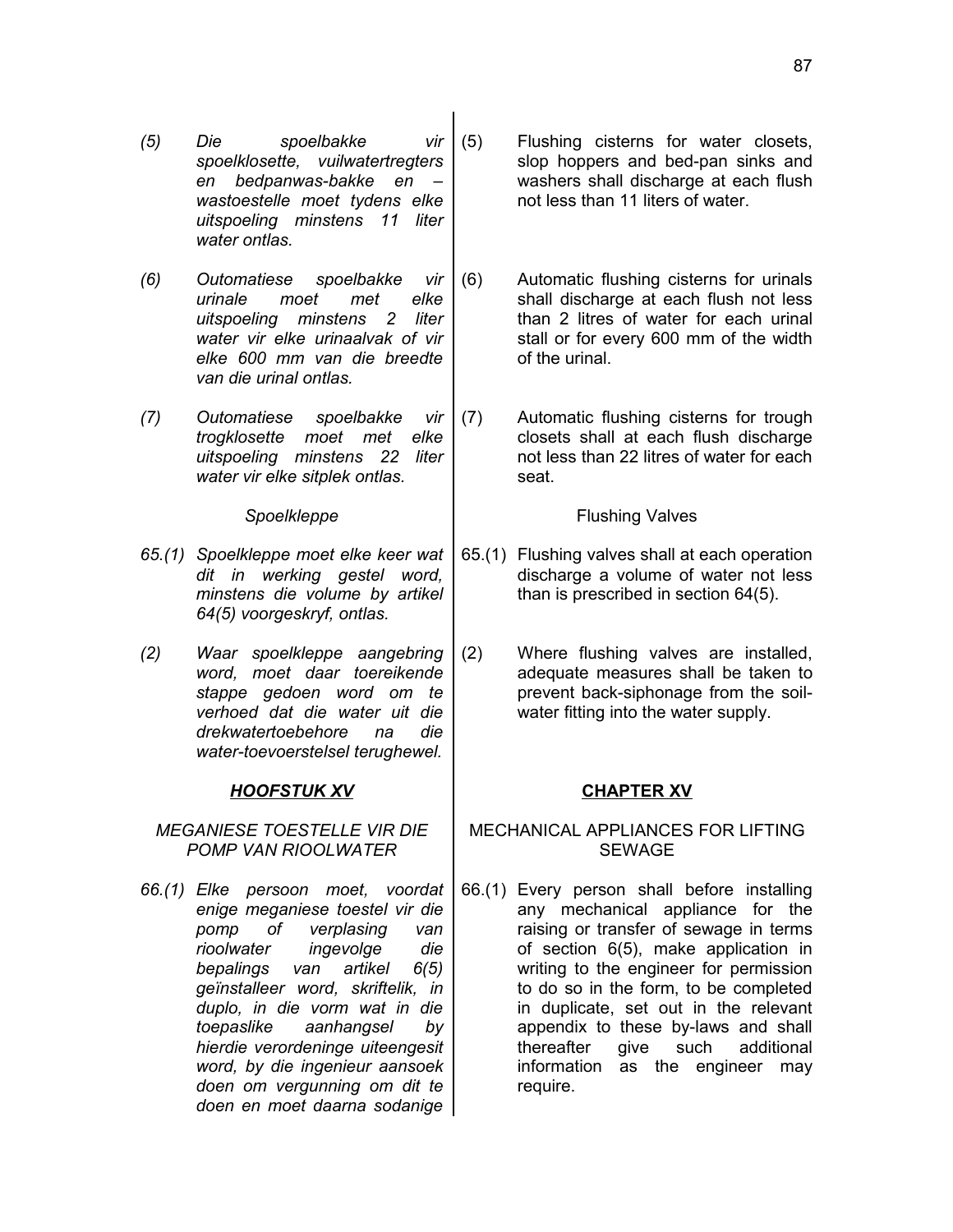- *(5) Die spoelbakke vir spoelklosette, vuilwatertregters en bedpanwas-bakke en – wastoestelle moet tydens elke uitspoeling minstens 11 liter water ontlas.*
- *(6) Outomatiese spoelbakke vir urinale moet met elke uitspoeling minstens 2 liter water vir elke urinaalvak of vir elke 600 mm van die breedte van die urinal ontlas.*
- *(7) Outomatiese spoelbakke vir trogklosette moet met elke uitspoeling minstens 22 liter water vir elke sitplek ontlas.*

- *65.(1) Spoelkleppe moet elke keer wat dit in werking gestel word, minstens die volume by artikel 64(5) voorgeskryf, ontlas.*
- *(2) Waar spoelkleppe aangebring word, moet daar toereikende stappe gedoen word om te verhoed dat die water uit die drekwatertoebehore na die water-toevoerstelsel terughewel.*

# *HOOFSTUK XV* **CHAPTER XV**

*MEGANIESE TOESTELLE VIR DIE POMP VAN RIOOLWATER*

*66.(1) Elke persoon moet, voordat enige meganiese toestel vir die pomp of verplasing van rioolwater ingevolge die bepalings van artikel 6(5) geïnstalleer word, skriftelik, in duplo, in die vorm wat in die toepaslike aanhangsel by hierdie verordeninge uiteengesit word, by die ingenieur aansoek doen om vergunning om dit te doen en moet daarna sodanige*

- (5) Flushing cisterns for water closets, slop hoppers and bed-pan sinks and washers shall discharge at each flush not less than 11 liters of water.
- (6) Automatic flushing cisterns for urinals shall discharge at each flush not less than 2 litres of water for each urinal stall or for every 600 mm of the width of the urinal.
- (7) Automatic flushing cisterns for trough closets shall at each flush discharge not less than 22 litres of water for each seat.

# **Spoelkleppe Flushing Valves**

- 65.(1) Flushing valves shall at each operation discharge a volume of water not less than is prescribed in section 64(5).
- (2) Where flushing valves are installed, adequate measures shall be taken to prevent back-siphonage from the soilwater fitting into the water supply.

# MECHANICAL APPLIANCES FOR LIFTING SEWAGE

66.(1) Every person shall before installing any mechanical appliance for the raising or transfer of sewage in terms of section 6(5), make application in writing to the engineer for permission to do so in the form, to be completed in duplicate, set out in the relevant appendix to these by-laws and shall thereafter give such additional information as the engineer may require.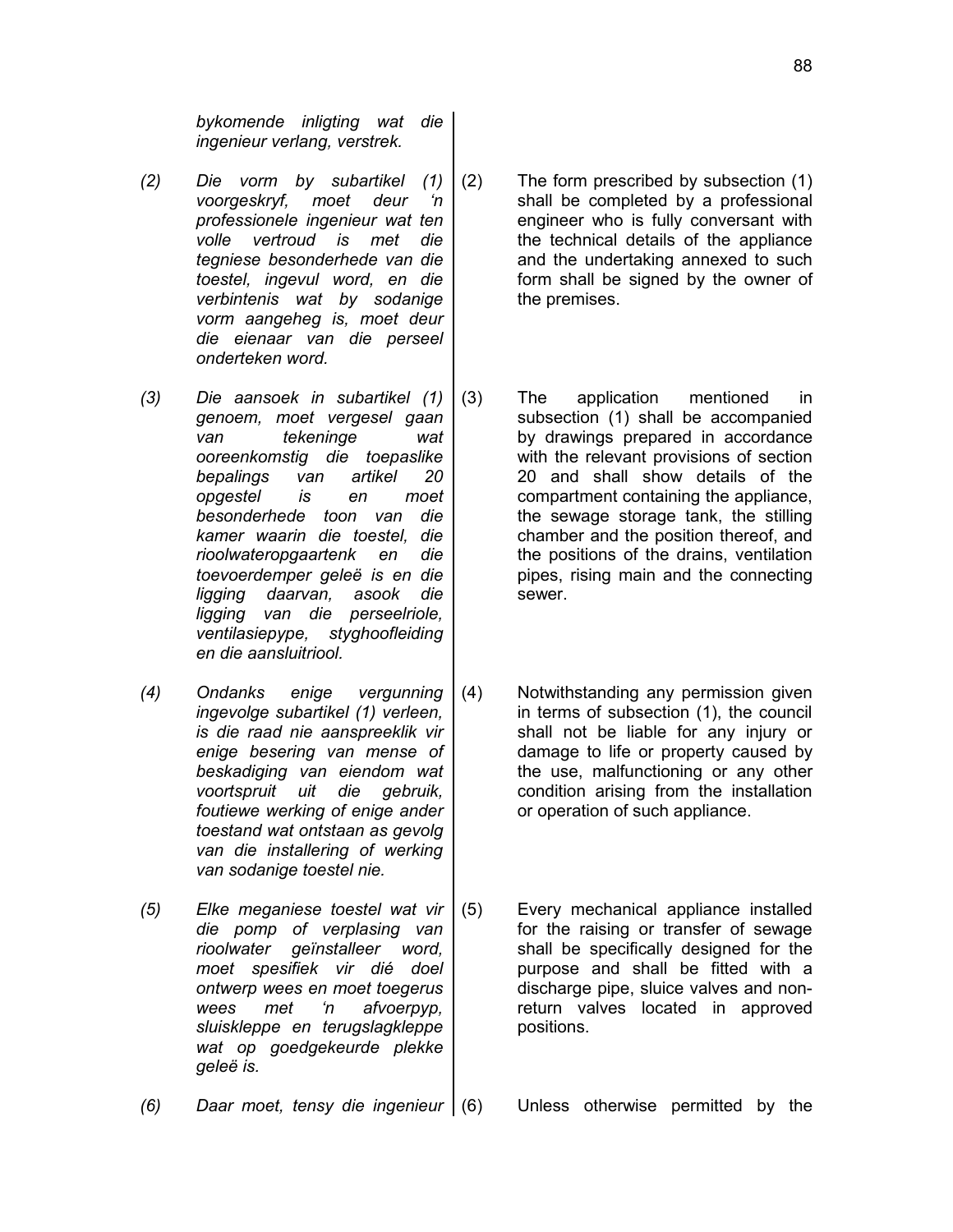*bykomende inligting wat die ingenieur verlang, verstrek.*

- *(2) Die vorm by subartikel (1) voorgeskryf, moet deur 'n professionele ingenieur wat ten volle vertroud is met die tegniese besonderhede van die toestel, ingevul word, en die verbintenis wat by sodanige vorm aangeheg is, moet deur die eienaar van die perseel onderteken word.*
- *(3) Die aansoek in subartikel (1) genoem, moet vergesel gaan van tekeninge wat ooreenkomstig die toepaslike bepalings van artikel 20 opgestel is en moet besonderhede toon van die kamer waarin die toestel, die rioolwateropgaartenk en die toevoerdemper geleë is en die ligging daarvan, asook die ligging van die perseelriole, ventilasiepype, styghoofleiding en die aansluitriool.*
- *(4) Ondanks enige vergunning ingevolge subartikel (1) verleen, is die raad nie aanspreeklik vir enige besering van mense of beskadiging van eiendom wat voortspruit uit die gebruik, foutiewe werking of enige ander toestand wat ontstaan as gevolg van die installering of werking van sodanige toestel nie.*
- *(5) Elke meganiese toestel wat vir die pomp of verplasing van rioolwater geïnstalleer word, moet spesifiek vir dié doel ontwerp wees en moet toegerus wees met 'n afvoerpyp, sluiskleppe en terugslagkleppe wat op goedgekeurde plekke geleë is.*

*(6) Daar moet, tensy die ingenieur* (6) Unless otherwise permitted by the

- (2) The form prescribed by subsection (1) shall be completed by a professional engineer who is fully conversant with the technical details of the appliance and the undertaking annexed to such form shall be signed by the owner of the premises.
- (3) The application mentioned in subsection (1) shall be accompanied by drawings prepared in accordance with the relevant provisions of section 20 and shall show details of the compartment containing the appliance, the sewage storage tank, the stilling chamber and the position thereof, and the positions of the drains, ventilation pipes, rising main and the connecting sewer.
- (4) Notwithstanding any permission given in terms of subsection (1), the council shall not be liable for any injury or damage to life or property caused by the use, malfunctioning or any other condition arising from the installation or operation of such appliance.
- (5) Every mechanical appliance installed for the raising or transfer of sewage shall be specifically designed for the purpose and shall be fitted with a discharge pipe, sluice valves and nonreturn valves located in approved positions.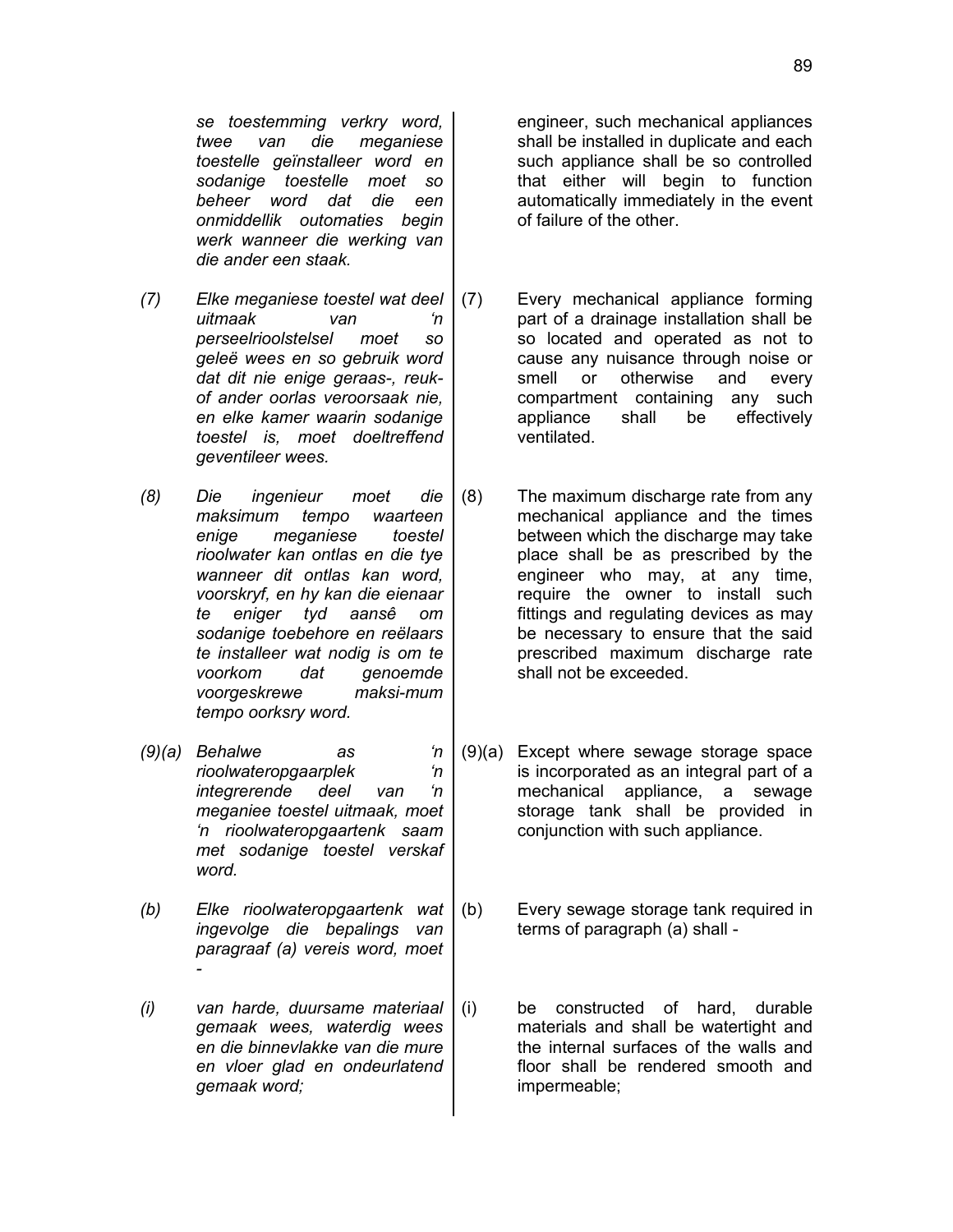*se toestemming verkry word, twee van die meganiese toestelle geïnstalleer word en sodanige toestelle moet so beheer word dat die een onmiddellik outomaties begin werk wanneer die werking van die ander een staak.*

- *(7) Elke meganiese toestel wat deel uitmaak van 'n perseelrioolstelsel moet so geleë wees en so gebruik word dat dit nie enige geraas-, reukof ander oorlas veroorsaak nie, en elke kamer waarin sodanige toestel is, moet doeltreffend geventileer wees.*
- *(8) Die ingenieur moet die maksimum tempo waarteen enige meganiese toestel rioolwater kan ontlas en die tye wanneer dit ontlas kan word, voorskryf, en hy kan die eienaar te eniger tyd aansê om sodanige toebehore en reëlaars te installeer wat nodig is om te voorkom dat genoemde voorgeskrewe maksi-mum tempo oorksry word.*
- *(9)(a) Behalwe as 'n rioolwateropgaarplek 'n integrerende deel van 'n meganiee toestel uitmaak, moet 'n rioolwateropgaartenk saam met sodanige toestel verskaf word.*
- *(b) Elke rioolwateropgaartenk wat ingevolge die bepalings van paragraaf (a) vereis word, moet -*
- *(i) van harde, duursame materiaal gemaak wees, waterdig wees en die binnevlakke van die mure en vloer glad en ondeurlatend gemaak word;*

engineer, such mechanical appliances shall be installed in duplicate and each such appliance shall be so controlled that either will begin to function automatically immediately in the event of failure of the other.

- (7) Every mechanical appliance forming part of a drainage installation shall be so located and operated as not to cause any nuisance through noise or smell or otherwise and every compartment containing any such appliance shall be effectively ventilated.
- (8) The maximum discharge rate from any mechanical appliance and the times between which the discharge may take place shall be as prescribed by the engineer who may, at any time, require the owner to install such fittings and regulating devices as may be necessary to ensure that the said prescribed maximum discharge rate shall not be exceeded.
- (9)(a) Except where sewage storage space is incorporated as an integral part of a mechanical appliance, a sewage storage tank shall be provided in conjunction with such appliance.
- (b) Every sewage storage tank required in terms of paragraph (a) shall -
- (i) be constructed of hard, durable materials and shall be watertight and the internal surfaces of the walls and floor shall be rendered smooth and impermeable;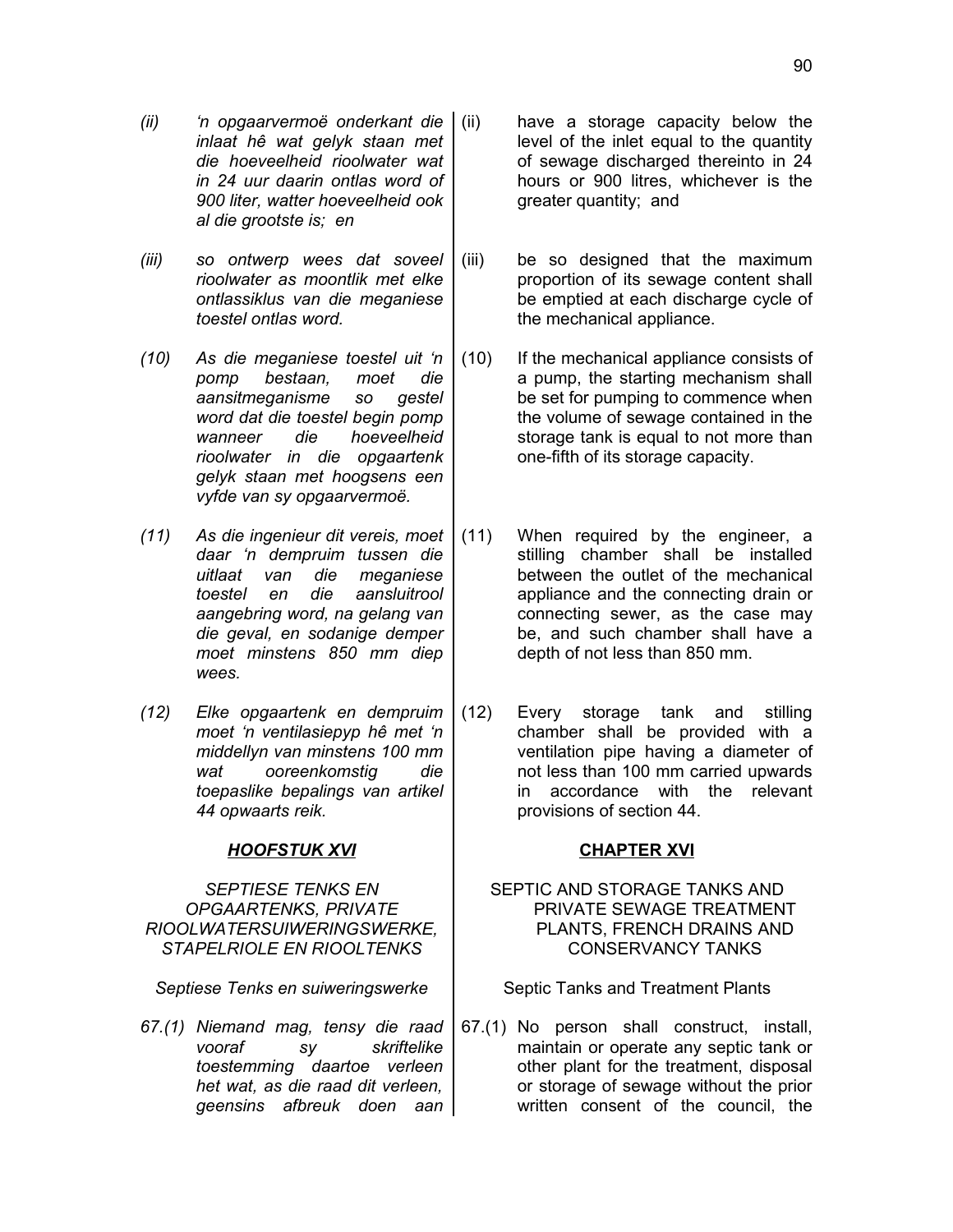- *(ii) 'n opgaarvermoë onderkant die inlaat hê wat gelyk staan met die hoeveelheid rioolwater wat in 24 uur daarin ontlas word of 900 liter, watter hoeveelheid ook al die grootste is; en*
- *(iii) so ontwerp wees dat soveel rioolwater as moontlik met elke ontlassiklus van die meganiese toestel ontlas word.*
- *(10) As die meganiese toestel uit 'n pomp bestaan, moet die aansitmeganisme so gestel word dat die toestel begin pomp wanneer die hoeveelheid rioolwater in die opgaartenk gelyk staan met hoogsens een vyfde van sy opgaarvermoë.*
- *(11) As die ingenieur dit vereis, moet daar 'n dempruim tussen die uitlaat van die meganiese toestel en die aansluitrool aangebring word, na gelang van die geval, en sodanige demper moet minstens 850 mm diep wees.*
- *(12) Elke opgaartenk en dempruim moet 'n ventilasiepyp hê met 'n middellyn van minstens 100 mm wat ooreenkomstig die toepaslike bepalings van artikel 44 opwaarts reik.*

### *HOOFSTUK XVI* **CHAPTER XVI**

*SEPTIESE TENKS EN OPGAARTENKS, PRIVATE RIOOLWATERSUIWERINGSWERKE, STAPELRIOLE EN RIOOLTENKS*

*Septiese Tenks en suiweringswerke* | Septic Tanks and Treatment Plants

*67.(1) Niemand mag, tensy die raad vooraf sy skriftelike toestemming daartoe verleen het wat, as die raad dit verleen, geensins afbreuk doen aan*

- have a storage capacity below the level of the inlet equal to the quantity of sewage discharged thereinto in 24 hours or 900 litres, whichever is the greater quantity; and
- (iii) be so designed that the maximum proportion of its sewage content shall be emptied at each discharge cycle of the mechanical appliance.
- (10) If the mechanical appliance consists of a pump, the starting mechanism shall be set for pumping to commence when the volume of sewage contained in the storage tank is equal to not more than one-fifth of its storage capacity.
- (11) When required by the engineer, a stilling chamber shall be installed between the outlet of the mechanical appliance and the connecting drain or connecting sewer, as the case may be, and such chamber shall have a depth of not less than 850 mm.
- (12) Every storage tank and stilling chamber shall be provided with a ventilation pipe having a diameter of not less than 100 mm carried upwards in accordance with the relevant provisions of section 44.

### SEPTIC AND STORAGE TANKS AND PRIVATE SEWAGE TREATMENT PLANTS, FRENCH DRAINS AND CONSERVANCY TANKS

67.(1) No person shall construct, install, maintain or operate any septic tank or other plant for the treatment, disposal or storage of sewage without the prior written consent of the council, the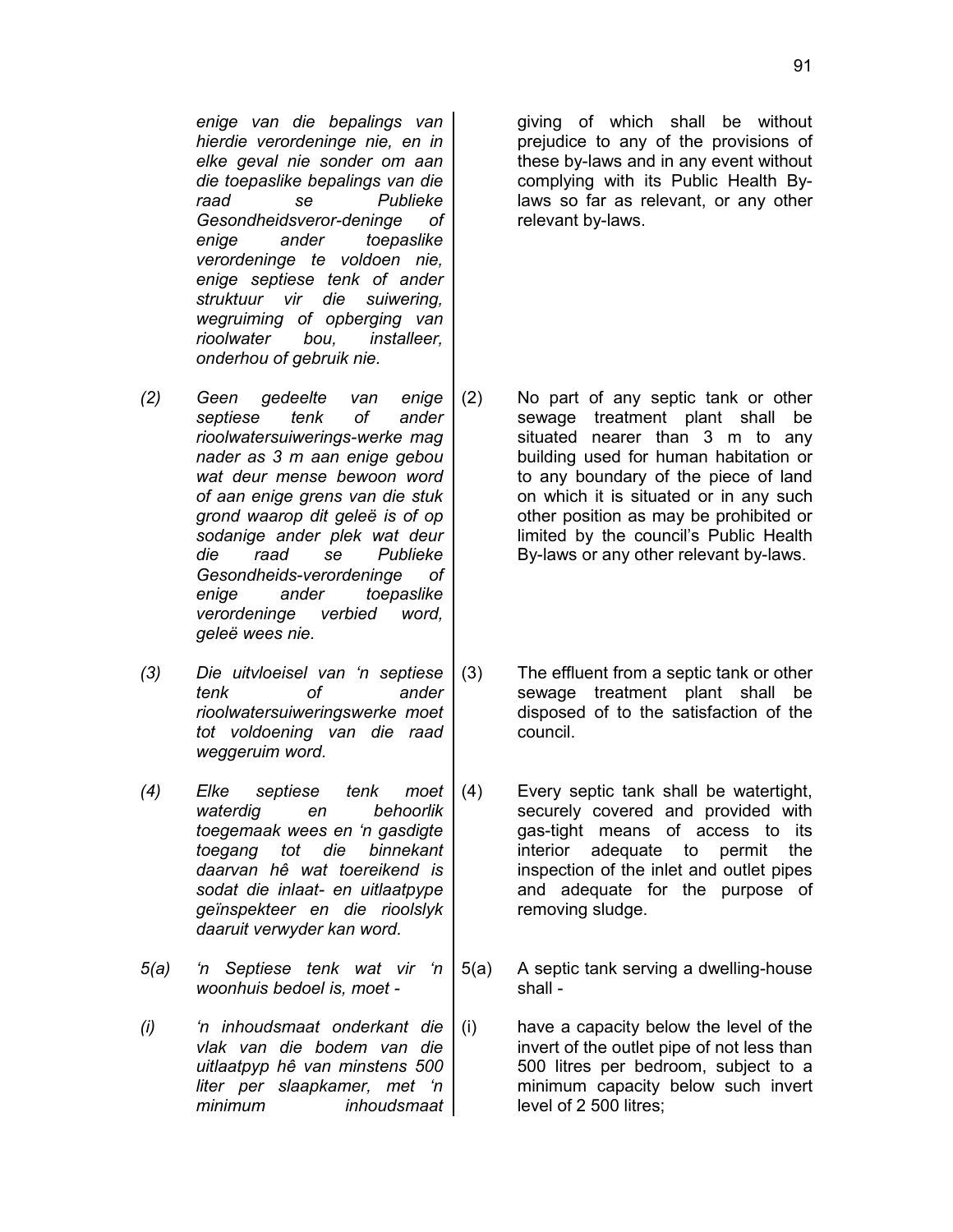*enige van die bepalings van hierdie verordeninge nie, en in elke geval nie sonder om aan die toepaslike bepalings van die raad se Publieke Gesondheidsveror-deninge of enige ander toepaslike verordeninge te voldoen nie, enige septiese tenk of ander struktuur vir die suiwering, wegruiming of opberging van rioolwater bou, installeer, onderhou of gebruik nie.*

giving of which shall be without prejudice to any of the provisions of these by-laws and in any event without complying with its Public Health Bylaws so far as relevant, or any other relevant by-laws.

- *(2) Geen gedeelte van enige septiese tenk of ander rioolwatersuiwerings-werke mag nader as 3 m aan enige gebou wat deur mense bewoon word of aan enige grens van die stuk grond waarop dit geleë is of op sodanige ander plek wat deur die raad se Publieke Gesondheids-verordeninge of enige ander toepaslike verordeninge verbied word, geleë wees nie.* (2) No part of any septic tank or other sewage treatment plant shall be situated nearer than 3 m to any building used for human habitation or to any boundary of the piece of land on which it is situated or in any such other position as may be prohibited or limited by the council's Public Health By-laws or any other relevant by-laws.
- *(3) Die uitvloeisel van 'n septiese tenk of ander rioolwatersuiweringswerke moet tot voldoening van die raad weggeruim word.*
- *(4) Elke septiese tenk moet waterdig en behoorlik toegemaak wees en 'n gasdigte toegang tot die binnekant daarvan hê wat toereikend is sodat die inlaat- en uitlaatpype geïnspekteer en die rioolslyk daaruit verwyder kan word.*
- *5(a) 'n Septiese tenk wat vir 'n woonhuis bedoel is, moet -*
- *(i) 'n inhoudsmaat onderkant die vlak van die bodem van die uitlaatpyp hê van minstens 500 liter per slaapkamer, met 'n minimum inhoudsmaat*
- (3) The effluent from a septic tank or other sewage treatment plant shall be disposed of to the satisfaction of the council.
- (4) Every septic tank shall be watertight, securely covered and provided with gas-tight means of access to its interior adequate to permit the inspection of the inlet and outlet pipes and adequate for the purpose of removing sludge.
- 5(a) A septic tank serving a dwelling-house shall -
- (i) have a capacity below the level of the invert of the outlet pipe of not less than 500 litres per bedroom, subject to a minimum capacity below such invert level of 2 500 litres;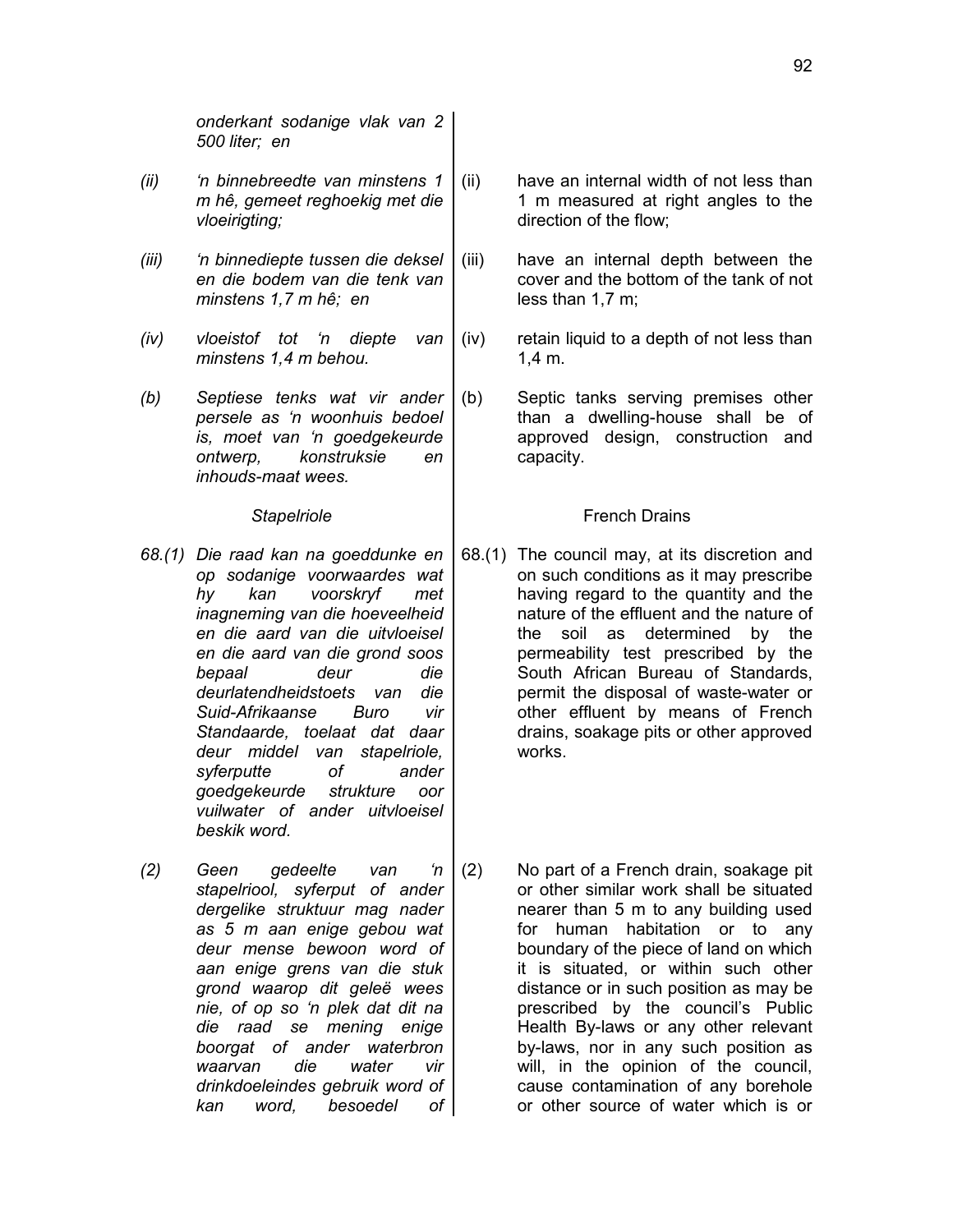*onderkant sodanige vlak van 2 500 liter; en*

- *(ii) 'n binnebreedte van minstens 1 m hê, gemeet reghoekig met die vloeirigting;*
- *(iii) 'n binnediepte tussen die deksel en die bodem van die tenk van minstens 1,7 m hê; en*
- *(iv) vloeistof tot 'n diepte van minstens 1,4 m behou.*
- *(b) Septiese tenks wat vir ander persele as 'n woonhuis bedoel is, moet van 'n goedgekeurde ontwerp, konstruksie en inhouds-maat wees.*

- *68.(1) Die raad kan na goeddunke en op sodanige voorwaardes wat hy kan voorskryf met inagneming van die hoeveelheid en die aard van die uitvloeisel en die aard van die grond soos bepaal deur die deurlatendheidstoets van die Suid-Afrikaanse Buro vir Standaarde, toelaat dat daar deur middel van stapelriole, syferputte of ander goedgekeurde strukture oor vuilwater of ander uitvloeisel beskik word.*
- *(2) Geen gedeelte van 'n stapelriool, syferput of ander dergelike struktuur mag nader as 5 m aan enige gebou wat deur mense bewoon word of aan enige grens van die stuk grond waarop dit geleë wees nie, of op so 'n plek dat dit na die raad se mening enige boorgat of ander waterbron waarvan die water vir drinkdoeleindes gebruik word of kan word, besoedel of*
- (ii) have an internal width of not less than 1 m measured at right angles to the direction of the flow;
- (iii) have an internal depth between the cover and the bottom of the tank of not less than 1,7 m;
- (iv) retain liquid to a depth of not less than 1,4 m.
- (b) Septic tanks serving premises other than a dwelling-house shall be of approved design, construction and capacity.

### **Stapelriole French Drains**

- 68.(1) The council may, at its discretion and on such conditions as it may prescribe having regard to the quantity and the nature of the effluent and the nature of the soil as determined by the permeability test prescribed by the South African Bureau of Standards, permit the disposal of waste-water or other effluent by means of French drains, soakage pits or other approved works.
- (2) No part of a French drain, soakage pit or other similar work shall be situated nearer than 5 m to any building used for human habitation or to any boundary of the piece of land on which it is situated, or within such other distance or in such position as may be prescribed by the council's Public Health By-laws or any other relevant by-laws, nor in any such position as will, in the opinion of the council, cause contamination of any borehole or other source of water which is or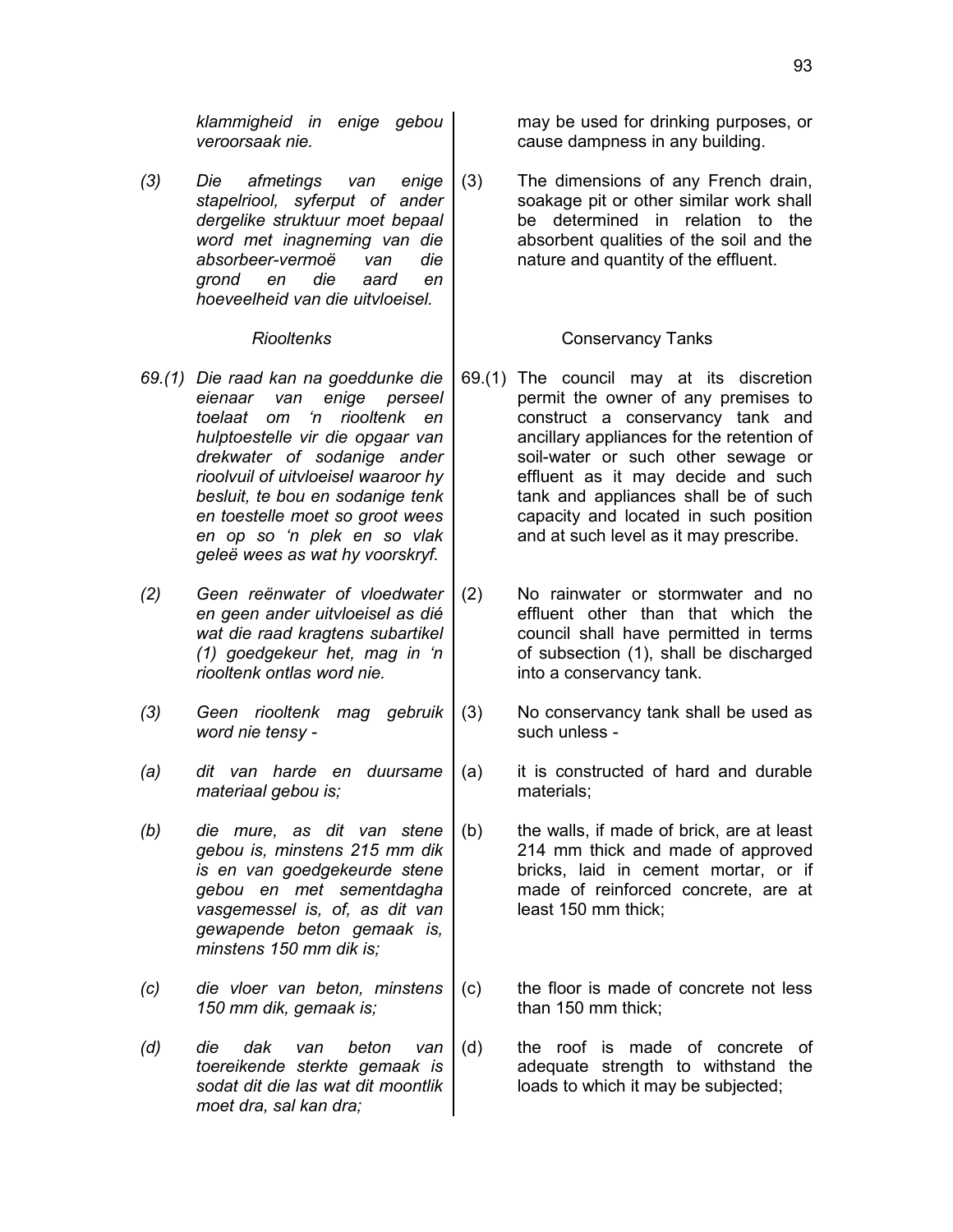*klammigheid in enige gebou veroorsaak nie.*

*(3) Die afmetings van enige stapelriool, syferput of ander dergelike struktuur moet bepaal word met inagneming van die absorbeer-vermoë van die grond en die aard en hoeveelheid van die uitvloeisel.*

- *69.(1) Die raad kan na goeddunke die eienaar van enige perseel toelaat om 'n riooltenk en hulptoestelle vir die opgaar van drekwater of sodanige ander rioolvuil of uitvloeisel waaroor hy besluit, te bou en sodanige tenk en toestelle moet so groot wees en op so 'n plek en so vlak geleë wees as wat hy voorskryf.*
- *(2) Geen reënwater of vloedwater en geen ander uitvloeisel as dié wat die raad kragtens subartikel (1) goedgekeur het, mag in 'n riooltenk ontlas word nie.*
- *(3) Geen riooltenk mag gebruik word nie tensy -*
- *(a) dit van harde en duursame materiaal gebou is;*
- *(b) die mure, as dit van stene gebou is, minstens 215 mm dik is en van goedgekeurde stene gebou en met sementdagha vasgemessel is, of, as dit van gewapende beton gemaak is, minstens 150 mm dik is;*
- *(c) die vloer van beton, minstens 150 mm dik, gemaak is;*
- *(d) die dak van beton van toereikende sterkte gemaak is sodat dit die las wat dit moontlik moet dra, sal kan dra;*

may be used for drinking purposes, or cause dampness in any building.

(3) The dimensions of any French drain, soakage pit or other similar work shall be determined in relation to the absorbent qualities of the soil and the nature and quantity of the effluent.

### *Riooltenks* Conservancy Tanks

- 69.(1) The council may at its discretion permit the owner of any premises to construct a conservancy tank and ancillary appliances for the retention of soil-water or such other sewage or effluent as it may decide and such tank and appliances shall be of such capacity and located in such position and at such level as it may prescribe.
- (2) No rainwater or stormwater and no effluent other than that which the council shall have permitted in terms of subsection (1), shall be discharged into a conservancy tank.
- (3) No conservancy tank shall be used as such unless -
- (a) it is constructed of hard and durable materials;
- (b) the walls, if made of brick, are at least 214 mm thick and made of approved bricks, laid in cement mortar, or if made of reinforced concrete, are at least 150 mm thick;
- (c) the floor is made of concrete not less than 150 mm thick;
- (d) the roof is made of concrete of adequate strength to withstand the loads to which it may be subjected;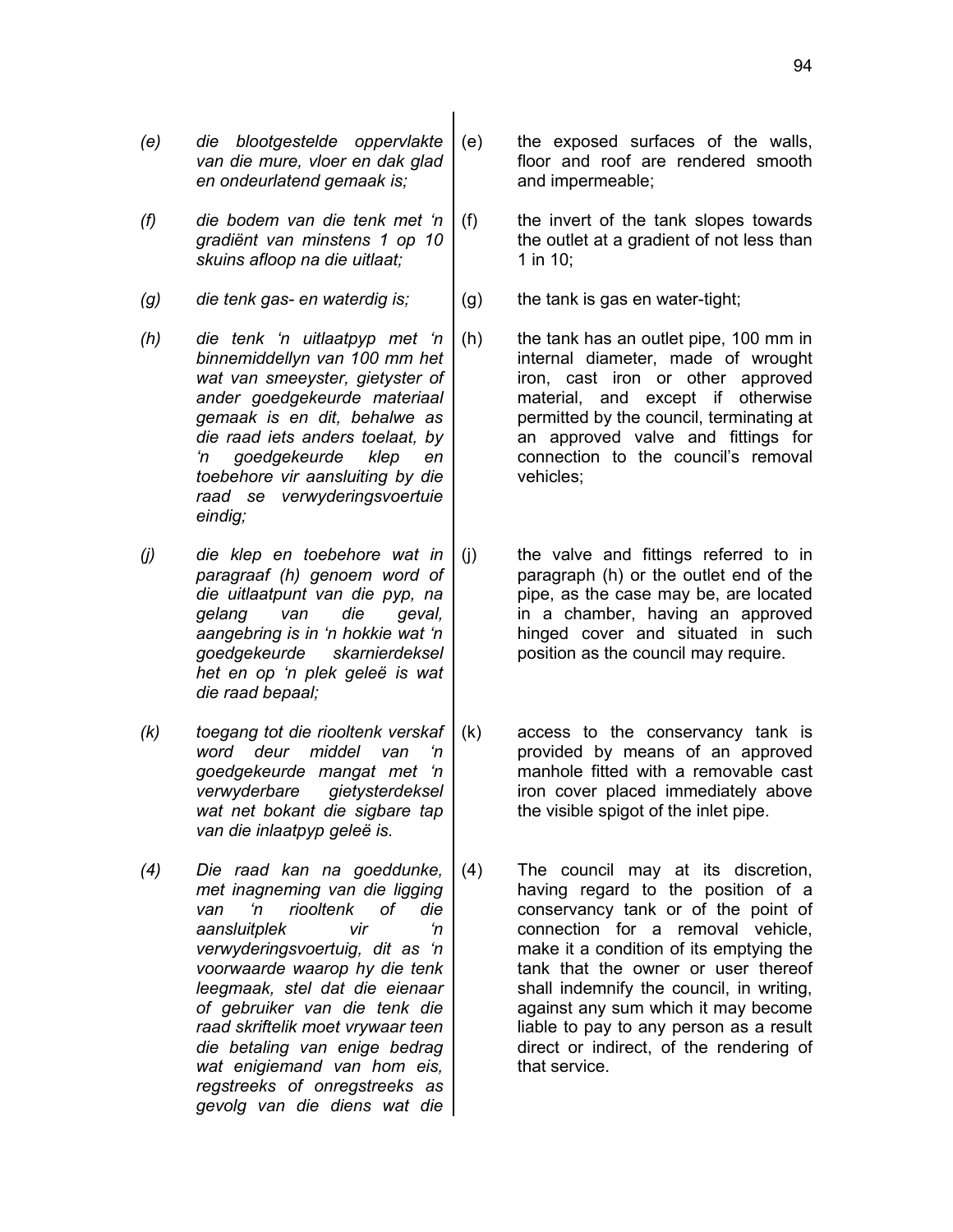94

- *(e) die blootgestelde oppervlakte van die mure, vloer en dak glad en ondeurlatend gemaak is;*
- *(f) die bodem van die tenk met 'n gradiënt van minstens 1 op 10 skuins afloop na die uitlaat;*
- *(g) die tenk gas- en waterdig is;* (g) the tank is gas en water-tight;
- *(h) die tenk 'n uitlaatpyp met 'n binnemiddellyn van 100 mm het wat van smeeyster, gietyster of ander goedgekeurde materiaal gemaak is en dit, behalwe as die raad iets anders toelaat, by 'n goedgekeurde klep en toebehore vir aansluiting by die raad se verwyderingsvoertuie eindig;*
- *(j) die klep en toebehore wat in paragraaf (h) genoem word of die uitlaatpunt van die pyp, na gelang van die geval, aangebring is in 'n hokkie wat 'n goedgekeurde skarnierdeksel het en op 'n plek geleë is wat die raad bepaal;*
- *(k) toegang tot die riooltenk verskaf word deur middel van 'n goedgekeurde mangat met 'n verwyderbare gietysterdeksel wat net bokant die sigbare tap van die inlaatpyp geleë is.*
- *(4) Die raad kan na goeddunke, met inagneming van die ligging van 'n riooltenk of die aansluitplek vir 'n verwyderingsvoertuig, dit as 'n voorwaarde waarop hy die tenk leegmaak, stel dat die eienaar of gebruiker van die tenk die raad skriftelik moet vrywaar teen die betaling van enige bedrag wat enigiemand van hom eis, regstreeks of onregstreeks as gevolg van die diens wat die*
- (e) the exposed surfaces of the walls, floor and roof are rendered smooth and impermeable;
- (f) the invert of the tank slopes towards the outlet at a gradient of not less than 1 in 10;
	-
- (h) the tank has an outlet pipe, 100 mm in internal diameter, made of wrought iron, cast iron or other approved material, and except if otherwise permitted by the council, terminating at an approved valve and fittings for connection to the council's removal vehicles;
- (j) the valve and fittings referred to in paragraph (h) or the outlet end of the pipe, as the case may be, are located in a chamber, having an approved hinged cover and situated in such position as the council may require.
- (k) access to the conservancy tank is provided by means of an approved manhole fitted with a removable cast iron cover placed immediately above the visible spigot of the inlet pipe.
- (4) The council may at its discretion, having regard to the position of a conservancy tank or of the point of connection for a removal vehicle, make it a condition of its emptying the tank that the owner or user thereof shall indemnify the council, in writing, against any sum which it may become liable to pay to any person as a result direct or indirect, of the rendering of that service.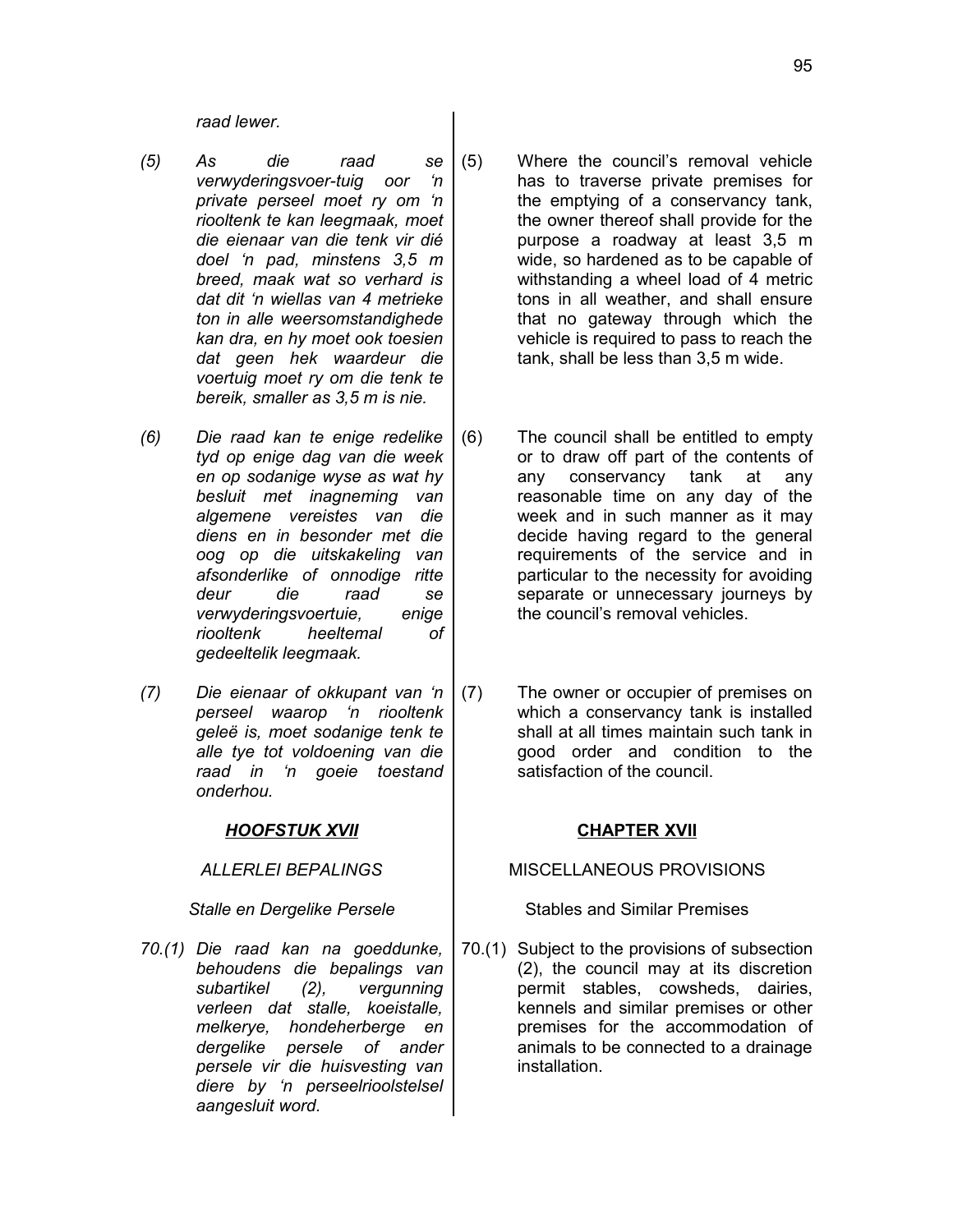*raad lewer.*

- *(5) As die raad se verwyderingsvoer-tuig oor 'n private perseel moet ry om 'n riooltenk te kan leegmaak, moet die eienaar van die tenk vir dié doel 'n pad, minstens 3,5 m breed, maak wat so verhard is dat dit 'n wiellas van 4 metrieke ton in alle weersomstandighede kan dra, en hy moet ook toesien dat geen hek waardeur die voertuig moet ry om die tenk te bereik, smaller as 3,5 m is nie.*
- *(6) Die raad kan te enige redelike tyd op enige dag van die week en op sodanige wyse as wat hy besluit met inagneming van algemene vereistes van die diens en in besonder met die oog op die uitskakeling van afsonderlike of onnodige ritte deur die raad se verwyderingsvoertuie, enige riooltenk heeltemal of gedeeltelik leegmaak.*
- *(7) Die eienaar of okkupant van 'n perseel waarop 'n riooltenk geleë is, moet sodanige tenk te alle tye tot voldoening van die raad in 'n goeie toestand onderhou.*

## *HOOFSTUK XVII* **CHAPTER XVII**

*70.(1) Die raad kan na goeddunke, behoudens die bepalings van subartikel (2), vergunning verleen dat stalle, koeistalle, melkerye, hondeherberge en dergelike persele of ander persele vir die huisvesting van diere by 'n perseelrioolstelsel aangesluit word.*

- (5) Where the council's removal vehicle has to traverse private premises for the emptying of a conservancy tank, the owner thereof shall provide for the purpose a roadway at least 3,5 m wide, so hardened as to be capable of withstanding a wheel load of 4 metric tons in all weather, and shall ensure that no gateway through which the vehicle is required to pass to reach the tank, shall be less than 3,5 m wide.
- (6) The council shall be entitled to empty or to draw off part of the contents of any conservancy tank at any reasonable time on any day of the week and in such manner as it may decide having regard to the general requirements of the service and in particular to the necessity for avoiding separate or unnecessary journeys by the council's removal vehicles.
- (7) The owner or occupier of premises on which a conservancy tank is installed shall at all times maintain such tank in good order and condition to the satisfaction of the council.

### *ALLERLEI BEPALINGS* MISCELLANEOUS PROVISIONS

### **Stalle en Dergelike Persele** Stables and Similar Premises

70.(1) Subject to the provisions of subsection (2), the council may at its discretion permit stables, cowsheds, dairies, kennels and similar premises or other premises for the accommodation of animals to be connected to a drainage installation.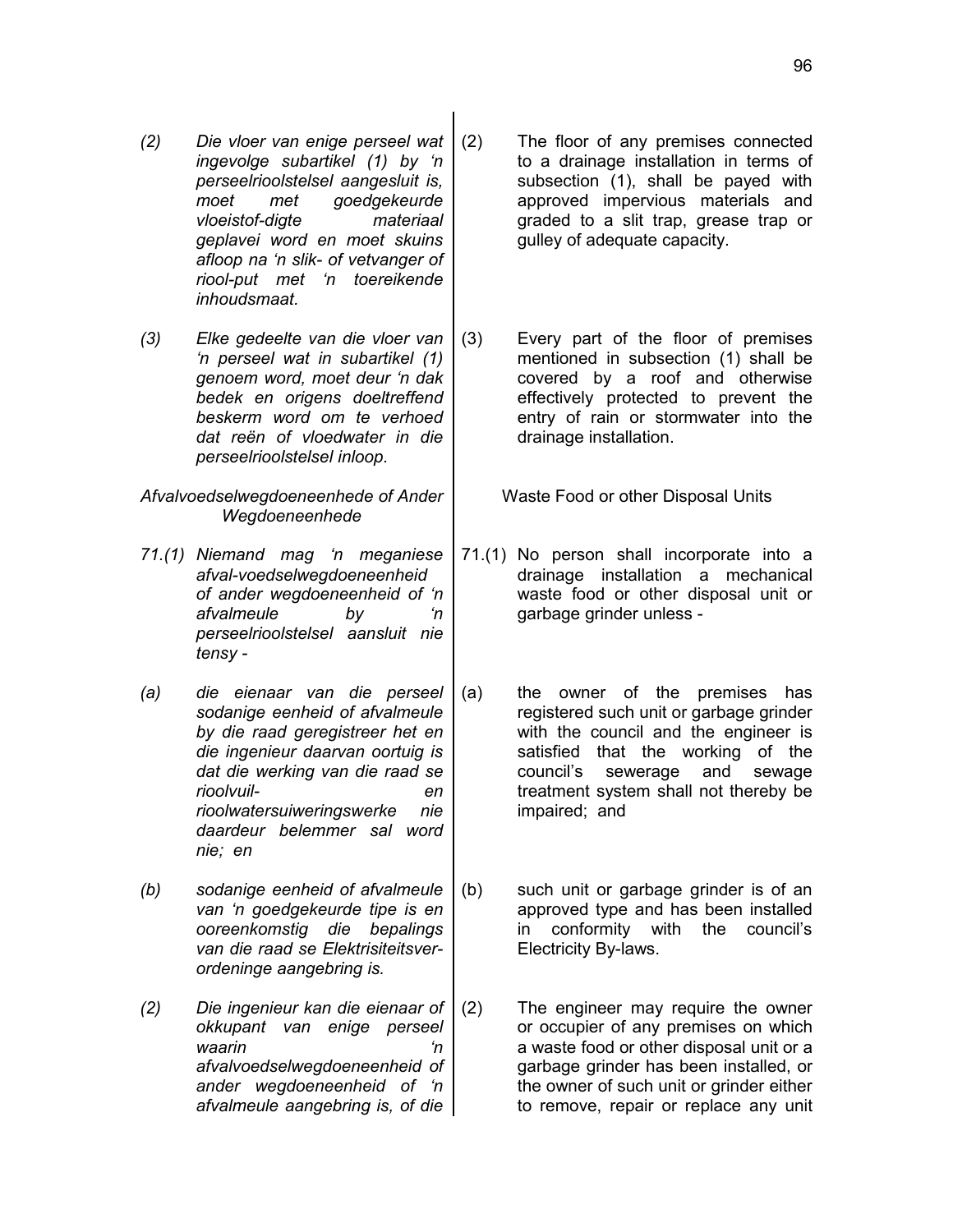- *(2) Die vloer van enige perseel wat ingevolge subartikel (1) by 'n perseelrioolstelsel aangesluit is, moet met goedgekeurde vloeistof-digte materiaal geplavei word en moet skuins afloop na 'n slik- of vetvanger of riool-put met 'n toereikende inhoudsmaat.*
- *(3) Elke gedeelte van die vloer van 'n perseel wat in subartikel (1) genoem word, moet deur 'n dak bedek en origens doeltreffend beskerm word om te verhoed dat reën of vloedwater in die perseelrioolstelsel inloop.*
- *Afvalvoedselwegdoeneenhede of Ander Wegdoeneenhede*
- *71.(1) Niemand mag 'n meganiese afval-voedselwegdoeneenheid of ander wegdoeneenheid of 'n afvalmeule by 'n perseelrioolstelsel aansluit nie tensy -*
- *(a) die eienaar van die perseel sodanige eenheid of afvalmeule by die raad geregistreer het en die ingenieur daarvan oortuig is dat die werking van die raad se rioolvuil- en rioolwatersuiweringswerke nie daardeur belemmer sal word nie; en*
- *(b) sodanige eenheid of afvalmeule van 'n goedgekeurde tipe is en ooreenkomstig die bepalings van die raad se Elektrisiteitsverordeninge aangebring is.*
- *(2) Die ingenieur kan die eienaar of okkupant van enige perseel waarin 'n afvalvoedselwegdoeneenheid of ander wegdoeneenheid of 'n afvalmeule aangebring is, of die*
- (2) The floor of any premises connected to a drainage installation in terms of subsection (1), shall be payed with approved impervious materials and graded to a slit trap, grease trap or gulley of adequate capacity.
- (3) Every part of the floor of premises mentioned in subsection (1) shall be covered by a roof and otherwise effectively protected to prevent the entry of rain or stormwater into the drainage installation.

Waste Food or other Disposal Units

- 71.(1) No person shall incorporate into a drainage installation a mechanical waste food or other disposal unit or garbage grinder unless -
- (a) the owner of the premises has registered such unit or garbage grinder with the council and the engineer is satisfied that the working of the council's sewerage and sewage treatment system shall not thereby be impaired; and
- (b) such unit or garbage grinder is of an approved type and has been installed in conformity with the council's Electricity By-laws.
- (2) The engineer may require the owner or occupier of any premises on which a waste food or other disposal unit or a garbage grinder has been installed, or the owner of such unit or grinder either to remove, repair or replace any unit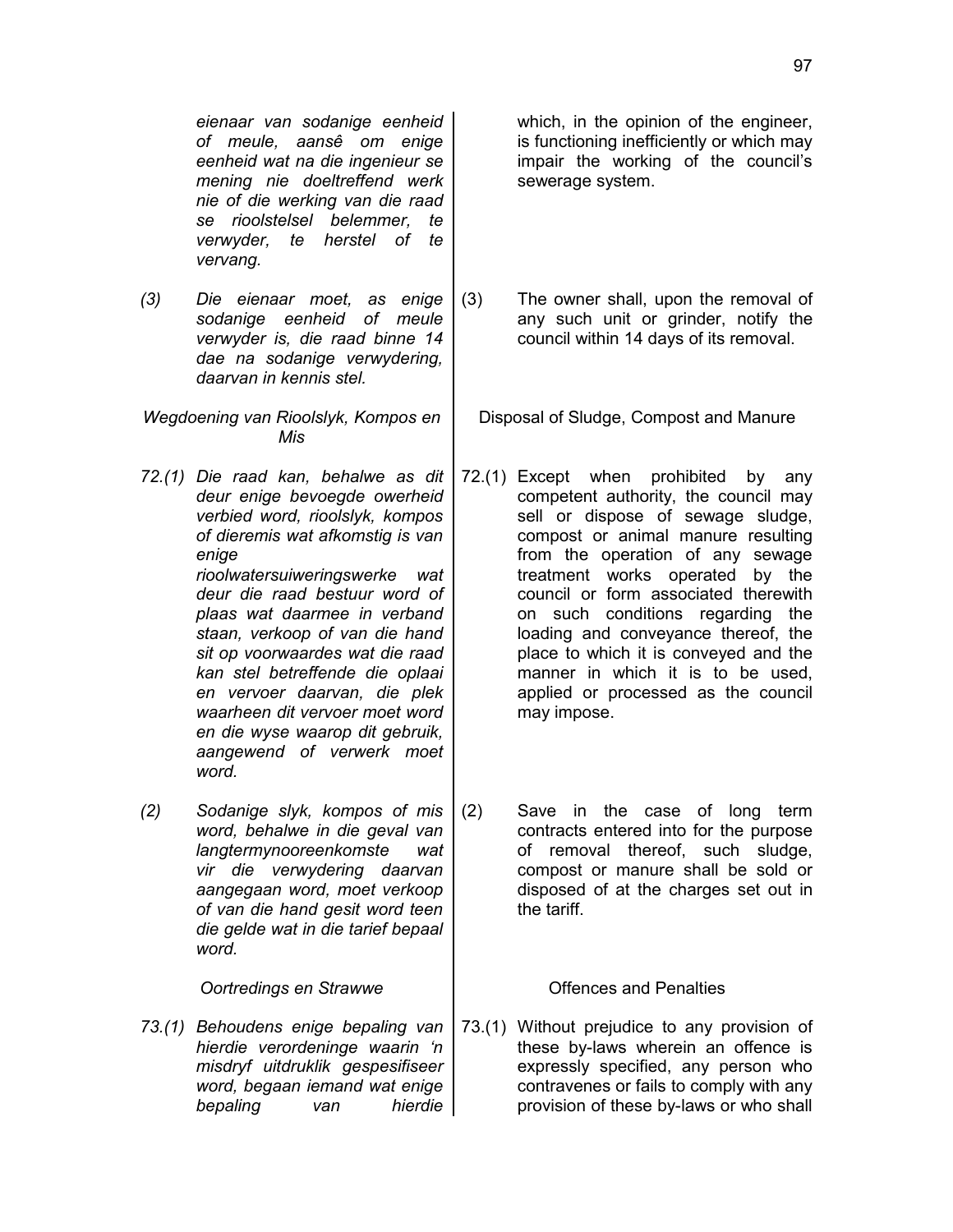*eienaar van sodanige eenheid of meule, aansê om enige eenheid wat na die ingenieur se mening nie doeltreffend werk nie of die werking van die raad se rioolstelsel belemmer, te verwyder, te herstel of te vervang.*

*(3) Die eienaar moet, as enige sodanige eenheid of meule verwyder is, die raad binne 14 dae na sodanige verwydering, daarvan in kennis stel.*

*Wegdoening van Rioolslyk, Kompos en Mis*

*72.(1) Die raad kan, behalwe as dit deur enige bevoegde owerheid verbied word, rioolslyk, kompos of dieremis wat afkomstig is van enige*

*rioolwatersuiweringswerke wat deur die raad bestuur word of plaas wat daarmee in verband staan, verkoop of van die hand sit op voorwaardes wat die raad kan stel betreffende die oplaai en vervoer daarvan, die plek waarheen dit vervoer moet word en die wyse waarop dit gebruik, aangewend of verwerk moet word.*

*(2) Sodanige slyk, kompos of mis word, behalwe in die geval van langtermynooreenkomste wat vir die verwydering daarvan aangegaan word, moet verkoop of van die hand gesit word teen die gelde wat in die tarief bepaal word.*

**Oortredings en Strawwe Conservery Access** 1

*73.(1) Behoudens enige bepaling van hierdie verordeninge waarin 'n misdryf uitdruklik gespesifiseer word, begaan iemand wat enige bepaling van hierdie* which, in the opinion of the engineer, is functioning inefficiently or which may impair the working of the council's sewerage system.

(3) The owner shall, upon the removal of any such unit or grinder, notify the council within 14 days of its removal.

Disposal of Sludge, Compost and Manure

72.(1) Except when prohibited by any competent authority, the council may sell or dispose of sewage sludge, compost or animal manure resulting from the operation of any sewage treatment works operated by the council or form associated therewith on such conditions regarding the loading and conveyance thereof, the place to which it is conveyed and the manner in which it is to be used, applied or processed as the council may impose.

(2) Save in the case of long term contracts entered into for the purpose of removal thereof, such sludge, compost or manure shall be sold or disposed of at the charges set out in the tariff.

73.(1) Without prejudice to any provision of these by-laws wherein an offence is expressly specified, any person who contravenes or fails to comply with any provision of these by-laws or who shall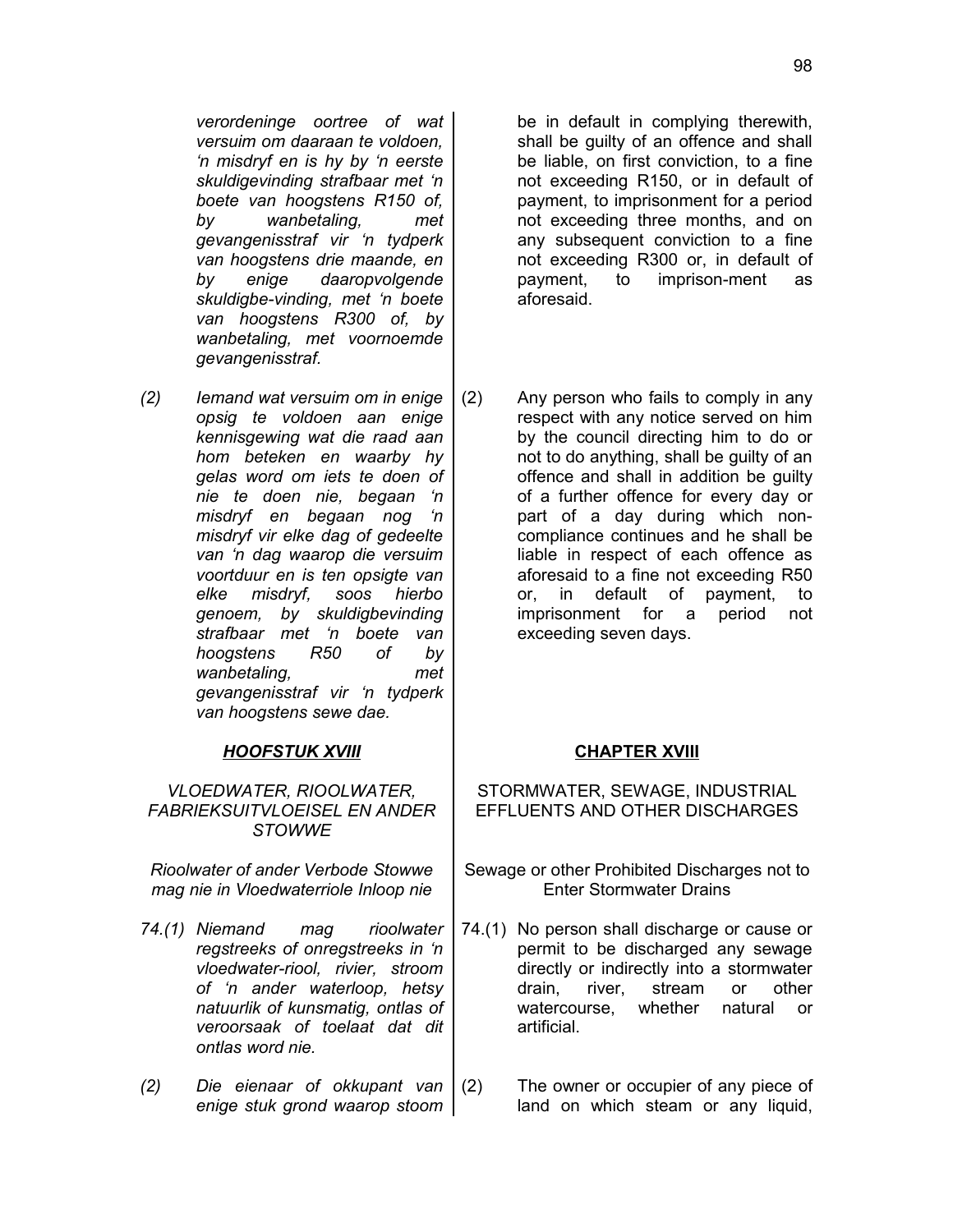*verordeninge oortree of wat versuim om daaraan te voldoen, 'n misdryf en is hy by 'n eerste skuldigevinding strafbaar met 'n boete van hoogstens R150 of, by wanbetaling, met gevangenisstraf vir 'n tydperk van hoogstens drie maande, en by enige daaropvolgende skuldigbe-vinding, met 'n boete van hoogstens R300 of, by wanbetaling, met voornoemde gevangenisstraf.*

*(2) Iemand wat versuim om in enige opsig te voldoen aan enige kennisgewing wat die raad aan hom beteken en waarby hy gelas word om iets te doen of nie te doen nie, begaan 'n misdryf en begaan nog 'n misdryf vir elke dag of gedeelte van 'n dag waarop die versuim voortduur en is ten opsigte van elke misdryf, soos hierbo genoem, by skuldigbevinding strafbaar met 'n boete van hoogstens R50 of by wanbetaling, met gevangenisstraf vir 'n tydperk van hoogstens sewe dae.*

# *HOOFSTUK XVIII* **CHAPTER XVIII**

*VLOEDWATER, RIOOLWATER, FABRIEKSUITVLOEISEL EN ANDER STOWWE*

*Rioolwater of ander Verbode Stowwe mag nie in Vloedwaterriole Inloop nie*

- *74.(1) Niemand mag rioolwater regstreeks of onregstreeks in 'n vloedwater-riool, rivier, stroom of 'n ander waterloop, hetsy natuurlik of kunsmatig, ontlas of veroorsaak of toelaat dat dit ontlas word nie.*
- *(2) Die eienaar of okkupant van enige stuk grond waarop stoom*

be in default in complying therewith, shall be guilty of an offence and shall be liable, on first conviction, to a fine not exceeding R150, or in default of payment, to imprisonment for a period not exceeding three months, and on any subsequent conviction to a fine not exceeding R300 or, in default of payment, to imprison-ment as aforesaid.

(2) Any person who fails to comply in any respect with any notice served on him by the council directing him to do or not to do anything, shall be guilty of an offence and shall in addition be guilty of a further offence for every day or part of a day during which noncompliance continues and he shall be liable in respect of each offence as aforesaid to a fine not exceeding R50 or, in default of payment, to imprisonment for a period not exceeding seven days.

STORMWATER, SEWAGE, INDUSTRIAL EFFLUENTS AND OTHER DISCHARGES

- Sewage or other Prohibited Discharges not to Enter Stormwater Drains
- 74.(1) No person shall discharge or cause or permit to be discharged any sewage directly or indirectly into a stormwater drain, river, stream or other watercourse, whether natural or artificial.
- (2) The owner or occupier of any piece of land on which steam or any liquid,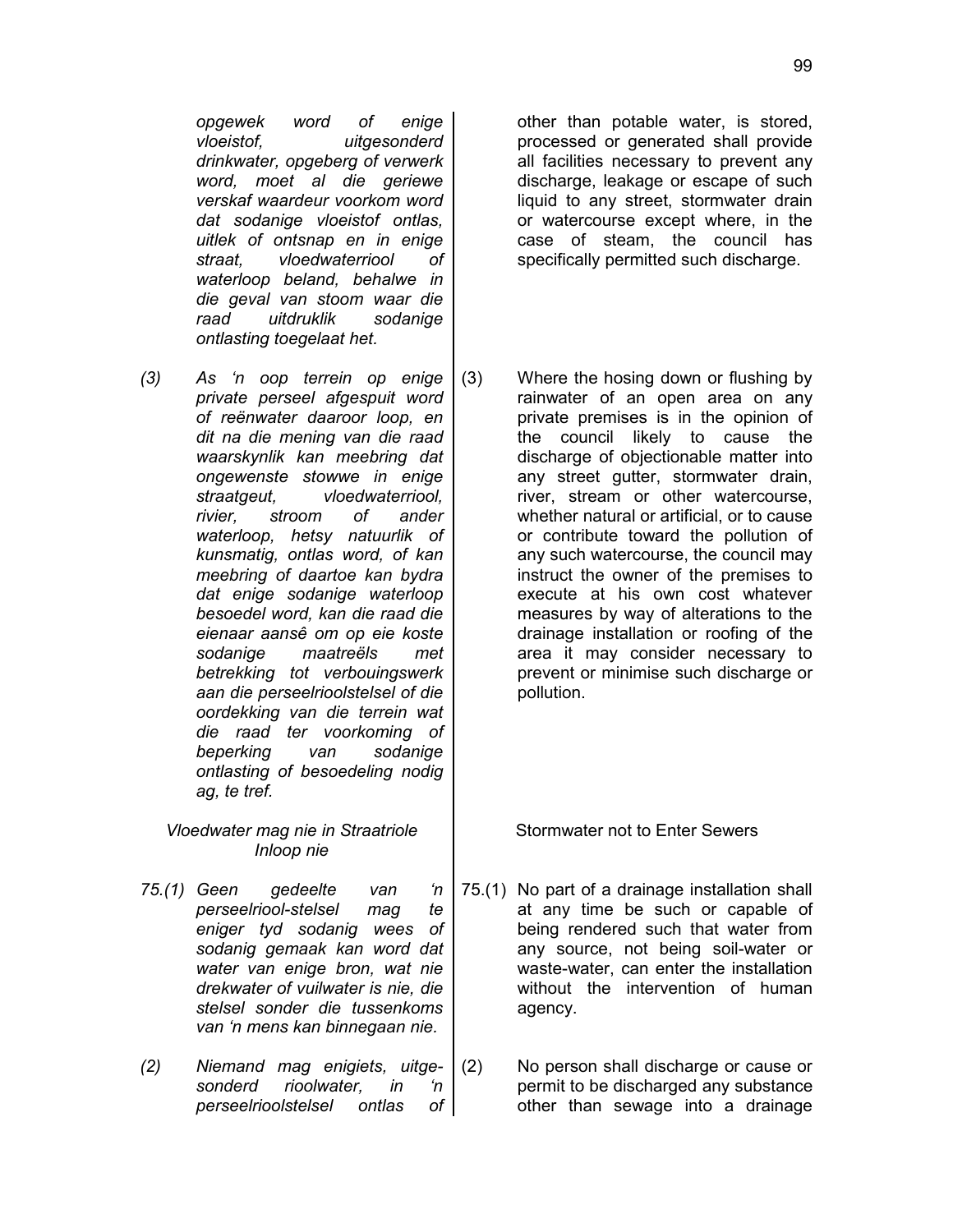*opgewek word of enige vloeistof, uitgesonderd drinkwater, opgeberg of verwerk word, moet al die geriewe verskaf waardeur voorkom word dat sodanige vloeistof ontlas, uitlek of ontsnap en in enige straat, vloedwaterriool of waterloop beland, behalwe in die geval van stoom waar die raad uitdruklik sodanige ontlasting toegelaat het.*

*(3) As 'n oop terrein op enige private perseel afgespuit word of reënwater daaroor loop, en dit na die mening van die raad waarskynlik kan meebring dat ongewenste stowwe in enige straatgeut, vloedwaterriool, rivier, stroom of ander waterloop, hetsy natuurlik of kunsmatig, ontlas word, of kan meebring of daartoe kan bydra dat enige sodanige waterloop besoedel word, kan die raad die eienaar aansê om op eie koste sodanige maatreëls met betrekking tot verbouingswerk aan die perseelrioolstelsel of die oordekking van die terrein wat die raad ter voorkoming of beperking van sodanige ontlasting of besoedeling nodig ag, te tref.*

*Vloedwater mag nie in Straatriole Inloop nie*

- *75.(1) Geen gedeelte van 'n perseelriool-stelsel mag te eniger tyd sodanig wees of sodanig gemaak kan word dat water van enige bron, wat nie drekwater of vuilwater is nie, die stelsel sonder die tussenkoms van 'n mens kan binnegaan nie.*
- *(2) Niemand mag enigiets, uitgesonderd rioolwater, in 'n perseelrioolstelsel ontlas of*

other than potable water, is stored, processed or generated shall provide all facilities necessary to prevent any discharge, leakage or escape of such liquid to any street, stormwater drain or watercourse except where, in the case of steam, the council has specifically permitted such discharge.

(3) Where the hosing down or flushing by rainwater of an open area on any private premises is in the opinion of the council likely to cause the discharge of objectionable matter into any street gutter, stormwater drain, river, stream or other watercourse, whether natural or artificial, or to cause or contribute toward the pollution of any such watercourse, the council may instruct the owner of the premises to execute at his own cost whatever measures by way of alterations to the drainage installation or roofing of the area it may consider necessary to prevent or minimise such discharge or pollution.

Stormwater not to Enter Sewers

- 75.(1) No part of a drainage installation shall at any time be such or capable of being rendered such that water from any source, not being soil-water or waste-water, can enter the installation without the intervention of human agency.
- (2) No person shall discharge or cause or permit to be discharged any substance other than sewage into a drainage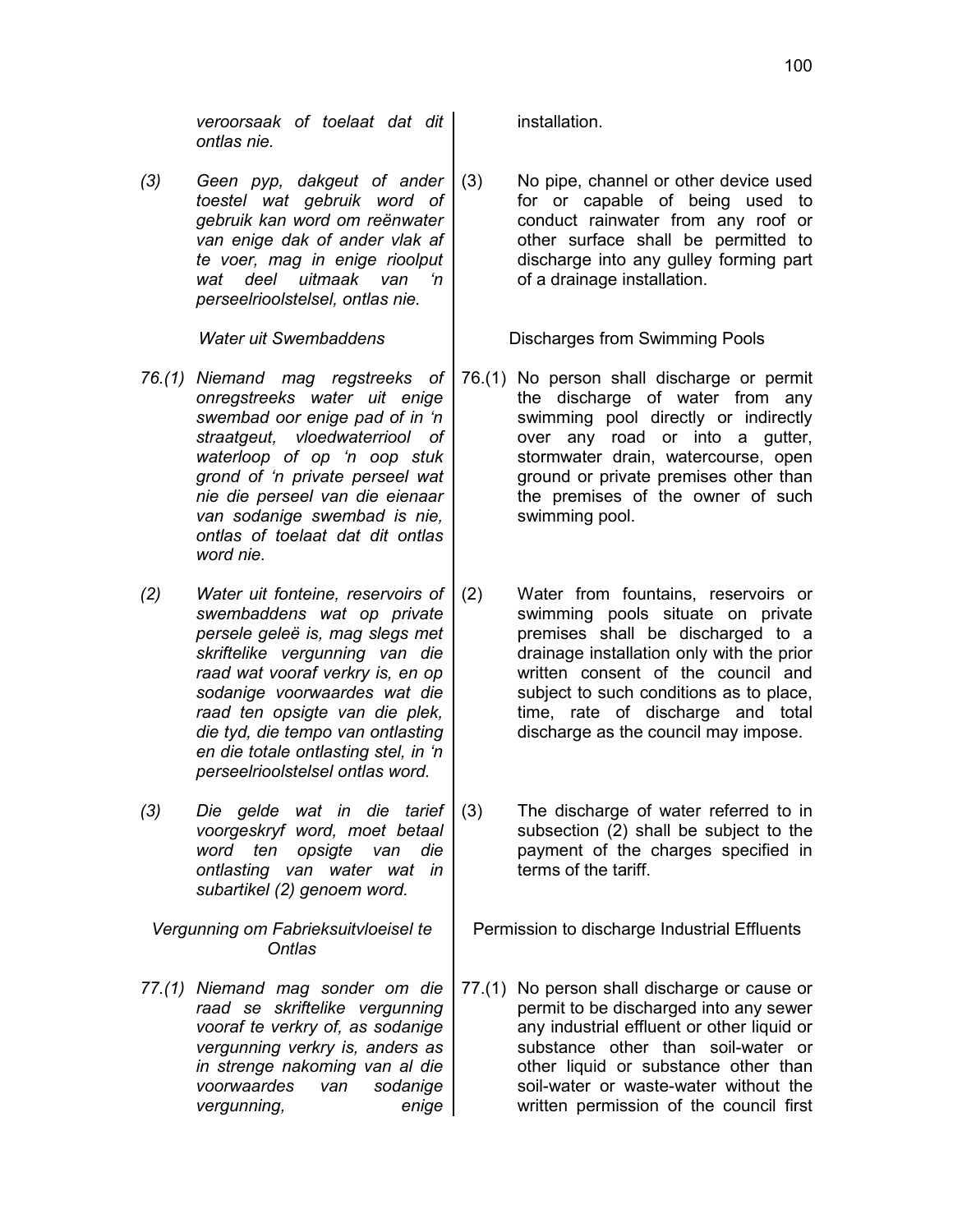*veroorsaak of toelaat dat dit ontlas nie.*

*(3) Geen pyp, dakgeut of ander toestel wat gebruik word of gebruik kan word om reënwater van enige dak of ander vlak af te voer, mag in enige rioolput wat deel uitmaak van 'n perseelrioolstelsel, ontlas nie.*

- *76.(1) Niemand mag regstreeks of onregstreeks water uit enige swembad oor enige pad of in 'n straatgeut, vloedwaterriool of waterloop of op 'n oop stuk grond of 'n private perseel wat nie die perseel van die eienaar van sodanige swembad is nie, ontlas of toelaat dat dit ontlas word nie.*
- *(2) Water uit fonteine, reservoirs of swembaddens wat op private persele geleë is, mag slegs met skriftelike vergunning van die raad wat vooraf verkry is, en op sodanige voorwaardes wat die raad ten opsigte van die plek, die tyd, die tempo van ontlasting en die totale ontlasting stel, in 'n perseelrioolstelsel ontlas word.*
- *(3) Die gelde wat in die tarief voorgeskryf word, moet betaal word ten opsigte van die ontlasting van water wat in subartikel (2) genoem word.*

*Vergunning om Fabrieksuitvloeisel te Ontlas*

*77.(1) Niemand mag sonder om die raad se skriftelike vergunning vooraf te verkry of, as sodanige vergunning verkry is, anders as in strenge nakoming van al die voorwaardes van sodanige vergunning, enige* installation.

(3) No pipe, channel or other device used for or capable of being used to conduct rainwater from any roof or other surface shall be permitted to discharge into any gulley forming part of a drainage installation.

Water uit Swembaddens **Network** Discharges from Swimming Pools

- 76.(1) No person shall discharge or permit the discharge of water from any swimming pool directly or indirectly over any road or into a gutter, stormwater drain, watercourse, open ground or private premises other than the premises of the owner of such swimming pool.
- (2) Water from fountains, reservoirs or swimming pools situate on private premises shall be discharged to a drainage installation only with the prior written consent of the council and subject to such conditions as to place, time, rate of discharge and total discharge as the council may impose.
- (3) The discharge of water referred to in subsection (2) shall be subject to the payment of the charges specified in terms of the tariff.

Permission to discharge Industrial Effluents

77.(1) No person shall discharge or cause or permit to be discharged into any sewer any industrial effluent or other liquid or substance other than soil-water or other liquid or substance other than soil-water or waste-water without the written permission of the council first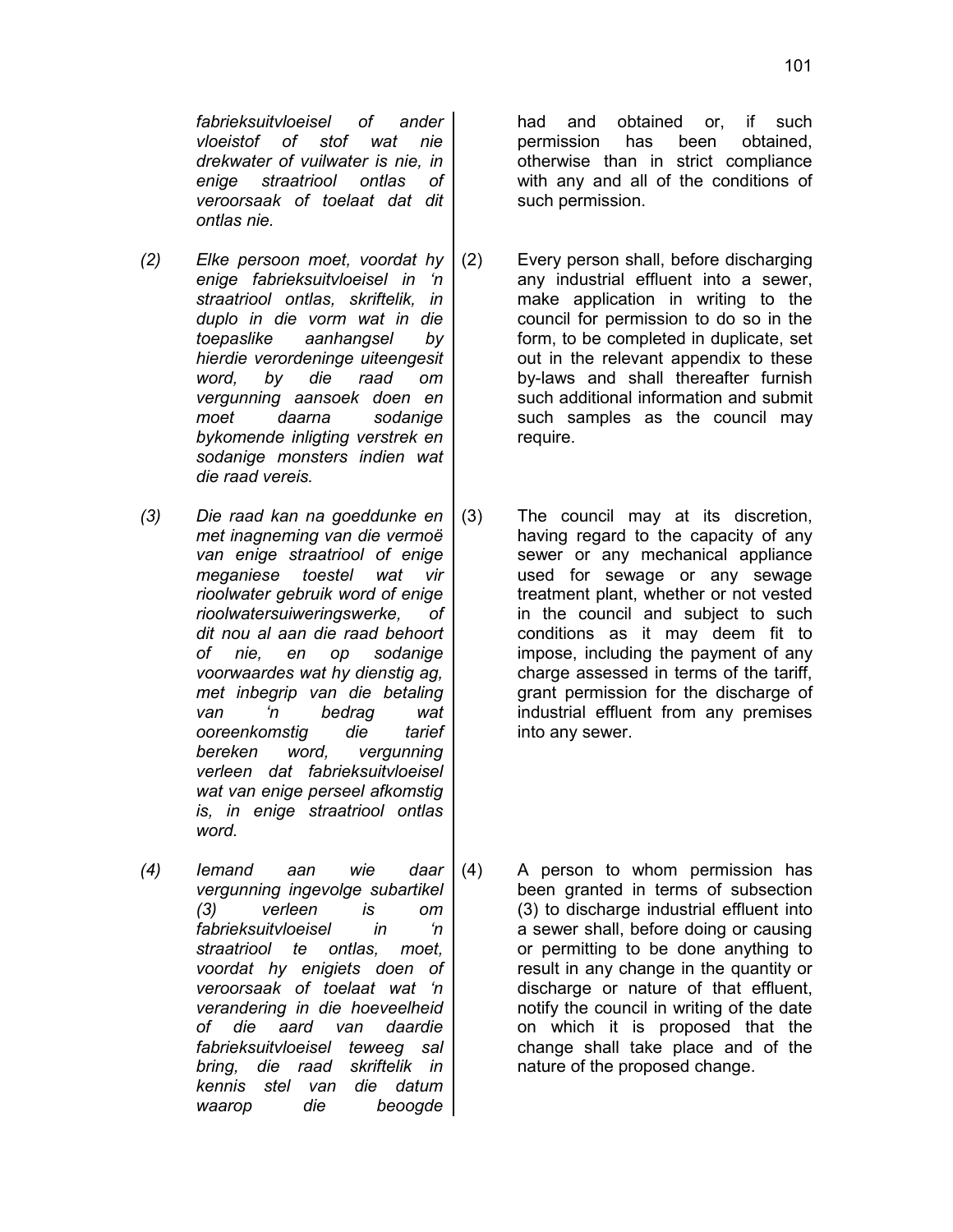101

*fabrieksuitvloeisel of ander vloeistof of stof wat nie drekwater of vuilwater is nie, in enige straatriool ontlas of veroorsaak of toelaat dat dit ontlas nie.*

- *(2) Elke persoon moet, voordat hy enige fabrieksuitvloeisel in 'n straatriool ontlas, skriftelik, in duplo in die vorm wat in die toepaslike aanhangsel by hierdie verordeninge uiteengesit word, by die raad om vergunning aansoek doen en moet daarna sodanige bykomende inligting verstrek en sodanige monsters indien wat die raad vereis.*
- *(3) Die raad kan na goeddunke en met inagneming van die vermoë van enige straatriool of enige meganiese toestel wat vir rioolwater gebruik word of enige rioolwatersuiweringswerke, of dit nou al aan die raad behoort of nie, en op sodanige voorwaardes wat hy dienstig ag, met inbegrip van die betaling van 'n bedrag wat ooreenkomstig die tarief bereken word, vergunning verleen dat fabrieksuitvloeisel wat van enige perseel afkomstig is, in enige straatriool ontlas word.*
- *(4) Iemand aan wie daar vergunning ingevolge subartikel (3) verleen is om fabrieksuitvloeisel in 'n straatriool te ontlas, moet, voordat hy enigiets doen of veroorsaak of toelaat wat 'n verandering in die hoeveelheid of die aard van daardie fabrieksuitvloeisel teweeg sal bring, die raad skriftelik in kennis stel van die datum waarop die beoogde*

had and obtained or, if such permission has been obtained, otherwise than in strict compliance with any and all of the conditions of such permission.

- (2) Every person shall, before discharging any industrial effluent into a sewer, make application in writing to the council for permission to do so in the form, to be completed in duplicate, set out in the relevant appendix to these by-laws and shall thereafter furnish such additional information and submit such samples as the council may require.
- (3) The council may at its discretion, having regard to the capacity of any sewer or any mechanical appliance used for sewage or any sewage treatment plant, whether or not vested in the council and subject to such conditions as it may deem fit to impose, including the payment of any charge assessed in terms of the tariff, grant permission for the discharge of industrial effluent from any premises into any sewer.
- (4) A person to whom permission has been granted in terms of subsection (3) to discharge industrial effluent into a sewer shall, before doing or causing or permitting to be done anything to result in any change in the quantity or discharge or nature of that effluent, notify the council in writing of the date on which it is proposed that the change shall take place and of the nature of the proposed change.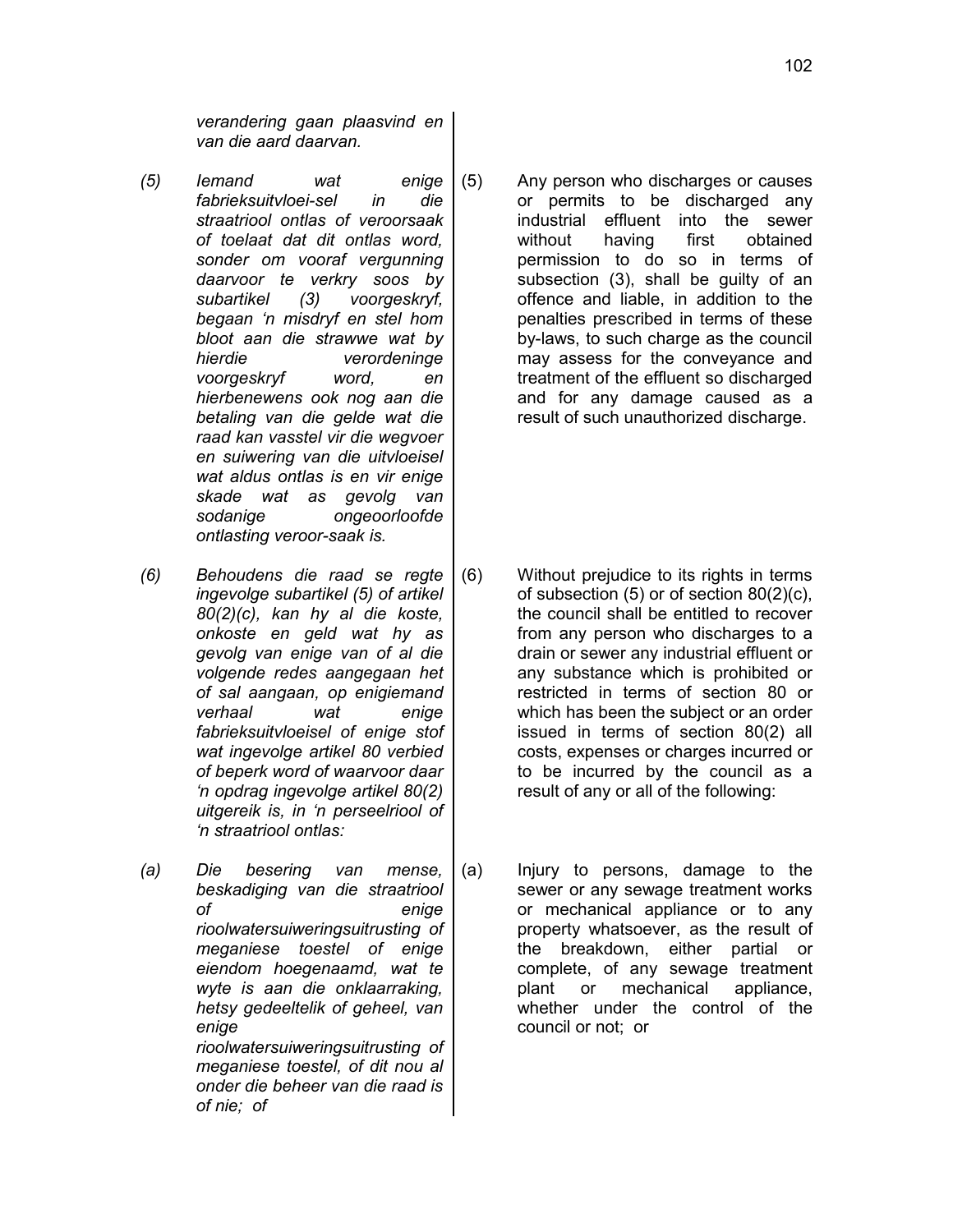*verandering gaan plaasvind en van die aard daarvan.*

- *(5) Iemand wat enige fabrieksuitvloei-sel in die straatriool ontlas of veroorsaak of toelaat dat dit ontlas word, sonder om vooraf vergunning daarvoor te verkry soos by subartikel (3) voorgeskryf, begaan 'n misdryf en stel hom bloot aan die strawwe wat by hierdie verordeninge voorgeskryf word, en hierbenewens ook nog aan die betaling van die gelde wat die raad kan vasstel vir die wegvoer en suiwering van die uitvloeisel wat aldus ontlas is en vir enige skade wat as gevolg van sodanige ongeoorloofde ontlasting veroor-saak is.*
- *(6) Behoudens die raad se regte ingevolge subartikel (5) of artikel 80(2)(c), kan hy al die koste, onkoste en geld wat hy as gevolg van enige van of al die volgende redes aangegaan het of sal aangaan, op enigiemand verhaal wat enige fabrieksuitvloeisel of enige stof wat ingevolge artikel 80 verbied of beperk word of waarvoor daar 'n opdrag ingevolge artikel 80(2) uitgereik is, in 'n perseelriool of 'n straatriool ontlas:*
- *(a) Die besering van mense, beskadiging van die straatriool of enige rioolwatersuiweringsuitrusting of meganiese toestel of enige eiendom hoegenaamd, wat te wyte is aan die onklaarraking, hetsy gedeeltelik of geheel, van enige rioolwatersuiweringsuitrusting of meganiese toestel, of dit nou al onder die beheer van die raad is of nie; of*

(5) Any person who discharges or causes or permits to be discharged any industrial effluent into the sewer without having first obtained permission to do so in terms of subsection (3), shall be guilty of an offence and liable, in addition to the penalties prescribed in terms of these by-laws, to such charge as the council may assess for the conveyance and treatment of the effluent so discharged and for any damage caused as a result of such unauthorized discharge.

- (6) Without prejudice to its rights in terms of subsection (5) or of section 80(2)(c), the council shall be entitled to recover from any person who discharges to a drain or sewer any industrial effluent or any substance which is prohibited or restricted in terms of section 80 or which has been the subject or an order issued in terms of section 80(2) all costs, expenses or charges incurred or to be incurred by the council as a result of any or all of the following:
- (a) Injury to persons, damage to the sewer or any sewage treatment works or mechanical appliance or to any property whatsoever, as the result of the breakdown, either partial or complete, of any sewage treatment plant or mechanical appliance, whether under the control of the council or not; or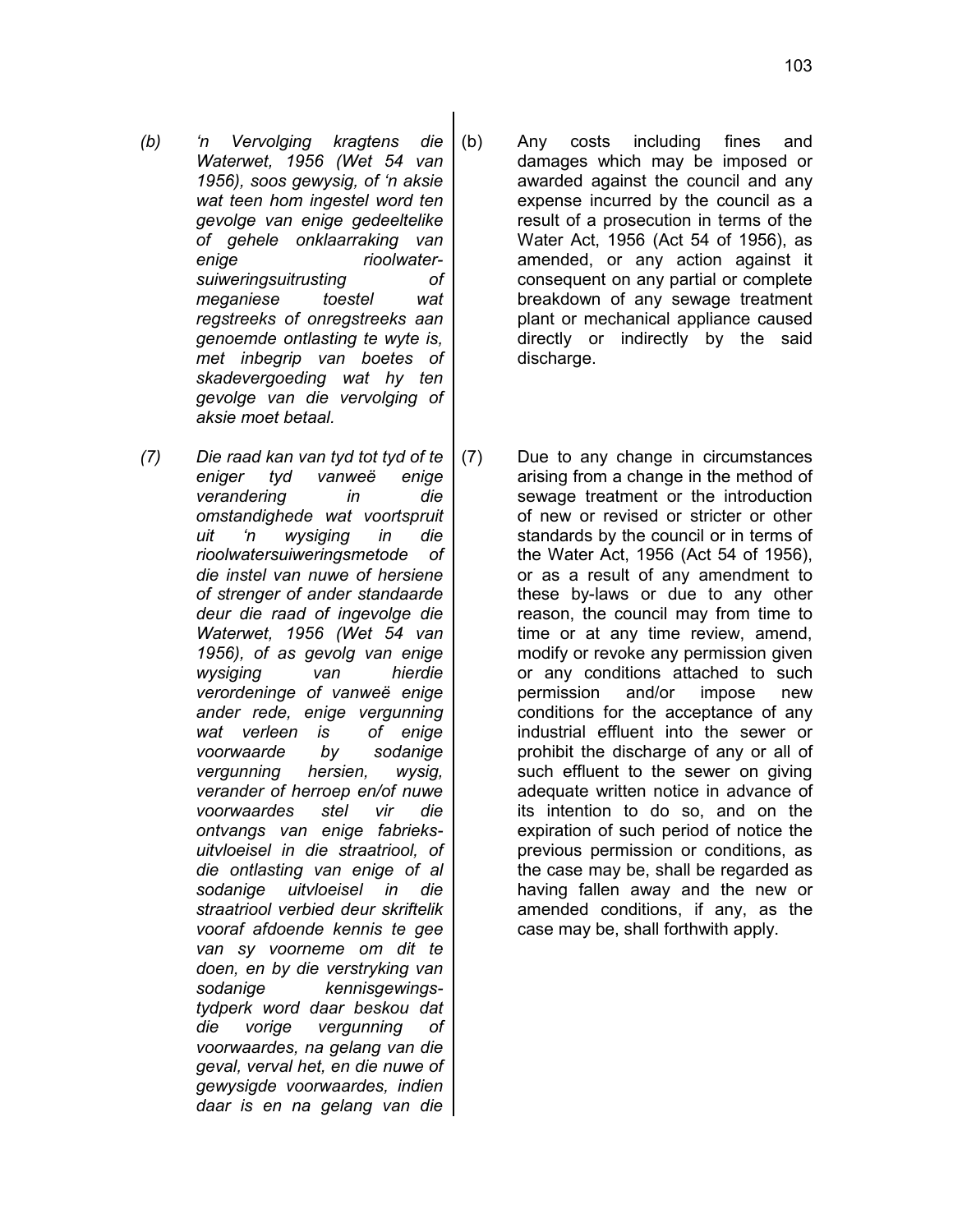- *(b) 'n Vervolging kragtens die Waterwet, 1956 (Wet 54 van 1956), soos gewysig, of 'n aksie wat teen hom ingestel word ten gevolge van enige gedeeltelike of gehele onklaarraking van enige rioolwatersuiweringsuitrusting of meganiese toestel wat regstreeks of onregstreeks aan genoemde ontlasting te wyte is, met inbegrip van boetes of skadevergoeding wat hy ten gevolge van die vervolging of aksie moet betaal.*
- *(7) Die raad kan van tyd tot tyd of te eniger tyd vanweë enige verandering in die omstandighede wat voortspruit uit 'n wysiging in die rioolwatersuiweringsmetode of die instel van nuwe of hersiene of strenger of ander standaarde deur die raad of ingevolge die Waterwet, 1956 (Wet 54 van 1956), of as gevolg van enige wysiging van hierdie verordeninge of vanweë enige ander rede, enige vergunning wat verleen is of enige voorwaarde by sodanige vergunning hersien, wysig, verander of herroep en/of nuwe voorwaardes stel vir die ontvangs van enige fabrieksuitvloeisel in die straatriool, of die ontlasting van enige of al sodanige uitvloeisel in die straatriool verbied deur skriftelik vooraf afdoende kennis te gee van sy voorneme om dit te doen, en by die verstryking van sodanige kennisgewingstydperk word daar beskou dat die vorige vergunning of voorwaardes, na gelang van die geval, verval het, en die nuwe of gewysigde voorwaardes, indien daar is en na gelang van die*
- (b) Any costs including fines and damages which may be imposed or awarded against the council and any expense incurred by the council as a result of a prosecution in terms of the Water Act, 1956 (Act 54 of 1956), as amended, or any action against it consequent on any partial or complete breakdown of any sewage treatment plant or mechanical appliance caused directly or indirectly by the said discharge.
- (7) Due to any change in circumstances arising from a change in the method of sewage treatment or the introduction of new or revised or stricter or other standards by the council or in terms of the Water Act, 1956 (Act 54 of 1956), or as a result of any amendment to these by-laws or due to any other reason, the council may from time to time or at any time review, amend, modify or revoke any permission given or any conditions attached to such permission and/or impose new conditions for the acceptance of any industrial effluent into the sewer or prohibit the discharge of any or all of such effluent to the sewer on giving adequate written notice in advance of its intention to do so, and on the expiration of such period of notice the previous permission or conditions, as the case may be, shall be regarded as having fallen away and the new or amended conditions, if any, as the case may be, shall forthwith apply.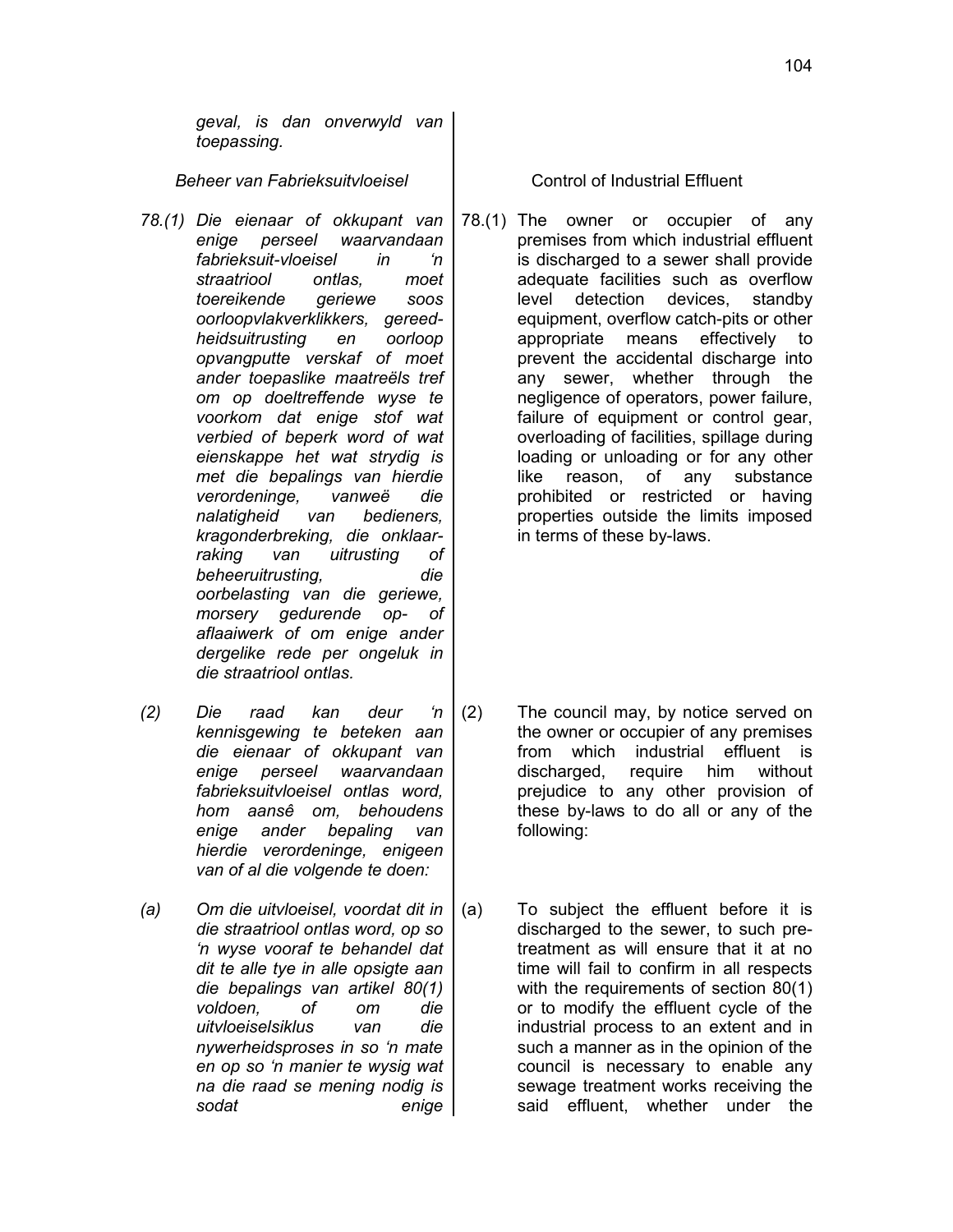*geval, is dan onverwyld van toepassing.*

*Beheer van Fabrieksuitvloeisel* Control of Industrial Effluent

- *78.(1) Die eienaar of okkupant van enige perseel waarvandaan fabrieksuit-vloeisel in 'n straatriool ontlas, moet toereikende geriewe soos oorloopvlakverklikkers, gereedheidsuitrusting en oorloop opvangputte verskaf of moet ander toepaslike maatreëls tref om op doeltreffende wyse te voorkom dat enige stof wat verbied of beperk word of wat eienskappe het wat strydig is met die bepalings van hierdie verordeninge, vanweë die nalatigheid van bedieners, kragonderbreking, die onklaarraking van uitrusting of beheeruitrusting, die oorbelasting van die geriewe, morsery gedurende op- of aflaaiwerk of om enige ander dergelike rede per ongeluk in die straatriool ontlas.*
- *(2) Die raad kan deur 'n kennisgewing te beteken aan die eienaar of okkupant van enige perseel waarvandaan fabrieksuitvloeisel ontlas word, hom aansê om, behoudens enige ander bepaling van hierdie verordeninge, enigeen van of al die volgende te doen:*
- *(a) Om die uitvloeisel, voordat dit in die straatriool ontlas word, op so 'n wyse vooraf te behandel dat dit te alle tye in alle opsigte aan die bepalings van artikel 80(1) voldoen, of om die uitvloeiselsiklus van die nywerheidsproses in so 'n mate en op so 'n manier te wysig wat na die raad se mening nodig is sodat enige*

78.(1) The owner or occupier of any premises from which industrial effluent is discharged to a sewer shall provide adequate facilities such as overflow level detection devices, standby equipment, overflow catch-pits or other appropriate means effectively to prevent the accidental discharge into any sewer, whether through the negligence of operators, power failure, failure of equipment or control gear, overloading of facilities, spillage during loading or unloading or for any other like reason, of any substance prohibited or restricted or having properties outside the limits imposed in terms of these by-laws.

- (2) The council may, by notice served on the owner or occupier of any premises from which industrial effluent is discharged, require him without prejudice to any other provision of these by-laws to do all or any of the following:
- (a) To subject the effluent before it is discharged to the sewer, to such pretreatment as will ensure that it at no time will fail to confirm in all respects with the requirements of section 80(1) or to modify the effluent cycle of the industrial process to an extent and in such a manner as in the opinion of the council is necessary to enable any sewage treatment works receiving the said effluent, whether under the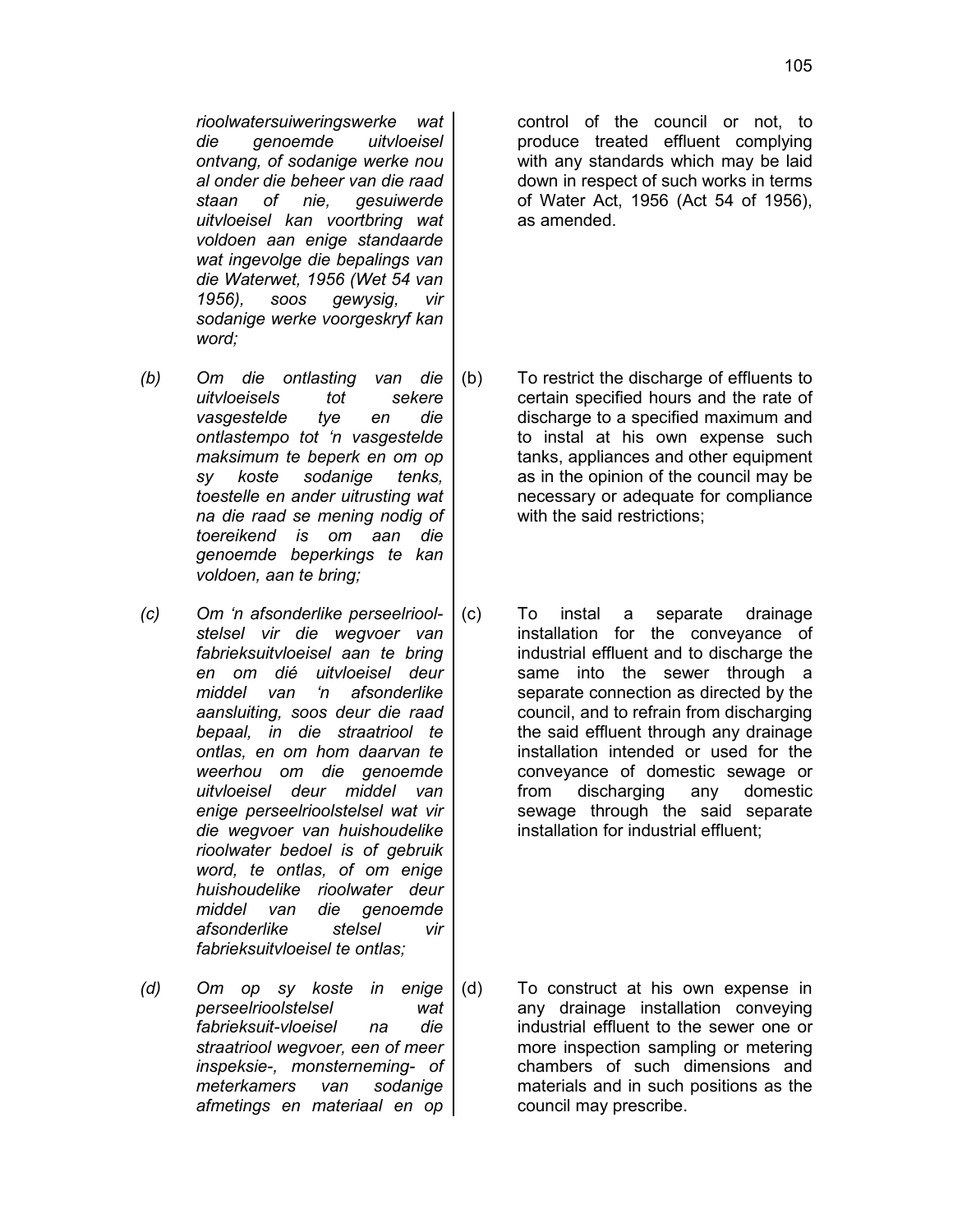*rioolwatersuiweringswerke wat die genoemde uitvloeisel ontvang, of sodanige werke nou al onder die beheer van die raad staan of nie, gesuiwerde uitvloeisel kan voortbring wat voldoen aan enige standaarde wat ingevolge die bepalings van die Waterwet, 1956 (Wet 54 van 1956), soos gewysig, vir sodanige werke voorgeskryf kan word;*

- *(b) Om die ontlasting van die uitvloeisels tot sekere vasgestelde tye en die ontlastempo tot 'n vasgestelde maksimum te beperk en om op sy koste sodanige tenks, toestelle en ander uitrusting wat na die raad se mening nodig of toereikend is om aan die genoemde beperkings te kan voldoen, aan te bring;*
- *(c) Om 'n afsonderlike perseelrioolstelsel vir die wegvoer van fabrieksuitvloeisel aan te bring en om dié uitvloeisel deur middel van 'n afsonderlike aansluiting, soos deur die raad bepaal, in die straatriool te ontlas, en om hom daarvan te weerhou om die genoemde uitvloeisel deur middel van enige perseelrioolstelsel wat vir die wegvoer van huishoudelike rioolwater bedoel is of gebruik word, te ontlas, of om enige huishoudelike rioolwater deur middel van die genoemde afsonderlike stelsel vir fabrieksuitvloeisel te ontlas;*
- *(d) Om op sy koste in enige perseelrioolstelsel wat fabrieksuit-vloeisel na die straatriool wegvoer, een of meer inspeksie-, monsterneming- of meterkamers van sodanige afmetings en materiaal en op*

control of the council or not, to produce treated effluent complying with any standards which may be laid down in respect of such works in terms of Water Act, 1956 (Act 54 of 1956), as amended.

- (b) To restrict the discharge of effluents to certain specified hours and the rate of discharge to a specified maximum and to instal at his own expense such tanks, appliances and other equipment as in the opinion of the council may be necessary or adequate for compliance with the said restrictions;
- (c) To instal a separate drainage installation for the conveyance of industrial effluent and to discharge the same into the sewer through a separate connection as directed by the council, and to refrain from discharging the said effluent through any drainage installation intended or used for the conveyance of domestic sewage or from discharging any domestic sewage through the said separate installation for industrial effluent;

(d) To construct at his own expense in any drainage installation conveying industrial effluent to the sewer one or more inspection sampling or metering chambers of such dimensions and materials and in such positions as the council may prescribe.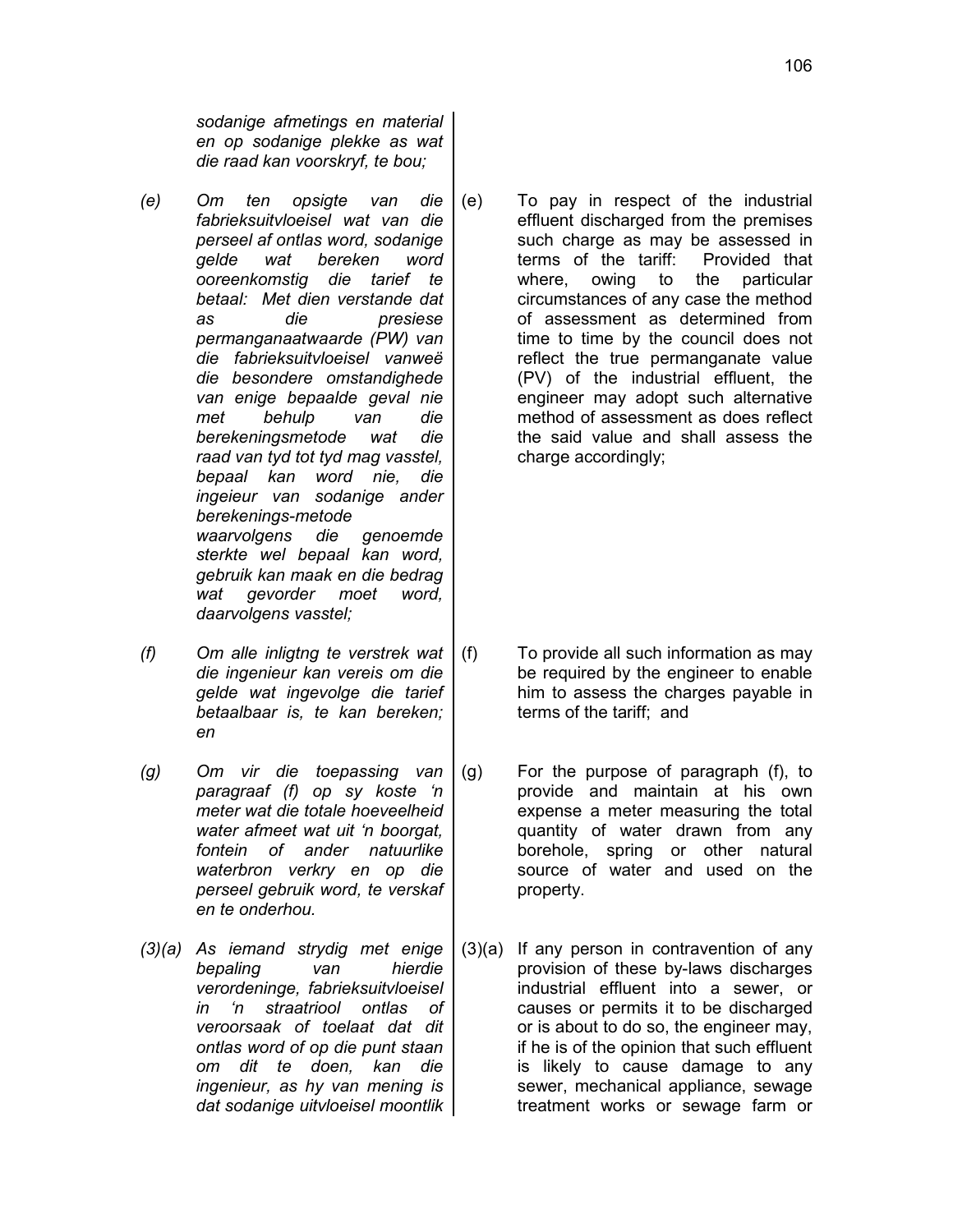*sodanige afmetings en material en op sodanige plekke as wat die raad kan voorskryf, te bou;*

- *(e) Om ten opsigte van die fabrieksuitvloeisel wat van die perseel af ontlas word, sodanige gelde wat bereken word ooreenkomstig die tarief te betaal: Met dien verstande dat as die presiese permanganaatwaarde (PW) van die fabrieksuitvloeisel vanweë die besondere omstandighede van enige bepaalde geval nie met behulp van die berekeningsmetode wat die raad van tyd tot tyd mag vasstel, bepaal kan word nie, die ingeieur van sodanige ander berekenings-metode waarvolgens die genoemde sterkte wel bepaal kan word, gebruik kan maak en die bedrag wat gevorder moet word, daarvolgens vasstel;*
- *(f) Om alle inligtng te verstrek wat die ingenieur kan vereis om die gelde wat ingevolge die tarief betaalbaar is, te kan bereken; en*
- *(g) Om vir die toepassing van paragraaf (f) op sy koste 'n meter wat die totale hoeveelheid water afmeet wat uit 'n boorgat, fontein of ander natuurlike waterbron verkry en op die perseel gebruik word, te verskaf en te onderhou.*
- *(3)(a) As iemand strydig met enige bepaling van hierdie verordeninge, fabrieksuitvloeisel in 'n straatriool ontlas of veroorsaak of toelaat dat dit ontlas word of op die punt staan om dit te doen, kan die ingenieur, as hy van mening is dat sodanige uitvloeisel moontlik*

(e) To pay in respect of the industrial effluent discharged from the premises such charge as may be assessed in terms of the tariff: Provided that where, owing to the particular circumstances of any case the method of assessment as determined from time to time by the council does not reflect the true permanganate value (PV) of the industrial effluent, the engineer may adopt such alternative method of assessment as does reflect the said value and shall assess the charge accordingly;

- (f) To provide all such information as may be required by the engineer to enable him to assess the charges payable in terms of the tariff; and
- (g) For the purpose of paragraph (f), to provide and maintain at his own expense a meter measuring the total quantity of water drawn from any borehole, spring or other natural source of water and used on the property.
- (3)(a) If any person in contravention of any provision of these by-laws discharges industrial effluent into a sewer, or causes or permits it to be discharged or is about to do so, the engineer may, if he is of the opinion that such effluent is likely to cause damage to any sewer, mechanical appliance, sewage treatment works or sewage farm or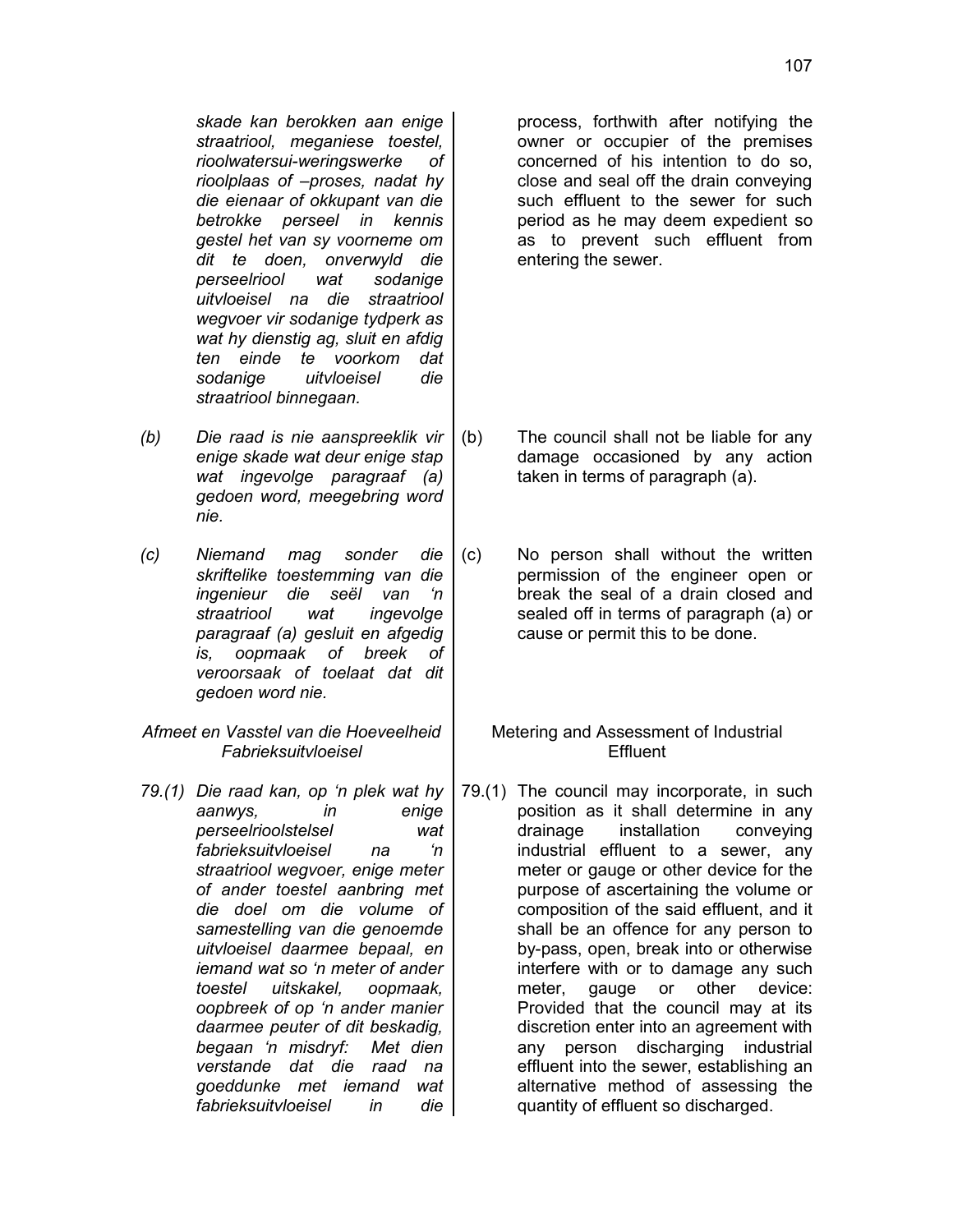*skade kan berokken aan enige straatriool, meganiese toestel, rioolwatersui-weringswerke of rioolplaas of –proses, nadat hy die eienaar of okkupant van die betrokke perseel in kennis gestel het van sy voorneme om dit te doen, onverwyld die perseelriool wat sodanige uitvloeisel na die straatriool wegvoer vir sodanige tydperk as wat hy dienstig ag, sluit en afdig ten einde te voorkom dat sodanige uitvloeisel die straatriool binnegaan.*

- *(b) Die raad is nie aanspreeklik vir enige skade wat deur enige stap wat ingevolge paragraaf (a) gedoen word, meegebring word nie.*
- *(c) Niemand mag sonder die skriftelike toestemming van die ingenieur die seël van 'n straatriool wat ingevolge paragraaf (a) gesluit en afgedig is, oopmaak of breek of veroorsaak of toelaat dat dit gedoen word nie.*
- *Afmeet en Vasstel van die Hoeveelheid Fabrieksuitvloeisel*
- *79.(1) Die raad kan, op 'n plek wat hy aanwys, in enige perseelrioolstelsel wat fabrieksuitvloeisel na 'n straatriool wegvoer, enige meter of ander toestel aanbring met die doel om die volume of samestelling van die genoemde uitvloeisel daarmee bepaal, en iemand wat so 'n meter of ander toestel uitskakel, oopmaak, oopbreek of op 'n ander manier daarmee peuter of dit beskadig, begaan 'n misdryf: Met dien verstande dat die raad na goeddunke met iemand wat fabrieksuitvloeisel in die*

process, forthwith after notifying the owner or occupier of the premises concerned of his intention to do so, close and seal off the drain conveying such effluent to the sewer for such period as he may deem expedient so as to prevent such effluent from entering the sewer.

- (b) The council shall not be liable for any damage occasioned by any action taken in terms of paragraph (a).
- (c) No person shall without the written permission of the engineer open or break the seal of a drain closed and sealed off in terms of paragraph (a) or cause or permit this to be done.
	- Metering and Assessment of Industrial **Effluent**
- 79.(1) The council may incorporate, in such position as it shall determine in any drainage installation conveying industrial effluent to a sewer, any meter or gauge or other device for the purpose of ascertaining the volume or composition of the said effluent, and it shall be an offence for any person to by-pass, open, break into or otherwise interfere with or to damage any such meter, gauge or other device: Provided that the council may at its discretion enter into an agreement with any person discharging industrial effluent into the sewer, establishing an alternative method of assessing the quantity of effluent so discharged.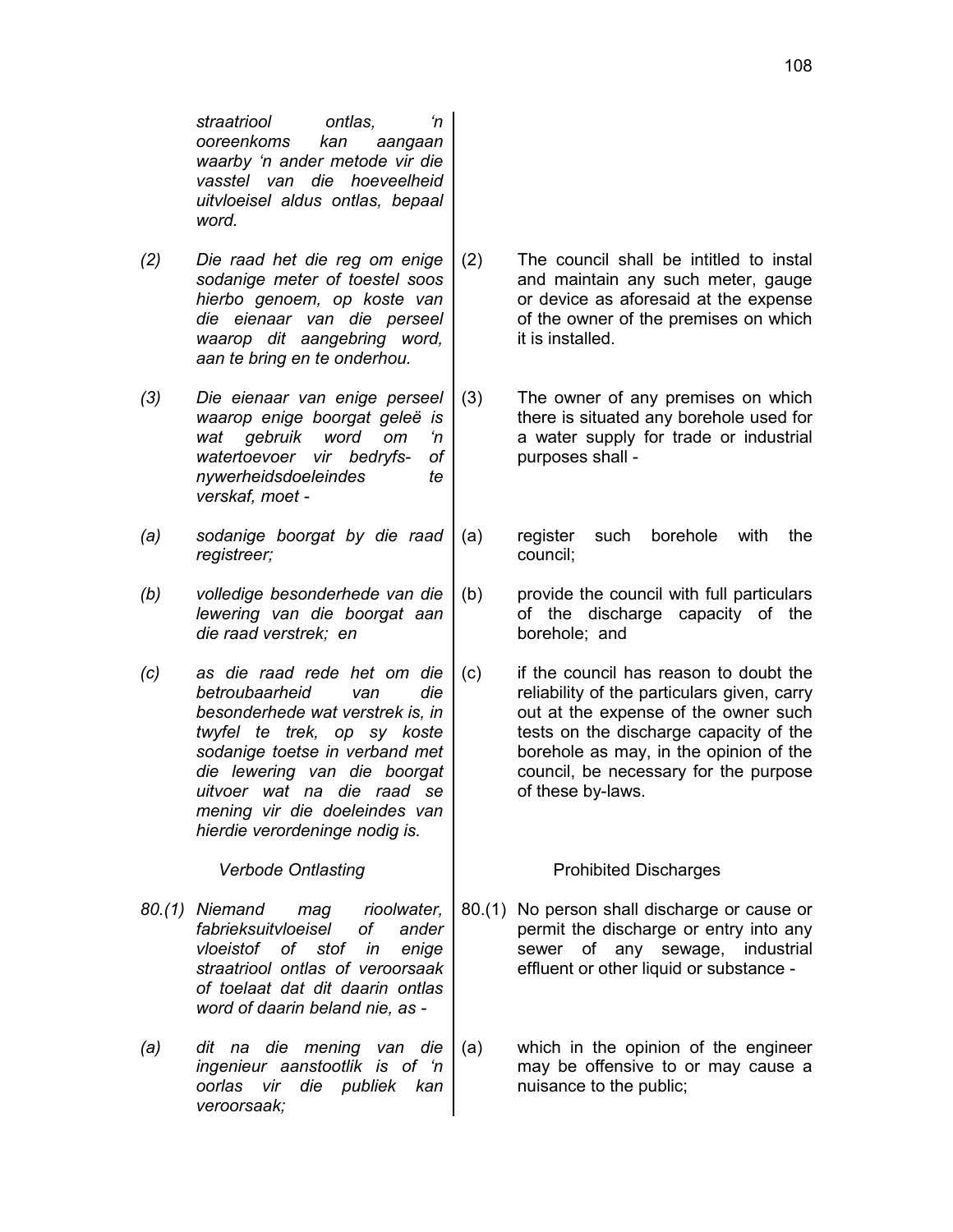*straatriool ontlas, 'n ooreenkoms kan aangaan waarby 'n ander metode vir die vasstel van die hoeveelheid uitvloeisel aldus ontlas, bepaal word.*

- *(2) Die raad het die reg om enige sodanige meter of toestel soos hierbo genoem, op koste van die eienaar van die perseel waarop dit aangebring word, aan te bring en te onderhou.*
- *(3) Die eienaar van enige perseel waarop enige boorgat geleë is wat gebruik word om 'n watertoevoer vir bedryfs- of nywerheidsdoeleindes te verskaf, moet -*
- *(a) sodanige boorgat by die raad registreer;*
- *(b) volledige besonderhede van die lewering van die boorgat aan die raad verstrek; en*
- *(c) as die raad rede het om die betroubaarheid van die besonderhede wat verstrek is, in twyfel te trek, op sy koste sodanige toetse in verband met die lewering van die boorgat uitvoer wat na die raad se mening vir die doeleindes van hierdie verordeninge nodig is.*

- *80.(1) Niemand mag rioolwater, fabrieksuitvloeisel of ander vloeistof of stof in enige straatriool ontlas of veroorsaak of toelaat dat dit daarin ontlas word of daarin beland nie, as -*
- *(a) dit na die mening van die ingenieur aanstootlik is of 'n oorlas vir die publiek kan veroorsaak;*
- (2) The council shall be intitled to instal and maintain any such meter, gauge or device as aforesaid at the expense of the owner of the premises on which it is installed.
- (3) The owner of any premises on which there is situated any borehole used for a water supply for trade or industrial purposes shall -
- (a) register such borehole with the council;
- (b) provide the council with full particulars of the discharge capacity of the borehole; and
- (c) if the council has reason to doubt the reliability of the particulars given, carry out at the expense of the owner such tests on the discharge capacity of the borehole as may, in the opinion of the council, be necessary for the purpose of these by-laws.

# Verbode Ontlasting **Prohibited Discharges**

- 80.(1) No person shall discharge or cause or permit the discharge or entry into any sewer of any sewage, industrial effluent or other liquid or substance -
- (a) which in the opinion of the engineer may be offensive to or may cause a nuisance to the public;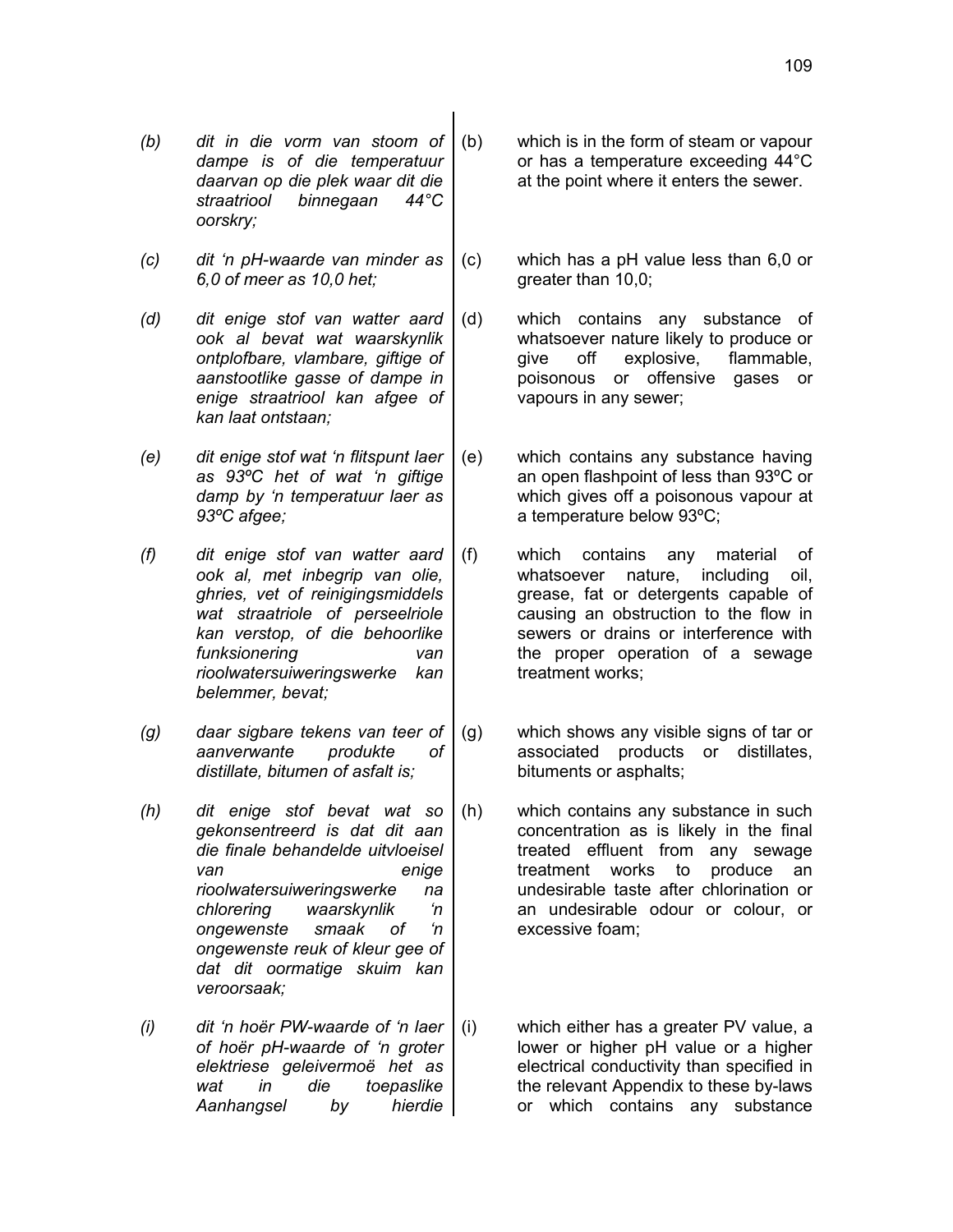- *(b) dit in die vorm van stoom of dampe is of die temperatuur daarvan op die plek waar dit die straatriool binnegaan 44°C oorskry;*
- *(c) dit 'n pH-waarde van minder as 6,0 of meer as 10,0 het;*

*(d) dit enige stof van watter aard ook al bevat wat waarskynlik ontplofbare, vlambare, giftige of aanstootlike gasse of dampe in enige straatriool kan afgee of kan laat ontstaan;*

*(e) dit enige stof wat 'n flitspunt laer as 93ºC het of wat 'n giftige damp by 'n temperatuur laer as 93ºC afgee;*

*(f) dit enige stof van watter aard ook al, met inbegrip van olie, ghries, vet of reinigingsmiddels wat straatriole of perseelriole kan verstop, of die behoorlike funksionering van rioolwatersuiweringswerke kan belemmer, bevat;*

- *(g) daar sigbare tekens van teer of aanverwante produkte of distillate, bitumen of asfalt is;*
- *(h) dit enige stof bevat wat so gekonsentreerd is dat dit aan die finale behandelde uitvloeisel van enige rioolwatersuiweringswerke na chlorering waarskynlik 'n ongewenste smaak of 'n ongewenste reuk of kleur gee of dat dit oormatige skuim kan veroorsaak;*
- *(i) dit 'n hoër PW-waarde of 'n laer of hoër pH-waarde of 'n groter elektriese geleivermoë het as wat in die toepaslike Aanhangsel by hierdie*
- (b) which is in the form of steam or vapour or has a temperature exceeding 44°C at the point where it enters the sewer.
- (c) which has a pH value less than 6,0 or greater than 10,0;
- (d) which contains any substance of whatsoever nature likely to produce or give off explosive, flammable, poisonous or offensive gases or vapours in any sewer;
- (e) which contains any substance having an open flashpoint of less than 93ºC or which gives off a poisonous vapour at a temperature below 93ºC;
- (f) which contains any material of whatsoever nature, including oil, grease, fat or detergents capable of causing an obstruction to the flow in sewers or drains or interference with the proper operation of a sewage treatment works;
- (g) which shows any visible signs of tar or associated products or distillates, bituments or asphalts;
- (h) which contains any substance in such concentration as is likely in the final treated effluent from any sewage treatment works to produce an undesirable taste after chlorination or an undesirable odour or colour, or excessive foam;
- (i) which either has a greater PV value, a lower or higher pH value or a higher electrical conductivity than specified in the relevant Appendix to these by-laws or which contains any substance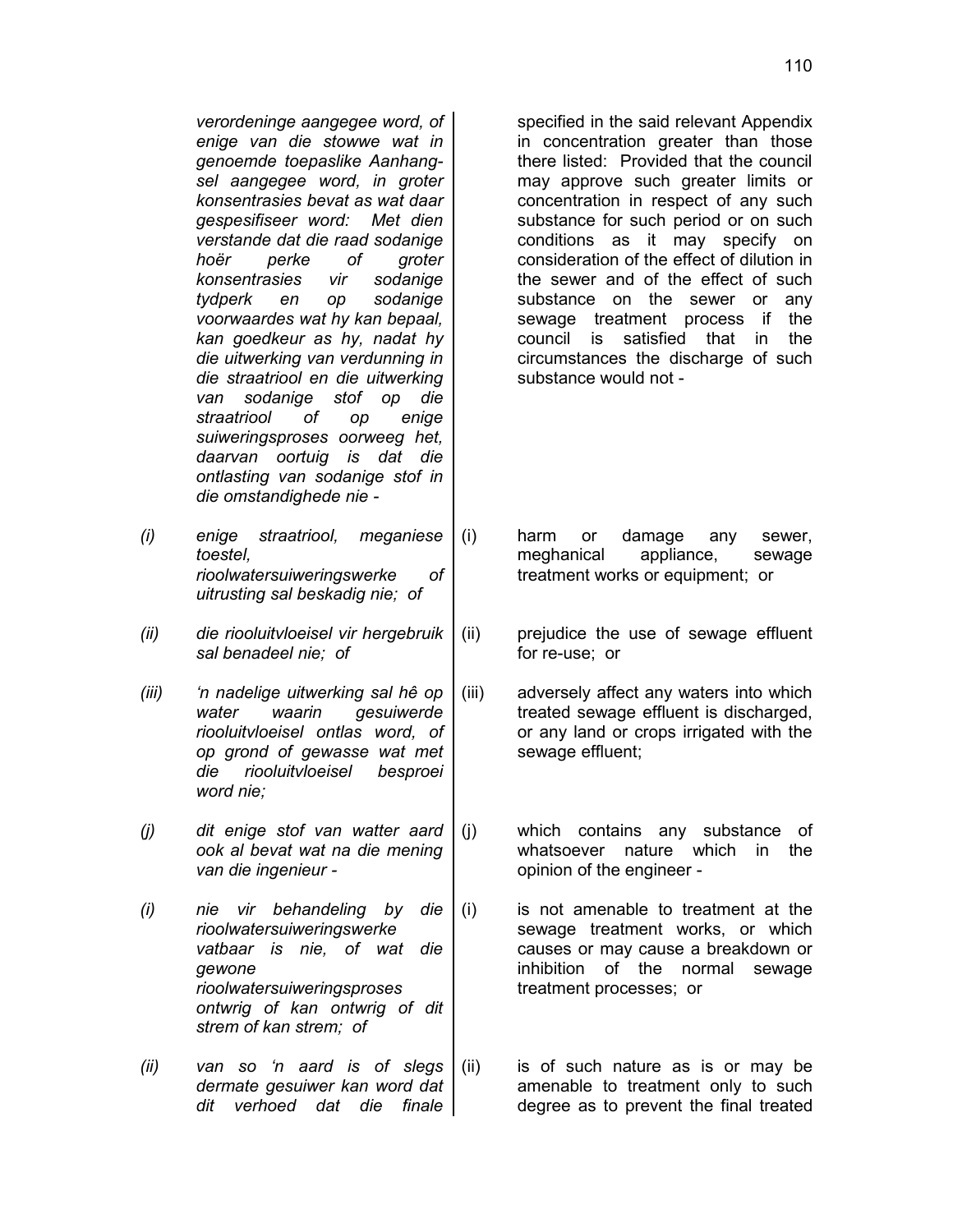*verordeninge aangegee word, of enige van die stowwe wat in genoemde toepaslike Aanhangsel aangegee word, in groter konsentrasies bevat as wat daar gespesifiseer word: Met dien verstande dat die raad sodanige hoër perke of groter konsentrasies vir sodanige tydperk en op sodanige voorwaardes wat hy kan bepaal, kan goedkeur as hy, nadat hy die uitwerking van verdunning in die straatriool en die uitwerking van sodanige stof op die straatriool of op enige suiweringsproses oorweeg het, daarvan oortuig is dat die ontlasting van sodanige stof in die omstandighede nie -*

- *(i) enige straatriool, meganiese toestel, rioolwatersuiweringswerke of uitrusting sal beskadig nie; of*
- *(ii) die riooluitvloeisel vir hergebruik sal benadeel nie; of*

*(iii) 'n nadelige uitwerking sal hê op water waarin gesuiwerde riooluitvloeisel ontlas word, of op grond of gewasse wat met die riooluitvloeisel besproei word nie;*

*(j) dit enige stof van watter aard ook al bevat wat na die mening van die ingenieur -*

- *(i) nie vir behandeling by die rioolwatersuiweringswerke vatbaar is nie, of wat die gewone rioolwatersuiweringsproses ontwrig of kan ontwrig of dit strem of kan strem; of*
- *(ii) van so 'n aard is of slegs dermate gesuiwer kan word dat dit verhoed dat die finale*

specified in the said relevant Appendix in concentration greater than those there listed: Provided that the council may approve such greater limits or concentration in respect of any such substance for such period or on such conditions as it may specify on consideration of the effect of dilution in the sewer and of the effect of such substance on the sewer or any sewage treatment process if the council is satisfied that in the circumstances the discharge of such substance would not -

(i) harm or damage any sewer, meghanical appliance, sewage treatment works or equipment; or

- (ii) prejudice the use of sewage effluent for re-use; or
- (iii) adversely affect any waters into which treated sewage effluent is discharged, or any land or crops irrigated with the sewage effluent;

(j) which contains any substance of whatsoever nature which in the opinion of the engineer -

- (i) is not amenable to treatment at the sewage treatment works, or which causes or may cause a breakdown or inhibition of the normal sewage treatment processes; or
- (ii) is of such nature as is or may be amenable to treatment only to such degree as to prevent the final treated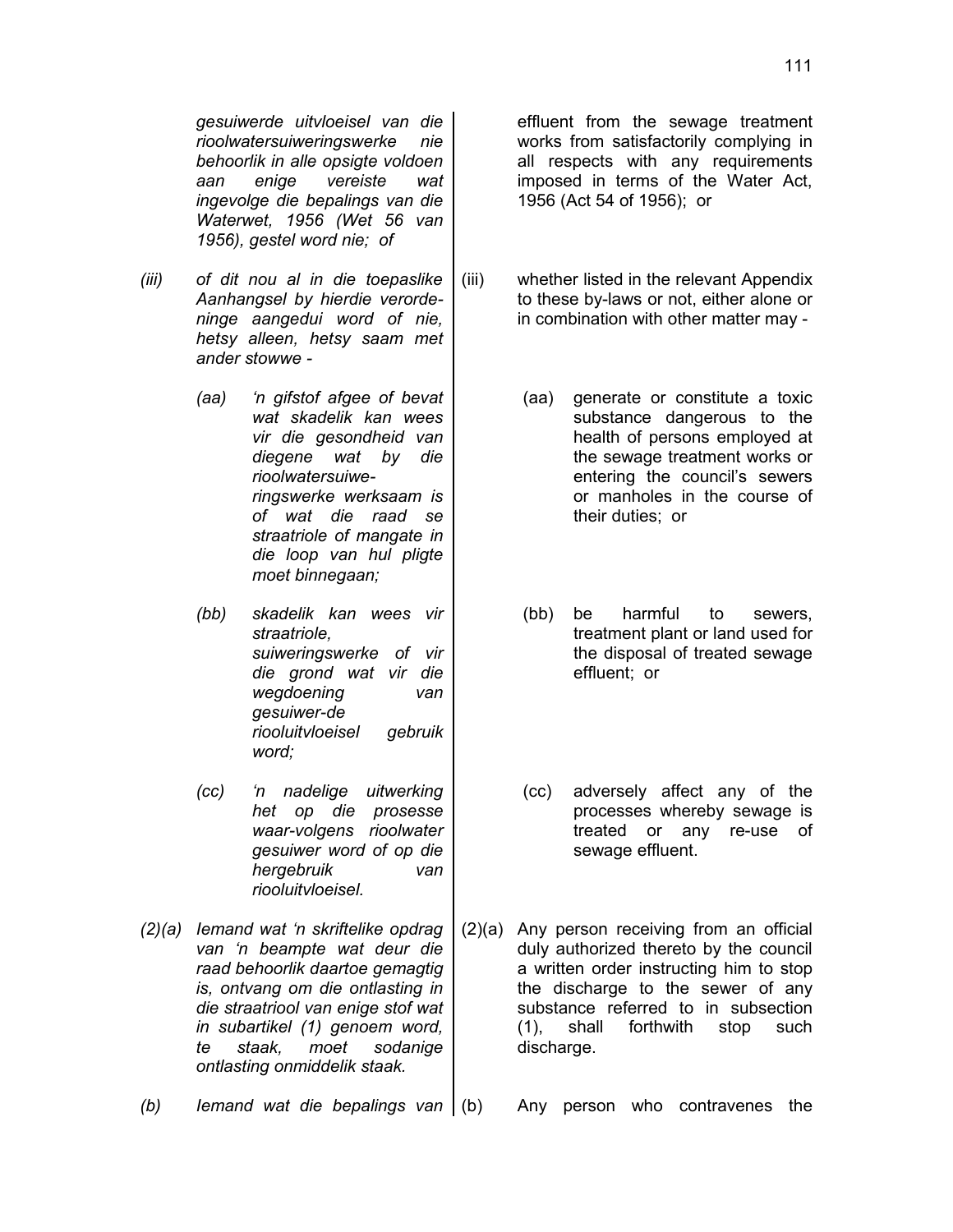111

*gesuiwerde uitvloeisel van die rioolwatersuiweringswerke nie behoorlik in alle opsigte voldoen aan enige vereiste wat ingevolge die bepalings van die Waterwet, 1956 (Wet 56 van 1956), gestel word nie; of*

- *(iii) of dit nou al in die toepaslike Aanhangsel by hierdie verordeninge aangedui word of nie, hetsy alleen, hetsy saam met ander stowwe -*
	- *(aa) 'n gifstof afgee of bevat wat skadelik kan wees vir die gesondheid van diegene wat by die rioolwatersuiweringswerke werksaam is of wat die raad se straatriole of mangate in die loop van hul pligte moet binnegaan;*
	- *(bb) skadelik kan wees vir straatriole, suiweringswerke of vir die grond wat vir die wegdoening van gesuiwer-de riooluitvloeisel gebruik word;*
	- *(cc) 'n nadelige uitwerking het op die prosesse waar-volgens rioolwater gesuiwer word of op die hergebruik van riooluitvloeisel.*
- *(2)(a) Iemand wat 'n skriftelike opdrag van 'n beampte wat deur die raad behoorlik daartoe gemagtig is, ontvang om die ontlasting in die straatriool van enige stof wat in subartikel (1) genoem word, te staak, moet sodanige ontlasting onmiddelik staak.*

*(b) Iemand wat die bepalings van* (b) Any person who contravenes the

effluent from the sewage treatment works from satisfactorily complying in all respects with any requirements imposed in terms of the Water Act, 1956 (Act 54 of 1956); or

- (iii) whether listed in the relevant Appendix to these by-laws or not, either alone or in combination with other matter may -
	- (aa) generate or constitute a toxic substance dangerous to the health of persons employed at the sewage treatment works or entering the council's sewers or manholes in the course of their duties; or
	- (bb) be harmful to sewers, treatment plant or land used for the disposal of treated sewage effluent; or
	- (cc) adversely affect any of the processes whereby sewage is treated or any re-use of sewage effluent.
- (2)(a) Any person receiving from an official duly authorized thereto by the council a written order instructing him to stop the discharge to the sewer of any substance referred to in subsection (1), shall forthwith stop such discharge.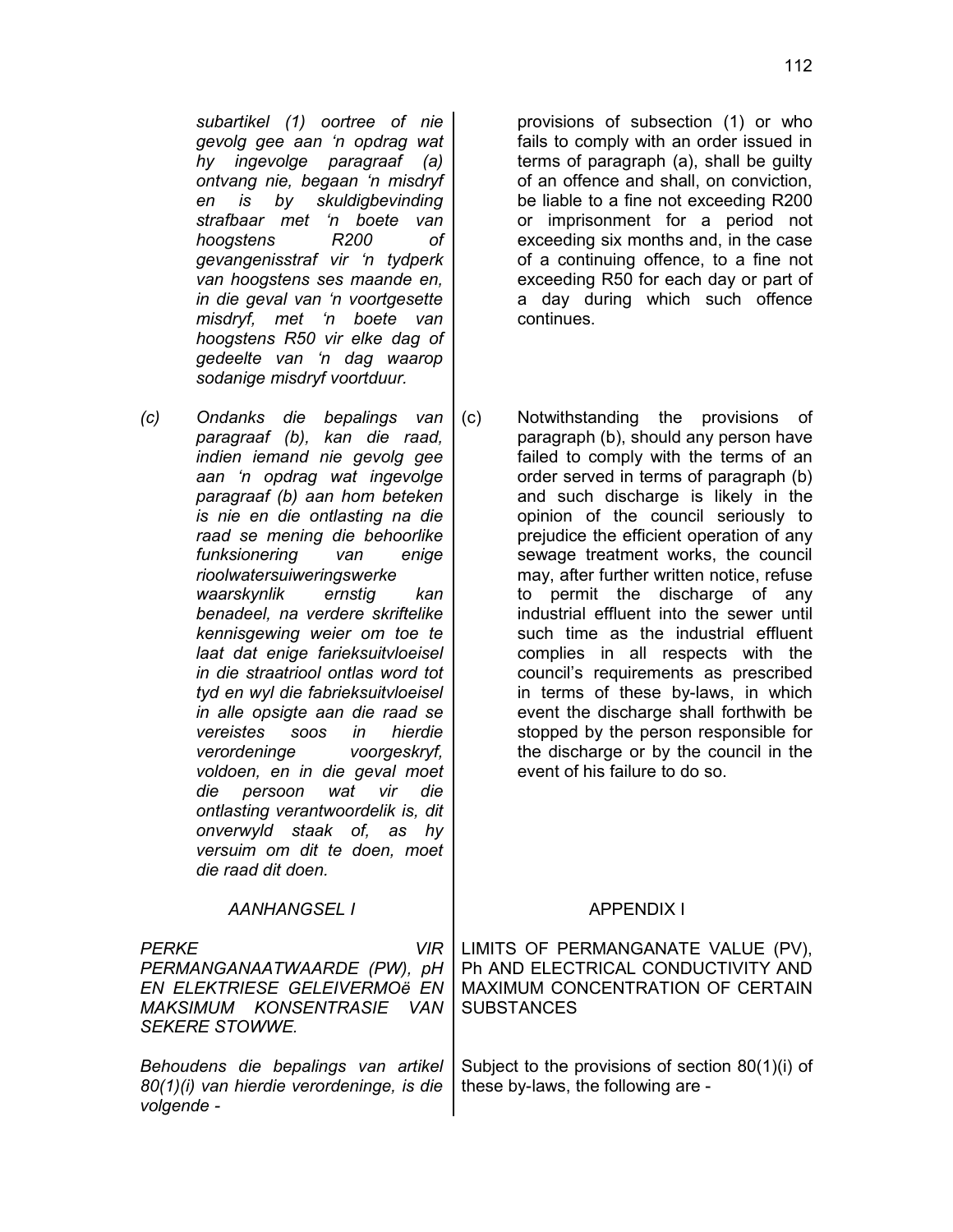*subartikel (1) oortree of nie gevolg gee aan 'n opdrag wat hy ingevolge paragraaf (a) ontvang nie, begaan 'n misdryf en is by skuldigbevinding strafbaar met 'n boete van hoogstens R200 of gevangenisstraf vir 'n tydperk van hoogstens ses maande en, in die geval van 'n voortgesette misdryf, met 'n boete van hoogstens R50 vir elke dag of gedeelte van 'n dag waarop sodanige misdryf voortduur.*

*(c) Ondanks die bepalings van paragraaf (b), kan die raad, indien iemand nie gevolg gee aan 'n opdrag wat ingevolge paragraaf (b) aan hom beteken is nie en die ontlasting na die raad se mening die behoorlike funksionering van enige rioolwatersuiweringswerke waarskynlik ernstig kan benadeel, na verdere skriftelike kennisgewing weier om toe te laat dat enige farieksuitvloeisel in die straatriool ontlas word tot tyd en wyl die fabrieksuitvloeisel in alle opsigte aan die raad se vereistes soos in hierdie verordeninge voorgeskryf, voldoen, en in die geval moet die persoon wat vir die ontlasting verantwoordelik is, dit onverwyld staak of, as hy versuim om dit te doen, moet die raad dit doen.*

provisions of subsection (1) or who fails to comply with an order issued in terms of paragraph (a), shall be guilty of an offence and shall, on conviction, be liable to a fine not exceeding R200 or imprisonment for a period not exceeding six months and, in the case of a continuing offence, to a fine not exceeding R50 for each day or part of a day during which such offence continues.

(c) Notwithstanding the provisions of paragraph (b), should any person have failed to comply with the terms of an order served in terms of paragraph (b) and such discharge is likely in the opinion of the council seriously to prejudice the efficient operation of any sewage treatment works, the council may, after further written notice, refuse to permit the discharge of any industrial effluent into the sewer until such time as the industrial effluent complies in all respects with the council's requirements as prescribed in terms of these by-laws, in which event the discharge shall forthwith be stopped by the person responsible for the discharge or by the council in the event of his failure to do so.

| <b>AANHANGSEL I</b>                                                                                                                                  | <b>APPENDIX I</b>                                                                                                                 |
|------------------------------------------------------------------------------------------------------------------------------------------------------|-----------------------------------------------------------------------------------------------------------------------------------|
| <b>PERKE</b><br>VIR.<br>PERMANGANAATWAARDE (PW), pH<br>EN ELEKTRIESE GELEIVERMOë EN<br><b>MAKSIMUM KONSENTRASIE</b><br>VAN.<br><b>SEKERE STOWWE.</b> | LIMITS OF PERMANGANATE VALUE (PV),<br>Ph AND ELECTRICAL CONDUCTIVITY AND<br>MAXIMUM CONCENTRATION OF CERTAIN<br><b>SUBSTANCES</b> |
| Behoudens die bepalings van artikel<br>80(1)(i) van hierdie verordeninge, is die<br>volgende -                                                       | Subject to the provisions of section 80(1)(i) of<br>these by-laws, the following are -                                            |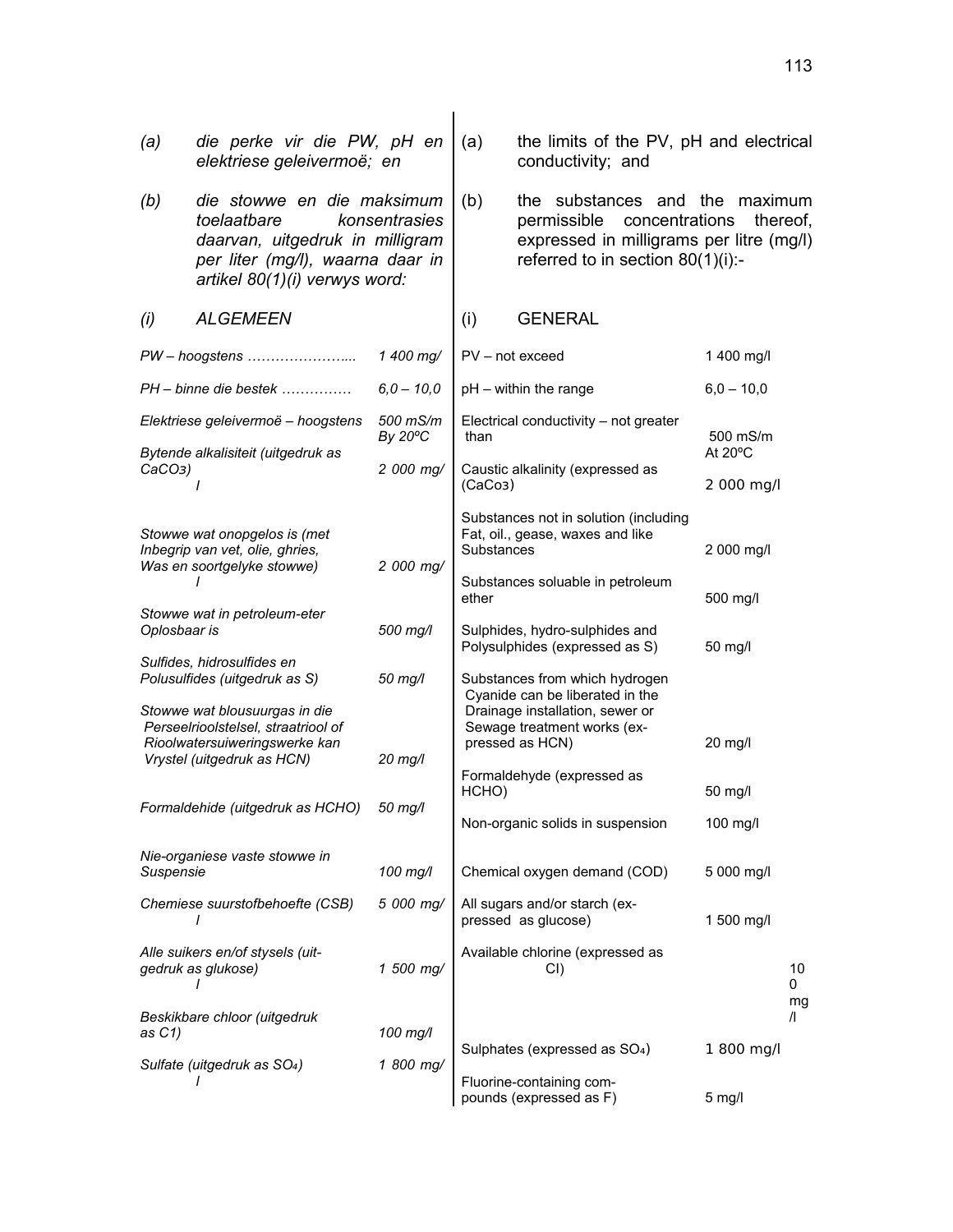| (a)                                                                                                                                                                       | die perke vir die PW, pH en<br>elektriese geleivermoë; en                                                                           |                     | (a)                                                                                                                                      | the limits of the PV, pH and electrical<br>conductivity; and                                                    |                                |
|---------------------------------------------------------------------------------------------------------------------------------------------------------------------------|-------------------------------------------------------------------------------------------------------------------------------------|---------------------|------------------------------------------------------------------------------------------------------------------------------------------|-----------------------------------------------------------------------------------------------------------------|--------------------------------|
| die stowwe en die maksimum<br>(b)<br>toelaatbare<br>konsentrasies<br>daarvan, uitgedruk in milligram<br>per liter (mg/l), waarna daar in<br>artikel 80(1)(i) verwys word: |                                                                                                                                     | (b)                 | the substances and the<br>permissible<br>concentrations<br>expressed in milligrams per litre (mg/l)<br>referred to in section 80(1)(i):- | maximum<br>thereof,                                                                                             |                                |
| (i)                                                                                                                                                                       | <b>ALGEMEEN</b>                                                                                                                     |                     | (i)                                                                                                                                      | <b>GENERAL</b>                                                                                                  |                                |
|                                                                                                                                                                           |                                                                                                                                     | 1 400 mg/           |                                                                                                                                          | $PV - not exceed$                                                                                               | 1 400 mg/l                     |
|                                                                                                                                                                           | $PH$ – binne die bestek                                                                                                             | $6,0 - 10,0$        |                                                                                                                                          | pH - within the range                                                                                           | $6,0 - 10,0$                   |
|                                                                                                                                                                           | Elektriese geleivermoë - hoogstens<br>Bytende alkalisiteit (uitgedruk as                                                            | 500 mS/m<br>By 20°C | than                                                                                                                                     | Electrical conductivity - not greater                                                                           | 500 mS/m<br>At $20^{\circ}$ C  |
| $CaCO3$ )                                                                                                                                                                 | $\prime$                                                                                                                            | 2 000 mg/           | Caustic alkalinity (expressed as<br>(CaCo3)                                                                                              |                                                                                                                 | 2 000 mg/l                     |
|                                                                                                                                                                           | Stowwe wat onopgelos is (met<br>Inbegrip van vet, olie, ghries,<br>Was en soortgelyke stowwe)                                       | 2 000 mg/           | Substances not in solution (including<br>Fat, oil., gease, waxes and like<br>Substances<br>Substances soluable in petroleum              |                                                                                                                 | 2 000 mg/l                     |
| Oplosbaar is                                                                                                                                                              | Stowwe wat in petroleum-eter                                                                                                        | 500 mg/l            | ether<br>Sulphides, hydro-sulphides and                                                                                                  |                                                                                                                 | 500 mg/l<br>50 mg/l            |
|                                                                                                                                                                           | Sulfides, hidrosulfides en<br>Polusulfides (uitgedruk as S)                                                                         | 50 mg/l             | Polysulphides (expressed as S)<br>Substances from which hydrogen<br>Cyanide can be liberated in the                                      |                                                                                                                 |                                |
|                                                                                                                                                                           | Stowwe wat blousuurgas in die<br>Perseelrioolstelsel, straatriool of<br>Rioolwatersuiweringswerke kan<br>Vrystel (uitgedruk as HCN) | $20$ mg/l           |                                                                                                                                          | Drainage installation, sewer or<br>Sewage treatment works (ex-<br>pressed as HCN)<br>Formaldehyde (expressed as | 20 mg/l                        |
|                                                                                                                                                                           | Formaldehide (uitgedruk as HCHO)                                                                                                    | 50 mg/l             | HCHO)                                                                                                                                    | Non-organic solids in suspension                                                                                | 50 mg/l<br>100 mg/l            |
| Suspensie                                                                                                                                                                 | Nie-organiese vaste stowwe in                                                                                                       | 100 mg/l            |                                                                                                                                          | Chemical oxygen demand (COD)                                                                                    | 5 000 mg/l                     |
|                                                                                                                                                                           | Chemiese suurstofbehoefte (CSB)                                                                                                     | 5 000 mg/           |                                                                                                                                          | All sugars and/or starch (ex-<br>pressed as glucose)                                                            | 1 500 mg/l                     |
|                                                                                                                                                                           | Alle suikers en/of stysels (uit-<br>gedruk as glukose)                                                                              | 1 500 mg/           |                                                                                                                                          | Available chlorine (expressed as<br>CI)                                                                         | 10<br>0                        |
| as C1)                                                                                                                                                                    | Beskikbare chloor (uitgedruk                                                                                                        | 100 mg/l            |                                                                                                                                          | Sulphates (expressed as SO <sub>4</sub> )                                                                       | mg<br>$\sqrt{ }$<br>1 800 mg/l |
|                                                                                                                                                                           | Sulfate (uitgedruk as SO <sub>4</sub> )<br>I                                                                                        | 1 800 mg/           |                                                                                                                                          | Fluorine-containing com-<br>pounds (expressed as F)                                                             | $5$ mg/l                       |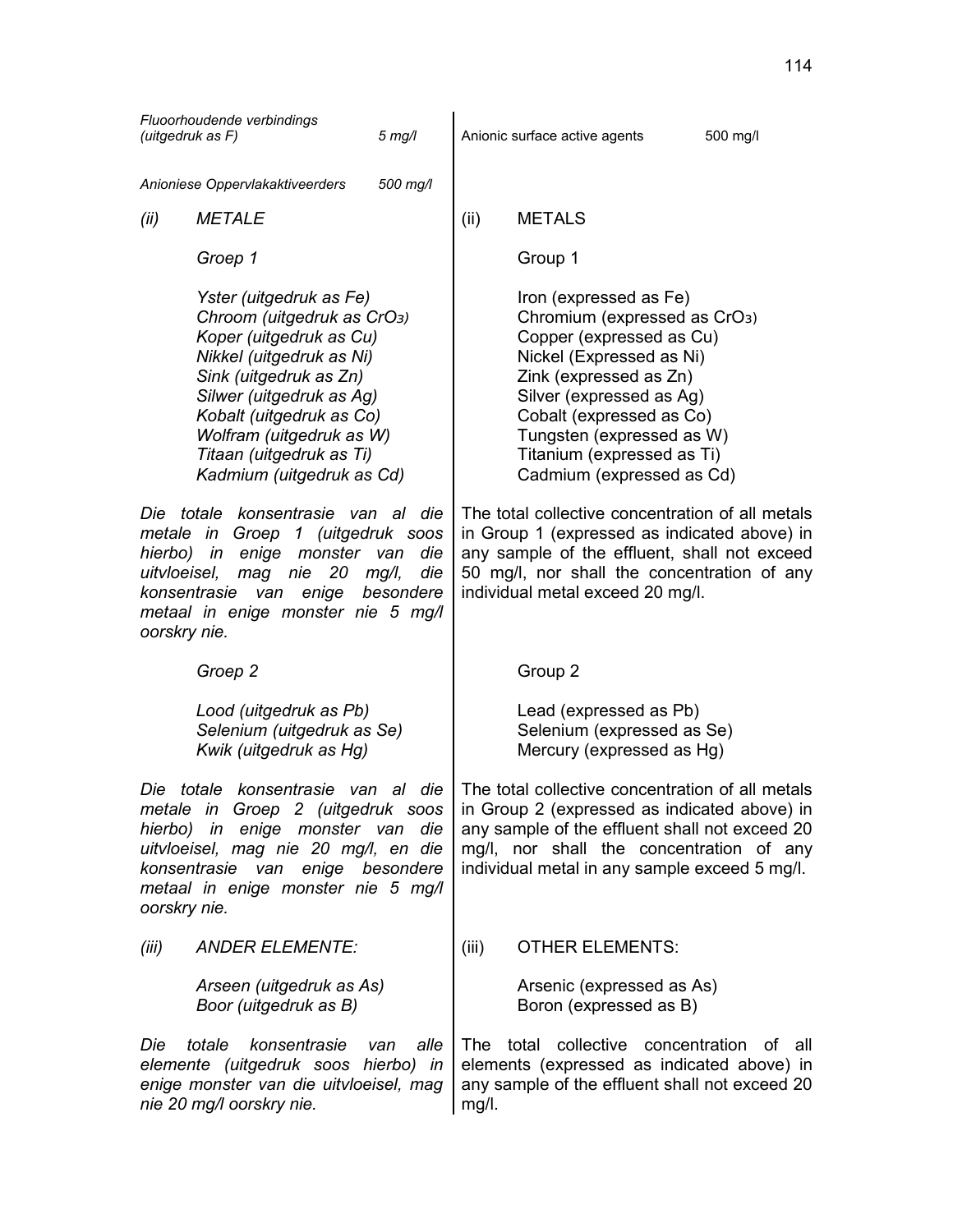| Fluoorhoudende verbindings                                                                                                                                                                                            |                                                                                                                                                                                                                                                                                                  |                                  |                               |                                                                                                                                                                                                                                                                                                       |          |
|-----------------------------------------------------------------------------------------------------------------------------------------------------------------------------------------------------------------------|--------------------------------------------------------------------------------------------------------------------------------------------------------------------------------------------------------------------------------------------------------------------------------------------------|----------------------------------|-------------------------------|-------------------------------------------------------------------------------------------------------------------------------------------------------------------------------------------------------------------------------------------------------------------------------------------------------|----------|
| (uitgedruk as F)                                                                                                                                                                                                      |                                                                                                                                                                                                                                                                                                  | $5$ mg/l                         | Anionic surface active agents |                                                                                                                                                                                                                                                                                                       | 500 mg/l |
| Anioniese Oppervlakaktiveerders                                                                                                                                                                                       |                                                                                                                                                                                                                                                                                                  | 500 mg/l                         |                               |                                                                                                                                                                                                                                                                                                       |          |
| <b>METALE</b><br>(ii)                                                                                                                                                                                                 |                                                                                                                                                                                                                                                                                                  |                                  | (ii)                          | <b>METALS</b>                                                                                                                                                                                                                                                                                         |          |
| Groep 1                                                                                                                                                                                                               |                                                                                                                                                                                                                                                                                                  |                                  |                               | Group 1                                                                                                                                                                                                                                                                                               |          |
|                                                                                                                                                                                                                       | Yster (uitgedruk as Fe)<br>Chroom (uitgedruk as CrO <sub>3</sub> )<br>Koper (uitgedruk as Cu)<br>Nikkel (uitgedruk as Ni)<br>Sink (uitgedruk as Zn)<br>Silwer (uitgedruk as Ag)<br>Kobalt (uitgedruk as Co)<br>Wolfram (uitgedruk as W)<br>Titaan (uitgedruk as Ti)<br>Kadmium (uitgedruk as Cd) |                                  |                               | Iron (expressed as Fe)<br>Chromium (expressed as CrO <sub>3</sub> )<br>Copper (expressed as Cu)<br>Nickel (Expressed as Ni)<br>Zink (expressed as Zn)<br>Silver (expressed as Ag)<br>Cobalt (expressed as Co)<br>Tungsten (expressed as W)<br>Titanium (expressed as Ti)<br>Cadmium (expressed as Cd) |          |
| Die i<br>metale in<br>hierbo) in<br>uitvloeisel,<br>mag<br>konsentrasie<br>metaal in enige monster nie 5 mg/l<br>oorskry nie.                                                                                         | totale konsentrasie van al die<br>Groep 1 (uitgedruk soos<br>enige monster van<br>nie<br>20<br>enige<br>van                                                                                                                                                                                      | die<br>mg/l,<br>die<br>besondere |                               | The total collective concentration of all metals<br>in Group 1 (expressed as indicated above) in<br>any sample of the effluent, shall not exceed<br>50 mg/l, nor shall the concentration of any<br>individual metal exceed 20 mg/l.                                                                   |          |
| Groep 2                                                                                                                                                                                                               |                                                                                                                                                                                                                                                                                                  |                                  |                               | Group 2                                                                                                                                                                                                                                                                                               |          |
|                                                                                                                                                                                                                       | Lood (uitgedruk as Pb)<br>Selenium (uitgedruk as Se)<br>Kwik (uitgedruk as Hg)                                                                                                                                                                                                                   |                                  |                               | Lead (expressed as Pb)<br>Selenium (expressed as Se)<br>Mercury (expressed as Hg)                                                                                                                                                                                                                     |          |
| totale konsentrasie<br>Die<br>metale in Groep 2 (uitgedruk soos<br>hierbo) in enige monster van die<br>uitvloeisel, mag nie 20 mg/l, en die<br>konsentrasie van<br>metaal in enige monster nie 5 mg/l<br>oorskry nie. | van<br>enige besondere                                                                                                                                                                                                                                                                           | die<br>al                        |                               | The total collective concentration of all metals<br>in Group 2 (expressed as indicated above) in<br>any sample of the effluent shall not exceed 20<br>mg/l, nor shall the concentration of any<br>individual metal in any sample exceed 5 mg/l.                                                       |          |
| (iii)                                                                                                                                                                                                                 | <b>ANDER ELEMENTE:</b>                                                                                                                                                                                                                                                                           |                                  | (iii)                         | <b>OTHER ELEMENTS:</b>                                                                                                                                                                                                                                                                                |          |
|                                                                                                                                                                                                                       | Arseen (uitgedruk as As)<br>Boor (uitgedruk as B)                                                                                                                                                                                                                                                |                                  |                               | Arsenic (expressed as As)<br>Boron (expressed as B)                                                                                                                                                                                                                                                   |          |
| totale<br>Die<br>elemente (uitgedruk soos hierbo) in<br>enige monster van die uitvloeisel, mag<br>nie 20 mg/l oorskry nie.                                                                                            | konsentrasie                                                                                                                                                                                                                                                                                     | alle<br>van                      | <b>The</b><br>mg/l.           | total collective concentration of all<br>elements (expressed as indicated above) in<br>any sample of the effluent shall not exceed 20                                                                                                                                                                 |          |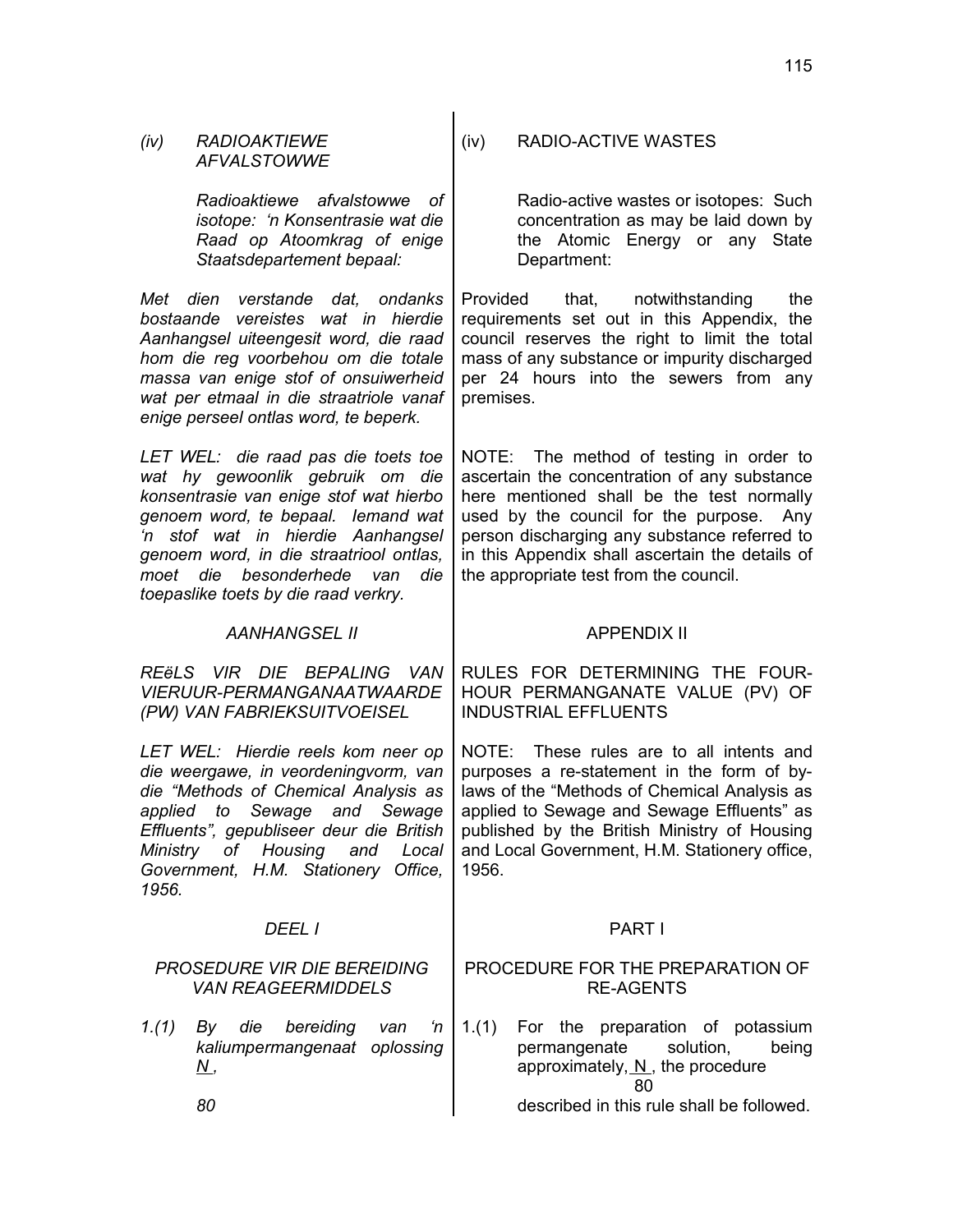| (iv)              | <b>RADIOAKTIEWE</b><br><b>AFVALSTOWWE</b>                                                                                                                                                                                                                                                                        | (iv)                  | RADIO-ACTIVE WASTES                                                                                                                                                                                                                                                                                                           |     |
|-------------------|------------------------------------------------------------------------------------------------------------------------------------------------------------------------------------------------------------------------------------------------------------------------------------------------------------------|-----------------------|-------------------------------------------------------------------------------------------------------------------------------------------------------------------------------------------------------------------------------------------------------------------------------------------------------------------------------|-----|
|                   | Radioaktiewe afvalstowwe<br>оf<br>isotope: 'n Konsentrasie wat die<br>Raad op Atoomkrag of enige<br>Staatsdepartement bepaal:                                                                                                                                                                                    |                       | Radio-active wastes or isotopes: Such<br>concentration as may be laid down by<br>the Atomic Energy or any State<br>Department:                                                                                                                                                                                                |     |
|                   | Met dien verstande dat, ondanks<br>bostaande vereistes wat in hierdie<br>Aanhangsel uiteengesit word, die raad<br>hom die reg voorbehou om die totale<br>massa van enige stof of onsuiwerheid<br>wat per etmaal in die straatriole vanaf<br>enige perseel ontlas word, te beperk.                                | Provided<br>premises. | that,<br>notwithstanding<br>requirements set out in this Appendix, the<br>council reserves the right to limit the total<br>mass of any substance or impurity discharged<br>per 24 hours into the sewers from any                                                                                                              | the |
| moet              | LET WEL: die raad pas die toets toe<br>wat hy gewoonlik gebruik om die<br>konsentrasie van enige stof wat hierbo<br>genoem word, te bepaal. lemand wat<br>'n stof wat in hierdie Aanhangsel<br>genoem word, in die straatriool ontlas,<br>die<br>besonderhede van<br>die<br>toepaslike toets by die raad verkry. |                       | NOTE: The method of testing in order to<br>ascertain the concentration of any substance<br>here mentioned shall be the test normally<br>used by the council for the purpose. Any<br>person discharging any substance referred to<br>in this Appendix shall ascertain the details of<br>the appropriate test from the council. |     |
|                   | <b>AANHANGSEL II</b>                                                                                                                                                                                                                                                                                             |                       | <b>APPENDIX II</b>                                                                                                                                                                                                                                                                                                            |     |
|                   | REËLS VIR DIE BEPALING<br>- VAN<br>VIERUUR-PERMANGANAATWAARDE<br>(PW) VAN FABRIEKSUITVOEISEL                                                                                                                                                                                                                     |                       | RULES FOR DETERMINING THE FOUR-<br>HOUR PERMANGANATE VALUE (PV) OF<br><b>INDUSTRIAL EFFLUENTS</b>                                                                                                                                                                                                                             |     |
| Ministry<br>1956. | LET WEL: Hierdie reels kom neer op<br>die weergawe, in veordeningvorm, van<br>die "Methods of Chemical Analysis as<br>applied to<br>Sewage and<br>Sewage<br>Effluents", gepubliseer deur die British<br>of Housing and<br>Local<br>Government, H.M. Stationery Office,                                           | 1956.                 | NOTE: These rules are to all intents and<br>purposes a re-statement in the form of by-<br>laws of the "Methods of Chemical Analysis as<br>applied to Sewage and Sewage Effluents" as<br>published by the British Ministry of Housing<br>and Local Government, H.M. Stationery office,                                         |     |
|                   | DEEL I                                                                                                                                                                                                                                                                                                           |                       | PART I                                                                                                                                                                                                                                                                                                                        |     |
|                   | <b>PROSEDURE VIR DIE BEREIDING</b><br><b>VAN REAGEERMIDDELS</b>                                                                                                                                                                                                                                                  |                       | PROCEDURE FOR THE PREPARATION OF<br><b>RE-AGENTS</b>                                                                                                                                                                                                                                                                          |     |
| 1.(1)             | By die<br>bereiding<br>van<br>'n<br>kaliumpermangenaat oplossing<br><u>N,</u>                                                                                                                                                                                                                                    | 1.(1)                 | For the preparation of potassium<br>permangenate<br>solution,<br>being<br>approximately, N, the procedure<br>80                                                                                                                                                                                                               |     |
|                   | 80                                                                                                                                                                                                                                                                                                               |                       | described in this rule shall be followed.                                                                                                                                                                                                                                                                                     |     |
|                   |                                                                                                                                                                                                                                                                                                                  |                       |                                                                                                                                                                                                                                                                                                                               |     |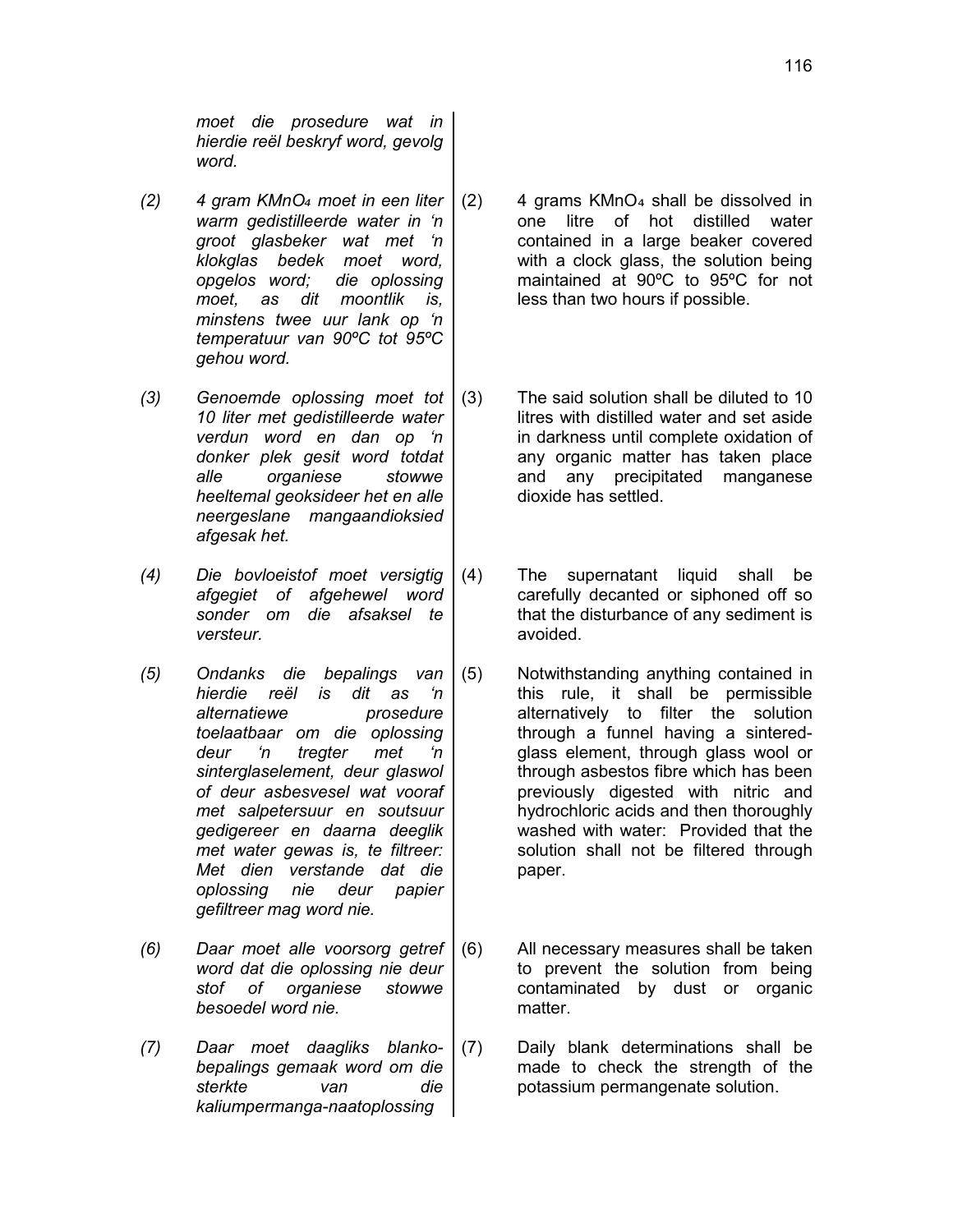*moet die prosedure wat in hierdie reël beskryf word, gevolg word.*

- *(2) 4 gram KMnO*₄ *moet in een liter warm gedistilleerde water in 'n groot glasbeker wat met 'n klokglas bedek moet word, opgelos word; die oplossing moet, as dit moontlik is, minstens twee uur lank op 'n temperatuur van 90ºC tot 95ºC gehou word.*
- *(3) Genoemde oplossing moet tot 10 liter met gedistilleerde water verdun word en dan op 'n donker plek gesit word totdat alle organiese stowwe heeltemal geoksideer het en alle neergeslane mangaandioksied afgesak het.*
- *(4) Die bovloeistof moet versigtig afgegiet of afgehewel word sonder om die afsaksel te versteur.*
- *(5) Ondanks die bepalings van hierdie reël is dit as 'n alternatiewe prosedure toelaatbaar om die oplossing deur 'n tregter met 'n sinterglaselement, deur glaswol of deur asbesvesel wat vooraf met salpetersuur en soutsuur gedigereer en daarna deeglik met water gewas is, te filtreer: Met dien verstande dat die oplossing nie deur papier gefiltreer mag word nie.*
- *(6) Daar moet alle voorsorg getref word dat die oplossing nie deur stof of organiese stowwe besoedel word nie.*
- *(7) Daar moet daagliks blankobepalings gemaak word om die sterkte van die kaliumpermanga-naatoplossing*
- $(2)$  4 grams KMnO<sub>4</sub> shall be dissolved in one litre of hot distilled water contained in a large beaker covered with a clock glass, the solution being maintained at 90ºC to 95ºC for not less than two hours if possible.
- (3) The said solution shall be diluted to 10 litres with distilled water and set aside in darkness until complete oxidation of any organic matter has taken place and any precipitated manganese dioxide has settled.
- (4) The supernatant liquid shall be carefully decanted or siphoned off so that the disturbance of any sediment is avoided.
- (5) Notwithstanding anything contained in this rule, it shall be permissible alternatively to filter the solution through a funnel having a sinteredglass element, through glass wool or through asbestos fibre which has been previously digested with nitric and hydrochloric acids and then thoroughly washed with water: Provided that the solution shall not be filtered through paper.
- (6) All necessary measures shall be taken to prevent the solution from being contaminated by dust or organic matter.
- (7) Daily blank determinations shall be made to check the strength of the potassium permangenate solution.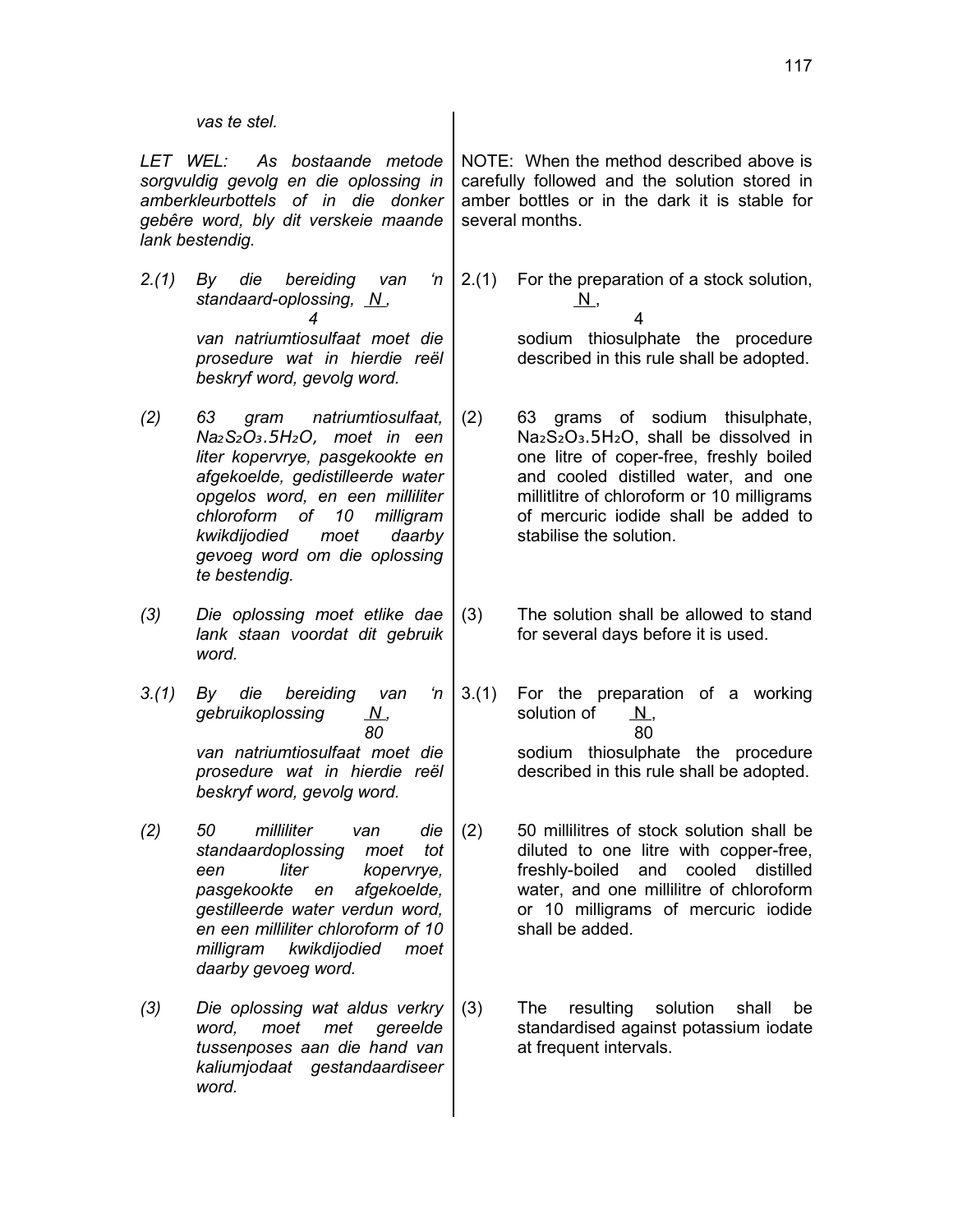#### *vas te stel.*

*LET WEL: As bostaande metode sorgvuldig gevolg en die oplossing in amberkleurbottels of in die donker gebêre word, bly dit verskeie maande lank bestendig.*

- *2.(1) By die bereiding van 'n standaard-oplossing, N , 4 van natriumtiosulfaat moet die prosedure wat in hierdie reël beskryf word, gevolg word.*
- *(2) 63 gram natriumtiosulfaat, Na*₂*S*₂O₃.5H₂O, *moet in een liter kopervrye, pasgekookte en afgekoelde, gedistilleerde water opgelos word, en een milliliter chloroform of 10 milligram kwikdijodied moet daarby gevoeg word om die oplossing te bestendig.*
- *(3) Die oplossing moet etlike dae lank staan voordat dit gebruik word.*
- *3.(1) By die bereiding van 'n gebruikoplossing N , 80 van natriumtiosulfaat moet die prosedure wat in hierdie reël beskryf word, gevolg word.*
- *(2) 50 milliliter van die standaardoplossing moet tot een liter kopervrye, pasgekookte en afgekoelde, gestilleerde water verdun word, en een milliliter chloroform of 10 milligram kwikdijodied moet daarby gevoeg word.*
- *(3) Die oplossing wat aldus verkry word, moet met gereelde tussenposes aan die hand van kaliumjodaat gestandaardiseer word.*

NOTE: When the method described above is carefully followed and the solution stored in amber bottles or in the dark it is stable for several months.

2.(1) For the preparation of a stock solution,  $N,$ 

 4 sodium thiosulphate the procedure described in this rule shall be adopted.

- (2) 63 grams of sodium thisulphate, Na2S2O3.5H2O, shall be dissolved in one litre of coper-free, freshly boiled and cooled distilled water, and one millitlitre of chloroform or 10 milligrams of mercuric iodide shall be added to stabilise the solution.
- (3) The solution shall be allowed to stand for several days before it is used.
- 3.(1) For the preparation of a working solution of N. 80 sodium thiosulphate the procedure described in this rule shall be adopted.
- (2) 50 millilitres of stock solution shall be diluted to one litre with copper-free, freshly-boiled and cooled distilled water, and one millilitre of chloroform or 10 milligrams of mercuric iodide shall be added.
- (3) The resulting solution shall be standardised against potassium iodate at frequent intervals.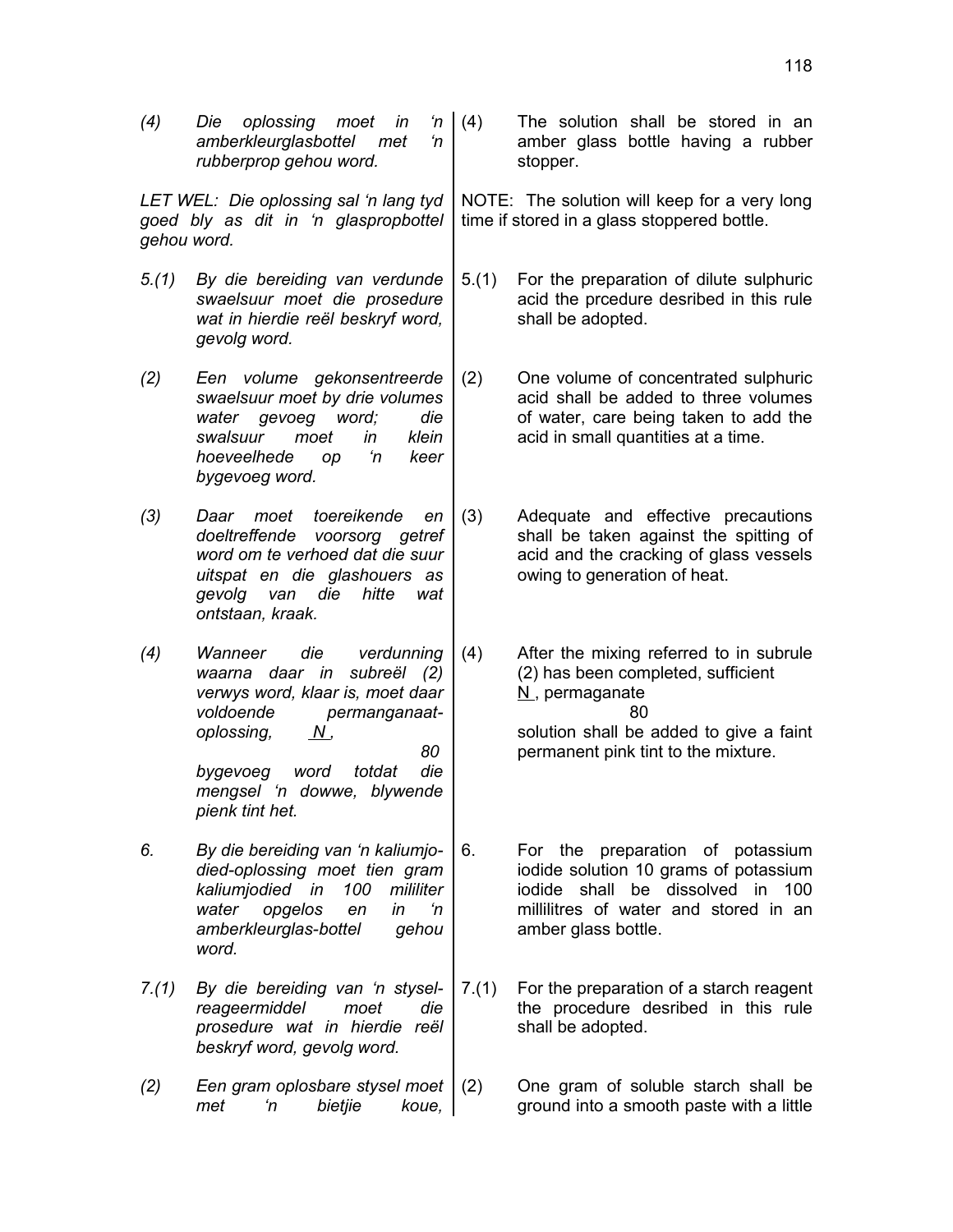118

*(4) Die oplossing moet in 'n amberkleurglasbottel met 'n rubberprop gehou word.*

*LET WEL: Die oplossing sal 'n lang tyd goed bly as dit in 'n glaspropbottel gehou word.*

*5.(1) By die bereiding van verdunde swaelsuur moet die prosedure wat in hierdie reël beskryf word, gevolg word.*

*(2) Een volume gekonsentreerde swaelsuur moet by drie volumes water gevoeg word; die swalsuur moet in klein hoeveelhede op 'n keer bygevoeg word.*

*(3) Daar moet toereikende en doeltreffende voorsorg getref word om te verhoed dat die suur uitspat en die glashouers as gevolg van die hitte wat ontstaan, kraak.*

- *(4) Wanneer die verdunning waarna daar in subreël (2) verwys word, klaar is, moet daar voldoende permanganaatoplossing, N , 80 bygevoeg word totdat die mengsel 'n dowwe, blywende pienk tint het.*
- *6. By die bereiding van 'n kaliumjodied-oplossing moet tien gram kaliumjodied in 100 mililiter water opgelos en in 'n amberkleurglas-bottel gehou word.*
- *7.(1) By die bereiding van 'n styselreageermiddel moet die prosedure wat in hierdie reël beskryf word, gevolg word.*
- *(2) Een gram oplosbare stysel moet met 'n bietjie koue,*

The solution shall be stored in an amber glass bottle having a rubber stopper.

NOTE: The solution will keep for a very long time if stored in a glass stoppered bottle.

- 5.(1) For the preparation of dilute sulphuric acid the prcedure desribed in this rule shall be adopted.
- (2) One volume of concentrated sulphuric acid shall be added to three volumes of water, care being taken to add the acid in small quantities at a time.

(3) Adequate and effective precautions shall be taken against the spitting of acid and the cracking of glass vessels owing to generation of heat.

(4) After the mixing referred to in subrule (2) has been completed, sufficient  $N$ , permaganate 80 solution shall be added to give a faint permanent pink tint to the mixture.

- 6. For the preparation of potassium iodide solution 10 grams of potassium iodide shall be dissolved in 100 millilitres of water and stored in an amber glass bottle.
- 7.(1) For the preparation of a starch reagent the procedure desribed in this rule shall be adopted.

(2) One gram of soluble starch shall be ground into a smooth paste with a little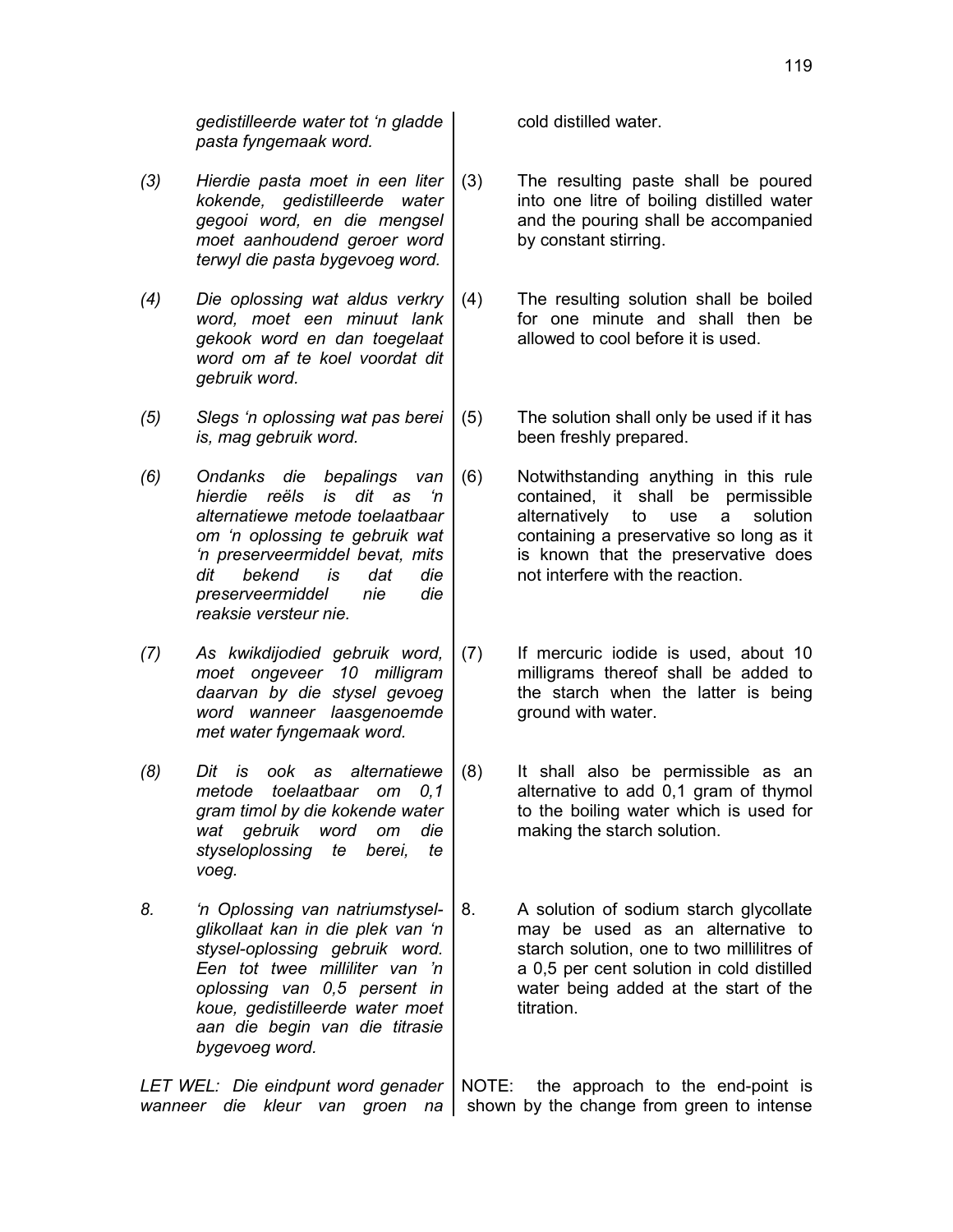*gedistilleerde water tot 'n gladde pasta fyngemaak word.*

- *(3) Hierdie pasta moet in een liter kokende, gedistilleerde water gegooi word, en die mengsel moet aanhoudend geroer word terwyl die pasta bygevoeg word.*
- *(4) Die oplossing wat aldus verkry word, moet een minuut lank gekook word en dan toegelaat word om af te koel voordat dit gebruik word.*
- *(5) Slegs 'n oplossing wat pas berei is, mag gebruik word.*
- *(6) Ondanks die bepalings van hierdie reëls is dit as 'n alternatiewe metode toelaatbaar om 'n oplossing te gebruik wat 'n preserveermiddel bevat, mits dit bekend is dat die preserveermiddel nie die reaksie versteur nie.*
- *(7) As kwikdijodied gebruik word, moet ongeveer 10 milligram daarvan by die stysel gevoeg word wanneer laasgenoemde met water fyngemaak word.*
- *(8) Dit is ook as alternatiewe metode toelaatbaar om 0,1 gram timol by die kokende water wat gebruik word om die styseloplossing te berei, te voeg.*
- *8. 'n Oplossing van natriumstyselglikollaat kan in die plek van 'n stysel-oplossing gebruik word. Een tot twee milliliter van 'n oplossing van 0,5 persent in koue, gedistilleerde water moet aan die begin van die titrasie bygevoeg word.*

*LET WEL: Die eindpunt word genader*

cold distilled water.

- (3) The resulting paste shall be poured into one litre of boiling distilled water and the pouring shall be accompanied by constant stirring.
- (4) The resulting solution shall be boiled for one minute and shall then be allowed to cool before it is used.
- (5) The solution shall only be used if it has been freshly prepared.
- (6) Notwithstanding anything in this rule contained, it shall be permissible alternatively to use a solution containing a preservative so long as it is known that the preservative does not interfere with the reaction.
- (7) If mercuric iodide is used, about 10 milligrams thereof shall be added to the starch when the latter is being ground with water.
- (8) It shall also be permissible as an alternative to add 0,1 gram of thymol to the boiling water which is used for making the starch solution.
- 8. A solution of sodium starch glycollate may be used as an alternative to starch solution, one to two millilitres of a 0,5 per cent solution in cold distilled water being added at the start of the titration.

wanneer die kleur van groen na | shown by the change-from green to intense the approach to the end-point is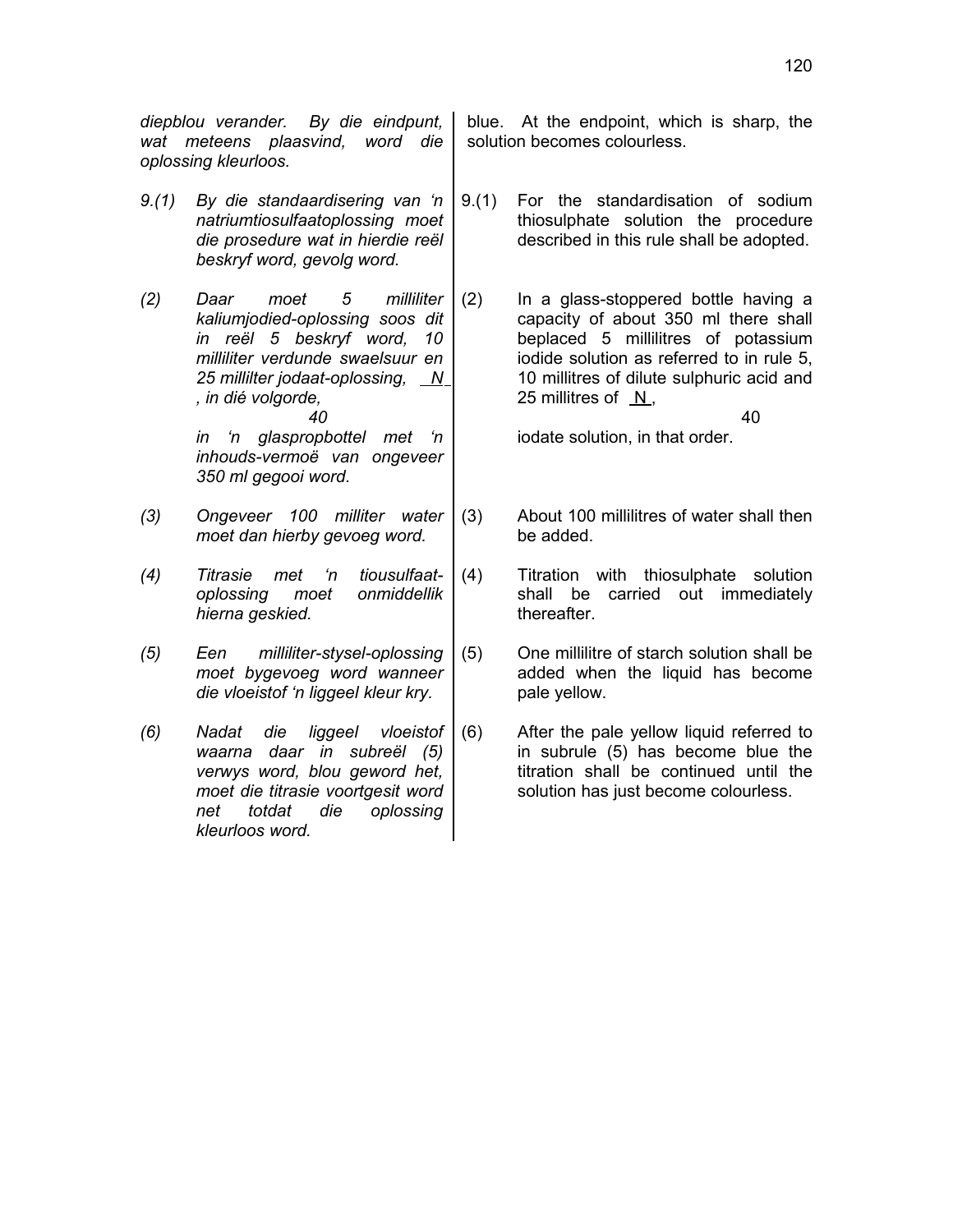*diepblou verander. By die eindpunt, wat meteens plaasvind, word die oplossing kleurloos.*

- *9.(1) By die standaardisering van 'n natriumtiosulfaatoplossing moet die prosedure wat in hierdie reël beskryf word, gevolg word.*
- *(2) Daar moet 5 milliliter kaliumjodied-oplossing soos dit in reël 5 beskryf word, 10 milliliter verdunde swaelsuur en 25 millilter jodaat-oplossing, N , in dié volgorde, 40 in 'n glaspropbottel met 'n*

*inhouds-vermoë van ongeveer 350 ml gegooi word.*

- *(3) Ongeveer 100 milliter water moet dan hierby gevoeg word.*
- *(4) Titrasie met 'n tiousulfaatoplossing moet onmiddellik hierna geskied.*
- *(5) Een milliliter-stysel-oplossing moet bygevoeg word wanneer die vloeistof 'n liggeel kleur kry.*
- *(6) Nadat die liggeel vloeistof waarna daar in subreël (5) verwys word, blou geword het, moet die titrasie voortgesit word net totdat die oplossing kleurloos word.*

blue. At the endpoint, which is sharp, the solution becomes colourless.

9.(1) For the standardisation of sodium thiosulphate solution the procedure described in this rule shall be adopted.

(2) In a glass-stoppered bottle having a capacity of about 350 ml there shall beplaced 5 millilitres of potassium iodide solution as referred to in rule 5, 10 millitres of dilute sulphuric acid and 25 millitres of N.

### 40

iodate solution, in that order.

- (3) About 100 millilitres of water shall then be added.
- (4) Titration with thiosulphate solution shall be carried out immediately thereafter.
- (5) One millilitre of starch solution shall be added when the liquid has become pale yellow.
- (6) After the pale yellow liquid referred to in subrule (5) has become blue the titration shall be continued until the solution has just become colourless.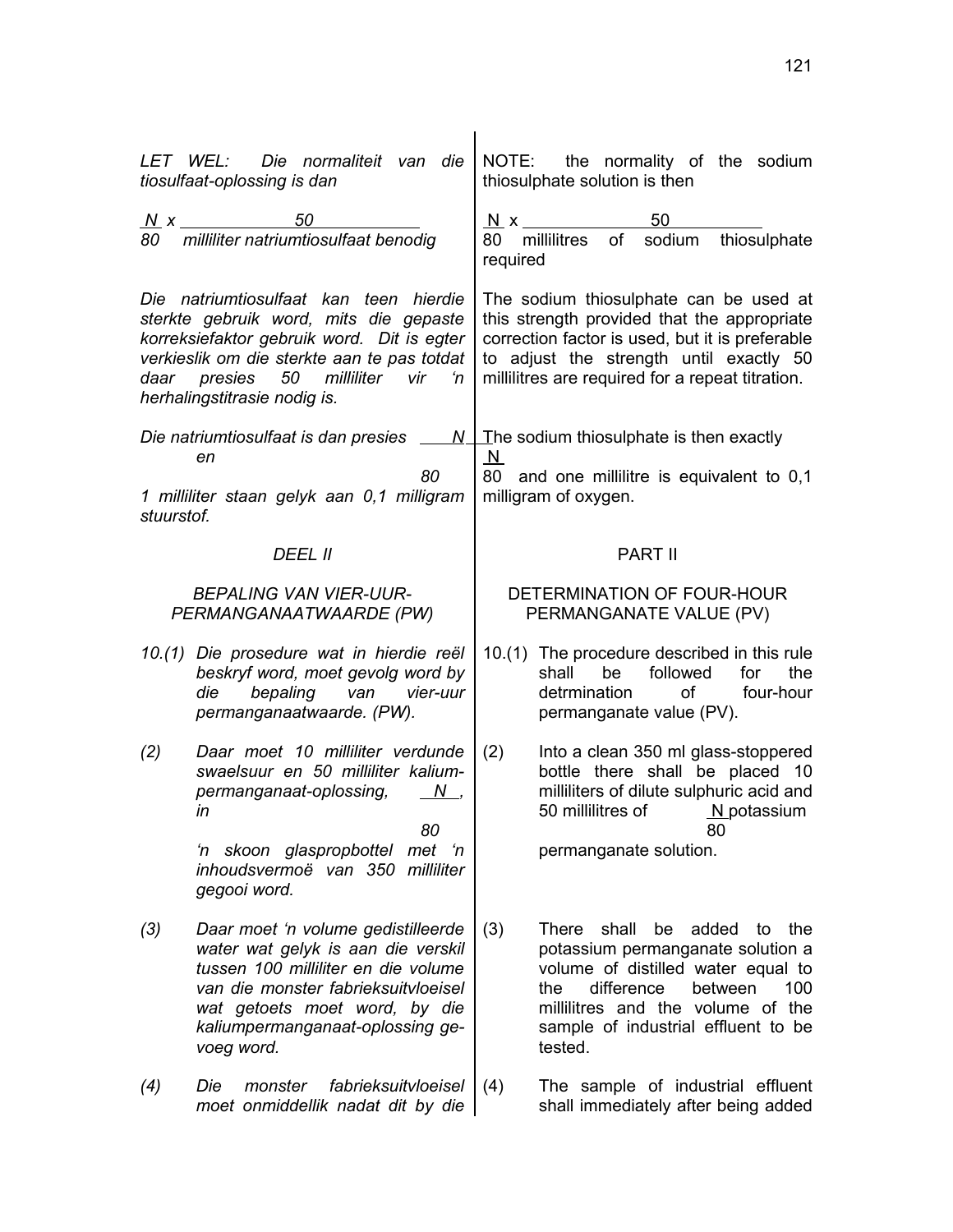|            | LET WEL: Die normaliteit van die<br>tiosulfaat-oplossing is dan                                                                                                                                                                                    |                                | NOTE: the normality of the sodium<br>thiosulphate solution is then                                                                                                                                                                                  |
|------------|----------------------------------------------------------------------------------------------------------------------------------------------------------------------------------------------------------------------------------------------------|--------------------------------|-----------------------------------------------------------------------------------------------------------------------------------------------------------------------------------------------------------------------------------------------------|
| 80         | $N \times$ 50<br>milliliter natriumtiosulfaat benodig                                                                                                                                                                                              | $N \times$<br>80 -<br>required | 50<br>sodium<br>thiosulphate<br>of<br>millilitres                                                                                                                                                                                                   |
|            | Die natriumtiosulfaat kan teen hierdie<br>sterkte gebruik word, mits die gepaste<br>korreksiefaktor gebruik word. Dit is egter<br>verkieslik om die sterkte aan te pas totdat<br>daar presies 50 milliliter vir 'n<br>herhalingstitrasie nodig is. |                                | The sodium thiosulphate can be used at<br>this strength provided that the appropriate<br>correction factor is used, but it is preferable<br>to adjust the strength until exactly 50<br>millilitres are required for a repeat titration.             |
|            | Die natriumtiosulfaat is dan presies $\sqrt{N+1}$ he sodium thiosulphate is then exactly                                                                                                                                                           |                                |                                                                                                                                                                                                                                                     |
| stuurstof. | en<br>80<br>1 milliliter staan gelyk aan 0,1 milligram                                                                                                                                                                                             | $\overline{\mathsf{N}}$        | 80 and one millilitre is equivalent to 0,1<br>milligram of oxygen.                                                                                                                                                                                  |
|            | <i>DEEL II</i>                                                                                                                                                                                                                                     |                                | <b>PART II</b>                                                                                                                                                                                                                                      |
|            | <b>BEPALING VAN VIER-UUR-</b><br>PERMANGANAATWAARDE (PW)                                                                                                                                                                                           |                                | DETERMINATION OF FOUR-HOUR<br>PERMANGANATE VALUE (PV)                                                                                                                                                                                               |
|            | 10.(1) Die prosedure wat in hierdie reël<br>beskryf word, moet gevolg word by<br>bepaling van<br>die<br>vier-uur<br>permanganaatwaarde. (PW).                                                                                                      |                                | 10.(1) The procedure described in this rule<br>be<br>followed<br>for<br>the<br>shall<br>detrmination<br>of<br>four-hour<br>permanganate value (PV).                                                                                                 |
| (2)        | Daar moet 10 milliliter verdunde<br>swaelsuur en 50 milliliter kalium-<br>permanganaat-oplossing,<br>$N_{-}$<br>in<br>80                                                                                                                           | (2)                            | Into a clean 350 ml glass-stoppered<br>bottle there shall be placed 10<br>milliliters of dilute sulphuric acid and<br>50 millilitres of M_potassium<br>80                                                                                           |
|            | 'n skoon glaspropbottel<br>met<br>'n<br>inhoudsvermoë van 350 milliliter<br>gegooi word.                                                                                                                                                           |                                | permanganate solution.                                                                                                                                                                                                                              |
| (3)        | Daar moet 'n volume gedistilleerde<br>water wat gelyk is aan die verskil<br>tussen 100 milliliter en die volume<br>van die monster fabrieksuitvloeisel<br>wat getoets moet word, by die<br>kaliumpermanganaat-oplossing ge-<br>voeg word.          | (3)                            | shall<br>added<br>There<br>be<br>to<br>the<br>potassium permanganate solution a<br>volume of distilled water equal to<br>between<br>the<br>difference<br>100<br>millilitres and the volume of the<br>sample of industrial effluent to be<br>tested. |
| (4)        | fabrieksuitvloeisel<br>Die<br>monster<br>moet onmiddellik nadat dit by die                                                                                                                                                                         | (4)                            | The sample of industrial effluent<br>shall immediately after being added                                                                                                                                                                            |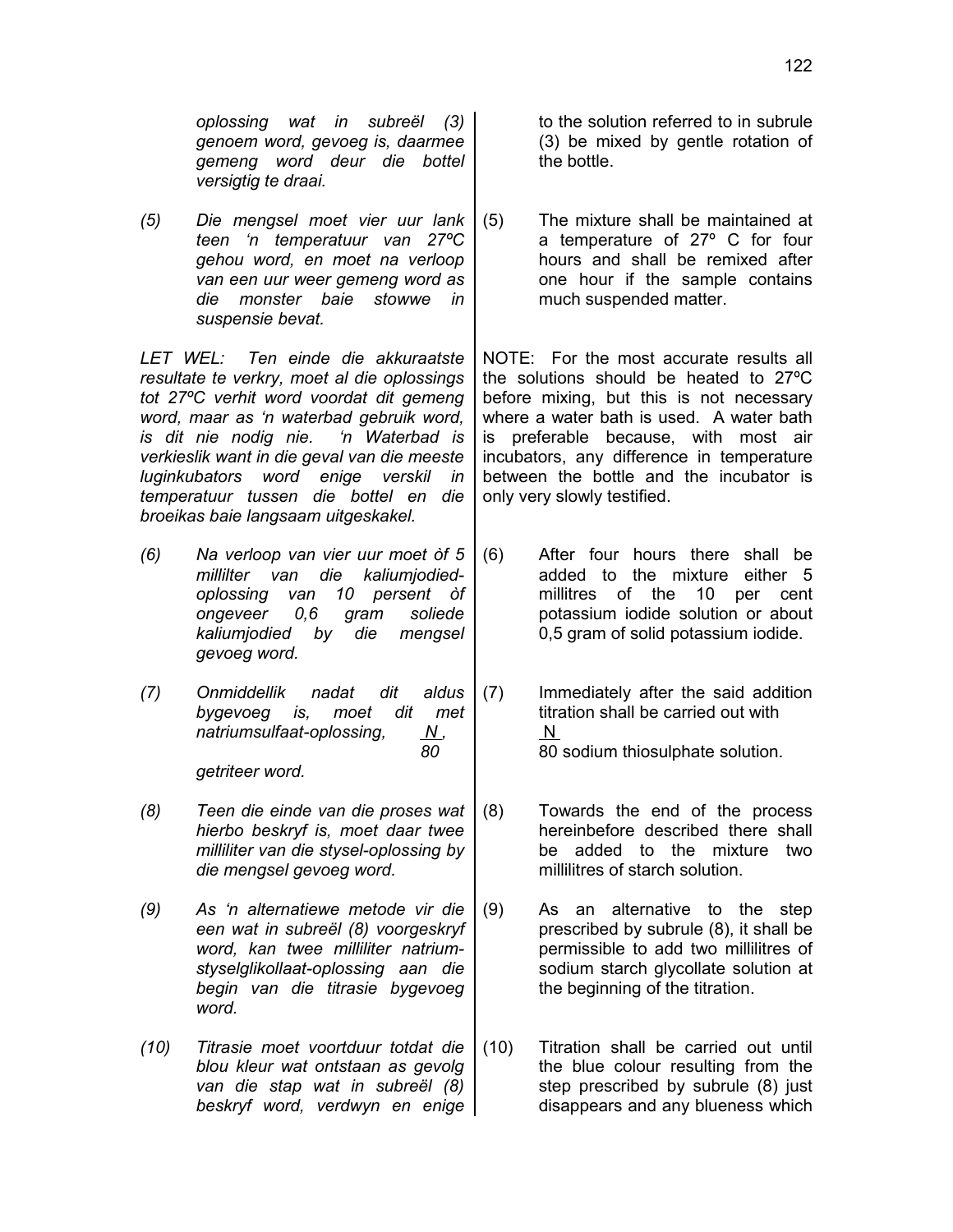*oplossing wat in subreël (3) genoem word, gevoeg is, daarmee gemeng word deur die bottel versigtig te draai.*

*(5) Die mengsel moet vier uur lank teen 'n temperatuur van 27ºC gehou word, en moet na verloop van een uur weer gemeng word as die monster baie stowwe in suspensie bevat.*

*LET WEL: Ten einde die akkuraatste resultate te verkry, moet al die oplossings tot 27ºC verhit word voordat dit gemeng word, maar as 'n waterbad gebruik word, is dit nie nodig nie. 'n Waterbad is verkieslik want in die geval van die meeste luginkubators word enige verskil in temperatuur tussen die bottel en die broeikas baie langsaam uitgeskakel.*

- *(6) Na verloop van vier uur moet òf 5 millilter van die kaliumjodiedoplossing van 10 persent òf ongeveer 0,6 gram soliede kaliumjodied by die mengsel gevoeg word.*
- *(7) Onmiddellik nadat dit aldus bygevoeg is, moet dit met natriumsulfaat-oplossing, N, 80 getriteer word.*
- *(8) Teen die einde van die proses wat hierbo beskryf is, moet daar twee milliliter van die stysel-oplossing by die mengsel gevoeg word.*
- *(9) As 'n alternatiewe metode vir die een wat in subreël (8) voorgeskryf word, kan twee milliliter natriumstyselglikollaat-oplossing aan die begin van die titrasie bygevoeg word.*
- *(10) Titrasie moet voortduur totdat die blou kleur wat ontstaan as gevolg van die stap wat in subreël (8) beskryf word, verdwyn en enige*

to the solution referred to in subrule (3) be mixed by gentle rotation of the bottle.

(5) The mixture shall be maintained at a temperature of 27º C for four hours and shall be remixed after one hour if the sample contains much suspended matter.

NOTE: For the most accurate results all the solutions should be heated to 27ºC before mixing, but this is not necessary where a water bath is used. A water bath is preferable because, with most air incubators, any difference in temperature between the bottle and the incubator is only very slowly testified.

- (6) After four hours there shall be added to the mixture either 5 millitres of the 10 per cent potassium iodide solution or about 0,5 gram of solid potassium iodide.
- (7) Immediately after the said addition titration shall be carried out with N 80 sodium thiosulphate solution.
- (8) Towards the end of the process hereinbefore described there shall be added to the mixture two millilitres of starch solution.
- (9) As an alternative to the step prescribed by subrule (8), it shall be permissible to add two millilitres of sodium starch glycollate solution at the beginning of the titration.
- (10) Titration shall be carried out until the blue colour resulting from the step prescribed by subrule (8) just disappears and any blueness which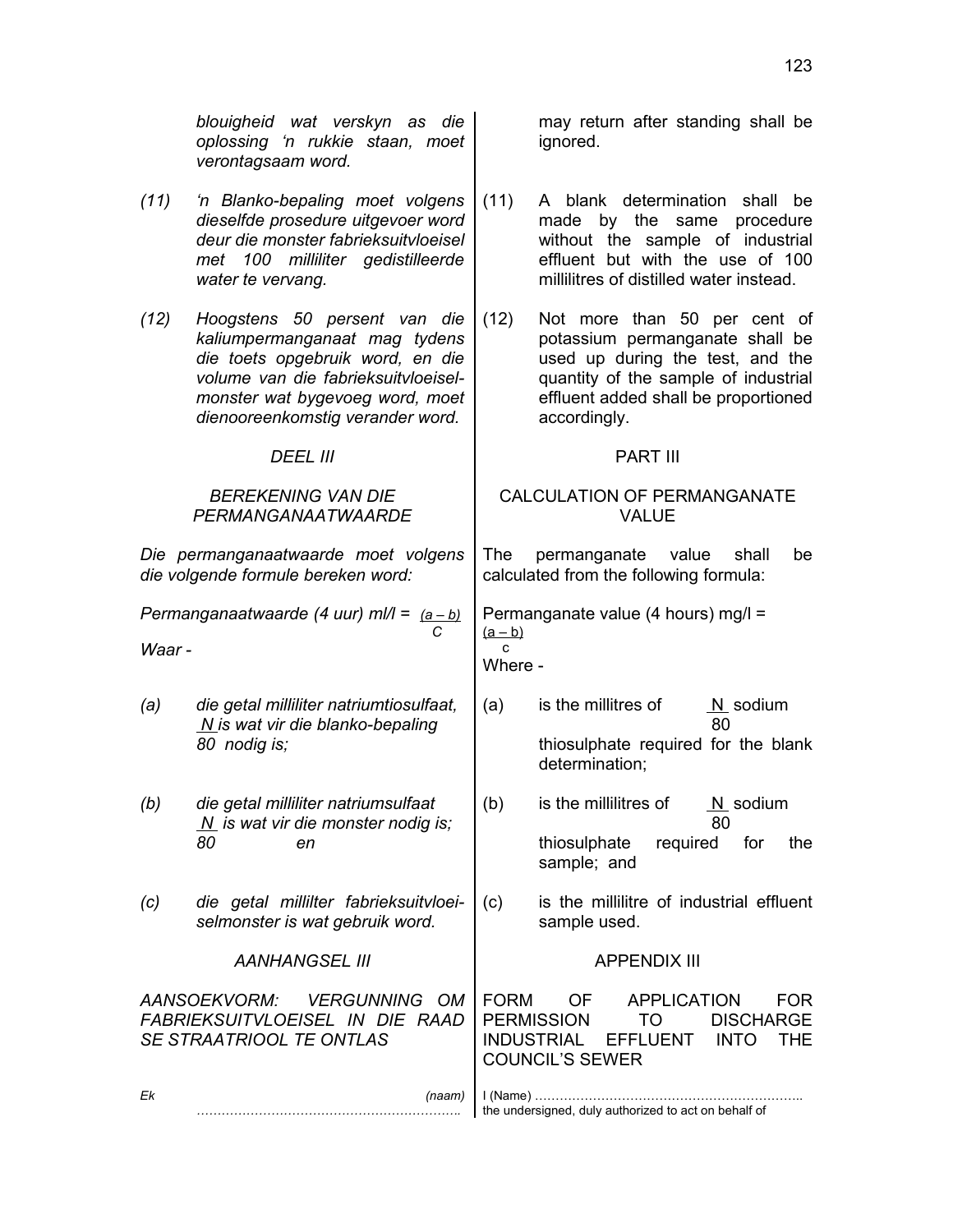*(11) 'n Blanko-bepaling moet volgens dieselfde prosedure uitgevoer word deur die monster fabrieksuitvloeisel met 100 milliliter gedistilleerde water te vervang.* (11) A blank determination shall be made by the same procedure without the sample of industrial effluent but with the use of 100 millilitres of distilled water instead. *(12) Hoogstens 50 persent van die kaliumpermanganaat mag tydens die toets opgebruik word, en die volume van die fabrieksuitvloeiselmonster wat bygevoeg word, moet dienooreenkomstig verander word.* (12) Not more than 50 per cent of potassium permanganate shall be used up during the test, and the quantity of the sample of industrial effluent added shall be proportioned accordingly. *DEEL III* PART III *BEREKENING VAN DIE PERMANGANAATWAARDE* CALCULATION OF PERMANGANATE VALUE *Die permanganaatwaarde moet volgens die volgende formule bereken word:* The permanganate value shall be calculated from the following formula: *Permanganaatwaarde (4 uur) ml/l = (a – b) C Waar -* Permanganate value (4 hours) mg/l =  $(a - b)$  c Where - *(a) die getal milliliter natriumtiosulfaat, N is wat vir die blanko-bepaling 80 nodig is;* (a) is the millitres of  $N$  sodium 80 thiosulphate required for the blank determination; *(b) die getal milliliter natriumsulfaat N is wat vir die monster nodig is; 80 en* (b) is the millilitres of  $N$  sodium 80 thiosulphate required for the sample; and *(c) die getal millilter fabrieksuitvloeiselmonster is wat gebruik word.* (c) is the millilitre of industrial effluent sample used. **AANHANGSEL III** APPENDIX III *AANSOEKVORM: VERGUNNING OM FABRIEKSUITVLOEISEL IN DIE RAAD SE STRAATRIOOL TE ONTLAS* FORM OF APPLICATION FOR PERMISSION TO DISCHARGE INDUSTRIAL EFFLUENT INTO THE COUNCIL'S SEWER *Ek (naam) ……………………………………………………….* I (Name) ……………………………………………………….. the undersigned, duly authorized to act on behalf of

123

may return after standing shall be

ignored.

*blouigheid wat verskyn as die oplossing 'n rukkie staan, moet verontagsaam word.*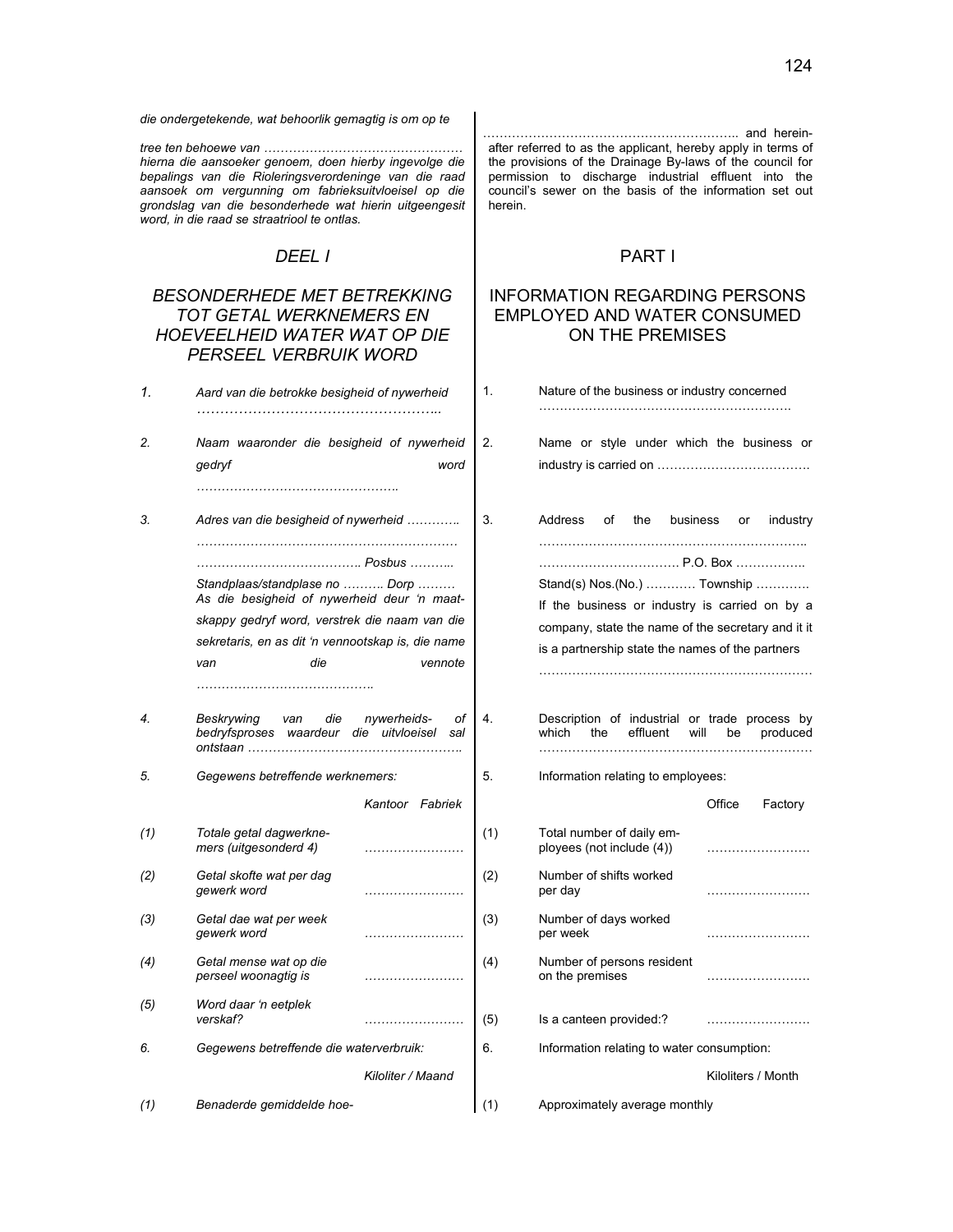*die ondergetekende, wat behoorlik gemagtig is om op te* 

*tree ten behoewe van ………………………………………… hierna die aansoeker genoem, doen hierby ingevolge die bepalings van die Rioleringsverordeninge van die raad aansoek om vergunning om fabrieksuitvloeisel op die grondslag van die besonderhede wat hierin uitgeengesit word, in die raad se straatriool te ontlas.*

### *BESONDERHEDE MET BETREKKING TOT GETAL WERKNEMERS EN HOEVEELHEID WATER WAT OP DIE PERSEEL VERBRUIK WORD*

| 1.  | Aard van die betrokke besigheid of nywerheid                                                                                                                                                      |                          | 1.  | Nature of the business or industry                                                                                                                  |      |
|-----|---------------------------------------------------------------------------------------------------------------------------------------------------------------------------------------------------|--------------------------|-----|-----------------------------------------------------------------------------------------------------------------------------------------------------|------|
| 2.  | Naam waaronder die besigheid of nywerheid<br>gedryf                                                                                                                                               | word                     | 2.  | Name or style under which th<br>industry is carried on                                                                                              |      |
| 3.  | Adres van die besigheid of nywerheid                                                                                                                                                              |                          | 3.  | Address<br>of<br>the<br>business                                                                                                                    |      |
|     | Standplaas/standplase no  Dorp<br>As die besigheid of nywerheid deur 'n maat-<br>skappy gedryf word, verstrek die naam van die<br>sekretaris, en as dit 'n vennootskap is, die name<br>die<br>van | vennote                  |     | P.O. Bo<br>Stand(s) Nos. (No.)  Town<br>If the business or industry is c<br>company, state the name of the se<br>is a partnership state the names o |      |
| 4.  | die<br>Beskrywing<br>van<br>bedryfsproses waardeur die uitvloeisel                                                                                                                                | nywerheids-<br>οf<br>sal | 4.  | Description of industrial or trad<br>effluent<br>which<br>the                                                                                       | will |
| 5.  | Gegewens betreffende werknemers:                                                                                                                                                                  |                          | 5.  | Information relating to employees:                                                                                                                  |      |
|     |                                                                                                                                                                                                   | Kantoor Fabriek          |     |                                                                                                                                                     | Offi |
| (1) | Totale getal dagwerkne-<br>mers (uitgesonderd 4)                                                                                                                                                  |                          | (1) | Total number of daily em-<br>ployees (not include (4))                                                                                              | .    |
| (2) | Getal skofte wat per dag<br>gewerk word                                                                                                                                                           |                          | (2) | Number of shifts worked<br>per day                                                                                                                  | .    |
| (3) | Getal dae wat per week<br>gewerk word                                                                                                                                                             |                          | (3) | Number of days worked<br>per week                                                                                                                   | .    |
| (4) | Getal mense wat op die<br>perseel woonagtig is                                                                                                                                                    |                          | (4) | Number of persons resident<br>on the premises                                                                                                       |      |
| (5) | Word daar 'n eetplek<br>verskaf?                                                                                                                                                                  |                          | (5) | Is a canteen provided:?                                                                                                                             |      |

6. **Gegewens betreffende die waterverbruik:** 

…………………………………………………….. and hereinafter referred to as the applicant, hereby apply in terms of the provisions of the Drainage By-laws of the council for permission to discharge industrial effluent into the council's sewer on the basis of the information set out herein.

## *DEEL I* PART I

### INFORMATION REGARDING PERSONS EMPLOYED AND WATER CONSUMED ON THE PREMISES

| Aard van die betrokke besigheid of nywerheid                                                                                                                                                      |                          | 1.  | Nature of the business or industry concerned                                                                                                                                                         |                    |
|---------------------------------------------------------------------------------------------------------------------------------------------------------------------------------------------------|--------------------------|-----|------------------------------------------------------------------------------------------------------------------------------------------------------------------------------------------------------|--------------------|
| Naam waaronder die besigheid of nywerheid<br>gedryf                                                                                                                                               | word                     | 2.  | Name or style under which the business or                                                                                                                                                            |                    |
| Adres van die besigheid of nywerheid                                                                                                                                                              |                          | 3.  | Address<br>of<br>the<br>business                                                                                                                                                                     | or<br>industry     |
| Standplaas/standplase no  Dorp<br>As die besigheid of nywerheid deur 'n maat-<br>skappy gedryf word, verstrek die naam van die<br>sekretaris, en as dit 'n vennootskap is, die name<br>die<br>van | vennote                  |     | P.O. Box<br>Stand(s) Nos (No.)  Township<br>If the business or industry is carried on by a<br>company, state the name of the secretary and it it<br>is a partnership state the names of the partners |                    |
| Beskrywing<br>die<br>van<br>bedryfsproses waardeur die uitvloeisel                                                                                                                                | nywerheids-<br>оf<br>sal | 4.  | Description of industrial or trade process by<br>which<br>the<br>effluent<br>will                                                                                                                    | be<br>produced     |
| Gegewens betreffende werknemers:                                                                                                                                                                  |                          | 5.  | Information relating to employees:                                                                                                                                                                   |                    |
|                                                                                                                                                                                                   | Kantoor Fabriek          |     |                                                                                                                                                                                                      | Office<br>Factory  |
| Totale getal dagwerkne-<br>mers (uitgesonderd 4)                                                                                                                                                  |                          | (1) | Total number of daily em-<br>ployees (not include (4))                                                                                                                                               |                    |
| Getal skofte wat per dag<br>gewerk word                                                                                                                                                           |                          | (2) | Number of shifts worked<br>per day                                                                                                                                                                   |                    |
| Getal dae wat per week<br>gewerk word                                                                                                                                                             |                          | (3) | Number of days worked<br>per week                                                                                                                                                                    |                    |
| Getal mense wat op die<br>perseel woonagtig is                                                                                                                                                    |                          | (4) | Number of persons resident<br>on the premises                                                                                                                                                        |                    |
| Word daar 'n eetplek<br>verskaf?                                                                                                                                                                  |                          | (5) | Is a canteen provided:?                                                                                                                                                                              |                    |
| Gegewens betreffende die waterverbruik:                                                                                                                                                           |                          | 6.  | Information relating to water consumption:                                                                                                                                                           |                    |
|                                                                                                                                                                                                   | Kiloliter / Maand        |     |                                                                                                                                                                                                      | Kiloliters / Month |

*(1) Benaderde gemiddelde hoe-* (1) Approximately average monthly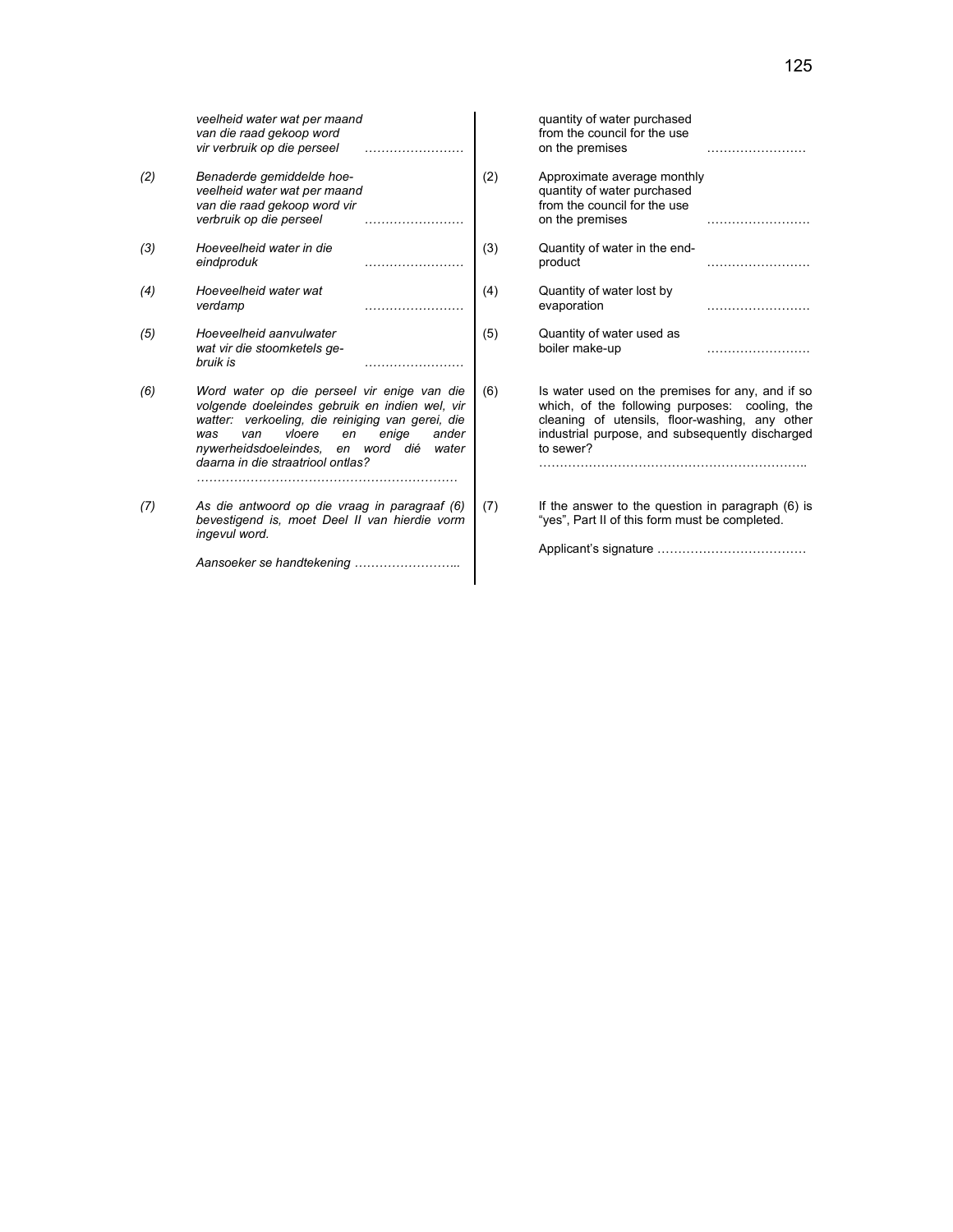|     | veelheid water wat per maand<br>van die raad gekoop word<br>vir verbruik op die perseel                                                                                                                                                                                  |              | quantity of water purchased<br>from the council for the use<br>on the premises                                                                                                                                       |  |
|-----|--------------------------------------------------------------------------------------------------------------------------------------------------------------------------------------------------------------------------------------------------------------------------|--------------|----------------------------------------------------------------------------------------------------------------------------------------------------------------------------------------------------------------------|--|
| (2) | Benaderde gemiddelde hoe-<br>veelheid water wat per maand<br>van die raad gekoop word vir<br>verbruik op die perseel                                                                                                                                                     | (2)          | Approximate average monthly<br>quantity of water purchased<br>from the council for the use<br>on the premises                                                                                                        |  |
| (3) | Hoeveelheid water in die<br>eindproduk                                                                                                                                                                                                                                   | (3)          | Quantity of water in the end-<br>product                                                                                                                                                                             |  |
| (4) | Hoeveelheid water wat<br>verdamp                                                                                                                                                                                                                                         | (4)          | Quantity of water lost by<br>evaporation                                                                                                                                                                             |  |
| (5) | Hoeveelheid aanvulwater<br>wat vir die stoomketels ge-<br>bruik is                                                                                                                                                                                                       | (5)          | Quantity of water used as<br>boiler make-up                                                                                                                                                                          |  |
| (6) | Word water op die perseel vir enige van die<br>volgende doeleindes gebruik en indien wel, vir<br>watter: verkoeling, die reiniging van gerei, die<br>vloere<br>enige<br>was<br>van<br>en<br>nywerheidsdoeleindes, en word dié water<br>daarna in die straatriool ontlas? | (6)<br>ander | Is water used on the premises for any, and if so<br>which, of the following purposes: cooling, the<br>cleaning of utensils, floor-washing, any other<br>industrial purpose, and subsequently discharged<br>to sewer? |  |
| (7) | As die antwoord op die vraag in paragraaf (6)<br>bevestigend is, moet Deel II van hierdie vorm<br>ingevul word.<br>Aansoeker se handtekening                                                                                                                             | (7)          | If the answer to the question in paragraph (6) is<br>"yes", Part II of this form must be completed.                                                                                                                  |  |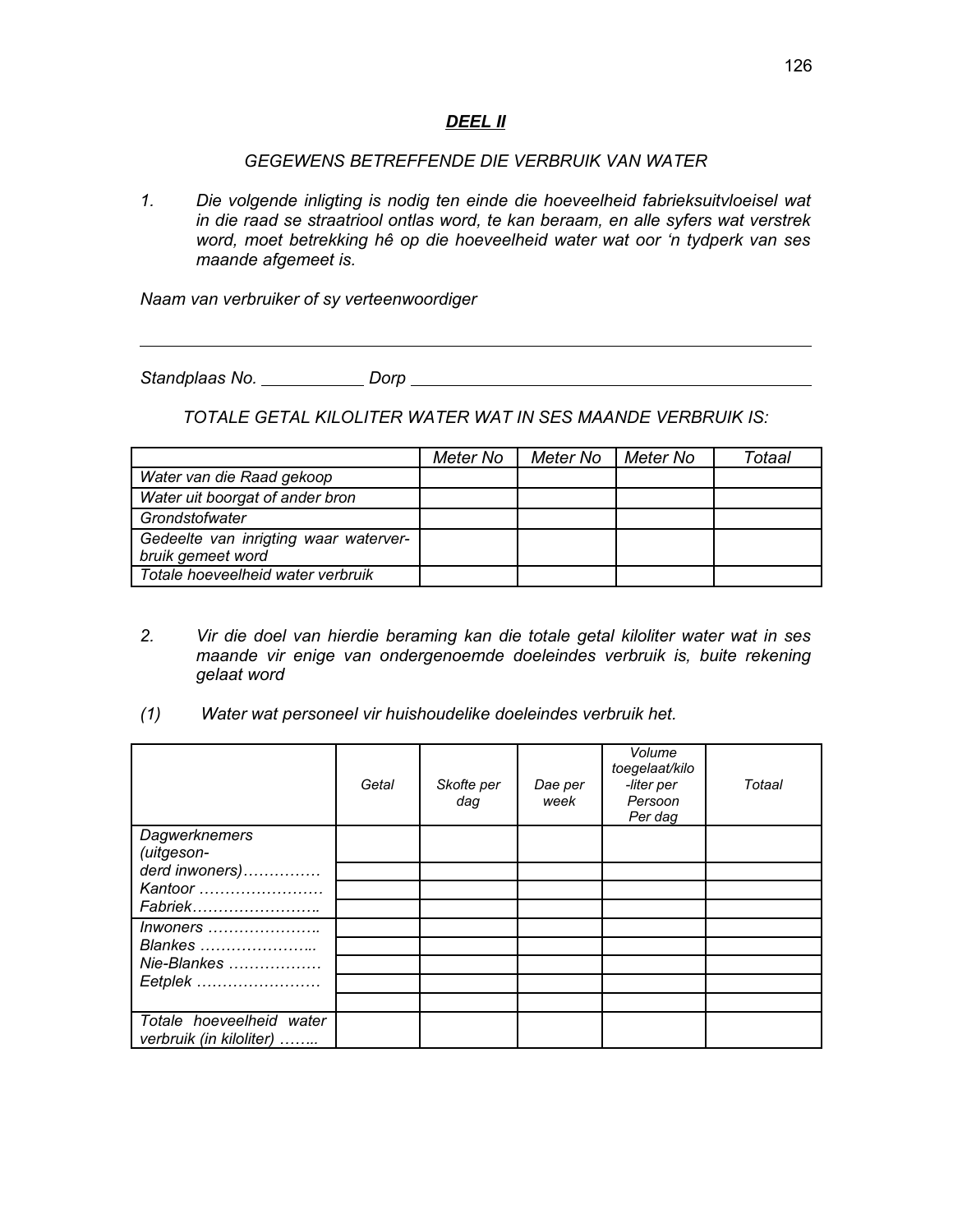## *DEEL II*

#### *GEGEWENS BETREFFENDE DIE VERBRUIK VAN WATER*

*1. Die volgende inligting is nodig ten einde die hoeveelheid fabrieksuitvloeisel wat in die raad se straatriool ontlas word, te kan beraam, en alle syfers wat verstrek word, moet betrekking hê op die hoeveelheid water wat oor 'n tydperk van ses maande afgemeet is.*

*Naam van verbruiker of sy verteenwoordiger*

*Standplaas No. Dorp* 

*TOTALE GETAL KILOLITER WATER WAT IN SES MAANDE VERBRUIK IS:*

|                                       | Meter No | Meter No | Meter No | Totaal |
|---------------------------------------|----------|----------|----------|--------|
| Water van die Raad gekoop             |          |          |          |        |
| Water uit boorgat of ander bron       |          |          |          |        |
| Grondstofwater                        |          |          |          |        |
| Gedeelte van inrigting waar waterver- |          |          |          |        |
| bruik gemeet word                     |          |          |          |        |
| Totale hoeveelheid water verbruik     |          |          |          |        |

- *2. Vir die doel van hierdie beraming kan die totale getal kiloliter water wat in ses maande vir enige van ondergenoemde doeleindes verbruik is, buite rekening gelaat word*
- *(1) Water wat personeel vir huishoudelike doeleindes verbruik het.*

|                             | Getal | Skofte per<br>daq | Dae per<br>week | Volume<br>toegelaat/kilo<br>-liter per<br>Persoon<br>Per dag | Totaal |
|-----------------------------|-------|-------------------|-----------------|--------------------------------------------------------------|--------|
| Dagwerknemers<br>(uitgeson- |       |                   |                 |                                                              |        |
| derd inwoners)              |       |                   |                 |                                                              |        |
| Kantoor                     |       |                   |                 |                                                              |        |
| Fabriek                     |       |                   |                 |                                                              |        |
| Inwoners                    |       |                   |                 |                                                              |        |
| Blankes                     |       |                   |                 |                                                              |        |
| Nie-Blankes                 |       |                   |                 |                                                              |        |
| Eetplek                     |       |                   |                 |                                                              |        |
|                             |       |                   |                 |                                                              |        |
| Totale hoeveelheid water    |       |                   |                 |                                                              |        |
| verbruik (in kiloliter)     |       |                   |                 |                                                              |        |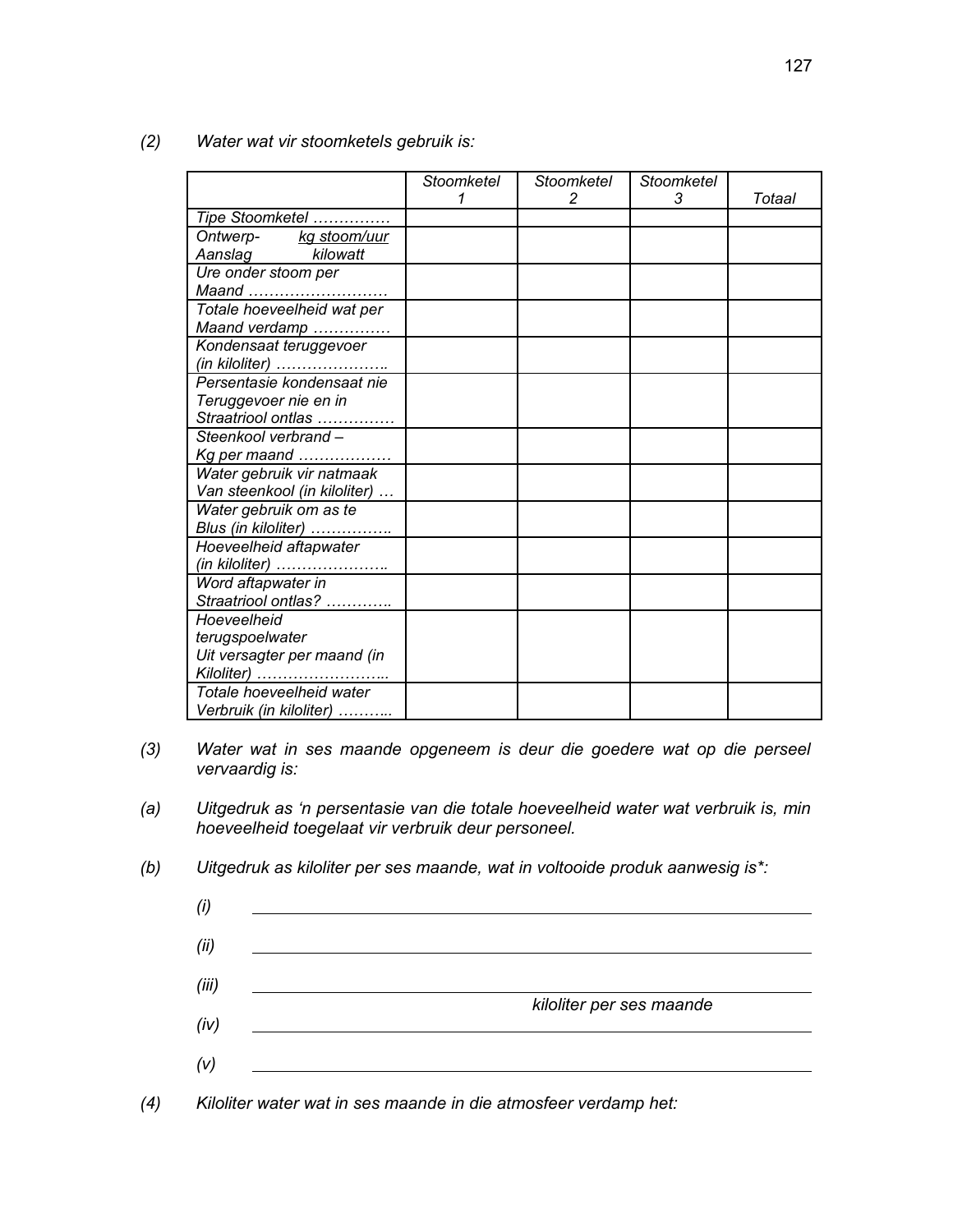|                                                                                                                            | Stoomketel<br>1 | Stoomketel<br>2 | Stoomketel<br>3 | Totaal |
|----------------------------------------------------------------------------------------------------------------------------|-----------------|-----------------|-----------------|--------|
| Tipe Stoomketel                                                                                                            |                 |                 |                 |        |
| Ontwerp-<br>Assolution of the Magnetic Street, the Magnetic Street, the Magnetic Street, the Magnetic Street, the Magnetic |                 |                 |                 |        |
| Aanslag kilowatt                                                                                                           |                 |                 |                 |        |
| Ure onder stoom per                                                                                                        |                 |                 |                 |        |
| Maand                                                                                                                      |                 |                 |                 |        |
| Totale hoeveelheid wat per                                                                                                 |                 |                 |                 |        |
| Maand verdamp                                                                                                              |                 |                 |                 |        |
| Kondensaat teruggevoer                                                                                                     |                 |                 |                 |        |
| (in kiloliter)                                                                                                             |                 |                 |                 |        |
| Persentasie kondensaat nie                                                                                                 |                 |                 |                 |        |
| Teruggevoer nie en in                                                                                                      |                 |                 |                 |        |
| Straatriool ontlas                                                                                                         |                 |                 |                 |        |
| Steenkool verbrand -                                                                                                       |                 |                 |                 |        |
| Kg per maand                                                                                                               |                 |                 |                 |        |
| Water gebruik vir natmaak                                                                                                  |                 |                 |                 |        |
| Van steenkool (in kiloliter)                                                                                               |                 |                 |                 |        |
| Water gebruik om as te                                                                                                     |                 |                 |                 |        |
| Blus (in kiloliter)                                                                                                        |                 |                 |                 |        |
| Hoeveelheid aftapwater                                                                                                     |                 |                 |                 |        |
| (in kiloliter)                                                                                                             |                 |                 |                 |        |
| Word aftapwater in                                                                                                         |                 |                 |                 |        |
| Straatriool ontlas?                                                                                                        |                 |                 |                 |        |
| Hoeveelheid                                                                                                                |                 |                 |                 |        |
| terugspoelwater                                                                                                            |                 |                 |                 |        |
| Uit versagter per maand (in                                                                                                |                 |                 |                 |        |
| Kiloliter)                                                                                                                 |                 |                 |                 |        |
| Totale hoeveelheid water                                                                                                   |                 |                 |                 |        |
| Verbruik (in kiloliter)                                                                                                    |                 |                 |                 |        |

*(2) Water wat vir stoomketels gebruik is:*

- *(3) Water wat in ses maande opgeneem is deur die goedere wat op die perseel vervaardig is:*
- *(a) Uitgedruk as 'n persentasie van die totale hoeveelheid water wat verbruik is, min hoeveelheid toegelaat vir verbruik deur personeel.*
- *(b) Uitgedruk as kiloliter per ses maande, wat in voltooide produk aanwesig is\*:*



*(4) Kiloliter water wat in ses maande in die atmosfeer verdamp het:*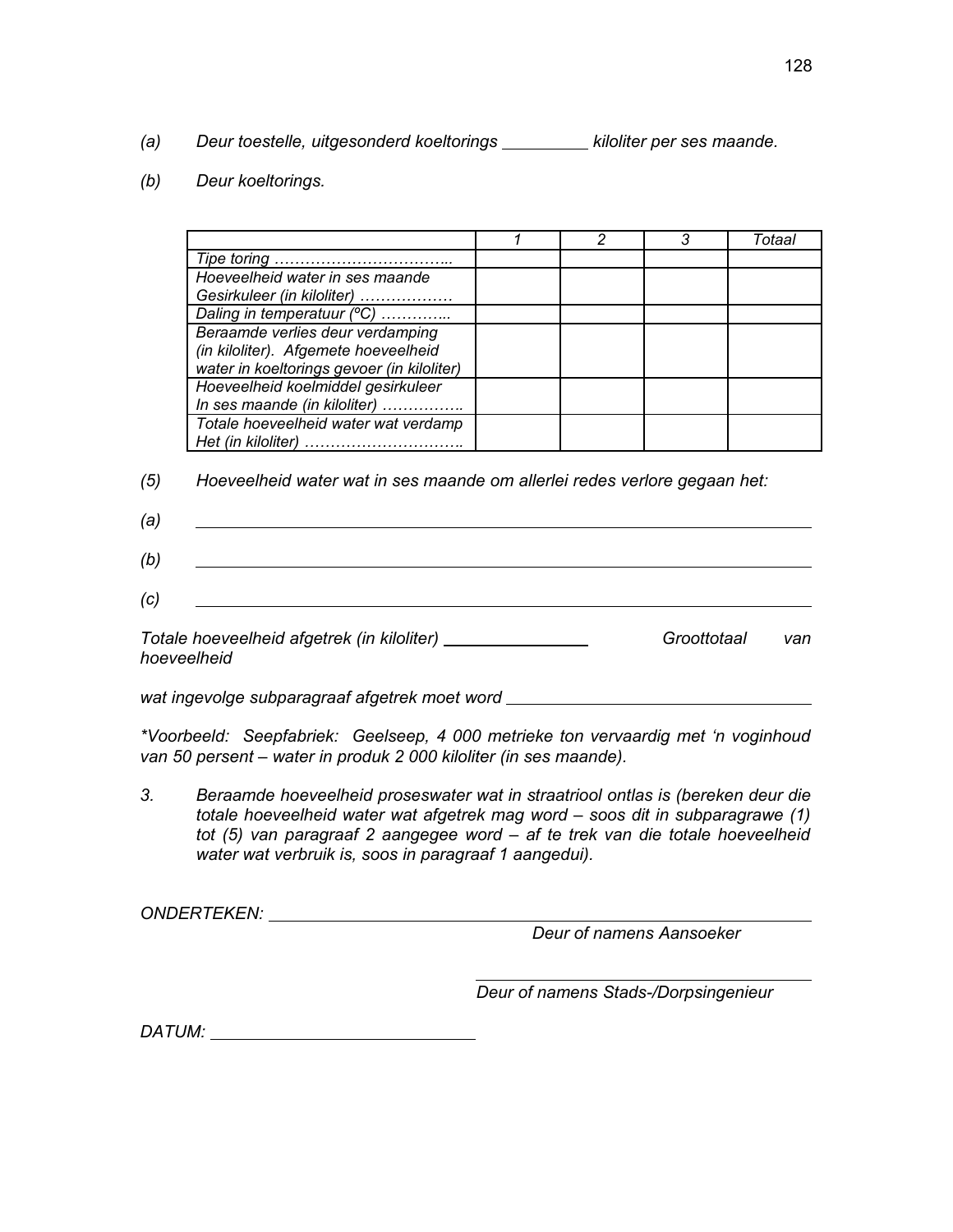- *(a)* Deur toestelle, uitgesonderd koeltorings \_\_\_\_\_\_\_\_\_ kiloliter per ses maande.
- *(b) Deur koeltorings.*

|                                            | っ | 3 | Totaal |
|--------------------------------------------|---|---|--------|
| Tipe toring                                |   |   |        |
| Hoeveelheid water in ses maande            |   |   |        |
| Gesirkuleer (in kiloliter)                 |   |   |        |
| Daling in temperatuur (°C)                 |   |   |        |
| Beraamde verlies deur verdamping           |   |   |        |
| (in kiloliter). Afgemete hoeveelheid       |   |   |        |
| water in koeltorings gevoer (in kiloliter) |   |   |        |
| Hoeveelheid koelmiddel gesirkuleer         |   |   |        |
| In ses maande (in kiloliter)               |   |   |        |
| Totale hoeveelheid water wat verdamp       |   |   |        |
| Het (in kiloliter)                         |   |   |        |

*(5) Hoeveelheid water wat in ses maande om allerlei redes verlore gegaan het:*

| (a) |  |
|-----|--|
| (b) |  |

*(c)* 

Totale hoeveelheid afgetrek (in kiloliter) \_\_\_\_\_\_\_\_\_\_\_\_\_\_\_\_\_\_\_\_\_\_\_\_\_\_\_\_Groottotaal van *hoeveelheid* 

*wat ingevolge subparagraaf afgetrek moet word* 

*\*Voorbeeld: Seepfabriek: Geelseep, 4 000 metrieke ton vervaardig met 'n voginhoud van 50 persent – water in produk 2 000 kiloliter (in ses maande).*

*3. Beraamde hoeveelheid proseswater wat in straatriool ontlas is (bereken deur die totale hoeveelheid water wat afgetrek mag word – soos dit in subparagrawe (1) tot (5) van paragraaf 2 aangegee word – af te trek van die totale hoeveelheid water wat verbruik is, soos in paragraaf 1 aangedui).*

*ONDERTEKEN:* 

*Deur of namens Aansoeker*

*Deur of namens Stads-/Dorpsingenieur*

*DATUM:*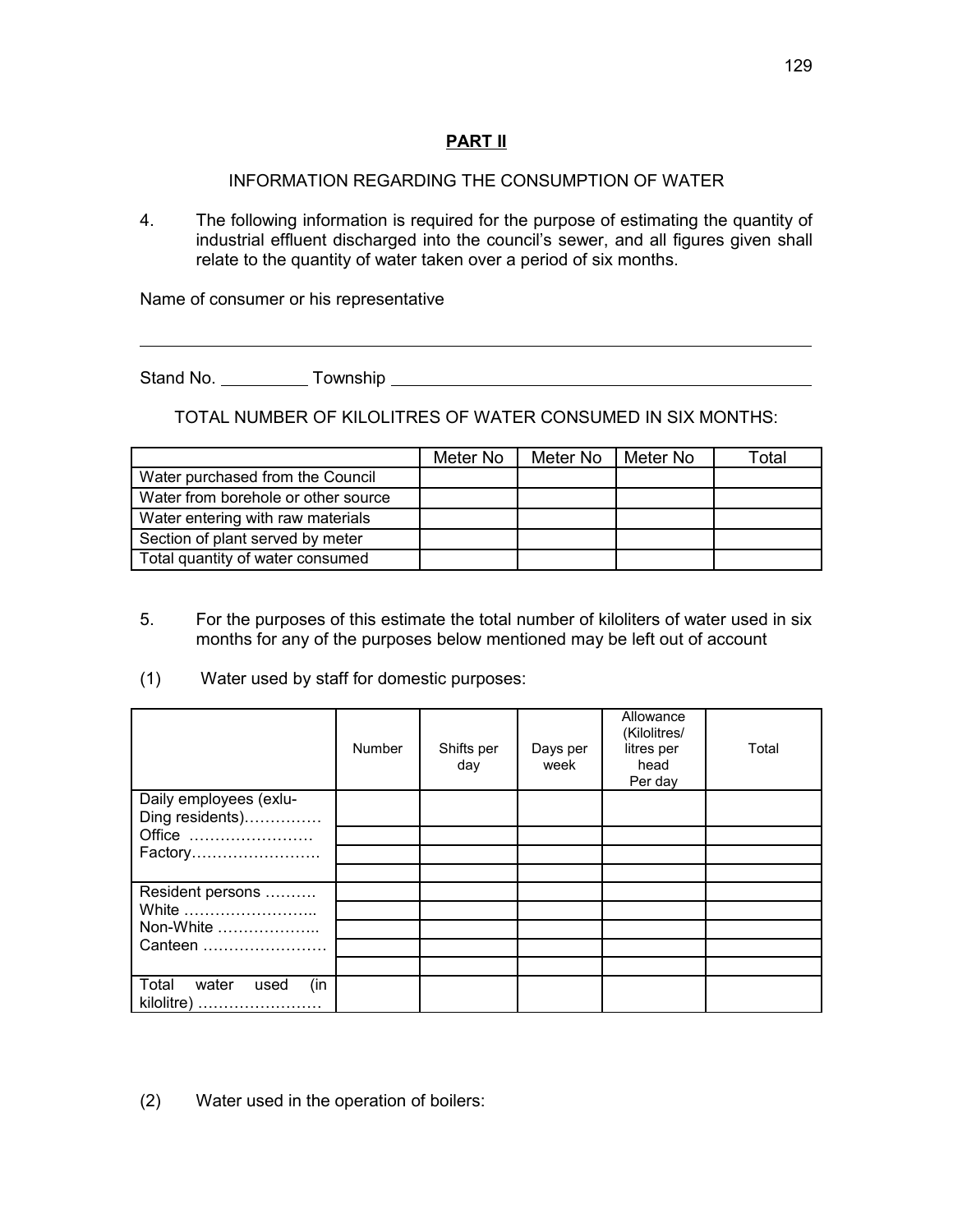# **PART II**

# INFORMATION REGARDING THE CONSUMPTION OF WATER

4. The following information is required for the purpose of estimating the quantity of industrial effluent discharged into the council's sewer, and all figures given shall relate to the quantity of water taken over a period of six months.

Name of consumer or his representative

Stand No. Township

 $\overline{a}$ 

TOTAL NUMBER OF KILOLITRES OF WATER CONSUMED IN SIX MONTHS:

|                                     | Meter No | Meter No | Meter No | Total |
|-------------------------------------|----------|----------|----------|-------|
| Water purchased from the Council    |          |          |          |       |
| Water from borehole or other source |          |          |          |       |
| Water entering with raw materials   |          |          |          |       |
| Section of plant served by meter    |          |          |          |       |
| Total quantity of water consumed    |          |          |          |       |

- 5. For the purposes of this estimate the total number of kiloliters of water used in six months for any of the purposes below mentioned may be left out of account
- (1) Water used by staff for domestic purposes:

|                                             | Number | Shifts per<br>day | Days per<br>week | Allowance<br>(Kilolitres/<br>litres per<br>head<br>Per day | Total |
|---------------------------------------------|--------|-------------------|------------------|------------------------------------------------------------|-------|
| Daily employees (exlu-                      |        |                   |                  |                                                            |       |
| Ding residents)                             |        |                   |                  |                                                            |       |
| Office                                      |        |                   |                  |                                                            |       |
| Factory                                     |        |                   |                  |                                                            |       |
|                                             |        |                   |                  |                                                            |       |
| Resident persons                            |        |                   |                  |                                                            |       |
| White                                       |        |                   |                  |                                                            |       |
| Non-White                                   |        |                   |                  |                                                            |       |
| Canteen                                     |        |                   |                  |                                                            |       |
|                                             |        |                   |                  |                                                            |       |
| Total<br>water<br>(in<br>used<br>kilolitre) |        |                   |                  |                                                            |       |

(2) Water used in the operation of boilers: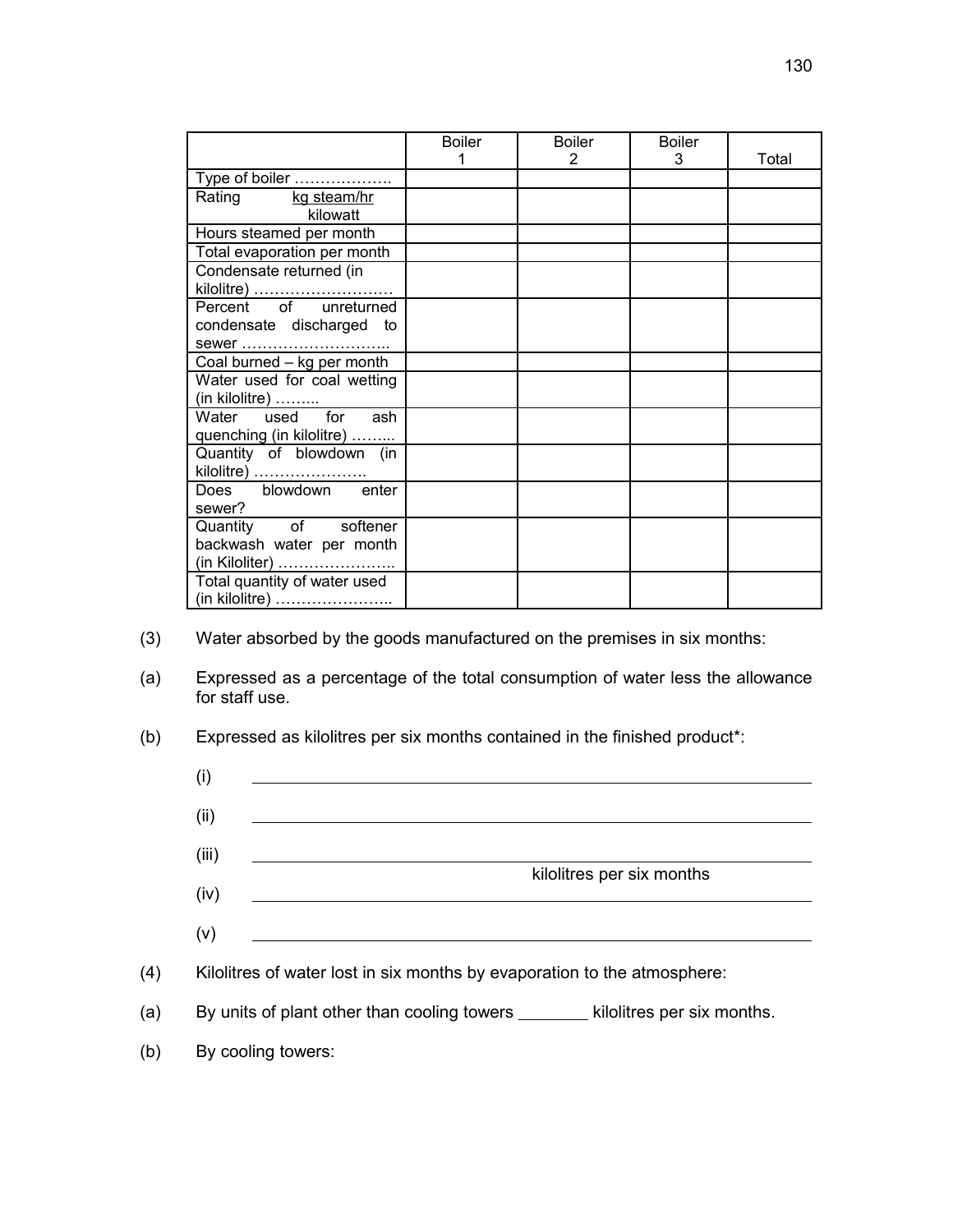|                              | <b>Boiler</b> | <b>Boiler</b> | <b>Boiler</b> |       |
|------------------------------|---------------|---------------|---------------|-------|
|                              |               | 2             | 3             | Total |
| Type of boiler               |               |               |               |       |
| Rating kg steam/hr           |               |               |               |       |
| kilowatt                     |               |               |               |       |
| Hours steamed per month      |               |               |               |       |
| Total evaporation per month  |               |               |               |       |
| Condensate returned (in      |               |               |               |       |
| kilolitre)                   |               |               |               |       |
| Percent of unreturned        |               |               |               |       |
| condensate discharged to     |               |               |               |       |
|                              |               |               |               |       |
| Coal burned - kg per month   |               |               |               |       |
| Water used for coal wetting  |               |               |               |       |
| (in kilolitre)               |               |               |               |       |
| Water used for ash           |               |               |               |       |
| quenching (in kilolitre)     |               |               |               |       |
| Quantity of blowdown (in     |               |               |               |       |
| kilolitre)                   |               |               |               |       |
| Does blowdown enter          |               |               |               |       |
| sewer?                       |               |               |               |       |
| Quantity of softener         |               |               |               |       |
| backwash water per month     |               |               |               |       |
|                              |               |               |               |       |
| Total quantity of water used |               |               |               |       |
| (in kilolitre)               |               |               |               |       |

- (3) Water absorbed by the goods manufactured on the premises in six months:
- (a) Expressed as a percentage of the total consumption of water less the allowance for staff use.
- (b) Expressed as kilolitres per six months contained in the finished product\*:
	- (i) <u> 1989 - Johann John Stone, mars et al. (1989)</u>
	- (iii)
	- kilolitres per six months
	- (iv)
	- (v)
- (4) Kilolitres of water lost in six months by evaporation to the atmosphere:
- (a) By units of plant other than cooling towers  $\frac{1}{\sqrt{1-\frac{1}{n}}}$  kilolitres per six months.
- (b) By cooling towers:

(ii)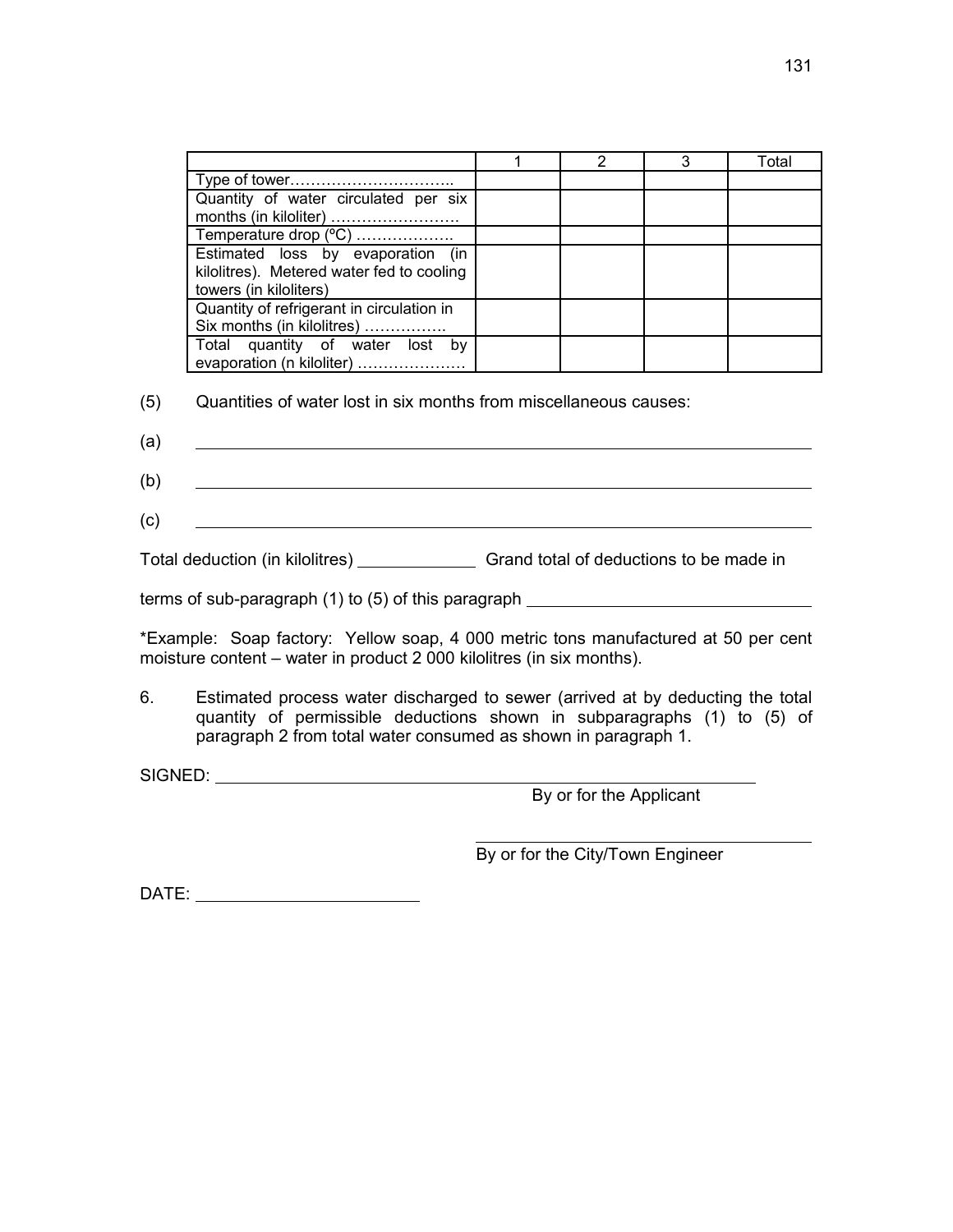|                                           |  | Total |
|-------------------------------------------|--|-------|
|                                           |  |       |
| Quantity of water circulated per six      |  |       |
| months (in kiloliter)                     |  |       |
| Temperature drop (°C)                     |  |       |
| Estimated loss by evaporation (in         |  |       |
| kilolitres). Metered water fed to cooling |  |       |
| towers (in kiloliters)                    |  |       |
| Quantity of refrigerant in circulation in |  |       |
| Six months (in kilolitres)                |  |       |
| Total quantity of water lost<br>bv        |  |       |
| evaporation (n kiloliter)                 |  |       |

- (5) Quantities of water lost in six months from miscellaneous causes:
- (a) <u> 1989 - Johann Harry Harry Harry Harry Harry Harry Harry Harry Harry Harry Harry Harry Harry Harry Harry Harry</u>
- (b)
- (c)

Total deduction (in kilolitres) \_\_\_\_\_\_\_\_\_\_\_\_\_\_\_\_\_\_\_ Grand total of deductions to be made in

terms of sub-paragraph (1) to (5) of this paragraph \_\_\_\_\_\_\_\_\_\_\_\_\_\_\_\_\_\_\_\_\_\_\_\_\_\_\_\_\_

\*Example: Soap factory: Yellow soap, 4 000 metric tons manufactured at 50 per cent moisture content – water in product 2 000 kilolitres (in six months).

6. Estimated process water discharged to sewer (arrived at by deducting the total quantity of permissible deductions shown in subparagraphs (1) to (5) of paragraph 2 from total water consumed as shown in paragraph 1.

SIGNED:

By or for the Applicant

 $\overline{a}$ By or for the City/Town Engineer

DATE: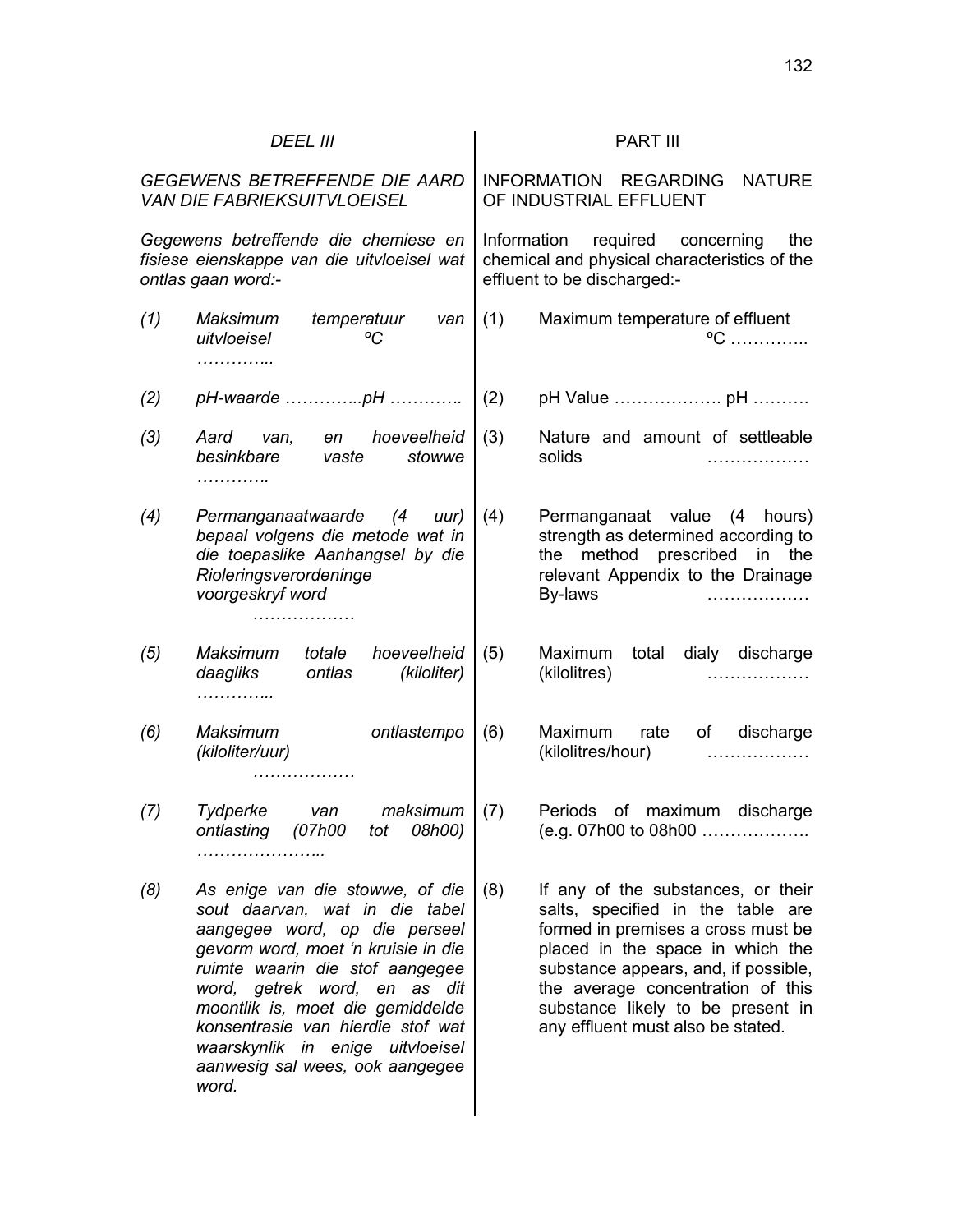| <b>DEEL III</b>                                                                                                                                                                                                                                                                                                                                                              | <b>PART III</b>                                                                                                                                                                                                                                                                                                 |
|------------------------------------------------------------------------------------------------------------------------------------------------------------------------------------------------------------------------------------------------------------------------------------------------------------------------------------------------------------------------------|-----------------------------------------------------------------------------------------------------------------------------------------------------------------------------------------------------------------------------------------------------------------------------------------------------------------|
| GEGEWENS BETREFFENDE DIE AARD<br><b>VAN DIE FABRIEKSUITVLOEISEL</b>                                                                                                                                                                                                                                                                                                          | INFORMATION REGARDING<br><b>NATURE</b><br>OF INDUSTRIAL EFFLUENT                                                                                                                                                                                                                                                |
| Gegewens betreffende die chemiese en<br>fisiese eienskappe van die uitvloeisel wat<br>ontlas gaan word:-                                                                                                                                                                                                                                                                     | Information<br>required concerning<br>the<br>chemical and physical characteristics of the<br>effluent to be discharged:-                                                                                                                                                                                        |
| (1)<br><b>Maksimum</b><br>temperatuur<br>van<br>°C<br>uitvloeisel<br>.                                                                                                                                                                                                                                                                                                       | Maximum temperature of effluent<br>(1)<br>$^{\circ}C$                                                                                                                                                                                                                                                           |
| (2)                                                                                                                                                                                                                                                                                                                                                                          | (2)                                                                                                                                                                                                                                                                                                             |
| en hoeveelheid<br>(3)<br>Aard van,<br>besinkbare<br>stowwe<br>vaste<br>.                                                                                                                                                                                                                                                                                                     | (3)<br>Nature and amount of settleable<br>solids<br>.                                                                                                                                                                                                                                                           |
| Permanganaatwaarde (4 uur)<br>(4)<br>bepaal volgens die metode wat in<br>die toepaslike Aanhangsel by die<br>Rioleringsverordeninge<br>voorgeskryf word                                                                                                                                                                                                                      | (4)<br>Permanganaat value (4 hours)<br>strength as determined according to<br>the method prescribed in the<br>relevant Appendix to the Drainage<br>By-laws                                                                                                                                                      |
| Maksimum<br>hoeveelheid<br>(5)<br>totale<br>daagliks<br>ontlas<br>(kiloliter)<br>.                                                                                                                                                                                                                                                                                           | (5)<br>Maximum<br>total<br>dialy discharge<br>(kilolitres)                                                                                                                                                                                                                                                      |
| <b>Maksimum</b><br>ontlastempo<br>(6)<br>(kiloliter/uur)<br>.                                                                                                                                                                                                                                                                                                                | (6)<br>of discharge<br>Maximum<br>rate<br>(kilolitres/hour)                                                                                                                                                                                                                                                     |
| Tydperke<br>maksimum<br>(7)<br>van<br>ontlasting (07h00 tot 08h00)<br>.                                                                                                                                                                                                                                                                                                      | (7)<br>of maximum discharge<br>Periods<br>(e.g. 07h00 to 08h00                                                                                                                                                                                                                                                  |
| (8)<br>As enige van die stowwe, of die<br>sout daarvan, wat in die tabel<br>aangegee word, op die perseel<br>gevorm word, moet 'n kruisie in die<br>ruimte waarin die stof aangegee<br>word, getrek word, en as dit<br>moontlik is, moet die gemiddelde<br>konsentrasie van hierdie stof wat<br>waarskynlik in enige uitvloeisel<br>aanwesig sal wees, ook aangegee<br>word. | (8)<br>If any of the substances, or their<br>salts, specified in the table are<br>formed in premises a cross must be<br>placed in the space in which the<br>substance appears, and, if possible,<br>the average concentration of this<br>substance likely to be present in<br>any effluent must also be stated. |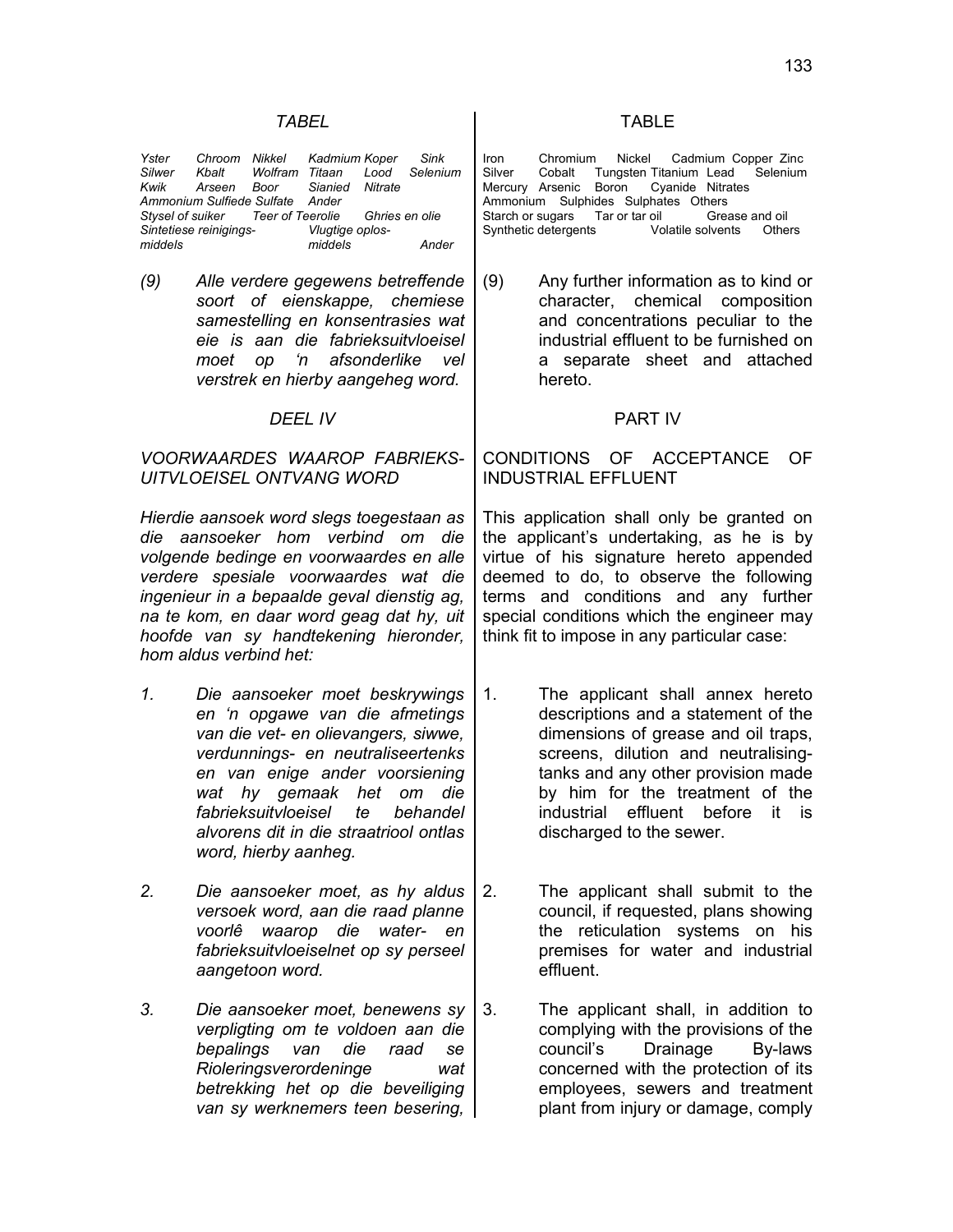| Yster   |                        |                                 | Chroom Nikkel Kadmium Koper Sink                 |       |
|---------|------------------------|---------------------------------|--------------------------------------------------|-------|
|         |                        |                                 | Silwer Kbalt Wolfram Titaan Lood Selenium        |       |
|         |                        |                                 | Kwik Arseen Boor Sianied Nitrate                 |       |
|         |                        | Ammonium Sulfiede Sulfate Ander |                                                  |       |
|         |                        |                                 | Stysel of suiker Teer of Teerolie Ghries en olie |       |
|         | Sintetiese reinigings- |                                 | Vlugtige oplos-                                  |       |
| middels |                        |                                 | middels                                          | Ander |

*(9) Alle verdere gegewens betreffende soort of eienskappe, chemiese samestelling en konsentrasies wat eie is aan die fabrieksuitvloeisel moet op 'n afsonderlike vel verstrek en hierby aangeheg word.*

#### *DEEL IV* PART IV

### *VOORWAARDES WAAROP FABRIEKS-UITVLOEISEL ONTVANG WORD*

*Hierdie aansoek word slegs toegestaan as die aansoeker hom verbind om die volgende bedinge en voorwaardes en alle verdere spesiale voorwaardes wat die ingenieur in a bepaalde geval dienstig ag, na te kom, en daar word geag dat hy, uit hoofde van sy handtekening hieronder, hom aldus verbind het:*

- *1. Die aansoeker moet beskrywings en 'n opgawe van die afmetings van die vet- en olievangers, siwwe, verdunnings- en neutraliseertenks en van enige ander voorsiening wat hy gemaak het om die fabrieksuitvloeisel te behandel alvorens dit in die straatriool ontlas word, hierby aanheg.*
- *2. Die aansoeker moet, as hy aldus versoek word, aan die raad planne voorlê waarop die water- en fabrieksuitvloeiselnet op sy perseel aangetoon word.*
- *3. Die aansoeker moet, benewens sy verpligting om te voldoen aan die bepalings van die raad se Rioleringsverordeninge wat betrekking het op die beveiliging van sy werknemers teen besering,*

### *TABEL* TABLE

Iron Chromium Nickel Cadmium Copper Zinc Silver Cobalt Tungsten Titanium Lead Selenium Mercury Arsenic Boron Cyanide Nitrates Ammonium Sulphides Sulphates Others Starch or sugars Tar or tar oil Grease and oil<br>Synthetic detergents Volatile solvents Other Synthetic detergents Volatile solvents Others

(9) Any further information as to kind or character, chemical composition and concentrations peculiar to the industrial effluent to be furnished on a separate sheet and attached hereto.

# CONDITIONS OF ACCEPTANCE OF INDUSTRIAL EFFLUENT

This application shall only be granted on the applicant's undertaking, as he is by virtue of his signature hereto appended deemed to do, to observe the following terms and conditions and any further special conditions which the engineer may think fit to impose in any particular case:

- 1. The applicant shall annex hereto descriptions and a statement of the dimensions of grease and oil traps, screens, dilution and neutralisingtanks and any other provision made by him for the treatment of the industrial effluent before it is discharged to the sewer.
- 2. The applicant shall submit to the council, if requested, plans showing the reticulation systems on his premises for water and industrial effluent.
- 3. The applicant shall, in addition to complying with the provisions of the council's Drainage By-laws concerned with the protection of its employees, sewers and treatment plant from injury or damage, comply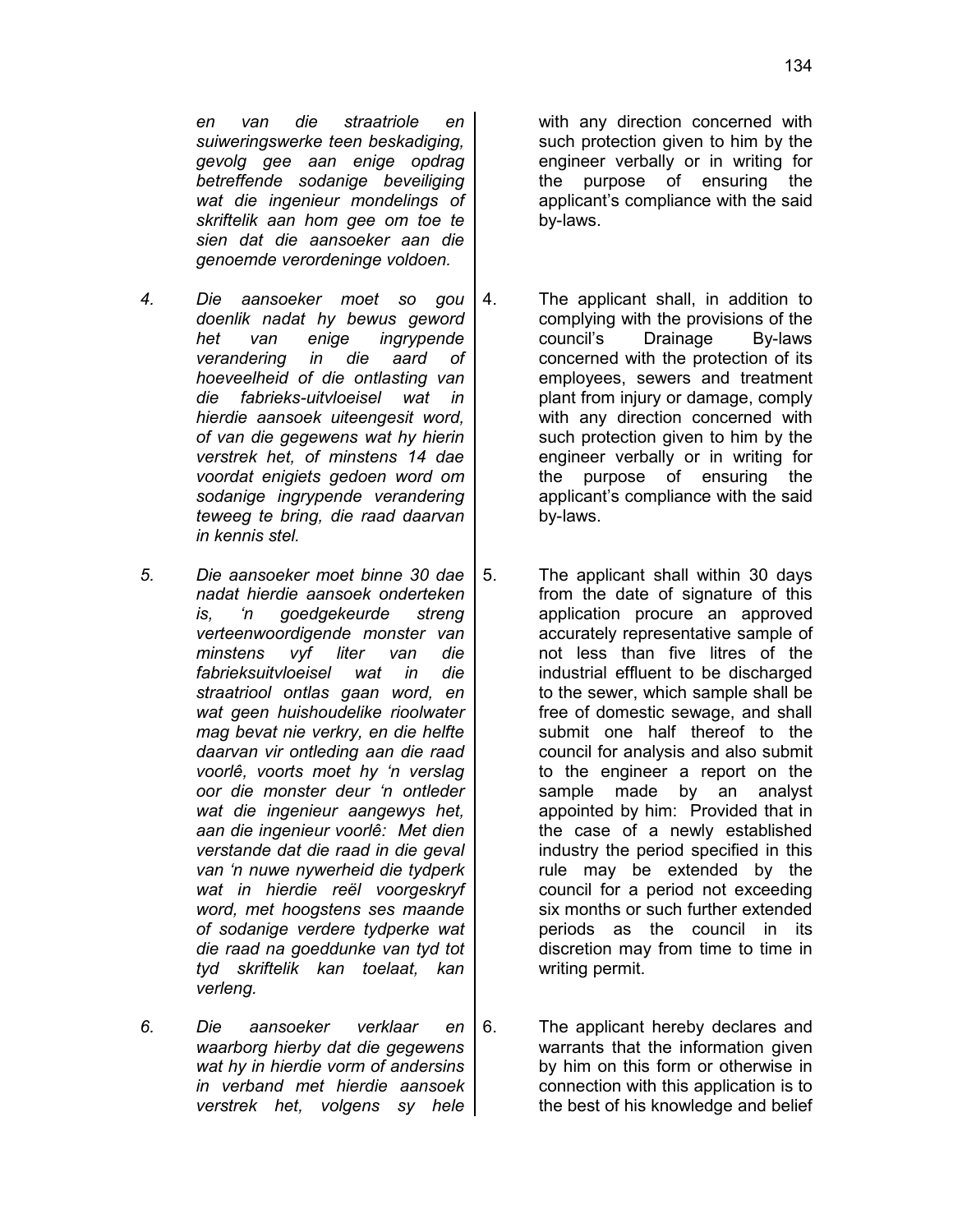*en van die straatriole en suiweringswerke teen beskadiging, gevolg gee aan enige opdrag betreffende sodanige beveiliging wat die ingenieur mondelings of skriftelik aan hom gee om toe te sien dat die aansoeker aan die genoemde verordeninge voldoen.*

- *4. Die aansoeker moet so gou doenlik nadat hy bewus geword het van enige ingrypende verandering in die aard of hoeveelheid of die ontlasting van die fabrieks-uitvloeisel wat in hierdie aansoek uiteengesit word, of van die gegewens wat hy hierin verstrek het, of minstens 14 dae voordat enigiets gedoen word om sodanige ingrypende verandering teweeg te bring, die raad daarvan in kennis stel.*
- *5. Die aansoeker moet binne 30 dae nadat hierdie aansoek onderteken is, 'n goedgekeurde streng verteenwoordigende monster van minstens vyf liter van die fabrieksuitvloeisel wat in die straatriool ontlas gaan word, en wat geen huishoudelike rioolwater mag bevat nie verkry, en die helfte daarvan vir ontleding aan die raad voorlê, voorts moet hy 'n verslag oor die monster deur 'n ontleder wat die ingenieur aangewys het, aan die ingenieur voorlê: Met dien verstande dat die raad in die geval van 'n nuwe nywerheid die tydperk wat in hierdie reël voorgeskryf word, met hoogstens ses maande of sodanige verdere tydperke wat die raad na goeddunke van tyd tot tyd skriftelik kan toelaat, kan verleng.*
- *6. Die aansoeker verklaar en waarborg hierby dat die gegewens wat hy in hierdie vorm of andersins in verband met hierdie aansoek verstrek het, volgens sy hele*

with any direction concerned with such protection given to him by the engineer verbally or in writing for the purpose of ensuring the applicant's compliance with the said by-laws.

- 4. The applicant shall, in addition to complying with the provisions of the council's Drainage By-laws concerned with the protection of its employees, sewers and treatment plant from injury or damage, comply with any direction concerned with such protection given to him by the engineer verbally or in writing for the purpose of ensuring the applicant's compliance with the said by-laws.
- 5. The applicant shall within 30 days from the date of signature of this application procure an approved accurately representative sample of not less than five litres of the industrial effluent to be discharged to the sewer, which sample shall be free of domestic sewage, and shall submit one half thereof to the council for analysis and also submit to the engineer a report on the sample made by an analyst appointed by him: Provided that in the case of a newly established industry the period specified in this rule may be extended by the council for a period not exceeding six months or such further extended periods as the council in its discretion may from time to time in writing permit.
- 6. The applicant hereby declares and warrants that the information given by him on this form or otherwise in connection with this application is to the best of his knowledge and belief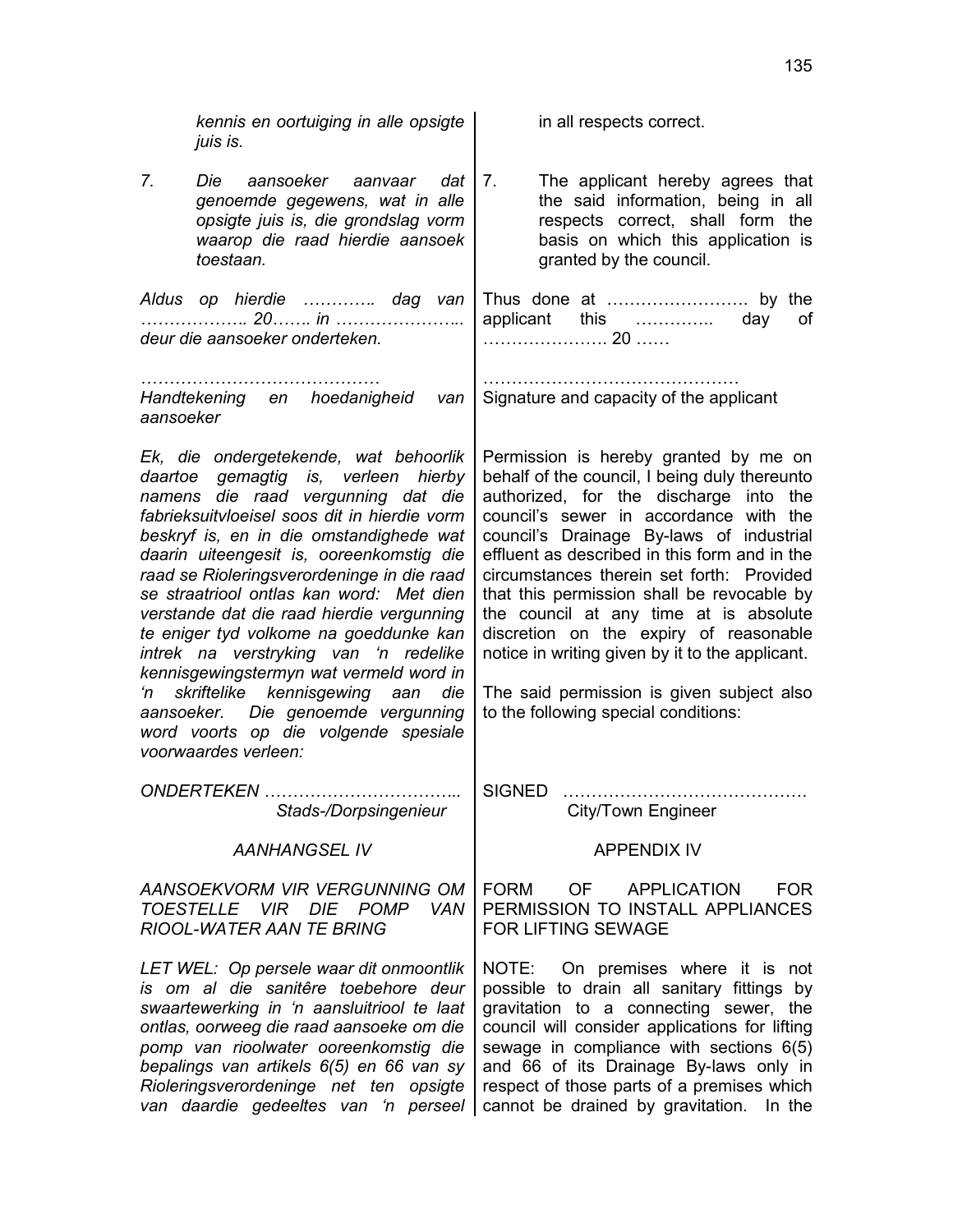| kennis en oortuiging in alle opsigte<br>juis is.                                                                                                                                                                                                                                                                                                                                                                                                                                                                                                                                                                                                                                  | in all respects correct.                                                                                                                                                                                                                                                                                                                                                                                                                                                                                                                                                                       |
|-----------------------------------------------------------------------------------------------------------------------------------------------------------------------------------------------------------------------------------------------------------------------------------------------------------------------------------------------------------------------------------------------------------------------------------------------------------------------------------------------------------------------------------------------------------------------------------------------------------------------------------------------------------------------------------|------------------------------------------------------------------------------------------------------------------------------------------------------------------------------------------------------------------------------------------------------------------------------------------------------------------------------------------------------------------------------------------------------------------------------------------------------------------------------------------------------------------------------------------------------------------------------------------------|
| 7.<br>Die<br>aansoeker aanvaar dat<br>genoemde gegewens, wat in alle<br>opsigte juis is, die grondslag vorm<br>waarop die raad hierdie aansoek<br>toestaan.                                                                                                                                                                                                                                                                                                                                                                                                                                                                                                                       | The applicant hereby agrees that<br>7.<br>the said information, being in all<br>respects correct, shall form the<br>basis on which this application is<br>granted by the council.                                                                                                                                                                                                                                                                                                                                                                                                              |
| Aldus op hierdie  dag van<br>20 in<br>deur die aansoeker onderteken.                                                                                                                                                                                                                                                                                                                                                                                                                                                                                                                                                                                                              | applicant this  day<br>of                                                                                                                                                                                                                                                                                                                                                                                                                                                                                                                                                                      |
| Handtekening en hoedanigheid van<br>aansoeker                                                                                                                                                                                                                                                                                                                                                                                                                                                                                                                                                                                                                                     | Signature and capacity of the applicant                                                                                                                                                                                                                                                                                                                                                                                                                                                                                                                                                        |
| Ek, die ondergetekende, wat behoorlik<br>daartoe gemagtig is, verleen hierby<br>namens die raad vergunning dat die<br>fabrieksuitvloeisel soos dit in hierdie vorm<br>beskryf is, en in die omstandighede wat<br>daarin uiteengesit is, ooreenkomstig die<br>raad se Rioleringsverordeninge in die raad<br>se straatriool ontlas kan word: Met dien<br>verstande dat die raad hierdie vergunning<br>te eniger tyd volkome na goeddunke kan<br>intrek na verstryking van 'n redelike<br>kennisgewingstermyn wat vermeld word in<br>skriftelike kennisgewing aan<br>'n<br>die<br>aansoeker. Die genoemde vergunning<br>word voorts op die volgende spesiale<br>voorwaardes verleen: | Permission is hereby granted by me on<br>behalf of the council, I being duly thereunto<br>authorized, for the discharge into the<br>council's sewer in accordance with the<br>council's Drainage By-laws of industrial<br>effluent as described in this form and in the<br>circumstances therein set forth: Provided<br>that this permission shall be revocable by<br>the council at any time at is absolute<br>discretion on the expiry of reasonable<br>notice in writing given by it to the applicant.<br>The said permission is given subject also<br>to the following special conditions: |
| Stads-/Dorpsingenieur                                                                                                                                                                                                                                                                                                                                                                                                                                                                                                                                                                                                                                                             | City/Town Engineer                                                                                                                                                                                                                                                                                                                                                                                                                                                                                                                                                                             |
| <b>AANHANGSEL IV</b>                                                                                                                                                                                                                                                                                                                                                                                                                                                                                                                                                                                                                                                              | <b>APPENDIX IV</b>                                                                                                                                                                                                                                                                                                                                                                                                                                                                                                                                                                             |
| AANSOEKVORM VIR VERGUNNING OM<br>TOESTELLE VIR DIE POMP<br>VAN<br><b>RIOOL-WATER AAN TE BRING</b>                                                                                                                                                                                                                                                                                                                                                                                                                                                                                                                                                                                 | <b>FORM</b><br>OF a<br><b>APPLICATION</b><br><b>FOR</b><br>PERMISSION TO INSTALL APPLIANCES<br>FOR LIFTING SEWAGE                                                                                                                                                                                                                                                                                                                                                                                                                                                                              |
| LET WEL: Op persele waar dit onmoontlik<br>is om al die sanitêre toebehore deur<br>swaartewerking in 'n aansluitriool te laat<br>ontlas, oorweeg die raad aansoeke om die<br>pomp van rioolwater ooreenkomstig die<br>bepalings van artikels 6(5) en 66 van sy<br>Rioleringsverordeninge net ten opsigte<br>van daardie gedeeltes van 'n perseel                                                                                                                                                                                                                                                                                                                                  | NOTE: On premises where it is not<br>possible to drain all sanitary fittings by<br>gravitation to a connecting sewer, the<br>council will consider applications for lifting<br>sewage in compliance with sections 6(5)<br>and 66 of its Drainage By-laws only in<br>respect of those parts of a premises which<br>cannot be drained by gravitation. In the                                                                                                                                                                                                                                     |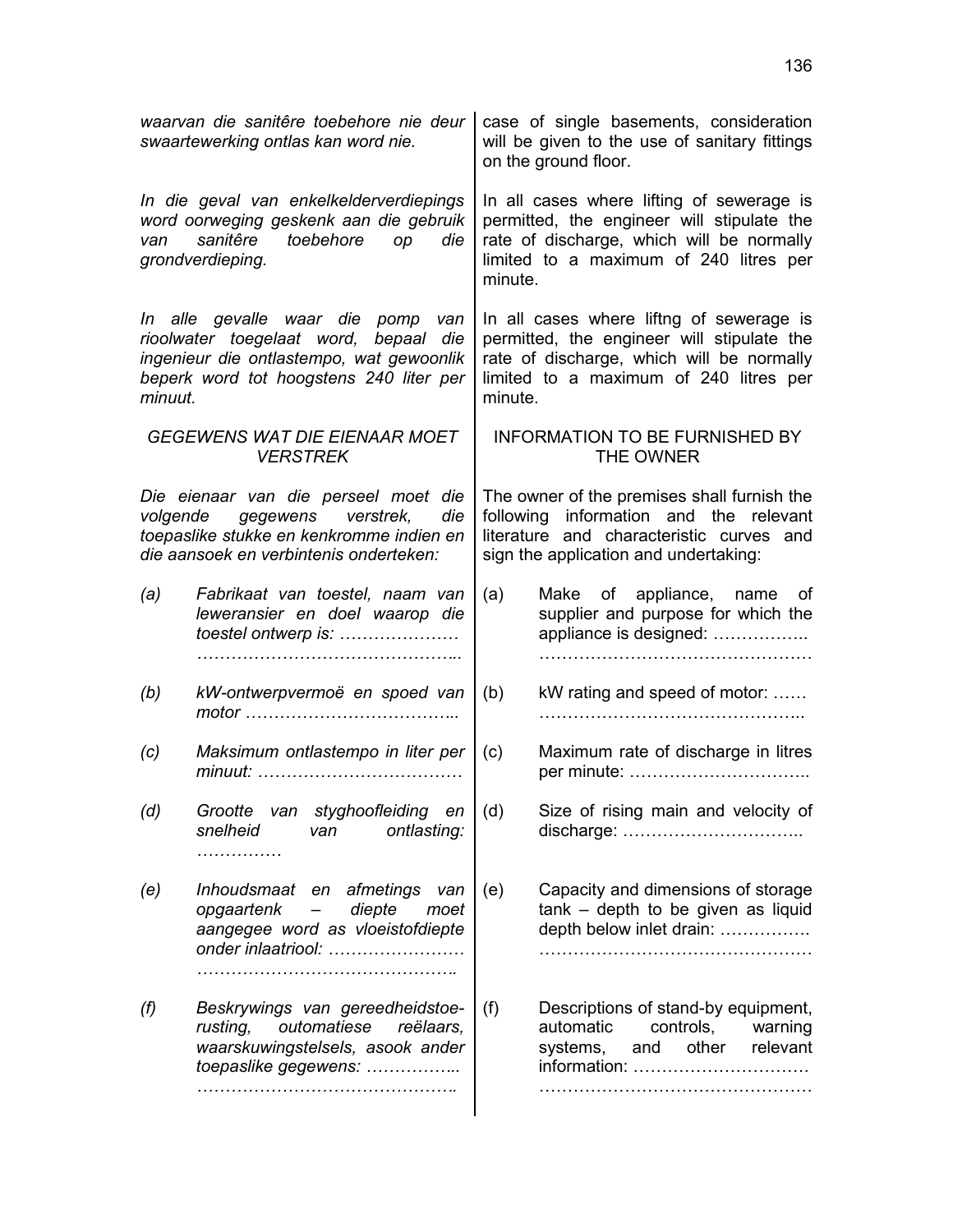| waarvan die sanitêre toebehore nie deur<br>swaartewerking ontlas kan word nie.                                                                     |                                                                                                                                                                   |                                                                                                                                                                                          | case of single basements, consideration<br>will be given to the use of sanitary fittings<br>on the ground floor.                                                                          |  |
|----------------------------------------------------------------------------------------------------------------------------------------------------|-------------------------------------------------------------------------------------------------------------------------------------------------------------------|------------------------------------------------------------------------------------------------------------------------------------------------------------------------------------------|-------------------------------------------------------------------------------------------------------------------------------------------------------------------------------------------|--|
| In die geval van enkelkelderverdiepings<br>word oorweging geskenk aan die gebruik<br>sanitêre<br>toebehore<br>op<br>die<br>van<br>grondverdieping. |                                                                                                                                                                   |                                                                                                                                                                                          | In all cases where lifting of sewerage is<br>permitted, the engineer will stipulate the<br>rate of discharge, which will be normally<br>limited to a maximum of 240 litres per<br>minute. |  |
| minuut.                                                                                                                                            | In alle gevalle waar die pomp van<br>rioolwater toegelaat word, bepaal die<br>ingenieur die ontlastempo, wat gewoonlik<br>beperk word tot hoogstens 240 liter per | In all cases where liftng of sewerage is<br>permitted, the engineer will stipulate the<br>rate of discharge, which will be normally<br>limited to a maximum of 240 litres per<br>minute. |                                                                                                                                                                                           |  |
|                                                                                                                                                    | <b>GEGEWENS WAT DIE EIENAAR MOET</b><br><b>VERSTREK</b>                                                                                                           |                                                                                                                                                                                          | <b>INFORMATION TO BE FURNISHED BY</b><br>THE OWNER                                                                                                                                        |  |
|                                                                                                                                                    | Die eienaar van die perseel moet die<br>volgende gegewens verstrek,<br>die<br>toepaslike stukke en kenkromme indien en<br>die aansoek en verbintenis onderteken:  |                                                                                                                                                                                          | The owner of the premises shall furnish the<br>following information and the relevant<br>literature and characteristic curves and<br>sign the application and undertaking:                |  |
| (a)                                                                                                                                                | Fabrikaat van toestel, naam van<br>leweransier en doel waarop die<br>toestel ontwerp is:                                                                          | (a)                                                                                                                                                                                      | Make of appliance, name of<br>supplier and purpose for which the<br>appliance is designed:                                                                                                |  |
| (b)                                                                                                                                                | kW-ontwerpvermoë en spoed van                                                                                                                                     | (b)                                                                                                                                                                                      | kW rating and speed of motor:                                                                                                                                                             |  |
| (c)                                                                                                                                                | Maksimum ontlastempo in liter per                                                                                                                                 | (c)                                                                                                                                                                                      | Maximum rate of discharge in litres                                                                                                                                                       |  |
| (d)                                                                                                                                                | Grootte<br>van styghoofleiding en<br>snelheid<br>ontlasting:<br>van<br>.                                                                                          | (d)                                                                                                                                                                                      | Size of rising main and velocity of                                                                                                                                                       |  |
| (e)                                                                                                                                                | Inhoudsmaat en afmetings<br>van<br>diepte<br>opgaartenk<br>moet<br>aangegee word as vloeistofdiepte<br>onder inlaatriool:                                         | (e)                                                                                                                                                                                      | Capacity and dimensions of storage<br>tank - depth to be given as liquid<br>depth below inlet drain:                                                                                      |  |
| (f)                                                                                                                                                | Beskrywings van gereedheidstoe-<br>outomatiese<br>rusting,<br>reëlaars,<br>waarskuwingstelsels, asook ander<br>toepaslike gegewens:                               | (f)                                                                                                                                                                                      | Descriptions of stand-by equipment,<br>controls,<br>automatic<br>warning<br>other<br>systems,<br>relevant<br>and<br>information:                                                          |  |
|                                                                                                                                                    |                                                                                                                                                                   |                                                                                                                                                                                          |                                                                                                                                                                                           |  |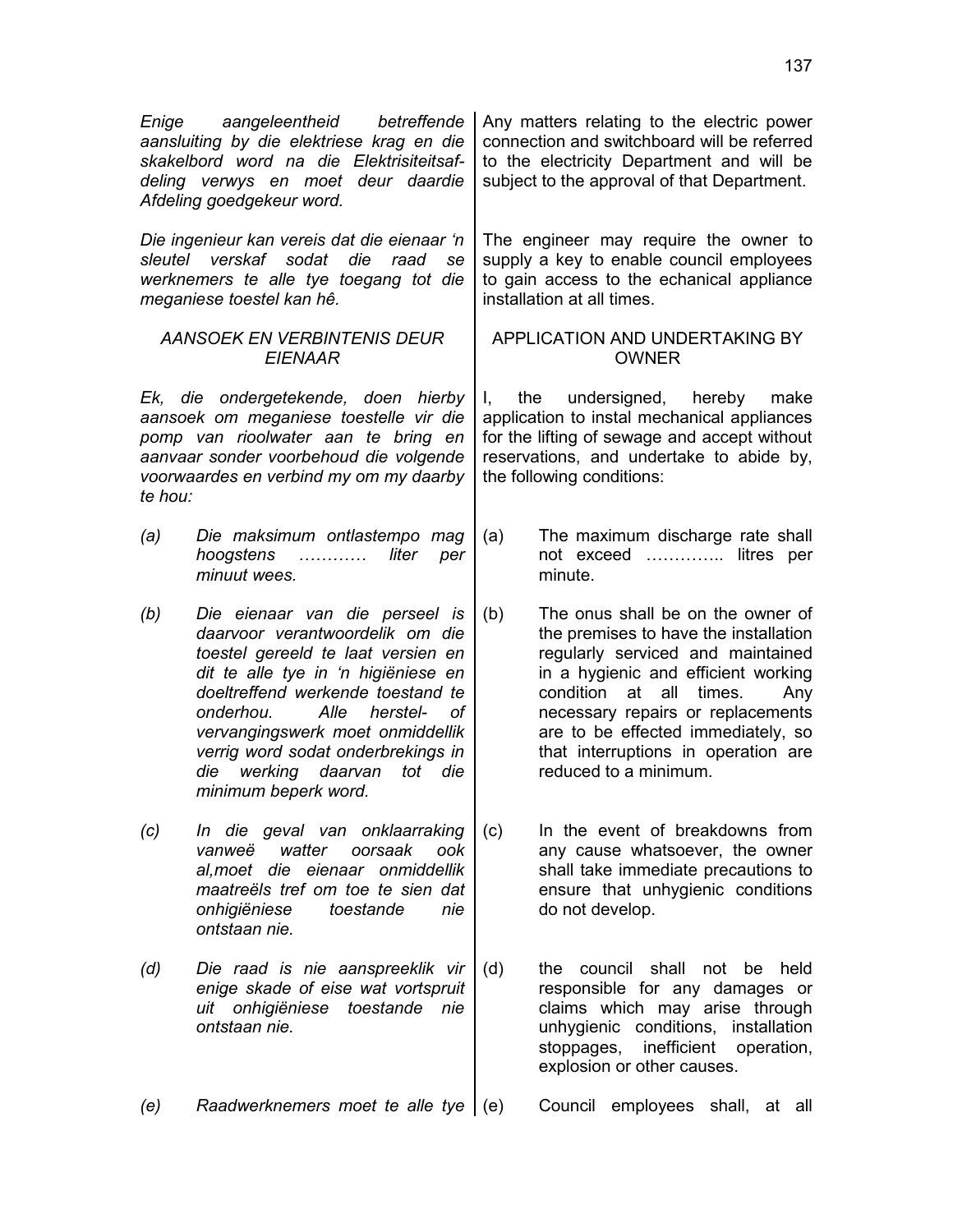| Enige                                                                                                                                                                                                               | aangeleentheid<br>betreffende<br>aansluiting by die elektriese krag en die<br>skakelbord word na die Elektrisiteitsaf-<br>deling verwys en moet deur daardie<br>Afdeling goedgekeur word.                                                                                                                                                                            |           | Any matters relating to the electric power<br>connection and switchboard will be referred<br>to the electricity Department and will be<br>subject to the approval of that Department.                                                                                                                                                        |
|---------------------------------------------------------------------------------------------------------------------------------------------------------------------------------------------------------------------|----------------------------------------------------------------------------------------------------------------------------------------------------------------------------------------------------------------------------------------------------------------------------------------------------------------------------------------------------------------------|-----------|----------------------------------------------------------------------------------------------------------------------------------------------------------------------------------------------------------------------------------------------------------------------------------------------------------------------------------------------|
| sleutel                                                                                                                                                                                                             | Die ingenieur kan vereis dat die eienaar 'n<br>verskaf<br>sodat<br>die<br>raad<br>se<br>werknemers te alle tye toegang tot die<br>meganiese toestel kan hê.                                                                                                                                                                                                          |           | The engineer may require the owner to<br>supply a key to enable council employees<br>to gain access to the echanical appliance<br>installation at all times.                                                                                                                                                                                 |
|                                                                                                                                                                                                                     | <b>AANSOEK EN VERBINTENIS DEUR</b><br><b>EIENAAR</b>                                                                                                                                                                                                                                                                                                                 |           | APPLICATION AND UNDERTAKING BY<br><b>OWNER</b>                                                                                                                                                                                                                                                                                               |
| Ek, die ondergetekende, doen hierby<br>aansoek om meganiese toestelle vir die<br>pomp van rioolwater aan te bring en<br>aanvaar sonder voorbehoud die volgende<br>voorwaardes en verbind my om my daarby<br>te hou: |                                                                                                                                                                                                                                                                                                                                                                      | the<br>I. | undersigned, hereby<br>make<br>application to instal mechanical appliances<br>for the lifting of sewage and accept without<br>reservations, and undertake to abide by,<br>the following conditions:                                                                                                                                          |
| (a)                                                                                                                                                                                                                 | Die maksimum ontlastempo mag<br>hoogstens<br>liter<br>per<br>.<br>minuut wees.                                                                                                                                                                                                                                                                                       | (a)       | The maximum discharge rate shall<br>not exceed  litres per<br>minute.                                                                                                                                                                                                                                                                        |
| (b)                                                                                                                                                                                                                 | Die eienaar van die perseel is<br>daarvoor verantwoordelik om die<br>toestel gereeld te laat versien en<br>dit te alle tye in 'n higiëniese en<br>doeltreffend werkende toestand te<br>onderhou.<br>Alle<br>herstel-<br>оf<br>vervangingswerk moet onmiddellik<br>verrig word sodat onderbrekings in<br>werking daarvan<br>tot<br>die<br>die<br>minimum beperk word. | (b)       | The onus shall be on the owner of<br>the premises to have the installation<br>regularly serviced and maintained<br>in a hygienic and efficient working<br>condition<br>at<br>all<br>times.<br>Any<br>necessary repairs or replacements<br>are to be effected immediately, so<br>that interruptions in operation are<br>reduced to a minimum. |
| (c)                                                                                                                                                                                                                 | In die geval van onklaarraking<br>watter<br>oorsaak<br>ook<br>vanweë<br>al, moet die eienaar on middellik<br>maatreëls tref om toe te sien dat<br>onhigiëniese<br>toestande<br>nie<br>ontstaan nie.                                                                                                                                                                  | (c)       | In the event of breakdowns from<br>any cause whatsoever, the owner<br>shall take immediate precautions to<br>ensure that unhygienic conditions<br>do not develop.                                                                                                                                                                            |
| (d)                                                                                                                                                                                                                 | Die raad is nie aanspreeklik vir<br>enige skade of eise wat vortspruit<br>uit onhigiëniese toestande<br>nie<br>ontstaan nie.                                                                                                                                                                                                                                         | (d)       | shall<br>the<br>council<br>not<br>held<br>be<br>responsible for any damages or<br>claims which may arise through<br>unhygienic conditions,<br>installation<br>stoppages, inefficient<br>operation,<br>explosion or other causes.                                                                                                             |
| (e)                                                                                                                                                                                                                 | Raadwerknemers moet te alle tye                                                                                                                                                                                                                                                                                                                                      | (e)       | employees<br>Council<br>shall, at all                                                                                                                                                                                                                                                                                                        |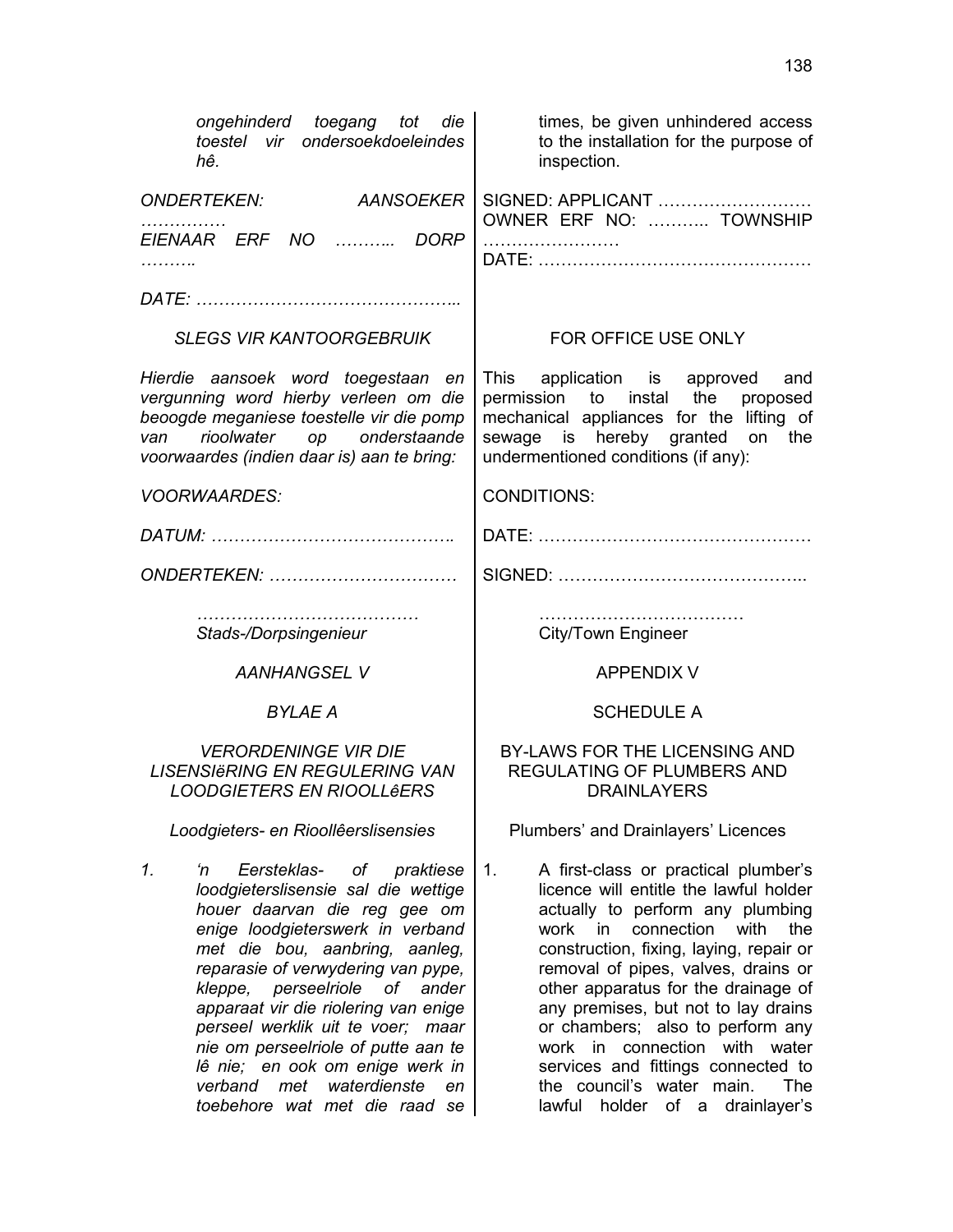| ongehinderd toegang tot<br>die<br>toestel vir ondersoekdoeleindes<br>hê.                                                                                                                                                                                                                                                                                                                                                                                               | times, be given unhindered access<br>to the installation for the purpose of<br>inspection.                                                                                                                                                                                                                                                                                                                                                                                            |
|------------------------------------------------------------------------------------------------------------------------------------------------------------------------------------------------------------------------------------------------------------------------------------------------------------------------------------------------------------------------------------------------------------------------------------------------------------------------|---------------------------------------------------------------------------------------------------------------------------------------------------------------------------------------------------------------------------------------------------------------------------------------------------------------------------------------------------------------------------------------------------------------------------------------------------------------------------------------|
| <b>AANSOEKER</b><br><b>ONDERTEKEN:</b>                                                                                                                                                                                                                                                                                                                                                                                                                                 | SIGNED: APPLICANT<br>OWNER ERF NO:  TOWNSHIP                                                                                                                                                                                                                                                                                                                                                                                                                                          |
| EIENAAR ERF NO<br><b>DORP</b><br>.                                                                                                                                                                                                                                                                                                                                                                                                                                     |                                                                                                                                                                                                                                                                                                                                                                                                                                                                                       |
|                                                                                                                                                                                                                                                                                                                                                                                                                                                                        |                                                                                                                                                                                                                                                                                                                                                                                                                                                                                       |
| <b>SLEGS VIR KANTOORGEBRUIK</b>                                                                                                                                                                                                                                                                                                                                                                                                                                        | FOR OFFICE USE ONLY                                                                                                                                                                                                                                                                                                                                                                                                                                                                   |
| Hierdie aansoek word toegestaan en<br>vergunning word hierby verleen om die<br>beoogde meganiese toestelle vir die pomp<br>rioolwater op onderstaande<br>van<br>voorwaardes (indien daar is) aan te bring:                                                                                                                                                                                                                                                             | This application is approved<br>and<br>permission to instal the<br>proposed<br>mechanical appliances for the lifting of<br>sewage is hereby granted on<br>the<br>undermentioned conditions (if any):                                                                                                                                                                                                                                                                                  |
| <b>VOORWAARDES:</b>                                                                                                                                                                                                                                                                                                                                                                                                                                                    | <b>CONDITIONS:</b>                                                                                                                                                                                                                                                                                                                                                                                                                                                                    |
|                                                                                                                                                                                                                                                                                                                                                                                                                                                                        |                                                                                                                                                                                                                                                                                                                                                                                                                                                                                       |
| ONDERTEKEN:                                                                                                                                                                                                                                                                                                                                                                                                                                                            |                                                                                                                                                                                                                                                                                                                                                                                                                                                                                       |
| Stads-/Dorpsingenieur                                                                                                                                                                                                                                                                                                                                                                                                                                                  | City/Town Engineer                                                                                                                                                                                                                                                                                                                                                                                                                                                                    |
| <b>AANHANGSEL V</b>                                                                                                                                                                                                                                                                                                                                                                                                                                                    | <b>APPENDIX V</b>                                                                                                                                                                                                                                                                                                                                                                                                                                                                     |
| <b>BYLAE A</b>                                                                                                                                                                                                                                                                                                                                                                                                                                                         | <b>SCHEDULE A</b>                                                                                                                                                                                                                                                                                                                                                                                                                                                                     |
| <b>VERORDENINGE VIR DIE</b><br><b>LISENSIERING EN REGULERING VAN</b><br><b>LOODGIETERS EN RIOOLLêERS</b>                                                                                                                                                                                                                                                                                                                                                               | BY-LAWS FOR THE LICENSING AND<br>REGULATING OF PLUMBERS AND<br><b>DRAINLAYERS</b>                                                                                                                                                                                                                                                                                                                                                                                                     |
| Loodgieters- en Rioollêerslisensies                                                                                                                                                                                                                                                                                                                                                                                                                                    | Plumbers' and Drainlayers' Licences                                                                                                                                                                                                                                                                                                                                                                                                                                                   |
| 1.<br>Eersteklas-<br>praktiese<br>'n<br>of<br>loodgieterslisensie sal die wettige<br>houer daarvan die reg gee om<br>enige loodgieterswerk in verband<br>met die bou, aanbring, aanleg,<br>reparasie of verwydering van pype,<br>perseelriole<br>of<br>kleppe,<br>ander<br>apparaat vir die riolering van enige<br>perseel werklik uit te voer; maar<br>nie om perseelriole of putte aan te<br>lê nie; en ook om enige werk in<br>verband<br>waterdienste<br>met<br>en | 1.<br>A first-class or practical plumber's<br>licence will entitle the lawful holder<br>actually to perform any plumbing<br>connection<br>with<br>work in<br>the<br>construction, fixing, laying, repair or<br>removal of pipes, valves, drains or<br>other apparatus for the drainage of<br>any premises, but not to lay drains<br>or chambers; also to perform any<br>connection with<br>water<br>work in<br>services and fittings connected to<br>the council's water main.<br>The |

lawful holder of a drainlayer's

*toebehore wat met die raad se*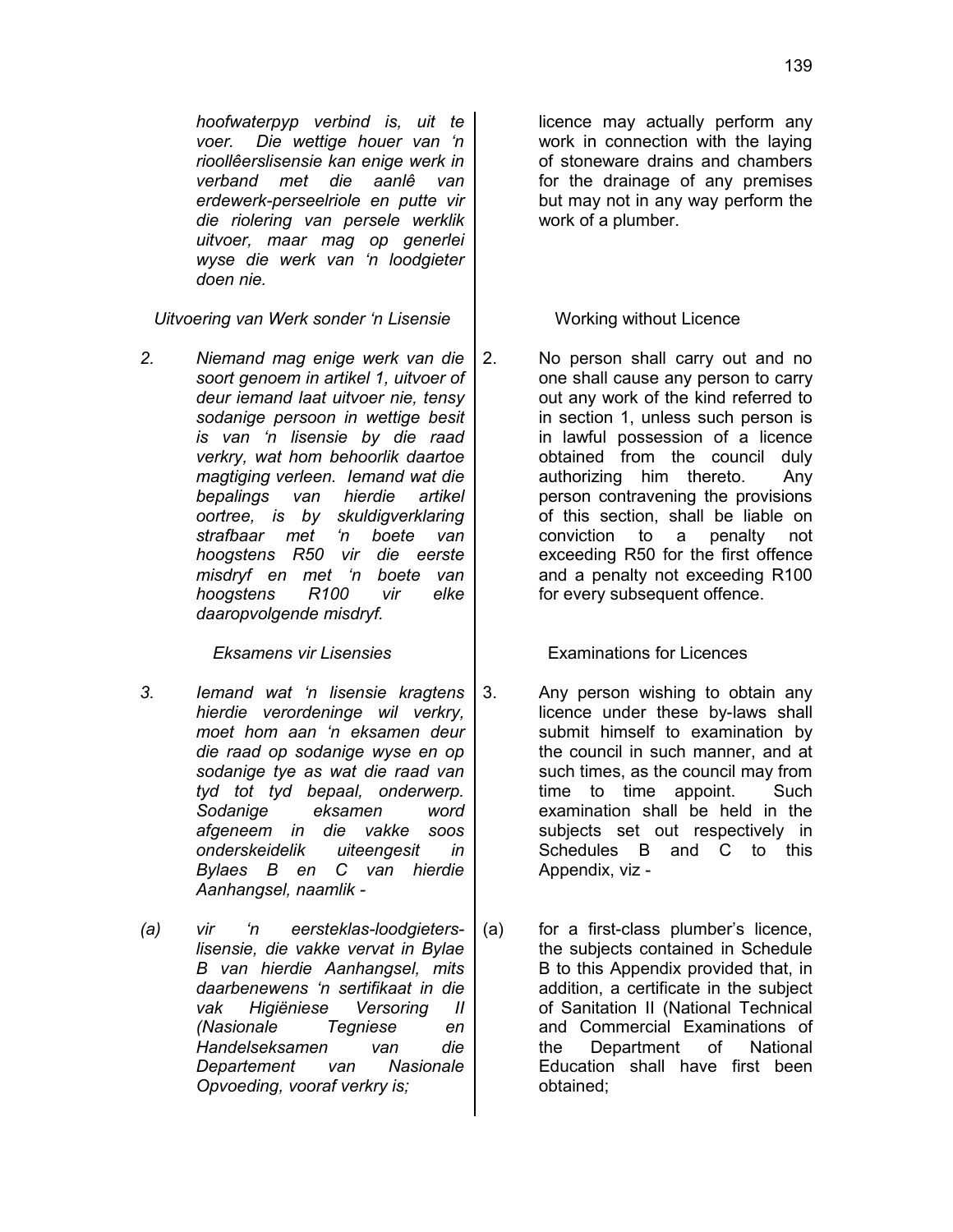*hoofwaterpyp verbind is, uit te voer. Die wettige houer van 'n rioollêerslisensie kan enige werk in verband met die aanlê van erdewerk-perseelriole en putte vir die riolering van persele werklik uitvoer, maar mag op generlei wyse die werk van 'n loodgieter doen nie.*

*Uitvoering van Werk sonder 'n Lisensie* Number 1000 Working without Licence

*2. Niemand mag enige werk van die soort genoem in artikel 1, uitvoer of deur iemand laat uitvoer nie, tensy sodanige persoon in wettige besit is van 'n lisensie by die raad verkry, wat hom behoorlik daartoe magtiging verleen. Iemand wat die bepalings van hierdie artikel oortree, is by skuldigverklaring strafbaar met 'n boete van hoogstens R50 vir die eerste misdryf en met 'n boete van hoogstens R100 vir elke daaropvolgende misdryf.*

- *3. Iemand wat 'n lisensie kragtens hierdie verordeninge wil verkry, moet hom aan 'n eksamen deur die raad op sodanige wyse en op sodanige tye as wat die raad van tyd tot tyd bepaal, onderwerp. Sodanige eksamen word afgeneem in die vakke soos onderskeidelik uiteengesit in Bylaes B en C van hierdie Aanhangsel, naamlik -*
- *(a) vir 'n eersteklas-loodgieterslisensie, die vakke vervat in Bylae B van hierdie Aanhangsel, mits daarbenewens 'n sertifikaat in die vak Higiëniese Versoring II (Nasionale Tegniese en Handelseksamen van die Departement van Nasionale Opvoeding, vooraf verkry is;*

licence may actually perform any work in connection with the laying of stoneware drains and chambers for the drainage of any premises but may not in any way perform the work of a plumber.

2. No person shall carry out and no one shall cause any person to carry out any work of the kind referred to in section 1, unless such person is in lawful possession of a licence obtained from the council duly authorizing him thereto. Any person contravening the provisions of this section, shall be liable on conviction to a penalty not exceeding R50 for the first offence and a penalty not exceeding R100 for every subsequent offence.

*Eksamens vir Lisensies* Examinations for Licences

- 3. Any person wishing to obtain any licence under these by-laws shall submit himself to examination by the council in such manner, and at such times, as the council may from time to time appoint. Such examination shall be held in the subjects set out respectively in Schedules B and C to this Appendix, viz -
- (a) for a first-class plumber's licence, the subjects contained in Schedule B to this Appendix provided that, in addition, a certificate in the subject of Sanitation II (National Technical and Commercial Examinations of the Department of National Education shall have first been obtained;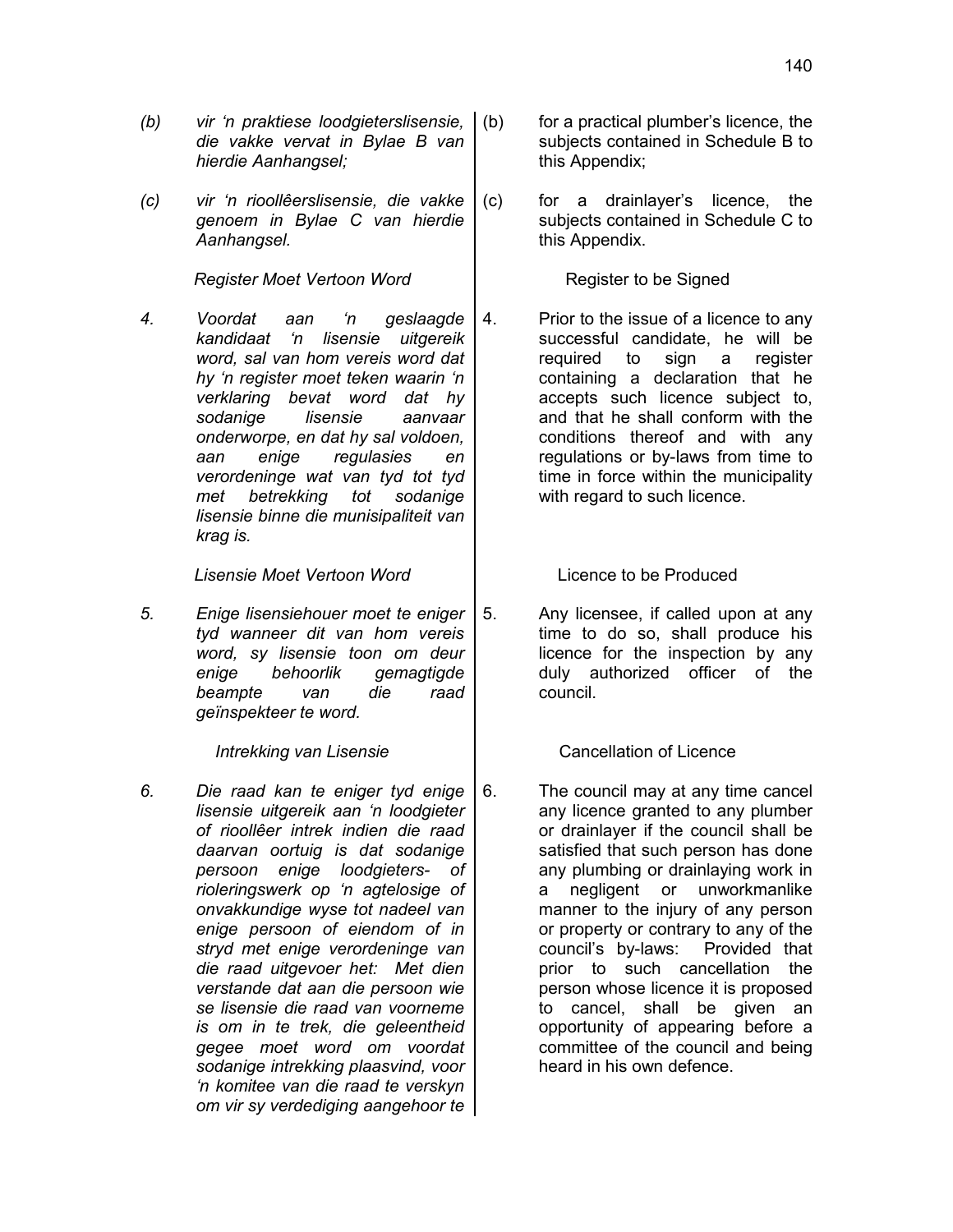- *(b) vir 'n praktiese loodgieterslisensie, die vakke vervat in Bylae B van hierdie Aanhangsel;*
- *(c) vir 'n rioollêerslisensie, die vakke genoem in Bylae C van hierdie Aanhangsel.*

*Register Moet Vertoon Word* | Register to be Signed

*4. Voordat aan 'n geslaagde kandidaat 'n lisensie uitgereik word, sal van hom vereis word dat hy 'n register moet teken waarin 'n verklaring bevat word dat hy sodanige lisensie aanvaar onderworpe, en dat hy sal voldoen, aan enige regulasies en verordeninge wat van tyd tot tyd met betrekking tot sodanige lisensie binne die munisipaliteit van krag is.*

*Lisensie Moet Vertoon Word* Licence to be Produced

*5. Enige lisensiehouer moet te eniger tyd wanneer dit van hom vereis word, sy lisensie toon om deur enige behoorlik gemagtigde beampte van die raad geïnspekteer te word.*

*6. Die raad kan te eniger tyd enige lisensie uitgereik aan 'n loodgieter of rioollêer intrek indien die raad daarvan oortuig is dat sodanige persoon enige loodgieters- of rioleringswerk op 'n agtelosige of onvakkundige wyse tot nadeel van enige persoon of eiendom of in stryd met enige verordeninge van die raad uitgevoer het: Met dien verstande dat aan die persoon wie se lisensie die raad van voorneme is om in te trek, die geleentheid gegee moet word om voordat sodanige intrekking plaasvind, voor 'n komitee van die raad te verskyn om vir sy verdediging aangehoor te*

- (b) for a practical plumber's licence, the subjects contained in Schedule B to this Appendix;
- (c) for a drainlayer's licence, the subjects contained in Schedule C to this Appendix.

4. Prior to the issue of a licence to any successful candidate, he will be required to sign a register containing a declaration that he accepts such licence subject to, and that he shall conform with the conditions thereof and with any regulations or by-laws from time to time in force within the municipality with regard to such licence.

5. Any licensee, if called upon at any time to do so, shall produce his licence for the inspection by any duly authorized officer of the council.

*Intrekking van Lisensie* **Cancellation of Licence** 

6. The council may at any time cancel any licence granted to any plumber or drainlayer if the council shall be satisfied that such person has done any plumbing or drainlaying work in a negligent or unworkmanlike manner to the injury of any person or property or contrary to any of the council's by-laws: Provided that prior to such cancellation the person whose licence it is proposed to cancel, shall be given an opportunity of appearing before a committee of the council and being heard in his own defence.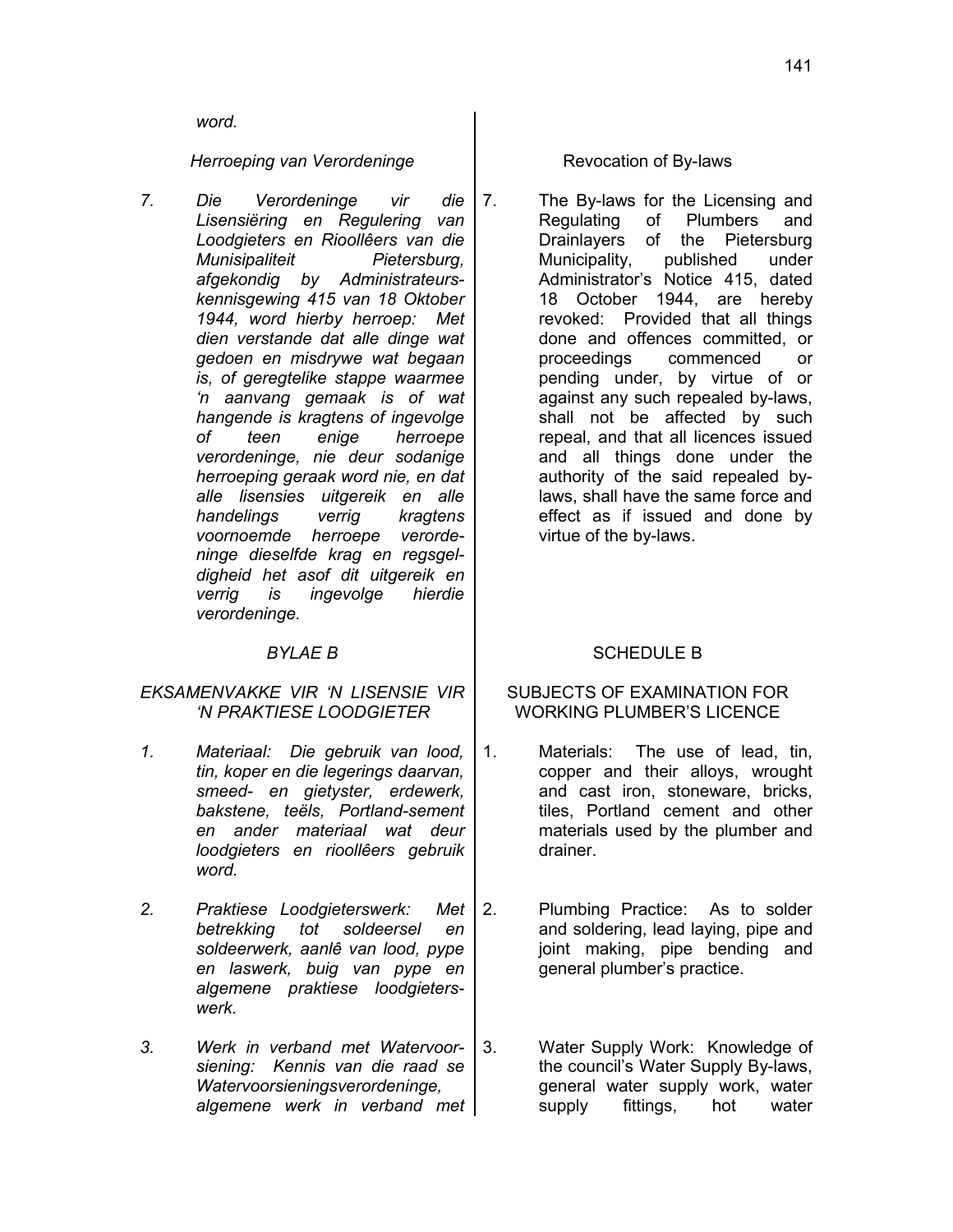*word.*

*Herroeping van Verordeninge* and Revocation of By-laws

*7. Die Verordeninge vir die Lisensiëring en Regulering van Loodgieters en Rioollêers van die Munisipaliteit Pietersburg, afgekondig by Administrateurskennisgewing 415 van 18 Oktober 1944, word hierby herroep: Met dien verstande dat alle dinge wat gedoen en misdrywe wat begaan is, of geregtelike stappe waarmee 'n aanvang gemaak is of wat hangende is kragtens of ingevolge of teen enige herroepe verordeninge, nie deur sodanige herroeping geraak word nie, en dat alle lisensies uitgereik en alle handelings verrig kragtens voornoemde herroepe verordeninge dieselfde krag en regsgeldigheid het asof dit uitgereik en verrig is ingevolge hierdie verordeninge.*

## *EKSAMENVAKKE VIR 'N LISENSIE VIR 'N PRAKTIESE LOODGIETER*

- *1. Materiaal: Die gebruik van lood, tin, koper en die legerings daarvan, smeed- en gietyster, erdewerk, bakstene, teëls, Portland-sement en ander materiaal wat deur loodgieters en rioollêers gebruik word.*
- *2. Praktiese Loodgieterswerk: Met betrekking tot soldeersel en soldeerwerk, aanlê van lood, pype en laswerk, buig van pype en algemene praktiese loodgieterswerk.*
- *3. Werk in verband met Watervoorsiening: Kennis van die raad se Watervoorsieningsverordeninge, algemene werk in verband met*

7. The By-laws for the Licensing and Regulating of Plumbers and Drainlayers of the Pietersburg Municipality, published under Administrator's Notice 415, dated 18 October 1944, are hereby revoked: Provided that all things done and offences committed, or proceedings commenced or pending under, by virtue of or against any such repealed by-laws, shall not be affected by such repeal, and that all licences issued and all things done under the authority of the said repealed bylaws, shall have the same force and effect as if issued and done by virtue of the by-laws.

# **BYLAE B**  $\qquad \qquad$  **SCHEDULE B**

# SUBJECTS OF EXAMINATION FOR WORKING PLUMBER'S LICENCE

- 1. Materials: The use of lead, tin, copper and their alloys, wrought and cast iron, stoneware, bricks, tiles, Portland cement and other materials used by the plumber and drainer.
- 2. Plumbing Practice: As to solder and soldering, lead laying, pipe and joint making, pipe bending and general plumber's practice.
- 3. Water Supply Work: Knowledge of the council's Water Supply By-laws, general water supply work, water supply fittings, hot water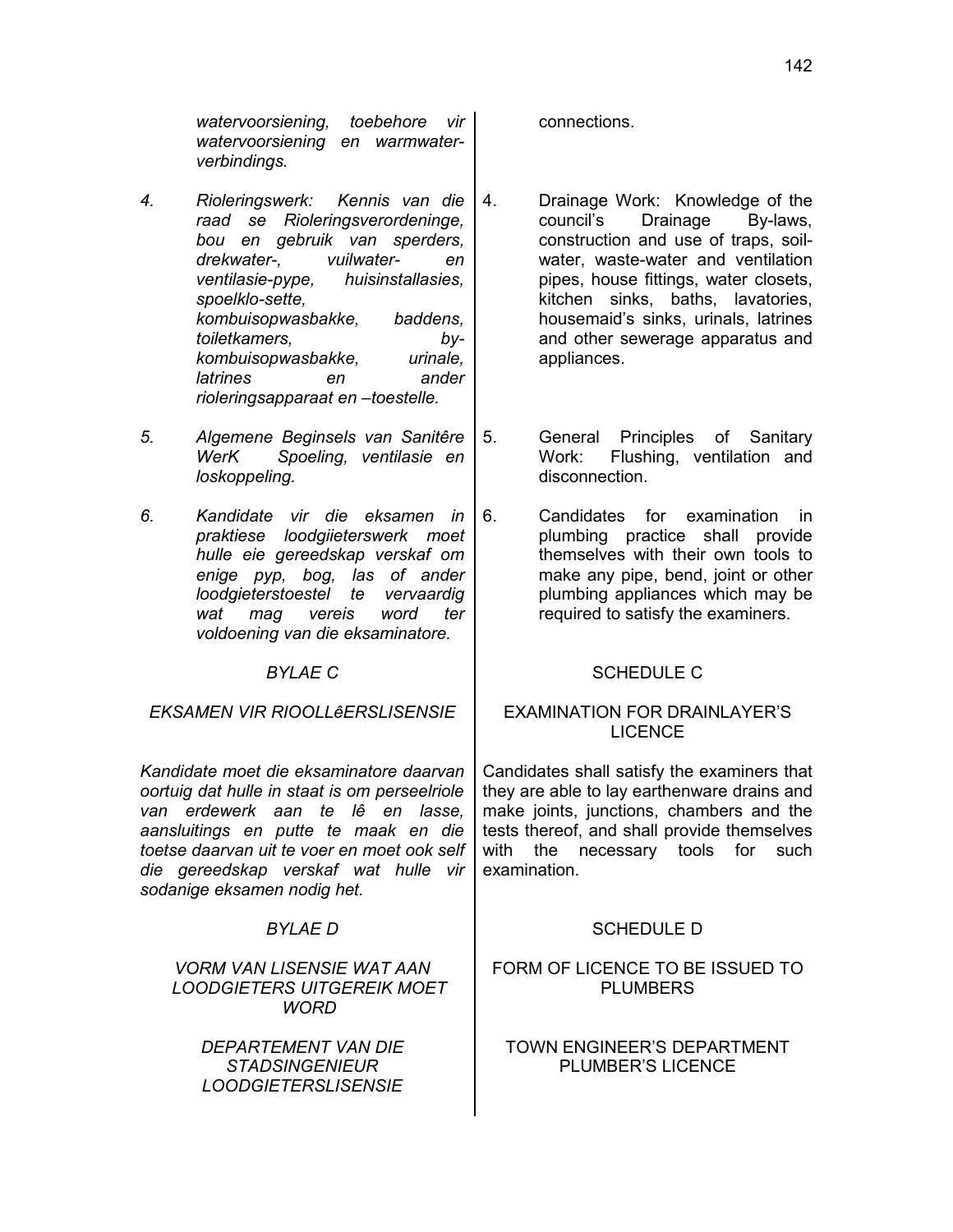*watervoorsiening, toebehore vir watervoorsiening en warmwaterverbindings.*

- *4. Rioleringswerk: Kennis van die raad se Rioleringsverordeninge, bou en gebruik van sperders, drekwater-, vuilwater- en ventilasie-pype, huisinstallasies, spoelklo-sette, kombuisopwasbakke, baddens, toiletkamers, bykombuisopwasbakke, urinale, latrines en ander rioleringsapparaat en –toestelle.*
- *5. Algemene Beginsels van Sanitêre WerK Spoeling, ventilasie en loskoppeling.*
- *6. Kandidate vir die eksamen in praktiese loodgiieterswerk moet hulle eie gereedskap verskaf om enige pyp, bog, las of ander loodgieterstoestel te vervaardig wat mag vereis word ter voldoening van die eksaminatore.*

*EKSAMEN VIR RIOOLLêERSLISENSIE* EXAMINATION FOR DRAINLAYER'S

*Kandidate moet die eksaminatore daarvan oortuig dat hulle in staat is om perseelriole van erdewerk aan te lê en lasse, aansluitings en putte te maak en die toetse daarvan uit te voer en moet ook self die gereedskap verskaf wat hulle vir sodanige eksamen nodig het.*

# *VORM VAN LISENSIE WAT AAN LOODGIETERS UITGEREIK MOET WORD*

*DEPARTEMENT VAN DIE STADSINGENIEUR LOODGIETERSLISENSIE*

connections.

- 4. Drainage Work: Knowledge of the council's Drainage By-laws, construction and use of traps, soilwater, waste-water and ventilation pipes, house fittings, water closets, kitchen sinks, baths, lavatories, housemaid's sinks, urinals, latrines and other sewerage apparatus and appliances.
- 5. General Principles of Sanitary Work: Flushing, ventilation and disconnection.
- 6. Candidates for examination in plumbing practice shall provide themselves with their own tools to make any pipe, bend, joint or other plumbing appliances which may be required to satisfy the examiners.

# **BYLAE C**  $\qquad \qquad$  SCHEDULE C

# LICENCE

Candidates shall satisfy the examiners that they are able to lay earthenware drains and make joints, junctions, chambers and the tests thereof, and shall provide themselves with the necessary tools for such examination.

# *BYLAE D* SCHEDULE D

# FORM OF LICENCE TO BE ISSUED TO PLUMBERS

# TOWN ENGINEER'S DEPARTMENT PLUMBER'S LICENCE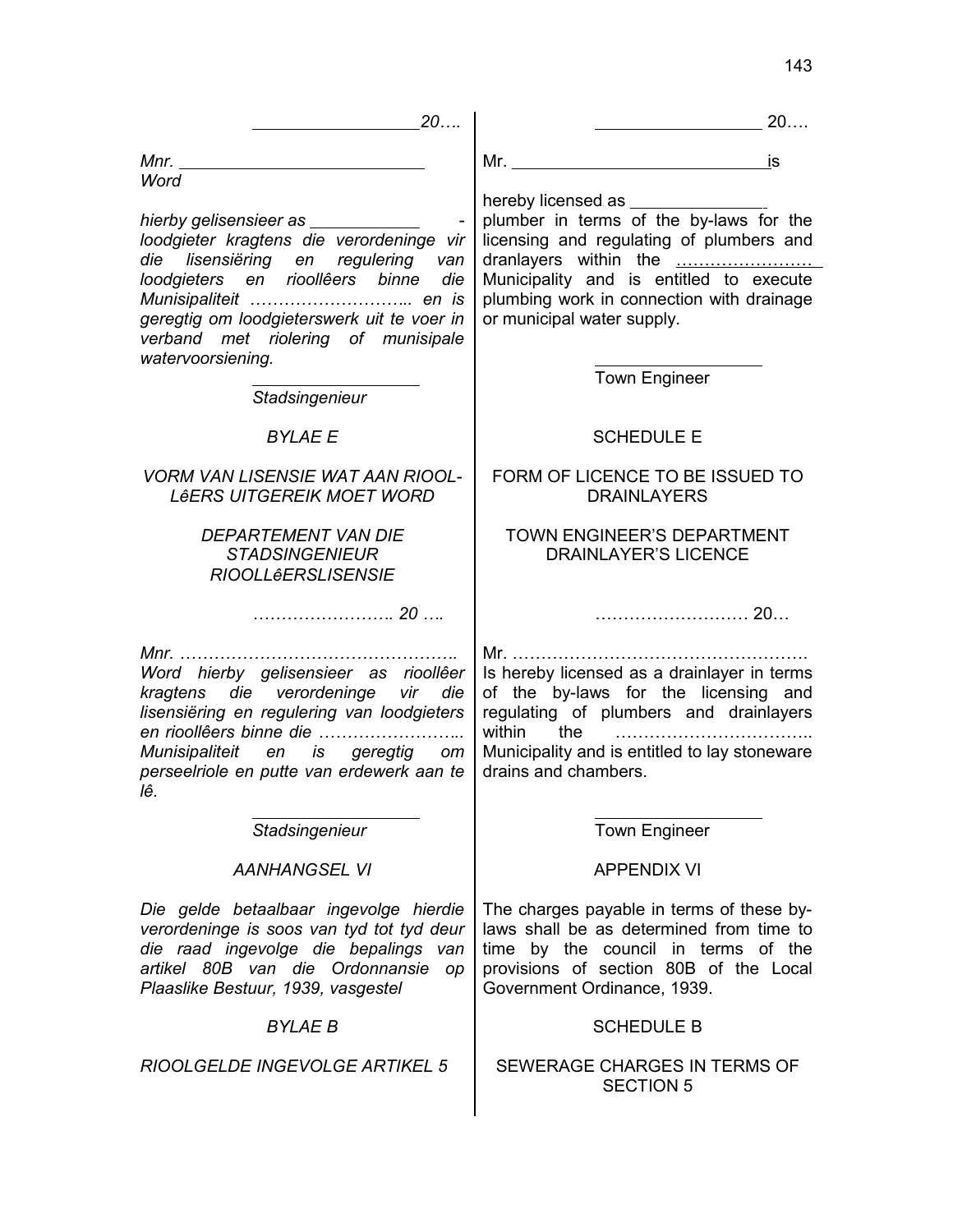| 20                                                                                                                                                                                                                                                                                                  | 20                                                                                                                                                                                                        |
|-----------------------------------------------------------------------------------------------------------------------------------------------------------------------------------------------------------------------------------------------------------------------------------------------------|-----------------------------------------------------------------------------------------------------------------------------------------------------------------------------------------------------------|
| Word                                                                                                                                                                                                                                                                                                |                                                                                                                                                                                                           |
| hierby gelisensieer as _____________<br>loodgieter kragtens die verordeninge vir<br>die lisensiëring en regulering van<br>loodgieters en rioollêers binne<br>die<br>Munisipaliteit  en is<br>geregtig om loodgieterswerk uit te voer in<br>verband met riolering of munisipale<br>watervoorsiening. | plumber in terms of the by-laws for the<br>licensing and regulating of plumbers and<br>Municipality and is entitled to execute<br>plumbing work in connection with drainage<br>or municipal water supply. |
| Stadsingenieur                                                                                                                                                                                                                                                                                      | Town Engineer                                                                                                                                                                                             |
| <b>BYLAE E</b>                                                                                                                                                                                                                                                                                      | <b>SCHEDULE E</b>                                                                                                                                                                                         |
| <b>VORM VAN LISENSIE WAT AAN RIOOL-</b><br><b>LêERS UITGEREIK MOET WORD</b>                                                                                                                                                                                                                         | FORM OF LICENCE TO BE ISSUED TO<br><b>DRAINLAYERS</b>                                                                                                                                                     |
| <b>DEPARTEMENT VAN DIE</b><br><b>STADSINGENIEUR</b><br><b>RIOOLLéERSLISENSIE</b>                                                                                                                                                                                                                    | <b>TOWN ENGINEER'S DEPARTMENT</b><br><b>DRAINLAYER'S LICENCE</b>                                                                                                                                          |
|                                                                                                                                                                                                                                                                                                     |                                                                                                                                                                                                           |
| Word hierby gelisensieer as rioollêer<br>kragtens die verordeninge vir die<br>lisensiëring en regulering van loodgieters<br>en rioollêers binne die<br>Munisipaliteit en is geregtig om<br>perseelriole en putte van erdewerk aan te<br>lê.                                                         | Is hereby licensed as a drainlayer in terms<br>of the by-laws for the licensing and<br>regulating of plumbers and drainlayers<br>Municipality and is entitled to lay stoneware<br>drains and chambers.    |
| Stadsingenieur                                                                                                                                                                                                                                                                                      | <b>Town Engineer</b>                                                                                                                                                                                      |
| <b>AANHANGSEL VI</b>                                                                                                                                                                                                                                                                                | <b>APPENDIX VI</b>                                                                                                                                                                                        |
| Die gelde betaalbaar ingevolge hierdie<br>verordeninge is soos van tyd tot tyd deur<br>die raad ingevolge die bepalings van<br>artikel 80B van die Ordonnansie op<br>Plaaslike Bestuur, 1939, vasgestel                                                                                             | The charges payable in terms of these by-<br>laws shall be as determined from time to<br>time by the council in terms of the<br>provisions of section 80B of the Local<br>Government Ordinance, 1939.     |
| <b>BYLAE B</b>                                                                                                                                                                                                                                                                                      | <b>SCHEDULE B</b>                                                                                                                                                                                         |
| RIOOLGELDE INGEVOLGE ARTIKEL 5                                                                                                                                                                                                                                                                      | SEWERAGE CHARGES IN TERMS OF<br><b>SECTION 5</b>                                                                                                                                                          |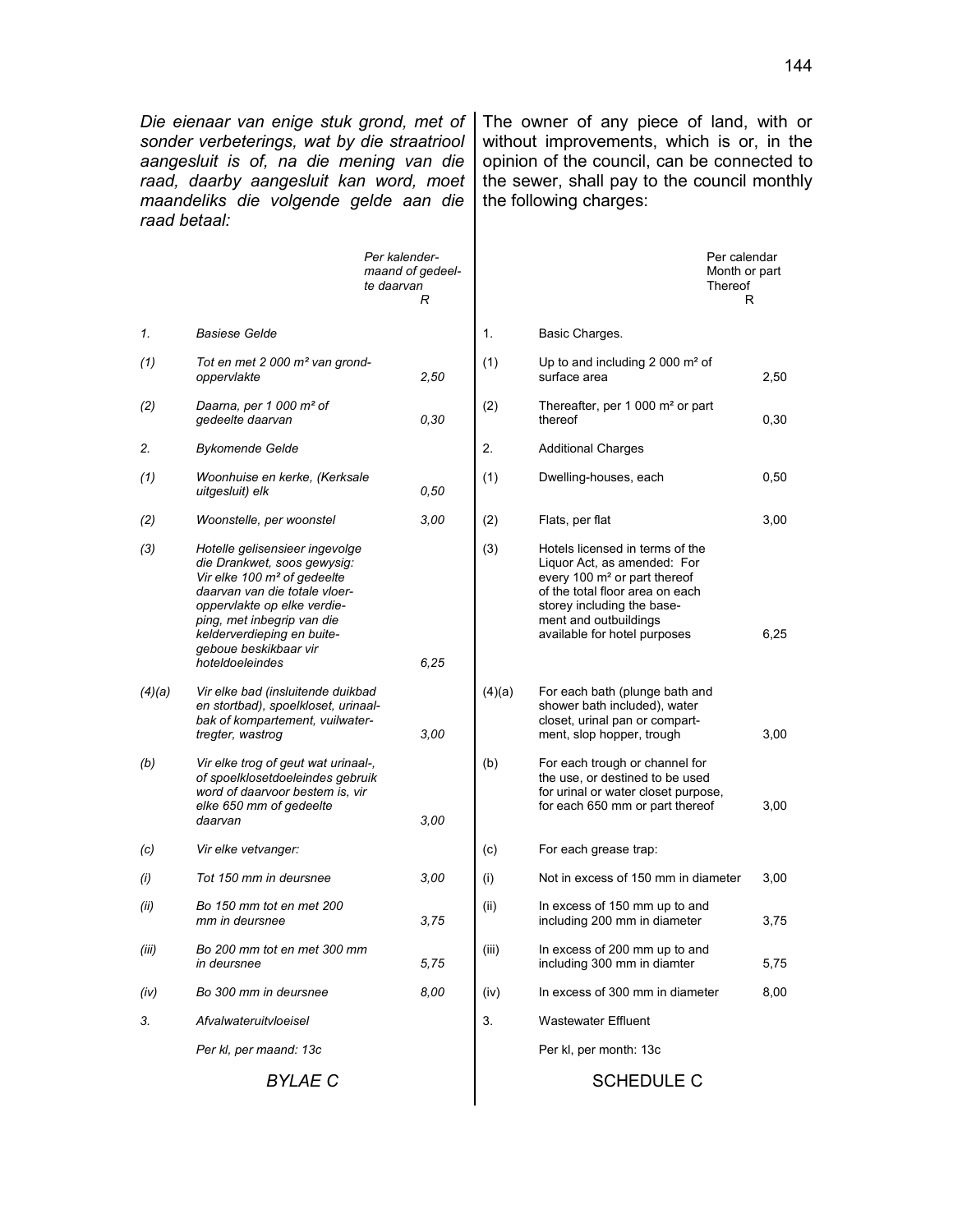*Die eienaar van enige stuk grond, met of sonder verbeterings, wat by die straatriool aangesluit is of, na die mening van die raad, daarby aangesluit kan word, moet maandeliks die volgende gelde aan die raad betaal:*

The owner of any piece of land, with or without improvements, which is or, in the opinion of the council, can be connected to the sewer, shall pay to the council monthly the following charges:

|                | Per kalender-<br>maand of gedeel-<br>te daarvan<br>R                                                                                                                                                                                                                             |      | Thereof |                                                                                                                                                                                                                                      | Per calendar<br>Month or part<br>R |
|----------------|----------------------------------------------------------------------------------------------------------------------------------------------------------------------------------------------------------------------------------------------------------------------------------|------|---------|--------------------------------------------------------------------------------------------------------------------------------------------------------------------------------------------------------------------------------------|------------------------------------|
| 1.             | <b>Basiese Gelde</b>                                                                                                                                                                                                                                                             |      | 1.      | Basic Charges.                                                                                                                                                                                                                       |                                    |
| (1)            | Tot en met 2 000 m <sup>2</sup> van grond-<br>oppervlakte                                                                                                                                                                                                                        | 2,50 | (1)     | Up to and including 2 000 $m2$ of<br>surface area                                                                                                                                                                                    | 2,50                               |
| (2)            | Daarna, per 1 000 m <sup>2</sup> of<br>gedeelte daarvan                                                                                                                                                                                                                          | 0,30 | (2)     | Thereafter, per 1 000 m <sup>2</sup> or part<br>thereof                                                                                                                                                                              | 0,30                               |
| 2.             | <b>Bykomende Gelde</b>                                                                                                                                                                                                                                                           |      | 2.      | <b>Additional Charges</b>                                                                                                                                                                                                            |                                    |
| (1)            | Woonhuise en kerke, (Kerksale<br>uitgesluit) elk                                                                                                                                                                                                                                 | 0,50 | (1)     | Dwelling-houses, each                                                                                                                                                                                                                | 0,50                               |
| (2)            | Woonstelle, per woonstel                                                                                                                                                                                                                                                         | 3,00 | (2)     | Flats, per flat                                                                                                                                                                                                                      | 3,00                               |
| (3)            | Hotelle gelisensieer ingevolge<br>die Drankwet, soos gewysig:<br>Vir elke 100 m <sup>2</sup> of gedeelte<br>daarvan van die totale vloer-<br>oppervlakte op elke verdie-<br>ping, met inbegrip van die<br>kelderverdieping en buite-<br>geboue beskikbaar vir<br>hoteldoeleindes | 6.25 | (3)     | Hotels licensed in terms of the<br>Liquor Act, as amended: For<br>every 100 m <sup>2</sup> or part thereof<br>of the total floor area on each<br>storey including the base-<br>ment and outbuildings<br>available for hotel purposes | 6,25                               |
| (4)(a)         | Vir elke bad (insluitende duikbad<br>en stortbad), spoelkloset, urinaal-<br>bak of kompartement, vuilwater-<br>tregter, wastrog                                                                                                                                                  | 3,00 | (4)(a)  | For each bath (plunge bath and<br>shower bath included), water<br>closet, urinal pan or compart-<br>ment, slop hopper, trough                                                                                                        | 3,00                               |
| (b)            | Vir elke trog of geut wat urinaal-,<br>of spoelklosetdoeleindes gebruik<br>word of daarvoor bestem is, vir<br>elke 650 mm of gedeelte<br>daarvan                                                                                                                                 | 3,00 | (b)     | For each trough or channel for<br>the use, or destined to be used<br>for urinal or water closet purpose,<br>for each 650 mm or part thereof                                                                                          | 3,00                               |
| (c)            | Vir elke vetvanger:                                                                                                                                                                                                                                                              |      | (c)     | For each grease trap:                                                                                                                                                                                                                |                                    |
| (i)            | Tot 150 mm in deursnee                                                                                                                                                                                                                                                           | 3,00 | (i)     | Not in excess of 150 mm in diameter                                                                                                                                                                                                  | 3,00                               |
| (ii)           | Bo 150 mm tot en met 200<br>mm in deursnee                                                                                                                                                                                                                                       | 3,75 | (ii)    | In excess of 150 mm up to and<br>including 200 mm in diameter                                                                                                                                                                        | 3,75                               |
| (iii)          | Bo 200 mm tot en met 300 mm<br>in deursnee                                                                                                                                                                                                                                       | 5,75 | (iii)   | In excess of 200 mm up to and<br>including 300 mm in diamter                                                                                                                                                                         | 5,75                               |
| (iv)           | Bo 300 mm in deursnee                                                                                                                                                                                                                                                            | 8,00 | (iv)    | In excess of 300 mm in diameter                                                                                                                                                                                                      | 8,00                               |
| 3.             | Afvalwateruitvloeisel                                                                                                                                                                                                                                                            |      | 3.      | <b>Wastewater Effluent</b>                                                                                                                                                                                                           |                                    |
|                | Per kl, per maand: 13c                                                                                                                                                                                                                                                           |      |         | Per kl, per month: 13c                                                                                                                                                                                                               |                                    |
| <b>BYLAE C</b> |                                                                                                                                                                                                                                                                                  |      |         | <b>SCHEDULE C</b>                                                                                                                                                                                                                    |                                    |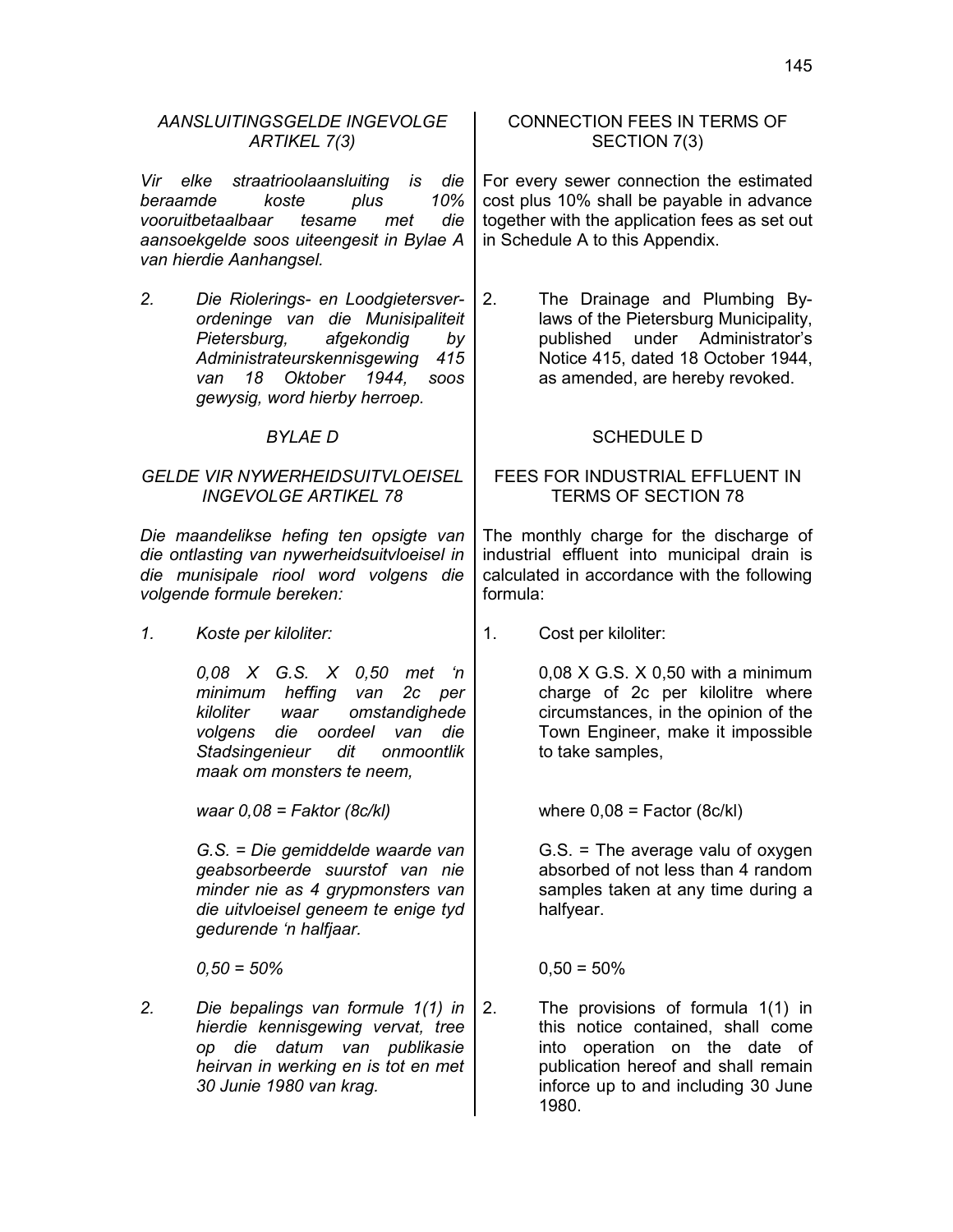| AANSLUITINGSGELDE INGEVOLGE<br>ARTIKEL 7(3)                                                                                                                 |                                                                                                                                                                                                                      | <b>CONNECTION FEES IN TERMS OF</b><br>SECTION 7(3)                                                                                                |                                                                                                                                                                                                |
|-------------------------------------------------------------------------------------------------------------------------------------------------------------|----------------------------------------------------------------------------------------------------------------------------------------------------------------------------------------------------------------------|---------------------------------------------------------------------------------------------------------------------------------------------------|------------------------------------------------------------------------------------------------------------------------------------------------------------------------------------------------|
| Vir elke<br>beraamde                                                                                                                                        | straatrioolaansluiting is<br>die<br>koste<br>plus<br>10%<br>vooruitbetaalbaar<br>die<br>tesame<br>met<br>aansoekgelde soos uiteengesit in Bylae A<br>van hierdie Aanhangsel.                                         |                                                                                                                                                   | For every sewer connection the estimated<br>cost plus 10% shall be payable in advance<br>together with the application fees as set out<br>in Schedule A to this Appendix.                      |
| 2.                                                                                                                                                          | Die Riolerings- en Loodgietersver-<br>ordeninge van die Munisipaliteit<br>Pietersburg,<br>afgekondig<br>by<br>Administrateurskennisgewing<br>415<br>18 Oktober 1944,<br>van<br>SOOS<br>gewysig, word hierby herroep. | 2.                                                                                                                                                | The Drainage and Plumbing By-<br>laws of the Pietersburg Municipality,<br>under Administrator's<br>published<br>Notice 415, dated 18 October 1944,<br>as amended, are hereby revoked.          |
| <b>BYLAED</b>                                                                                                                                               |                                                                                                                                                                                                                      | <b>SCHEDULE D</b>                                                                                                                                 |                                                                                                                                                                                                |
| <b>GELDE VIR NYWERHEIDSUITVLOEISEL</b><br><b>INGEVOLGE ARTIKEL 78</b>                                                                                       |                                                                                                                                                                                                                      | FEES FOR INDUSTRIAL EFFLUENT IN<br><b>TERMS OF SECTION 78</b>                                                                                     |                                                                                                                                                                                                |
| Die maandelikse hefing ten opsigte van<br>die ontlasting van nywerheidsuitvloeisel in<br>die munisipale riool word volgens die<br>volgende formule bereken: |                                                                                                                                                                                                                      | The monthly charge for the discharge of<br>industrial effluent into municipal drain is<br>calculated in accordance with the following<br>formula: |                                                                                                                                                                                                |
| 1.                                                                                                                                                          | Koste per kiloliter:                                                                                                                                                                                                 | 1.                                                                                                                                                | Cost per kiloliter:                                                                                                                                                                            |
|                                                                                                                                                             | 0,08 X G.S. X 0,50 met<br>n<br>heffing<br>minimum<br>van<br>2c per<br>omstandighede<br>kiloliter<br>waar<br>die oordeel<br>volgens<br>van<br>die<br>Stadsingenieur<br>dit<br>onmoontlik<br>maak om monsters te neem, |                                                                                                                                                   | $0,08$ X G.S. X 0,50 with a minimum<br>charge of 2c per kilolitre where<br>circumstances, in the opinion of the<br>Town Engineer, make it impossible<br>to take samples,                       |
|                                                                                                                                                             | waar $0.08$ = Faktor (8c/kl)                                                                                                                                                                                         |                                                                                                                                                   | where $0,08$ = Factor (8c/kl)                                                                                                                                                                  |
|                                                                                                                                                             | G.S. = Die gemiddelde waarde van<br>geabsorbeerde suurstof van nie<br>minder nie as 4 grypmonsters van<br>die uitvloeisel geneem te enige tyd<br>gedurende 'n halfjaar.                                              |                                                                                                                                                   | $G.S.$ = The average valu of oxygen<br>absorbed of not less than 4 random<br>samples taken at any time during a<br>halfyear.                                                                   |
|                                                                                                                                                             | $0,50 = 50\%$                                                                                                                                                                                                        |                                                                                                                                                   | $0,50 = 50\%$                                                                                                                                                                                  |
| 2.                                                                                                                                                          | Die bepalings van formule 1(1) in<br>hierdie kennisgewing vervat, tree<br>die datum van publikasie<br>op<br>heirvan in werking en is tot en met<br>30 Junie 1980 van krag.                                           | 2.                                                                                                                                                | The provisions of formula 1(1) in<br>this notice contained, shall come<br>into operation on the date of<br>publication hereof and shall remain<br>inforce up to and including 30 June<br>1980. |